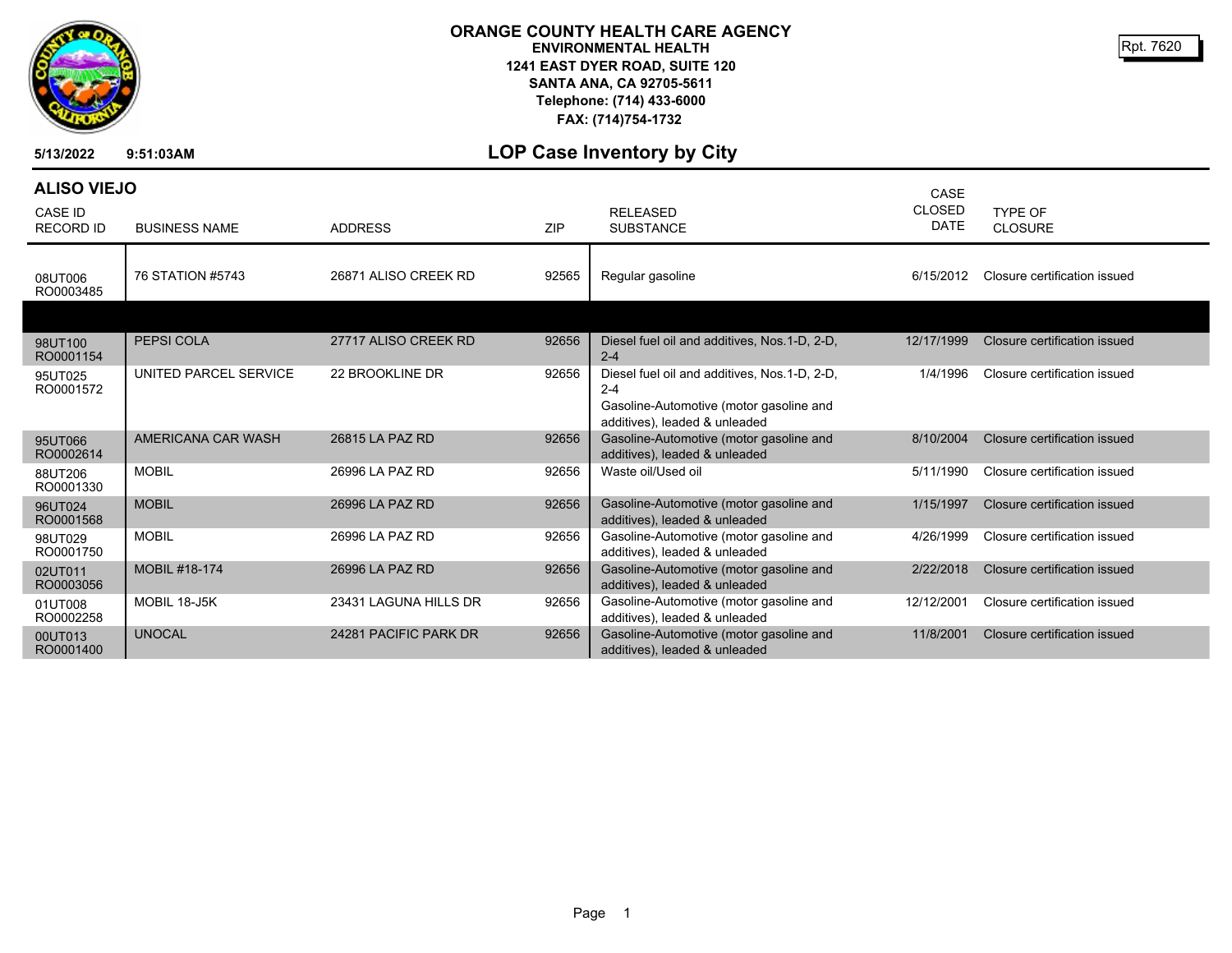

## **ORANGE COUNTY HEALTH CARE AGENCY ENVIRONMENTAL HEALTH 1241 EAST DYER ROAD, SUITE 120 SANTA ANA, CA 92705-5611 Telephone: (714) 433-6000 FAX: (714)754-1732**

Rpt. 7620

**5/13/2022 9:51:03AM**

## **LOP Case Inventory by City**

| <b>ALISO VIEJO</b>                 |                       |                       |       |                                                                                                                                     | CASE                         |                              |
|------------------------------------|-----------------------|-----------------------|-------|-------------------------------------------------------------------------------------------------------------------------------------|------------------------------|------------------------------|
| <b>CASE ID</b><br><b>RECORD ID</b> | <b>BUSINESS NAME</b>  | <b>ADDRESS</b>        | ZIP   | <b>RELEASED</b><br><b>SUBSTANCE</b>                                                                                                 | <b>CLOSED</b><br><b>DATE</b> | TYPE OF<br><b>CLOSURE</b>    |
| 08UT006<br>RO0003485               | 76 STATION #5743      | 26871 ALISO CREEK RD  | 92565 | Regular gasoline                                                                                                                    | 6/15/2012                    | Closure certification issued |
|                                    |                       |                       |       |                                                                                                                                     |                              |                              |
| 98UT100<br>RO0001154               | <b>PEPSI COLA</b>     | 27717 ALISO CREEK RD  | 92656 | Diesel fuel oil and additives, Nos.1-D, 2-D,<br>$2 - 4$                                                                             | 12/17/1999                   | Closure certification issued |
| 95UT025<br>RO0001572               | UNITED PARCEL SERVICE | 22 BROOKLINE DR       | 92656 | Diesel fuel oil and additives, Nos.1-D, 2-D,<br>$2 - 4$<br>Gasoline-Automotive (motor gasoline and<br>additives), leaded & unleaded | 1/4/1996                     | Closure certification issued |
| 95UT066<br>RO0002614               | AMERICANA CAR WASH    | 26815 LA PAZ RD       | 92656 | Gasoline-Automotive (motor gasoline and<br>additives), leaded & unleaded                                                            | 8/10/2004                    | Closure certification issued |
| 88UT206<br>RO0001330               | <b>MOBIL</b>          | 26996 LA PAZ RD       | 92656 | Waste oil/Used oil                                                                                                                  | 5/11/1990                    | Closure certification issued |
| 96UT024<br>RO0001568               | <b>MOBIL</b>          | 26996 LA PAZ RD       | 92656 | Gasoline-Automotive (motor gasoline and<br>additives), leaded & unleaded                                                            | 1/15/1997                    | Closure certification issued |
| 98UT029<br>RO0001750               | <b>MOBIL</b>          | 26996 LA PAZ RD       | 92656 | Gasoline-Automotive (motor gasoline and<br>additives), leaded & unleaded                                                            | 4/26/1999                    | Closure certification issued |
| 02UT011<br>RO0003056               | <b>MOBIL #18-174</b>  | 26996 LA PAZ RD       | 92656 | Gasoline-Automotive (motor gasoline and<br>additives), leaded & unleaded                                                            | 2/22/2018                    | Closure certification issued |
| 01UT008<br>RO0002258               | MOBIL 18-J5K          | 23431 LAGUNA HILLS DR | 92656 | Gasoline-Automotive (motor gasoline and<br>additives), leaded & unleaded                                                            | 12/12/2001                   | Closure certification issued |
| 00UT013<br>RO0001400               | <b>UNOCAL</b>         | 24281 PACIFIC PARK DR | 92656 | Gasoline-Automotive (motor gasoline and<br>additives), leaded & unleaded                                                            | 11/8/2001                    | Closure certification issued |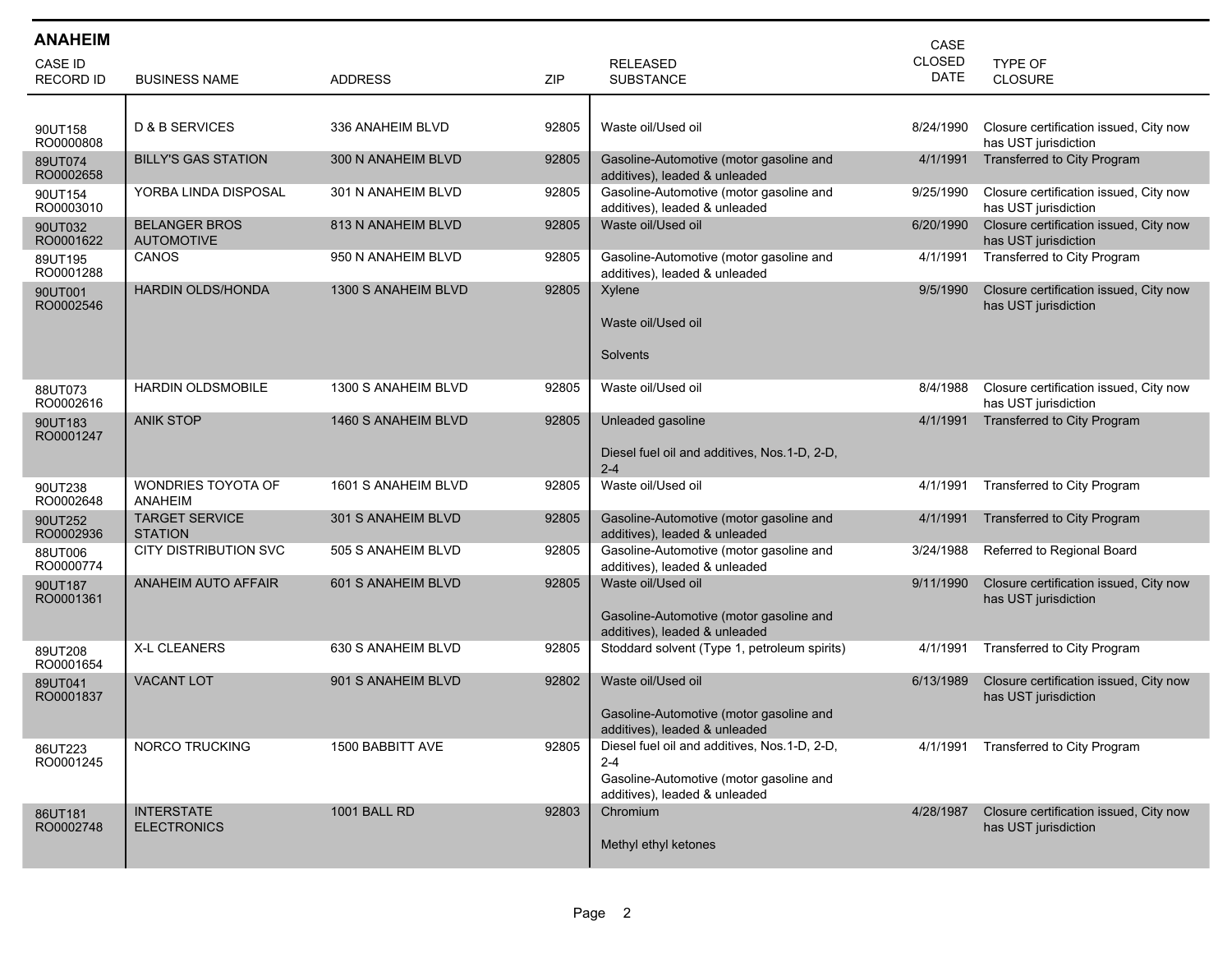| <b>ANAHEIM</b>                     |                                           |                     |            |                                                                          | <b>CASE</b>                  |                                                                |
|------------------------------------|-------------------------------------------|---------------------|------------|--------------------------------------------------------------------------|------------------------------|----------------------------------------------------------------|
| <b>CASE ID</b><br><b>RECORD ID</b> | <b>BUSINESS NAME</b>                      | <b>ADDRESS</b>      | <b>ZIP</b> | <b>RELEASED</b><br><b>SUBSTANCE</b>                                      | <b>CLOSED</b><br><b>DATE</b> | TYPE OF<br><b>CLOSURE</b>                                      |
|                                    |                                           |                     |            |                                                                          |                              |                                                                |
| 90UT158<br>RO0000808               | <b>D &amp; B SERVICES</b>                 | 336 ANAHEIM BLVD    | 92805      | Waste oil/Used oil                                                       | 8/24/1990                    | Closure certification issued, City now<br>has UST jurisdiction |
| 89UT074<br>RO0002658               | <b>BILLY'S GAS STATION</b>                | 300 N ANAHEIM BLVD  | 92805      | Gasoline-Automotive (motor gasoline and<br>additives), leaded & unleaded | 4/1/1991                     | Transferred to City Program                                    |
| 90UT154<br>RO0003010               | YORBA LINDA DISPOSAL                      | 301 N ANAHEIM BLVD  | 92805      | Gasoline-Automotive (motor gasoline and<br>additives), leaded & unleaded | 9/25/1990                    | Closure certification issued, City now<br>has UST jurisdiction |
| 90UT032<br>RO0001622               | <b>BELANGER BROS</b><br><b>AUTOMOTIVE</b> | 813 N ANAHEIM BLVD  | 92805      | Waste oil/Used oil                                                       | 6/20/1990                    | Closure certification issued, City now<br>has UST jurisdiction |
| 89UT195<br>RO0001288               | <b>CANOS</b>                              | 950 N ANAHEIM BLVD  | 92805      | Gasoline-Automotive (motor gasoline and<br>additives), leaded & unleaded | 4/1/1991                     | Transferred to City Program                                    |
| 90UT001<br>RO0002546               | <b>HARDIN OLDS/HONDA</b>                  | 1300 S ANAHEIM BLVD | 92805      | Xylene                                                                   | 9/5/1990                     | Closure certification issued, City now<br>has UST jurisdiction |
|                                    |                                           |                     |            | Waste oil/Used oil                                                       |                              |                                                                |
|                                    |                                           |                     |            | Solvents                                                                 |                              |                                                                |
| 88UT073<br>RO0002616               | <b>HARDIN OLDSMOBILE</b>                  | 1300 S ANAHEIM BLVD | 92805      | Waste oil/Used oil                                                       | 8/4/1988                     | Closure certification issued, City now<br>has UST jurisdiction |
| 90UT183<br>RO0001247               | <b>ANIK STOP</b>                          | 1460 S ANAHEIM BLVD | 92805      | Unleaded gasoline                                                        | 4/1/1991                     | Transferred to City Program                                    |
|                                    |                                           |                     |            | Diesel fuel oil and additives, Nos. 1-D, 2-D,<br>$2 - 4$                 |                              |                                                                |
| 90UT238<br>RO0002648               | WONDRIES TOYOTA OF<br><b>ANAHEIM</b>      | 1601 S ANAHEIM BLVD | 92805      | Waste oil/Used oil                                                       | 4/1/1991                     | Transferred to City Program                                    |
| 90UT252<br>RO0002936               | <b>TARGET SERVICE</b><br><b>STATION</b>   | 301 S ANAHEIM BLVD  | 92805      | Gasoline-Automotive (motor gasoline and<br>additives), leaded & unleaded | 4/1/1991                     | <b>Transferred to City Program</b>                             |
| 88UT006<br>RO0000774               | <b>CITY DISTRIBUTION SVC</b>              | 505 S ANAHEIM BLVD  | 92805      | Gasoline-Automotive (motor gasoline and<br>additives), leaded & unleaded | 3/24/1988                    | Referred to Regional Board                                     |
| 90UT187<br>RO0001361               | <b>ANAHEIM AUTO AFFAIR</b>                | 601 S ANAHEIM BLVD  | 92805      | Waste oil/Used oil                                                       | 9/11/1990                    | Closure certification issued, City now<br>has UST jurisdiction |
|                                    |                                           |                     |            | Gasoline-Automotive (motor gasoline and<br>additives), leaded & unleaded |                              |                                                                |
| 89UT208<br>RO0001654               | <b>X-L CLEANERS</b>                       | 630 S ANAHEIM BLVD  | 92805      | Stoddard solvent (Type 1, petroleum spirits)                             | 4/1/1991                     | Transferred to City Program                                    |
| 89UT041<br>RO0001837               | <b>VACANT LOT</b>                         | 901 S ANAHEIM BLVD  | 92802      | Waste oil/Used oil                                                       | 6/13/1989                    | Closure certification issued, City now<br>has UST jurisdiction |
|                                    |                                           |                     |            | Gasoline-Automotive (motor gasoline and<br>additives), leaded & unleaded |                              |                                                                |
| 86UT223<br>RO0001245               | NORCO TRUCKING                            | 1500 BABBITT AVE    | 92805      | Diesel fuel oil and additives, Nos.1-D, 2-D,<br>$2 - 4$                  | 4/1/1991                     | Transferred to City Program                                    |
|                                    |                                           |                     |            | Gasoline-Automotive (motor gasoline and<br>additives), leaded & unleaded |                              |                                                                |
| 86UT181<br>RO0002748               | <b>INTERSTATE</b><br><b>ELECTRONICS</b>   | 1001 BALL RD        | 92803      | Chromium                                                                 | 4/28/1987                    | Closure certification issued, City now<br>has UST jurisdiction |
|                                    |                                           |                     |            | Methyl ethyl ketones                                                     |                              |                                                                |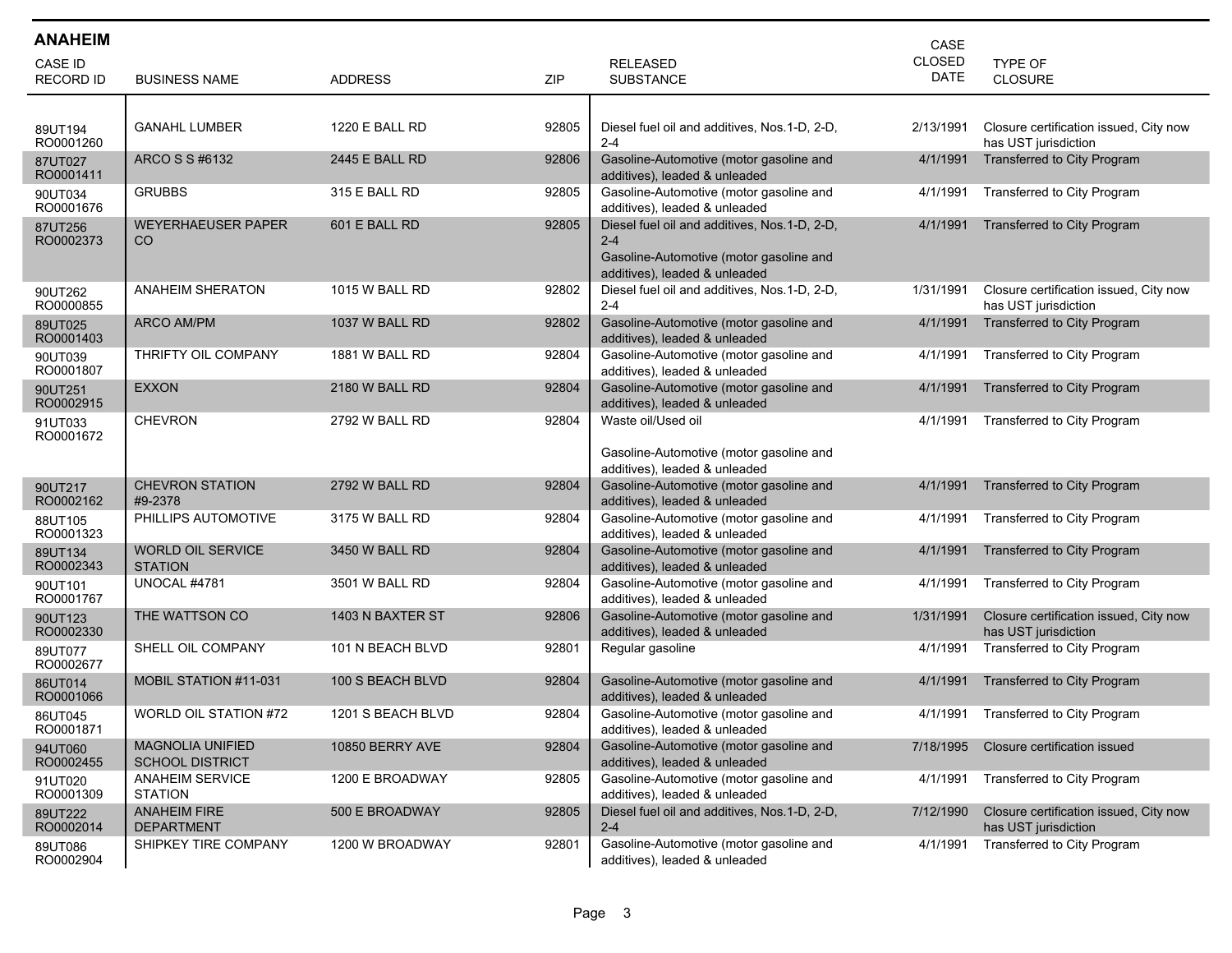| <b>ANAHEIM</b>       |                                                   |                       |       |                                                                                                                                     | CASE          |                                                                |
|----------------------|---------------------------------------------------|-----------------------|-------|-------------------------------------------------------------------------------------------------------------------------------------|---------------|----------------------------------------------------------------|
| <b>CASE ID</b>       |                                                   |                       |       | <b>RELEASED</b>                                                                                                                     | <b>CLOSED</b> | TYPE OF                                                        |
| <b>RECORD ID</b>     | <b>BUSINESS NAME</b>                              | <b>ADDRESS</b>        | ZIP   | <b>SUBSTANCE</b>                                                                                                                    | <b>DATE</b>   | CLOSURE                                                        |
|                      |                                                   |                       |       |                                                                                                                                     |               |                                                                |
| 89UT194<br>RO0001260 | <b>GANAHL LUMBER</b>                              | <b>1220 E BALL RD</b> | 92805 | Diesel fuel oil and additives, Nos.1-D, 2-D,<br>$2 - 4$                                                                             | 2/13/1991     | Closure certification issued, City now<br>has UST jurisdiction |
| 87UT027<br>RO0001411 | ARCO S S #6132                                    | 2445 E BALL RD        | 92806 | Gasoline-Automotive (motor gasoline and<br>additives), leaded & unleaded                                                            | 4/1/1991      | <b>Transferred to City Program</b>                             |
| 90UT034<br>RO0001676 | <b>GRUBBS</b>                                     | 315 E BALL RD         | 92805 | Gasoline-Automotive (motor gasoline and<br>additives), leaded & unleaded                                                            | 4/1/1991      | Transferred to City Program                                    |
| 87UT256<br>RO0002373 | <b>WEYERHAEUSER PAPER</b><br>CO                   | 601 E BALL RD         | 92805 | Diesel fuel oil and additives, Nos.1-D, 2-D,<br>$2 - 4$<br>Gasoline-Automotive (motor gasoline and<br>additives), leaded & unleaded | 4/1/1991      | <b>Transferred to City Program</b>                             |
| 90UT262<br>RO0000855 | <b>ANAHEIM SHERATON</b>                           | 1015 W BALL RD        | 92802 | Diesel fuel oil and additives, Nos.1-D, 2-D,<br>$2 - 4$                                                                             | 1/31/1991     | Closure certification issued, City now<br>has UST jurisdiction |
| 89UT025<br>RO0001403 | <b>ARCO AM/PM</b>                                 | 1037 W BALL RD        | 92802 | Gasoline-Automotive (motor gasoline and<br>additives), leaded & unleaded                                                            | 4/1/1991      | Transferred to City Program                                    |
| 90UT039<br>RO0001807 | THRIFTY OIL COMPANY                               | 1881 W BALL RD        | 92804 | Gasoline-Automotive (motor gasoline and<br>additives), leaded & unleaded                                                            | 4/1/1991      | Transferred to City Program                                    |
| 90UT251<br>RO0002915 | <b>EXXON</b>                                      | 2180 W BALL RD        | 92804 | Gasoline-Automotive (motor gasoline and<br>additives), leaded & unleaded                                                            | 4/1/1991      | Transferred to City Program                                    |
| 91UT033<br>RO0001672 | <b>CHEVRON</b>                                    | 2792 W BALL RD        | 92804 | Waste oil/Used oil<br>Gasoline-Automotive (motor gasoline and<br>additives), leaded & unleaded                                      | 4/1/1991      | Transferred to City Program                                    |
| 90UT217<br>RO0002162 | <b>CHEVRON STATION</b><br>#9-2378                 | 2792 W BALL RD        | 92804 | Gasoline-Automotive (motor gasoline and<br>additives), leaded & unleaded                                                            | 4/1/1991      | <b>Transferred to City Program</b>                             |
| 88UT105<br>RO0001323 | PHILLIPS AUTOMOTIVE                               | 3175 W BALL RD        | 92804 | Gasoline-Automotive (motor gasoline and<br>additives), leaded & unleaded                                                            | 4/1/1991      | Transferred to City Program                                    |
| 89UT134<br>RO0002343 | <b>WORLD OIL SERVICE</b><br><b>STATION</b>        | 3450 W BALL RD        | 92804 | Gasoline-Automotive (motor gasoline and<br>additives), leaded & unleaded                                                            | 4/1/1991      | <b>Transferred to City Program</b>                             |
| 90UT101<br>RO0001767 | UNOCAL #4781                                      | 3501 W BALL RD        | 92804 | Gasoline-Automotive (motor gasoline and<br>additives), leaded & unleaded                                                            | 4/1/1991      | Transferred to City Program                                    |
| 90UT123<br>RO0002330 | THE WATTSON CO                                    | 1403 N BAXTER ST      | 92806 | Gasoline-Automotive (motor gasoline and<br>additives), leaded & unleaded                                                            | 1/31/1991     | Closure certification issued, City now<br>has UST jurisdiction |
| 89UT077<br>RO0002677 | SHELL OIL COMPANY                                 | 101 N BEACH BLVD      | 92801 | Regular gasoline                                                                                                                    | 4/1/1991      | Transferred to City Program                                    |
| 86UT014<br>RO0001066 | <b>MOBIL STATION #11-031</b>                      | 100 S BEACH BLVD      | 92804 | Gasoline-Automotive (motor gasoline and<br>additives), leaded & unleaded                                                            | 4/1/1991      | Transferred to City Program                                    |
| 86UT045<br>RO0001871 | WORLD OIL STATION #72                             | 1201 S BEACH BLVD     | 92804 | Gasoline-Automotive (motor gasoline and<br>additives), leaded & unleaded                                                            | 4/1/1991      | Transferred to City Program                                    |
| 94UT060<br>RO0002455 | <b>MAGNOLIA UNIFIED</b><br><b>SCHOOL DISTRICT</b> | 10850 BERRY AVE       | 92804 | Gasoline-Automotive (motor gasoline and<br>additives), leaded & unleaded                                                            | 7/18/1995     | Closure certification issued                                   |
| 91UT020<br>RO0001309 | ANAHEIM SERVICE<br><b>STATION</b>                 | 1200 E BROADWAY       | 92805 | Gasoline-Automotive (motor gasoline and<br>additives), leaded & unleaded                                                            | 4/1/1991      | Transferred to City Program                                    |
| 89UT222<br>RO0002014 | <b>ANAHEIM FIRE</b><br><b>DEPARTMENT</b>          | 500 E BROADWAY        | 92805 | Diesel fuel oil and additives, Nos.1-D, 2-D,<br>$2 - 4$                                                                             | 7/12/1990     | Closure certification issued, City now<br>has UST jurisdiction |
| 89UT086<br>RO0002904 | SHIPKEY TIRE COMPANY                              | 1200 W BROADWAY       | 92801 | Gasoline-Automotive (motor gasoline and<br>additives), leaded & unleaded                                                            | 4/1/1991      | Transferred to City Program                                    |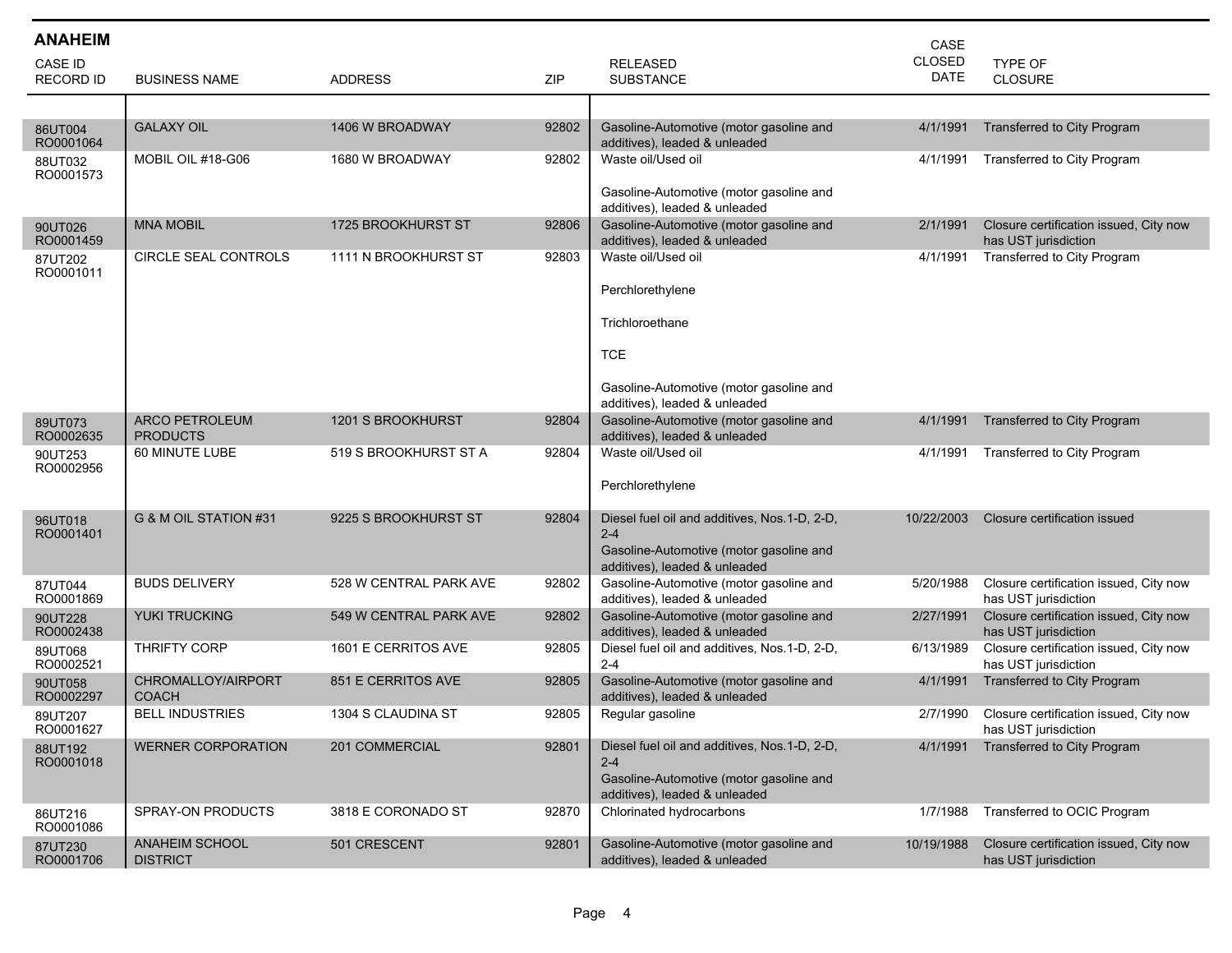| <b>ANAHEIM</b>                     |                                          |                        |       |                                                                               | CASE                         |                                                                |
|------------------------------------|------------------------------------------|------------------------|-------|-------------------------------------------------------------------------------|------------------------------|----------------------------------------------------------------|
| <b>CASE ID</b><br><b>RECORD ID</b> | <b>BUSINESS NAME</b>                     | <b>ADDRESS</b>         | ZIP   | <b>RELEASED</b><br><b>SUBSTANCE</b>                                           | <b>CLOSED</b><br><b>DATE</b> | TYPE OF<br><b>CLOSURE</b>                                      |
|                                    |                                          |                        |       |                                                                               |                              |                                                                |
| 86UT004<br>RO0001064               | <b>GALAXY OIL</b>                        | 1406 W BROADWAY        | 92802 | Gasoline-Automotive (motor gasoline and<br>additives), leaded & unleaded      | 4/1/1991                     | Transferred to City Program                                    |
| 88UT032<br>RO0001573               | MOBIL OIL #18-G06                        | 1680 W BROADWAY        | 92802 | Waste oil/Used oil                                                            | 4/1/1991                     | Transferred to City Program                                    |
|                                    |                                          |                        |       | Gasoline-Automotive (motor gasoline and<br>additives), leaded & unleaded      |                              |                                                                |
| 90UT026<br>RO0001459               | <b>MNA MOBIL</b>                         | 1725 BROOKHURST ST     | 92806 | Gasoline-Automotive (motor gasoline and<br>additives), leaded & unleaded      | 2/1/1991                     | Closure certification issued, City now<br>has UST jurisdiction |
| 87UT202<br>RO0001011               | CIRCLE SEAL CONTROLS                     | 1111 N BROOKHURST ST   | 92803 | Waste oil/Used oil                                                            | 4/1/1991                     | Transferred to City Program                                    |
|                                    |                                          |                        |       | Perchlorethylene                                                              |                              |                                                                |
|                                    |                                          |                        |       | Trichloroethane                                                               |                              |                                                                |
|                                    |                                          |                        |       | <b>TCE</b>                                                                    |                              |                                                                |
|                                    |                                          |                        |       | Gasoline-Automotive (motor gasoline and<br>additives), leaded & unleaded      |                              |                                                                |
| 89UT073<br>RO0002635               | <b>ARCO PETROLEUM</b><br><b>PRODUCTS</b> | 1201 S BROOKHURST      | 92804 | Gasoline-Automotive (motor gasoline and<br>additives), leaded & unleaded      | 4/1/1991                     | <b>Transferred to City Program</b>                             |
| 90UT253<br>RO0002956               | 60 MINUTE LUBE                           | 519 S BROOKHURST ST A  | 92804 | Waste oil/Used oil                                                            | 4/1/1991                     | Transferred to City Program                                    |
|                                    |                                          |                        |       | Perchlorethylene                                                              |                              |                                                                |
| 96UT018<br>RO0001401               | G & M OIL STATION #31                    | 9225 S BROOKHURST ST   | 92804 | Diesel fuel oil and additives, Nos. 1-D, 2-D,<br>$2 - 4$                      | 10/22/2003                   | Closure certification issued                                   |
|                                    |                                          |                        |       | Gasoline-Automotive (motor gasoline and<br>additives), leaded & unleaded      |                              |                                                                |
| 87UT044<br>RO0001869               | <b>BUDS DELIVERY</b>                     | 528 W CENTRAL PARK AVE | 92802 | Gasoline-Automotive (motor gasoline and<br>additives), leaded & unleaded      | 5/20/1988                    | Closure certification issued, City now<br>has UST jurisdiction |
| 90UT228                            | <b>YUKI TRUCKING</b>                     | 549 W CENTRAL PARK AVE | 92802 | Gasoline-Automotive (motor gasoline and                                       | 2/27/1991                    | Closure certification issued, City now                         |
| RO0002438<br>89UT068               | THRIFTY CORP                             | 1601 E CERRITOS AVE    | 92805 | additives), leaded & unleaded<br>Diesel fuel oil and additives, Nos.1-D, 2-D, | 6/13/1989                    | has UST jurisdiction<br>Closure certification issued, City now |
| RO0002521<br>90UT058               | CHROMALLOY/AIRPORT                       | 851 E CERRITOS AVE     | 92805 | $2 - 4$<br>Gasoline-Automotive (motor gasoline and                            | 4/1/1991                     | has UST jurisdiction<br>Transferred to City Program            |
| RO0002297<br>89UT207               | <b>COACH</b><br><b>BELL INDUSTRIES</b>   | 1304 S CLAUDINA ST     | 92805 | additives), leaded & unleaded<br>Regular gasoline                             | 2/7/1990                     | Closure certification issued, City now                         |
| RO0001627                          | <b>WERNER CORPORATION</b>                | 201 COMMERCIAL         | 92801 | Diesel fuel oil and additives, Nos. 1-D, 2-D,                                 | 4/1/1991                     | has UST jurisdiction<br>Transferred to City Program            |
| 88UT192<br>RO0001018               |                                          |                        |       | $2 - 4$                                                                       |                              |                                                                |
|                                    |                                          |                        |       | Gasoline-Automotive (motor gasoline and<br>additives), leaded & unleaded      |                              |                                                                |
| 86UT216<br>RO0001086               | SPRAY-ON PRODUCTS                        | 3818 E CORONADO ST     | 92870 | Chlorinated hydrocarbons                                                      | 1/7/1988                     | Transferred to OCIC Program                                    |
| 87UT230<br>RO0001706               | <b>ANAHEIM SCHOOL</b><br><b>DISTRICT</b> | 501 CRESCENT           | 92801 | Gasoline-Automotive (motor gasoline and<br>additives), leaded & unleaded      | 10/19/1988                   | Closure certification issued, City now<br>has UST jurisdiction |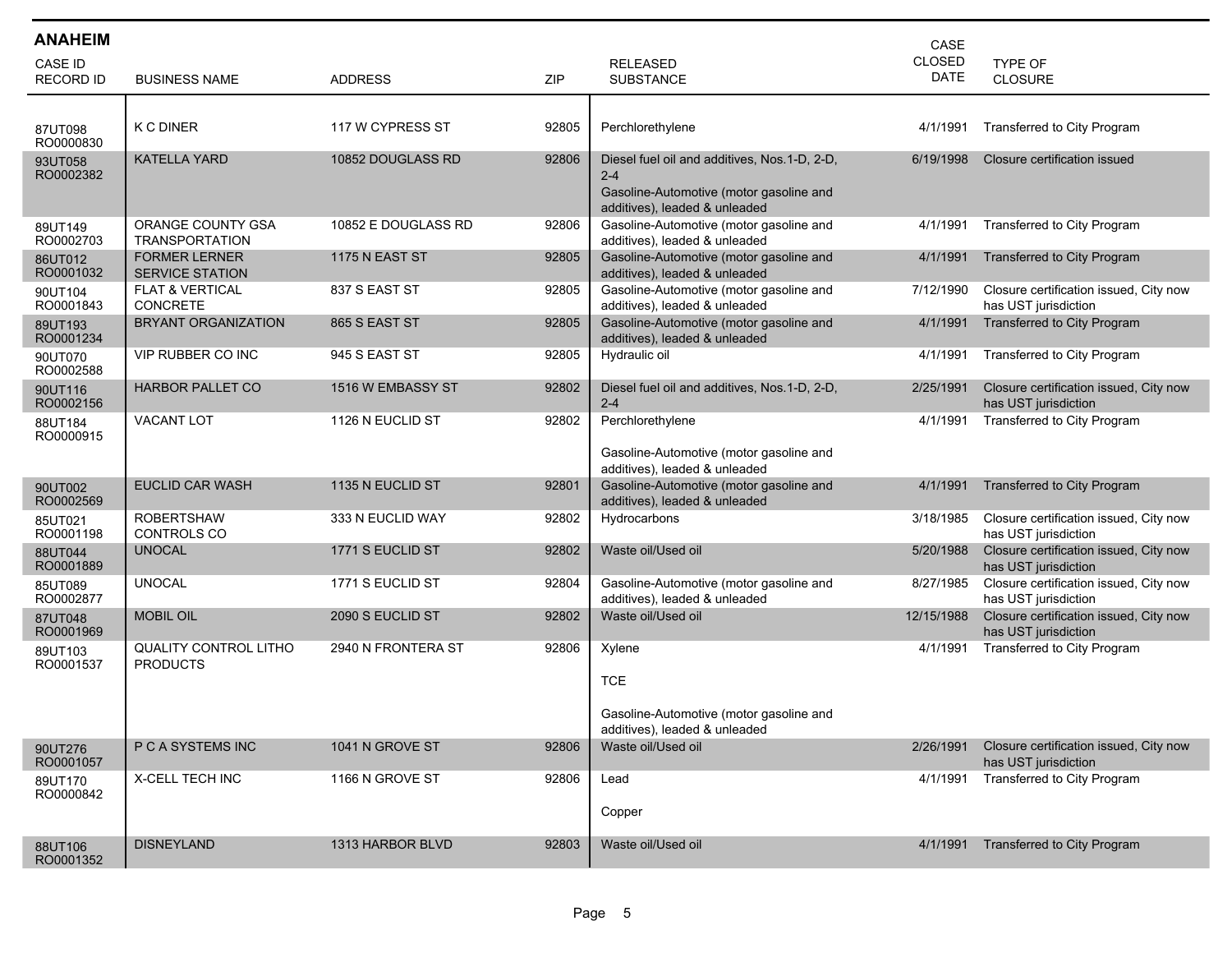| <b>ANAHEIM</b>                     |                                                 |                       |       |                                                                                                                                      | CASE                         |                                                                |
|------------------------------------|-------------------------------------------------|-----------------------|-------|--------------------------------------------------------------------------------------------------------------------------------------|------------------------------|----------------------------------------------------------------|
| <b>CASE ID</b><br><b>RECORD ID</b> | <b>BUSINESS NAME</b>                            | <b>ADDRESS</b>        | ZIP   | <b>RELEASED</b><br><b>SUBSTANCE</b>                                                                                                  | <b>CLOSED</b><br><b>DATE</b> | TYPE OF<br><b>CLOSURE</b>                                      |
| 87UT098                            | <b>K C DINER</b>                                | 117 W CYPRESS ST      | 92805 | Perchlorethylene                                                                                                                     | 4/1/1991                     | Transferred to City Program                                    |
| RO0000830<br>93UT058<br>RO0002382  | <b>KATELLA YARD</b>                             | 10852 DOUGLASS RD     | 92806 | Diesel fuel oil and additives, Nos. 1-D, 2-D,<br>$2 - 4$<br>Gasoline-Automotive (motor gasoline and<br>additives), leaded & unleaded | 6/19/1998                    | Closure certification issued                                   |
| 89UT149<br>RO0002703               | ORANGE COUNTY GSA<br><b>TRANSPORTATION</b>      | 10852 E DOUGLASS RD   | 92806 | Gasoline-Automotive (motor gasoline and<br>additives), leaded & unleaded                                                             | 4/1/1991                     | Transferred to City Program                                    |
| 86UT012<br>RO0001032               | <b>FORMER LERNER</b><br><b>SERVICE STATION</b>  | <b>1175 N EAST ST</b> | 92805 | Gasoline-Automotive (motor gasoline and<br>additives), leaded & unleaded                                                             | 4/1/1991                     | Transferred to City Program                                    |
| 90UT104<br>RO0001843               | <b>FLAT &amp; VERTICAL</b><br><b>CONCRETE</b>   | 837 S EAST ST         | 92805 | Gasoline-Automotive (motor gasoline and<br>additives), leaded & unleaded                                                             | 7/12/1990                    | Closure certification issued, City now<br>has UST jurisdiction |
| 89UT193<br>RO0001234               | BRYANT ORGANIZATION                             | 865 S EAST ST         | 92805 | Gasoline-Automotive (motor gasoline and<br>additives), leaded & unleaded                                                             | 4/1/1991                     | <b>Transferred to City Program</b>                             |
| 90UT070<br>RO0002588               | <b>VIP RUBBER CO INC</b>                        | 945 S EAST ST         | 92805 | Hydraulic oil                                                                                                                        | 4/1/1991                     | Transferred to City Program                                    |
| 90UT116<br>RO0002156               | <b>HARBOR PALLET CO</b>                         | 1516 W EMBASSY ST     | 92802 | Diesel fuel oil and additives, Nos.1-D, 2-D,<br>$2 - 4$                                                                              | 2/25/1991                    | Closure certification issued, City now<br>has UST jurisdiction |
| 88UT184<br>RO0000915               | VACANT LOT                                      | 1126 N EUCLID ST      | 92802 | Perchlorethylene<br>Gasoline-Automotive (motor gasoline and<br>additives), leaded & unleaded                                         | 4/1/1991                     | Transferred to City Program                                    |
| 90UT002<br>RO0002569               | <b>EUCLID CAR WASH</b>                          | 1135 N EUCLID ST      | 92801 | Gasoline-Automotive (motor gasoline and<br>additives), leaded & unleaded                                                             | 4/1/1991                     | Transferred to City Program                                    |
| 85UT021<br>RO0001198               | <b>ROBERTSHAW</b><br>CONTROLS CO                | 333 N EUCLID WAY      | 92802 | Hydrocarbons                                                                                                                         | 3/18/1985                    | Closure certification issued, City now<br>has UST jurisdiction |
| 88UT044<br>RO0001889               | <b>UNOCAL</b>                                   | 1771 S EUCLID ST      | 92802 | Waste oil/Used oil                                                                                                                   | 5/20/1988                    | Closure certification issued, City now<br>has UST jurisdiction |
| 85UT089<br>RO0002877               | <b>UNOCAL</b>                                   | 1771 S EUCLID ST      | 92804 | Gasoline-Automotive (motor gasoline and<br>additives), leaded & unleaded                                                             | 8/27/1985                    | Closure certification issued, City now<br>has UST jurisdiction |
| 87UT048<br>RO0001969               | <b>MOBIL OIL</b>                                | 2090 S EUCLID ST      | 92802 | Waste oil/Used oil                                                                                                                   | 12/15/1988                   | Closure certification issued, City now<br>has UST jurisdiction |
| 89UT103<br>RO0001537               | <b>QUALITY CONTROL LITHO</b><br><b>PRODUCTS</b> | 2940 N FRONTERA ST    | 92806 | Xylene<br><b>TCE</b><br>Gasoline-Automotive (motor gasoline and<br>additives), leaded & unleaded                                     | 4/1/1991                     | Transferred to City Program                                    |
| 90UT276<br>RO0001057               | P C A SYSTEMS INC                               | 1041 N GROVE ST       | 92806 | Waste oil/Used oil                                                                                                                   | 2/26/1991                    | Closure certification issued, City now<br>has UST jurisdiction |
| 89UT170<br>RO0000842               | X-CELL TECH INC                                 | 1166 N GROVE ST       | 92806 | Lead<br>Copper                                                                                                                       | 4/1/1991                     | Transferred to City Program                                    |
| 88UT106<br>RO0001352               | <b>DISNEYLAND</b>                               | 1313 HARBOR BLVD      | 92803 | Waste oil/Used oil                                                                                                                   | 4/1/1991                     | Transferred to City Program                                    |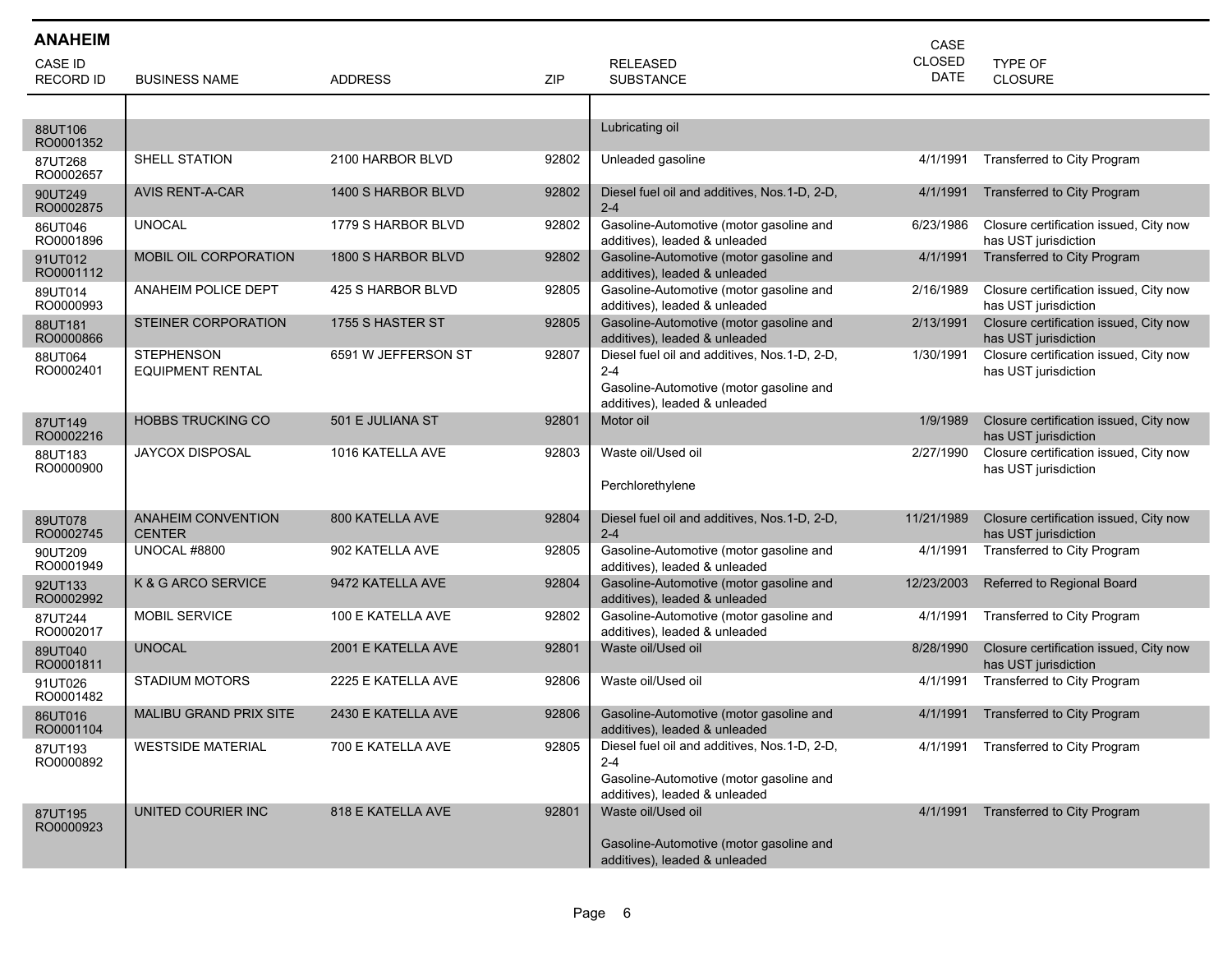| <b>ANAHEIM</b>       |                                              |                     |       |                                                                                                                                     | CASE          |                                                                |
|----------------------|----------------------------------------------|---------------------|-------|-------------------------------------------------------------------------------------------------------------------------------------|---------------|----------------------------------------------------------------|
| <b>CASE ID</b>       |                                              |                     |       | <b>RELEASED</b>                                                                                                                     | <b>CLOSED</b> | <b>TYPE OF</b>                                                 |
| <b>RECORD ID</b>     | <b>BUSINESS NAME</b>                         | <b>ADDRESS</b>      | ZIP   | <b>SUBSTANCE</b>                                                                                                                    | <b>DATE</b>   | <b>CLOSURE</b>                                                 |
|                      |                                              |                     |       |                                                                                                                                     |               |                                                                |
| 88UT106<br>RO0001352 |                                              |                     |       | Lubricating oil                                                                                                                     |               |                                                                |
| 87UT268<br>RO0002657 | SHELL STATION                                | 2100 HARBOR BLVD    | 92802 | Unleaded gasoline                                                                                                                   | 4/1/1991      | Transferred to City Program                                    |
| 90UT249<br>RO0002875 | <b>AVIS RENT-A-CAR</b>                       | 1400 S HARBOR BLVD  | 92802 | Diesel fuel oil and additives, Nos.1-D, 2-D,<br>$2 - 4$                                                                             | 4/1/1991      | Transferred to City Program                                    |
| 86UT046<br>RO0001896 | <b>UNOCAL</b>                                | 1779 S HARBOR BLVD  | 92802 | Gasoline-Automotive (motor gasoline and<br>additives), leaded & unleaded                                                            | 6/23/1986     | Closure certification issued, City now<br>has UST jurisdiction |
| 91UT012<br>RO0001112 | MOBIL OIL CORPORATION                        | 1800 S HARBOR BLVD  | 92802 | Gasoline-Automotive (motor gasoline and<br>additives), leaded & unleaded                                                            | 4/1/1991      | Transferred to City Program                                    |
| 89UT014<br>RO0000993 | <b>ANAHEIM POLICE DEPT</b>                   | 425 S HARBOR BLVD   | 92805 | Gasoline-Automotive (motor gasoline and<br>additives), leaded & unleaded                                                            | 2/16/1989     | Closure certification issued, City now<br>has UST jurisdiction |
| 88UT181<br>RO0000866 | STEINER CORPORATION                          | 1755 S HASTER ST    | 92805 | Gasoline-Automotive (motor gasoline and<br>additives), leaded & unleaded                                                            | 2/13/1991     | Closure certification issued, City now<br>has UST jurisdiction |
| 88UT064<br>RO0002401 | <b>STEPHENSON</b><br><b>EQUIPMENT RENTAL</b> | 6591 W JEFFERSON ST | 92807 | Diesel fuel oil and additives, Nos.1-D, 2-D,<br>$2 - 4$<br>Gasoline-Automotive (motor gasoline and<br>additives), leaded & unleaded | 1/30/1991     | Closure certification issued, City now<br>has UST jurisdiction |
| 87UT149<br>RO0002216 | <b>HOBBS TRUCKING CO</b>                     | 501 E JULIANA ST    | 92801 | Motor oil                                                                                                                           | 1/9/1989      | Closure certification issued, City now<br>has UST jurisdiction |
| 88UT183<br>RO0000900 | JAYCOX DISPOSAL                              | 1016 KATELLA AVE    | 92803 | Waste oil/Used oil<br>Perchlorethylene                                                                                              | 2/27/1990     | Closure certification issued, City now<br>has UST jurisdiction |
| 89UT078<br>RO0002745 | <b>ANAHEIM CONVENTION</b><br><b>CENTER</b>   | 800 KATELLA AVE     | 92804 | Diesel fuel oil and additives, Nos. 1-D, 2-D,<br>$2 - 4$                                                                            | 11/21/1989    | Closure certification issued, City now<br>has UST jurisdiction |
| 90UT209<br>RO0001949 | UNOCAL #8800                                 | 902 KATELLA AVE     | 92805 | Gasoline-Automotive (motor gasoline and<br>additives), leaded & unleaded                                                            | 4/1/1991      | Transferred to City Program                                    |
| 92UT133<br>RO0002992 | K & G ARCO SERVICE                           | 9472 KATELLA AVE    | 92804 | Gasoline-Automotive (motor gasoline and<br>additives), leaded & unleaded                                                            | 12/23/2003    | Referred to Regional Board                                     |
| 87UT244<br>RO0002017 | MOBIL SERVICE                                | 100 E KATELLA AVE   | 92802 | Gasoline-Automotive (motor gasoline and<br>additives), leaded & unleaded                                                            | 4/1/1991      | Transferred to City Program                                    |
| 89UT040<br>RO0001811 | <b>UNOCAL</b>                                | 2001 E KATELLA AVE  | 92801 | Waste oil/Used oil                                                                                                                  | 8/28/1990     | Closure certification issued, City now<br>has UST jurisdiction |
| 91UT026<br>RO0001482 | <b>STADIUM MOTORS</b>                        | 2225 E KATELLA AVE  | 92806 | Waste oil/Used oil                                                                                                                  | 4/1/1991      | Transferred to City Program                                    |
| 86UT016<br>RO0001104 | <b>MALIBU GRAND PRIX SITE</b>                | 2430 E KATELLA AVE  | 92806 | Gasoline-Automotive (motor gasoline and<br>additives), leaded & unleaded                                                            | 4/1/1991      | <b>Transferred to City Program</b>                             |
| 87UT193<br>RO0000892 | <b>WESTSIDE MATERIAL</b>                     | 700 E KATELLA AVE   | 92805 | Diesel fuel oil and additives, Nos.1-D, 2-D,<br>$2 - 4$<br>Gasoline-Automotive (motor gasoline and<br>additives), leaded & unleaded |               | 4/1/1991 Transferred to City Program                           |
| 87UT195<br>RO0000923 | UNITED COURIER INC                           | 818 E KATELLA AVE   | 92801 | Waste oil/Used oil<br>Gasoline-Automotive (motor gasoline and<br>additives), leaded & unleaded                                      | 4/1/1991      | Transferred to City Program                                    |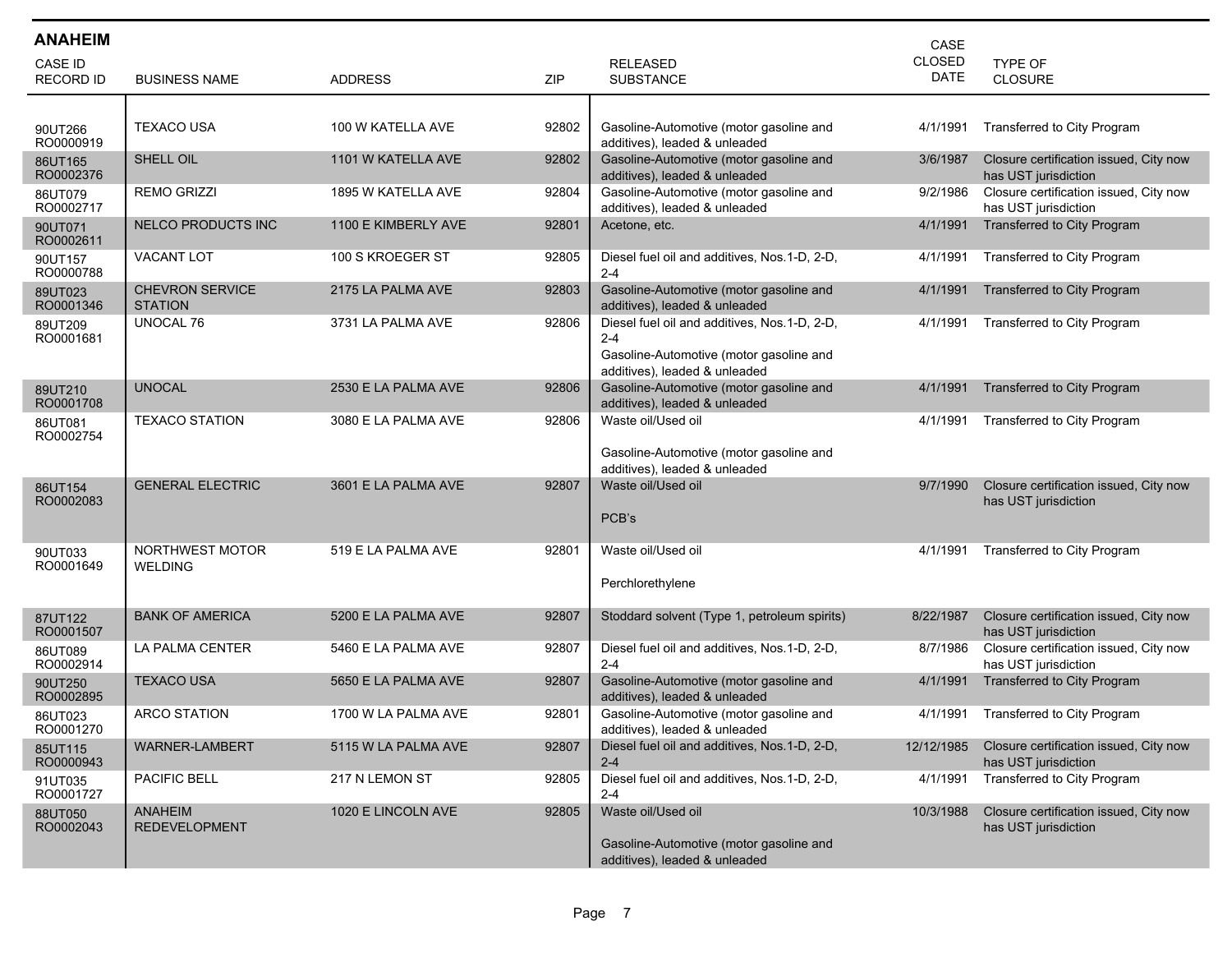| <b>ANAHEIM</b>              |                                          |                     |            |                                                                                                                                     | CASE                         |                                                                |
|-----------------------------|------------------------------------------|---------------------|------------|-------------------------------------------------------------------------------------------------------------------------------------|------------------------------|----------------------------------------------------------------|
| CASE ID<br><b>RECORD ID</b> | <b>BUSINESS NAME</b>                     | <b>ADDRESS</b>      | <b>ZIP</b> | <b>RELEASED</b><br><b>SUBSTANCE</b>                                                                                                 | <b>CLOSED</b><br><b>DATE</b> | TYPE OF<br><b>CLOSURE</b>                                      |
|                             |                                          |                     |            |                                                                                                                                     |                              |                                                                |
| 90UT266<br>RO0000919        | <b>TEXACO USA</b>                        | 100 W KATELLA AVE   | 92802      | Gasoline-Automotive (motor gasoline and<br>additives), leaded & unleaded                                                            | 4/1/1991                     | Transferred to City Program                                    |
| 86UT165<br>RO0002376        | SHELL OIL                                | 1101 W KATELLA AVE  | 92802      | Gasoline-Automotive (motor gasoline and<br>additives), leaded & unleaded                                                            | 3/6/1987                     | Closure certification issued, City now<br>has UST jurisdiction |
| 86UT079<br>RO0002717        | <b>REMO GRIZZI</b>                       | 1895 W KATELLA AVE  | 92804      | Gasoline-Automotive (motor gasoline and<br>additives), leaded & unleaded                                                            | 9/2/1986                     | Closure certification issued, City now<br>has UST jurisdiction |
| 90UT071<br>RO0002611        | <b>NELCO PRODUCTS INC</b>                | 1100 E KIMBERLY AVE | 92801      | Acetone, etc.                                                                                                                       | 4/1/1991                     | Transferred to City Program                                    |
| 90UT157<br>RO0000788        | VACANT LOT                               | 100 S KROEGER ST    | 92805      | Diesel fuel oil and additives, Nos.1-D, 2-D,<br>$2 - 4$                                                                             | 4/1/1991                     | Transferred to City Program                                    |
| 89UT023<br>RO0001346        | <b>CHEVRON SERVICE</b><br><b>STATION</b> | 2175 LA PALMA AVE   | 92803      | Gasoline-Automotive (motor gasoline and<br>additives), leaded & unleaded                                                            | 4/1/1991                     | Transferred to City Program                                    |
| 89UT209<br>RO0001681        | UNOCAL 76                                | 3731 LA PALMA AVE   | 92806      | Diesel fuel oil and additives, Nos.1-D, 2-D,<br>$2 - 4$<br>Gasoline-Automotive (motor gasoline and<br>additives), leaded & unleaded | 4/1/1991                     | Transferred to City Program                                    |
| 89UT210<br>RO0001708        | <b>UNOCAL</b>                            | 2530 E LA PALMA AVE | 92806      | Gasoline-Automotive (motor gasoline and<br>additives), leaded & unleaded                                                            | 4/1/1991                     | Transferred to City Program                                    |
| 86UT081<br>RO0002754        | <b>TEXACO STATION</b>                    | 3080 E LA PALMA AVE | 92806      | Waste oil/Used oil<br>Gasoline-Automotive (motor gasoline and<br>additives), leaded & unleaded                                      | 4/1/1991                     | Transferred to City Program                                    |
| 86UT154<br>RO0002083        | <b>GENERAL ELECTRIC</b>                  | 3601 E LA PALMA AVE | 92807      | Waste oil/Used oil<br>PCB's                                                                                                         | 9/7/1990                     | Closure certification issued, City now<br>has UST jurisdiction |
| 90UT033<br>RO0001649        | NORTHWEST MOTOR<br><b>WELDING</b>        | 519 E LA PALMA AVE  | 92801      | Waste oil/Used oil<br>Perchlorethylene                                                                                              | 4/1/1991                     | Transferred to City Program                                    |
| 87UT122<br>RO0001507        | <b>BANK OF AMERICA</b>                   | 5200 E LA PALMA AVE | 92807      | Stoddard solvent (Type 1, petroleum spirits)                                                                                        | 8/22/1987                    | Closure certification issued, City now<br>has UST jurisdiction |
| 86UT089<br>RO0002914        | LA PALMA CENTER                          | 5460 E LA PALMA AVE | 92807      | Diesel fuel oil and additives, Nos.1-D, 2-D,<br>$2 - 4$                                                                             | 8/7/1986                     | Closure certification issued, City now<br>has UST jurisdiction |
| 90UT250<br>RO0002895        | <b>TEXACO USA</b>                        | 5650 E LA PALMA AVE | 92807      | Gasoline-Automotive (motor gasoline and<br>additives), leaded & unleaded                                                            | 4/1/1991                     | Transferred to City Program                                    |
| 86UT023<br>RO0001270        | <b>ARCO STATION</b>                      | 1700 W LA PALMA AVE | 92801      | Gasoline-Automotive (motor gasoline and<br>additives), leaded & unleaded                                                            | 4/1/1991                     | Transferred to City Program                                    |
| 85UT115<br>RO0000943        | WARNER-LAMBERT                           | 5115 W LA PALMA AVE | 92807      | Diesel fuel oil and additives, Nos.1-D, 2-D,<br>$2 - 4$                                                                             | 12/12/1985                   | Closure certification issued, City now<br>has UST jurisdiction |
| 91UT035<br>RO0001727        | PACIFIC BELL                             | 217 N LEMON ST      | 92805      | Diesel fuel oil and additives, Nos.1-D, 2-D,<br>$2 - 4$                                                                             | 4/1/1991                     | Transferred to City Program                                    |
| 88UT050<br>RO0002043        | <b>ANAHEIM</b><br><b>REDEVELOPMENT</b>   | 1020 E LINCOLN AVE  | 92805      | Waste oil/Used oil<br>Gasoline-Automotive (motor gasoline and<br>additives), leaded & unleaded                                      | 10/3/1988                    | Closure certification issued, City now<br>has UST jurisdiction |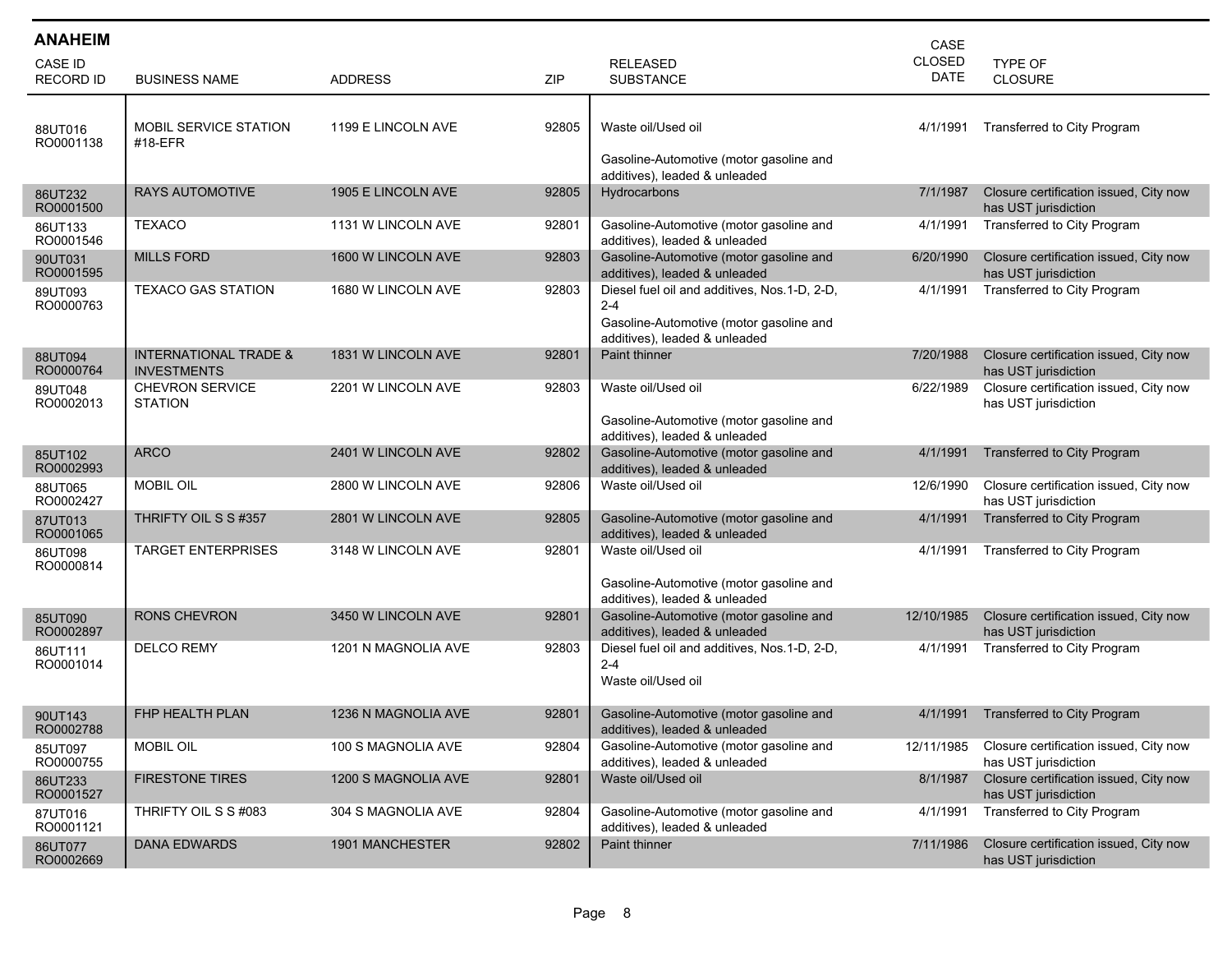| <b>ANAHEIM</b>                     |                                                        |                     |            |                                                                                                                                     | CASE                  |                                                                |
|------------------------------------|--------------------------------------------------------|---------------------|------------|-------------------------------------------------------------------------------------------------------------------------------------|-----------------------|----------------------------------------------------------------|
| <b>CASE ID</b><br><b>RECORD ID</b> | <b>BUSINESS NAME</b>                                   | <b>ADDRESS</b>      | <b>ZIP</b> | <b>RELEASED</b><br><b>SUBSTANCE</b>                                                                                                 | <b>CLOSED</b><br>DATE | <b>TYPE OF</b><br>CLOSURE                                      |
| 88UT016<br>RO0001138               | MOBIL SERVICE STATION<br>#18-EFR                       | 1199 E LINCOLN AVE  | 92805      | Waste oil/Used oil<br>Gasoline-Automotive (motor gasoline and<br>additives), leaded & unleaded                                      | 4/1/1991              | Transferred to City Program                                    |
| 86UT232<br>RO0001500               | <b>RAYS AUTOMOTIVE</b>                                 | 1905 E LINCOLN AVE  | 92805      | Hydrocarbons                                                                                                                        | 7/1/1987              | Closure certification issued, City now<br>has UST jurisdiction |
| 86UT133<br>RO0001546               | <b>TEXACO</b>                                          | 1131 W LINCOLN AVE  | 92801      | Gasoline-Automotive (motor gasoline and<br>additives), leaded & unleaded                                                            | 4/1/1991              | Transferred to City Program                                    |
| 90UT031<br>RO0001595               | <b>MILLS FORD</b>                                      | 1600 W LINCOLN AVE  | 92803      | Gasoline-Automotive (motor gasoline and<br>additives), leaded & unleaded                                                            | 6/20/1990             | Closure certification issued, City now<br>has UST jurisdiction |
| 89UT093<br>RO0000763               | <b>TEXACO GAS STATION</b>                              | 1680 W LINCOLN AVE  | 92803      | Diesel fuel oil and additives, Nos.1-D, 2-D,<br>$2 - 4$<br>Gasoline-Automotive (motor gasoline and<br>additives), leaded & unleaded | 4/1/1991              | Transferred to City Program                                    |
| 88UT094<br>RO0000764               | <b>INTERNATIONAL TRADE &amp;</b><br><b>INVESTMENTS</b> | 1831 W LINCOLN AVE  | 92801      | <b>Paint thinner</b>                                                                                                                | 7/20/1988             | Closure certification issued, City now<br>has UST jurisdiction |
| 89UT048<br>RO0002013               | <b>CHEVRON SERVICE</b><br><b>STATION</b>               | 2201 W LINCOLN AVE  | 92803      | Waste oil/Used oil<br>Gasoline-Automotive (motor gasoline and<br>additives), leaded & unleaded                                      | 6/22/1989             | Closure certification issued, City now<br>has UST jurisdiction |
| 85UT102<br>RO0002993               | <b>ARCO</b>                                            | 2401 W LINCOLN AVE  | 92802      | Gasoline-Automotive (motor gasoline and<br>additives), leaded & unleaded                                                            | 4/1/1991              | Transferred to City Program                                    |
| 88UT065<br>RO0002427               | <b>MOBIL OIL</b>                                       | 2800 W LINCOLN AVE  | 92806      | Waste oil/Used oil                                                                                                                  | 12/6/1990             | Closure certification issued, City now<br>has UST jurisdiction |
| 87UT013<br>RO0001065               | THRIFTY OIL S S #357                                   | 2801 W LINCOLN AVE  | 92805      | Gasoline-Automotive (motor gasoline and<br>additives), leaded & unleaded                                                            | 4/1/1991              | Transferred to City Program                                    |
| 86UT098<br>RO0000814               | <b>TARGET ENTERPRISES</b>                              | 3148 W LINCOLN AVE  | 92801      | Waste oil/Used oil<br>Gasoline-Automotive (motor gasoline and<br>additives), leaded & unleaded                                      | 4/1/1991              | Transferred to City Program                                    |
| 85UT090<br>RO0002897               | <b>RONS CHEVRON</b>                                    | 3450 W LINCOLN AVE  | 92801      | Gasoline-Automotive (motor gasoline and<br>additives), leaded & unleaded                                                            | 12/10/1985            | Closure certification issued, City now<br>has UST jurisdiction |
| 86UT111<br>RO0001014               | <b>DELCO REMY</b>                                      | 1201 N MAGNOLIA AVE | 92803      | Diesel fuel oil and additives, Nos.1-D, 2-D,<br>$2 - 4$<br>Waste oil/Used oil                                                       | 4/1/1991              | Transferred to City Program                                    |
| 90UT143<br>RO0002788               | <b>FHP HEALTH PLAN</b>                                 | 1236 N MAGNOLIA AVE | 92801      | Gasoline-Automotive (motor gasoline and<br>additives), leaded & unleaded                                                            | 4/1/1991              | Transferred to City Program                                    |
| 85UT097<br>RO0000755               | <b>MOBIL OIL</b>                                       | 100 S MAGNOLIA AVE  | 92804      | Gasoline-Automotive (motor gasoline and<br>additives), leaded & unleaded                                                            | 12/11/1985            | Closure certification issued, City now<br>has UST jurisdiction |
| 86UT233<br>RO0001527               | <b>FIRESTONE TIRES</b>                                 | 1200 S MAGNOLIA AVE | 92801      | Waste oil/Used oil                                                                                                                  | 8/1/1987              | Closure certification issued, City now<br>has UST jurisdiction |
| 87UT016<br>RO0001121               | THRIFTY OIL S S #083                                   | 304 S MAGNOLIA AVE  | 92804      | Gasoline-Automotive (motor gasoline and<br>additives), leaded & unleaded                                                            | 4/1/1991              | Transferred to City Program                                    |
| 86UT077<br>RO0002669               | <b>DANA EDWARDS</b>                                    | 1901 MANCHESTER     | 92802      | Paint thinner                                                                                                                       | 7/11/1986             | Closure certification issued, City now<br>has UST jurisdiction |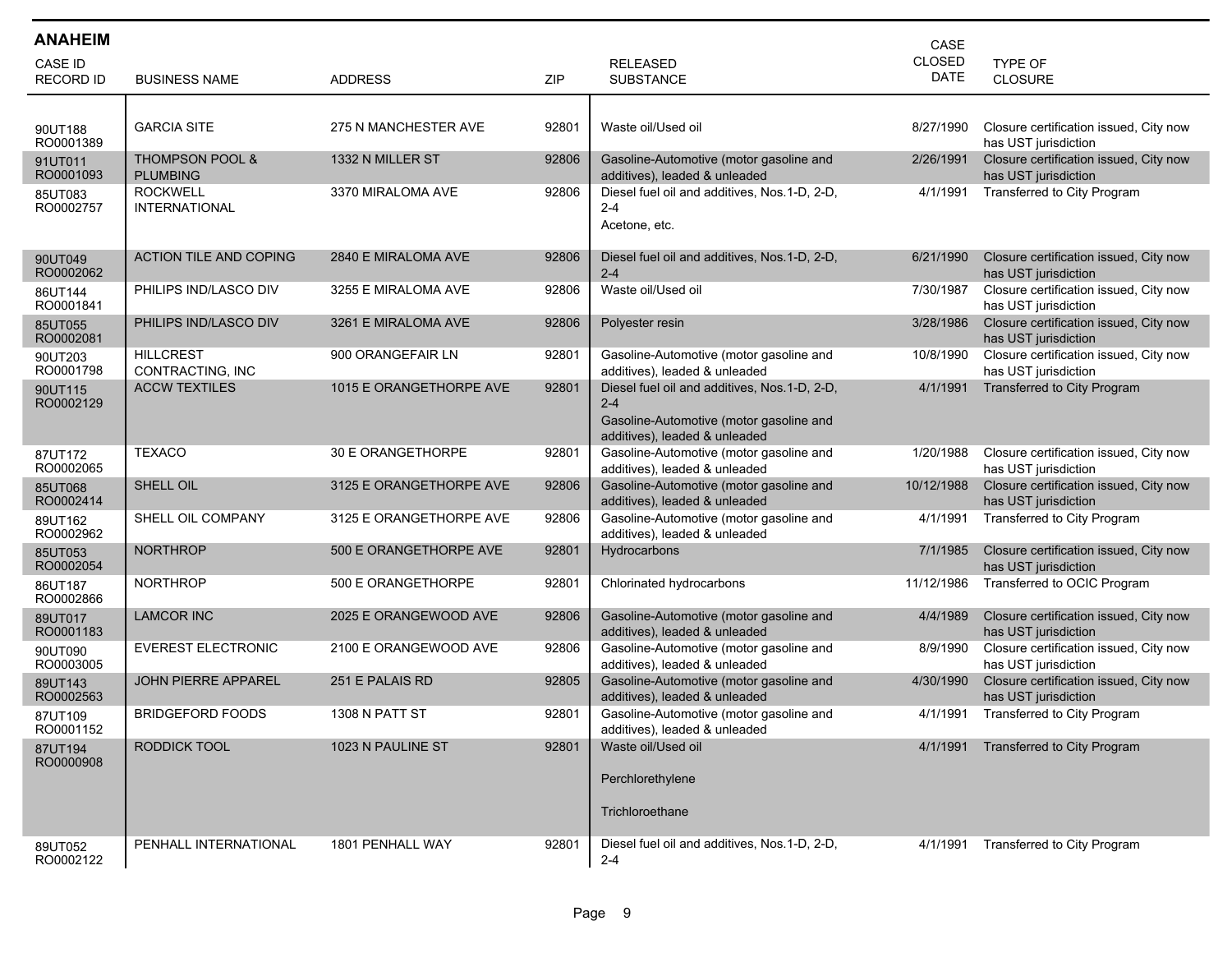| <b>ANAHEIM</b>              |                                               |                         |       |                                                                                                                                      | CASE                  |                                                                |
|-----------------------------|-----------------------------------------------|-------------------------|-------|--------------------------------------------------------------------------------------------------------------------------------------|-----------------------|----------------------------------------------------------------|
| CASE ID<br><b>RECORD ID</b> | <b>BUSINESS NAME</b>                          | <b>ADDRESS</b>          | ZIP   | <b>RELEASED</b><br><b>SUBSTANCE</b>                                                                                                  | <b>CLOSED</b><br>DATE | TYPE OF<br><b>CLOSURE</b>                                      |
|                             |                                               |                         |       |                                                                                                                                      |                       |                                                                |
| 90UT188<br>RO0001389        | <b>GARCIA SITE</b>                            | 275 N MANCHESTER AVE    | 92801 | Waste oil/Used oil                                                                                                                   | 8/27/1990             | Closure certification issued, City now<br>has UST jurisdiction |
| 91UT011<br>RO0001093        | <b>THOMPSON POOL &amp;</b><br><b>PLUMBING</b> | 1332 N MILLER ST        | 92806 | Gasoline-Automotive (motor gasoline and<br>additives), leaded & unleaded                                                             | 2/26/1991             | Closure certification issued, City now<br>has UST jurisdiction |
| 85UT083<br>RO0002757        | <b>ROCKWELL</b><br><b>INTERNATIONAL</b>       | 3370 MIRALOMA AVE       | 92806 | Diesel fuel oil and additives, Nos.1-D, 2-D,<br>$2 - 4$<br>Acetone, etc.                                                             | 4/1/1991              | <b>Transferred to City Program</b>                             |
| 90UT049<br>RO0002062        | ACTION TILE AND COPING                        | 2840 E MIRALOMA AVE     | 92806 | Diesel fuel oil and additives, Nos.1-D, 2-D,<br>$2 - 4$                                                                              | 6/21/1990             | Closure certification issued, City now<br>has UST jurisdiction |
| 86UT144<br>RO0001841        | PHILIPS IND/LASCO DIV                         | 3255 E MIRALOMA AVE     | 92806 | Waste oil/Used oil                                                                                                                   | 7/30/1987             | Closure certification issued, City now<br>has UST jurisdiction |
| 85UT055<br>RO0002081        | PHILIPS IND/LASCO DIV                         | 3261 E MIRALOMA AVE     | 92806 | Polyester resin                                                                                                                      | 3/28/1986             | Closure certification issued, City now<br>has UST jurisdiction |
| 90UT203<br>RO0001798        | <b>HILLCREST</b><br>CONTRACTING, INC          | 900 ORANGEFAIR LN       | 92801 | Gasoline-Automotive (motor gasoline and<br>additives), leaded & unleaded                                                             | 10/8/1990             | Closure certification issued, City now<br>has UST jurisdiction |
| 90UT115<br>RO0002129        | <b>ACCW TEXTILES</b>                          | 1015 E ORANGETHORPE AVE | 92801 | Diesel fuel oil and additives, Nos. 1-D, 2-D,<br>$2 - 4$<br>Gasoline-Automotive (motor gasoline and<br>additives), leaded & unleaded | 4/1/1991              | <b>Transferred to City Program</b>                             |
| 87UT172<br>RO0002065        | <b>TEXACO</b>                                 | 30 E ORANGETHORPE       | 92801 | Gasoline-Automotive (motor gasoline and<br>additives), leaded & unleaded                                                             | 1/20/1988             | Closure certification issued, City now<br>has UST jurisdiction |
| 85UT068<br>RO0002414        | SHELL OIL                                     | 3125 E ORANGETHORPE AVE | 92806 | Gasoline-Automotive (motor gasoline and<br>additives), leaded & unleaded                                                             | 10/12/1988            | Closure certification issued, City now<br>has UST jurisdiction |
| 89UT162<br>RO0002962        | SHELL OIL COMPANY                             | 3125 E ORANGETHORPE AVE | 92806 | Gasoline-Automotive (motor gasoline and<br>additives), leaded & unleaded                                                             | 4/1/1991              | Transferred to City Program                                    |
| 85UT053<br>RO0002054        | <b>NORTHROP</b>                               | 500 E ORANGETHORPE AVE  | 92801 | Hydrocarbons                                                                                                                         | 7/1/1985              | Closure certification issued, City now<br>has UST jurisdiction |
| 86UT187<br>RO0002866        | <b>NORTHROP</b>                               | 500 E ORANGETHORPE      | 92801 | Chlorinated hydrocarbons                                                                                                             | 11/12/1986            | Transferred to OCIC Program                                    |
| 89UT017<br>RO0001183        | <b>LAMCOR INC</b>                             | 2025 E ORANGEWOOD AVE   | 92806 | Gasoline-Automotive (motor gasoline and<br>additives), leaded & unleaded                                                             | 4/4/1989              | Closure certification issued, City now<br>has UST jurisdiction |
| 90UT090<br>RO0003005        | <b>EVEREST ELECTRONIC</b>                     | 2100 E ORANGEWOOD AVE   | 92806 | Gasoline-Automotive (motor gasoline and<br>additives), leaded & unleaded                                                             | 8/9/1990              | Closure certification issued, City now<br>has UST jurisdiction |
| 89UT143<br>RO0002563        | <b>JOHN PIERRE APPAREL</b>                    | 251 E PALAIS RD         | 92805 | Gasoline-Automotive (motor gasoline and<br>additives), leaded & unleaded                                                             | 4/30/1990             | Closure certification issued, City now<br>has UST jurisdiction |
| 87UT109<br>RO0001152        | <b>BRIDGEFORD FOODS</b>                       | 1308 N PATT ST          | 92801 | Gasoline-Automotive (motor gasoline and<br>additives), leaded & unleaded                                                             | 4/1/1991              | Transferred to City Program                                    |
| 87UT194<br>RO0000908        | RODDICK TOOL                                  | 1023 N PAULINE ST       | 92801 | Waste oil/Used oil<br>Perchlorethylene<br>Trichloroethane                                                                            |                       | 4/1/1991 Transferred to City Program                           |
| 89UT052<br>RO0002122        | PENHALL INTERNATIONAL                         | 1801 PENHALL WAY        | 92801 | Diesel fuel oil and additives, Nos.1-D, 2-D,<br>$2 - 4$                                                                              | 4/1/1991              | Transferred to City Program                                    |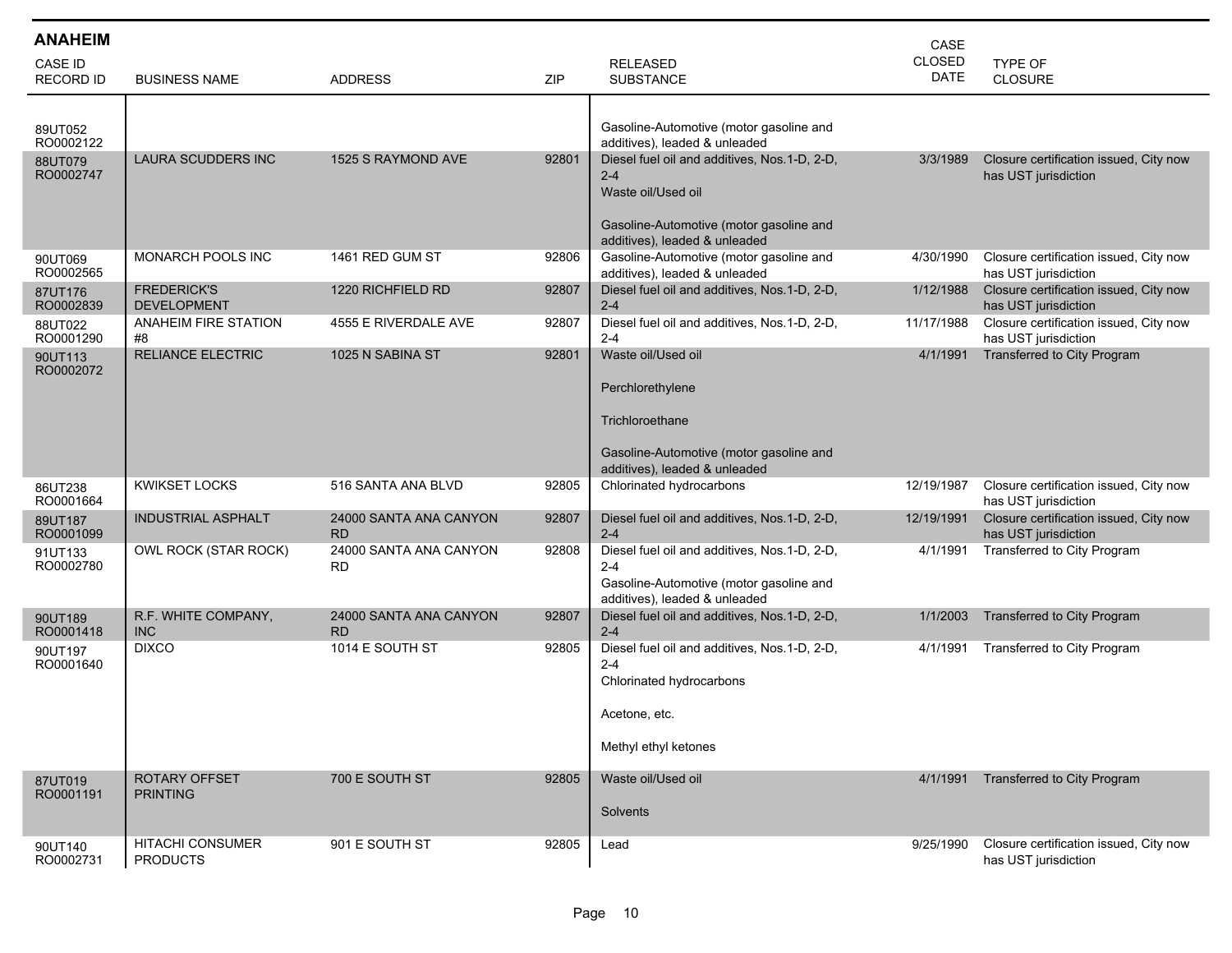| <b>ANAHEIM</b>       |                                            |                                     |            |                                                                                                                                                           | CASE          |                                                                |
|----------------------|--------------------------------------------|-------------------------------------|------------|-----------------------------------------------------------------------------------------------------------------------------------------------------------|---------------|----------------------------------------------------------------|
| <b>CASE ID</b>       |                                            |                                     |            | <b>RELEASED</b>                                                                                                                                           | <b>CLOSED</b> | TYPE OF                                                        |
| <b>RECORD ID</b>     | <b>BUSINESS NAME</b>                       | <b>ADDRESS</b>                      | <b>ZIP</b> | <b>SUBSTANCE</b>                                                                                                                                          | <b>DATE</b>   | <b>CLOSURE</b>                                                 |
| 89UT052<br>RO0002122 |                                            |                                     |            | Gasoline-Automotive (motor gasoline and<br>additives), leaded & unleaded                                                                                  |               |                                                                |
| 88UT079<br>RO0002747 | LAURA SCUDDERS INC                         | 1525 S RAYMOND AVE                  | 92801      | Diesel fuel oil and additives, Nos.1-D, 2-D,<br>$2 - 4$<br>Waste oil/Used oil<br>Gasoline-Automotive (motor gasoline and<br>additives), leaded & unleaded | 3/3/1989      | Closure certification issued, City now<br>has UST jurisdiction |
| 90UT069<br>RO0002565 | <b>MONARCH POOLS INC</b>                   | 1461 RED GUM ST                     | 92806      | Gasoline-Automotive (motor gasoline and<br>additives), leaded & unleaded                                                                                  | 4/30/1990     | Closure certification issued, City now<br>has UST jurisdiction |
| 87UT176<br>RO0002839 | <b>FREDERICK'S</b><br><b>DEVELOPMENT</b>   | 1220 RICHFIELD RD                   | 92807      | Diesel fuel oil and additives, Nos.1-D, 2-D,<br>$2 - 4$                                                                                                   | 1/12/1988     | Closure certification issued, City now<br>has UST jurisdiction |
| 88UT022<br>RO0001290 | <b>ANAHEIM FIRE STATION</b><br>#8          | 4555 E RIVERDALE AVE                | 92807      | Diesel fuel oil and additives, Nos.1-D, 2-D,<br>$2 - 4$                                                                                                   | 11/17/1988    | Closure certification issued, City now<br>has UST jurisdiction |
| 90UT113<br>RO0002072 | <b>RELIANCE ELECTRIC</b>                   | 1025 N SABINA ST                    | 92801      | Waste oil/Used oil<br>Perchlorethylene                                                                                                                    | 4/1/1991      | Transferred to City Program                                    |
|                      |                                            |                                     |            | Trichloroethane<br>Gasoline-Automotive (motor gasoline and<br>additives), leaded & unleaded                                                               |               |                                                                |
| 86UT238<br>RO0001664 | <b>KWIKSET LOCKS</b>                       | 516 SANTA ANA BLVD                  | 92805      | Chlorinated hydrocarbons                                                                                                                                  | 12/19/1987    | Closure certification issued, City now<br>has UST jurisdiction |
| 89UT187<br>RO0001099 | <b>INDUSTRIAL ASPHALT</b>                  | 24000 SANTA ANA CANYON<br><b>RD</b> | 92807      | Diesel fuel oil and additives, Nos.1-D, 2-D,<br>$2 - 4$                                                                                                   | 12/19/1991    | Closure certification issued, City now<br>has UST jurisdiction |
| 91UT133<br>RO0002780 | OWL ROCK (STAR ROCK)                       | 24000 SANTA ANA CANYON<br><b>RD</b> | 92808      | Diesel fuel oil and additives, Nos.1-D, 2-D,<br>$2 - 4$<br>Gasoline-Automotive (motor gasoline and<br>additives), leaded & unleaded                       | 4/1/1991      | Transferred to City Program                                    |
| 90UT189<br>RO0001418 | R.F. WHITE COMPANY,<br><b>INC</b>          | 24000 SANTA ANA CANYON<br><b>RD</b> | 92807      | Diesel fuel oil and additives, Nos.1-D, 2-D,<br>$2 - 4$                                                                                                   | 1/1/2003      | Transferred to City Program                                    |
| 90UT197<br>RO0001640 | <b>DIXCO</b>                               | 1014 E SOUTH ST                     | 92805      | Diesel fuel oil and additives, Nos.1-D, 2-D,<br>$2 - 4$<br>Chlorinated hydrocarbons<br>Acetone, etc.<br>Methyl ethyl ketones                              | 4/1/1991      | Transferred to City Program                                    |
| 87UT019<br>RO0001191 | <b>ROTARY OFFSET</b><br><b>PRINTING</b>    | 700 E SOUTH ST                      | 92805      | Waste oil/Used oil<br>Solvents                                                                                                                            | 4/1/1991      | Transferred to City Program                                    |
| 90UT140<br>RO0002731 | <b>HITACHI CONSUMER</b><br><b>PRODUCTS</b> | 901 E SOUTH ST                      | 92805      | Lead                                                                                                                                                      | 9/25/1990     | Closure certification issued, City now<br>has UST jurisdiction |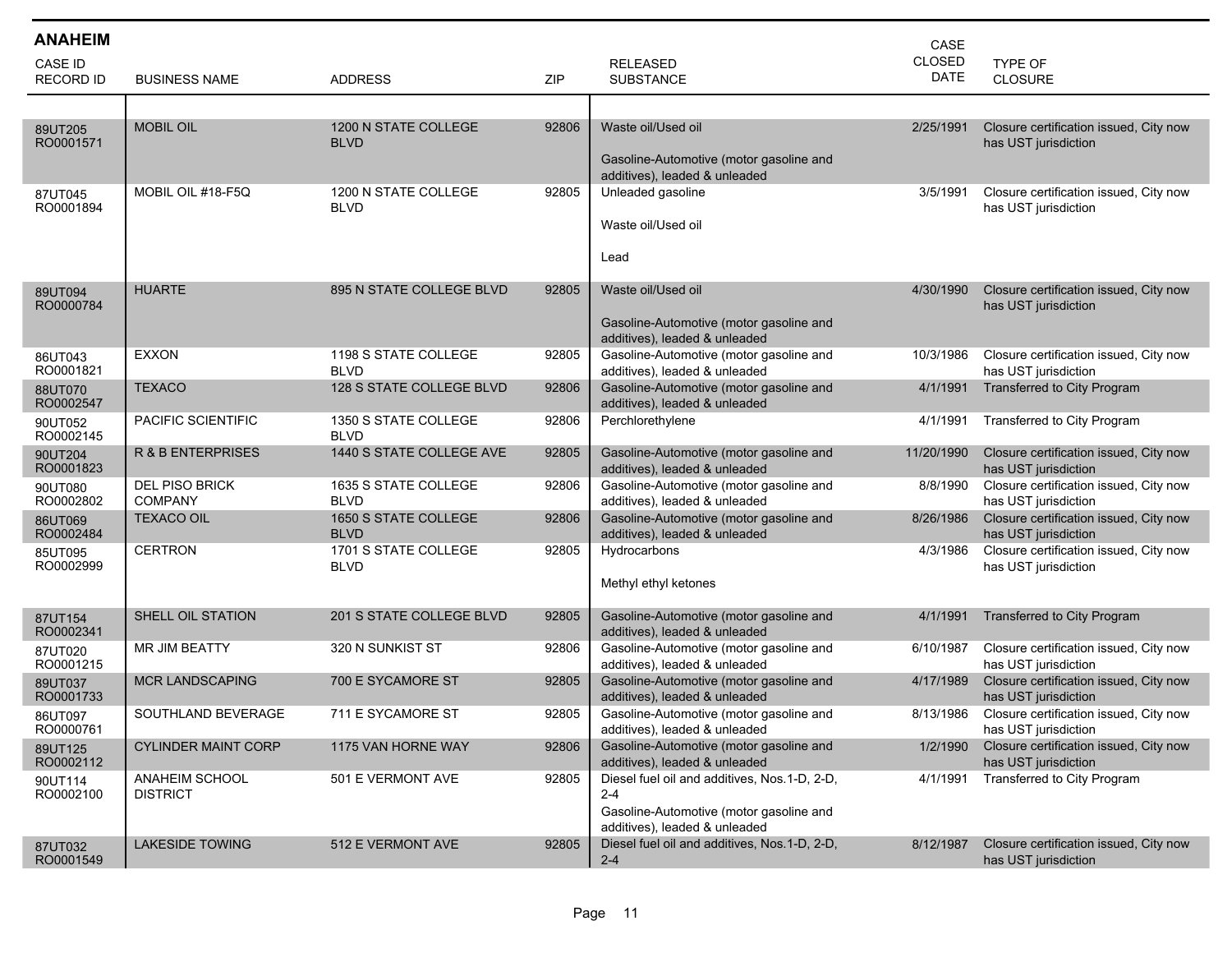| <b>ANAHEIM</b>              |                                         |                                     |       |                                                                                                                                     | CASE                  |                                                                |
|-----------------------------|-----------------------------------------|-------------------------------------|-------|-------------------------------------------------------------------------------------------------------------------------------------|-----------------------|----------------------------------------------------------------|
| CASE ID<br><b>RECORD ID</b> | <b>BUSINESS NAME</b>                    | <b>ADDRESS</b>                      | ZIP   | <b>RELEASED</b><br><b>SUBSTANCE</b>                                                                                                 | CLOSED<br><b>DATE</b> | TYPE OF<br><b>CLOSURE</b>                                      |
|                             |                                         |                                     |       |                                                                                                                                     |                       |                                                                |
| 89UT205<br>RO0001571        | <b>MOBIL OIL</b>                        | 1200 N STATE COLLEGE<br><b>BLVD</b> | 92806 | Waste oil/Used oil<br>Gasoline-Automotive (motor gasoline and<br>additives), leaded & unleaded                                      | 2/25/1991             | Closure certification issued, City now<br>has UST jurisdiction |
| 87UT045<br>RO0001894        | MOBIL OIL #18-F5Q                       | 1200 N STATE COLLEGE<br><b>BLVD</b> | 92805 | Unleaded gasoline<br>Waste oil/Used oil<br>Lead                                                                                     | 3/5/1991              | Closure certification issued, City now<br>has UST jurisdiction |
| 89UT094<br>RO0000784        | <b>HUARTE</b>                           | 895 N STATE COLLEGE BLVD            | 92805 | Waste oil/Used oil<br>Gasoline-Automotive (motor gasoline and<br>additives), leaded & unleaded                                      | 4/30/1990             | Closure certification issued, City now<br>has UST jurisdiction |
| 86UT043<br>RO0001821        | <b>EXXON</b>                            | 1198 S STATE COLLEGE<br><b>BLVD</b> | 92805 | Gasoline-Automotive (motor gasoline and<br>additives), leaded & unleaded                                                            | 10/3/1986             | Closure certification issued, City now<br>has UST jurisdiction |
| 88UT070<br>RO0002547        | TEXACO                                  | 128 S STATE COLLEGE BLVD            | 92806 | Gasoline-Automotive (motor gasoline and<br>additives), leaded & unleaded                                                            | 4/1/1991              | Transferred to City Program                                    |
| 90UT052<br>RO0002145        | PACIFIC SCIENTIFIC                      | 1350 S STATE COLLEGE<br><b>BLVD</b> | 92806 | Perchlorethylene                                                                                                                    | 4/1/1991              | Transferred to City Program                                    |
| 90UT204<br>RO0001823        | <b>R &amp; B ENTERPRISES</b>            | 1440 S STATE COLLEGE AVE            | 92805 | Gasoline-Automotive (motor gasoline and<br>additives), leaded & unleaded                                                            | 11/20/1990            | Closure certification issued, City now<br>has UST jurisdiction |
| 90UT080<br>RO0002802        | <b>DEL PISO BRICK</b><br><b>COMPANY</b> | 1635 S STATE COLLEGE<br><b>BLVD</b> | 92806 | Gasoline-Automotive (motor gasoline and<br>additives), leaded & unleaded                                                            | 8/8/1990              | Closure certification issued, City now<br>has UST jurisdiction |
| 86UT069<br>RO0002484        | <b>TEXACO OIL</b>                       | 1650 S STATE COLLEGE<br><b>BLVD</b> | 92806 | Gasoline-Automotive (motor gasoline and<br>additives), leaded & unleaded                                                            | 8/26/1986             | Closure certification issued, City now<br>has UST jurisdiction |
| 85UT095<br>RO0002999        | <b>CERTRON</b>                          | 1701 S STATE COLLEGE<br><b>BLVD</b> | 92805 | Hydrocarbons<br>Methyl ethyl ketones                                                                                                | 4/3/1986              | Closure certification issued, City now<br>has UST jurisdiction |
| 87UT154<br>RO0002341        | SHELL OIL STATION                       | 201 S STATE COLLEGE BLVD            | 92805 | Gasoline-Automotive (motor gasoline and<br>additives), leaded & unleaded                                                            | 4/1/1991              | Transferred to City Program                                    |
| 87UT020<br>RO0001215        | <b>MR JIM BEATTY</b>                    | 320 N SUNKIST ST                    | 92806 | Gasoline-Automotive (motor gasoline and<br>additives), leaded & unleaded                                                            | 6/10/1987             | Closure certification issued, City now<br>has UST jurisdiction |
| 89UT037<br>RO0001733        | <b>MCR LANDSCAPING</b>                  | 700 E SYCAMORE ST                   | 92805 | Gasoline-Automotive (motor gasoline and<br>additives), leaded & unleaded                                                            | 4/17/1989             | Closure certification issued, City now<br>has UST jurisdiction |
| 86UT097<br>RO0000761        | SOUTHLAND BEVERAGE                      | 711 E SYCAMORE ST                   | 92805 | Gasoline-Automotive (motor gasoline and<br>additives), leaded & unleaded                                                            | 8/13/1986             | Closure certification issued, City now<br>has UST jurisdiction |
| 89UT125<br>RO0002112        | <b>CYLINDER MAINT CORP</b>              | 1175 VAN HORNE WAY                  | 92806 | Gasoline-Automotive (motor gasoline and<br>additives), leaded & unleaded                                                            | 1/2/1990              | Closure certification issued, City now<br>has UST jurisdiction |
| 90UT114<br>RO0002100        | ANAHEIM SCHOOL<br><b>DISTRICT</b>       | 501 E VERMONT AVE                   | 92805 | Diesel fuel oil and additives, Nos.1-D, 2-D,<br>$2 - 4$<br>Gasoline-Automotive (motor gasoline and<br>additives), leaded & unleaded | 4/1/1991              | Transferred to City Program                                    |
| 87UT032<br>RO0001549        | <b>LAKESIDE TOWING</b>                  | 512 E VERMONT AVE                   | 92805 | Diesel fuel oil and additives, Nos.1-D, 2-D,<br>$2 - 4$                                                                             | 8/12/1987             | Closure certification issued, City now<br>has UST jurisdiction |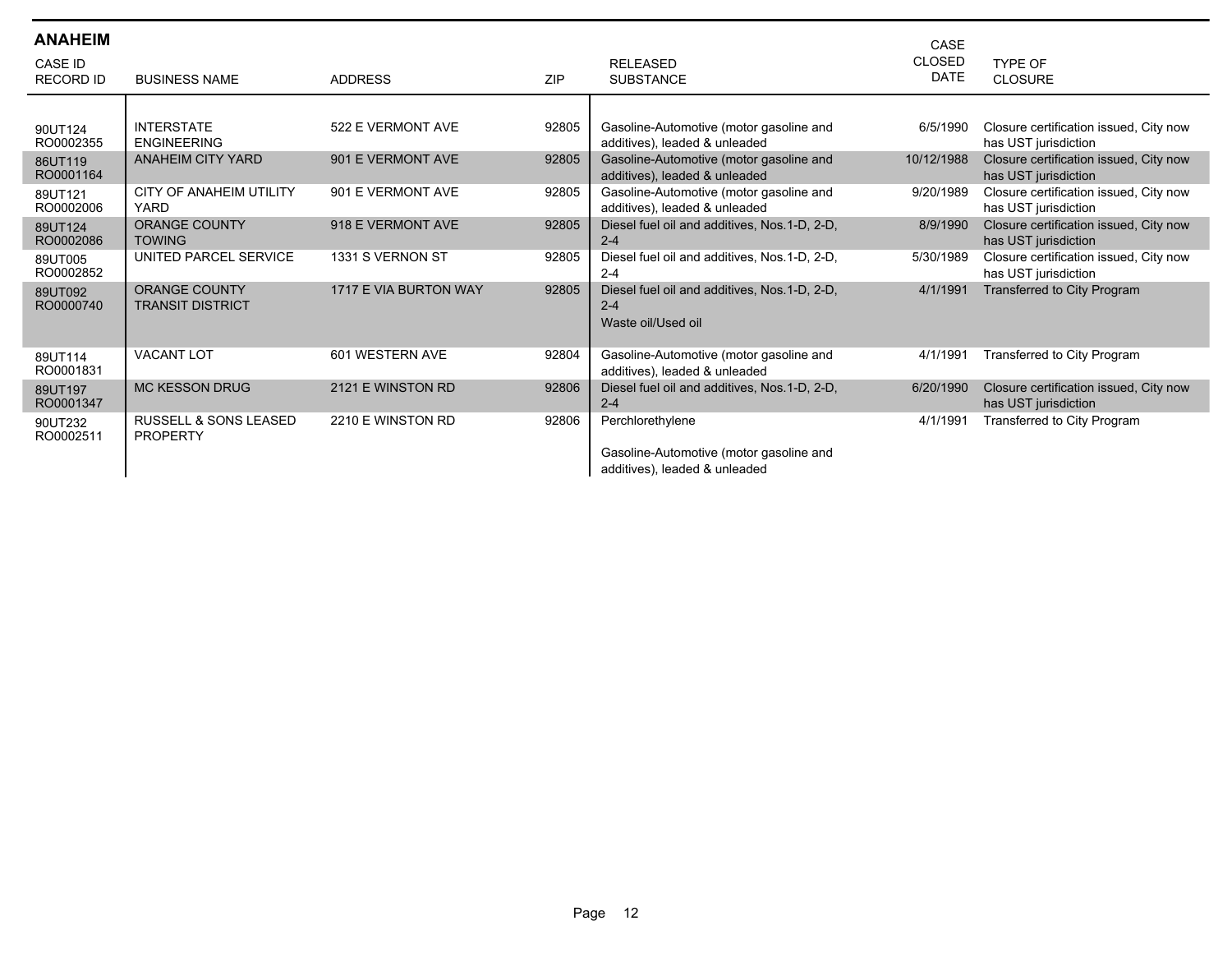| <b>ANAHEIM</b><br><b>CASE ID</b><br><b>RECORD ID</b> | <b>BUSINESS NAME</b>                                | <b>ADDRESS</b>        | <b>ZIP</b> | <b>RELEASED</b><br><b>SUBSTANCE</b>                                                          | CASE<br><b>CLOSED</b><br><b>DATE</b> | TYPE OF<br><b>CLOSURE</b>                                      |
|------------------------------------------------------|-----------------------------------------------------|-----------------------|------------|----------------------------------------------------------------------------------------------|--------------------------------------|----------------------------------------------------------------|
| 90UT124<br>RO0002355                                 | <b>INTERSTATE</b><br><b>ENGINEERING</b>             | 522 E VERMONT AVE     | 92805      | Gasoline-Automotive (motor gasoline and<br>additives), leaded & unleaded                     | 6/5/1990                             | Closure certification issued, City now<br>has UST jurisdiction |
| 86UT119<br>RO0001164                                 | <b>ANAHEIM CITY YARD</b>                            | 901 E VERMONT AVE     | 92805      | Gasoline-Automotive (motor gasoline and<br>additives), leaded & unleaded                     | 10/12/1988                           | Closure certification issued, City now<br>has UST jurisdiction |
| 89UT121<br>RO0002006                                 | <b>CITY OF ANAHEIM UTILITY</b><br><b>YARD</b>       | 901 E VERMONT AVE     | 92805      | Gasoline-Automotive (motor gasoline and<br>additives), leaded & unleaded                     | 9/20/1989                            | Closure certification issued, City now<br>has UST jurisdiction |
| 89UT124<br>RO0002086                                 | <b>ORANGE COUNTY</b><br><b>TOWING</b>               | 918 E VERMONT AVE     | 92805      | Diesel fuel oil and additives, Nos.1-D, 2-D,<br>$2 - 4$                                      | 8/9/1990                             | Closure certification issued, City now<br>has UST jurisdiction |
| 89UT005<br>RO0002852                                 | UNITED PARCEL SERVICE                               | 1331 S VERNON ST      | 92805      | Diesel fuel oil and additives, Nos.1-D, 2-D,<br>$2 - 4$                                      | 5/30/1989                            | Closure certification issued, City now<br>has UST jurisdiction |
| 89UT092<br>RO0000740                                 | <b>ORANGE COUNTY</b><br><b>TRANSIT DISTRICT</b>     | 1717 E VIA BURTON WAY | 92805      | Diesel fuel oil and additives, Nos.1-D, 2-D,<br>$2 - 4$<br>Waste oil/Used oil                | 4/1/1991                             | Transferred to City Program                                    |
| 89UT114<br>RO0001831                                 | <b>VACANT LOT</b>                                   | 601 WESTERN AVE       | 92804      | Gasoline-Automotive (motor gasoline and<br>additives), leaded & unleaded                     | 4/1/1991                             | Transferred to City Program                                    |
| 89UT197<br>RO0001347                                 | <b>MC KESSON DRUG</b>                               | 2121 E WINSTON RD     | 92806      | Diesel fuel oil and additives, Nos.1-D, 2-D,<br>$2 - 4$                                      | 6/20/1990                            | Closure certification issued, City now<br>has UST jurisdiction |
| 90UT232<br>RO0002511                                 | <b>RUSSELL &amp; SONS LEASED</b><br><b>PROPERTY</b> | 2210 E WINSTON RD     | 92806      | Perchlorethylene<br>Gasoline-Automotive (motor gasoline and<br>additives), leaded & unleaded | 4/1/1991                             | Transferred to City Program                                    |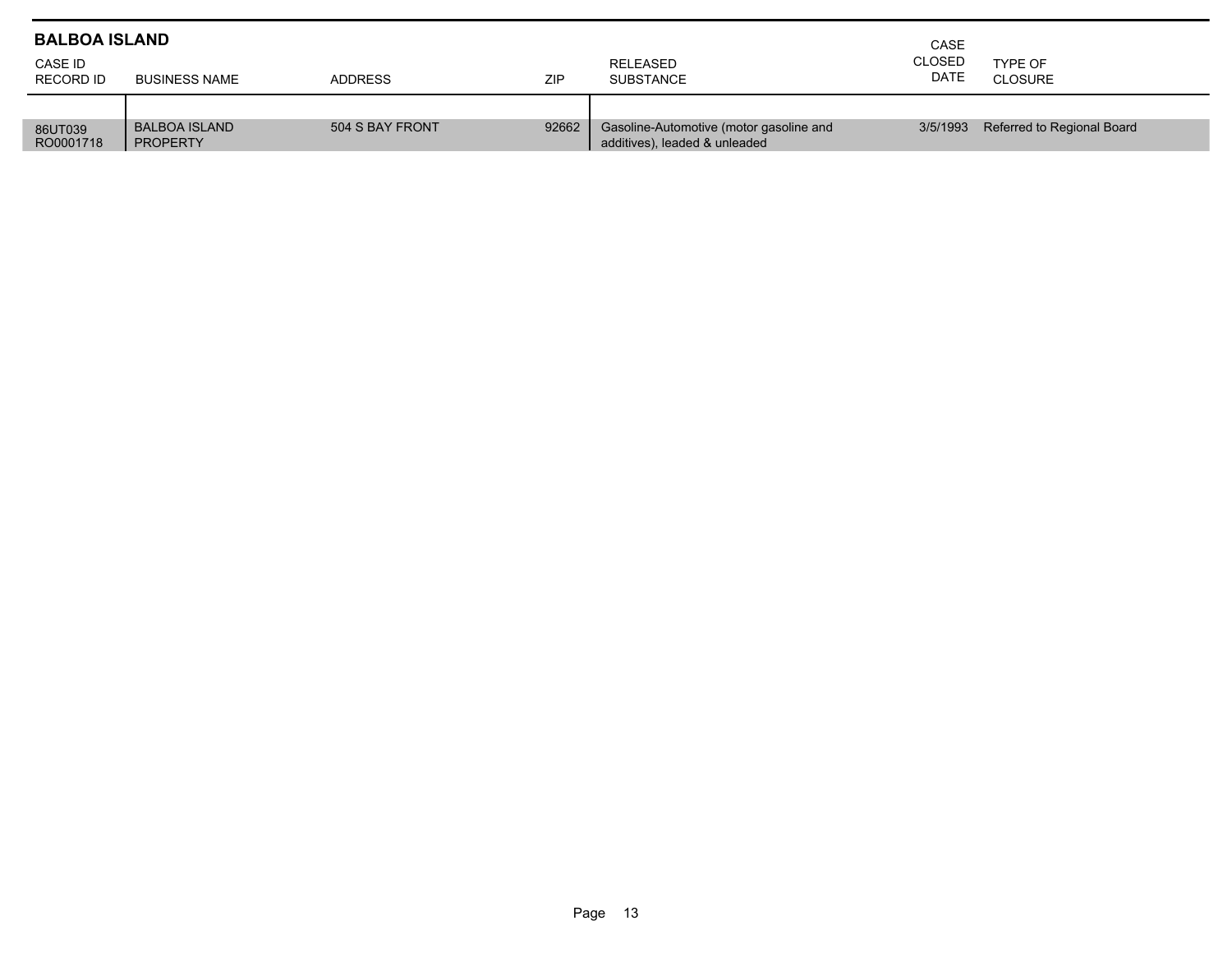| <b>BALBOA ISLAND</b> |                                         | CASE            |       |                                                                          |                       |                            |
|----------------------|-----------------------------------------|-----------------|-------|--------------------------------------------------------------------------|-----------------------|----------------------------|
| CASE ID<br>RECORD ID | <b>BUSINESS NAME</b>                    | <b>ADDRESS</b>  | ZIP   | RELEASED<br><b>SUBSTANCE</b>                                             | <b>CLOSED</b><br>DATE | TYPE OF<br>CLOSURE         |
|                      |                                         |                 |       |                                                                          |                       |                            |
| 86UT039<br>RO0001718 | <b>BALBOA ISLAND</b><br><b>PROPERTY</b> | 504 S BAY FRONT | 92662 | Gasoline-Automotive (motor gasoline and<br>additives), leaded & unleaded | 3/5/1993              | Referred to Regional Board |

Г ٠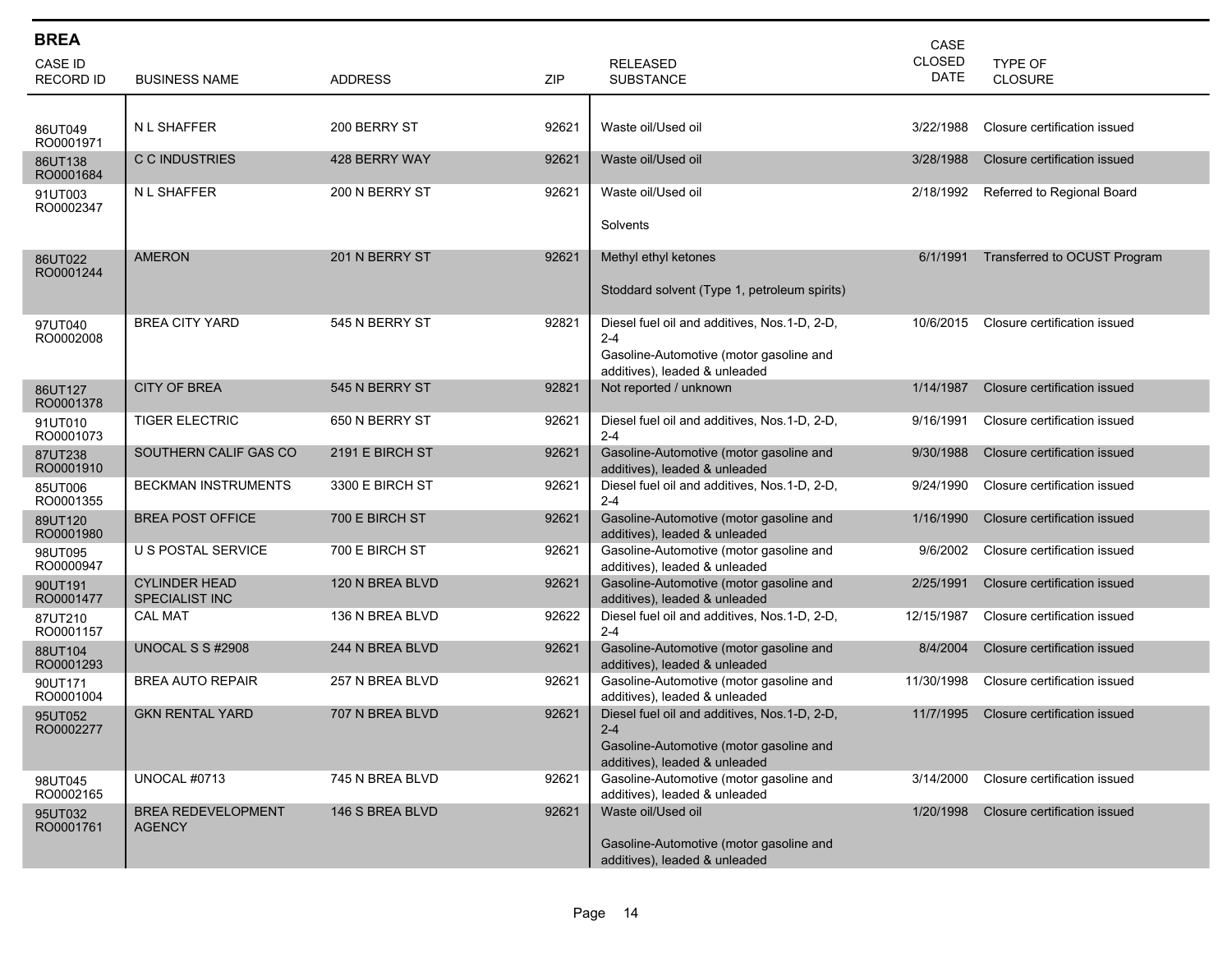| <b>BREA</b><br>CASE ID<br><b>RECORD ID</b> | <b>BUSINESS NAME</b>                       | <b>ADDRESS</b>  | ZIP   | <b>RELEASED</b><br><b>SUBSTANCE</b>                                                                                                 | CASE<br><b>CLOSED</b><br><b>DATE</b> | <b>TYPE OF</b><br><b>CLOSURE</b> |
|--------------------------------------------|--------------------------------------------|-----------------|-------|-------------------------------------------------------------------------------------------------------------------------------------|--------------------------------------|----------------------------------|
| 86UT049<br>RO0001971                       | <b>NL SHAFFER</b>                          | 200 BERRY ST    | 92621 | Waste oil/Used oil                                                                                                                  | 3/22/1988                            | Closure certification issued     |
| 86UT138<br>RO0001684                       | C C INDUSTRIES                             | 428 BERRY WAY   | 92621 | Waste oil/Used oil                                                                                                                  | 3/28/1988                            | Closure certification issued     |
| 91UT003<br>RO0002347                       | N L SHAFFER                                | 200 N BERRY ST  | 92621 | Waste oil/Used oil<br>Solvents                                                                                                      | 2/18/1992                            | Referred to Regional Board       |
| 86UT022<br>RO0001244                       | <b>AMERON</b>                              | 201 N BERRY ST  | 92621 | Methyl ethyl ketones<br>Stoddard solvent (Type 1, petroleum spirits)                                                                | 6/1/1991                             | Transferred to OCUST Program     |
| 97UT040<br>RO0002008                       | <b>BREA CITY YARD</b>                      | 545 N BERRY ST  | 92821 | Diesel fuel oil and additives, Nos.1-D, 2-D,<br>$2 - 4$<br>Gasoline-Automotive (motor gasoline and<br>additives), leaded & unleaded | 10/6/2015                            | Closure certification issued     |
| 86UT127<br>RO0001378                       | <b>CITY OF BREA</b>                        | 545 N BERRY ST  | 92821 | Not reported / unknown                                                                                                              | 1/14/1987                            | Closure certification issued     |
| 91UT010<br>RO0001073                       | <b>TIGER ELECTRIC</b>                      | 650 N BERRY ST  | 92621 | Diesel fuel oil and additives, Nos.1-D, 2-D,<br>$2 - 4$                                                                             | 9/16/1991                            | Closure certification issued     |
| 87UT238<br>RO0001910                       | SOUTHERN CALIF GAS CO                      | 2191 E BIRCH ST | 92621 | Gasoline-Automotive (motor gasoline and<br>additives), leaded & unleaded                                                            | 9/30/1988                            | Closure certification issued     |
| 85UT006<br>RO0001355                       | <b>BECKMAN INSTRUMENTS</b>                 | 3300 E BIRCH ST | 92621 | Diesel fuel oil and additives, Nos.1-D, 2-D,<br>$2 - 4$                                                                             | 9/24/1990                            | Closure certification issued     |
| 89UT120<br>RO0001980                       | <b>BREA POST OFFICE</b>                    | 700 E BIRCH ST  | 92621 | Gasoline-Automotive (motor gasoline and<br>additives), leaded & unleaded                                                            | 1/16/1990                            | Closure certification issued     |
| 98UT095<br>RO0000947                       | U S POSTAL SERVICE                         | 700 E BIRCH ST  | 92621 | Gasoline-Automotive (motor gasoline and<br>additives), leaded & unleaded                                                            | 9/6/2002                             | Closure certification issued     |
| 90UT191<br>RO0001477                       | <b>CYLINDER HEAD</b><br>SPECIALIST INC     | 120 N BREA BLVD | 92621 | Gasoline-Automotive (motor gasoline and<br>additives), leaded & unleaded                                                            | 2/25/1991                            | Closure certification issued     |
| 87UT210<br>RO0001157                       | <b>CAL MAT</b>                             | 136 N BREA BLVD | 92622 | Diesel fuel oil and additives, Nos.1-D, 2-D,<br>$2 - 4$                                                                             | 12/15/1987                           | Closure certification issued     |
| 88UT104<br>RO0001293                       | UNOCAL S S #2908                           | 244 N BREA BLVD | 92621 | Gasoline-Automotive (motor gasoline and<br>additives), leaded & unleaded                                                            | 8/4/2004                             | Closure certification issued     |
| 90UT171<br>RO0001004                       | <b>BREA AUTO REPAIR</b>                    | 257 N BREA BLVD | 92621 | Gasoline-Automotive (motor gasoline and<br>additives), leaded & unleaded                                                            | 11/30/1998                           | Closure certification issued     |
| 95UT052<br>RO0002277                       | <b>GKN RENTAL YARD</b>                     | 707 N BREA BLVD | 92621 | Diesel fuel oil and additives, Nos.1-D, 2-D,<br>$2 - 4$<br>Gasoline-Automotive (motor gasoline and<br>additives), leaded & unleaded | 11/7/1995                            | Closure certification issued     |
| 98UT045<br>RO0002165                       | <b>UNOCAL #0713</b>                        | 745 N BREA BLVD | 92621 | Gasoline-Automotive (motor gasoline and<br>additives), leaded & unleaded                                                            | 3/14/2000                            | Closure certification issued     |
| 95UT032<br>RO0001761                       | <b>BREA REDEVELOPMENT</b><br><b>AGENCY</b> | 146 S BREA BLVD | 92621 | Waste oil/Used oil<br>Gasoline-Automotive (motor gasoline and<br>additives), leaded & unleaded                                      | 1/20/1998                            | Closure certification issued     |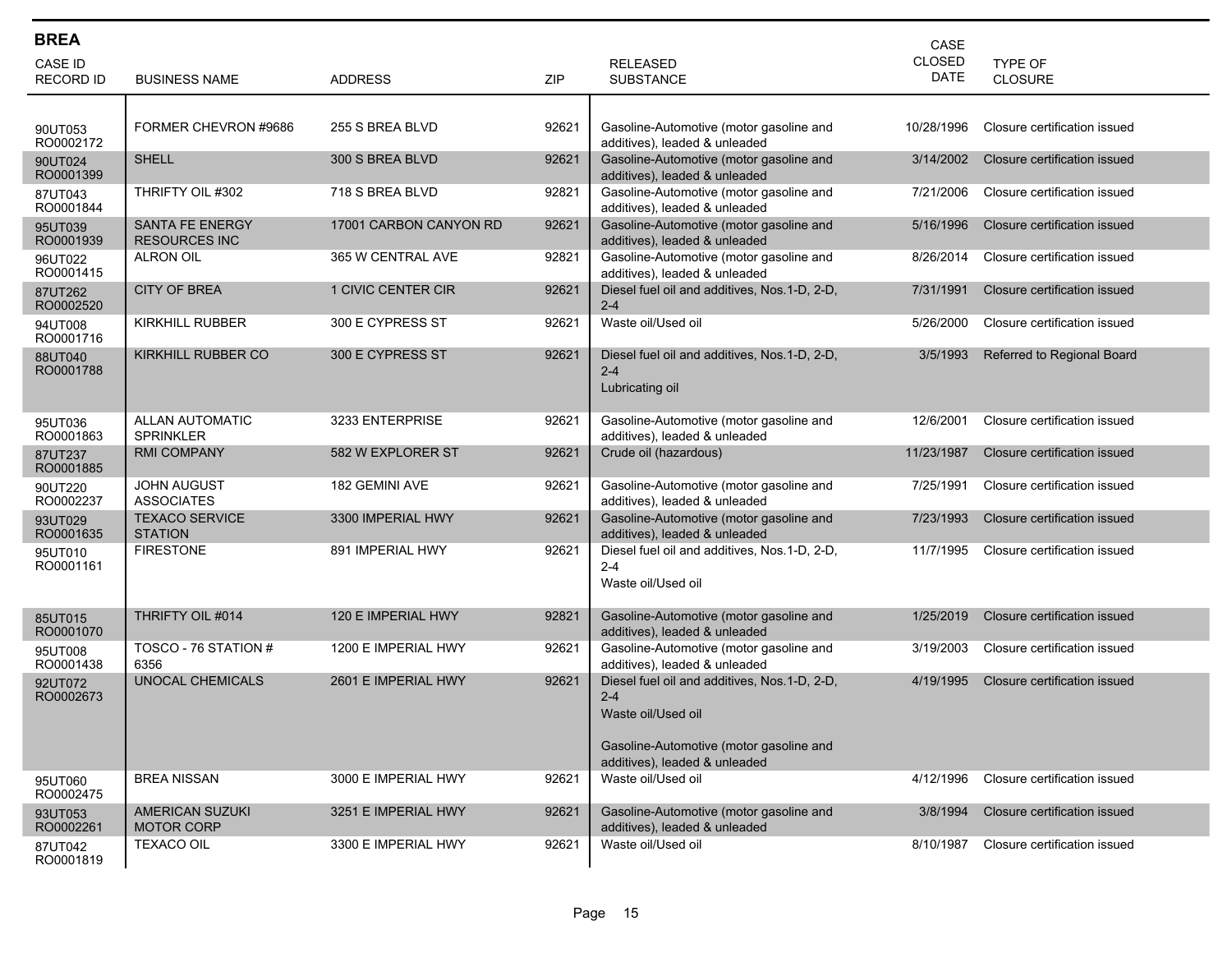| <b>BREA</b>          |                                                |                        |            |                                                                                                                                                           | CASE          |                              |
|----------------------|------------------------------------------------|------------------------|------------|-----------------------------------------------------------------------------------------------------------------------------------------------------------|---------------|------------------------------|
| <b>CASE ID</b>       |                                                |                        |            | <b>RELEASED</b>                                                                                                                                           | <b>CLOSED</b> | TYPE OF                      |
| <b>RECORD ID</b>     | <b>BUSINESS NAME</b>                           | <b>ADDRESS</b>         | <b>ZIP</b> | <b>SUBSTANCE</b>                                                                                                                                          | <b>DATE</b>   | <b>CLOSURE</b>               |
|                      |                                                |                        |            |                                                                                                                                                           |               |                              |
| 90UT053<br>RO0002172 | FORMER CHEVRON #9686                           | 255 S BREA BLVD        | 92621      | Gasoline-Automotive (motor gasoline and<br>additives), leaded & unleaded                                                                                  | 10/28/1996    | Closure certification issued |
| 90UT024<br>RO0001399 | <b>SHELL</b>                                   | 300 S BREA BLVD        | 92621      | Gasoline-Automotive (motor gasoline and<br>additives), leaded & unleaded                                                                                  | 3/14/2002     | Closure certification issued |
| 87UT043<br>RO0001844 | THRIFTY OIL #302                               | 718 S BREA BLVD        | 92821      | Gasoline-Automotive (motor gasoline and<br>additives), leaded & unleaded                                                                                  | 7/21/2006     | Closure certification issued |
| 95UT039<br>RO0001939 | <b>SANTA FE ENERGY</b><br><b>RESOURCES INC</b> | 17001 CARBON CANYON RD | 92621      | Gasoline-Automotive (motor gasoline and<br>additives), leaded & unleaded                                                                                  | 5/16/1996     | Closure certification issued |
| 96UT022<br>RO0001415 | <b>ALRON OIL</b>                               | 365 W CENTRAL AVE      | 92821      | Gasoline-Automotive (motor gasoline and<br>additives), leaded & unleaded                                                                                  | 8/26/2014     | Closure certification issued |
| 87UT262<br>RO0002520 | <b>CITY OF BREA</b>                            | 1 CIVIC CENTER CIR     | 92621      | Diesel fuel oil and additives, Nos.1-D, 2-D,<br>$2 - 4$                                                                                                   | 7/31/1991     | Closure certification issued |
| 94UT008<br>RO0001716 | <b>KIRKHILL RUBBER</b>                         | 300 E CYPRESS ST       | 92621      | Waste oil/Used oil                                                                                                                                        | 5/26/2000     | Closure certification issued |
| 88UT040<br>RO0001788 | <b>KIRKHILL RUBBER CO</b>                      | 300 E CYPRESS ST       | 92621      | Diesel fuel oil and additives, Nos. 1-D, 2-D,<br>$2 - 4$<br>Lubricating oil                                                                               | 3/5/1993      | Referred to Regional Board   |
| 95UT036<br>RO0001863 | <b>ALLAN AUTOMATIC</b><br><b>SPRINKLER</b>     | 3233 ENTERPRISE        | 92621      | Gasoline-Automotive (motor gasoline and<br>additives), leaded & unleaded                                                                                  | 12/6/2001     | Closure certification issued |
| 87UT237<br>RO0001885 | <b>RMI COMPANY</b>                             | 582 W EXPLORER ST      | 92621      | Crude oil (hazardous)                                                                                                                                     | 11/23/1987    | Closure certification issued |
| 90UT220<br>RO0002237 | <b>JOHN AUGUST</b><br><b>ASSOCIATES</b>        | 182 GEMINI AVE         | 92621      | Gasoline-Automotive (motor gasoline and<br>additives), leaded & unleaded                                                                                  | 7/25/1991     | Closure certification issued |
| 93UT029<br>RO0001635 | <b>TEXACO SERVICE</b><br><b>STATION</b>        | 3300 IMPERIAL HWY      | 92621      | Gasoline-Automotive (motor gasoline and<br>additives), leaded & unleaded                                                                                  | 7/23/1993     | Closure certification issued |
| 95UT010<br>RO0001161 | <b>FIRESTONE</b>                               | 891 IMPERIAL HWY       | 92621      | Diesel fuel oil and additives, Nos.1-D, 2-D,<br>$2 - 4$<br>Waste oil/Used oil                                                                             | 11/7/1995     | Closure certification issued |
| 85UT015<br>RO0001070 | THRIFTY OIL #014                               | 120 E IMPERIAL HWY     | 92821      | Gasoline-Automotive (motor gasoline and<br>additives), leaded & unleaded                                                                                  | 1/25/2019     | Closure certification issued |
| 95UT008<br>RO0001438 | TOSCO - 76 STATION #<br>6356                   | 1200 E IMPERIAL HWY    | 92621      | Gasoline-Automotive (motor gasoline and<br>additives), leaded & unleaded                                                                                  | 3/19/2003     | Closure certification issued |
| 92UT072<br>RO0002673 | <b>UNOCAL CHEMICALS</b>                        | 2601 E IMPERIAL HWY    | 92621      | Diesel fuel oil and additives, Nos.1-D, 2-D,<br>$2 - 4$<br>Waste oil/Used oil<br>Gasoline-Automotive (motor gasoline and<br>additives), leaded & unleaded | 4/19/1995     | Closure certification issued |
| 95UT060<br>RO0002475 | <b>BREA NISSAN</b>                             | 3000 E IMPERIAL HWY    | 92621      | Waste oil/Used oil                                                                                                                                        | 4/12/1996     | Closure certification issued |
| 93UT053<br>RO0002261 | AMERICAN SUZUKI<br><b>MOTOR CORP</b>           | 3251 E IMPERIAL HWY    | 92621      | Gasoline-Automotive (motor gasoline and<br>additives), leaded & unleaded                                                                                  | 3/8/1994      | Closure certification issued |
| 87UT042<br>RO0001819 | <b>TEXACO OIL</b>                              | 3300 E IMPERIAL HWY    | 92621      | Waste oil/Used oil                                                                                                                                        | 8/10/1987     | Closure certification issued |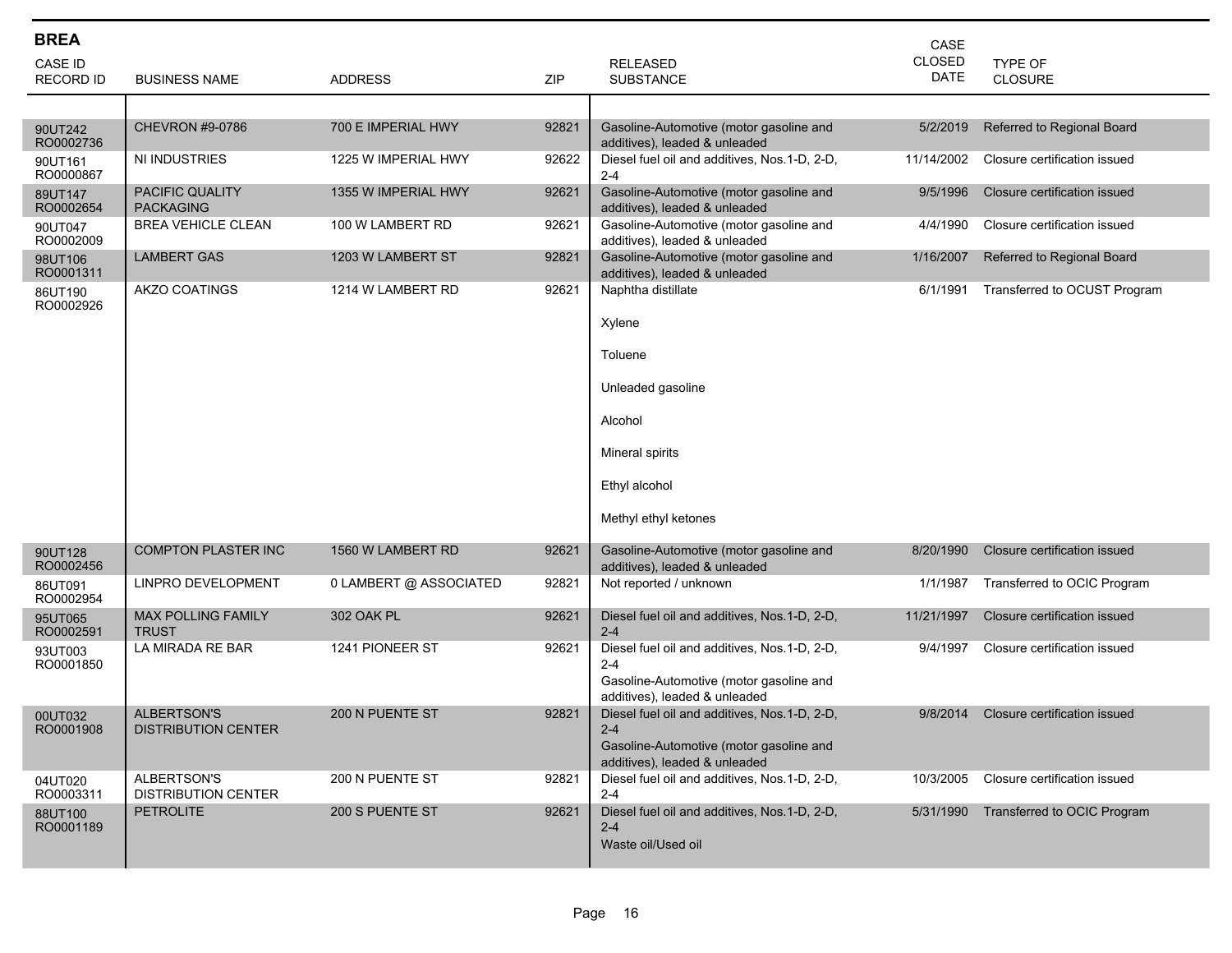| <b>BREA</b>                 |                                                  |                        |       |                                                                          | CASE                         |                              |
|-----------------------------|--------------------------------------------------|------------------------|-------|--------------------------------------------------------------------------|------------------------------|------------------------------|
| CASE ID<br><b>RECORD ID</b> | <b>BUSINESS NAME</b>                             | <b>ADDRESS</b>         | ZIP   | <b>RELEASED</b><br><b>SUBSTANCE</b>                                      | <b>CLOSED</b><br><b>DATE</b> | TYPE OF<br><b>CLOSURE</b>    |
|                             |                                                  |                        |       |                                                                          |                              |                              |
| 90UT242<br>RO0002736        | <b>CHEVRON #9-0786</b>                           | 700 E IMPERIAL HWY     | 92821 | Gasoline-Automotive (motor gasoline and<br>additives), leaded & unleaded | 5/2/2019                     | Referred to Regional Board   |
| 90UT161<br>RO0000867        | NI INDUSTRIES                                    | 1225 W IMPERIAL HWY    | 92622 | Diesel fuel oil and additives, Nos.1-D, 2-D,<br>$2 - 4$                  | 11/14/2002                   | Closure certification issued |
| 89UT147<br>RO0002654        | <b>PACIFIC QUALITY</b><br><b>PACKAGING</b>       | 1355 W IMPERIAL HWY    | 92621 | Gasoline-Automotive (motor gasoline and<br>additives), leaded & unleaded | 9/5/1996                     | Closure certification issued |
| 90UT047<br>RO0002009        | <b>BREA VEHICLE CLEAN</b>                        | 100 W LAMBERT RD       | 92621 | Gasoline-Automotive (motor gasoline and<br>additives), leaded & unleaded | 4/4/1990                     | Closure certification issued |
| 98UT106<br>RO0001311        | <b>LAMBERT GAS</b>                               | 1203 W LAMBERT ST      | 92821 | Gasoline-Automotive (motor gasoline and<br>additives), leaded & unleaded | 1/16/2007                    | Referred to Regional Board   |
| 86UT190<br>RO0002926        | <b>AKZO COATINGS</b>                             | 1214 W LAMBERT RD      | 92621 | Naphtha distillate                                                       | 6/1/1991                     | Transferred to OCUST Program |
|                             |                                                  |                        |       | Xylene                                                                   |                              |                              |
|                             |                                                  |                        |       | Toluene                                                                  |                              |                              |
|                             |                                                  |                        |       | Unleaded gasoline                                                        |                              |                              |
|                             |                                                  |                        |       | Alcohol                                                                  |                              |                              |
|                             |                                                  |                        |       | Mineral spirits                                                          |                              |                              |
|                             |                                                  |                        |       | Ethyl alcohol                                                            |                              |                              |
|                             |                                                  |                        |       | Methyl ethyl ketones                                                     |                              |                              |
| 90UT128<br>RO0002456        | <b>COMPTON PLASTER INC</b>                       | 1560 W LAMBERT RD      | 92621 | Gasoline-Automotive (motor gasoline and<br>additives), leaded & unleaded | 8/20/1990                    | Closure certification issued |
| 86UT091<br>RO0002954        | LINPRO DEVELOPMENT                               | 0 LAMBERT @ ASSOCIATED | 92821 | Not reported / unknown                                                   | 1/1/1987                     | Transferred to OCIC Program  |
| 95UT065<br>RO0002591        | <b>MAX POLLING FAMILY</b><br><b>TRUST</b>        | 302 OAK PL             | 92621 | Diesel fuel oil and additives, Nos.1-D, 2-D,<br>$2 - 4$                  | 11/21/1997                   | Closure certification issued |
| 93UT003<br>RO0001850        | LA MIRADA RE BAR                                 | 1241 PIONEER ST        | 92621 | Diesel fuel oil and additives, Nos.1-D, 2-D,<br>$2 - 4$                  | 9/4/1997                     | Closure certification issued |
|                             |                                                  |                        |       | Gasoline-Automotive (motor gasoline and<br>additives), leaded & unleaded |                              |                              |
| 00UT032<br>RO0001908        | <b>ALBERTSON'S</b><br><b>DISTRIBUTION CENTER</b> | 200 N PUENTE ST        | 92821 | Diesel fuel oil and additives, Nos. 1-D, 2-D,<br>$2 - 4$                 | 9/8/2014                     | Closure certification issued |
|                             |                                                  |                        |       | Gasoline-Automotive (motor gasoline and<br>additives), leaded & unleaded |                              |                              |
| 04UT020<br>RO0003311        | ALBERTSON'S<br><b>DISTRIBUTION CENTER</b>        | 200 N PUENTE ST        | 92821 | Diesel fuel oil and additives, Nos.1-D, 2-D,<br>$2 - 4$                  | 10/3/2005                    | Closure certification issued |
| 88UT100<br>RO0001189        | <b>PETROLITE</b>                                 | 200 S PUENTE ST        | 92621 | Diesel fuel oil and additives, Nos.1-D, 2-D,<br>$2 - 4$                  | 5/31/1990                    | Transferred to OCIC Program  |
|                             |                                                  |                        |       | Waste oil/Used oil                                                       |                              |                              |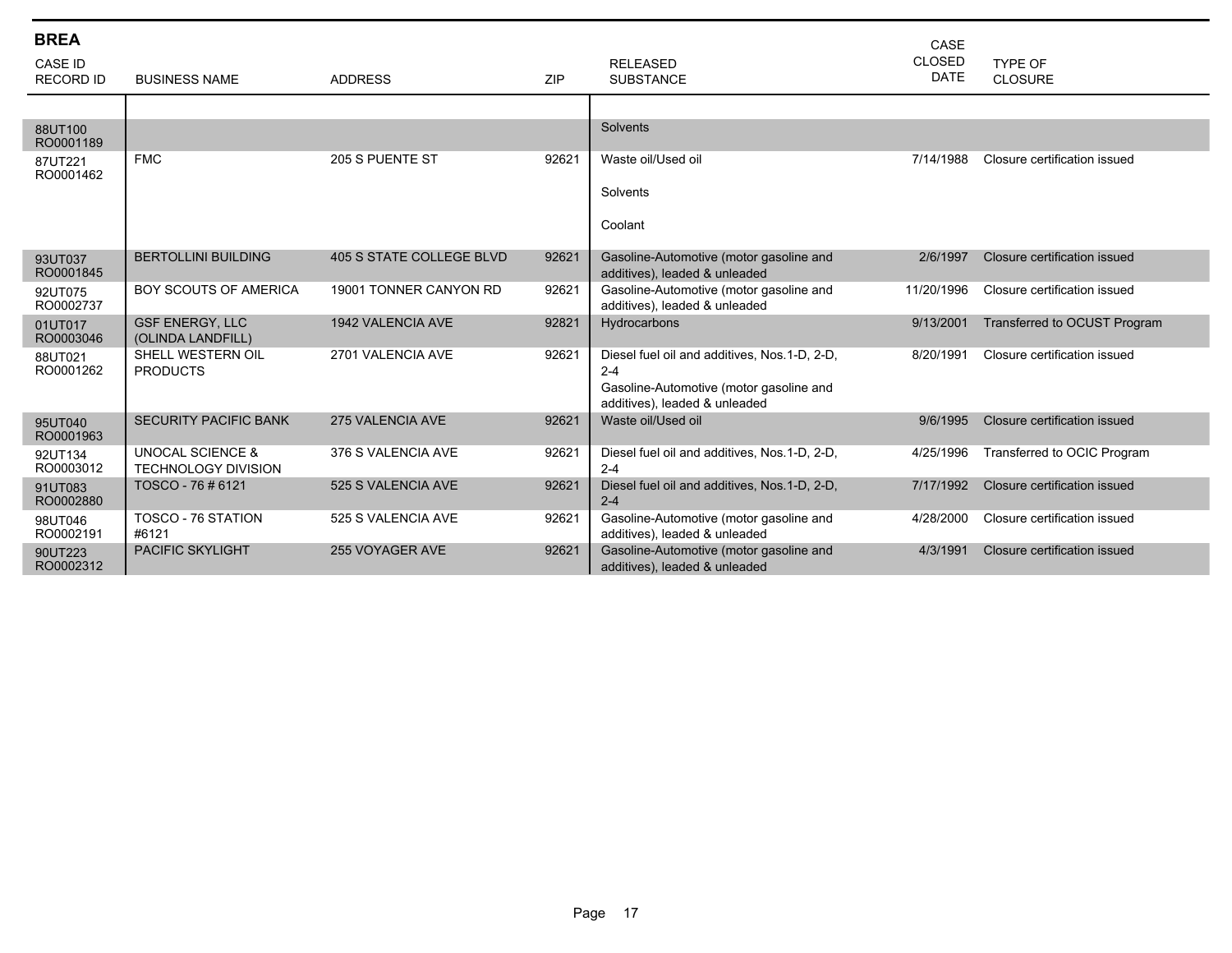| <b>BREA</b><br><b>CASE ID</b><br><b>RECORD ID</b> | <b>BUSINESS NAME</b>                                      | <b>ADDRESS</b>           | <b>ZIP</b> | <b>RELEASED</b><br><b>SUBSTANCE</b>                                                                                                 | CASE<br><b>CLOSED</b><br><b>DATE</b> | TYPE OF<br>CLOSURE           |
|---------------------------------------------------|-----------------------------------------------------------|--------------------------|------------|-------------------------------------------------------------------------------------------------------------------------------------|--------------------------------------|------------------------------|
|                                                   |                                                           |                          |            |                                                                                                                                     |                                      |                              |
| 88UT100<br>RO0001189                              |                                                           |                          |            | Solvents                                                                                                                            |                                      |                              |
| 87UT221<br>RO0001462                              | <b>FMC</b>                                                | 205 S PUENTE ST          | 92621      | Waste oil/Used oil                                                                                                                  | 7/14/1988                            | Closure certification issued |
|                                                   |                                                           |                          |            | Solvents                                                                                                                            |                                      |                              |
|                                                   |                                                           |                          |            | Coolant                                                                                                                             |                                      |                              |
| 93UT037<br>RO0001845                              | <b>BERTOLLINI BUILDING</b>                                | 405 S STATE COLLEGE BLVD | 92621      | Gasoline-Automotive (motor gasoline and<br>additives), leaded & unleaded                                                            | 2/6/1997                             | Closure certification issued |
| 92UT075<br>RO0002737                              | <b>BOY SCOUTS OF AMERICA</b>                              | 19001 TONNER CANYON RD   | 92621      | Gasoline-Automotive (motor gasoline and<br>additives), leaded & unleaded                                                            | 11/20/1996                           | Closure certification issued |
| 01UT017<br>RO0003046                              | <b>GSF ENERGY, LLC</b><br>(OLINDA LANDFILL)               | 1942 VALENCIA AVE        | 92821      | Hydrocarbons                                                                                                                        | 9/13/2001                            | Transferred to OCUST Program |
| 88UT021<br>RO0001262                              | SHELL WESTERN OIL<br><b>PRODUCTS</b>                      | 2701 VALENCIA AVE        | 92621      | Diesel fuel oil and additives, Nos.1-D, 2-D,<br>$2 - 4$<br>Gasoline-Automotive (motor gasoline and<br>additives), leaded & unleaded | 8/20/1991                            | Closure certification issued |
| 95UT040<br>RO0001963                              | <b>SECURITY PACIFIC BANK</b>                              | 275 VALENCIA AVE         | 92621      | Waste oil/Used oil                                                                                                                  | 9/6/1995                             | Closure certification issued |
| 92UT134<br>RO0003012                              | <b>UNOCAL SCIENCE &amp;</b><br><b>TECHNOLOGY DIVISION</b> | 376 S VALENCIA AVE       | 92621      | Diesel fuel oil and additives, Nos.1-D, 2-D,<br>$2 - 4$                                                                             | 4/25/1996                            | Transferred to OCIC Program  |
| 91UT083<br>RO0002880                              | TOSCO - 76 # 6121                                         | 525 S VALENCIA AVE       | 92621      | Diesel fuel oil and additives, Nos.1-D, 2-D,<br>$2 - 4$                                                                             | 7/17/1992                            | Closure certification issued |
| 98UT046<br>RO0002191                              | TOSCO - 76 STATION<br>#6121                               | 525 S VALENCIA AVE       | 92621      | Gasoline-Automotive (motor gasoline and<br>additives), leaded & unleaded                                                            | 4/28/2000                            | Closure certification issued |
| 90UT223<br>RO0002312                              | <b>PACIFIC SKYLIGHT</b>                                   | 255 VOYAGER AVE          | 92621      | Gasoline-Automotive (motor gasoline and<br>additives), leaded & unleaded                                                            | 4/3/1991                             | Closure certification issued |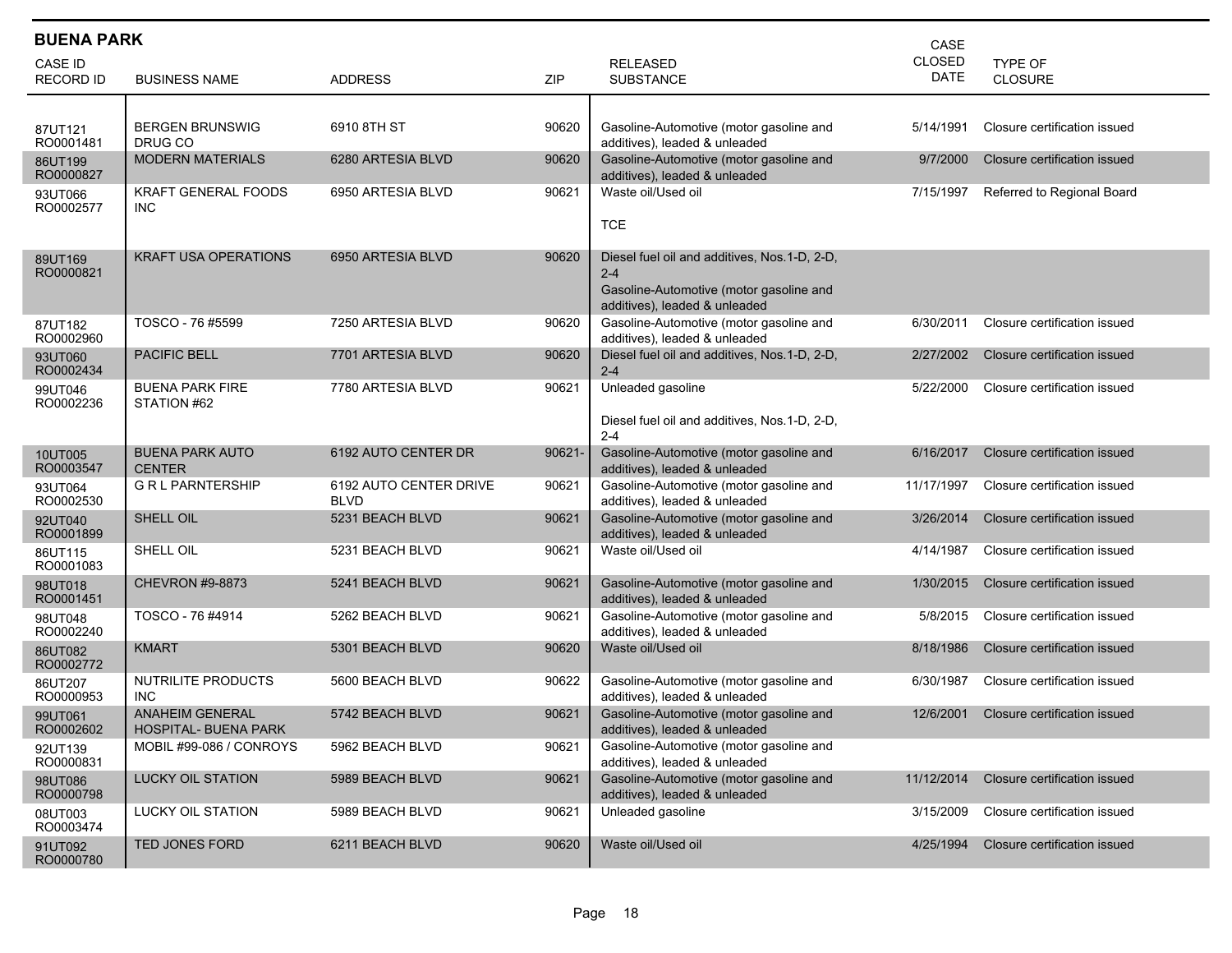| <b>BUENA PARK</b><br>CASE   |                                                       |                                       |        |                                                                                                                                      |                              |                                  |  |  |  |
|-----------------------------|-------------------------------------------------------|---------------------------------------|--------|--------------------------------------------------------------------------------------------------------------------------------------|------------------------------|----------------------------------|--|--|--|
| CASE ID<br><b>RECORD ID</b> | <b>BUSINESS NAME</b>                                  | <b>ADDRESS</b>                        | ZIP    | <b>RELEASED</b><br><b>SUBSTANCE</b>                                                                                                  | <b>CLOSED</b><br><b>DATE</b> | <b>TYPE OF</b><br><b>CLOSURE</b> |  |  |  |
| 87UT121<br>RO0001481        | <b>BERGEN BRUNSWIG</b><br>DRUG CO                     | 6910 8TH ST                           | 90620  | Gasoline-Automotive (motor gasoline and<br>additives), leaded & unleaded                                                             | 5/14/1991                    | Closure certification issued     |  |  |  |
| 86UT199<br>RO0000827        | <b>MODERN MATERIALS</b>                               | 6280 ARTESIA BLVD                     | 90620  | Gasoline-Automotive (motor gasoline and<br>additives), leaded & unleaded                                                             | 9/7/2000                     | Closure certification issued     |  |  |  |
| 93UT066<br>RO0002577        | <b>KRAFT GENERAL FOODS</b><br><b>INC</b>              | 6950 ARTESIA BLVD                     | 90621  | Waste oil/Used oil<br><b>TCE</b>                                                                                                     | 7/15/1997                    | Referred to Regional Board       |  |  |  |
| 89UT169<br>RO0000821        | <b>KRAFT USA OPERATIONS</b>                           | 6950 ARTESIA BLVD                     | 90620  | Diesel fuel oil and additives, Nos. 1-D, 2-D,<br>$2 - 4$<br>Gasoline-Automotive (motor gasoline and<br>additives), leaded & unleaded |                              |                                  |  |  |  |
| 87UT182<br>RO0002960        | TOSCO - 76 #5599                                      | 7250 ARTESIA BLVD                     | 90620  | Gasoline-Automotive (motor gasoline and<br>additives), leaded & unleaded                                                             | 6/30/2011                    | Closure certification issued     |  |  |  |
| 93UT060<br>RO0002434        | <b>PACIFIC BELL</b>                                   | 7701 ARTESIA BLVD                     | 90620  | Diesel fuel oil and additives, Nos.1-D, 2-D,<br>$2 - 4$                                                                              | 2/27/2002                    | Closure certification issued     |  |  |  |
| 99UT046<br>RO0002236        | <b>BUENA PARK FIRE</b><br>STATION #62                 | 7780 ARTESIA BLVD                     | 90621  | Unleaded gasoline<br>Diesel fuel oil and additives, Nos.1-D, 2-D,<br>$2 - 4$                                                         | 5/22/2000                    | Closure certification issued     |  |  |  |
| 10UT005<br>RO0003547        | <b>BUENA PARK AUTO</b><br><b>CENTER</b>               | 6192 AUTO CENTER DR                   | 90621- | Gasoline-Automotive (motor gasoline and<br>additives), leaded & unleaded                                                             | 6/16/2017                    | Closure certification issued     |  |  |  |
| 93UT064<br>RO0002530        | <b>G R L PARNTERSHIP</b>                              | 6192 AUTO CENTER DRIVE<br><b>BLVD</b> | 90621  | Gasoline-Automotive (motor gasoline and<br>additives), leaded & unleaded                                                             | 11/17/1997                   | Closure certification issued     |  |  |  |
| 92UT040<br>RO0001899        | SHELL OIL                                             | 5231 BEACH BLVD                       | 90621  | Gasoline-Automotive (motor gasoline and<br>additives), leaded & unleaded                                                             | 3/26/2014                    | Closure certification issued     |  |  |  |
| 86UT115<br>RO0001083        | SHELL OIL                                             | 5231 BEACH BLVD                       | 90621  | Waste oil/Used oil                                                                                                                   | 4/14/1987                    | Closure certification issued     |  |  |  |
| 98UT018<br>RO0001451        | <b>CHEVRON #9-8873</b>                                | 5241 BEACH BLVD                       | 90621  | Gasoline-Automotive (motor gasoline and<br>additives), leaded & unleaded                                                             | 1/30/2015                    | Closure certification issued     |  |  |  |
| 98UT048<br>RO0002240        | TOSCO - 76 #4914                                      | 5262 BEACH BLVD                       | 90621  | Gasoline-Automotive (motor gasoline and<br>additives), leaded & unleaded                                                             | 5/8/2015                     | Closure certification issued     |  |  |  |
| 86UT082<br>RO0002772        | <b>KMART</b>                                          | 5301 BEACH BLVD                       | 90620  | Waste oil/Used oil                                                                                                                   | 8/18/1986                    | Closure certification issued     |  |  |  |
| 86UT207<br>RO0000953        | NUTRILITE PRODUCTS<br><b>INC</b>                      | 5600 BEACH BLVD                       | 90622  | Gasoline-Automotive (motor gasoline and<br>additives), leaded & unleaded                                                             | 6/30/1987                    | Closure certification issued     |  |  |  |
| 99UT061<br>RO0002602        | <b>ANAHEIM GENERAL</b><br><b>HOSPITAL- BUENA PARK</b> | 5742 BEACH BLVD                       | 90621  | Gasoline-Automotive (motor gasoline and<br>additives), leaded & unleaded                                                             | 12/6/2001                    | Closure certification issued     |  |  |  |
| 92UT139<br>RO0000831        | MOBIL #99-086 / CONROYS                               | 5962 BEACH BLVD                       | 90621  | Gasoline-Automotive (motor gasoline and<br>additives), leaded & unleaded                                                             |                              |                                  |  |  |  |
| 98UT086<br>RO0000798        | <b>LUCKY OIL STATION</b>                              | 5989 BEACH BLVD                       | 90621  | Gasoline-Automotive (motor gasoline and<br>additives), leaded & unleaded                                                             | 11/12/2014                   | Closure certification issued     |  |  |  |
| 08UT003<br>RO0003474        | LUCKY OIL STATION                                     | 5989 BEACH BLVD                       | 90621  | Unleaded gasoline                                                                                                                    | 3/15/2009                    | Closure certification issued     |  |  |  |
| 91UT092<br>RO0000780        | TED JONES FORD                                        | 6211 BEACH BLVD                       | 90620  | Waste oil/Used oil                                                                                                                   | 4/25/1994                    | Closure certification issued     |  |  |  |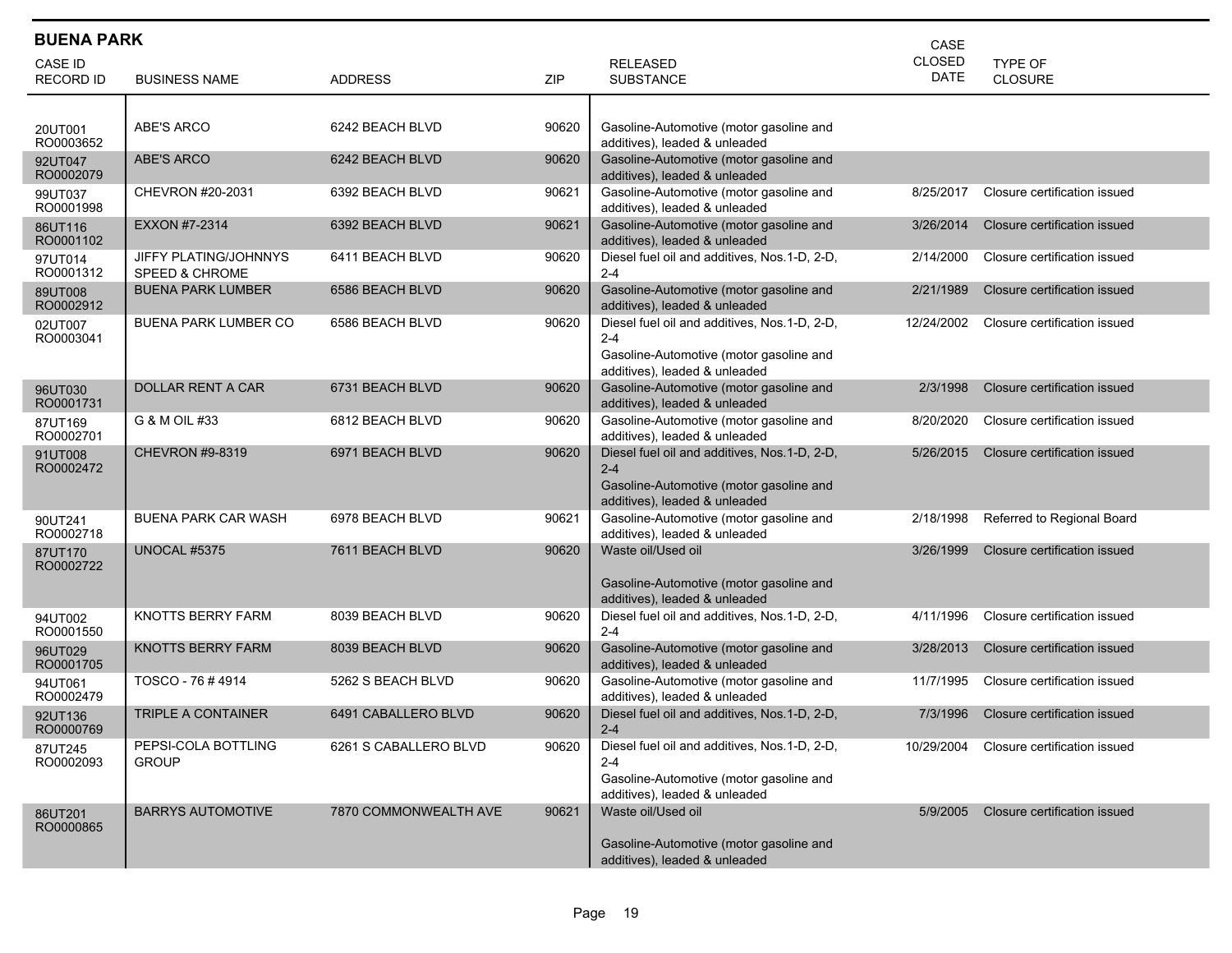| <b>BUENA PARK</b><br>CASE |                                                    |                       |       |                                                                                                                                     |               |                              |  |  |  |
|---------------------------|----------------------------------------------------|-----------------------|-------|-------------------------------------------------------------------------------------------------------------------------------------|---------------|------------------------------|--|--|--|
| CASE ID                   |                                                    |                       |       | <b>RELEASED</b>                                                                                                                     | <b>CLOSED</b> | TYPE OF                      |  |  |  |
| <b>RECORD ID</b>          | <b>BUSINESS NAME</b>                               | <b>ADDRESS</b>        | ZIP   | <b>SUBSTANCE</b>                                                                                                                    | DATE          | <b>CLOSURE</b>               |  |  |  |
|                           |                                                    |                       |       |                                                                                                                                     |               |                              |  |  |  |
| 20UT001<br>RO0003652      | ABE'S ARCO                                         | 6242 BEACH BLVD       | 90620 | Gasoline-Automotive (motor gasoline and<br>additives), leaded & unleaded                                                            |               |                              |  |  |  |
| 92UT047<br>RO0002079      | ABE'S ARCO                                         | 6242 BEACH BLVD       | 90620 | Gasoline-Automotive (motor gasoline and<br>additives), leaded & unleaded                                                            |               |                              |  |  |  |
| 99UT037<br>RO0001998      | CHEVRON #20-2031                                   | 6392 BEACH BLVD       | 90621 | Gasoline-Automotive (motor gasoline and<br>additives), leaded & unleaded                                                            | 8/25/2017     | Closure certification issued |  |  |  |
| 86UT116<br>RO0001102      | EXXON #7-2314                                      | 6392 BEACH BLVD       | 90621 | Gasoline-Automotive (motor gasoline and<br>additives), leaded & unleaded                                                            | 3/26/2014     | Closure certification issued |  |  |  |
| 97UT014<br>RO0001312      | JIFFY PLATING/JOHNNYS<br><b>SPEED &amp; CHROME</b> | 6411 BEACH BLVD       | 90620 | Diesel fuel oil and additives, Nos.1-D, 2-D,<br>$2 - 4$                                                                             | 2/14/2000     | Closure certification issued |  |  |  |
| 89UT008<br>RO0002912      | <b>BUENA PARK LUMBER</b>                           | 6586 BEACH BLVD       | 90620 | Gasoline-Automotive (motor gasoline and<br>additives), leaded & unleaded                                                            | 2/21/1989     | Closure certification issued |  |  |  |
| 02UT007<br>RO0003041      | <b>BUENA PARK LUMBER CO</b>                        | 6586 BEACH BLVD       | 90620 | Diesel fuel oil and additives, Nos.1-D, 2-D,<br>$2 - 4$<br>Gasoline-Automotive (motor gasoline and<br>additives), leaded & unleaded | 12/24/2002    | Closure certification issued |  |  |  |
| 96UT030<br>RO0001731      | <b>DOLLAR RENT A CAR</b>                           | 6731 BEACH BLVD       | 90620 | Gasoline-Automotive (motor gasoline and<br>additives), leaded & unleaded                                                            | 2/3/1998      | Closure certification issued |  |  |  |
| 87UT169<br>RO0002701      | G & M OIL #33                                      | 6812 BEACH BLVD       | 90620 | Gasoline-Automotive (motor gasoline and<br>additives), leaded & unleaded                                                            | 8/20/2020     | Closure certification issued |  |  |  |
| 91UT008<br>RO0002472      | <b>CHEVRON #9-8319</b>                             | 6971 BEACH BLVD       | 90620 | Diesel fuel oil and additives, Nos.1-D, 2-D,<br>$2 - 4$<br>Gasoline-Automotive (motor gasoline and<br>additives), leaded & unleaded | 5/26/2015     | Closure certification issued |  |  |  |
| 90UT241<br>RO0002718      | <b>BUENA PARK CAR WASH</b>                         | 6978 BEACH BLVD       | 90621 | Gasoline-Automotive (motor gasoline and<br>additives), leaded & unleaded                                                            | 2/18/1998     | Referred to Regional Board   |  |  |  |
| 87UT170<br>RO0002722      | <b>UNOCAL #5375</b>                                | 7611 BEACH BLVD       | 90620 | Waste oil/Used oil<br>Gasoline-Automotive (motor gasoline and<br>additives), leaded & unleaded                                      | 3/26/1999     | Closure certification issued |  |  |  |
| 94UT002<br>RO0001550      | KNOTTS BERRY FARM                                  | 8039 BEACH BLVD       | 90620 | Diesel fuel oil and additives, Nos.1-D, 2-D,<br>$2 - 4$                                                                             | 4/11/1996     | Closure certification issued |  |  |  |
| 96UT029<br>RO0001705      | <b>KNOTTS BERRY FARM</b>                           | 8039 BEACH BLVD       | 90620 | Gasoline-Automotive (motor gasoline and<br>additives), leaded & unleaded                                                            | 3/28/2013     | Closure certification issued |  |  |  |
| 94UT061<br>RO0002479      | TOSCO - 76 # 4914                                  | 5262 S BEACH BLVD     | 90620 | Gasoline-Automotive (motor gasoline and<br>additives), leaded & unleaded                                                            | 11/7/1995     | Closure certification issued |  |  |  |
| 92UT136<br>RO0000769      | <b>TRIPLE A CONTAINER</b>                          | 6491 CABALLERO BLVD   | 90620 | Diesel fuel oil and additives, Nos.1-D, 2-D,<br>$2 - 4$                                                                             | 7/3/1996      | Closure certification issued |  |  |  |
| 87UT245<br>RO0002093      | PEPSI-COLA BOTTLING<br><b>GROUP</b>                | 6261 S CABALLERO BLVD | 90620 | Diesel fuel oil and additives, Nos.1-D, 2-D,<br>2-4<br>Gasoline-Automotive (motor gasoline and<br>additives), leaded & unleaded     | 10/29/2004    | Closure certification issued |  |  |  |
| 86UT201<br>RO0000865      | <b>BARRYS AUTOMOTIVE</b>                           | 7870 COMMONWEALTH AVE | 90621 | Waste oil/Used oil<br>Gasoline-Automotive (motor gasoline and<br>additives), leaded & unleaded                                      | 5/9/2005      | Closure certification issued |  |  |  |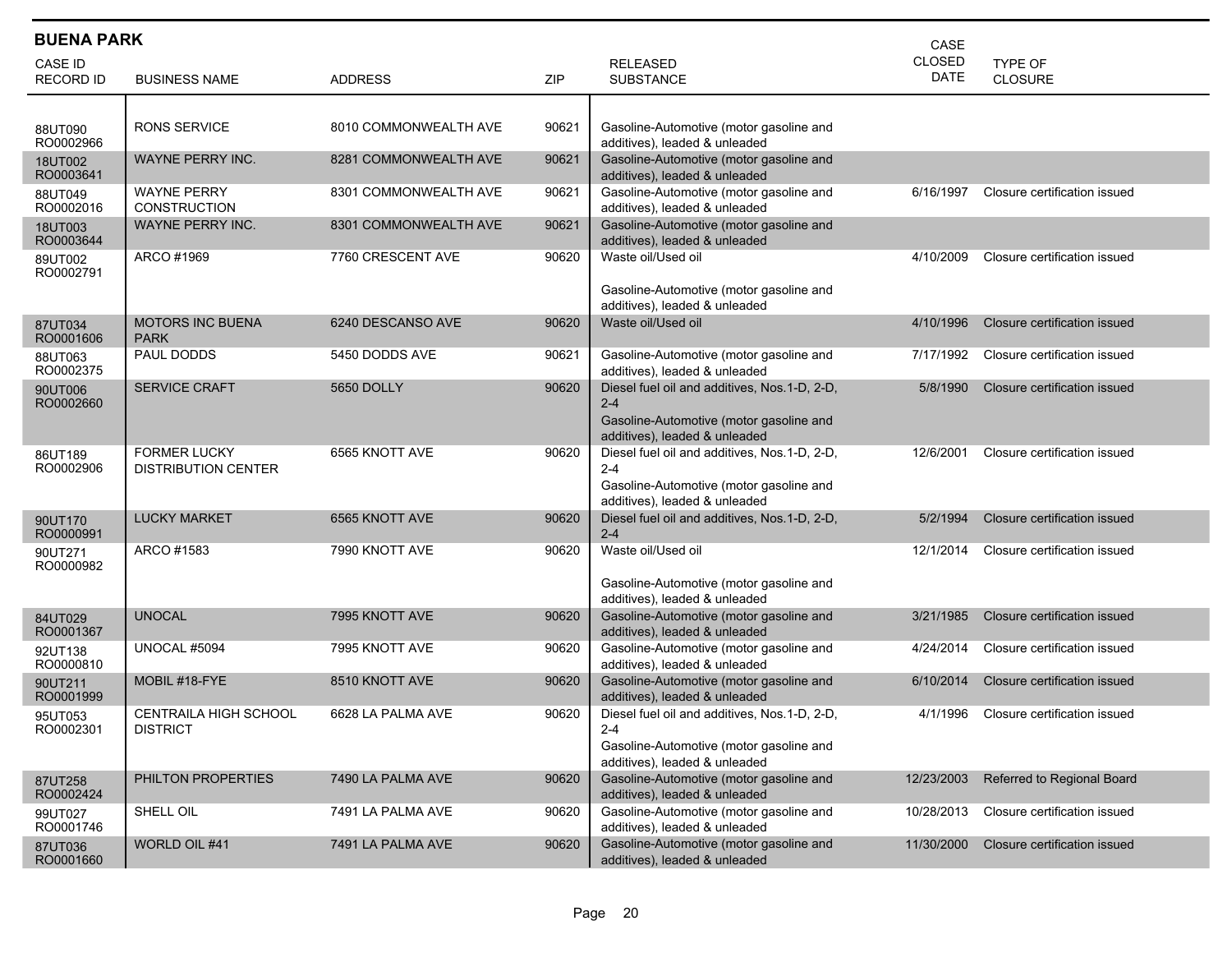| <b>BUENA PARK</b><br>CASE   |                                                   |                       |       |                                                                                                                                     |                       |                              |  |  |
|-----------------------------|---------------------------------------------------|-----------------------|-------|-------------------------------------------------------------------------------------------------------------------------------------|-----------------------|------------------------------|--|--|
| CASE ID<br><b>RECORD ID</b> | <b>BUSINESS NAME</b>                              | <b>ADDRESS</b>        | ZIP   | <b>RELEASED</b><br><b>SUBSTANCE</b>                                                                                                 | CLOSED<br><b>DATE</b> | TYPE OF<br><b>CLOSURE</b>    |  |  |
| 88UT090<br>RO0002966        | <b>RONS SERVICE</b>                               | 8010 COMMONWEALTH AVE | 90621 | Gasoline-Automotive (motor gasoline and<br>additives), leaded & unleaded                                                            |                       |                              |  |  |
| 18UT002<br>RO0003641        | WAYNE PERRY INC.                                  | 8281 COMMONWEALTH AVE | 90621 | Gasoline-Automotive (motor gasoline and<br>additives), leaded & unleaded                                                            |                       |                              |  |  |
| 88UT049<br>RO0002016        | <b>WAYNE PERRY</b><br><b>CONSTRUCTION</b>         | 8301 COMMONWEALTH AVE | 90621 | Gasoline-Automotive (motor gasoline and<br>additives), leaded & unleaded                                                            | 6/16/1997             | Closure certification issued |  |  |
| 18UT003<br>RO0003644        | WAYNE PERRY INC.                                  | 8301 COMMONWEALTH AVE | 90621 | Gasoline-Automotive (motor gasoline and<br>additives), leaded & unleaded                                                            |                       |                              |  |  |
| 89UT002<br>RO0002791        | ARCO #1969                                        | 7760 CRESCENT AVE     | 90620 | Waste oil/Used oil<br>Gasoline-Automotive (motor gasoline and                                                                       | 4/10/2009             | Closure certification issued |  |  |
|                             | <b>MOTORS INC BUENA</b>                           | 6240 DESCANSO AVE     | 90620 | additives), leaded & unleaded<br>Waste oil/Used oil                                                                                 | 4/10/1996             | Closure certification issued |  |  |
| 87UT034<br>RO0001606        | <b>PARK</b>                                       |                       |       |                                                                                                                                     |                       |                              |  |  |
| 88UT063<br>RO0002375        | PAUL DODDS                                        | 5450 DODDS AVE        | 90621 | Gasoline-Automotive (motor gasoline and<br>additives), leaded & unleaded                                                            | 7/17/1992             | Closure certification issued |  |  |
| 90UT006<br>RO0002660        | <b>SERVICE CRAFT</b>                              | 5650 DOLLY            | 90620 | Diesel fuel oil and additives, Nos.1-D, 2-D,<br>$2 - 4$<br>Gasoline-Automotive (motor gasoline and<br>additives), leaded & unleaded | 5/8/1990              | Closure certification issued |  |  |
| 86UT189<br>RO0002906        | <b>FORMER LUCKY</b><br><b>DISTRIBUTION CENTER</b> | 6565 KNOTT AVE        | 90620 | Diesel fuel oil and additives, Nos.1-D, 2-D,<br>$2 - 4$<br>Gasoline-Automotive (motor gasoline and<br>additives), leaded & unleaded | 12/6/2001             | Closure certification issued |  |  |
| 90UT170<br>RO0000991        | <b>LUCKY MARKET</b>                               | 6565 KNOTT AVE        | 90620 | Diesel fuel oil and additives, Nos.1-D, 2-D,<br>$2 - 4$                                                                             | 5/2/1994              | Closure certification issued |  |  |
| 90UT271<br>RO0000982        | ARCO #1583                                        | 7990 KNOTT AVE        | 90620 | Waste oil/Used oil<br>Gasoline-Automotive (motor gasoline and<br>additives), leaded & unleaded                                      | 12/1/2014             | Closure certification issued |  |  |
| 84UT029<br>RO0001367        | <b>UNOCAL</b>                                     | 7995 KNOTT AVE        | 90620 | Gasoline-Automotive (motor gasoline and<br>additives), leaded & unleaded                                                            | 3/21/1985             | Closure certification issued |  |  |
| 92UT138<br>RO0000810        | UNOCAL #5094                                      | 7995 KNOTT AVE        | 90620 | Gasoline-Automotive (motor gasoline and<br>additives), leaded & unleaded                                                            | 4/24/2014             | Closure certification issued |  |  |
| 90UT211<br>RO0001999        | MOBIL #18-FYE                                     | 8510 KNOTT AVE        | 90620 | Gasoline-Automotive (motor gasoline and<br>additives), leaded & unleaded                                                            | 6/10/2014             | Closure certification issued |  |  |
| 95UT053<br>RO0002301        | <b>CENTRAILA HIGH SCHOOL</b><br><b>DISTRICT</b>   | 6628 LA PALMA AVE     | 90620 | Diesel fuel oil and additives, Nos.1-D, 2-D,<br>$2 - 4$<br>Gasoline-Automotive (motor gasoline and<br>additives), leaded & unleaded | 4/1/1996              | Closure certification issued |  |  |
| 87UT258<br>RO0002424        | PHILTON PROPERTIES                                | 7490 LA PALMA AVE     | 90620 | Gasoline-Automotive (motor gasoline and<br>additives), leaded & unleaded                                                            | 12/23/2003            | Referred to Regional Board   |  |  |
| 99UT027<br>RO0001746        | SHELL OIL                                         | 7491 LA PALMA AVE     | 90620 | Gasoline-Automotive (motor gasoline and<br>additives), leaded & unleaded                                                            | 10/28/2013            | Closure certification issued |  |  |
| 87UT036<br>RO0001660        | WORLD OIL #41                                     | 7491 LA PALMA AVE     | 90620 | Gasoline-Automotive (motor gasoline and<br>additives), leaded & unleaded                                                            | 11/30/2000            | Closure certification issued |  |  |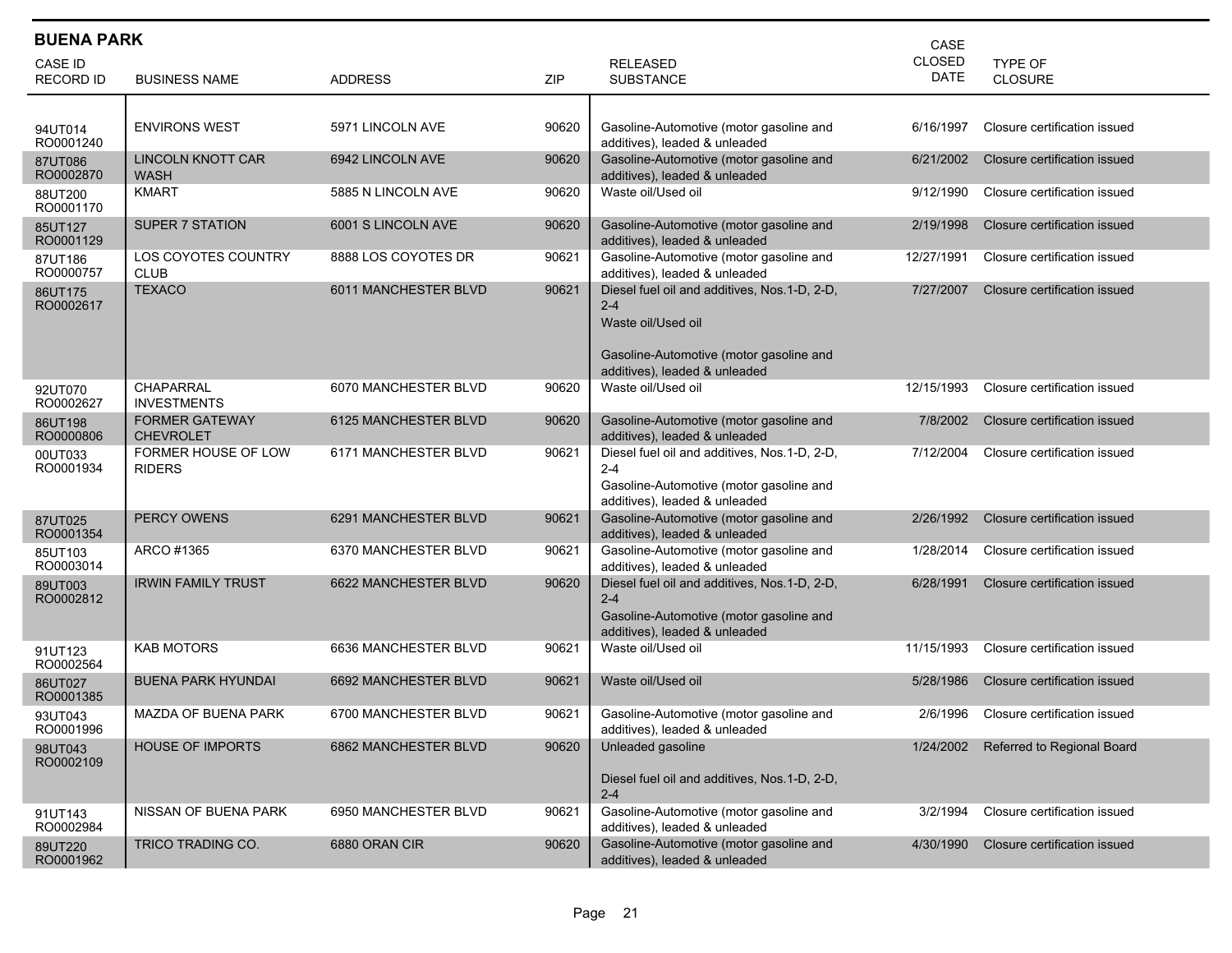| <b>BUENA PARK</b><br>CASE |                                           |                      |       |                                                                                                                                                           |                              |                              |  |  |  |
|---------------------------|-------------------------------------------|----------------------|-------|-----------------------------------------------------------------------------------------------------------------------------------------------------------|------------------------------|------------------------------|--|--|--|
| CASE ID                   |                                           |                      |       | <b>RELEASED</b>                                                                                                                                           | <b>CLOSED</b><br><b>DATE</b> | <b>TYPE OF</b>               |  |  |  |
| <b>RECORD ID</b>          | <b>BUSINESS NAME</b>                      | <b>ADDRESS</b>       | ZIP   | <b>SUBSTANCE</b>                                                                                                                                          |                              | <b>CLOSURE</b>               |  |  |  |
|                           |                                           |                      |       |                                                                                                                                                           |                              |                              |  |  |  |
| 94UT014<br>RO0001240      | <b>ENVIRONS WEST</b>                      | 5971 LINCOLN AVE     | 90620 | Gasoline-Automotive (motor gasoline and<br>additives), leaded & unleaded                                                                                  | 6/16/1997                    | Closure certification issued |  |  |  |
| 87UT086<br>RO0002870      | <b>LINCOLN KNOTT CAR</b><br><b>WASH</b>   | 6942 LINCOLN AVE     | 90620 | Gasoline-Automotive (motor gasoline and<br>additives), leaded & unleaded                                                                                  | 6/21/2002                    | Closure certification issued |  |  |  |
| 88UT200<br>RO0001170      | <b>KMART</b>                              | 5885 N LINCOLN AVE   | 90620 | Waste oil/Used oil                                                                                                                                        | 9/12/1990                    | Closure certification issued |  |  |  |
| 85UT127<br>RO0001129      | <b>SUPER 7 STATION</b>                    | 6001 S LINCOLN AVE   | 90620 | Gasoline-Automotive (motor gasoline and<br>additives), leaded & unleaded                                                                                  | 2/19/1998                    | Closure certification issued |  |  |  |
| 87UT186<br>RO0000757      | LOS COYOTES COUNTRY<br><b>CLUB</b>        | 8888 LOS COYOTES DR  | 90621 | Gasoline-Automotive (motor gasoline and<br>additives), leaded & unleaded                                                                                  | 12/27/1991                   | Closure certification issued |  |  |  |
| 86UT175<br>RO0002617      | <b>TEXACO</b>                             | 6011 MANCHESTER BLVD | 90621 | Diesel fuel oil and additives, Nos.1-D, 2-D,<br>$2 - 4$<br>Waste oil/Used oil<br>Gasoline-Automotive (motor gasoline and<br>additives), leaded & unleaded | 7/27/2007                    | Closure certification issued |  |  |  |
| 92UT070<br>RO0002627      | CHAPARRAL<br><b>INVESTMENTS</b>           | 6070 MANCHESTER BLVD | 90620 | Waste oil/Used oil                                                                                                                                        | 12/15/1993                   | Closure certification issued |  |  |  |
| 86UT198<br>RO0000806      | <b>FORMER GATEWAY</b><br><b>CHEVROLET</b> | 6125 MANCHESTER BLVD | 90620 | Gasoline-Automotive (motor gasoline and<br>additives), leaded & unleaded                                                                                  | 7/8/2002                     | Closure certification issued |  |  |  |
| 00UT033<br>RO0001934      | FORMER HOUSE OF LOW<br><b>RIDERS</b>      | 6171 MANCHESTER BLVD | 90621 | Diesel fuel oil and additives, Nos.1-D, 2-D,<br>$2 - 4$<br>Gasoline-Automotive (motor gasoline and<br>additives), leaded & unleaded                       | 7/12/2004                    | Closure certification issued |  |  |  |
| 87UT025<br>RO0001354      | <b>PERCY OWENS</b>                        | 6291 MANCHESTER BLVD | 90621 | Gasoline-Automotive (motor gasoline and<br>additives), leaded & unleaded                                                                                  | 2/26/1992                    | Closure certification issued |  |  |  |
| 85UT103<br>RO0003014      | ARCO #1365                                | 6370 MANCHESTER BLVD | 90621 | Gasoline-Automotive (motor gasoline and<br>additives), leaded & unleaded                                                                                  | 1/28/2014                    | Closure certification issued |  |  |  |
| 89UT003<br>RO0002812      | <b>IRWIN FAMILY TRUST</b>                 | 6622 MANCHESTER BLVD | 90620 | Diesel fuel oil and additives, Nos.1-D, 2-D,<br>$2 - 4$<br>Gasoline-Automotive (motor gasoline and<br>additives), leaded & unleaded                       | 6/28/1991                    | Closure certification issued |  |  |  |
| 91UT123<br>RO0002564      | <b>KAB MOTORS</b>                         | 6636 MANCHESTER BLVD | 90621 | Waste oil/Used oil                                                                                                                                        | 11/15/1993                   | Closure certification issued |  |  |  |
| 86UT027<br>RO0001385      | <b>BUENA PARK HYUNDAI</b>                 | 6692 MANCHESTER BLVD | 90621 | Waste oil/Used oil                                                                                                                                        | 5/28/1986                    | Closure certification issued |  |  |  |
| 93UT043<br>RO0001996      | <b>MAZDA OF BUENA PARK</b>                | 6700 MANCHESTER BLVD | 90621 | Gasoline-Automotive (motor gasoline and<br>additives), leaded & unleaded                                                                                  | 2/6/1996                     | Closure certification issued |  |  |  |
| 98UT043<br>RO0002109      | <b>HOUSE OF IMPORTS</b>                   | 6862 MANCHESTER BLVD | 90620 | Unleaded gasoline<br>Diesel fuel oil and additives, Nos.1-D, 2-D,<br>$2 - 4$                                                                              | 1/24/2002                    | Referred to Regional Board   |  |  |  |
| 91UT143<br>RO0002984      | NISSAN OF BUENA PARK                      | 6950 MANCHESTER BLVD | 90621 | Gasoline-Automotive (motor gasoline and<br>additives), leaded & unleaded                                                                                  | 3/2/1994                     | Closure certification issued |  |  |  |
| 89UT220<br>RO0001962      | TRICO TRADING CO.                         | 6880 ORAN CIR        | 90620 | Gasoline-Automotive (motor gasoline and<br>additives), leaded & unleaded                                                                                  | 4/30/1990                    | Closure certification issued |  |  |  |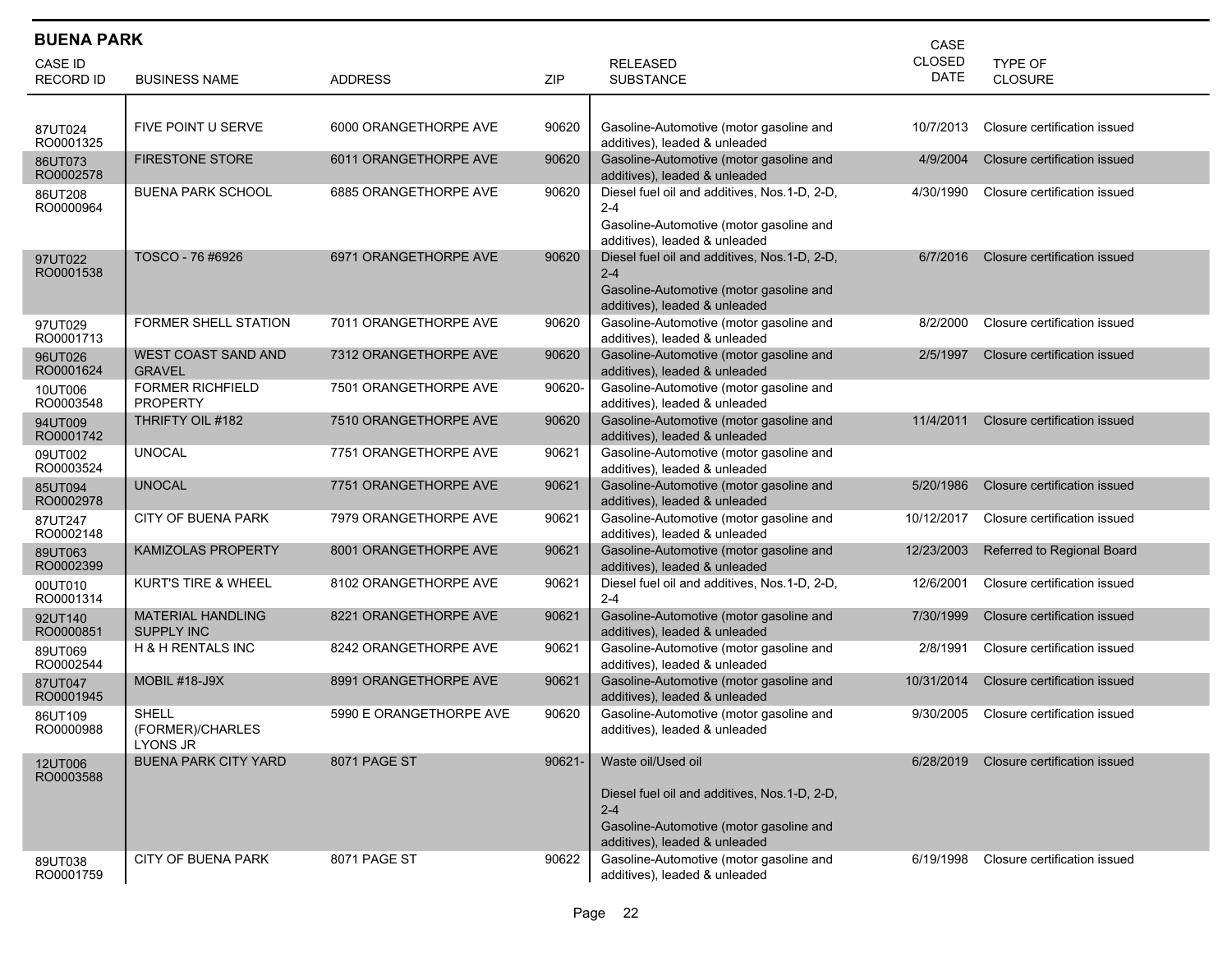| <b>BUENA PARK</b><br>CASE          |                                               |                         |        |                                                                                                                                                            |                              |                              |  |  |  |
|------------------------------------|-----------------------------------------------|-------------------------|--------|------------------------------------------------------------------------------------------------------------------------------------------------------------|------------------------------|------------------------------|--|--|--|
| <b>CASE ID</b><br><b>RECORD ID</b> | <b>BUSINESS NAME</b>                          | <b>ADDRESS</b>          | ZIP    | <b>RELEASED</b><br><b>SUBSTANCE</b>                                                                                                                        | <b>CLOSED</b><br><b>DATE</b> | TYPE OF<br><b>CLOSURE</b>    |  |  |  |
| 87UT024<br>RO0001325               | FIVE POINT U SERVE                            | 6000 ORANGETHORPE AVE   | 90620  | Gasoline-Automotive (motor gasoline and<br>additives), leaded & unleaded                                                                                   | 10/7/2013                    | Closure certification issued |  |  |  |
| 86UT073<br>RO0002578               | <b>FIRESTONE STORE</b>                        | 6011 ORANGETHORPE AVE   | 90620  | Gasoline-Automotive (motor gasoline and<br>additives), leaded & unleaded                                                                                   | 4/9/2004                     | Closure certification issued |  |  |  |
| 86UT208<br>RO0000964               | <b>BUENA PARK SCHOOL</b>                      | 6885 ORANGETHORPE AVE   | 90620  | Diesel fuel oil and additives, Nos.1-D, 2-D,<br>$2 - 4$<br>Gasoline-Automotive (motor gasoline and<br>additives), leaded & unleaded                        | 4/30/1990                    | Closure certification issued |  |  |  |
| 97UT022<br>RO0001538               | TOSCO - 76 #6926                              | 6971 ORANGETHORPE AVE   | 90620  | Diesel fuel oil and additives, Nos.1-D, 2-D,<br>$2 - 4$<br>Gasoline-Automotive (motor gasoline and<br>additives), leaded & unleaded                        | 6/7/2016                     | Closure certification issued |  |  |  |
| 97UT029<br>RO0001713               | FORMER SHELL STATION                          | 7011 ORANGETHORPE AVE   | 90620  | Gasoline-Automotive (motor gasoline and<br>additives), leaded & unleaded                                                                                   | 8/2/2000                     | Closure certification issued |  |  |  |
| 96UT026<br>RO0001624               | <b>WEST COAST SAND AND</b><br><b>GRAVEL</b>   | 7312 ORANGETHORPE AVE   | 90620  | Gasoline-Automotive (motor gasoline and<br>additives), leaded & unleaded                                                                                   | 2/5/1997                     | Closure certification issued |  |  |  |
| 10UT006<br>RO0003548               | <b>FORMER RICHFIELD</b><br><b>PROPERTY</b>    | 7501 ORANGETHORPE AVE   | 90620- | Gasoline-Automotive (motor gasoline and<br>additives), leaded & unleaded                                                                                   |                              |                              |  |  |  |
| 94UT009<br>RO0001742               | THRIFTY OIL #182                              | 7510 ORANGETHORPE AVE   | 90620  | Gasoline-Automotive (motor gasoline and<br>additives), leaded & unleaded                                                                                   | 11/4/2011                    | Closure certification issued |  |  |  |
| 09UT002<br>RO0003524               | <b>UNOCAL</b>                                 | 7751 ORANGETHORPE AVE   | 90621  | Gasoline-Automotive (motor gasoline and<br>additives), leaded & unleaded                                                                                   |                              |                              |  |  |  |
| 85UT094<br>RO0002978               | <b>UNOCAL</b>                                 | 7751 ORANGETHORPE AVE   | 90621  | Gasoline-Automotive (motor gasoline and<br>additives), leaded & unleaded                                                                                   | 5/20/1986                    | Closure certification issued |  |  |  |
| 87UT247<br>RO0002148               | <b>CITY OF BUENA PARK</b>                     | 7979 ORANGETHORPE AVE   | 90621  | Gasoline-Automotive (motor gasoline and<br>additives), leaded & unleaded                                                                                   | 10/12/2017                   | Closure certification issued |  |  |  |
| 89UT063<br>RO0002399               | <b>KAMIZOLAS PROPERTY</b>                     | 8001 ORANGETHORPE AVE   | 90621  | Gasoline-Automotive (motor gasoline and<br>additives), leaded & unleaded                                                                                   | 12/23/2003                   | Referred to Regional Board   |  |  |  |
| 00UT010<br>RO0001314               | <b>KURT'S TIRE &amp; WHEEL</b>                | 8102 ORANGETHORPE AVE   | 90621  | Diesel fuel oil and additives, Nos.1-D, 2-D,<br>$2 - 4$                                                                                                    | 12/6/2001                    | Closure certification issued |  |  |  |
| 92UT140<br>RO0000851               | <b>MATERIAL HANDLING</b><br><b>SUPPLY INC</b> | 8221 ORANGETHORPE AVE   | 90621  | Gasoline-Automotive (motor gasoline and<br>additives), leaded & unleaded                                                                                   | 7/30/1999                    | Closure certification issued |  |  |  |
| 89UT069<br>RO0002544               | H & H RENTALS INC                             | 8242 ORANGETHORPE AVE   | 90621  | Gasoline-Automotive (motor gasoline and<br>additives), leaded & unleaded                                                                                   | 2/8/1991                     | Closure certification issued |  |  |  |
| 87UT047<br>RO0001945               | <b>MOBIL #18-J9X</b>                          | 8991 ORANGETHORPE AVE   | 90621  | Gasoline-Automotive (motor gasoline and<br>additives), leaded & unleaded                                                                                   | 10/31/2014                   | Closure certification issued |  |  |  |
| 86UT109<br>RO0000988               | <b>SHELL</b><br>(FORMER)/CHARLES<br>LYONS JR  | 5990 E ORANGETHORPE AVE | 90620  | Gasoline-Automotive (motor gasoline and<br>additives), leaded & unleaded                                                                                   | 9/30/2005                    | Closure certification issued |  |  |  |
| 12UT006<br>RO0003588               | <b>BUENA PARK CITY YARD</b>                   | 8071 PAGE ST            | 90621- | Waste oil/Used oil<br>Diesel fuel oil and additives, Nos. 1-D, 2-D,<br>$2 - 4$<br>Gasoline-Automotive (motor gasoline and<br>additives), leaded & unleaded | 6/28/2019                    | Closure certification issued |  |  |  |
| 89UT038<br>RO0001759               | <b>CITY OF BUENA PARK</b>                     | 8071 PAGE ST            | 90622  | Gasoline-Automotive (motor gasoline and<br>additives), leaded & unleaded                                                                                   | 6/19/1998                    | Closure certification issued |  |  |  |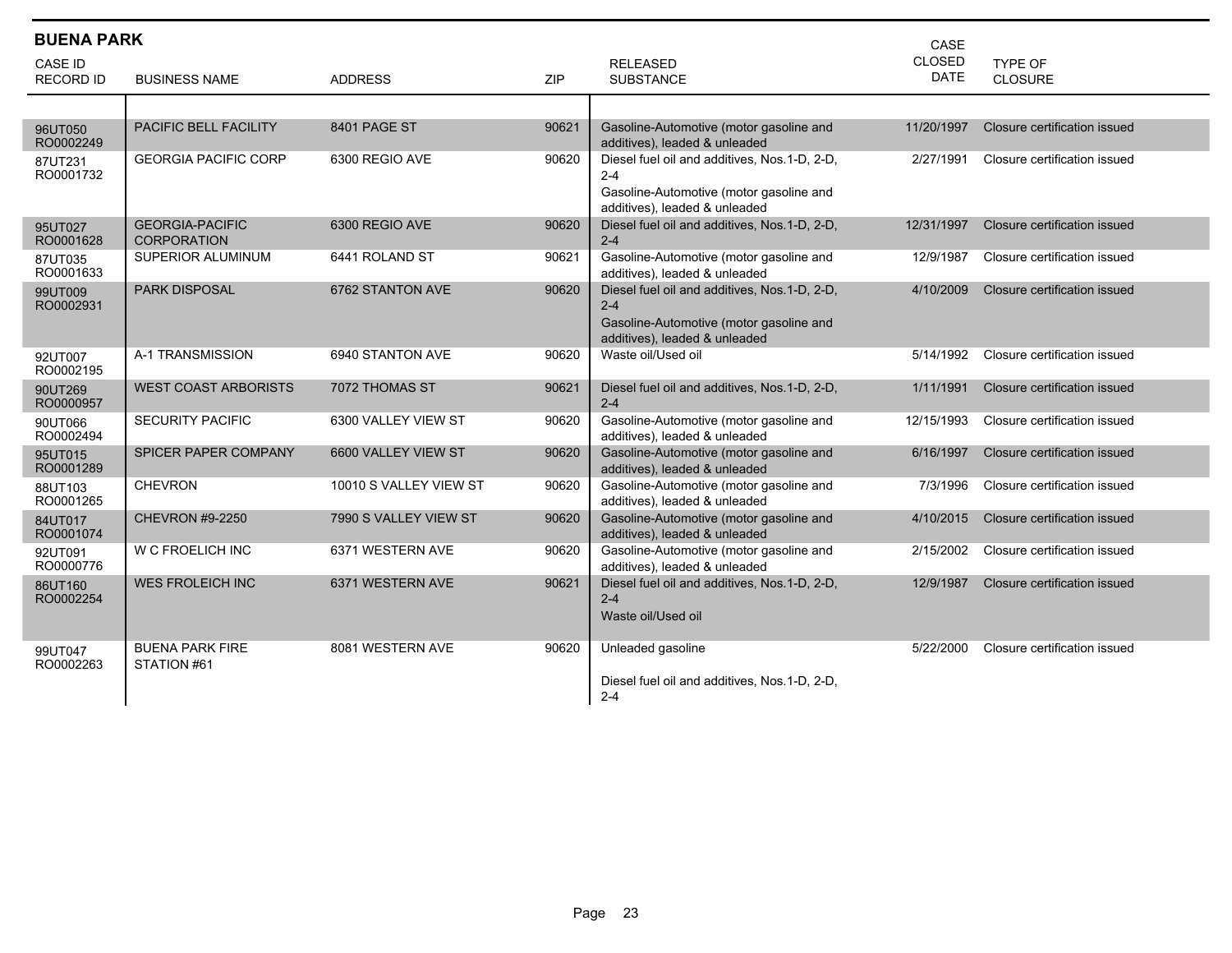|                      | <b>BUENA PARK</b><br>CASE                    |                        |       |                                                                                                                                     |               |                              |  |  |  |
|----------------------|----------------------------------------------|------------------------|-------|-------------------------------------------------------------------------------------------------------------------------------------|---------------|------------------------------|--|--|--|
| CASE ID              |                                              |                        |       | <b>RELEASED</b>                                                                                                                     | <b>CLOSED</b> | <b>TYPE OF</b>               |  |  |  |
| <b>RECORD ID</b>     | <b>BUSINESS NAME</b>                         | <b>ADDRESS</b>         | ZIP   | <b>SUBSTANCE</b>                                                                                                                    | <b>DATE</b>   | <b>CLOSURE</b>               |  |  |  |
|                      |                                              |                        |       |                                                                                                                                     |               |                              |  |  |  |
| 96UT050<br>RO0002249 | PACIFIC BELL FACILITY                        | 8401 PAGE ST           | 90621 | Gasoline-Automotive (motor gasoline and<br>additives), leaded & unleaded                                                            | 11/20/1997    | Closure certification issued |  |  |  |
| 87UT231<br>RO0001732 | <b>GEORGIA PACIFIC CORP</b>                  | 6300 REGIO AVE         | 90620 | Diesel fuel oil and additives, Nos.1-D, 2-D,<br>$2 - 4$<br>Gasoline-Automotive (motor gasoline and<br>additives), leaded & unleaded | 2/27/1991     | Closure certification issued |  |  |  |
| 95UT027<br>RO0001628 | <b>GEORGIA-PACIFIC</b><br><b>CORPORATION</b> | 6300 REGIO AVE         | 90620 | Diesel fuel oil and additives, Nos.1-D, 2-D,<br>$2 - 4$                                                                             | 12/31/1997    | Closure certification issued |  |  |  |
| 87UT035<br>RO0001633 | SUPERIOR ALUMINUM                            | 6441 ROLAND ST         | 90621 | Gasoline-Automotive (motor gasoline and<br>additives), leaded & unleaded                                                            | 12/9/1987     | Closure certification issued |  |  |  |
| 99UT009<br>RO0002931 | <b>PARK DISPOSAL</b>                         | 6762 STANTON AVE       | 90620 | Diesel fuel oil and additives, Nos.1-D, 2-D,<br>$2 - 4$<br>Gasoline-Automotive (motor gasoline and<br>additives), leaded & unleaded | 4/10/2009     | Closure certification issued |  |  |  |
| 92UT007<br>RO0002195 | A-1 TRANSMISSION                             | 6940 STANTON AVE       | 90620 | Waste oil/Used oil                                                                                                                  | 5/14/1992     | Closure certification issued |  |  |  |
| 90UT269<br>RO0000957 | <b>WEST COAST ARBORISTS</b>                  | 7072 THOMAS ST         | 90621 | Diesel fuel oil and additives, Nos.1-D, 2-D,<br>$2 - 4$                                                                             | 1/11/1991     | Closure certification issued |  |  |  |
| 90UT066<br>RO0002494 | <b>SECURITY PACIFIC</b>                      | 6300 VALLEY VIEW ST    | 90620 | Gasoline-Automotive (motor gasoline and<br>additives), leaded & unleaded                                                            | 12/15/1993    | Closure certification issued |  |  |  |
| 95UT015<br>RO0001289 | SPICER PAPER COMPANY                         | 6600 VALLEY VIEW ST    | 90620 | Gasoline-Automotive (motor gasoline and<br>additives), leaded & unleaded                                                            | 6/16/1997     | Closure certification issued |  |  |  |
| 88UT103<br>RO0001265 | <b>CHEVRON</b>                               | 10010 S VALLEY VIEW ST | 90620 | Gasoline-Automotive (motor gasoline and<br>additives), leaded & unleaded                                                            | 7/3/1996      | Closure certification issued |  |  |  |
| 84UT017<br>RO0001074 | <b>CHEVRON #9-2250</b>                       | 7990 S VALLEY VIEW ST  | 90620 | Gasoline-Automotive (motor gasoline and<br>additives), leaded & unleaded                                                            | 4/10/2015     | Closure certification issued |  |  |  |
| 92UT091<br>RO0000776 | W C FROELICH INC                             | 6371 WESTERN AVE       | 90620 | Gasoline-Automotive (motor gasoline and<br>additives), leaded & unleaded                                                            | 2/15/2002     | Closure certification issued |  |  |  |
| 86UT160<br>RO0002254 | <b>WES FROLEICH INC</b>                      | 6371 WESTERN AVE       | 90621 | Diesel fuel oil and additives, Nos.1-D, 2-D,<br>$2 - 4$<br>Waste oil/Used oil                                                       | 12/9/1987     | Closure certification issued |  |  |  |
| 99UT047<br>RO0002263 | <b>BUENA PARK FIRE</b><br>STATION #61        | 8081 WESTERN AVE       | 90620 | Unleaded gasoline<br>Diesel fuel oil and additives, Nos.1-D, 2-D,<br>$2 - 4$                                                        | 5/22/2000     | Closure certification issued |  |  |  |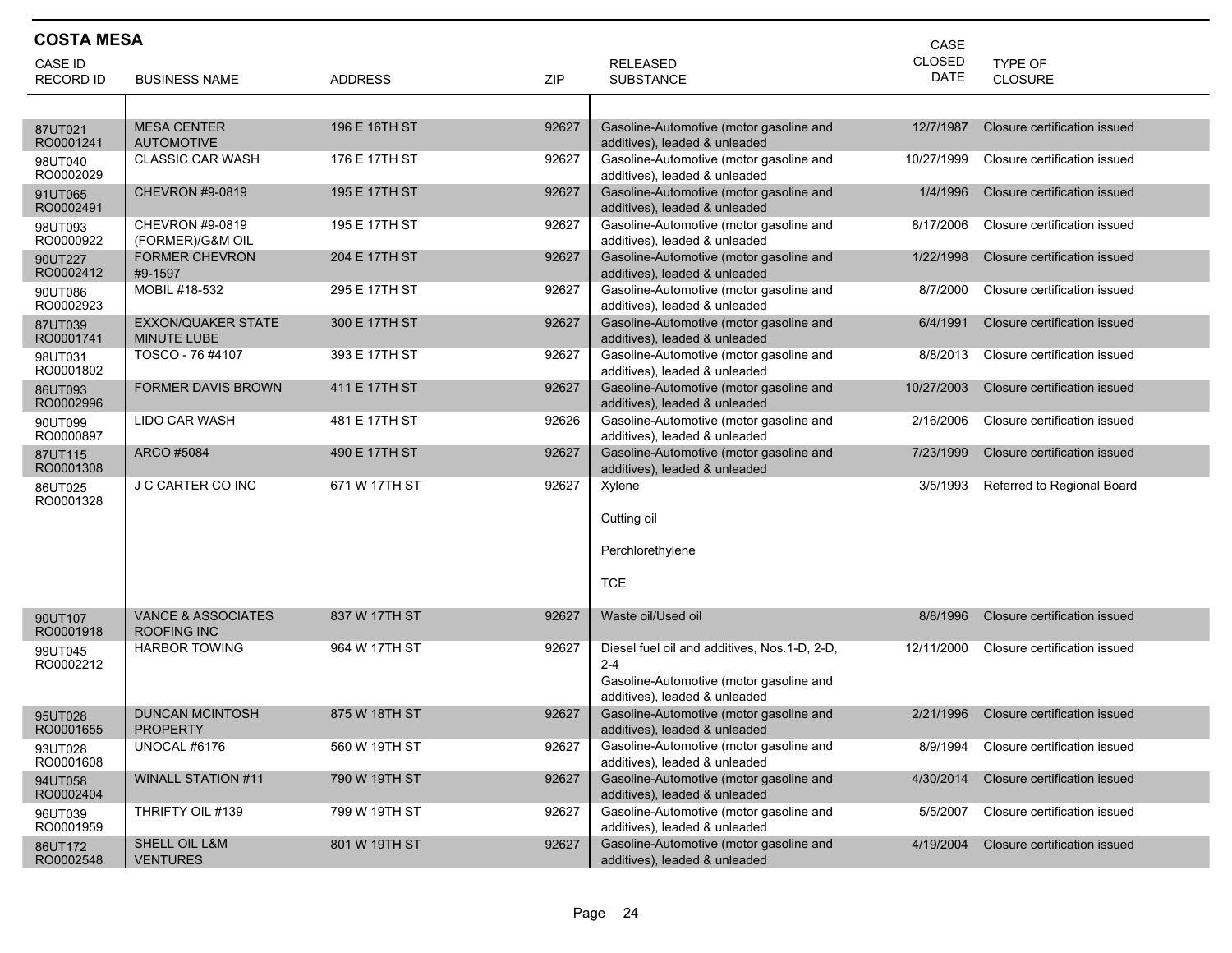| <b>COSTA MESA</b><br>CASE |                                                     |                |       |                                                                                                                                     |            |                              |  |  |
|---------------------------|-----------------------------------------------------|----------------|-------|-------------------------------------------------------------------------------------------------------------------------------------|------------|------------------------------|--|--|
| CASE ID                   |                                                     |                |       | <b>RELEASED</b>                                                                                                                     | CLOSED     | TYPE OF                      |  |  |
| <b>RECORD ID</b>          | <b>BUSINESS NAME</b>                                | <b>ADDRESS</b> | ZIP   | <b>SUBSTANCE</b>                                                                                                                    | DATE       | <b>CLOSURE</b>               |  |  |
|                           |                                                     |                |       |                                                                                                                                     |            |                              |  |  |
| 87UT021<br>RO0001241      | <b>MESA CENTER</b><br><b>AUTOMOTIVE</b>             | 196 E 16TH ST  | 92627 | Gasoline-Automotive (motor gasoline and<br>additives), leaded & unleaded                                                            | 12/7/1987  | Closure certification issued |  |  |
| 98UT040<br>RO0002029      | <b>CLASSIC CAR WASH</b>                             | 176 E 17TH ST  | 92627 | Gasoline-Automotive (motor gasoline and<br>additives), leaded & unleaded                                                            | 10/27/1999 | Closure certification issued |  |  |
| 91UT065<br>RO0002491      | CHEVRON #9-0819                                     | 195 E 17TH ST  | 92627 | Gasoline-Automotive (motor gasoline and<br>additives), leaded & unleaded                                                            | 1/4/1996   | Closure certification issued |  |  |
| 98UT093<br>RO0000922      | CHEVRON #9-0819<br>(FORMER)/G&M OIL                 | 195 E 17TH ST  | 92627 | Gasoline-Automotive (motor gasoline and<br>additives), leaded & unleaded                                                            | 8/17/2006  | Closure certification issued |  |  |
| 90UT227<br>RO0002412      | <b>FORMER CHEVRON</b><br>#9-1597                    | 204 E 17TH ST  | 92627 | Gasoline-Automotive (motor gasoline and<br>additives), leaded & unleaded                                                            | 1/22/1998  | Closure certification issued |  |  |
| 90UT086<br>RO0002923      | MOBIL #18-532                                       | 295 E 17TH ST  | 92627 | Gasoline-Automotive (motor gasoline and<br>additives), leaded & unleaded                                                            | 8/7/2000   | Closure certification issued |  |  |
| 87UT039<br>RO0001741      | <b>EXXON/QUAKER STATE</b><br><b>MINUTE LUBE</b>     | 300 E 17TH ST  | 92627 | Gasoline-Automotive (motor gasoline and<br>additives), leaded & unleaded                                                            | 6/4/1991   | Closure certification issued |  |  |
| 98UT031<br>RO0001802      | TOSCO - 76 #4107                                    | 393 E 17TH ST  | 92627 | Gasoline-Automotive (motor gasoline and<br>additives), leaded & unleaded                                                            | 8/8/2013   | Closure certification issued |  |  |
| 86UT093<br>RO0002996      | <b>FORMER DAVIS BROWN</b>                           | 411 E 17TH ST  | 92627 | Gasoline-Automotive (motor gasoline and<br>additives), leaded & unleaded                                                            | 10/27/2003 | Closure certification issued |  |  |
| 90UT099<br>RO0000897      | LIDO CAR WASH                                       | 481 E 17TH ST  | 92626 | Gasoline-Automotive (motor gasoline and<br>additives), leaded & unleaded                                                            | 2/16/2006  | Closure certification issued |  |  |
| 87UT115<br>RO0001308      | ARCO #5084                                          | 490 E 17TH ST  | 92627 | Gasoline-Automotive (motor gasoline and<br>additives), leaded & unleaded                                                            | 7/23/1999  | Closure certification issued |  |  |
| 86UT025<br>RO0001328      | J C CARTER CO INC                                   | 671 W 17TH ST  | 92627 | Xylene<br>Cutting oil<br>Perchlorethylene                                                                                           | 3/5/1993   | Referred to Regional Board   |  |  |
|                           |                                                     |                |       | <b>TCE</b>                                                                                                                          |            |                              |  |  |
| 90UT107<br>RO0001918      | <b>VANCE &amp; ASSOCIATES</b><br><b>ROOFING INC</b> | 837 W 17TH ST  | 92627 | Waste oil/Used oil                                                                                                                  | 8/8/1996   | Closure certification issued |  |  |
| 99UT045<br>RO0002212      | <b>HARBOR TOWING</b>                                | 964 W 17TH ST  | 92627 | Diesel fuel oil and additives, Nos.1-D, 2-D,<br>$2 - 4$<br>Gasoline-Automotive (motor gasoline and<br>additives), leaded & unleaded | 12/11/2000 | Closure certification issued |  |  |
| 95UT028<br>RO0001655      | <b>DUNCAN MCINTOSH</b><br><b>PROPERTY</b>           | 875 W 18TH ST  | 92627 | Gasoline-Automotive (motor gasoline and<br>additives), leaded & unleaded                                                            | 2/21/1996  | Closure certification issued |  |  |
| 93UT028<br>RO0001608      | UNOCAL #6176                                        | 560 W 19TH ST  | 92627 | Gasoline-Automotive (motor gasoline and<br>additives), leaded & unleaded                                                            | 8/9/1994   | Closure certification issued |  |  |
| 94UT058<br>RO0002404      | <b>WINALL STATION #11</b>                           | 790 W 19TH ST  | 92627 | Gasoline-Automotive (motor gasoline and<br>additives), leaded & unleaded                                                            | 4/30/2014  | Closure certification issued |  |  |
| 96UT039<br>RO0001959      | THRIFTY OIL #139                                    | 799 W 19TH ST  | 92627 | Gasoline-Automotive (motor gasoline and<br>additives), leaded & unleaded                                                            | 5/5/2007   | Closure certification issued |  |  |
| 86UT172<br>RO0002548      | SHELL OIL L&M<br><b>VENTURES</b>                    | 801 W 19TH ST  | 92627 | Gasoline-Automotive (motor gasoline and<br>additives), leaded & unleaded                                                            | 4/19/2004  | Closure certification issued |  |  |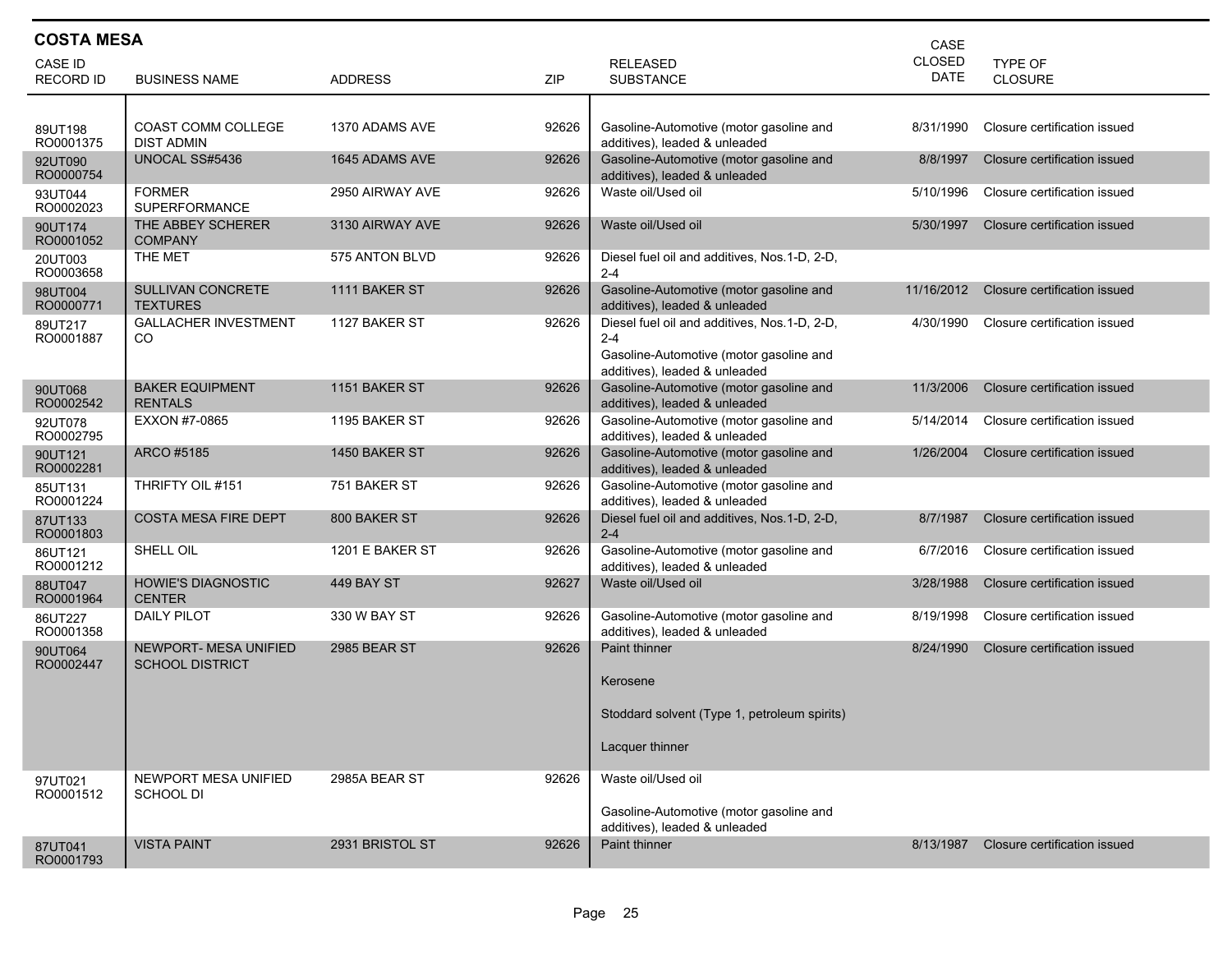| <b>COSTA MESA</b><br>CASE   |                                                        |                     |       |                                                                                                                                     |                              |                              |  |  |
|-----------------------------|--------------------------------------------------------|---------------------|-------|-------------------------------------------------------------------------------------------------------------------------------------|------------------------------|------------------------------|--|--|
| CASE ID<br><b>RECORD ID</b> | <b>BUSINESS NAME</b>                                   | <b>ADDRESS</b>      | ZIP   | <b>RELEASED</b><br><b>SUBSTANCE</b>                                                                                                 | <b>CLOSED</b><br><b>DATE</b> | <b>TYPE OF</b><br>CLOSURE    |  |  |
| 89UT198<br>RO0001375        | <b>COAST COMM COLLEGE</b><br><b>DIST ADMIN</b>         | 1370 ADAMS AVE      | 92626 | Gasoline-Automotive (motor gasoline and<br>additives), leaded & unleaded                                                            | 8/31/1990                    | Closure certification issued |  |  |
| 92UT090<br>RO0000754        | UNOCAL SS#5436                                         | 1645 ADAMS AVE      | 92626 | Gasoline-Automotive (motor gasoline and<br>additives), leaded & unleaded                                                            | 8/8/1997                     | Closure certification issued |  |  |
| 93UT044<br>RO0002023        | <b>FORMER</b><br><b>SUPERFORMANCE</b>                  | 2950 AIRWAY AVE     | 92626 | Waste oil/Used oil                                                                                                                  | 5/10/1996                    | Closure certification issued |  |  |
| 90UT174<br>RO0001052        | THE ABBEY SCHERER<br><b>COMPANY</b>                    | 3130 AIRWAY AVE     | 92626 | Waste oil/Used oil                                                                                                                  | 5/30/1997                    | Closure certification issued |  |  |
| 20UT003<br>RO0003658        | THE MET                                                | 575 ANTON BLVD      | 92626 | Diesel fuel oil and additives, Nos.1-D, 2-D,<br>$2 - 4$                                                                             |                              |                              |  |  |
| 98UT004<br>RO0000771        | <b>SULLIVAN CONCRETE</b><br>TEXTURES                   | 1111 BAKER ST       | 92626 | Gasoline-Automotive (motor gasoline and<br>additives), leaded & unleaded                                                            | 11/16/2012                   | Closure certification issued |  |  |
| 89UT217<br>RO0001887        | <b>GALLACHER INVESTMENT</b><br>CO.                     | 1127 BAKER ST       | 92626 | Diesel fuel oil and additives, Nos.1-D, 2-D,<br>$2 - 4$<br>Gasoline-Automotive (motor gasoline and<br>additives), leaded & unleaded | 4/30/1990                    | Closure certification issued |  |  |
| 90UT068<br>RO0002542        | <b>BAKER EQUIPMENT</b><br><b>RENTALS</b>               | 1151 BAKER ST       | 92626 | Gasoline-Automotive (motor gasoline and<br>additives), leaded & unleaded                                                            | 11/3/2006                    | Closure certification issued |  |  |
| 92UT078<br>RO0002795        | EXXON #7-0865                                          | 1195 BAKER ST       | 92626 | Gasoline-Automotive (motor gasoline and<br>additives), leaded & unleaded                                                            | 5/14/2014                    | Closure certification issued |  |  |
| 90UT121<br>RO0002281        | ARCO #5185                                             | 1450 BAKER ST       | 92626 | Gasoline-Automotive (motor gasoline and<br>additives), leaded & unleaded                                                            | 1/26/2004                    | Closure certification issued |  |  |
| 85UT131<br>RO0001224        | THRIFTY OIL #151                                       | 751 BAKER ST        | 92626 | Gasoline-Automotive (motor gasoline and<br>additives), leaded & unleaded                                                            |                              |                              |  |  |
| 87UT133<br>RO0001803        | <b>COSTA MESA FIRE DEPT</b>                            | 800 BAKER ST        | 92626 | Diesel fuel oil and additives, Nos.1-D, 2-D,<br>$2 - 4$                                                                             | 8/7/1987                     | Closure certification issued |  |  |
| 86UT121<br>RO0001212        | SHELL OIL                                              | 1201 E BAKER ST     | 92626 | Gasoline-Automotive (motor gasoline and<br>additives), leaded & unleaded                                                            | 6/7/2016                     | Closure certification issued |  |  |
| 88UT047<br>RO0001964        | <b>HOWIE'S DIAGNOSTIC</b><br><b>CENTER</b>             | 449 BAY ST          | 92627 | Waste oil/Used oil                                                                                                                  | 3/28/1988                    | Closure certification issued |  |  |
| 86UT227<br>RO0001358        | DAILY PILOT                                            | 330 W BAY ST        | 92626 | Gasoline-Automotive (motor gasoline and<br>additives), leaded & unleaded                                                            | 8/19/1998                    | Closure certification issued |  |  |
| 90UT064<br>RO0002447        | <b>NEWPORT- MESA UNIFIED</b><br><b>SCHOOL DISTRICT</b> | <b>2985 BEAR ST</b> | 92626 | <b>Paint thinner</b><br>Kerosene<br>Stoddard solvent (Type 1, petroleum spirits)<br>Lacquer thinner                                 | 8/24/1990                    | Closure certification issued |  |  |
| 97UT021<br>RO0001512        | NEWPORT MESA UNIFIED<br><b>SCHOOL DI</b>               | 2985A BEAR ST       | 92626 | Waste oil/Used oil<br>Gasoline-Automotive (motor gasoline and<br>additives), leaded & unleaded                                      |                              |                              |  |  |
| 87UT041<br>RO0001793        | <b>VISTA PAINT</b>                                     | 2931 BRISTOL ST     | 92626 | Paint thinner                                                                                                                       | 8/13/1987                    | Closure certification issued |  |  |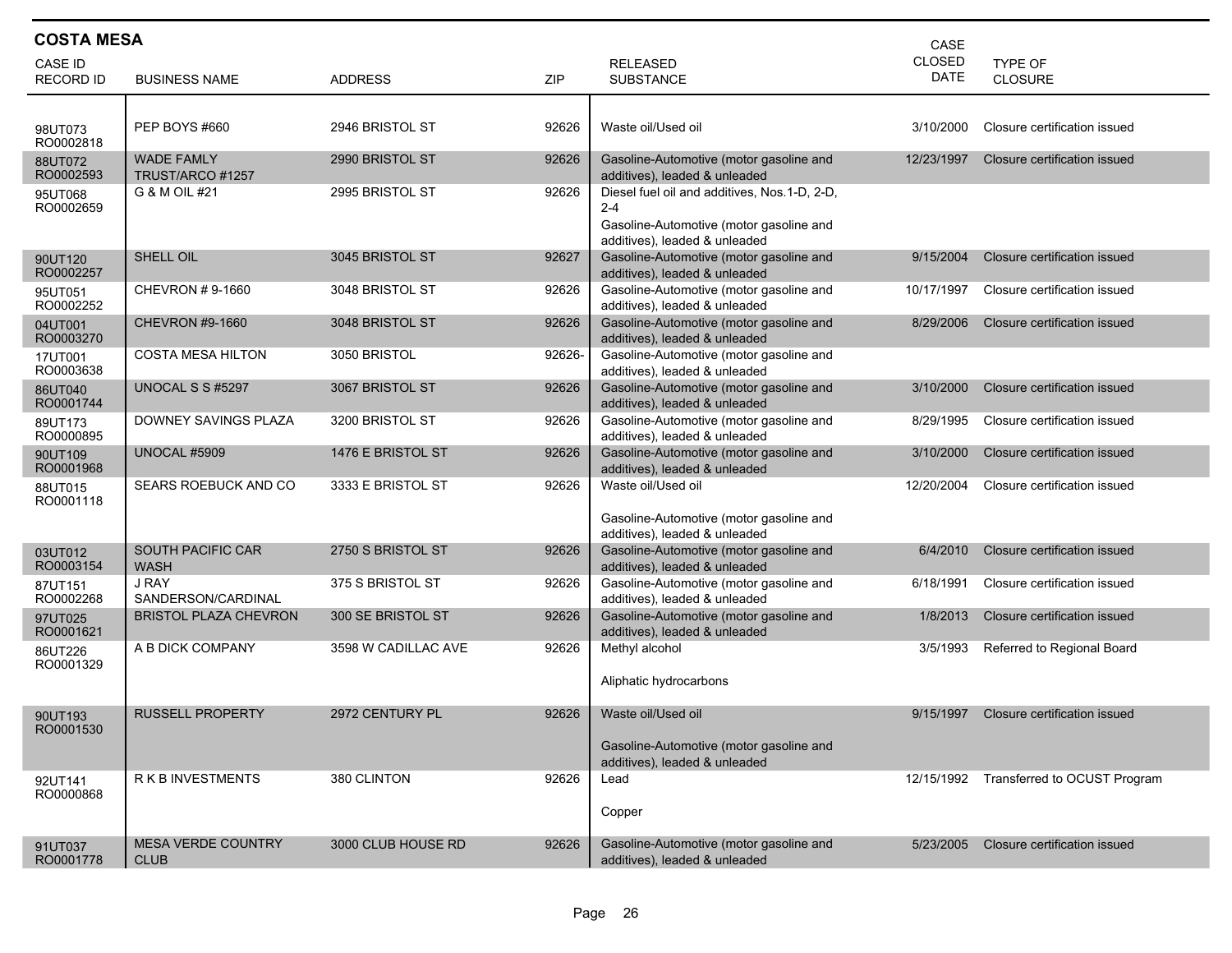| <b>COSTA MESA</b><br>CASE   |                                          |                     |        |                                                                                                                                     |                              |                              |  |  |
|-----------------------------|------------------------------------------|---------------------|--------|-------------------------------------------------------------------------------------------------------------------------------------|------------------------------|------------------------------|--|--|
| CASE ID<br><b>RECORD ID</b> | <b>BUSINESS NAME</b>                     | <b>ADDRESS</b>      | ZIP    | <b>RELEASED</b><br><b>SUBSTANCE</b>                                                                                                 | <b>CLOSED</b><br><b>DATE</b> | TYPE OF<br><b>CLOSURE</b>    |  |  |
| 98UT073<br>RO0002818        | <b>PEP BOYS #660</b>                     | 2946 BRISTOL ST     | 92626  | Waste oil/Used oil                                                                                                                  | 3/10/2000                    | Closure certification issued |  |  |
| 88UT072<br>RO0002593        | <b>WADE FAMLY</b><br>TRUST/ARCO #1257    | 2990 BRISTOL ST     | 92626  | Gasoline-Automotive (motor gasoline and<br>additives), leaded & unleaded                                                            | 12/23/1997                   | Closure certification issued |  |  |
| 95UT068<br>RO0002659        | G & M OIL #21                            | 2995 BRISTOL ST     | 92626  | Diesel fuel oil and additives, Nos.1-D, 2-D,<br>$2 - 4$<br>Gasoline-Automotive (motor gasoline and<br>additives), leaded & unleaded |                              |                              |  |  |
| 90UT120<br>RO0002257        | SHELL OIL                                | 3045 BRISTOL ST     | 92627  | Gasoline-Automotive (motor gasoline and<br>additives), leaded & unleaded                                                            | 9/15/2004                    | Closure certification issued |  |  |
| 95UT051<br>RO0002252        | CHEVRON #9-1660                          | 3048 BRISTOL ST     | 92626  | Gasoline-Automotive (motor gasoline and<br>additives), leaded & unleaded                                                            | 10/17/1997                   | Closure certification issued |  |  |
| 04UT001<br>RO0003270        | <b>CHEVRON #9-1660</b>                   | 3048 BRISTOL ST     | 92626  | Gasoline-Automotive (motor gasoline and<br>additives), leaded & unleaded                                                            | 8/29/2006                    | Closure certification issued |  |  |
| 17UT001<br>RO0003638        | <b>COSTA MESA HILTON</b>                 | 3050 BRISTOL        | 92626- | Gasoline-Automotive (motor gasoline and<br>additives), leaded & unleaded                                                            |                              |                              |  |  |
| 86UT040<br>RO0001744        | UNOCAL S S #5297                         | 3067 BRISTOL ST     | 92626  | Gasoline-Automotive (motor gasoline and<br>additives), leaded & unleaded                                                            | 3/10/2000                    | Closure certification issued |  |  |
| 89UT173<br>RO0000895        | DOWNEY SAVINGS PLAZA                     | 3200 BRISTOL ST     | 92626  | Gasoline-Automotive (motor gasoline and<br>additives), leaded & unleaded                                                            | 8/29/1995                    | Closure certification issued |  |  |
| 90UT109<br>RO0001968        | <b>UNOCAL #5909</b>                      | 1476 E BRISTOL ST   | 92626  | Gasoline-Automotive (motor gasoline and<br>additives), leaded & unleaded                                                            | 3/10/2000                    | Closure certification issued |  |  |
| 88UT015<br>RO0001118        | SEARS ROEBUCK AND CO                     | 3333 E BRISTOL ST   | 92626  | Waste oil/Used oil<br>Gasoline-Automotive (motor gasoline and<br>additives), leaded & unleaded                                      | 12/20/2004                   | Closure certification issued |  |  |
| 03UT012<br>RO0003154        | <b>SOUTH PACIFIC CAR</b><br>WASH         | 2750 S BRISTOL ST   | 92626  | Gasoline-Automotive (motor gasoline and<br>additives), leaded & unleaded                                                            | 6/4/2010                     | Closure certification issued |  |  |
| 87UT151<br>RO0002268        | <b>J RAY</b><br>SANDERSON/CARDINAL       | 375 S BRISTOL ST    | 92626  | Gasoline-Automotive (motor gasoline and<br>additives), leaded & unleaded                                                            | 6/18/1991                    | Closure certification issued |  |  |
| 97UT025<br>RO0001621        | <b>BRISTOL PLAZA CHEVRON</b>             | 300 SE BRISTOL ST   | 92626  | Gasoline-Automotive (motor gasoline and<br>additives), leaded & unleaded                                                            | 1/8/2013                     | Closure certification issued |  |  |
| 86UT226<br>RO0001329        | A B DICK COMPANY                         | 3598 W CADILLAC AVE | 92626  | Methyl alcohol<br>Aliphatic hydrocarbons                                                                                            | 3/5/1993                     | Referred to Regional Board   |  |  |
| 90UT193<br>RO0001530        | <b>RUSSELL PROPERTY</b>                  | 2972 CENTURY PL     | 92626  | Waste oil/Used oil<br>Gasoline-Automotive (motor gasoline and<br>additives), leaded & unleaded                                      | 9/15/1997                    | Closure certification issued |  |  |
| 92UT141<br>RO0000868        | <b>RKBINVESTMENTS</b>                    | 380 CLINTON         | 92626  | Lead<br>Copper                                                                                                                      | 12/15/1992                   | Transferred to OCUST Program |  |  |
| 91UT037<br>RO0001778        | <b>MESA VERDE COUNTRY</b><br><b>CLUB</b> | 3000 CLUB HOUSE RD  | 92626  | Gasoline-Automotive (motor gasoline and<br>additives), leaded & unleaded                                                            | 5/23/2005                    | Closure certification issued |  |  |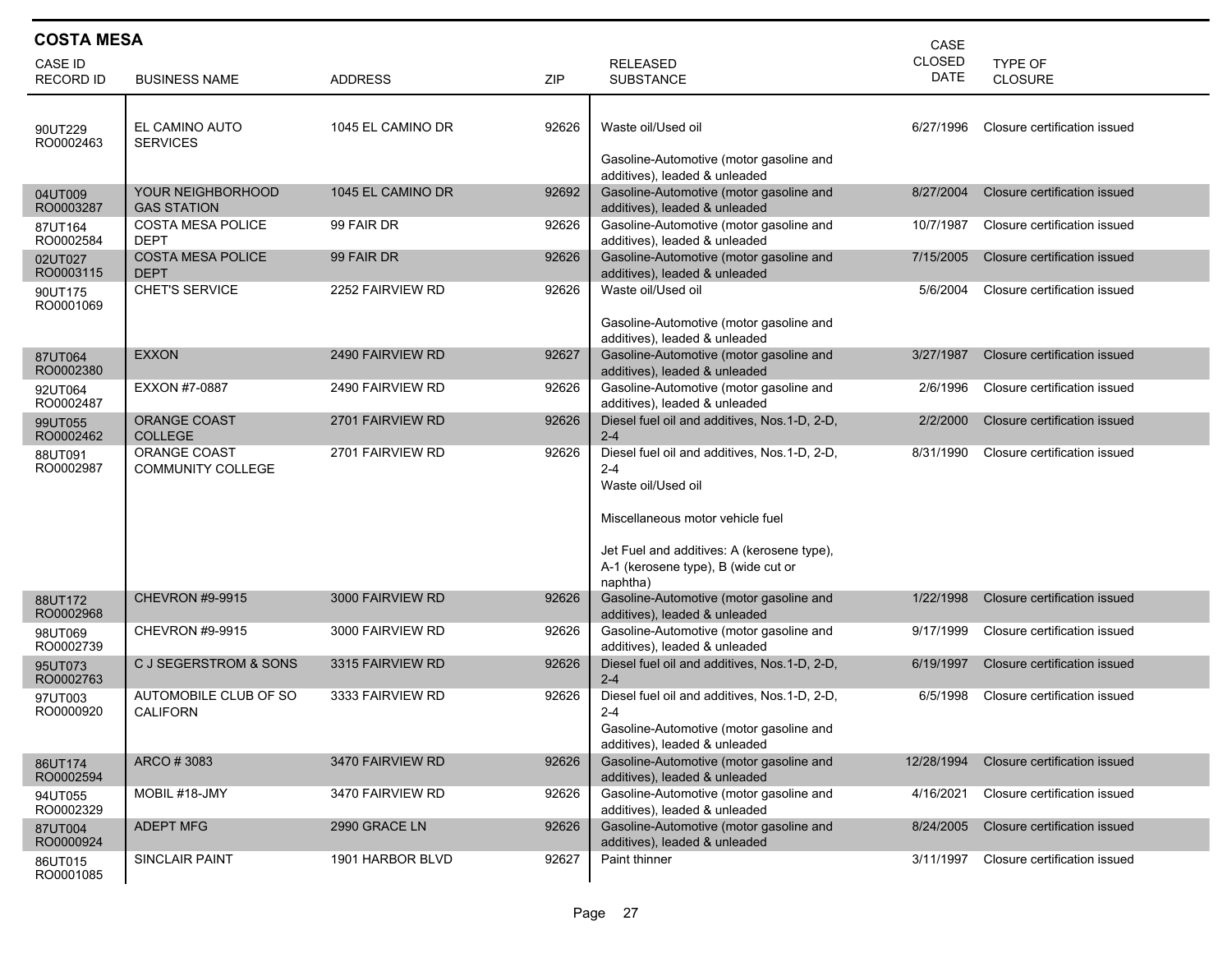| <b>COSTA MESA</b><br>CASE          |                                                 |                   |       |                                                                                                                                                                                                                    |                              |                              |  |  |
|------------------------------------|-------------------------------------------------|-------------------|-------|--------------------------------------------------------------------------------------------------------------------------------------------------------------------------------------------------------------------|------------------------------|------------------------------|--|--|
| <b>CASE ID</b><br><b>RECORD ID</b> | <b>BUSINESS NAME</b>                            | <b>ADDRESS</b>    | ZIP   | <b>RELEASED</b><br><b>SUBSTANCE</b>                                                                                                                                                                                | <b>CLOSED</b><br><b>DATE</b> | <b>TYPE OF</b><br>CLOSURE    |  |  |
| 90UT229<br>RO0002463               | EL CAMINO AUTO<br><b>SERVICES</b>               | 1045 EL CAMINO DR | 92626 | Waste oil/Used oil<br>Gasoline-Automotive (motor gasoline and<br>additives), leaded & unleaded                                                                                                                     | 6/27/1996                    | Closure certification issued |  |  |
| 04UT009<br>RO0003287               | YOUR NEIGHBORHOOD<br><b>GAS STATION</b>         | 1045 EL CAMINO DR | 92692 | Gasoline-Automotive (motor gasoline and<br>additives), leaded & unleaded                                                                                                                                           | 8/27/2004                    | Closure certification issued |  |  |
| 87UT164<br>RO0002584               | <b>COSTA MESA POLICE</b><br><b>DEPT</b>         | 99 FAIR DR        | 92626 | Gasoline-Automotive (motor gasoline and<br>additives), leaded & unleaded                                                                                                                                           | 10/7/1987                    | Closure certification issued |  |  |
| 02UT027<br>RO0003115               | <b>COSTA MESA POLICE</b><br><b>DEPT</b>         | 99 FAIR DR        | 92626 | Gasoline-Automotive (motor gasoline and<br>additives), leaded & unleaded                                                                                                                                           | 7/15/2005                    | Closure certification issued |  |  |
| 90UT175<br>RO0001069               | <b>CHET'S SERVICE</b>                           | 2252 FAIRVIEW RD  | 92626 | Waste oil/Used oil<br>Gasoline-Automotive (motor gasoline and<br>additives), leaded & unleaded                                                                                                                     | 5/6/2004                     | Closure certification issued |  |  |
| 87UT064<br>RO0002380               | <b>EXXON</b>                                    | 2490 FAIRVIEW RD  | 92627 | Gasoline-Automotive (motor gasoline and<br>additives), leaded & unleaded                                                                                                                                           | 3/27/1987                    | Closure certification issued |  |  |
| 92UT064<br>RO0002487               | EXXON #7-0887                                   | 2490 FAIRVIEW RD  | 92626 | Gasoline-Automotive (motor gasoline and<br>additives), leaded & unleaded                                                                                                                                           | 2/6/1996                     | Closure certification issued |  |  |
| 99UT055<br>RO0002462               | <b>ORANGE COAST</b><br><b>COLLEGE</b>           | 2701 FAIRVIEW RD  | 92626 | Diesel fuel oil and additives, Nos.1-D, 2-D,<br>$2 - 4$                                                                                                                                                            | 2/2/2000                     | Closure certification issued |  |  |
| 88UT091<br>RO0002987               | <b>ORANGE COAST</b><br><b>COMMUNITY COLLEGE</b> | 2701 FAIRVIEW RD  | 92626 | Diesel fuel oil and additives, Nos.1-D, 2-D,<br>$2 - 4$<br>Waste oil/Used oil<br>Miscellaneous motor vehicle fuel<br>Jet Fuel and additives: A (kerosene type),<br>A-1 (kerosene type), B (wide cut or<br>naphtha) | 8/31/1990                    | Closure certification issued |  |  |
| 88UT172<br>RO0002968               | <b>CHEVRON #9-9915</b>                          | 3000 FAIRVIEW RD  | 92626 | Gasoline-Automotive (motor gasoline and<br>additives), leaded & unleaded                                                                                                                                           | 1/22/1998                    | Closure certification issued |  |  |
| 98UT069<br>RO0002739               | CHEVRON #9-9915                                 | 3000 FAIRVIEW RD  | 92626 | Gasoline-Automotive (motor gasoline and<br>additives), leaded & unleaded                                                                                                                                           | 9/17/1999                    | Closure certification issued |  |  |
| 95UT073<br>RO0002763               | C J SEGERSTROM & SONS                           | 3315 FAIRVIEW RD  | 92626 | Diesel fuel oil and additives, Nos.1-D, 2-D,<br>$2 - 4$                                                                                                                                                            | 6/19/1997                    | Closure certification issued |  |  |
| 97UT003<br>RO0000920               | AUTOMOBILE CLUB OF SO<br><b>CALIFORN</b>        | 3333 FAIRVIEW RD  | 92626 | Diesel fuel oil and additives, Nos. 1-D, 2-D,<br>$2 - 4$<br>Gasoline-Automotive (motor gasoline and<br>additives), leaded & unleaded                                                                               | 6/5/1998                     | Closure certification issued |  |  |
| 86UT174<br>RO0002594               | ARCO #3083                                      | 3470 FAIRVIEW RD  | 92626 | Gasoline-Automotive (motor gasoline and<br>additives), leaded & unleaded                                                                                                                                           | 12/28/1994                   | Closure certification issued |  |  |
| 94UT055<br>RO0002329               | MOBIL #18-JMY                                   | 3470 FAIRVIEW RD  | 92626 | Gasoline-Automotive (motor gasoline and<br>additives), leaded & unleaded                                                                                                                                           | 4/16/2021                    | Closure certification issued |  |  |
| 87UT004<br>RO0000924               | <b>ADEPT MFG</b>                                | 2990 GRACE LN     | 92626 | Gasoline-Automotive (motor gasoline and<br>additives), leaded & unleaded                                                                                                                                           | 8/24/2005                    | Closure certification issued |  |  |
| 86UT015<br>RO0001085               | <b>SINCLAIR PAINT</b>                           | 1901 HARBOR BLVD  | 92627 | Paint thinner                                                                                                                                                                                                      | 3/11/1997                    | Closure certification issued |  |  |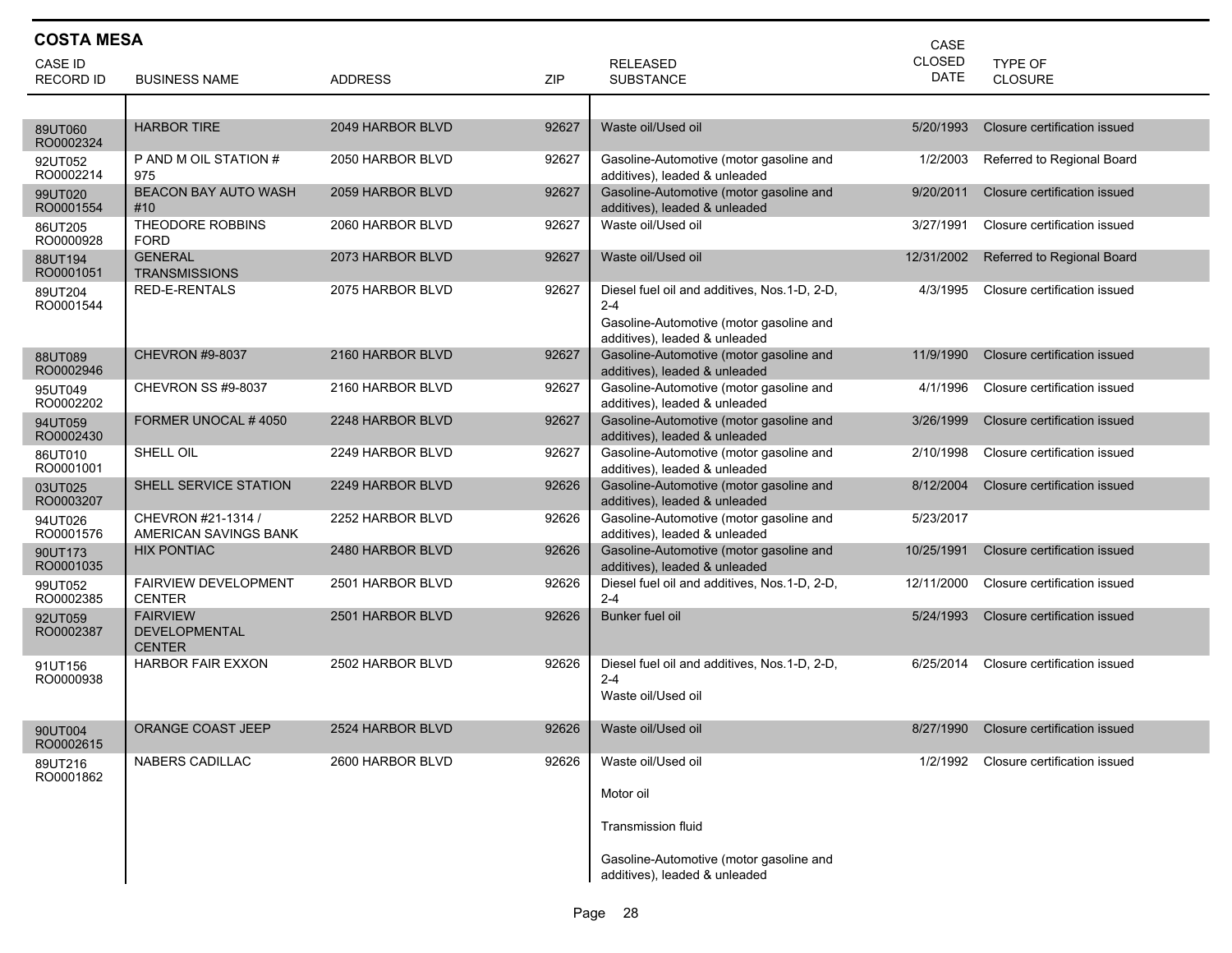| <b>COSTA MESA</b><br>CASE   |                                                          |                  |       |                                                                                                                                     |                       |                                        |  |  |
|-----------------------------|----------------------------------------------------------|------------------|-------|-------------------------------------------------------------------------------------------------------------------------------------|-----------------------|----------------------------------------|--|--|
| CASE ID<br><b>RECORD ID</b> | <b>BUSINESS NAME</b>                                     | <b>ADDRESS</b>   | ZIP   | <b>RELEASED</b><br><b>SUBSTANCE</b>                                                                                                 | <b>CLOSED</b><br>DATE | <b>TYPE OF</b><br>CLOSURE              |  |  |
|                             |                                                          |                  |       |                                                                                                                                     |                       |                                        |  |  |
| 89UT060<br>RO0002324        | <b>HARBOR TIRE</b>                                       | 2049 HARBOR BLVD | 92627 | Waste oil/Used oil                                                                                                                  | 5/20/1993             | Closure certification issued           |  |  |
| 92UT052<br>RO0002214        | P AND M OIL STATION #<br>975                             | 2050 HARBOR BLVD | 92627 | Gasoline-Automotive (motor gasoline and<br>additives), leaded & unleaded                                                            | 1/2/2003              | Referred to Regional Board             |  |  |
| 99UT020<br>RO0001554        | <b>BEACON BAY AUTO WASH</b><br>#10                       | 2059 HARBOR BLVD | 92627 | Gasoline-Automotive (motor gasoline and<br>additives), leaded & unleaded                                                            | 9/20/2011             | Closure certification issued           |  |  |
| 86UT205<br>RO0000928        | THEODORE ROBBINS<br>FORD                                 | 2060 HARBOR BLVD | 92627 | Waste oil/Used oil                                                                                                                  | 3/27/1991             | Closure certification issued           |  |  |
| 88UT194<br>RO0001051        | <b>GENERAL</b><br><b>TRANSMISSIONS</b>                   | 2073 HARBOR BLVD | 92627 | Waste oil/Used oil                                                                                                                  | 12/31/2002            | Referred to Regional Board             |  |  |
| 89UT204<br>RO0001544        | RED-E-RENTALS                                            | 2075 HARBOR BLVD | 92627 | Diesel fuel oil and additives, Nos.1-D, 2-D,<br>$2 - 4$<br>Gasoline-Automotive (motor gasoline and<br>additives), leaded & unleaded | 4/3/1995              | Closure certification issued           |  |  |
| 88UT089<br>RO0002946        | <b>CHEVRON #9-8037</b>                                   | 2160 HARBOR BLVD | 92627 | Gasoline-Automotive (motor gasoline and<br>additives), leaded & unleaded                                                            | 11/9/1990             | Closure certification issued           |  |  |
| 95UT049<br>RO0002202        | CHEVRON SS #9-8037                                       | 2160 HARBOR BLVD | 92627 | Gasoline-Automotive (motor gasoline and<br>additives), leaded & unleaded                                                            | 4/1/1996              | Closure certification issued           |  |  |
| 94UT059<br>RO0002430        | FORMER UNOCAL #4050                                      | 2248 HARBOR BLVD | 92627 | Gasoline-Automotive (motor gasoline and<br>additives), leaded & unleaded                                                            | 3/26/1999             | Closure certification issued           |  |  |
| 86UT010<br>RO0001001        | SHELL OIL                                                | 2249 HARBOR BLVD | 92627 | Gasoline-Automotive (motor gasoline and<br>additives), leaded & unleaded                                                            | 2/10/1998             | Closure certification issued           |  |  |
| 03UT025<br>RO0003207        | SHELL SERVICE STATION                                    | 2249 HARBOR BLVD | 92626 | Gasoline-Automotive (motor gasoline and<br>additives), leaded & unleaded                                                            | 8/12/2004             | Closure certification issued           |  |  |
| 94UT026<br>RO0001576        | CHEVRON #21-1314 /<br>AMERICAN SAVINGS BANK              | 2252 HARBOR BLVD | 92626 | Gasoline-Automotive (motor gasoline and<br>additives), leaded & unleaded                                                            | 5/23/2017             |                                        |  |  |
| 90UT173<br>RO0001035        | <b>HIX PONTIAC</b>                                       | 2480 HARBOR BLVD | 92626 | Gasoline-Automotive (motor gasoline and<br>additives), leaded & unleaded                                                            | 10/25/1991            | Closure certification issued           |  |  |
| 99UT052<br>RO0002385        | <b>FAIRVIEW DEVELOPMENT</b><br><b>CENTER</b>             | 2501 HARBOR BLVD | 92626 | Diesel fuel oil and additives, Nos.1-D, 2-D,<br>$2 - 4$                                                                             | 12/11/2000            | Closure certification issued           |  |  |
| 92UT059<br>RO0002387        | <b>FAIRVIEW</b><br><b>DEVELOPMENTAL</b><br><b>CENTER</b> | 2501 HARBOR BLVD | 92626 | Bunker fuel oil                                                                                                                     | 5/24/1993             | Closure certification issued           |  |  |
| 91UT156<br>RO0000938        | <b>HARBOR FAIR EXXON</b>                                 | 2502 HARBOR BLVD | 92626 | Diesel fuel oil and additives, Nos.1-D, 2-D,<br>$2 - 4$<br>Waste oil/Used oil                                                       | 6/25/2014             | Closure certification issued           |  |  |
| 90UT004<br>RO0002615        | ORANGE COAST JEEP                                        | 2524 HARBOR BLVD | 92626 | Waste oil/Used oil                                                                                                                  |                       | 8/27/1990 Closure certification issued |  |  |
| 89UT216<br>RO0001862        | NABERS CADILLAC                                          | 2600 HARBOR BLVD | 92626 | Waste oil/Used oil<br>Motor oil<br><b>Transmission fluid</b><br>Gasoline-Automotive (motor gasoline and                             |                       | 1/2/1992 Closure certification issued  |  |  |
|                             |                                                          |                  |       | additives), leaded & unleaded                                                                                                       |                       |                                        |  |  |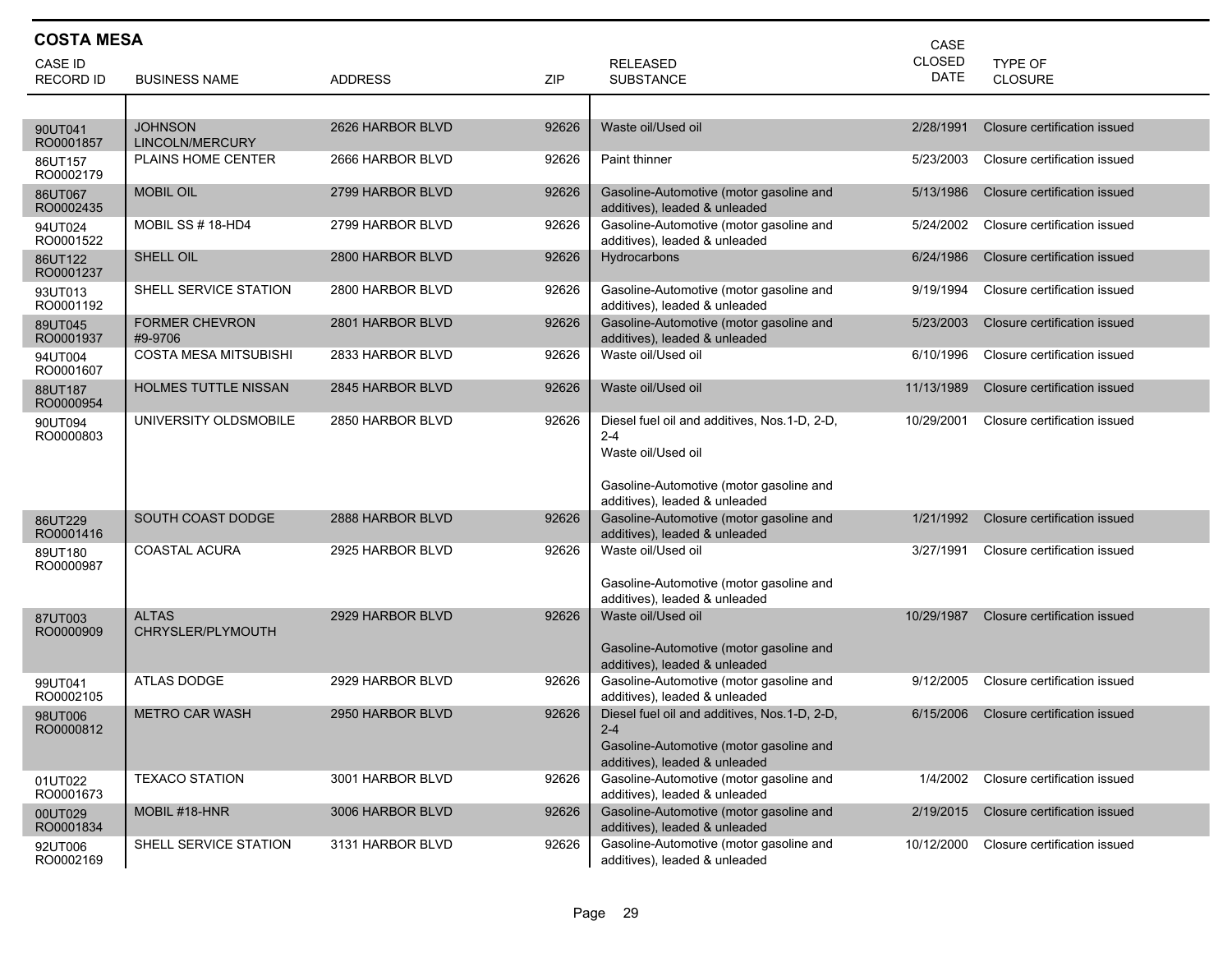| <b>COSTA MESA</b>           |                                   |                  |       | CASE                                                                                                                                                      |                              |                              |
|-----------------------------|-----------------------------------|------------------|-------|-----------------------------------------------------------------------------------------------------------------------------------------------------------|------------------------------|------------------------------|
| CASE ID<br><b>RECORD ID</b> | <b>BUSINESS NAME</b>              | <b>ADDRESS</b>   | ZIP   | <b>RELEASED</b><br><b>SUBSTANCE</b>                                                                                                                       | <b>CLOSED</b><br><b>DATE</b> | TYPE OF<br><b>CLOSURE</b>    |
|                             |                                   |                  |       |                                                                                                                                                           |                              |                              |
| 90UT041<br>RO0001857        | <b>JOHNSON</b><br>LINCOLN/MERCURY | 2626 HARBOR BLVD | 92626 | Waste oil/Used oil                                                                                                                                        | 2/28/1991                    | Closure certification issued |
| 86UT157<br>RO0002179        | <b>PLAINS HOME CENTER</b>         | 2666 HARBOR BLVD | 92626 | Paint thinner                                                                                                                                             | 5/23/2003                    | Closure certification issued |
| 86UT067<br>RO0002435        | <b>MOBIL OIL</b>                  | 2799 HARBOR BLVD | 92626 | Gasoline-Automotive (motor gasoline and<br>additives), leaded & unleaded                                                                                  | 5/13/1986                    | Closure certification issued |
| 94UT024<br>RO0001522        | MOBIL SS # 18-HD4                 | 2799 HARBOR BLVD | 92626 | Gasoline-Automotive (motor gasoline and<br>additives), leaded & unleaded                                                                                  | 5/24/2002                    | Closure certification issued |
| 86UT122<br>RO0001237        | SHELL OIL                         | 2800 HARBOR BLVD | 92626 | Hydrocarbons                                                                                                                                              | 6/24/1986                    | Closure certification issued |
| 93UT013<br>RO0001192        | SHELL SERVICE STATION             | 2800 HARBOR BLVD | 92626 | Gasoline-Automotive (motor gasoline and<br>additives), leaded & unleaded                                                                                  | 9/19/1994                    | Closure certification issued |
| 89UT045<br>RO0001937        | <b>FORMER CHEVRON</b><br>#9-9706  | 2801 HARBOR BLVD | 92626 | Gasoline-Automotive (motor gasoline and<br>additives), leaded & unleaded                                                                                  | 5/23/2003                    | Closure certification issued |
| 94UT004<br>RO0001607        | <b>COSTA MESA MITSUBISHI</b>      | 2833 HARBOR BLVD | 92626 | Waste oil/Used oil                                                                                                                                        | 6/10/1996                    | Closure certification issued |
| 88UT187<br>RO0000954        | <b>HOLMES TUTTLE NISSAN</b>       | 2845 HARBOR BLVD | 92626 | Waste oil/Used oil                                                                                                                                        | 11/13/1989                   | Closure certification issued |
| 90UT094<br>RO0000803        | UNIVERSITY OLDSMOBILE             | 2850 HARBOR BLVD | 92626 | Diesel fuel oil and additives, Nos.1-D, 2-D,<br>$2 - 4$<br>Waste oil/Used oil<br>Gasoline-Automotive (motor gasoline and<br>additives), leaded & unleaded | 10/29/2001                   | Closure certification issued |
| 86UT229<br>RO0001416        | SOUTH COAST DODGE                 | 2888 HARBOR BLVD | 92626 | Gasoline-Automotive (motor gasoline and<br>additives), leaded & unleaded                                                                                  | 1/21/1992                    | Closure certification issued |
| 89UT180<br>RO0000987        | <b>COASTAL ACURA</b>              | 2925 HARBOR BLVD | 92626 | Waste oil/Used oil<br>Gasoline-Automotive (motor gasoline and<br>additives), leaded & unleaded                                                            | 3/27/1991                    | Closure certification issued |
| 87UT003<br>RO0000909        | <b>ALTAS</b><br>CHRYSLER/PLYMOUTH | 2929 HARBOR BLVD | 92626 | Waste oil/Used oil<br>Gasoline-Automotive (motor gasoline and<br>additives), leaded & unleaded                                                            | 10/29/1987                   | Closure certification issued |
| 99UT041<br>RO0002105        | ATLAS DODGE                       | 2929 HARBOR BLVD | 92626 | Gasoline-Automotive (motor gasoline and<br>additives), leaded & unleaded                                                                                  | 9/12/2005                    | Closure certification issued |
| 98UT006<br>RO0000812        | <b>METRO CAR WASH</b>             | 2950 HARBOR BLVD | 92626 | Diesel fuel oil and additives, Nos.1-D, 2-D,<br>$2 - 4$<br>Gasoline-Automotive (motor gasoline and<br>additives), leaded & unleaded                       | 6/15/2006                    | Closure certification issued |
| 01UT022<br>RO0001673        | <b>TEXACO STATION</b>             | 3001 HARBOR BLVD | 92626 | Gasoline-Automotive (motor gasoline and<br>additives), leaded & unleaded                                                                                  | 1/4/2002                     | Closure certification issued |
| 00UT029<br>RO0001834        | MOBIL #18-HNR                     | 3006 HARBOR BLVD | 92626 | Gasoline-Automotive (motor gasoline and<br>additives), leaded & unleaded                                                                                  | 2/19/2015                    | Closure certification issued |
| 92UT006<br>RO0002169        | SHELL SERVICE STATION             | 3131 HARBOR BLVD | 92626 | Gasoline-Automotive (motor gasoline and<br>additives), leaded & unleaded                                                                                  | 10/12/2000                   | Closure certification issued |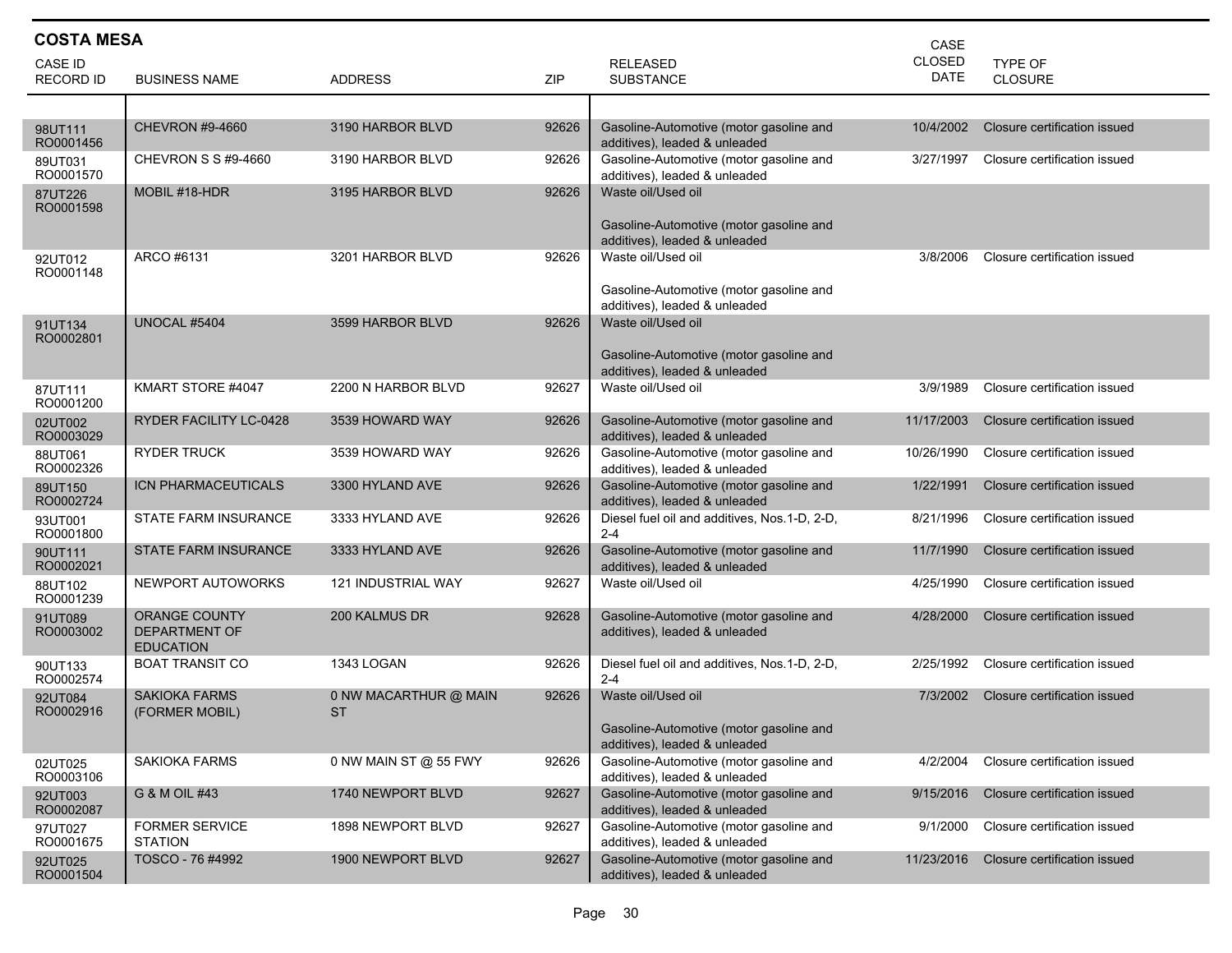| <b>COSTA MESA</b><br>CASE   |                                                                  |                                    |            |                                                                                                |                              |                              |  |  |
|-----------------------------|------------------------------------------------------------------|------------------------------------|------------|------------------------------------------------------------------------------------------------|------------------------------|------------------------------|--|--|
| CASE ID<br><b>RECORD ID</b> | <b>BUSINESS NAME</b>                                             | <b>ADDRESS</b>                     | <b>ZIP</b> | <b>RELEASED</b><br><b>SUBSTANCE</b>                                                            | <b>CLOSED</b><br><b>DATE</b> | TYPE OF<br>CLOSURE           |  |  |
|                             |                                                                  |                                    |            |                                                                                                |                              |                              |  |  |
| 98UT111<br>RO0001456        | <b>CHEVRON #9-4660</b>                                           | 3190 HARBOR BLVD                   | 92626      | Gasoline-Automotive (motor gasoline and<br>additives), leaded & unleaded                       | 10/4/2002                    | Closure certification issued |  |  |
| 89UT031<br>RO0001570        | CHEVRON S S #9-4660                                              | 3190 HARBOR BLVD                   | 92626      | Gasoline-Automotive (motor gasoline and<br>additives), leaded & unleaded                       | 3/27/1997                    | Closure certification issued |  |  |
| 87UT226<br>RO0001598        | MOBIL #18-HDR                                                    | 3195 HARBOR BLVD                   | 92626      | Waste oil/Used oil<br>Gasoline-Automotive (motor gasoline and                                  |                              |                              |  |  |
| 92UT012<br>RO0001148        | ARCO #6131                                                       | 3201 HARBOR BLVD                   | 92626      | additives), leaded & unleaded<br>Waste oil/Used oil                                            | 3/8/2006                     | Closure certification issued |  |  |
|                             |                                                                  |                                    |            | Gasoline-Automotive (motor gasoline and<br>additives), leaded & unleaded                       |                              |                              |  |  |
| 91UT134<br>RO0002801        | UNOCAL #5404                                                     | 3599 HARBOR BLVD                   | 92626      | Waste oil/Used oil                                                                             |                              |                              |  |  |
|                             |                                                                  |                                    |            | Gasoline-Automotive (motor gasoline and<br>additives), leaded & unleaded                       |                              |                              |  |  |
| 87UT111<br>RO0001200        | KMART STORE #4047                                                | 2200 N HARBOR BLVD                 | 92627      | Waste oil/Used oil                                                                             | 3/9/1989                     | Closure certification issued |  |  |
| 02UT002<br>RO0003029        | RYDER FACILITY LC-0428                                           | 3539 HOWARD WAY                    | 92626      | Gasoline-Automotive (motor gasoline and<br>additives), leaded & unleaded                       | 11/17/2003                   | Closure certification issued |  |  |
| 88UT061<br>RO0002326        | <b>RYDER TRUCK</b>                                               | 3539 HOWARD WAY                    | 92626      | Gasoline-Automotive (motor gasoline and<br>additives), leaded & unleaded                       | 10/26/1990                   | Closure certification issued |  |  |
| 89UT150<br>RO0002724        | ICN PHARMACEUTICALS                                              | 3300 HYLAND AVE                    | 92626      | Gasoline-Automotive (motor gasoline and<br>additives), leaded & unleaded                       | 1/22/1991                    | Closure certification issued |  |  |
| 93UT001<br>RO0001800        | STATE FARM INSURANCE                                             | 3333 HYLAND AVE                    | 92626      | Diesel fuel oil and additives, Nos.1-D, 2-D,<br>$2 - 4$                                        | 8/21/1996                    | Closure certification issued |  |  |
| 90UT111<br>RO0002021        | <b>STATE FARM INSURANCE</b>                                      | 3333 HYLAND AVE                    | 92626      | Gasoline-Automotive (motor gasoline and<br>additives), leaded & unleaded                       | 11/7/1990                    | Closure certification issued |  |  |
| 88UT102<br>RO0001239        | NEWPORT AUTOWORKS                                                | 121 INDUSTRIAL WAY                 | 92627      | Waste oil/Used oil                                                                             | 4/25/1990                    | Closure certification issued |  |  |
| 91UT089<br>RO0003002        | <b>ORANGE COUNTY</b><br><b>DEPARTMENT OF</b><br><b>EDUCATION</b> | 200 KALMUS DR                      | 92628      | Gasoline-Automotive (motor gasoline and<br>additives), leaded & unleaded                       | 4/28/2000                    | Closure certification issued |  |  |
| 90UT133<br>RO0002574        | <b>BOAT TRANSIT CO</b>                                           | 1343 LOGAN                         | 92626      | Diesel fuel oil and additives, Nos.1-D, 2-D,<br>$2 - 4$                                        | 2/25/1992                    | Closure certification issued |  |  |
| 92UT084<br>RO0002916        | <b>SAKIOKA FARMS</b><br>(FORMER MOBIL)                           | 0 NW MACARTHUR @ MAIN<br><b>ST</b> | 92626      | Waste oil/Used oil<br>Gasoline-Automotive (motor gasoline and<br>additives), leaded & unleaded | 7/3/2002                     | Closure certification issued |  |  |
| 02UT025<br>RO0003106        | <b>SAKIOKA FARMS</b>                                             | 0 NW MAIN ST @ 55 FWY              | 92626      | Gasoline-Automotive (motor gasoline and<br>additives), leaded & unleaded                       | 4/2/2004                     | Closure certification issued |  |  |
| 92UT003<br>RO0002087        | G & M OIL #43                                                    | 1740 NEWPORT BLVD                  | 92627      | Gasoline-Automotive (motor gasoline and<br>additives), leaded & unleaded                       | 9/15/2016                    | Closure certification issued |  |  |
| 97UT027<br>RO0001675        | <b>FORMER SERVICE</b><br><b>STATION</b>                          | 1898 NEWPORT BLVD                  | 92627      | Gasoline-Automotive (motor gasoline and<br>additives), leaded & unleaded                       | 9/1/2000                     | Closure certification issued |  |  |
| 92UT025<br>RO0001504        | TOSCO - 76 #4992                                                 | 1900 NEWPORT BLVD                  | 92627      | Gasoline-Automotive (motor gasoline and<br>additives), leaded & unleaded                       | 11/23/2016                   | Closure certification issued |  |  |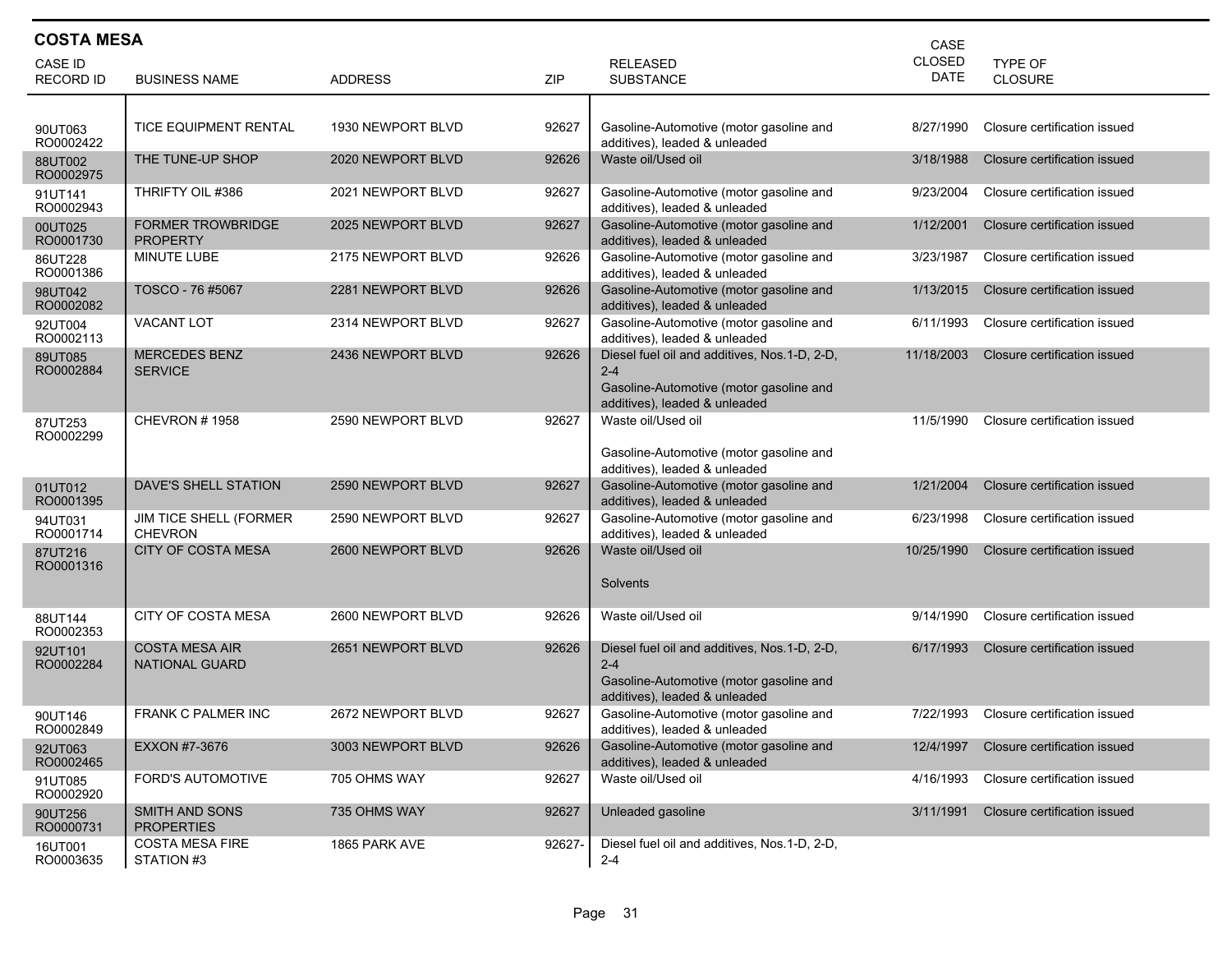| <b>COSTA MESA</b><br>CASE   |                                                 |                   |            |                                                                                                                                      |                       |                              |  |  |
|-----------------------------|-------------------------------------------------|-------------------|------------|--------------------------------------------------------------------------------------------------------------------------------------|-----------------------|------------------------------|--|--|
| CASE ID<br><b>RECORD ID</b> | <b>BUSINESS NAME</b>                            | <b>ADDRESS</b>    | <b>ZIP</b> | <b>RELEASED</b><br><b>SUBSTANCE</b>                                                                                                  | <b>CLOSED</b><br>DATE | TYPE OF<br>CLOSURE           |  |  |
|                             |                                                 |                   |            |                                                                                                                                      |                       |                              |  |  |
| 90UT063<br>RO0002422        | TICE EQUIPMENT RENTAL                           | 1930 NEWPORT BLVD | 92627      | Gasoline-Automotive (motor gasoline and<br>additives), leaded & unleaded                                                             | 8/27/1990             | Closure certification issued |  |  |
| 88UT002<br>RO0002975        | THE TUNE-UP SHOP                                | 2020 NEWPORT BLVD | 92626      | Waste oil/Used oil                                                                                                                   | 3/18/1988             | Closure certification issued |  |  |
| 91UT141<br>RO0002943        | THRIFTY OIL #386                                | 2021 NEWPORT BLVD | 92627      | Gasoline-Automotive (motor gasoline and<br>additives), leaded & unleaded                                                             | 9/23/2004             | Closure certification issued |  |  |
| 00UT025<br>RO0001730        | <b>FORMER TROWBRIDGE</b><br><b>PROPERTY</b>     | 2025 NEWPORT BLVD | 92627      | Gasoline-Automotive (motor gasoline and<br>additives), leaded & unleaded                                                             | 1/12/2001             | Closure certification issued |  |  |
| 86UT228<br>RO0001386        | MINUTE LUBE                                     | 2175 NEWPORT BLVD | 92626      | Gasoline-Automotive (motor gasoline and<br>additives), leaded & unleaded                                                             | 3/23/1987             | Closure certification issued |  |  |
| 98UT042<br>RO0002082        | TOSCO - 76 #5067                                | 2281 NEWPORT BLVD | 92626      | Gasoline-Automotive (motor gasoline and<br>additives), leaded & unleaded                                                             | 1/13/2015             | Closure certification issued |  |  |
| 92UT004<br>RO0002113        | <b>VACANT LOT</b>                               | 2314 NEWPORT BLVD | 92627      | Gasoline-Automotive (motor gasoline and<br>additives), leaded & unleaded                                                             | 6/11/1993             | Closure certification issued |  |  |
| 89UT085<br>RO0002884        | <b>MERCEDES BENZ</b><br><b>SERVICE</b>          | 2436 NEWPORT BLVD | 92626      | Diesel fuel oil and additives, Nos.1-D, 2-D,<br>$2 - 4$<br>Gasoline-Automotive (motor gasoline and<br>additives), leaded & unleaded  | 11/18/2003            | Closure certification issued |  |  |
| 87UT253<br>RO0002299        | CHEVRON #1958                                   | 2590 NEWPORT BLVD | 92627      | Waste oil/Used oil<br>Gasoline-Automotive (motor gasoline and<br>additives), leaded & unleaded                                       | 11/5/1990             | Closure certification issued |  |  |
| 01UT012<br>RO0001395        | DAVE'S SHELL STATION                            | 2590 NEWPORT BLVD | 92627      | Gasoline-Automotive (motor gasoline and<br>additives), leaded & unleaded                                                             | 1/21/2004             | Closure certification issued |  |  |
| 94UT031<br>RO0001714        | <b>JIM TICE SHELL (FORMER</b><br><b>CHEVRON</b> | 2590 NEWPORT BLVD | 92627      | Gasoline-Automotive (motor gasoline and<br>additives), leaded & unleaded                                                             | 6/23/1998             | Closure certification issued |  |  |
| 87UT216<br>RO0001316        | <b>CITY OF COSTA MESA</b>                       | 2600 NEWPORT BLVD | 92626      | Waste oil/Used oil<br>Solvents                                                                                                       | 10/25/1990            | Closure certification issued |  |  |
| 88UT144<br>RO0002353        | <b>CITY OF COSTA MESA</b>                       | 2600 NEWPORT BLVD | 92626      | Waste oil/Used oil                                                                                                                   | 9/14/1990             | Closure certification issued |  |  |
| 92UT101<br>RO0002284        | <b>COSTA MESA AIR</b><br>NATIONAL GUARD         | 2651 NEWPORT BLVD | 92626      | Diesel fuel oil and additives, Nos. 1-D, 2-D,<br>$2 - 4$<br>Gasoline-Automotive (motor gasoline and<br>additives), leaded & unleaded | 6/17/1993             | Closure certification issued |  |  |
| 90UT146<br>RO0002849        | <b>FRANK C PALMER INC</b>                       | 2672 NEWPORT BLVD | 92627      | Gasoline-Automotive (motor gasoline and<br>additives), leaded & unleaded                                                             | 7/22/1993             | Closure certification issued |  |  |
| 92UT063<br>RO0002465        | EXXON #7-3676                                   | 3003 NEWPORT BLVD | 92626      | Gasoline-Automotive (motor gasoline and<br>additives), leaded & unleaded                                                             | 12/4/1997             | Closure certification issued |  |  |
| 91UT085<br>RO0002920        | FORD'S AUTOMOTIVE                               | 705 OHMS WAY      | 92627      | Waste oil/Used oil                                                                                                                   | 4/16/1993             | Closure certification issued |  |  |
| 90UT256<br>RO0000731        | SMITH AND SONS<br><b>PROPERTIES</b>             | 735 OHMS WAY      | 92627      | Unleaded gasoline                                                                                                                    | 3/11/1991             | Closure certification issued |  |  |
| 16UT001<br>RO0003635        | <b>COSTA MESA FIRE</b><br>STATION #3            | 1865 PARK AVE     | 92627-     | Diesel fuel oil and additives, Nos.1-D, 2-D,<br>$2 - 4$                                                                              |                       |                              |  |  |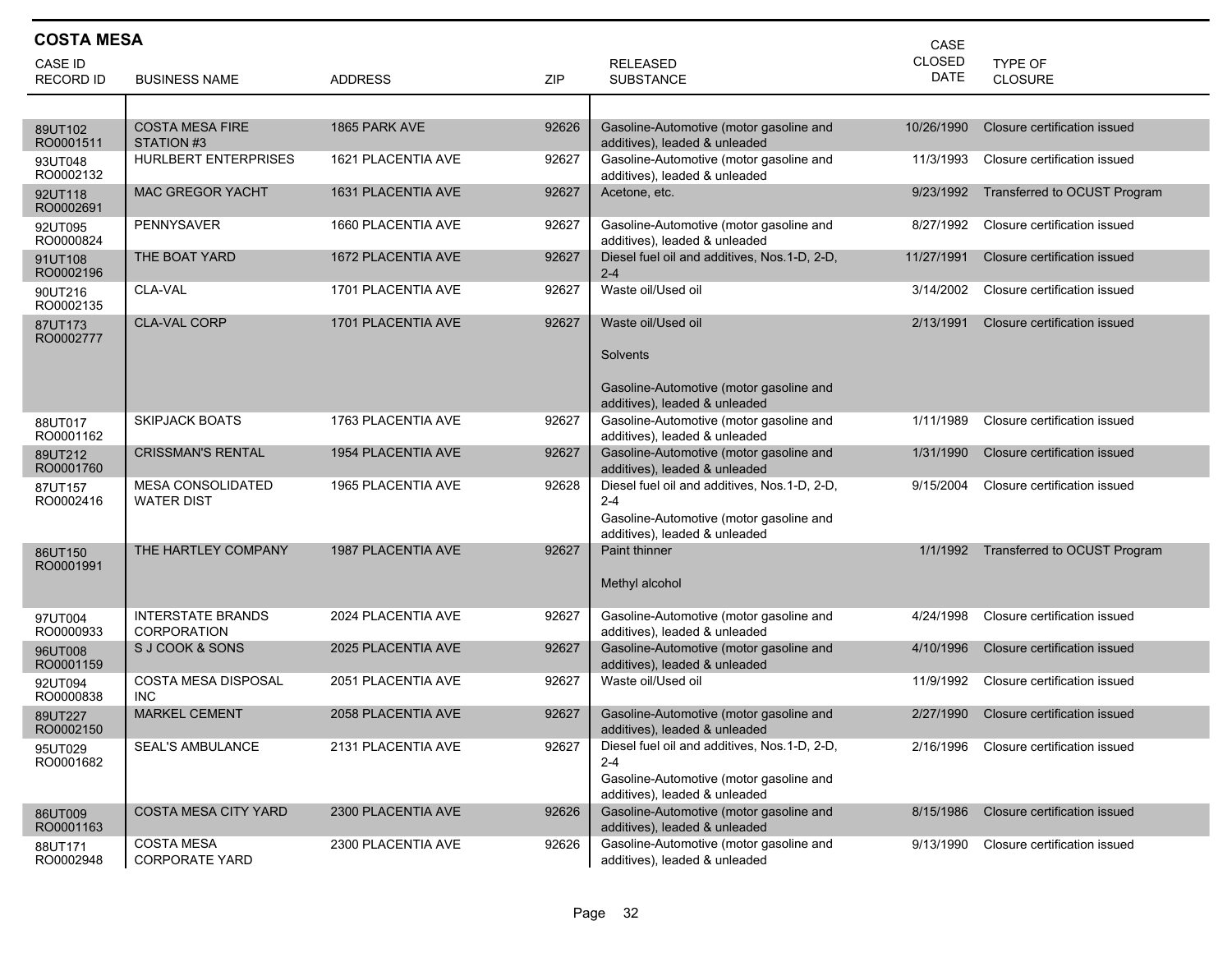| <b>COSTA MESA</b><br>CASE |                                                |                           |            |                                                                          |                              |                              |  |  |
|---------------------------|------------------------------------------------|---------------------------|------------|--------------------------------------------------------------------------|------------------------------|------------------------------|--|--|
| CASE ID                   |                                                |                           |            | <b>RELEASED</b>                                                          | <b>CLOSED</b><br><b>DATE</b> | TYPE OF                      |  |  |
| <b>RECORD ID</b>          | <b>BUSINESS NAME</b>                           | <b>ADDRESS</b>            | <b>ZIP</b> | <b>SUBSTANCE</b>                                                         |                              | <b>CLOSURE</b>               |  |  |
|                           |                                                |                           |            | Gasoline-Automotive (motor gasoline and                                  |                              |                              |  |  |
| 89UT102<br>RO0001511      | <b>COSTA MESA FIRE</b><br>STATION #3           | 1865 PARK AVE             | 92626      | additives), leaded & unleaded                                            | 10/26/1990                   | Closure certification issued |  |  |
| 93UT048<br>RO0002132      | <b>HURLBERT ENTERPRISES</b>                    | 1621 PLACENTIA AVE        | 92627      | Gasoline-Automotive (motor gasoline and<br>additives), leaded & unleaded | 11/3/1993                    | Closure certification issued |  |  |
| 92UT118<br>RO0002691      | <b>MAC GREGOR YACHT</b>                        | 1631 PLACENTIA AVE        | 92627      | Acetone, etc.                                                            | 9/23/1992                    | Transferred to OCUST Program |  |  |
| 92UT095<br>RO0000824      | <b>PENNYSAVER</b>                              | 1660 PLACENTIA AVE        | 92627      | Gasoline-Automotive (motor gasoline and<br>additives), leaded & unleaded | 8/27/1992                    | Closure certification issued |  |  |
| 91UT108<br>RO0002196      | THE BOAT YARD                                  | 1672 PLACENTIA AVE        | 92627      | Diesel fuel oil and additives, Nos.1-D, 2-D,<br>$2 - 4$                  | 11/27/1991                   | Closure certification issued |  |  |
| 90UT216<br>RO0002135      | CLA-VAL                                        | 1701 PLACENTIA AVE        | 92627      | Waste oil/Used oil                                                       | 3/14/2002                    | Closure certification issued |  |  |
| 87UT173<br>RO0002777      | <b>CLA-VAL CORP</b>                            | 1701 PLACENTIA AVE        | 92627      | Waste oil/Used oil                                                       | 2/13/1991                    | Closure certification issued |  |  |
|                           |                                                |                           |            | <b>Solvents</b>                                                          |                              |                              |  |  |
|                           |                                                |                           |            | Gasoline-Automotive (motor gasoline and<br>additives), leaded & unleaded |                              |                              |  |  |
| 88UT017<br>RO0001162      | <b>SKIPJACK BOATS</b>                          | 1763 PLACENTIA AVE        | 92627      | Gasoline-Automotive (motor gasoline and<br>additives), leaded & unleaded | 1/11/1989                    | Closure certification issued |  |  |
| 89UT212<br>RO0001760      | <b>CRISSMAN'S RENTAL</b>                       | <b>1954 PLACENTIA AVE</b> | 92627      | Gasoline-Automotive (motor gasoline and<br>additives), leaded & unleaded | 1/31/1990                    | Closure certification issued |  |  |
| 87UT157<br>RO0002416      | <b>MESA CONSOLIDATED</b><br><b>WATER DIST</b>  | 1965 PLACENTIA AVE        | 92628      | Diesel fuel oil and additives, Nos.1-D, 2-D,<br>$2 - 4$                  | 9/15/2004                    | Closure certification issued |  |  |
|                           |                                                |                           |            | Gasoline-Automotive (motor gasoline and<br>additives), leaded & unleaded |                              |                              |  |  |
| 86UT150<br>RO0001991      | THE HARTLEY COMPANY                            | 1987 PLACENTIA AVE        | 92627      | <b>Paint thinner</b>                                                     | 1/1/1992                     | Transferred to OCUST Program |  |  |
|                           |                                                |                           |            | Methyl alcohol                                                           |                              |                              |  |  |
| 97UT004<br>RO0000933      | <b>INTERSTATE BRANDS</b><br><b>CORPORATION</b> | 2024 PLACENTIA AVE        | 92627      | Gasoline-Automotive (motor gasoline and<br>additives), leaded & unleaded | 4/24/1998                    | Closure certification issued |  |  |
| 96UT008<br>RO0001159      | S J COOK & SONS                                | 2025 PLACENTIA AVE        | 92627      | Gasoline-Automotive (motor gasoline and<br>additives), leaded & unleaded | 4/10/1996                    | Closure certification issued |  |  |
| 92UT094<br>RO0000838      | COSTA MESA DISPOSAL<br>INC                     | 2051 PLACENTIA AVE        | 92627      | Waste oil/Used oil                                                       | 11/9/1992                    | Closure certification issued |  |  |
| 89UT227<br>RO0002150      | <b>MARKEL CEMENT</b>                           | 2058 PLACENTIA AVE        | 92627      | Gasoline-Automotive (motor gasoline and<br>additives), leaded & unleaded | 2/27/1990                    | Closure certification issued |  |  |
| 95UT029<br>RO0001682      | <b>SEAL'S AMBULANCE</b>                        | 2131 PLACENTIA AVE        | 92627      | Diesel fuel oil and additives, Nos.1-D, 2-D,<br>$2 - 4$                  | 2/16/1996                    | Closure certification issued |  |  |
|                           |                                                |                           |            | Gasoline-Automotive (motor gasoline and<br>additives), leaded & unleaded |                              |                              |  |  |
| 86UT009<br>RO0001163      | <b>COSTA MESA CITY YARD</b>                    | 2300 PLACENTIA AVE        | 92626      | Gasoline-Automotive (motor gasoline and<br>additives), leaded & unleaded | 8/15/1986                    | Closure certification issued |  |  |
| 88UT171<br>RO0002948      | <b>COSTA MESA</b><br><b>CORPORATE YARD</b>     | 2300 PLACENTIA AVE        | 92626      | Gasoline-Automotive (motor gasoline and<br>additives), leaded & unleaded | 9/13/1990                    | Closure certification issued |  |  |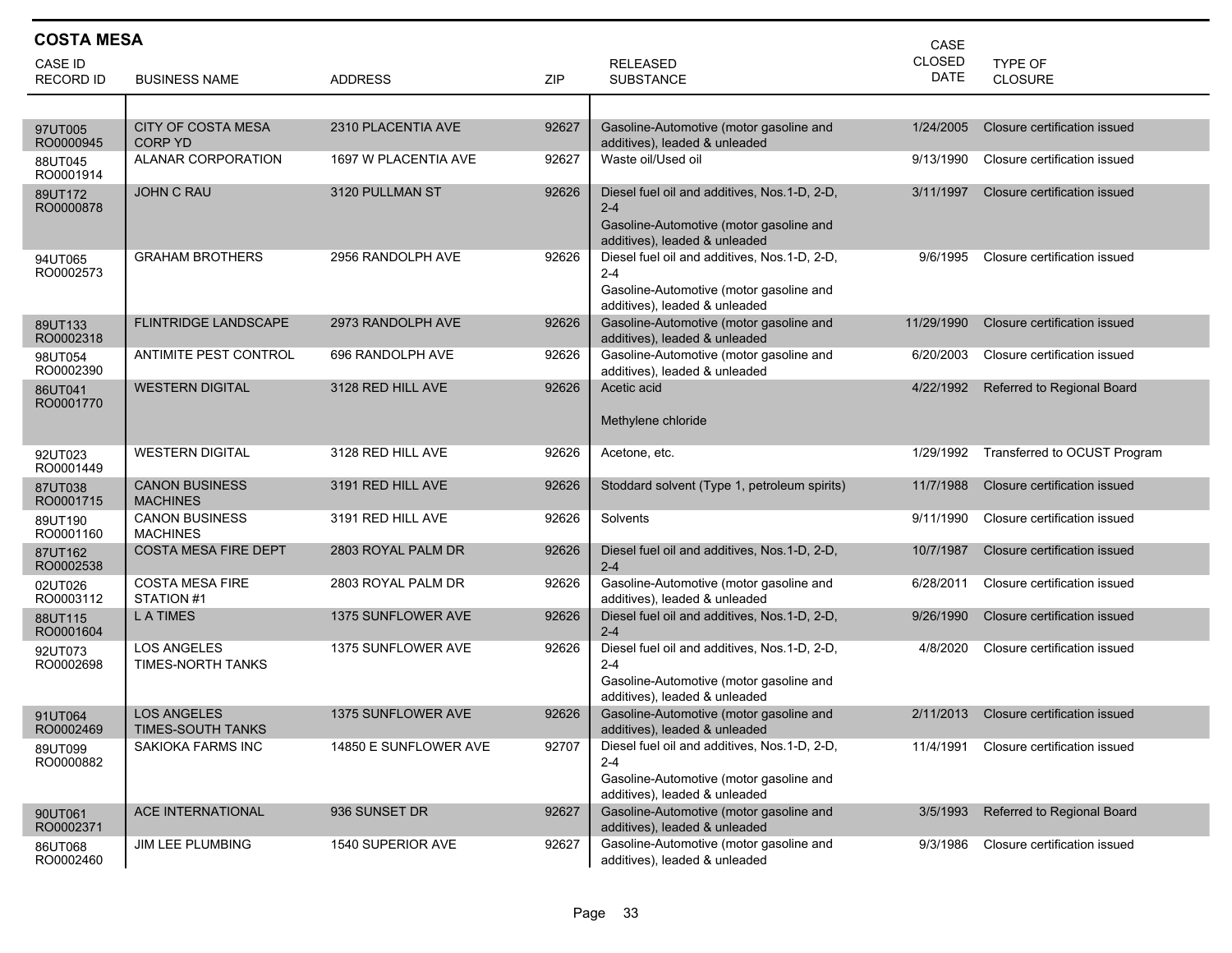| <b>COSTA MESA</b><br>CASE   |                                             |                           |       |                                                                                                                                      |                |                              |  |  |
|-----------------------------|---------------------------------------------|---------------------------|-------|--------------------------------------------------------------------------------------------------------------------------------------|----------------|------------------------------|--|--|
| CASE ID<br><b>RECORD ID</b> | <b>BUSINESS NAME</b>                        | <b>ADDRESS</b>            | ZIP   | <b>RELEASED</b><br><b>SUBSTANCE</b>                                                                                                  | CLOSED<br>DATE | TYPE OF<br><b>CLOSURE</b>    |  |  |
|                             |                                             |                           |       |                                                                                                                                      |                |                              |  |  |
| 97UT005<br>RO0000945        | <b>CITY OF COSTA MESA</b><br><b>CORP YD</b> | 2310 PLACENTIA AVE        | 92627 | Gasoline-Automotive (motor gasoline and<br>additives), leaded & unleaded                                                             | 1/24/2005      | Closure certification issued |  |  |
| 88UT045<br>RO0001914        | <b>ALANAR CORPORATION</b>                   | 1697 W PLACENTIA AVE      | 92627 | Waste oil/Used oil                                                                                                                   | 9/13/1990      | Closure certification issued |  |  |
| 89UT172<br>RO0000878        | <b>JOHN C RAU</b>                           | 3120 PULLMAN ST           | 92626 | Diesel fuel oil and additives, Nos.1-D, 2-D,<br>$2 - 4$<br>Gasoline-Automotive (motor gasoline and<br>additives), leaded & unleaded  | 3/11/1997      | Closure certification issued |  |  |
| 94UT065<br>RO0002573        | <b>GRAHAM BROTHERS</b>                      | 2956 RANDOLPH AVE         | 92626 | Diesel fuel oil and additives, Nos.1-D, 2-D,<br>$2 - 4$<br>Gasoline-Automotive (motor gasoline and<br>additives), leaded & unleaded  | 9/6/1995       | Closure certification issued |  |  |
| 89UT133<br>RO0002318        | <b>FLINTRIDGE LANDSCAPE</b>                 | 2973 RANDOLPH AVE         | 92626 | Gasoline-Automotive (motor gasoline and<br>additives), leaded & unleaded                                                             | 11/29/1990     | Closure certification issued |  |  |
| 98UT054<br>RO0002390        | ANTIMITE PEST CONTROL                       | 696 RANDOLPH AVE          | 92626 | Gasoline-Automotive (motor gasoline and<br>additives), leaded & unleaded                                                             | 6/20/2003      | Closure certification issued |  |  |
| 86UT041<br>RO0001770        | <b>WESTERN DIGITAL</b>                      | 3128 RED HILL AVE         | 92626 | Acetic acid<br>Methylene chloride                                                                                                    | 4/22/1992      | Referred to Regional Board   |  |  |
| 92UT023<br>RO0001449        | <b>WESTERN DIGITAL</b>                      | 3128 RED HILL AVE         | 92626 | Acetone, etc.                                                                                                                        | 1/29/1992      | Transferred to OCUST Program |  |  |
| 87UT038<br>RO0001715        | <b>CANON BUSINESS</b><br><b>MACHINES</b>    | 3191 RED HILL AVE         | 92626 | Stoddard solvent (Type 1, petroleum spirits)                                                                                         | 11/7/1988      | Closure certification issued |  |  |
| 89UT190<br>RO0001160        | <b>CANON BUSINESS</b><br><b>MACHINES</b>    | 3191 RED HILL AVE         | 92626 | Solvents                                                                                                                             | 9/11/1990      | Closure certification issued |  |  |
| 87UT162<br>RO0002538        | <b>COSTA MESA FIRE DEPT</b>                 | 2803 ROYAL PALM DR        | 92626 | Diesel fuel oil and additives, Nos.1-D, 2-D,<br>$2 - 4$                                                                              | 10/7/1987      | Closure certification issued |  |  |
| 02UT026<br>RO0003112        | <b>COSTA MESA FIRE</b><br>STATION #1        | 2803 ROYAL PALM DR        | 92626 | Gasoline-Automotive (motor gasoline and<br>additives), leaded & unleaded                                                             | 6/28/2011      | Closure certification issued |  |  |
| 88UT115<br>RO0001604        | L A TIMES                                   | 1375 SUNFLOWER AVE        | 92626 | Diesel fuel oil and additives, Nos.1-D, 2-D,<br>$2 - 4$                                                                              | 9/26/1990      | Closure certification issued |  |  |
| 92UT073<br>RO0002698        | <b>LOS ANGELES</b><br>TIMES-NORTH TANKS     | 1375 SUNFLOWER AVE        | 92626 | Diesel fuel oil and additives, Nos.1-D, 2-D,<br>$2 - 4$<br>Gasoline-Automotive (motor gasoline and<br>additives), leaded & unleaded  | 4/8/2020       | Closure certification issued |  |  |
| 91UT064<br>RO0002469        | <b>LOS ANGELES</b><br>TIMES-SOUTH TANKS     | <b>1375 SUNFLOWER AVE</b> | 92626 | Gasoline-Automotive (motor gasoline and<br>additives), leaded & unleaded                                                             | 2/11/2013      | Closure certification issued |  |  |
| 89UT099<br>RO0000882        | SAKIOKA FARMS INC                           | 14850 E SUNFLOWER AVE     | 92707 | Diesel fuel oil and additives, Nos. 1-D, 2-D,<br>$2 - 4$<br>Gasoline-Automotive (motor gasoline and<br>additives), leaded & unleaded | 11/4/1991      | Closure certification issued |  |  |
| 90UT061<br>RO0002371        | ACE INTERNATIONAL                           | 936 SUNSET DR             | 92627 | Gasoline-Automotive (motor gasoline and<br>additives), leaded & unleaded                                                             | 3/5/1993       | Referred to Regional Board   |  |  |
| 86UT068<br>RO0002460        | JIM LEE PLUMBING                            | 1540 SUPERIOR AVE         | 92627 | Gasoline-Automotive (motor gasoline and<br>additives), leaded & unleaded                                                             | 9/3/1986       | Closure certification issued |  |  |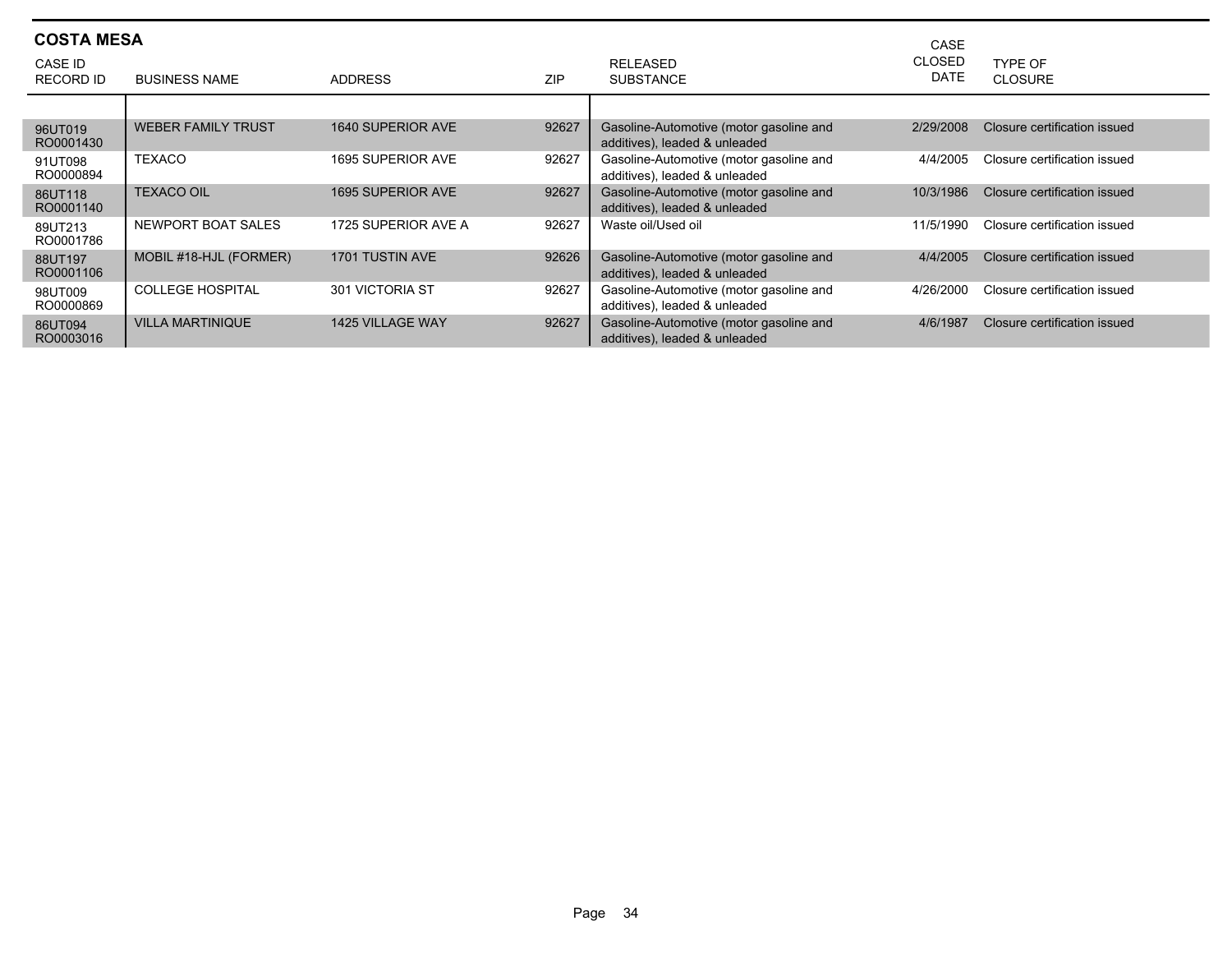| <b>COSTA MESA</b><br>CASE   |                           |                         |            |                                                                          |                              |                              |  |
|-----------------------------|---------------------------|-------------------------|------------|--------------------------------------------------------------------------|------------------------------|------------------------------|--|
| CASE ID<br><b>RECORD ID</b> | <b>BUSINESS NAME</b>      | <b>ADDRESS</b>          | <b>ZIP</b> | RELEASED<br><b>SUBSTANCE</b>                                             | <b>CLOSED</b><br><b>DATE</b> | TYPE OF<br><b>CLOSURE</b>    |  |
|                             |                           |                         |            |                                                                          |                              |                              |  |
| 96UT019<br>RO0001430        | <b>WEBER FAMILY TRUST</b> | 1640 SUPERIOR AVE       | 92627      | Gasoline-Automotive (motor gasoline and<br>additives), leaded & unleaded | 2/29/2008                    | Closure certification issued |  |
| 91UT098<br>RO0000894        | <b>TEXACO</b>             | 1695 SUPERIOR AVE       | 92627      | Gasoline-Automotive (motor gasoline and<br>additives), leaded & unleaded | 4/4/2005                     | Closure certification issued |  |
| 86UT118<br>RO0001140        | <b>TEXACO OIL</b>         | 1695 SUPERIOR AVE       | 92627      | Gasoline-Automotive (motor gasoline and<br>additives), leaded & unleaded | 10/3/1986                    | Closure certification issued |  |
| 89UT213<br>RO0001786        | NEWPORT BOAT SALES        | 1725 SUPERIOR AVE A     | 92627      | Waste oil/Used oil                                                       | 11/5/1990                    | Closure certification issued |  |
| 88UT197<br>RO0001106        | MOBIL #18-HJL (FORMER)    | <b>1701 TUSTIN AVE</b>  | 92626      | Gasoline-Automotive (motor gasoline and<br>additives), leaded & unleaded | 4/4/2005                     | Closure certification issued |  |
| 98UT009<br>RO0000869        | <b>COLLEGE HOSPITAL</b>   | 301 VICTORIA ST         | 92627      | Gasoline-Automotive (motor gasoline and<br>additives), leaded & unleaded | 4/26/2000                    | Closure certification issued |  |
| 86UT094<br>RO0003016        | <b>VILLA MARTINIQUE</b>   | <b>1425 VILLAGE WAY</b> | 92627      | Gasoline-Automotive (motor gasoline and<br>additives), leaded & unleaded | 4/6/1987                     | Closure certification issued |  |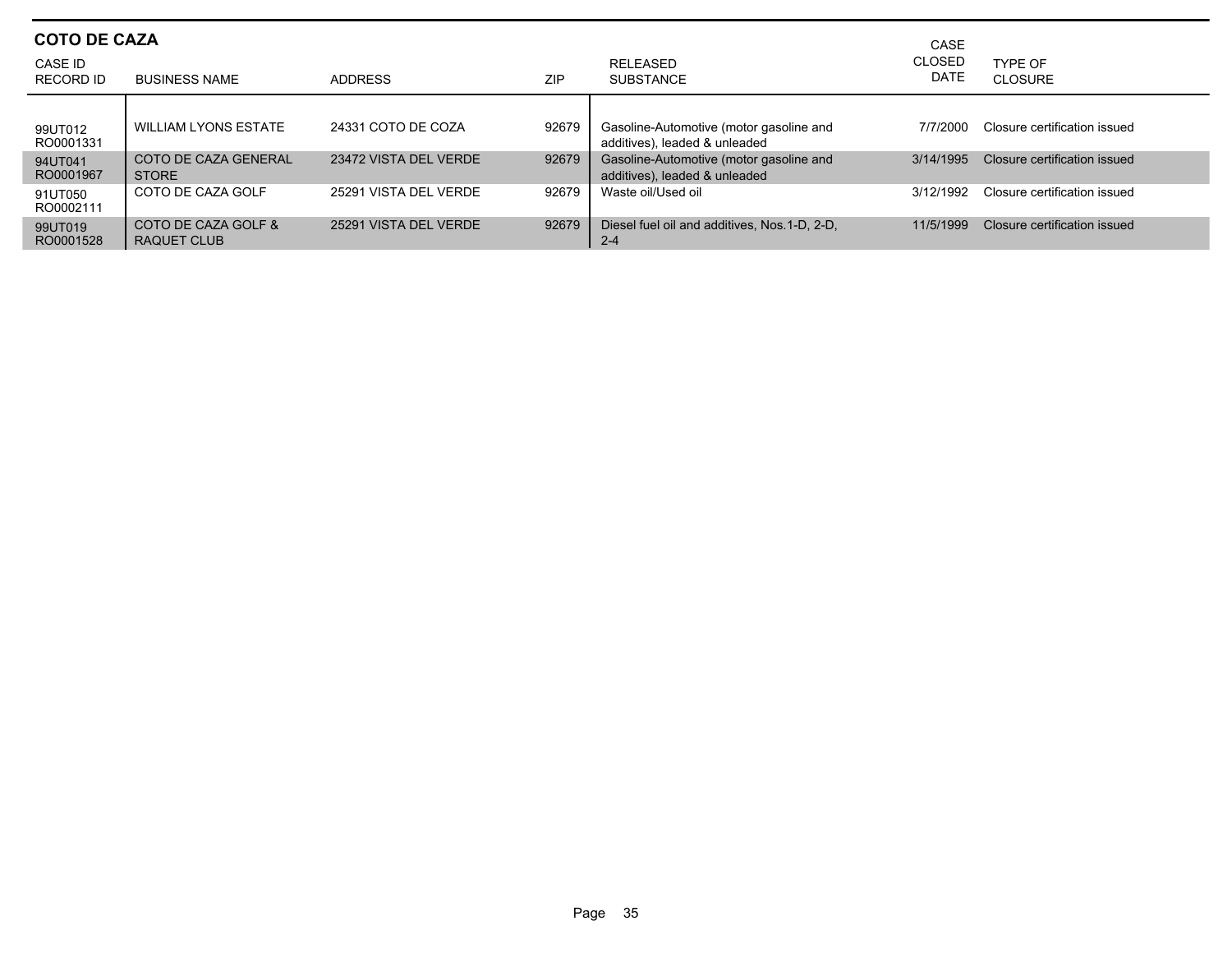| <b>COTO DE CAZA</b><br>CASE ID<br>RECORD ID | <b>BUSINESS NAME</b>                 | <b>ADDRESS</b>        | ZIP   | <b>RELEASED</b><br><b>SUBSTANCE</b>                                      | CASE<br><b>CLOSED</b><br>DATE | TYPF OF<br>CLOSURE           |
|---------------------------------------------|--------------------------------------|-----------------------|-------|--------------------------------------------------------------------------|-------------------------------|------------------------------|
| 99UT012<br>RO0001331                        | <b>WILLIAM LYONS ESTATE</b>          | 24331 COTO DE COZA    | 92679 | Gasoline-Automotive (motor gasoline and<br>additives), leaded & unleaded | 7/7/2000                      | Closure certification issued |
| 94UT041<br>RO0001967                        | COTO DE CAZA GENERAL<br><b>STORE</b> | 23472 VISTA DEL VERDE | 92679 | Gasoline-Automotive (motor gasoline and<br>additives), leaded & unleaded | 3/14/1995                     | Closure certification issued |
| 91UT050<br>RO0002111                        | COTO DE CAZA GOLF                    | 25291 VISTA DEL VERDE | 92679 | Waste oil/Used oil                                                       | 3/12/1992                     | Closure certification issued |
| 99UT019<br>RO0001528                        | COTO DE CAZA GOLF &<br>RAQUET CLUB   | 25291 VISTA DEL VERDE | 92679 | Diesel fuel oil and additives. Nos. 1-D. 2-D.<br>$2 - 4$                 | 11/5/1999                     | Closure certification issued |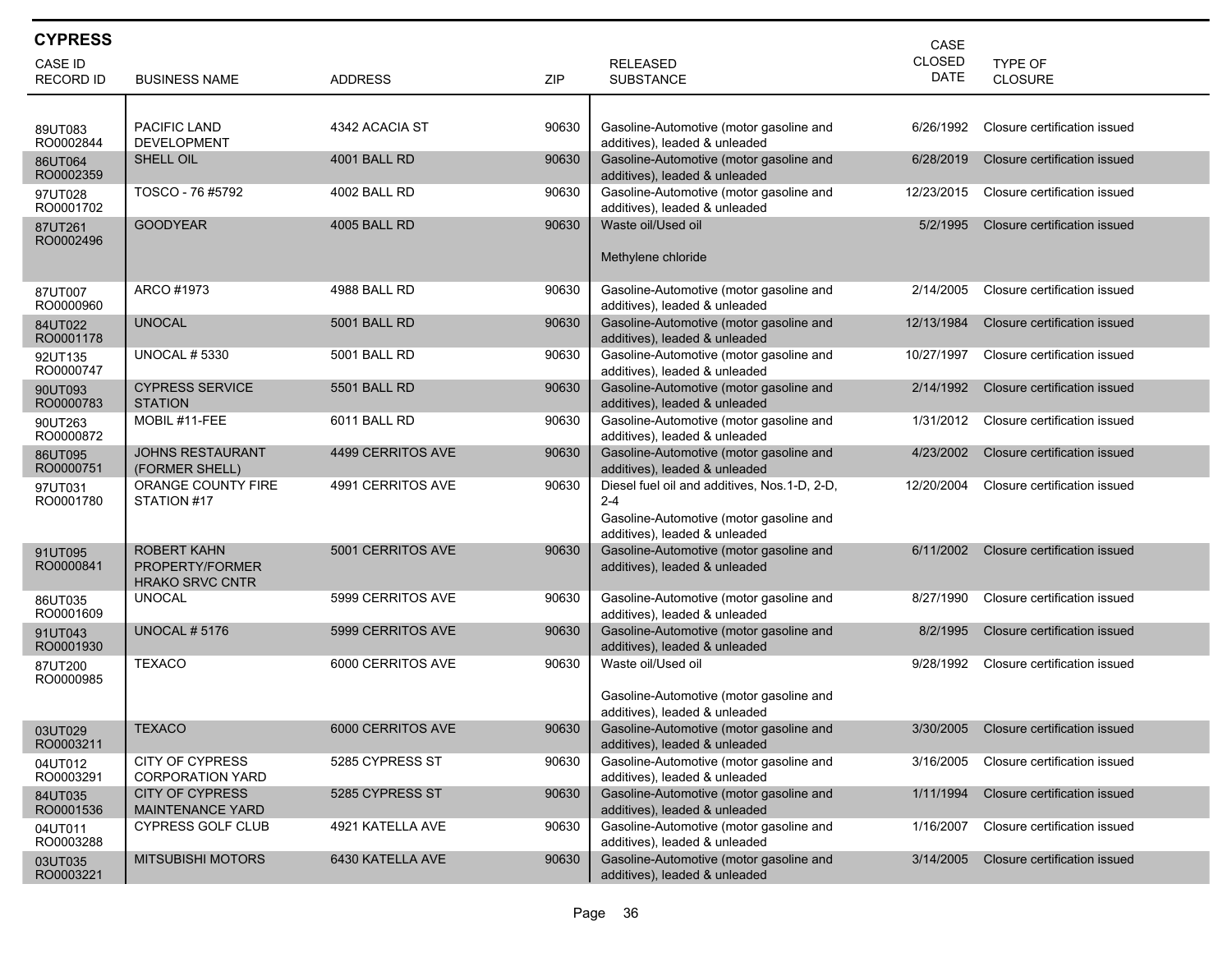| <b>CYPRESS</b>       |                                                          |                     |            |                                                                                                                                     | CASE                         |                              |
|----------------------|----------------------------------------------------------|---------------------|------------|-------------------------------------------------------------------------------------------------------------------------------------|------------------------------|------------------------------|
| <b>CASE ID</b>       |                                                          |                     |            | <b>RELEASED</b>                                                                                                                     | <b>CLOSED</b><br><b>DATE</b> | <b>TYPE OF</b>               |
| <b>RECORD ID</b>     | <b>BUSINESS NAME</b>                                     | <b>ADDRESS</b>      | <b>ZIP</b> | <b>SUBSTANCE</b>                                                                                                                    |                              | CLOSURE                      |
| 89UT083<br>RO0002844 | <b>PACIFIC LAND</b><br><b>DEVELOPMENT</b>                | 4342 ACACIA ST      | 90630      | Gasoline-Automotive (motor gasoline and<br>additives), leaded & unleaded                                                            | 6/26/1992                    | Closure certification issued |
| 86UT064<br>RO0002359 | SHELL OIL                                                | 4001 BALL RD        | 90630      | Gasoline-Automotive (motor gasoline and<br>additives), leaded & unleaded                                                            | 6/28/2019                    | Closure certification issued |
| 97UT028<br>RO0001702 | TOSCO - 76 #5792                                         | 4002 BALL RD        | 90630      | Gasoline-Automotive (motor gasoline and<br>additives), leaded & unleaded                                                            | 12/23/2015                   | Closure certification issued |
| 87UT261<br>RO0002496 | <b>GOODYEAR</b>                                          | 4005 BALL RD        | 90630      | Waste oil/Used oil<br>Methylene chloride                                                                                            | 5/2/1995                     | Closure certification issued |
| 87UT007<br>RO0000960 | ARCO #1973                                               | 4988 BALL RD        | 90630      | Gasoline-Automotive (motor gasoline and<br>additives), leaded & unleaded                                                            | 2/14/2005                    | Closure certification issued |
| 84UT022<br>RO0001178 | <b>UNOCAL</b>                                            | <b>5001 BALL RD</b> | 90630      | Gasoline-Automotive (motor gasoline and<br>additives), leaded & unleaded                                                            | 12/13/1984                   | Closure certification issued |
| 92UT135<br>RO0000747 | <b>UNOCAL # 5330</b>                                     | 5001 BALL RD        | 90630      | Gasoline-Automotive (motor gasoline and<br>additives), leaded & unleaded                                                            | 10/27/1997                   | Closure certification issued |
| 90UT093<br>RO0000783 | <b>CYPRESS SERVICE</b><br><b>STATION</b>                 | 5501 BALL RD        | 90630      | Gasoline-Automotive (motor gasoline and<br>additives), leaded & unleaded                                                            | 2/14/1992                    | Closure certification issued |
| 90UT263<br>RO0000872 | MOBIL #11-FEE                                            | 6011 BALL RD        | 90630      | Gasoline-Automotive (motor gasoline and<br>additives), leaded & unleaded                                                            | 1/31/2012                    | Closure certification issued |
| 86UT095<br>RO0000751 | <b>JOHNS RESTAURANT</b><br>(FORMER SHELL)                | 4499 CERRITOS AVE   | 90630      | Gasoline-Automotive (motor gasoline and<br>additives), leaded & unleaded                                                            | 4/23/2002                    | Closure certification issued |
| 97UT031<br>RO0001780 | ORANGE COUNTY FIRE<br>STATION #17                        | 4991 CERRITOS AVE   | 90630      | Diesel fuel oil and additives, Nos.1-D, 2-D,<br>$2 - 4$<br>Gasoline-Automotive (motor gasoline and<br>additives), leaded & unleaded | 12/20/2004                   | Closure certification issued |
| 91UT095<br>RO0000841 | ROBERT KAHN<br>PROPERTY/FORMER<br><b>HRAKO SRVC CNTR</b> | 5001 CERRITOS AVE   | 90630      | Gasoline-Automotive (motor gasoline and<br>additives), leaded & unleaded                                                            | 6/11/2002                    | Closure certification issued |
| 86UT035<br>RO0001609 | <b>UNOCAL</b>                                            | 5999 CERRITOS AVE   | 90630      | Gasoline-Automotive (motor gasoline and<br>additives), leaded & unleaded                                                            | 8/27/1990                    | Closure certification issued |
| 91UT043<br>RO0001930 | <b>UNOCAL #5176</b>                                      | 5999 CERRITOS AVE   | 90630      | Gasoline-Automotive (motor gasoline and<br>additives), leaded & unleaded                                                            | 8/2/1995                     | Closure certification issued |
| 87UT200<br>RO0000985 | <b>TEXACO</b>                                            | 6000 CERRITOS AVE   | 90630      | Waste oil/Used oil<br>Gasoline-Automotive (motor gasoline and                                                                       | 9/28/1992                    | Closure certification issued |
| 03UT029<br>RO0003211 | TEXACO                                                   | 6000 CERRITOS AVE   | 90630      | additives), leaded & unleaded<br>Gasoline-Automotive (motor gasoline and<br>additives), leaded & unleaded                           | 3/30/2005                    | Closure certification issued |
| 04UT012<br>RO0003291 | CITY OF CYPRESS<br><b>CORPORATION YARD</b>               | 5285 CYPRESS ST     | 90630      | Gasoline-Automotive (motor gasoline and<br>additives), leaded & unleaded                                                            | 3/16/2005                    | Closure certification issued |
| 84UT035<br>RO0001536 | <b>CITY OF CYPRESS</b><br><b>MAINTENANCE YARD</b>        | 5285 CYPRESS ST     | 90630      | Gasoline-Automotive (motor gasoline and<br>additives), leaded & unleaded                                                            | 1/11/1994                    | Closure certification issued |
| 04UT011<br>RO0003288 | <b>CYPRESS GOLF CLUB</b>                                 | 4921 KATELLA AVE    | 90630      | Gasoline-Automotive (motor gasoline and<br>additives), leaded & unleaded                                                            | 1/16/2007                    | Closure certification issued |
| 03UT035<br>RO0003221 | <b>MITSUBISHI MOTORS</b>                                 | 6430 KATELLA AVE    | 90630      | Gasoline-Automotive (motor gasoline and<br>additives), leaded & unleaded                                                            | 3/14/2005                    | Closure certification issued |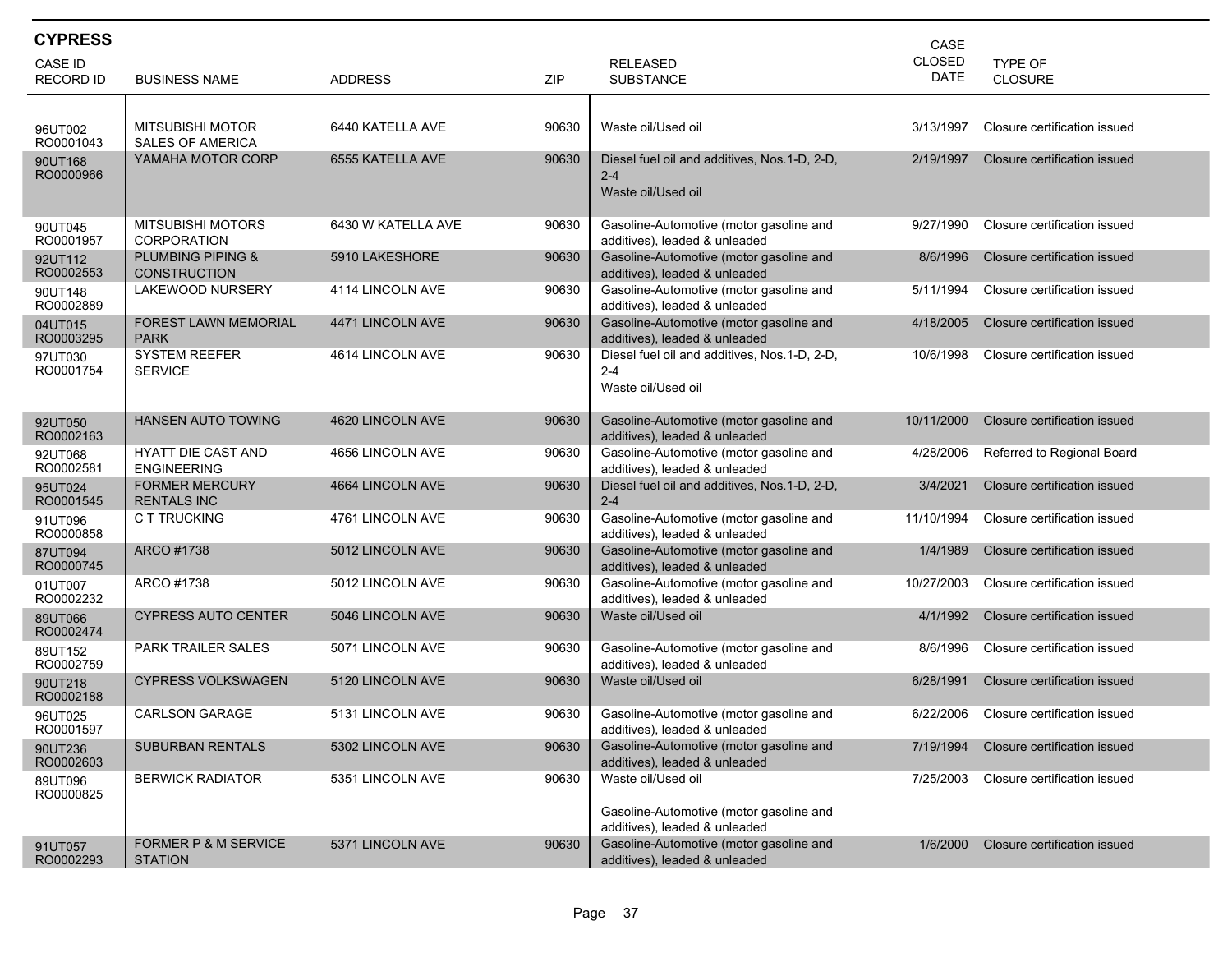| <b>CYPRESS</b>       |                                                     |                    |       |                                                                          | CASE          |                              |
|----------------------|-----------------------------------------------------|--------------------|-------|--------------------------------------------------------------------------|---------------|------------------------------|
| <b>CASE ID</b>       |                                                     |                    |       | <b>RELEASED</b>                                                          | <b>CLOSED</b> | <b>TYPE OF</b>               |
| <b>RECORD ID</b>     | <b>BUSINESS NAME</b>                                | <b>ADDRESS</b>     | ZIP   | <b>SUBSTANCE</b>                                                         | DATE          | CLOSURE                      |
|                      |                                                     |                    |       |                                                                          |               | Closure certification issued |
| 96UT002<br>RO0001043 | <b>MITSUBISHI MOTOR</b><br><b>SALES OF AMERICA</b>  | 6440 KATELLA AVE   | 90630 | Waste oil/Used oil                                                       | 3/13/1997     |                              |
| 90UT168<br>RO0000966 | YAMAHA MOTOR CORP                                   | 6555 KATELLA AVE   | 90630 | Diesel fuel oil and additives, Nos. 1-D, 2-D,<br>$2 - 4$                 | 2/19/1997     | Closure certification issued |
|                      |                                                     |                    |       | Waste oil/Used oil                                                       |               |                              |
|                      | <b>MITSUBISHI MOTORS</b>                            | 6430 W KATELLA AVE | 90630 | Gasoline-Automotive (motor gasoline and                                  | 9/27/1990     | Closure certification issued |
| 90UT045<br>RO0001957 | <b>CORPORATION</b>                                  |                    |       | additives), leaded & unleaded                                            |               |                              |
| 92UT112<br>RO0002553 | <b>PLUMBING PIPING &amp;</b><br><b>CONSTRUCTION</b> | 5910 LAKESHORE     | 90630 | Gasoline-Automotive (motor gasoline and<br>additives), leaded & unleaded | 8/6/1996      | Closure certification issued |
| 90UT148<br>RO0002889 | LAKEWOOD NURSERY                                    | 4114 LINCOLN AVE   | 90630 | Gasoline-Automotive (motor gasoline and<br>additives), leaded & unleaded | 5/11/1994     | Closure certification issued |
| 04UT015<br>RO0003295 | <b>FOREST LAWN MEMORIAL</b><br><b>PARK</b>          | 4471 LINCOLN AVE   | 90630 | Gasoline-Automotive (motor gasoline and<br>additives), leaded & unleaded | 4/18/2005     | Closure certification issued |
| 97UT030<br>RO0001754 | <b>SYSTEM REEFER</b><br><b>SERVICE</b>              | 4614 LINCOLN AVE   | 90630 | Diesel fuel oil and additives, Nos.1-D, 2-D,<br>$2 - 4$                  | 10/6/1998     | Closure certification issued |
|                      |                                                     |                    |       | Waste oil/Used oil                                                       |               |                              |
| 92UT050              | <b>HANSEN AUTO TOWING</b>                           | 4620 LINCOLN AVE   | 90630 | Gasoline-Automotive (motor gasoline and                                  | 10/11/2000    | Closure certification issued |
| RO0002163<br>92UT068 | HYATT DIE CAST AND                                  | 4656 LINCOLN AVE   | 90630 | additives), leaded & unleaded<br>Gasoline-Automotive (motor gasoline and | 4/28/2006     | Referred to Regional Board   |
| RO0002581            | <b>ENGINEERING</b>                                  |                    |       | additives), leaded & unleaded                                            |               |                              |
| 95UT024<br>RO0001545 | <b>FORMER MERCURY</b><br><b>RENTALS INC</b>         | 4664 LINCOLN AVE   | 90630 | Diesel fuel oil and additives, Nos.1-D, 2-D,<br>$2 - 4$                  | 3/4/2021      | Closure certification issued |
| 91UT096<br>RO0000858 | C T TRUCKING                                        | 4761 LINCOLN AVE   | 90630 | Gasoline-Automotive (motor gasoline and<br>additives), leaded & unleaded | 11/10/1994    | Closure certification issued |
| 87UT094<br>RO0000745 | ARCO #1738                                          | 5012 LINCOLN AVE   | 90630 | Gasoline-Automotive (motor gasoline and<br>additives), leaded & unleaded | 1/4/1989      | Closure certification issued |
| 01UT007<br>RO0002232 | ARCO #1738                                          | 5012 LINCOLN AVE   | 90630 | Gasoline-Automotive (motor gasoline and<br>additives), leaded & unleaded | 10/27/2003    | Closure certification issued |
| 89UT066<br>RO0002474 | <b>CYPRESS AUTO CENTER</b>                          | 5046 LINCOLN AVE   | 90630 | Waste oil/Used oil                                                       | 4/1/1992      | Closure certification issued |
| 89UT152<br>RO0002759 | <b>PARK TRAILER SALES</b>                           | 5071 LINCOLN AVE   | 90630 | Gasoline-Automotive (motor gasoline and<br>additives), leaded & unleaded | 8/6/1996      | Closure certification issued |
| 90UT218<br>RO0002188 | <b>CYPRESS VOLKSWAGEN</b>                           | 5120 LINCOLN AVE   | 90630 | Waste oil/Used oil                                                       | 6/28/1991     | Closure certification issued |
| 96UT025<br>RO0001597 | <b>CARLSON GARAGE</b>                               | 5131 LINCOLN AVE   | 90630 | Gasoline-Automotive (motor gasoline and<br>additives), leaded & unleaded | 6/22/2006     | Closure certification issued |
| 90UT236<br>RO0002603 | <b>SUBURBAN RENTALS</b>                             | 5302 LINCOLN AVE   | 90630 | Gasoline-Automotive (motor gasoline and<br>additives), leaded & unleaded | 7/19/1994     | Closure certification issued |
| 89UT096<br>RO0000825 | <b>BERWICK RADIATOR</b>                             | 5351 LINCOLN AVE   | 90630 | Waste oil/Used oil                                                       | 7/25/2003     | Closure certification issued |
|                      |                                                     |                    |       | Gasoline-Automotive (motor gasoline and<br>additives), leaded & unleaded |               |                              |
| 91UT057              | <b>FORMER P &amp; M SERVICE</b>                     | 5371 LINCOLN AVE   | 90630 | Gasoline-Automotive (motor gasoline and                                  | 1/6/2000      | Closure certification issued |
| RO0002293            | <b>STATION</b>                                      |                    |       | additives), leaded & unleaded                                            |               |                              |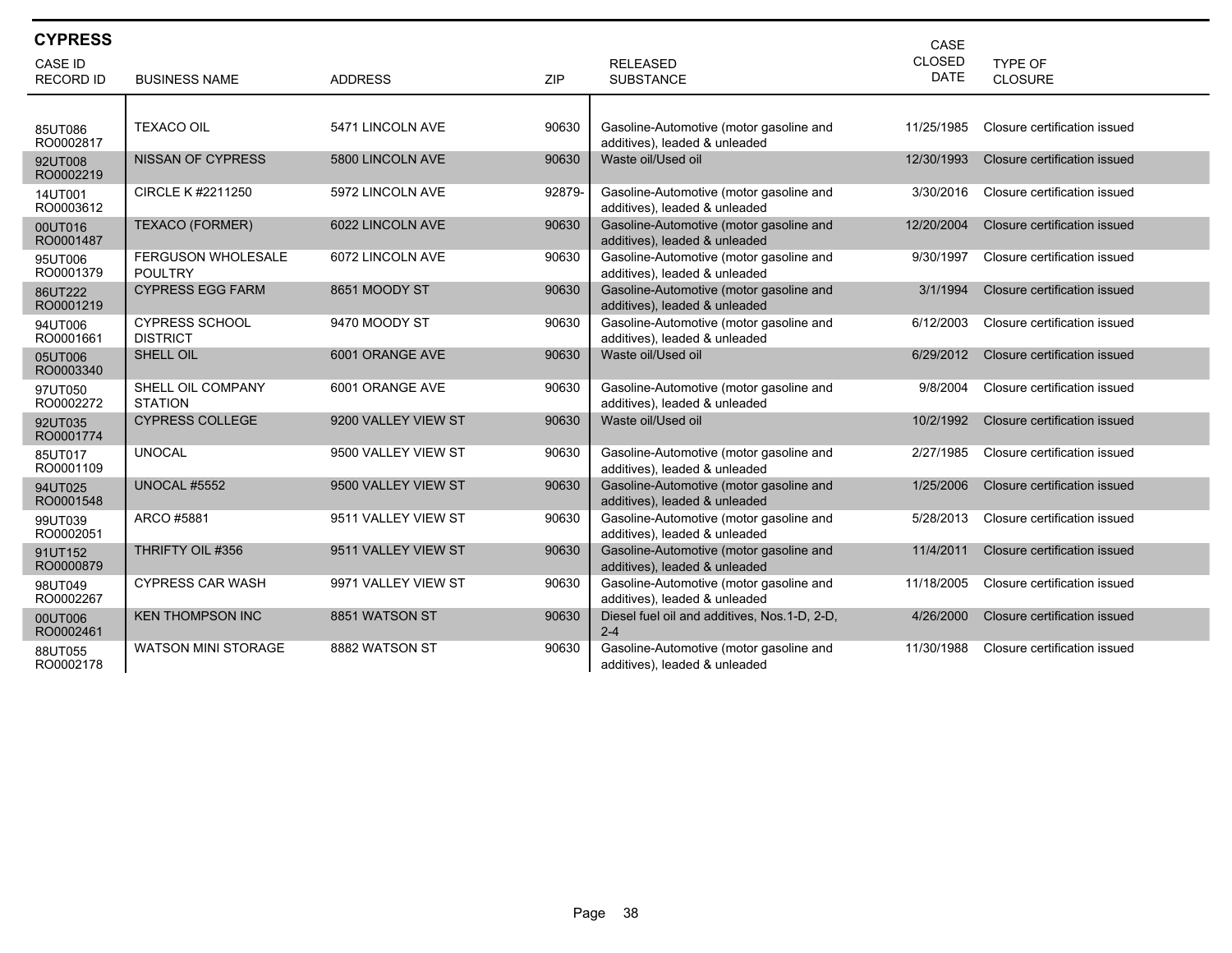| <b>CYPRESS</b>       |                                             |                     |            |                                                                          | CASE        |                              |
|----------------------|---------------------------------------------|---------------------|------------|--------------------------------------------------------------------------|-------------|------------------------------|
| <b>CASE ID</b>       |                                             |                     |            | <b>RELEASED</b>                                                          | CLOSED      | <b>TYPE OF</b>               |
| <b>RECORD ID</b>     | <b>BUSINESS NAME</b>                        | <b>ADDRESS</b>      | <b>ZIP</b> | <b>SUBSTANCE</b>                                                         | <b>DATE</b> | <b>CLOSURE</b>               |
|                      |                                             |                     |            |                                                                          |             |                              |
| 85UT086<br>RO0002817 | <b>TEXACO OIL</b>                           | 5471 LINCOLN AVE    | 90630      | Gasoline-Automotive (motor gasoline and<br>additives), leaded & unleaded | 11/25/1985  | Closure certification issued |
| 92UT008<br>RO0002219 | <b>NISSAN OF CYPRESS</b>                    | 5800 LINCOLN AVE    | 90630      | Waste oil/Used oil                                                       | 12/30/1993  | Closure certification issued |
| 14UT001<br>RO0003612 | CIRCLE K #2211250                           | 5972 LINCOLN AVE    | 92879-     | Gasoline-Automotive (motor gasoline and<br>additives), leaded & unleaded | 3/30/2016   | Closure certification issued |
| 00UT016<br>RO0001487 | TEXACO (FORMER)                             | 6022 LINCOLN AVE    | 90630      | Gasoline-Automotive (motor gasoline and<br>additives), leaded & unleaded | 12/20/2004  | Closure certification issued |
| 95UT006<br>RO0001379 | <b>FERGUSON WHOLESALE</b><br><b>POULTRY</b> | 6072 LINCOLN AVE    | 90630      | Gasoline-Automotive (motor gasoline and<br>additives), leaded & unleaded | 9/30/1997   | Closure certification issued |
| 86UT222<br>RO0001219 | <b>CYPRESS EGG FARM</b>                     | 8651 MOODY ST       | 90630      | Gasoline-Automotive (motor gasoline and<br>additives), leaded & unleaded | 3/1/1994    | Closure certification issued |
| 94UT006<br>RO0001661 | <b>CYPRESS SCHOOL</b><br><b>DISTRICT</b>    | 9470 MOODY ST       | 90630      | Gasoline-Automotive (motor gasoline and<br>additives), leaded & unleaded | 6/12/2003   | Closure certification issued |
| 05UT006<br>RO0003340 | SHELL OIL                                   | 6001 ORANGE AVE     | 90630      | Waste oil/Used oil                                                       | 6/29/2012   | Closure certification issued |
| 97UT050<br>RO0002272 | SHELL OIL COMPANY<br><b>STATION</b>         | 6001 ORANGE AVE     | 90630      | Gasoline-Automotive (motor gasoline and<br>additives), leaded & unleaded | 9/8/2004    | Closure certification issued |
| 92UT035<br>RO0001774 | <b>CYPRESS COLLEGE</b>                      | 9200 VALLEY VIEW ST | 90630      | Waste oil/Used oil                                                       | 10/2/1992   | Closure certification issued |
| 85UT017<br>RO0001109 | <b>UNOCAL</b>                               | 9500 VALLEY VIEW ST | 90630      | Gasoline-Automotive (motor gasoline and<br>additives), leaded & unleaded | 2/27/1985   | Closure certification issued |
| 94UT025<br>RO0001548 | <b>UNOCAL #5552</b>                         | 9500 VALLEY VIEW ST | 90630      | Gasoline-Automotive (motor gasoline and<br>additives), leaded & unleaded | 1/25/2006   | Closure certification issued |
| 99UT039<br>RO0002051 | ARCO #5881                                  | 9511 VALLEY VIEW ST | 90630      | Gasoline-Automotive (motor gasoline and<br>additives), leaded & unleaded | 5/28/2013   | Closure certification issued |
| 91UT152<br>RO0000879 | THRIFTY OIL #356                            | 9511 VALLEY VIEW ST | 90630      | Gasoline-Automotive (motor gasoline and<br>additives), leaded & unleaded | 11/4/2011   | Closure certification issued |
| 98UT049<br>RO0002267 | <b>CYPRESS CAR WASH</b>                     | 9971 VALLEY VIEW ST | 90630      | Gasoline-Automotive (motor gasoline and<br>additives), leaded & unleaded | 11/18/2005  | Closure certification issued |
| 00UT006<br>RO0002461 | <b>KEN THOMPSON INC</b>                     | 8851 WATSON ST      | 90630      | Diesel fuel oil and additives, Nos.1-D, 2-D,<br>$2 - 4$                  | 4/26/2000   | Closure certification issued |
| 88UT055<br>RO0002178 | <b>WATSON MINI STORAGE</b>                  | 8882 WATSON ST      | 90630      | Gasoline-Automotive (motor gasoline and<br>additives), leaded & unleaded | 11/30/1988  | Closure certification issued |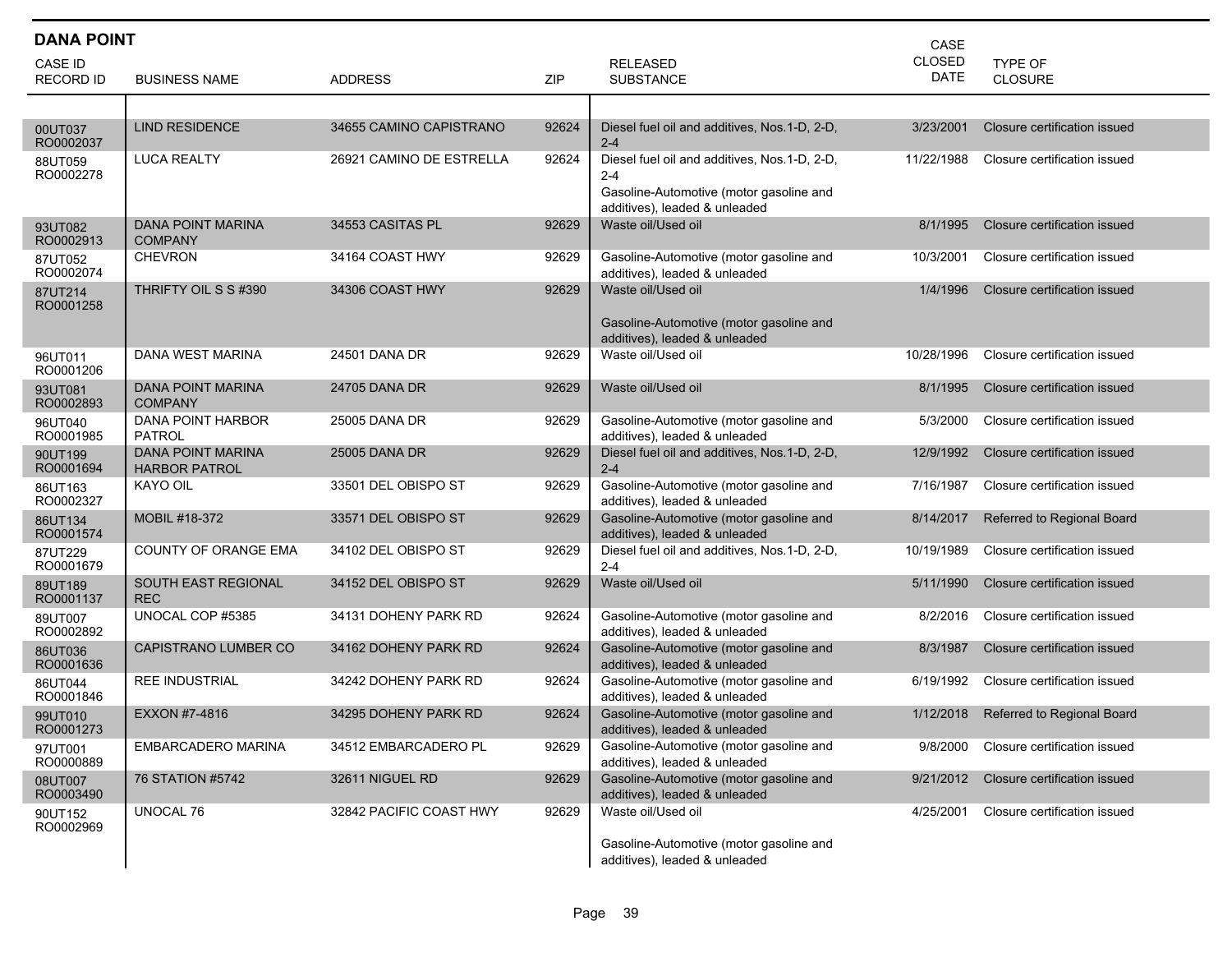| <b>DANA POINT</b><br>CASE          |                                                  |                          |       |                                                                                                                                     |                              |                              |  |  |
|------------------------------------|--------------------------------------------------|--------------------------|-------|-------------------------------------------------------------------------------------------------------------------------------------|------------------------------|------------------------------|--|--|
| <b>CASE ID</b><br><b>RECORD ID</b> | <b>BUSINESS NAME</b>                             | <b>ADDRESS</b>           | ZIP   | <b>RELEASED</b><br><b>SUBSTANCE</b>                                                                                                 | <b>CLOSED</b><br><b>DATE</b> | TYPE OF<br>CLOSURE           |  |  |
|                                    |                                                  |                          |       |                                                                                                                                     |                              |                              |  |  |
| 00UT037<br>RO0002037               | <b>LIND RESIDENCE</b>                            | 34655 CAMINO CAPISTRANO  | 92624 | Diesel fuel oil and additives, Nos.1-D, 2-D,<br>$2 - 4$                                                                             | 3/23/2001                    | Closure certification issued |  |  |
| 88UT059<br>RO0002278               | <b>LUCA REALTY</b>                               | 26921 CAMINO DE ESTRELLA | 92624 | Diesel fuel oil and additives, Nos.1-D, 2-D,<br>$2 - 4$<br>Gasoline-Automotive (motor gasoline and<br>additives), leaded & unleaded | 11/22/1988                   | Closure certification issued |  |  |
| 93UT082<br>RO0002913               | <b>DANA POINT MARINA</b><br><b>COMPANY</b>       | 34553 CASITAS PL         | 92629 | Waste oil/Used oil                                                                                                                  | 8/1/1995                     | Closure certification issued |  |  |
| 87UT052<br>RO0002074               | <b>CHEVRON</b>                                   | 34164 COAST HWY          | 92629 | Gasoline-Automotive (motor gasoline and<br>additives), leaded & unleaded                                                            | 10/3/2001                    | Closure certification issued |  |  |
| 87UT214<br>RO0001258               | THRIFTY OIL S S #390                             | 34306 COAST HWY          | 92629 | Waste oil/Used oil<br>Gasoline-Automotive (motor gasoline and<br>additives), leaded & unleaded                                      | 1/4/1996                     | Closure certification issued |  |  |
| 96UT011<br>RO0001206               | DANA WEST MARINA                                 | 24501 DANA DR            | 92629 | Waste oil/Used oil                                                                                                                  | 10/28/1996                   | Closure certification issued |  |  |
| 93UT081<br>RO0002893               | <b>DANA POINT MARINA</b><br><b>COMPANY</b>       | 24705 DANA DR            | 92629 | Waste oil/Used oil                                                                                                                  | 8/1/1995                     | Closure certification issued |  |  |
| 96UT040<br>RO0001985               | DANA POINT HARBOR<br><b>PATROL</b>               | 25005 DANA DR            | 92629 | Gasoline-Automotive (motor gasoline and<br>additives), leaded & unleaded                                                            | 5/3/2000                     | Closure certification issued |  |  |
| 90UT199<br>RO0001694               | <b>DANA POINT MARINA</b><br><b>HARBOR PATROL</b> | 25005 DANA DR            | 92629 | Diesel fuel oil and additives, Nos.1-D, 2-D,<br>$2 - 4$                                                                             | 12/9/1992                    | Closure certification issued |  |  |
| 86UT163<br>RO0002327               | KAYO OIL                                         | 33501 DEL OBISPO ST      | 92629 | Gasoline-Automotive (motor gasoline and<br>additives), leaded & unleaded                                                            | 7/16/1987                    | Closure certification issued |  |  |
| 86UT134<br>RO0001574               | MOBIL #18-372                                    | 33571 DEL OBISPO ST      | 92629 | Gasoline-Automotive (motor gasoline and<br>additives), leaded & unleaded                                                            | 8/14/2017                    | Referred to Regional Board   |  |  |
| 87UT229<br>RO0001679               | COUNTY OF ORANGE EMA                             | 34102 DEL OBISPO ST      | 92629 | Diesel fuel oil and additives, Nos.1-D, 2-D,<br>$2 - 4$                                                                             | 10/19/1989                   | Closure certification issued |  |  |
| 89UT189<br>RO0001137               | <b>SOUTH EAST REGIONAL</b><br><b>REC</b>         | 34152 DEL OBISPO ST      | 92629 | Waste oil/Used oil                                                                                                                  | 5/11/1990                    | Closure certification issued |  |  |
| 89UT007<br>RO0002892               | UNOCAL COP #5385                                 | 34131 DOHENY PARK RD     | 92624 | Gasoline-Automotive (motor gasoline and<br>additives), leaded & unleaded                                                            | 8/2/2016                     | Closure certification issued |  |  |
| 86UT036<br>RO0001636               | <b>CAPISTRANO LUMBER CO</b>                      | 34162 DOHENY PARK RD     | 92624 | Gasoline-Automotive (motor gasoline and<br>additives), leaded & unleaded                                                            | 8/3/1987                     | Closure certification issued |  |  |
| 86UT044<br>RO0001846               | <b>REE INDUSTRIAL</b>                            | 34242 DOHENY PARK RD     | 92624 | Gasoline-Automotive (motor gasoline and<br>additives), leaded & unleaded                                                            | 6/19/1992                    | Closure certification issued |  |  |
| 99UT010<br>RO0001273               | EXXON #7-4816                                    | 34295 DOHENY PARK RD     | 92624 | Gasoline-Automotive (motor gasoline and<br>additives), leaded & unleaded                                                            | 1/12/2018                    | Referred to Regional Board   |  |  |
| 97UT001<br>RO0000889               | EMBARCADERO MARINA                               | 34512 EMBARCADERO PL     | 92629 | Gasoline-Automotive (motor gasoline and<br>additives), leaded & unleaded                                                            | 9/8/2000                     | Closure certification issued |  |  |
| 08UT007<br>RO0003490               | 76 STATION #5742                                 | 32611 NIGUEL RD          | 92629 | Gasoline-Automotive (motor gasoline and<br>additives), leaded & unleaded                                                            | 9/21/2012                    | Closure certification issued |  |  |
| 90UT152<br>RO0002969               | UNOCAL 76                                        | 32842 PACIFIC COAST HWY  | 92629 | Waste oil/Used oil<br>Gasoline-Automotive (motor gasoline and<br>additives), leaded & unleaded                                      | 4/25/2001                    | Closure certification issued |  |  |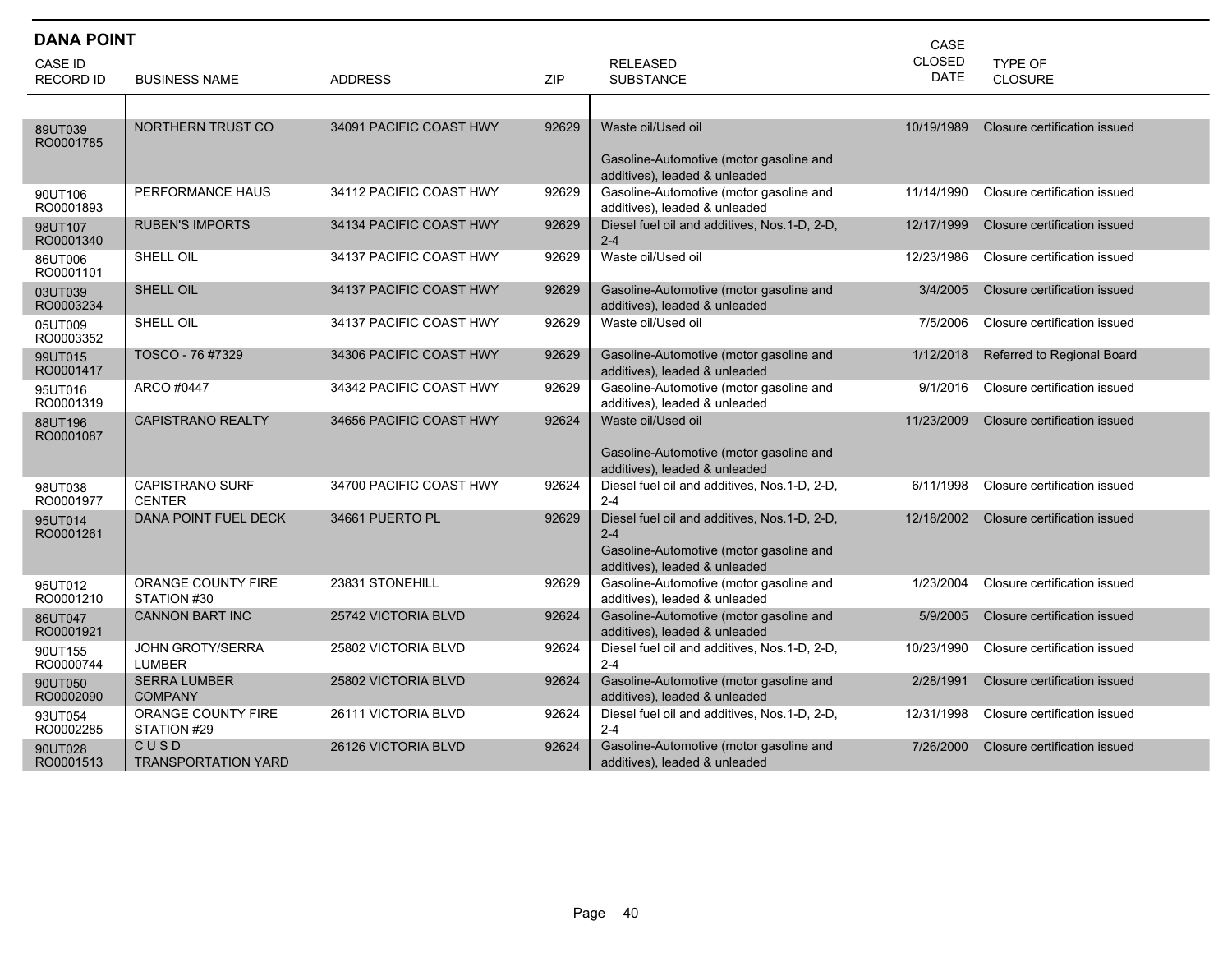|                      | <b>DANA POINT</b><br>CASE               |                         |       |                                                                                                                                     |               |                              |  |  |  |
|----------------------|-----------------------------------------|-------------------------|-------|-------------------------------------------------------------------------------------------------------------------------------------|---------------|------------------------------|--|--|--|
| <b>CASE ID</b>       |                                         |                         |       | <b>RELEASED</b>                                                                                                                     | <b>CLOSED</b> | <b>TYPE OF</b>               |  |  |  |
| <b>RECORD ID</b>     | <b>BUSINESS NAME</b>                    | <b>ADDRESS</b>          | ZIP   | <b>SUBSTANCE</b>                                                                                                                    | DATE          | <b>CLOSURE</b>               |  |  |  |
|                      |                                         |                         |       |                                                                                                                                     |               |                              |  |  |  |
| 89UT039<br>RO0001785 | NORTHERN TRUST CO                       | 34091 PACIFIC COAST HWY | 92629 | Waste oil/Used oil<br>Gasoline-Automotive (motor gasoline and<br>additives), leaded & unleaded                                      | 10/19/1989    | Closure certification issued |  |  |  |
| 90UT106<br>RO0001893 | PERFORMANCE HAUS                        | 34112 PACIFIC COAST HWY | 92629 | Gasoline-Automotive (motor gasoline and<br>additives), leaded & unleaded                                                            | 11/14/1990    | Closure certification issued |  |  |  |
| 98UT107<br>RO0001340 | <b>RUBEN'S IMPORTS</b>                  | 34134 PACIFIC COAST HWY | 92629 | Diesel fuel oil and additives, Nos.1-D, 2-D,<br>$2 - 4$                                                                             | 12/17/1999    | Closure certification issued |  |  |  |
| 86UT006<br>RO0001101 | SHELL OIL                               | 34137 PACIFIC COAST HWY | 92629 | Waste oil/Used oil                                                                                                                  | 12/23/1986    | Closure certification issued |  |  |  |
| 03UT039<br>RO0003234 | SHELL OIL                               | 34137 PACIFIC COAST HWY | 92629 | Gasoline-Automotive (motor gasoline and<br>additives), leaded & unleaded                                                            | 3/4/2005      | Closure certification issued |  |  |  |
| 05UT009<br>RO0003352 | SHELL OIL                               | 34137 PACIFIC COAST HWY | 92629 | Waste oil/Used oil                                                                                                                  | 7/5/2006      | Closure certification issued |  |  |  |
| 99UT015<br>RO0001417 | TOSCO - 76 #7329                        | 34306 PACIFIC COAST HWY | 92629 | Gasoline-Automotive (motor gasoline and<br>additives), leaded & unleaded                                                            | 1/12/2018     | Referred to Regional Board   |  |  |  |
| 95UT016<br>RO0001319 | ARCO #0447                              | 34342 PACIFIC COAST HWY | 92629 | Gasoline-Automotive (motor gasoline and<br>additives), leaded & unleaded                                                            | 9/1/2016      | Closure certification issued |  |  |  |
| 88UT196<br>RO0001087 | <b>CAPISTRANO REALTY</b>                | 34656 PACIFIC COAST HWY | 92624 | Waste oil/Used oil<br>Gasoline-Automotive (motor gasoline and<br>additives), leaded & unleaded                                      | 11/23/2009    | Closure certification issued |  |  |  |
| 98UT038<br>RO0001977 | <b>CAPISTRANO SURF</b><br><b>CENTER</b> | 34700 PACIFIC COAST HWY | 92624 | Diesel fuel oil and additives, Nos.1-D, 2-D,<br>$2 - 4$                                                                             | 6/11/1998     | Closure certification issued |  |  |  |
| 95UT014<br>RO0001261 | DANA POINT FUEL DECK                    | 34661 PUERTO PL         | 92629 | Diesel fuel oil and additives, Nos.1-D, 2-D,<br>$2 - 4$<br>Gasoline-Automotive (motor gasoline and<br>additives), leaded & unleaded | 12/18/2002    | Closure certification issued |  |  |  |
| 95UT012<br>RO0001210 | ORANGE COUNTY FIRE<br>STATION #30       | 23831 STONEHILL         | 92629 | Gasoline-Automotive (motor gasoline and<br>additives), leaded & unleaded                                                            | 1/23/2004     | Closure certification issued |  |  |  |
| 86UT047<br>RO0001921 | <b>CANNON BART INC</b>                  | 25742 VICTORIA BLVD     | 92624 | Gasoline-Automotive (motor gasoline and<br>additives), leaded & unleaded                                                            | 5/9/2005      | Closure certification issued |  |  |  |
| 90UT155<br>RO0000744 | JOHN GROTY/SERRA<br><b>LUMBER</b>       | 25802 VICTORIA BLVD     | 92624 | Diesel fuel oil and additives, Nos.1-D, 2-D,<br>$2 - 4$                                                                             | 10/23/1990    | Closure certification issued |  |  |  |
| 90UT050<br>RO0002090 | <b>SERRA LUMBER</b><br><b>COMPANY</b>   | 25802 VICTORIA BLVD     | 92624 | Gasoline-Automotive (motor gasoline and<br>additives), leaded & unleaded                                                            | 2/28/1991     | Closure certification issued |  |  |  |
| 93UT054<br>RO0002285 | ORANGE COUNTY FIRE<br>STATION #29       | 26111 VICTORIA BLVD     | 92624 | Diesel fuel oil and additives, Nos.1-D, 2-D,<br>$2 - 4$                                                                             | 12/31/1998    | Closure certification issued |  |  |  |
| 90UT028<br>RO0001513 | CUSD<br><b>TRANSPORTATION YARD</b>      | 26126 VICTORIA BLVD     | 92624 | Gasoline-Automotive (motor gasoline and<br>additives), leaded & unleaded                                                            | 7/26/2000     | Closure certification issued |  |  |  |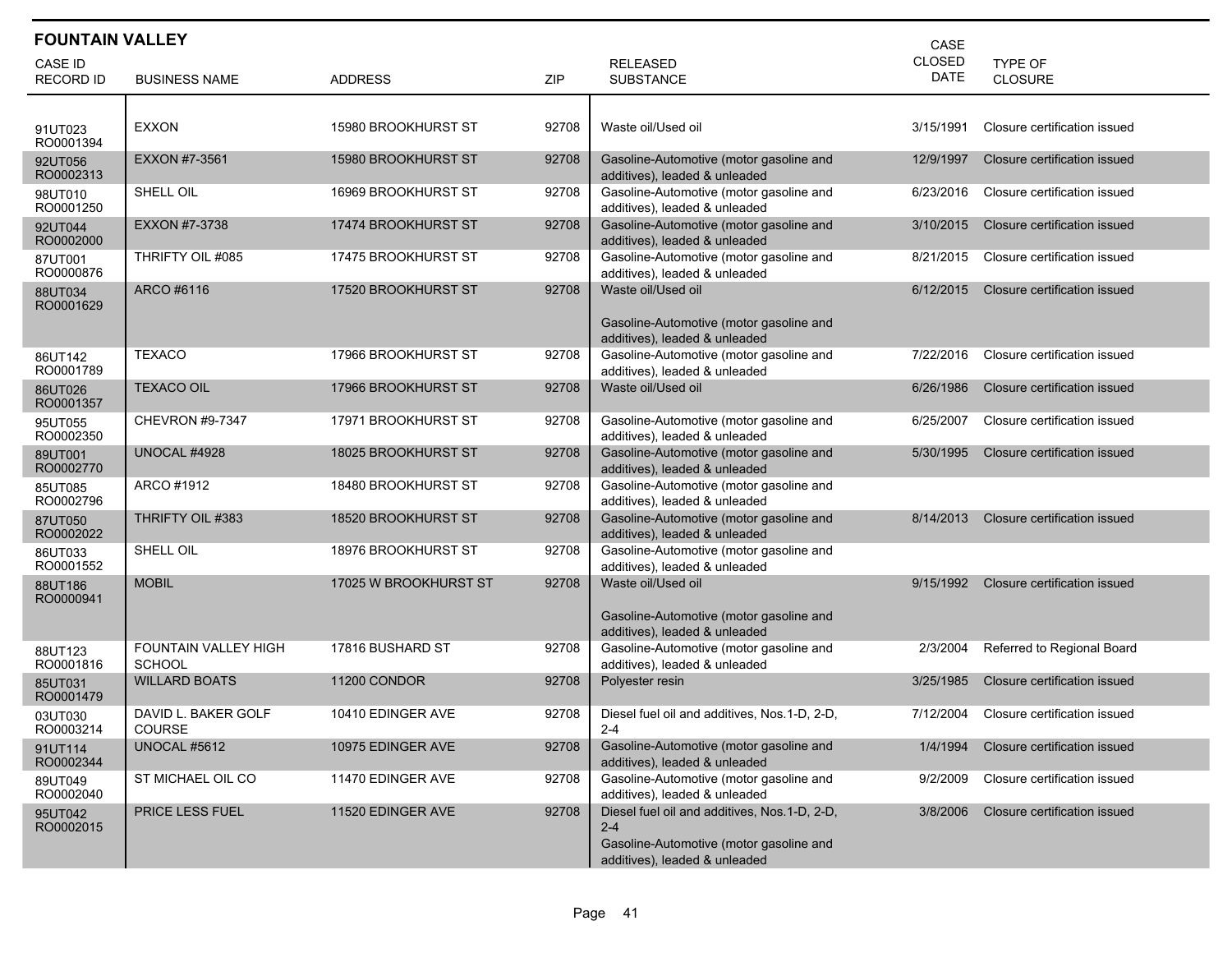| <b>FOUNTAIN VALLEY</b>             |                                       |                       |       | CASE                                                                                                                                |                              |                              |
|------------------------------------|---------------------------------------|-----------------------|-------|-------------------------------------------------------------------------------------------------------------------------------------|------------------------------|------------------------------|
| <b>CASE ID</b><br><b>RECORD ID</b> | <b>BUSINESS NAME</b>                  | <b>ADDRESS</b>        | ZIP   | <b>RELEASED</b><br><b>SUBSTANCE</b>                                                                                                 | <b>CLOSED</b><br><b>DATE</b> | TYPE OF<br><b>CLOSURE</b>    |
|                                    |                                       |                       |       |                                                                                                                                     |                              |                              |
| 91UT023<br>RO0001394               | <b>EXXON</b>                          | 15980 BROOKHURST ST   | 92708 | Waste oil/Used oil                                                                                                                  | 3/15/1991                    | Closure certification issued |
| 92UT056<br>RO0002313               | EXXON #7-3561                         | 15980 BROOKHURST ST   | 92708 | Gasoline-Automotive (motor gasoline and<br>additives), leaded & unleaded                                                            | 12/9/1997                    | Closure certification issued |
| 98UT010<br>RO0001250               | SHELL OIL                             | 16969 BROOKHURST ST   | 92708 | Gasoline-Automotive (motor gasoline and<br>additives), leaded & unleaded                                                            | 6/23/2016                    | Closure certification issued |
| 92UT044<br>RO0002000               | EXXON #7-3738                         | 17474 BROOKHURST ST   | 92708 | Gasoline-Automotive (motor gasoline and<br>additives), leaded & unleaded                                                            | 3/10/2015                    | Closure certification issued |
| 87UT001<br>RO0000876               | THRIFTY OIL #085                      | 17475 BROOKHURST ST   | 92708 | Gasoline-Automotive (motor gasoline and<br>additives), leaded & unleaded                                                            | 8/21/2015                    | Closure certification issued |
| 88UT034<br>RO0001629               | ARCO #6116                            | 17520 BROOKHURST ST   | 92708 | Waste oil/Used oil                                                                                                                  | 6/12/2015                    | Closure certification issued |
|                                    |                                       |                       |       | Gasoline-Automotive (motor gasoline and<br>additives), leaded & unleaded                                                            |                              |                              |
| 86UT142<br>RO0001789               | <b>TEXACO</b>                         | 17966 BROOKHURST ST   | 92708 | Gasoline-Automotive (motor gasoline and<br>additives), leaded & unleaded                                                            | 7/22/2016                    | Closure certification issued |
| 86UT026<br>RO0001357               | <b>TEXACO OIL</b>                     | 17966 BROOKHURST ST   | 92708 | Waste oil/Used oil                                                                                                                  | 6/26/1986                    | Closure certification issued |
| 95UT055<br>RO0002350               | <b>CHEVRON #9-7347</b>                | 17971 BROOKHURST ST   | 92708 | Gasoline-Automotive (motor gasoline and<br>additives), leaded & unleaded                                                            | 6/25/2007                    | Closure certification issued |
| 89UT001<br>RO0002770               | UNOCAL #4928                          | 18025 BROOKHURST ST   | 92708 | Gasoline-Automotive (motor gasoline and<br>additives), leaded & unleaded                                                            | 5/30/1995                    | Closure certification issued |
| 85UT085<br>RO0002796               | ARCO #1912                            | 18480 BROOKHURST ST   | 92708 | Gasoline-Automotive (motor gasoline and<br>additives), leaded & unleaded                                                            |                              |                              |
| 87UT050<br>RO0002022               | THRIFTY OIL #383                      | 18520 BROOKHURST ST   | 92708 | Gasoline-Automotive (motor gasoline and<br>additives), leaded & unleaded                                                            | 8/14/2013                    | Closure certification issued |
| 86UT033<br>RO0001552               | SHELL OIL                             | 18976 BROOKHURST ST   | 92708 | Gasoline-Automotive (motor gasoline and<br>additives), leaded & unleaded                                                            |                              |                              |
| 88UT186<br>RO0000941               | <b>MOBIL</b>                          | 17025 W BROOKHURST ST | 92708 | Waste oil/Used oil                                                                                                                  | 9/15/1992                    | Closure certification issued |
|                                    |                                       |                       |       | Gasoline-Automotive (motor gasoline and<br>additives), leaded & unleaded                                                            |                              |                              |
| 88UT123<br>RO0001816               | FOUNTAIN VALLEY HIGH<br><b>SCHOOL</b> | 17816 BUSHARD ST      | 92708 | Gasoline-Automotive (motor gasoline and<br>additives), leaded & unleaded                                                            | 2/3/2004                     | Referred to Regional Board   |
| 85UT031<br>RO0001479               | <b>WILLARD BOATS</b>                  | 11200 CONDOR          | 92708 | Polyester resin                                                                                                                     | 3/25/1985                    | Closure certification issued |
| 03UT030<br>RO0003214               | DAVID L. BAKER GOLF<br>COURSE         | 10410 EDINGER AVE     | 92708 | Diesel fuel oil and additives, Nos.1-D, 2-D,<br>$2 - 4$                                                                             | 7/12/2004                    | Closure certification issued |
| 91UT114<br>RO0002344               | UNOCAL #5612                          | 10975 EDINGER AVE     | 92708 | Gasoline-Automotive (motor gasoline and<br>additives), leaded & unleaded                                                            | 1/4/1994                     | Closure certification issued |
| 89UT049<br>RO0002040               | ST MICHAEL OIL CO                     | 11470 EDINGER AVE     | 92708 | Gasoline-Automotive (motor gasoline and<br>additives), leaded & unleaded                                                            | 9/2/2009                     | Closure certification issued |
| 95UT042<br>RO0002015               | <b>PRICE LESS FUEL</b>                | 11520 EDINGER AVE     | 92708 | Diesel fuel oil and additives, Nos.1-D, 2-D,<br>$2 - 4$<br>Gasoline-Automotive (motor gasoline and<br>additives), leaded & unleaded | 3/8/2006                     | Closure certification issued |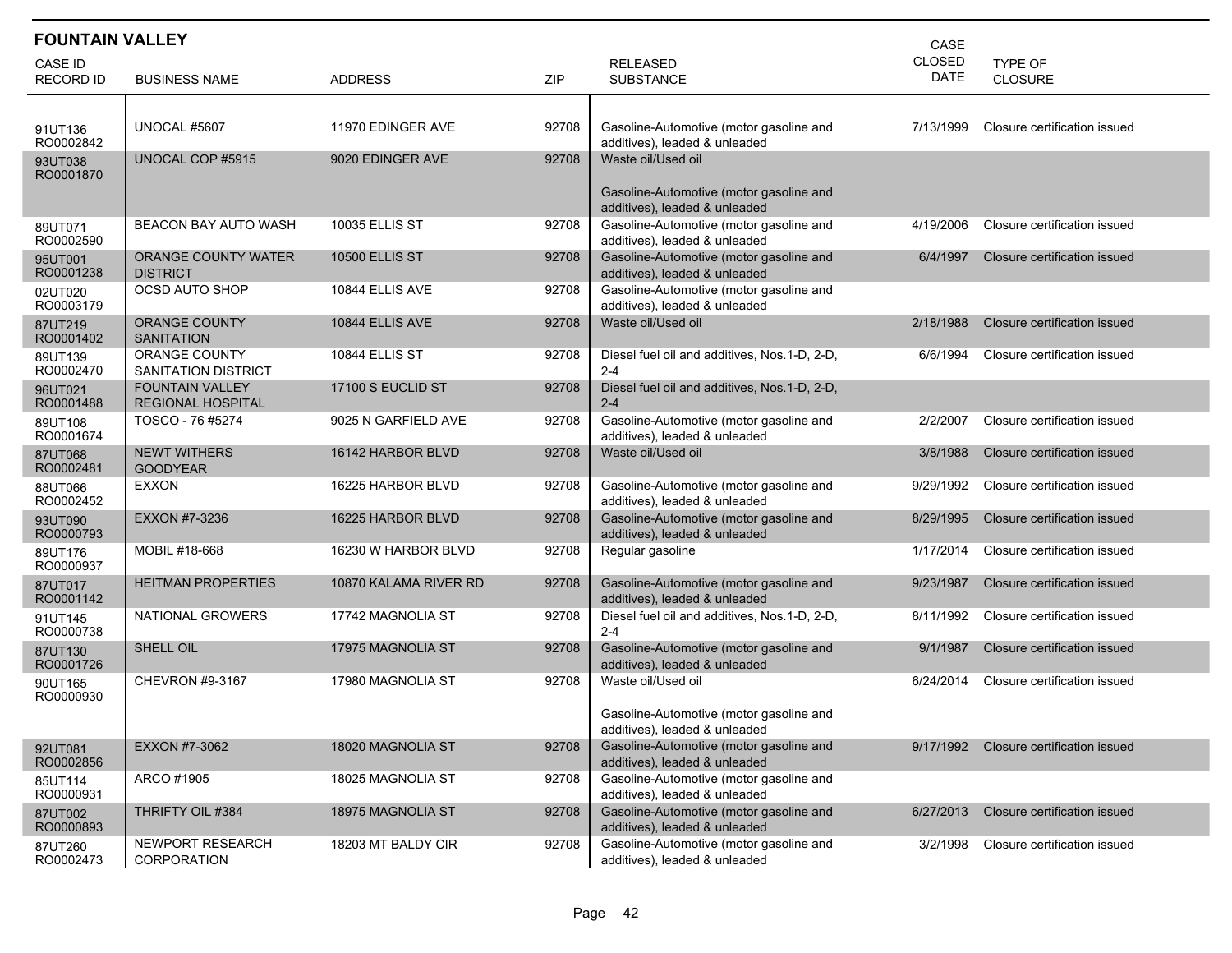| <b>FOUNTAIN VALLEY</b><br>CASE     |                                                    |                       |       |                                                                                                           |                              |                              |  |  |
|------------------------------------|----------------------------------------------------|-----------------------|-------|-----------------------------------------------------------------------------------------------------------|------------------------------|------------------------------|--|--|
| <b>CASE ID</b><br><b>RECORD ID</b> | <b>BUSINESS NAME</b>                               | <b>ADDRESS</b>        | ZIP   | <b>RELEASED</b><br><b>SUBSTANCE</b>                                                                       | <b>CLOSED</b><br><b>DATE</b> | TYPE OF<br><b>CLOSURE</b>    |  |  |
| 91UT136                            | UNOCAL #5607                                       | 11970 EDINGER AVE     | 92708 | Gasoline-Automotive (motor gasoline and                                                                   | 7/13/1999                    | Closure certification issued |  |  |
| RO0002842<br>93UT038<br>RO0001870  | UNOCAL COP #5915                                   | 9020 EDINGER AVE      | 92708 | additives), leaded & unleaded<br>Waste oil/Used oil<br>Gasoline-Automotive (motor gasoline and            |                              |                              |  |  |
| 89UT071<br>RO0002590               | BEACON BAY AUTO WASH                               | <b>10035 ELLIS ST</b> | 92708 | additives), leaded & unleaded<br>Gasoline-Automotive (motor gasoline and<br>additives), leaded & unleaded | 4/19/2006                    | Closure certification issued |  |  |
| 95UT001<br>RO0001238               | <b>ORANGE COUNTY WATER</b><br><b>DISTRICT</b>      | <b>10500 ELLIS ST</b> | 92708 | Gasoline-Automotive (motor gasoline and<br>additives), leaded & unleaded                                  | 6/4/1997                     | Closure certification issued |  |  |
| 02UT020<br>RO0003179               | OCSD AUTO SHOP                                     | 10844 ELLIS AVE       | 92708 | Gasoline-Automotive (motor gasoline and<br>additives), leaded & unleaded                                  |                              |                              |  |  |
| 87UT219<br>RO0001402               | <b>ORANGE COUNTY</b><br><b>SANITATION</b>          | 10844 ELLIS AVE       | 92708 | Waste oil/Used oil                                                                                        | 2/18/1988                    | Closure certification issued |  |  |
| 89UT139<br>RO0002470               | <b>ORANGE COUNTY</b><br>SANITATION DISTRICT        | 10844 ELLIS ST        | 92708 | Diesel fuel oil and additives, Nos.1-D, 2-D,<br>$2 - 4$                                                   | 6/6/1994                     | Closure certification issued |  |  |
| 96UT021<br>RO0001488               | <b>FOUNTAIN VALLEY</b><br><b>REGIONAL HOSPITAL</b> | 17100 S EUCLID ST     | 92708 | Diesel fuel oil and additives, Nos.1-D, 2-D,<br>$2 - 4$                                                   |                              |                              |  |  |
| 89UT108<br>RO0001674               | TOSCO - 76 #5274                                   | 9025 N GARFIELD AVE   | 92708 | Gasoline-Automotive (motor gasoline and<br>additives), leaded & unleaded                                  | 2/2/2007                     | Closure certification issued |  |  |
| 87UT068<br>RO0002481               | <b>NEWT WITHERS</b><br><b>GOODYEAR</b>             | 16142 HARBOR BLVD     | 92708 | Waste oil/Used oil                                                                                        | 3/8/1988                     | Closure certification issued |  |  |
| 88UT066<br>RO0002452               | <b>EXXON</b>                                       | 16225 HARBOR BLVD     | 92708 | Gasoline-Automotive (motor gasoline and<br>additives), leaded & unleaded                                  | 9/29/1992                    | Closure certification issued |  |  |
| 93UT090<br>RO0000793               | EXXON #7-3236                                      | 16225 HARBOR BLVD     | 92708 | Gasoline-Automotive (motor gasoline and<br>additives), leaded & unleaded                                  | 8/29/1995                    | Closure certification issued |  |  |
| 89UT176<br>RO0000937               | MOBIL #18-668                                      | 16230 W HARBOR BLVD   | 92708 | Regular gasoline                                                                                          | 1/17/2014                    | Closure certification issued |  |  |
| 87UT017<br>RO0001142               | <b>HEITMAN PROPERTIES</b>                          | 10870 KALAMA RIVER RD | 92708 | Gasoline-Automotive (motor gasoline and<br>additives), leaded & unleaded                                  | 9/23/1987                    | Closure certification issued |  |  |
| 91UT145<br>RO0000738               | NATIONAL GROWERS                                   | 17742 MAGNOLIA ST     | 92708 | Diesel fuel oil and additives, Nos.1-D, 2-D,<br>$2 - 4$                                                   | 8/11/1992                    | Closure certification issued |  |  |
| 87UT130<br>RO0001726               | SHELL OIL                                          | 17975 MAGNOLIA ST     | 92708 | Gasoline-Automotive (motor gasoline and<br>additives), leaded & unleaded                                  | 9/1/1987                     | Closure certification issued |  |  |
| 90UT165<br>RO0000930               | CHEVRON #9-3167                                    | 17980 MAGNOLIA ST     | 92708 | Waste oil/Used oil                                                                                        | 6/24/2014                    | Closure certification issued |  |  |
|                                    |                                                    |                       |       | Gasoline-Automotive (motor gasoline and<br>additives), leaded & unleaded                                  |                              |                              |  |  |
| 92UT081<br>RO0002856               | EXXON #7-3062                                      | 18020 MAGNOLIA ST     | 92708 | Gasoline-Automotive (motor gasoline and<br>additives), leaded & unleaded                                  | 9/17/1992                    | Closure certification issued |  |  |
| 85UT114<br>RO0000931               | ARCO #1905                                         | 18025 MAGNOLIA ST     | 92708 | Gasoline-Automotive (motor gasoline and<br>additives), leaded & unleaded                                  |                              |                              |  |  |
| 87UT002<br>RO0000893               | THRIFTY OIL #384                                   | 18975 MAGNOLIA ST     | 92708 | Gasoline-Automotive (motor gasoline and<br>additives), leaded & unleaded                                  | 6/27/2013                    | Closure certification issued |  |  |
| 87UT260<br>RO0002473               | NEWPORT RESEARCH<br>CORPORATION                    | 18203 MT BALDY CIR    | 92708 | Gasoline-Automotive (motor gasoline and<br>additives), leaded & unleaded                                  | 3/2/1998                     | Closure certification issued |  |  |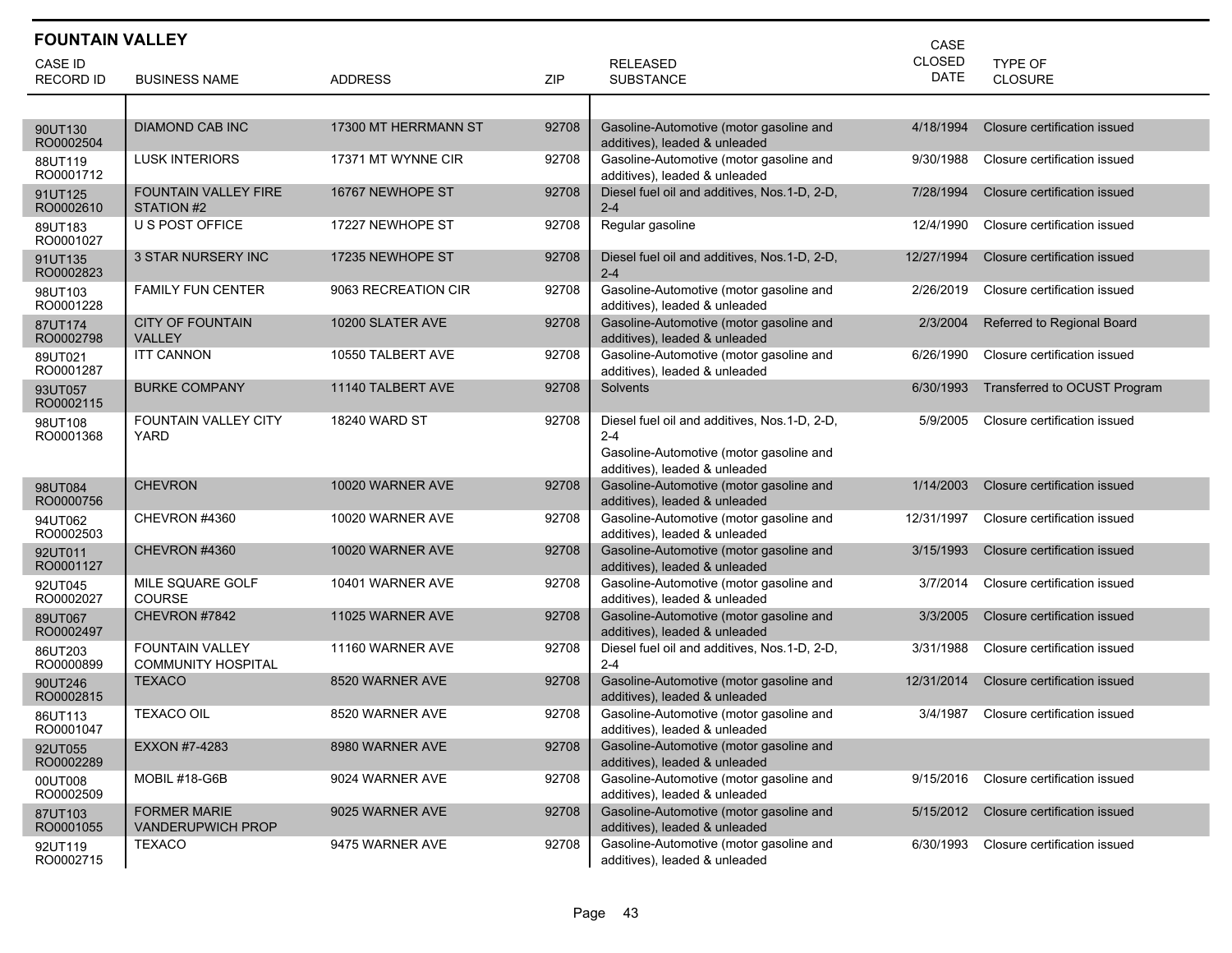| <b>FOUNTAIN VALLEY</b><br>CASE |                                                     |                      |       |                                                                                                                                     |                              |                              |  |  |
|--------------------------------|-----------------------------------------------------|----------------------|-------|-------------------------------------------------------------------------------------------------------------------------------------|------------------------------|------------------------------|--|--|
| CASE ID                        |                                                     |                      |       | <b>RELEASED</b>                                                                                                                     | <b>CLOSED</b><br><b>DATE</b> | <b>TYPE OF</b>               |  |  |
| <b>RECORD ID</b>               | <b>BUSINESS NAME</b>                                | <b>ADDRESS</b>       | ZIP   | <b>SUBSTANCE</b>                                                                                                                    |                              | <b>CLOSURE</b>               |  |  |
|                                |                                                     |                      |       |                                                                                                                                     |                              |                              |  |  |
| 90UT130<br>RO0002504           | <b>DIAMOND CAB INC</b>                              | 17300 MT HERRMANN ST | 92708 | Gasoline-Automotive (motor gasoline and<br>additives), leaded & unleaded                                                            | 4/18/1994                    | Closure certification issued |  |  |
| 88UT119<br>RO0001712           | <b>LUSK INTERIORS</b>                               | 17371 MT WYNNE CIR   | 92708 | Gasoline-Automotive (motor gasoline and<br>additives), leaded & unleaded                                                            | 9/30/1988                    | Closure certification issued |  |  |
| 91UT125<br>RO0002610           | <b>FOUNTAIN VALLEY FIRE</b><br>STATION #2           | 16767 NEWHOPE ST     | 92708 | Diesel fuel oil and additives, Nos.1-D, 2-D,<br>$2 - 4$                                                                             | 7/28/1994                    | Closure certification issued |  |  |
| 89UT183<br>RO0001027           | U S POST OFFICE                                     | 17227 NEWHOPE ST     | 92708 | Regular gasoline                                                                                                                    | 12/4/1990                    | Closure certification issued |  |  |
| 91UT135<br>RO0002823           | <b>3 STAR NURSERY INC</b>                           | 17235 NEWHOPE ST     | 92708 | Diesel fuel oil and additives, Nos. 1-D, 2-D,<br>$2 - 4$                                                                            | 12/27/1994                   | Closure certification issued |  |  |
| 98UT103<br>RO0001228           | <b>FAMILY FUN CENTER</b>                            | 9063 RECREATION CIR  | 92708 | Gasoline-Automotive (motor gasoline and<br>additives), leaded & unleaded                                                            | 2/26/2019                    | Closure certification issued |  |  |
| 87UT174<br>RO0002798           | <b>CITY OF FOUNTAIN</b><br><b>VALLEY</b>            | 10200 SLATER AVE     | 92708 | Gasoline-Automotive (motor gasoline and<br>additives), leaded & unleaded                                                            | 2/3/2004                     | Referred to Regional Board   |  |  |
| 89UT021<br>RO0001287           | <b>ITT CANNON</b>                                   | 10550 TALBERT AVE    | 92708 | Gasoline-Automotive (motor gasoline and<br>additives), leaded & unleaded                                                            | 6/26/1990                    | Closure certification issued |  |  |
| 93UT057<br>RO0002115           | <b>BURKE COMPANY</b>                                | 11140 TALBERT AVE    | 92708 | Solvents                                                                                                                            | 6/30/1993                    | Transferred to OCUST Program |  |  |
| 98UT108<br>RO0001368           | <b>FOUNTAIN VALLEY CITY</b><br>YARD                 | <b>18240 WARD ST</b> | 92708 | Diesel fuel oil and additives, Nos.1-D, 2-D,<br>$2 - 4$<br>Gasoline-Automotive (motor gasoline and<br>additives), leaded & unleaded | 5/9/2005                     | Closure certification issued |  |  |
| 98UT084<br>RO0000756           | <b>CHEVRON</b>                                      | 10020 WARNER AVE     | 92708 | Gasoline-Automotive (motor gasoline and<br>additives), leaded & unleaded                                                            | 1/14/2003                    | Closure certification issued |  |  |
| 94UT062<br>RO0002503           | CHEVRON #4360                                       | 10020 WARNER AVE     | 92708 | Gasoline-Automotive (motor gasoline and<br>additives), leaded & unleaded                                                            | 12/31/1997                   | Closure certification issued |  |  |
| 92UT011<br>RO0001127           | CHEVRON #4360                                       | 10020 WARNER AVE     | 92708 | Gasoline-Automotive (motor gasoline and<br>additives), leaded & unleaded                                                            | 3/15/1993                    | Closure certification issued |  |  |
| 92UT045<br>RO0002027           | MILE SQUARE GOLF<br><b>COURSE</b>                   | 10401 WARNER AVE     | 92708 | Gasoline-Automotive (motor gasoline and<br>additives), leaded & unleaded                                                            | 3/7/2014                     | Closure certification issued |  |  |
| 89UT067<br>RO0002497           | CHEVRON #7842                                       | 11025 WARNER AVE     | 92708 | Gasoline-Automotive (motor gasoline and<br>additives), leaded & unleaded                                                            | 3/3/2005                     | Closure certification issued |  |  |
| 86UT203<br>RO0000899           | <b>FOUNTAIN VALLEY</b><br><b>COMMUNITY HOSPITAL</b> | 11160 WARNER AVE     | 92708 | Diesel fuel oil and additives, Nos.1-D, 2-D,<br>$2 - 4$                                                                             | 3/31/1988                    | Closure certification issued |  |  |
| 90UT246<br>RO0002815           | <b>TEXACO</b>                                       | 8520 WARNER AVE      | 92708 | Gasoline-Automotive (motor gasoline and<br>additives), leaded & unleaded                                                            | 12/31/2014                   | Closure certification issued |  |  |
| 86UT113<br>RO0001047           | <b>TEXACO OIL</b>                                   | 8520 WARNER AVE      | 92708 | Gasoline-Automotive (motor gasoline and<br>additives), leaded & unleaded                                                            | 3/4/1987                     | Closure certification issued |  |  |
| 92UT055<br>RO0002289           | EXXON #7-4283                                       | 8980 WARNER AVE      | 92708 | Gasoline-Automotive (motor gasoline and<br>additives), leaded & unleaded                                                            |                              |                              |  |  |
| 00UT008<br>RO0002509           | MOBIL #18-G6B                                       | 9024 WARNER AVE      | 92708 | Gasoline-Automotive (motor gasoline and<br>additives), leaded & unleaded                                                            | 9/15/2016                    | Closure certification issued |  |  |
| 87UT103<br>RO0001055           | <b>FORMER MARIE</b><br>VANDERUPWICH PROP            | 9025 WARNER AVE      | 92708 | Gasoline-Automotive (motor gasoline and<br>additives), leaded & unleaded                                                            | 5/15/2012                    | Closure certification issued |  |  |
| 92UT119<br>RO0002715           | TEXACO                                              | 9475 WARNER AVE      | 92708 | Gasoline-Automotive (motor gasoline and<br>additives), leaded & unleaded                                                            | 6/30/1993                    | Closure certification issued |  |  |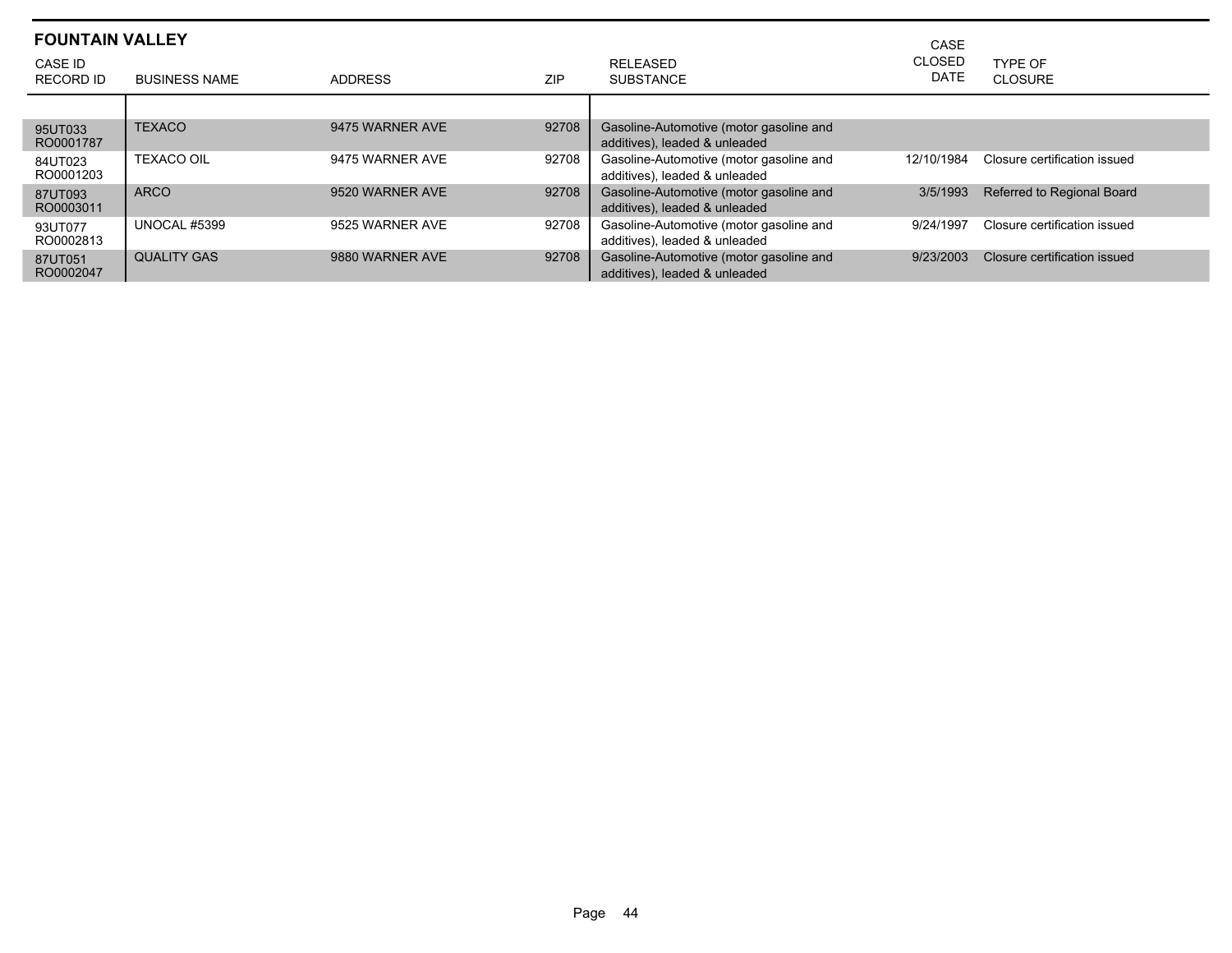|                      | <b>FOUNTAIN VALLEY</b><br>CASE |                 |            |                                                                          |                       |                              |  |  |  |  |
|----------------------|--------------------------------|-----------------|------------|--------------------------------------------------------------------------|-----------------------|------------------------------|--|--|--|--|
| CASE ID<br>RECORD ID | <b>BUSINESS NAME</b>           | <b>ADDRESS</b>  | <b>ZIP</b> | <b>RELEASED</b><br><b>SUBSTANCE</b>                                      | <b>CLOSED</b><br>DATE | TYPE OF<br>CLOSURE           |  |  |  |  |
|                      |                                |                 |            |                                                                          |                       |                              |  |  |  |  |
| 95UT033<br>RO0001787 | <b>TEXACO</b>                  | 9475 WARNER AVE | 92708      | Gasoline-Automotive (motor gasoline and<br>additives), leaded & unleaded |                       |                              |  |  |  |  |
| 84UT023<br>RO0001203 | <b>TEXACO OIL</b>              | 9475 WARNER AVE | 92708      | Gasoline-Automotive (motor gasoline and<br>additives), leaded & unleaded | 12/10/1984            | Closure certification issued |  |  |  |  |
| 87UT093<br>RO0003011 | <b>ARCO</b>                    | 9520 WARNER AVE | 92708      | Gasoline-Automotive (motor gasoline and<br>additives), leaded & unleaded | 3/5/1993              | Referred to Regional Board   |  |  |  |  |
| 93UT077<br>RO0002813 | <b>UNOCAL #5399</b>            | 9525 WARNER AVE | 92708      | Gasoline-Automotive (motor gasoline and<br>additives), leaded & unleaded | 9/24/1997             | Closure certification issued |  |  |  |  |
| 87UT051<br>RO0002047 | <b>QUALITY GAS</b>             | 9880 WARNER AVE | 92708      | Gasoline-Automotive (motor gasoline and<br>additives), leaded & unleaded | 9/23/2003             | Closure certification issued |  |  |  |  |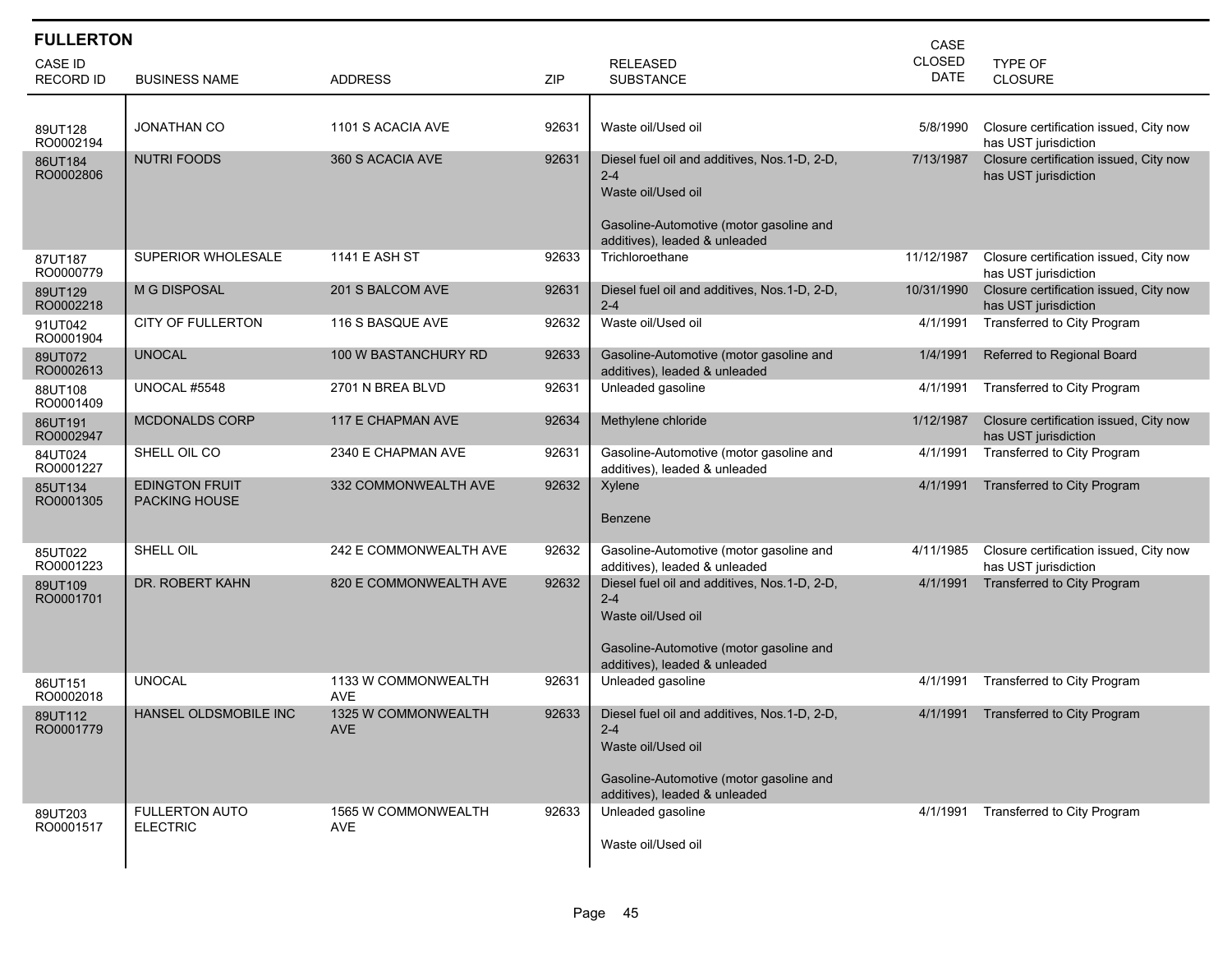| <b>FULLERTON</b>                   |                                               |                                          |       |                                                                                                                                                            | CASE                         |                                                                |
|------------------------------------|-----------------------------------------------|------------------------------------------|-------|------------------------------------------------------------------------------------------------------------------------------------------------------------|------------------------------|----------------------------------------------------------------|
| <b>CASE ID</b><br><b>RECORD ID</b> | <b>BUSINESS NAME</b>                          | <b>ADDRESS</b>                           | ZIP   | <b>RELEASED</b><br><b>SUBSTANCE</b>                                                                                                                        | <b>CLOSED</b><br><b>DATE</b> | TYPE OF<br><b>CLOSURE</b>                                      |
|                                    |                                               |                                          |       |                                                                                                                                                            |                              |                                                                |
| 89UT128<br>RO0002194               | <b>JONATHAN CO</b>                            | 1101 S ACACIA AVE                        | 92631 | Waste oil/Used oil                                                                                                                                         | 5/8/1990                     | Closure certification issued, City now<br>has UST jurisdiction |
| 86UT184<br>RO0002806               | <b>NUTRI FOODS</b>                            | 360 S ACACIA AVE                         | 92631 | Diesel fuel oil and additives, Nos.1-D, 2-D,<br>$2 - 4$<br>Waste oil/Used oil<br>Gasoline-Automotive (motor gasoline and                                   | 7/13/1987                    | Closure certification issued, City now<br>has UST jurisdiction |
| 87UT187<br>RO0000779               | SUPERIOR WHOLESALE                            | <b>1141 E ASH ST</b>                     | 92633 | additives), leaded & unleaded<br>Trichloroethane                                                                                                           | 11/12/1987                   | Closure certification issued, City now<br>has UST jurisdiction |
| 89UT129<br>RO0002218               | <b>M G DISPOSAL</b>                           | 201 S BALCOM AVE                         | 92631 | Diesel fuel oil and additives, Nos.1-D, 2-D,<br>$2 - 4$                                                                                                    | 10/31/1990                   | Closure certification issued, City now<br>has UST jurisdiction |
| 91UT042<br>RO0001904               | <b>CITY OF FULLERTON</b>                      | 116 S BASQUE AVE                         | 92632 | Waste oil/Used oil                                                                                                                                         | 4/1/1991                     | Transferred to City Program                                    |
| 89UT072<br>RO0002613               | <b>UNOCAL</b>                                 | 100 W BASTANCHURY RD                     | 92633 | Gasoline-Automotive (motor gasoline and<br>additives), leaded & unleaded                                                                                   | 1/4/1991                     | Referred to Regional Board                                     |
| 88UT108<br>RO0001409               | <b>UNOCAL #5548</b>                           | 2701 N BREA BLVD                         | 92631 | Unleaded gasoline                                                                                                                                          | 4/1/1991                     | Transferred to City Program                                    |
| 86UT191<br>RO0002947               | <b>MCDONALDS CORP</b>                         | 117 E CHAPMAN AVE                        | 92634 | Methylene chloride                                                                                                                                         | 1/12/1987                    | Closure certification issued, City now<br>has UST jurisdiction |
| 84UT024<br>RO0001227               | SHELL OIL CO                                  | 2340 E CHAPMAN AVE                       | 92631 | Gasoline-Automotive (motor gasoline and<br>additives), leaded & unleaded                                                                                   | 4/1/1991                     | Transferred to City Program                                    |
| 85UT134<br>RO0001305               | <b>EDINGTON FRUIT</b><br><b>PACKING HOUSE</b> | 332 COMMONWEALTH AVE                     | 92632 | Xylene<br><b>Benzene</b>                                                                                                                                   | 4/1/1991                     | Transferred to City Program                                    |
| 85UT022<br>RO0001223               | SHELL OIL                                     | 242 E COMMONWEALTH AVE                   | 92632 | Gasoline-Automotive (motor gasoline and<br>additives), leaded & unleaded                                                                                   | 4/11/1985                    | Closure certification issued, City now<br>has UST jurisdiction |
| 89UT109<br>RO0001701               | DR. ROBERT KAHN                               | 820 E COMMONWEALTH AVE                   | 92632 | Diesel fuel oil and additives, Nos.1-D, 2-D,<br>$2 - 4$<br>Waste oil/Used oil<br>Gasoline-Automotive (motor gasoline and<br>additives), leaded & unleaded  | 4/1/1991                     | Transferred to City Program                                    |
| 86UT151<br>RO0002018               | <b>UNOCAL</b>                                 | 1133 W COMMONWEALTH<br><b>AVE</b>        | 92631 | Unleaded gasoline                                                                                                                                          | 4/1/1991                     | Transferred to City Program                                    |
| 89UT112<br>RO0001779               | <b>HANSEL OLDSMOBILE INC</b>                  | <b>1325 W COMMONWEALTH</b><br><b>AVE</b> | 92633 | Diesel fuel oil and additives, Nos. 1-D, 2-D,<br>$2 - 4$<br>Waste oil/Used oil<br>Gasoline-Automotive (motor gasoline and<br>additives), leaded & unleaded | 4/1/1991                     | Transferred to City Program                                    |
| 89UT203<br>RO0001517               | <b>FULLERTON AUTO</b><br><b>ELECTRIC</b>      | 1565 W COMMONWEALTH<br><b>AVE</b>        | 92633 | Unleaded gasoline<br>Waste oil/Used oil                                                                                                                    | 4/1/1991                     | Transferred to City Program                                    |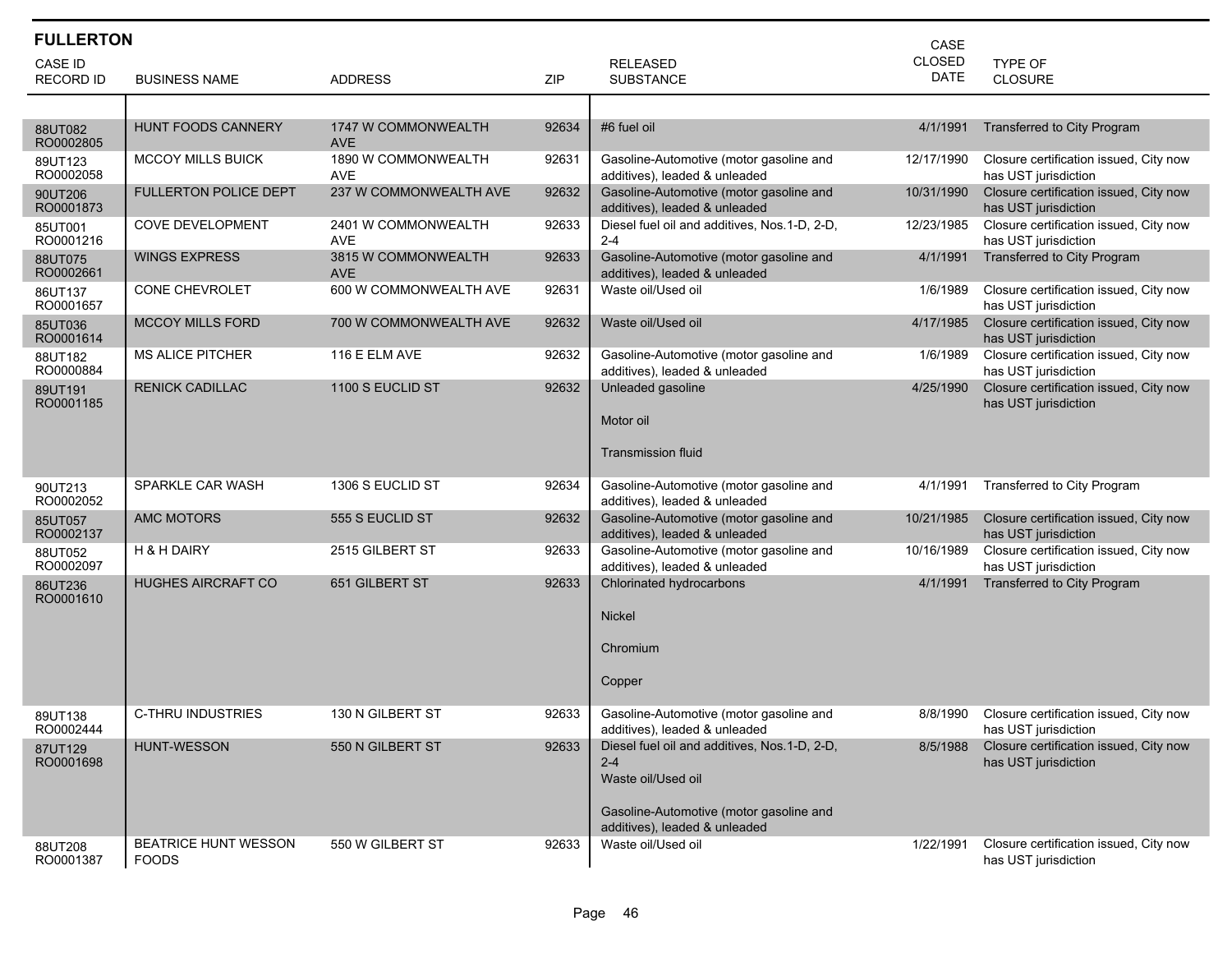| <b>FULLERTON</b>            |                                             |                                   |            |                                                                               |                       |                                                                |
|-----------------------------|---------------------------------------------|-----------------------------------|------------|-------------------------------------------------------------------------------|-----------------------|----------------------------------------------------------------|
| CASE ID<br><b>RECORD ID</b> | <b>BUSINESS NAME</b>                        | <b>ADDRESS</b>                    | <b>ZIP</b> | <b>RELEASED</b><br><b>SUBSTANCE</b>                                           | <b>CLOSED</b><br>DATE | TYPE OF<br><b>CLOSURE</b>                                      |
|                             |                                             |                                   |            |                                                                               |                       |                                                                |
| 88UT082<br>RO0002805        | <b>HUNT FOODS CANNERY</b>                   | 1747 W COMMONWEALTH<br><b>AVE</b> | 92634      | #6 fuel oil                                                                   | 4/1/1991              | <b>Transferred to City Program</b>                             |
| 89UT123<br>RO0002058        | <b>MCCOY MILLS BUICK</b>                    | 1890 W COMMONWEALTH<br><b>AVE</b> | 92631      | Gasoline-Automotive (motor gasoline and<br>additives), leaded & unleaded      | 12/17/1990            | Closure certification issued, City now<br>has UST jurisdiction |
| 90UT206<br>RO0001873        | <b>FULLERTON POLICE DEPT</b>                | 237 W COMMONWEALTH AVE            | 92632      | Gasoline-Automotive (motor gasoline and<br>additives), leaded & unleaded      | 10/31/1990            | Closure certification issued, City now<br>has UST jurisdiction |
| 85UT001<br>RO0001216        | <b>COVE DEVELOPMENT</b>                     | 2401 W COMMONWEALTH<br><b>AVE</b> | 92633      | Diesel fuel oil and additives, Nos.1-D, 2-D,<br>$2 - 4$                       | 12/23/1985            | Closure certification issued, City now<br>has UST jurisdiction |
| 88UT075<br>RO0002661        | <b>WINGS EXPRESS</b>                        | 3815 W COMMONWEALTH<br><b>AVE</b> | 92633      | Gasoline-Automotive (motor gasoline and<br>additives), leaded & unleaded      | 4/1/1991              | Transferred to City Program                                    |
| 86UT137<br>RO0001657        | CONE CHEVROLET                              | 600 W COMMONWEALTH AVE            | 92631      | Waste oil/Used oil                                                            | 1/6/1989              | Closure certification issued, City now<br>has UST jurisdiction |
| 85UT036<br>RO0001614        | <b>MCCOY MILLS FORD</b>                     | 700 W COMMONWEALTH AVE            | 92632      | Waste oil/Used oil                                                            | 4/17/1985             | Closure certification issued, City now<br>has UST jurisdiction |
| 88UT182<br>RO0000884        | <b>MS ALICE PITCHER</b>                     | 116 E ELM AVE                     | 92632      | Gasoline-Automotive (motor gasoline and<br>additives), leaded & unleaded      | 1/6/1989              | Closure certification issued, City now<br>has UST jurisdiction |
| 89UT191<br>RO0001185        | <b>RENICK CADILLAC</b>                      | 1100 S EUCLID ST                  | 92632      | Unleaded gasoline<br>Motor oil                                                | 4/25/1990             | Closure certification issued, City now<br>has UST jurisdiction |
|                             |                                             |                                   |            | <b>Transmission fluid</b>                                                     |                       |                                                                |
| 90UT213<br>RO0002052        | SPARKLE CAR WASH                            | 1306 S EUCLID ST                  | 92634      | Gasoline-Automotive (motor gasoline and<br>additives), leaded & unleaded      | 4/1/1991              | Transferred to City Program                                    |
| 85UT057<br>RO0002137        | <b>AMC MOTORS</b>                           | 555 S EUCLID ST                   | 92632      | Gasoline-Automotive (motor gasoline and<br>additives), leaded & unleaded      | 10/21/1985            | Closure certification issued, City now<br>has UST jurisdiction |
| 88UT052<br>RO0002097        | <b>H &amp; H DAIRY</b>                      | 2515 GILBERT ST                   | 92633      | Gasoline-Automotive (motor gasoline and<br>additives), leaded & unleaded      | 10/16/1989            | Closure certification issued, City now<br>has UST jurisdiction |
| 86UT236<br>RO0001610        | <b>HUGHES AIRCRAFT CO</b>                   | 651 GILBERT ST                    | 92633      | Chlorinated hydrocarbons                                                      | 4/1/1991              | Transferred to City Program                                    |
|                             |                                             |                                   |            | <b>Nickel</b>                                                                 |                       |                                                                |
|                             |                                             |                                   |            | Chromium                                                                      |                       |                                                                |
|                             |                                             |                                   |            | Copper                                                                        |                       |                                                                |
| 89UT138<br>RO0002444        | C-THRU INDUSTRIES                           | 130 N GILBERT ST                  | 92633      | Gasoline-Automotive (motor gasoline and<br>additives), leaded & unleaded      | 8/8/1990              | Closure certification issued, City now<br>has UST jurisdiction |
| 87UT129<br>RO0001698        | HUNT-WESSON                                 | 550 N GILBERT ST                  | 92633      | Diesel fuel oil and additives, Nos.1-D, 2-D,<br>$2 - 4$<br>Waste oil/Used oil | 8/5/1988              | Closure certification issued, City now<br>has UST jurisdiction |
|                             |                                             |                                   |            | Gasoline-Automotive (motor gasoline and<br>additives), leaded & unleaded      |                       |                                                                |
| 88UT208<br>RO0001387        | <b>BEATRICE HUNT WESSON</b><br><b>FOODS</b> | 550 W GILBERT ST                  | 92633      | Waste oil/Used oil                                                            | 1/22/1991             | Closure certification issued, City now<br>has UST jurisdiction |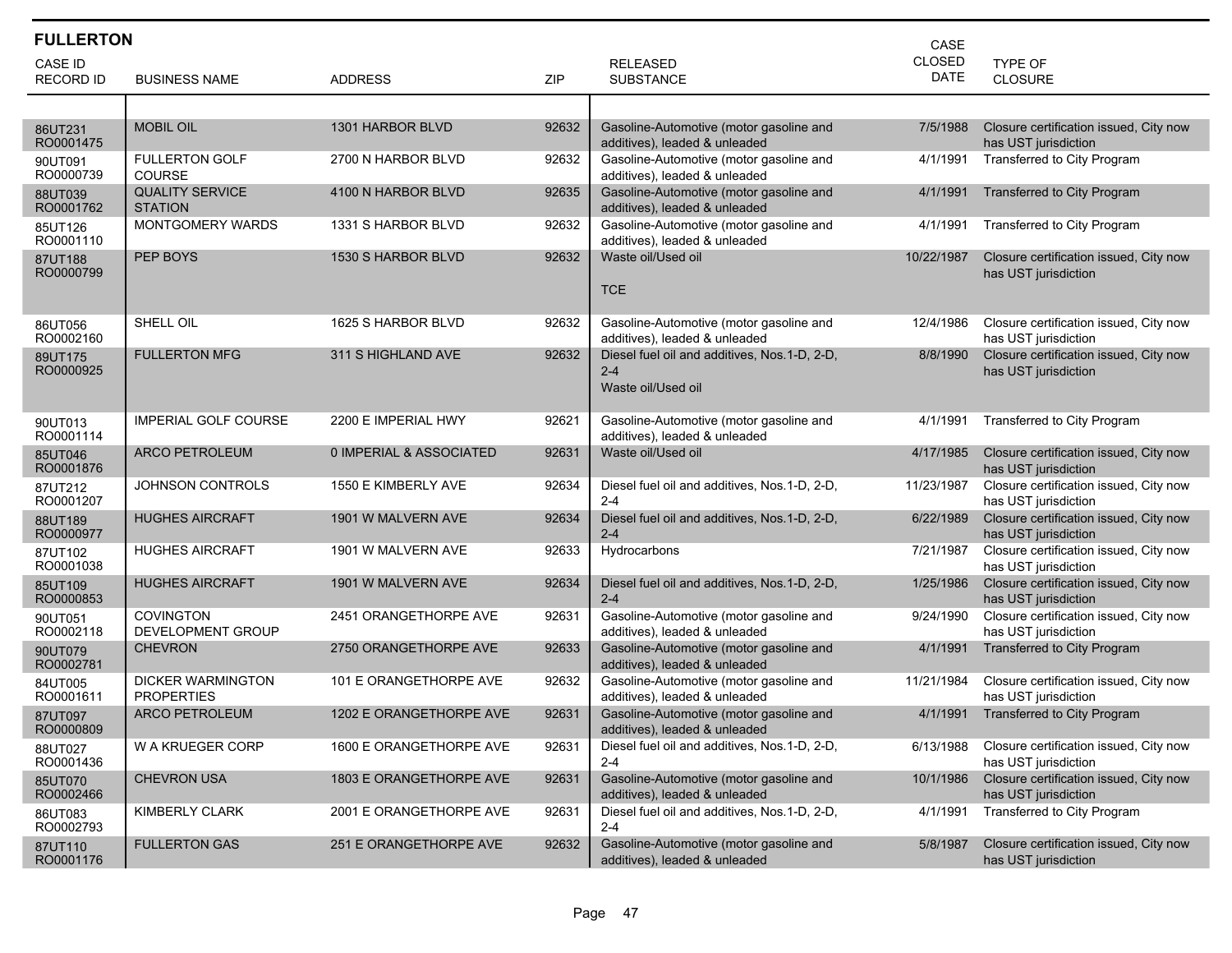| <b>FULLERTON</b>     |                                               |                         |       | CASE                                                                     |               |                                                                |
|----------------------|-----------------------------------------------|-------------------------|-------|--------------------------------------------------------------------------|---------------|----------------------------------------------------------------|
| <b>CASE ID</b>       |                                               |                         |       | <b>RELEASED</b>                                                          | <b>CLOSED</b> | <b>TYPE OF</b>                                                 |
| <b>RECORD ID</b>     | <b>BUSINESS NAME</b>                          | <b>ADDRESS</b>          | ZIP   | <b>SUBSTANCE</b>                                                         | DATE          | <b>CLOSURE</b>                                                 |
|                      |                                               |                         |       |                                                                          |               |                                                                |
| 86UT231<br>RO0001475 | <b>MOBIL OIL</b>                              | 1301 HARBOR BLVD        | 92632 | Gasoline-Automotive (motor gasoline and<br>additives), leaded & unleaded | 7/5/1988      | Closure certification issued, City now<br>has UST jurisdiction |
| 90UT091<br>RO0000739 | <b>FULLERTON GOLF</b><br><b>COURSE</b>        | 2700 N HARBOR BLVD      | 92632 | Gasoline-Automotive (motor gasoline and<br>additives), leaded & unleaded | 4/1/1991      | Transferred to City Program                                    |
| 88UT039<br>RO0001762 | <b>QUALITY SERVICE</b><br><b>STATION</b>      | 4100 N HARBOR BLVD      | 92635 | Gasoline-Automotive (motor gasoline and<br>additives), leaded & unleaded | 4/1/1991      | <b>Transferred to City Program</b>                             |
| 85UT126<br>RO0001110 | MONTGOMERY WARDS                              | 1331 S HARBOR BLVD      | 92632 | Gasoline-Automotive (motor gasoline and<br>additives), leaded & unleaded | 4/1/1991      | Transferred to City Program                                    |
| 87UT188<br>RO0000799 | PEP BOYS                                      | 1530 S HARBOR BLVD      | 92632 | Waste oil/Used oil                                                       | 10/22/1987    | Closure certification issued, City now<br>has UST jurisdiction |
|                      |                                               |                         |       | <b>TCE</b>                                                               |               |                                                                |
| 86UT056<br>RO0002160 | SHELL OIL                                     | 1625 S HARBOR BLVD      | 92632 | Gasoline-Automotive (motor gasoline and<br>additives), leaded & unleaded | 12/4/1986     | Closure certification issued, City now<br>has UST jurisdiction |
| 89UT175<br>RO0000925 | <b>FULLERTON MFG</b>                          | 311 S HIGHLAND AVE      | 92632 | Diesel fuel oil and additives, Nos.1-D, 2-D,<br>$2 - 4$                  | 8/8/1990      | Closure certification issued, City now<br>has UST jurisdiction |
|                      |                                               |                         |       | Waste oil/Used oil                                                       |               |                                                                |
| 90UT013<br>RO0001114 | <b>IMPERIAL GOLF COURSE</b>                   | 2200 E IMPERIAL HWY     | 92621 | Gasoline-Automotive (motor gasoline and<br>additives), leaded & unleaded | 4/1/1991      | Transferred to City Program                                    |
| 85UT046<br>RO0001876 | <b>ARCO PETROLEUM</b>                         | 0 IMPERIAL & ASSOCIATED | 92631 | Waste oil/Used oil                                                       | 4/17/1985     | Closure certification issued, City now<br>has UST jurisdiction |
| 87UT212<br>RO0001207 | <b>JOHNSON CONTROLS</b>                       | 1550 E KIMBERLY AVE     | 92634 | Diesel fuel oil and additives, Nos.1-D, 2-D,<br>$2 - 4$                  | 11/23/1987    | Closure certification issued, City now<br>has UST jurisdiction |
| 88UT189<br>RO0000977 | <b>HUGHES AIRCRAFT</b>                        | 1901 W MALVERN AVE      | 92634 | Diesel fuel oil and additives, Nos.1-D, 2-D,<br>$2 - 4$                  | 6/22/1989     | Closure certification issued, City now<br>has UST jurisdiction |
| 87UT102<br>RO0001038 | <b>HUGHES AIRCRAFT</b>                        | 1901 W MALVERN AVE      | 92633 | Hydrocarbons                                                             | 7/21/1987     | Closure certification issued, City now<br>has UST jurisdiction |
| 85UT109<br>RO0000853 | <b>HUGHES AIRCRAFT</b>                        | 1901 W MALVERN AVE      | 92634 | Diesel fuel oil and additives, Nos.1-D, 2-D,<br>$2 - 4$                  | 1/25/1986     | Closure certification issued, City now<br>has UST jurisdiction |
| 90UT051<br>RO0002118 | <b>COVINGTON</b><br><b>DEVELOPMENT GROUP</b>  | 2451 ORANGETHORPE AVE   | 92631 | Gasoline-Automotive (motor gasoline and<br>additives), leaded & unleaded | 9/24/1990     | Closure certification issued, City now<br>has UST jurisdiction |
| 90UT079<br>RO0002781 | <b>CHEVRON</b>                                | 2750 ORANGETHORPE AVE   | 92633 | Gasoline-Automotive (motor gasoline and<br>additives), leaded & unleaded | 4/1/1991      | Transferred to City Program                                    |
| 84UT005<br>RO0001611 | <b>DICKER WARMINGTON</b><br><b>PROPERTIES</b> | 101 E ORANGETHORPE AVE  | 92632 | Gasoline-Automotive (motor gasoline and<br>additives), leaded & unleaded | 11/21/1984    | Closure certification issued, City now<br>has UST jurisdiction |
| 87UT097<br>RO0000809 | <b>ARCO PETROLEUM</b>                         | 1202 E ORANGETHORPE AVE | 92631 | Gasoline-Automotive (motor gasoline and<br>additives), leaded & unleaded | 4/1/1991      | Transferred to City Program                                    |
| 88UT027<br>RO0001436 | W A KRUEGER CORP                              | 1600 E ORANGETHORPE AVE | 92631 | Diesel fuel oil and additives, Nos.1-D, 2-D,<br>$2 - 4$                  | 6/13/1988     | Closure certification issued, City now<br>has UST jurisdiction |
| 85UT070<br>RO0002466 | <b>CHEVRON USA</b>                            | 1803 E ORANGETHORPE AVE | 92631 | Gasoline-Automotive (motor gasoline and<br>additives), leaded & unleaded | 10/1/1986     | Closure certification issued, City now<br>has UST jurisdiction |
| 86UT083<br>RO0002793 | <b>KIMBERLY CLARK</b>                         | 2001 E ORANGETHORPE AVE | 92631 | Diesel fuel oil and additives, Nos.1-D, 2-D,<br>$2 - 4$                  | 4/1/1991      | Transferred to City Program                                    |
| 87UT110<br>RO0001176 | <b>FULLERTON GAS</b>                          | 251 E ORANGETHORPE AVE  | 92632 | Gasoline-Automotive (motor gasoline and<br>additives), leaded & unleaded | 5/8/1987      | Closure certification issued, City now<br>has UST jurisdiction |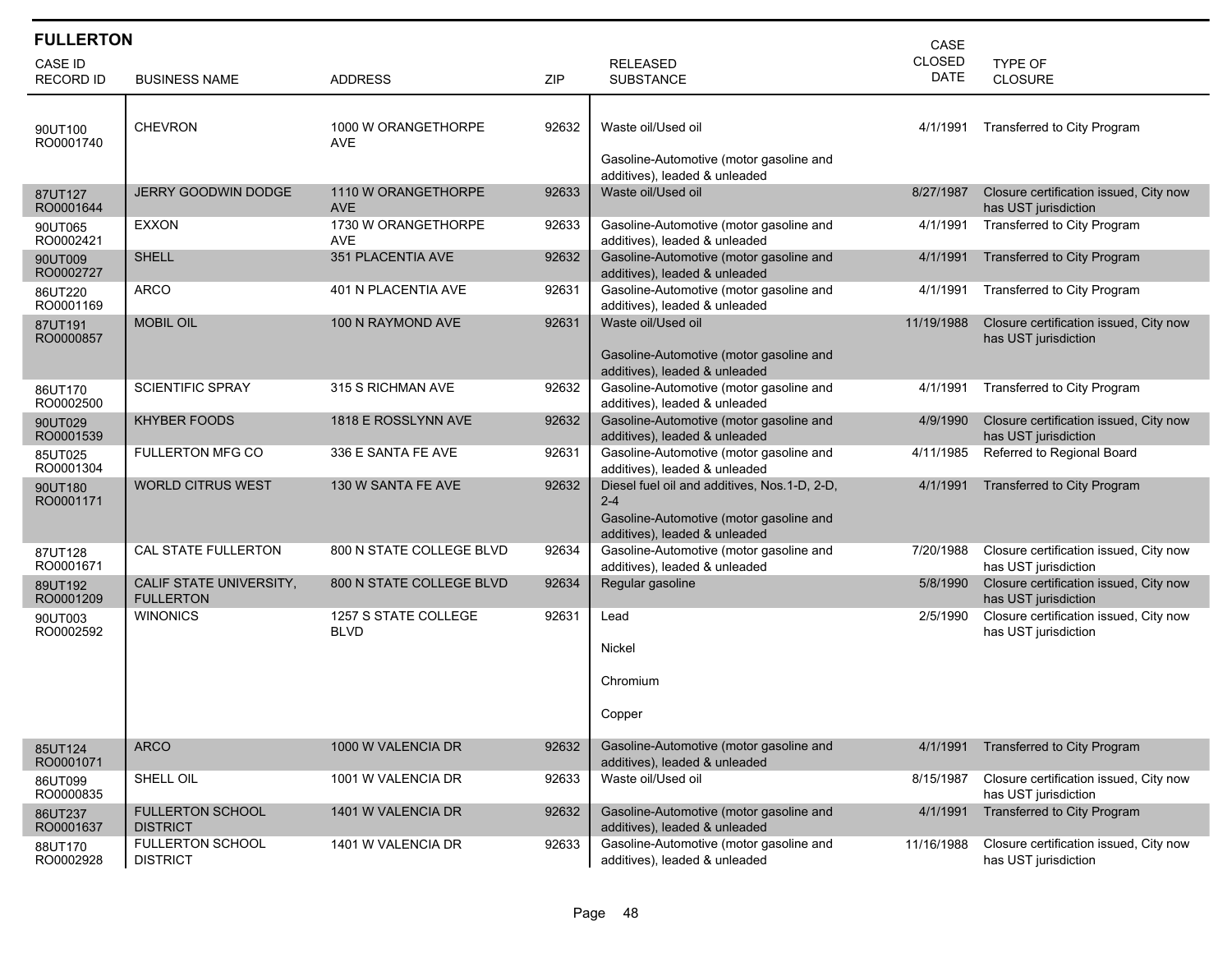| <b>FULLERTON</b>            |                                             |                                     |       |                                                                                                                                     | CASE                  |                                                                |
|-----------------------------|---------------------------------------------|-------------------------------------|-------|-------------------------------------------------------------------------------------------------------------------------------------|-----------------------|----------------------------------------------------------------|
| CASE ID<br><b>RECORD ID</b> | <b>BUSINESS NAME</b>                        | <b>ADDRESS</b>                      | ZIP   | <b>RELEASED</b><br><b>SUBSTANCE</b>                                                                                                 | CLOSED<br><b>DATE</b> | <b>TYPE OF</b><br>CLOSURE                                      |
| 90UT100<br>RO0001740        | <b>CHEVRON</b>                              | 1000 W ORANGETHORPE<br><b>AVE</b>   | 92632 | Waste oil/Used oil<br>Gasoline-Automotive (motor gasoline and<br>additives), leaded & unleaded                                      | 4/1/1991              | Transferred to City Program                                    |
| 87UT127<br>RO0001644        | <b>JERRY GOODWIN DODGE</b>                  | 1110 W ORANGETHORPE<br><b>AVE</b>   | 92633 | Waste oil/Used oil                                                                                                                  | 8/27/1987             | Closure certification issued, City now<br>has UST jurisdiction |
| 90UT065<br>RO0002421        | EXXON                                       | 1730 W ORANGETHORPE<br><b>AVE</b>   | 92633 | Gasoline-Automotive (motor gasoline and<br>additives), leaded & unleaded                                                            | 4/1/1991              | Transferred to City Program                                    |
| 90UT009<br>RO0002727        | <b>SHELL</b>                                | 351 PLACENTIA AVE                   | 92632 | Gasoline-Automotive (motor gasoline and<br>additives), leaded & unleaded                                                            | 4/1/1991              | Transferred to City Program                                    |
| 86UT220<br>RO0001169        | ARCO                                        | 401 N PLACENTIA AVE                 | 92631 | Gasoline-Automotive (motor gasoline and<br>additives), leaded & unleaded                                                            | 4/1/1991              | Transferred to City Program                                    |
| 87UT191<br>RO0000857        | <b>MOBIL OIL</b>                            | 100 N RAYMOND AVE                   | 92631 | Waste oil/Used oil<br>Gasoline-Automotive (motor gasoline and<br>additives), leaded & unleaded                                      | 11/19/1988            | Closure certification issued, City now<br>has UST jurisdiction |
| 86UT170<br>RO0002500        | <b>SCIENTIFIC SPRAY</b>                     | 315 S RICHMAN AVE                   | 92632 | Gasoline-Automotive (motor gasoline and<br>additives), leaded & unleaded                                                            | 4/1/1991              | Transferred to City Program                                    |
| 90UT029<br>RO0001539        | <b>KHYBER FOODS</b>                         | 1818 E ROSSLYNN AVE                 | 92632 | Gasoline-Automotive (motor gasoline and<br>additives), leaded & unleaded                                                            | 4/9/1990              | Closure certification issued, City now<br>has UST jurisdiction |
| 85UT025<br>RO0001304        | <b>FULLERTON MFG CO</b>                     | 336 E SANTA FE AVE                  | 92631 | Gasoline-Automotive (motor gasoline and<br>additives), leaded & unleaded                                                            | 4/11/1985             | Referred to Regional Board                                     |
| 90UT180<br>RO0001171        | <b>WORLD CITRUS WEST</b>                    | 130 W SANTA FE AVE                  | 92632 | Diesel fuel oil and additives, Nos.1-D, 2-D,<br>$2 - 4$<br>Gasoline-Automotive (motor gasoline and<br>additives), leaded & unleaded | 4/1/1991              | Transferred to City Program                                    |
| 87UT128<br>RO0001671        | CAL STATE FULLERTON                         | 800 N STATE COLLEGE BLVD            | 92634 | Gasoline-Automotive (motor gasoline and<br>additives), leaded & unleaded                                                            | 7/20/1988             | Closure certification issued, City now<br>has UST jurisdiction |
| 89UT192<br>RO0001209        | CALIF STATE UNIVERSITY,<br><b>FULLERTON</b> | 800 N STATE COLLEGE BLVD            | 92634 | Regular gasoline                                                                                                                    | 5/8/1990              | Closure certification issued, City now<br>has UST jurisdiction |
| 90UT003<br>RO0002592        | <b>WINONICS</b>                             | 1257 S STATE COLLEGE<br><b>BLVD</b> | 92631 | Lead<br>Nickel<br>Chromium<br>Copper                                                                                                | 2/5/1990              | Closure certification issued, City now<br>has UST jurisdiction |
| 85UT124<br>RO0001071        | <b>ARCO</b>                                 | 1000 W VALENCIA DR                  | 92632 | Gasoline-Automotive (motor gasoline and<br>additives), leaded & unleaded                                                            | 4/1/1991              | Transferred to City Program                                    |
| 86UT099<br>RO0000835        | SHELL OIL                                   | 1001 W VALENCIA DR                  | 92633 | Waste oil/Used oil                                                                                                                  | 8/15/1987             | Closure certification issued, City now<br>has UST jurisdiction |
| 86UT237<br>RO0001637        | <b>FULLERTON SCHOOL</b><br><b>DISTRICT</b>  | 1401 W VALENCIA DR                  | 92632 | Gasoline-Automotive (motor gasoline and<br>additives), leaded & unleaded                                                            | 4/1/1991              | Transferred to City Program                                    |
| 88UT170<br>RO0002928        | FULLERTON SCHOOL<br><b>DISTRICT</b>         | 1401 W VALENCIA DR                  | 92633 | Gasoline-Automotive (motor gasoline and<br>additives), leaded & unleaded                                                            | 11/16/1988            | Closure certification issued, City now<br>has UST jurisdiction |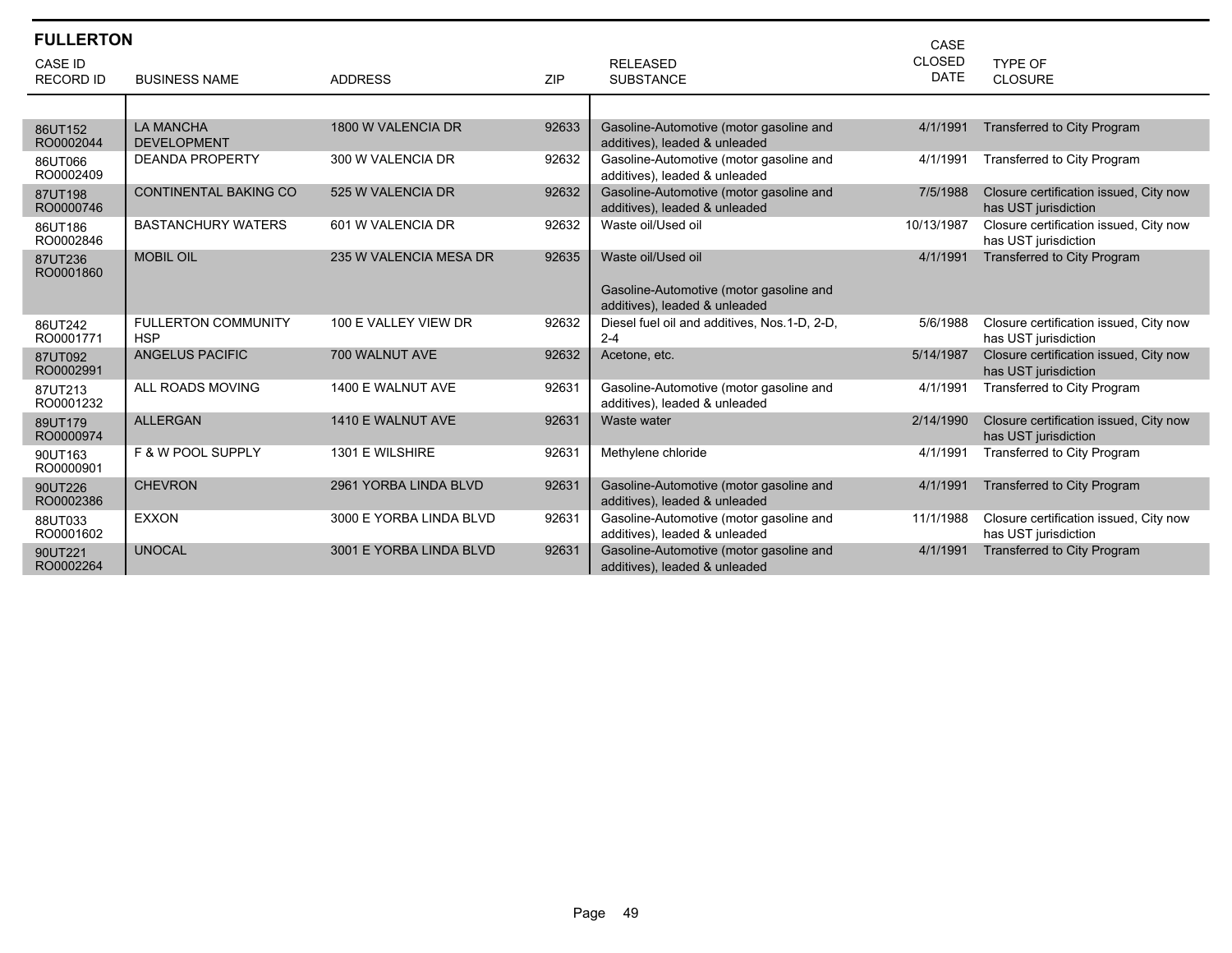| <b>FULLERTON</b>     |                                          |                         |            |                                                                                                | CASE          |                                                                |
|----------------------|------------------------------------------|-------------------------|------------|------------------------------------------------------------------------------------------------|---------------|----------------------------------------------------------------|
| <b>CASE ID</b>       |                                          |                         |            | <b>RELEASED</b>                                                                                | <b>CLOSED</b> | <b>TYPE OF</b>                                                 |
| <b>RECORD ID</b>     | <b>BUSINESS NAME</b>                     | <b>ADDRESS</b>          | <b>ZIP</b> | <b>SUBSTANCE</b>                                                                               | <b>DATE</b>   | <b>CLOSURE</b>                                                 |
|                      |                                          |                         |            |                                                                                                |               |                                                                |
| 86UT152<br>RO0002044 | <b>LA MANCHA</b><br><b>DEVELOPMENT</b>   | 1800 W VALENCIA DR      | 92633      | Gasoline-Automotive (motor gasoline and<br>additives), leaded & unleaded                       | 4/1/1991      | <b>Transferred to City Program</b>                             |
| 86UT066<br>RO0002409 | <b>DEANDA PROPERTY</b>                   | 300 W VALENCIA DR       | 92632      | Gasoline-Automotive (motor gasoline and<br>additives), leaded & unleaded                       | 4/1/1991      | Transferred to City Program                                    |
| 87UT198<br>RO0000746 | <b>CONTINENTAL BAKING CO</b>             | 525 W VALENCIA DR       | 92632      | Gasoline-Automotive (motor gasoline and<br>additives), leaded & unleaded                       | 7/5/1988      | Closure certification issued, City now<br>has UST jurisdiction |
| 86UT186<br>RO0002846 | <b>BASTANCHURY WATERS</b>                | 601 W VALENCIA DR       | 92632      | Waste oil/Used oil                                                                             | 10/13/1987    | Closure certification issued, City now<br>has UST jurisdiction |
| 87UT236<br>RO0001860 | <b>MOBIL OIL</b>                         | 235 W VALENCIA MESA DR  | 92635      | Waste oil/Used oil<br>Gasoline-Automotive (motor gasoline and<br>additives), leaded & unleaded | 4/1/1991      | <b>Transferred to City Program</b>                             |
| 86UT242<br>RO0001771 | <b>FULLERTON COMMUNITY</b><br><b>HSP</b> | 100 E VALLEY VIEW DR    | 92632      | Diesel fuel oil and additives, Nos.1-D, 2-D,<br>$2 - 4$                                        | 5/6/1988      | Closure certification issued, City now<br>has UST jurisdiction |
| 87UT092<br>RO0002991 | ANGELUS PACIFIC                          | 700 WALNUT AVE          | 92632      | Acetone, etc.                                                                                  | 5/14/1987     | Closure certification issued, City now<br>has UST jurisdiction |
| 87UT213<br>RO0001232 | ALL ROADS MOVING                         | 1400 E WALNUT AVE       | 92631      | Gasoline-Automotive (motor gasoline and<br>additives), leaded & unleaded                       | 4/1/1991      | Transferred to City Program                                    |
| 89UT179<br>RO0000974 | <b>ALLERGAN</b>                          | 1410 E WALNUT AVE       | 92631      | Waste water                                                                                    | 2/14/1990     | Closure certification issued, City now<br>has UST jurisdiction |
| 90UT163<br>RO0000901 | <b>F &amp; W POOL SUPPLY</b>             | 1301 E WILSHIRE         | 92631      | Methylene chloride                                                                             | 4/1/1991      | Transferred to City Program                                    |
| 90UT226<br>RO0002386 | <b>CHEVRON</b>                           | 2961 YORBA LINDA BLVD   | 92631      | Gasoline-Automotive (motor gasoline and<br>additives), leaded & unleaded                       | 4/1/1991      | Transferred to City Program                                    |
| 88UT033<br>RO0001602 | <b>EXXON</b>                             | 3000 E YORBA LINDA BLVD | 92631      | Gasoline-Automotive (motor gasoline and<br>additives), leaded & unleaded                       | 11/1/1988     | Closure certification issued, City now<br>has UST jurisdiction |
| 90UT221<br>RO0002264 | <b>UNOCAL</b>                            | 3001 E YORBA LINDA BLVD | 92631      | Gasoline-Automotive (motor gasoline and<br>additives), leaded & unleaded                       | 4/1/1991      | <b>Transferred to City Program</b>                             |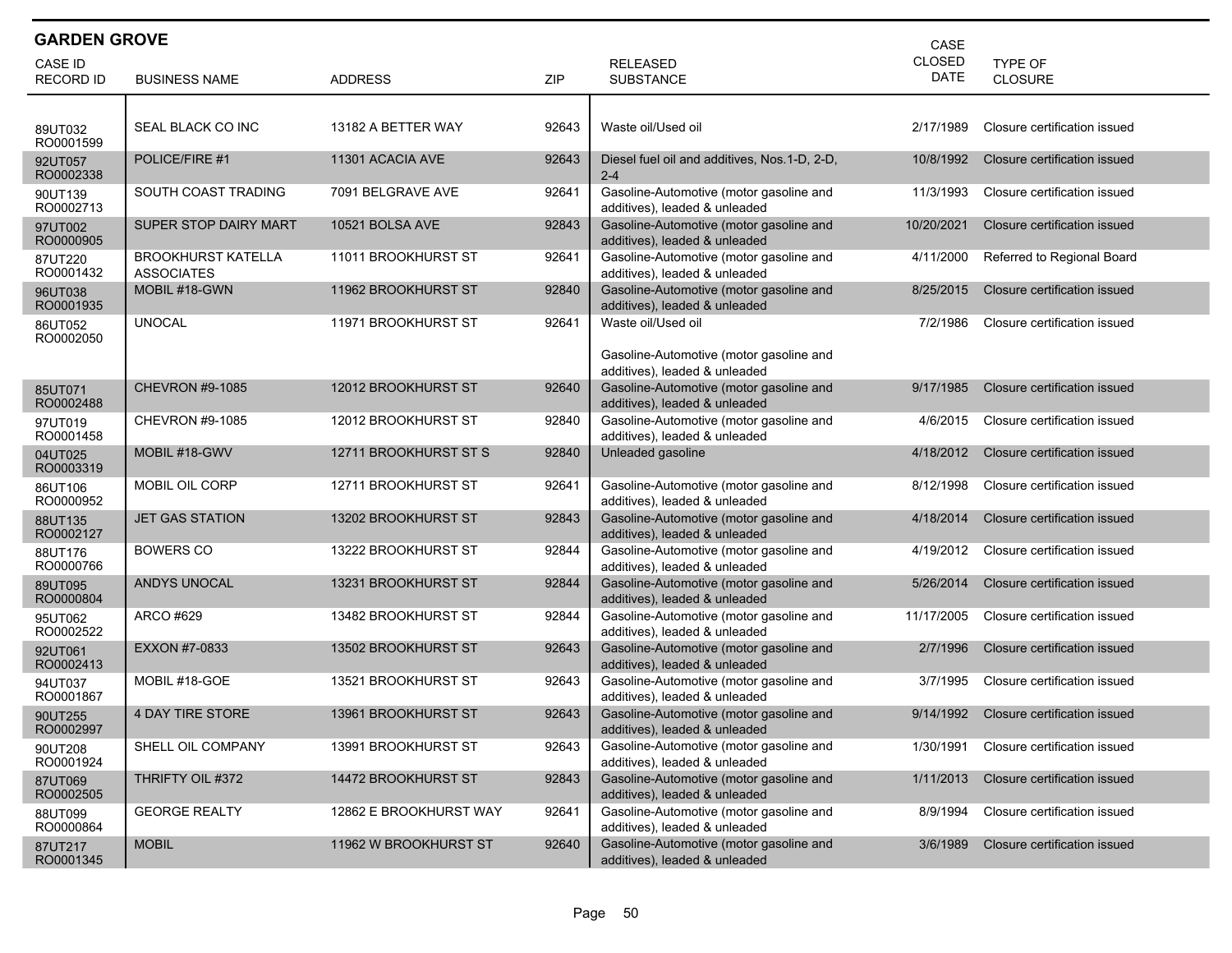| <b>GARDEN GROVE</b><br>CASE        |                                                |                        |       |                                                                                                |                              |                              |  |  |
|------------------------------------|------------------------------------------------|------------------------|-------|------------------------------------------------------------------------------------------------|------------------------------|------------------------------|--|--|
| <b>CASE ID</b><br><b>RECORD ID</b> | <b>BUSINESS NAME</b>                           | <b>ADDRESS</b>         | ZIP   | <b>RELEASED</b><br><b>SUBSTANCE</b>                                                            | <b>CLOSED</b><br><b>DATE</b> | <b>TYPE OF</b><br>CLOSURE    |  |  |
| 89UT032<br>RO0001599               | SEAL BLACK CO INC                              | 13182 A BETTER WAY     | 92643 | Waste oil/Used oil                                                                             | 2/17/1989                    | Closure certification issued |  |  |
| 92UT057<br>RO0002338               | POLICE/FIRE #1                                 | 11301 ACACIA AVE       | 92643 | Diesel fuel oil and additives, Nos. 1-D, 2-D,<br>$2 - 4$                                       | 10/8/1992                    | Closure certification issued |  |  |
| 90UT139<br>RO0002713               | SOUTH COAST TRADING                            | 7091 BELGRAVE AVE      | 92641 | Gasoline-Automotive (motor gasoline and<br>additives), leaded & unleaded                       | 11/3/1993                    | Closure certification issued |  |  |
| 97UT002<br>RO0000905               | <b>SUPER STOP DAIRY MART</b>                   | 10521 BOLSA AVE        | 92843 | Gasoline-Automotive (motor gasoline and<br>additives), leaded & unleaded                       | 10/20/2021                   | Closure certification issued |  |  |
| 87UT220<br>RO0001432               | <b>BROOKHURST KATELLA</b><br><b>ASSOCIATES</b> | 11011 BROOKHURST ST    | 92641 | Gasoline-Automotive (motor gasoline and<br>additives), leaded & unleaded                       | 4/11/2000                    | Referred to Regional Board   |  |  |
| 96UT038<br>RO0001935               | MOBIL #18-GWN                                  | 11962 BROOKHURST ST    | 92840 | Gasoline-Automotive (motor gasoline and<br>additives), leaded & unleaded                       | 8/25/2015                    | Closure certification issued |  |  |
| 86UT052<br>RO0002050               | <b>UNOCAL</b>                                  | 11971 BROOKHURST ST    | 92641 | Waste oil/Used oil<br>Gasoline-Automotive (motor gasoline and<br>additives), leaded & unleaded | 7/2/1986                     | Closure certification issued |  |  |
| 85UT071<br>RO0002488               | <b>CHEVRON #9-1085</b>                         | 12012 BROOKHURST ST    | 92640 | Gasoline-Automotive (motor gasoline and<br>additives), leaded & unleaded                       | 9/17/1985                    | Closure certification issued |  |  |
| 97UT019<br>RO0001458               | CHEVRON #9-1085                                | 12012 BROOKHURST ST    | 92840 | Gasoline-Automotive (motor gasoline and<br>additives), leaded & unleaded                       | 4/6/2015                     | Closure certification issued |  |  |
| 04UT025<br>RO0003319               | MOBIL #18-GWV                                  | 12711 BROOKHURST ST S  | 92840 | Unleaded gasoline                                                                              | 4/18/2012                    | Closure certification issued |  |  |
| 86UT106<br>RO0000952               | MOBIL OIL CORP                                 | 12711 BROOKHURST ST    | 92641 | Gasoline-Automotive (motor gasoline and<br>additives), leaded & unleaded                       | 8/12/1998                    | Closure certification issued |  |  |
| 88UT135<br>RO0002127               | <b>JET GAS STATION</b>                         | 13202 BROOKHURST ST    | 92843 | Gasoline-Automotive (motor gasoline and<br>additives), leaded & unleaded                       | 4/18/2014                    | Closure certification issued |  |  |
| 88UT176<br>RO0000766               | BOWERS CO                                      | 13222 BROOKHURST ST    | 92844 | Gasoline-Automotive (motor gasoline and<br>additives), leaded & unleaded                       | 4/19/2012                    | Closure certification issued |  |  |
| 89UT095<br>RO0000804               | <b>ANDYS UNOCAL</b>                            | 13231 BROOKHURST ST    | 92844 | Gasoline-Automotive (motor gasoline and<br>additives), leaded & unleaded                       | 5/26/2014                    | Closure certification issued |  |  |
| 95UT062<br>RO0002522               | ARCO #629                                      | 13482 BROOKHURST ST    | 92844 | Gasoline-Automotive (motor gasoline and<br>additives), leaded & unleaded                       | 11/17/2005                   | Closure certification issued |  |  |
| 92UT061<br>RO0002413               | EXXON #7-0833                                  | 13502 BROOKHURST ST    | 92643 | Gasoline-Automotive (motor gasoline and<br>additives), leaded & unleaded                       | 2/7/1996                     | Closure certification issued |  |  |
| 94UT037<br>RO0001867               | MOBIL #18-GOE                                  | 13521 BROOKHURST ST    | 92643 | Gasoline-Automotive (motor gasoline and<br>additives), leaded & unleaded                       | 3/7/1995                     | Closure certification issued |  |  |
| 90UT255<br>RO0002997               | <b>4 DAY TIRE STORE</b>                        | 13961 BROOKHURST ST    | 92643 | Gasoline-Automotive (motor gasoline and<br>additives), leaded & unleaded                       | 9/14/1992                    | Closure certification issued |  |  |
| 90UT208<br>RO0001924               | SHELL OIL COMPANY                              | 13991 BROOKHURST ST    | 92643 | Gasoline-Automotive (motor gasoline and<br>additives), leaded & unleaded                       | 1/30/1991                    | Closure certification issued |  |  |
| 87UT069<br>RO0002505               | THRIFTY OIL #372                               | 14472 BROOKHURST ST    | 92843 | Gasoline-Automotive (motor gasoline and<br>additives), leaded & unleaded                       | 1/11/2013                    | Closure certification issued |  |  |
| 88UT099<br>RO0000864               | <b>GEORGE REALTY</b>                           | 12862 E BROOKHURST WAY | 92641 | Gasoline-Automotive (motor gasoline and<br>additives), leaded & unleaded                       | 8/9/1994                     | Closure certification issued |  |  |
| 87UT217<br>RO0001345               | <b>MOBIL</b>                                   | 11962 W BROOKHURST ST  | 92640 | Gasoline-Automotive (motor gasoline and<br>additives), leaded & unleaded                       | 3/6/1989                     | Closure certification issued |  |  |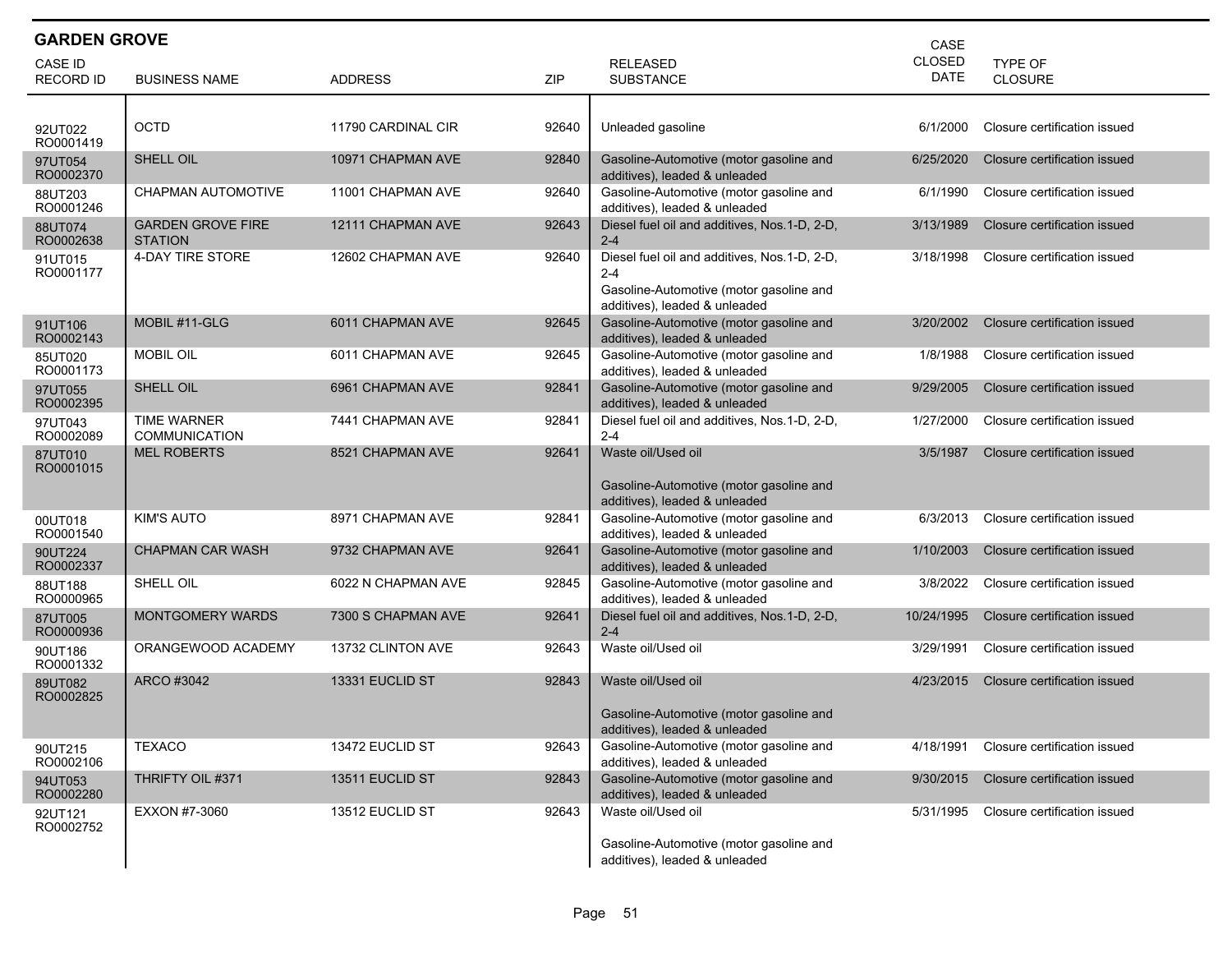| <b>GARDEN GROVE</b><br>CASE |                                            |                    |       |                                                                                                                                      |                              |                              |  |  |
|-----------------------------|--------------------------------------------|--------------------|-------|--------------------------------------------------------------------------------------------------------------------------------------|------------------------------|------------------------------|--|--|
| CASE ID<br><b>RECORD ID</b> | <b>BUSINESS NAME</b>                       | <b>ADDRESS</b>     | ZIP   | <b>RELEASED</b><br><b>SUBSTANCE</b>                                                                                                  | <b>CLOSED</b><br><b>DATE</b> | TYPE OF<br><b>CLOSURE</b>    |  |  |
|                             |                                            |                    |       |                                                                                                                                      |                              |                              |  |  |
| 92UT022<br>RO0001419        | <b>OCTD</b>                                | 11790 CARDINAL CIR | 92640 | Unleaded gasoline                                                                                                                    | 6/1/2000                     | Closure certification issued |  |  |
| 97UT054<br>RO0002370        | SHELL OIL                                  | 10971 CHAPMAN AVE  | 92840 | Gasoline-Automotive (motor gasoline and<br>additives), leaded & unleaded                                                             | 6/25/2020                    | Closure certification issued |  |  |
| 88UT203<br>RO0001246        | CHAPMAN AUTOMOTIVE                         | 11001 CHAPMAN AVE  | 92640 | Gasoline-Automotive (motor gasoline and<br>additives), leaded & unleaded                                                             | 6/1/1990                     | Closure certification issued |  |  |
| 88UT074<br>RO0002638        | <b>GARDEN GROVE FIRE</b><br><b>STATION</b> | 12111 CHAPMAN AVE  | 92643 | Diesel fuel oil and additives, Nos.1-D, 2-D,<br>$2 - 4$                                                                              | 3/13/1989                    | Closure certification issued |  |  |
| 91UT015<br>RO0001177        | 4-DAY TIRE STORE                           | 12602 CHAPMAN AVE  | 92640 | Diesel fuel oil and additives, Nos. 1-D, 2-D,<br>$2 - 4$<br>Gasoline-Automotive (motor gasoline and<br>additives), leaded & unleaded | 3/18/1998                    | Closure certification issued |  |  |
| 91UT106<br>RO0002143        | MOBIL #11-GLG                              | 6011 CHAPMAN AVE   | 92645 | Gasoline-Automotive (motor gasoline and<br>additives), leaded & unleaded                                                             | 3/20/2002                    | Closure certification issued |  |  |
| 85UT020<br>RO0001173        | <b>MOBIL OIL</b>                           | 6011 CHAPMAN AVE   | 92645 | Gasoline-Automotive (motor gasoline and<br>additives), leaded & unleaded                                                             | 1/8/1988                     | Closure certification issued |  |  |
| 97UT055<br>RO0002395        | SHELL OIL                                  | 6961 CHAPMAN AVE   | 92841 | Gasoline-Automotive (motor gasoline and<br>additives), leaded & unleaded                                                             | 9/29/2005                    | Closure certification issued |  |  |
| 97UT043<br>RO0002089        | <b>TIME WARNER</b><br><b>COMMUNICATION</b> | 7441 CHAPMAN AVE   | 92841 | Diesel fuel oil and additives, Nos.1-D, 2-D,<br>$2 - 4$                                                                              | 1/27/2000                    | Closure certification issued |  |  |
| 87UT010<br>RO0001015        | <b>MEL ROBERTS</b>                         | 8521 CHAPMAN AVE   | 92641 | Waste oil/Used oil<br>Gasoline-Automotive (motor gasoline and<br>additives), leaded & unleaded                                       | 3/5/1987                     | Closure certification issued |  |  |
| 00UT018<br>RO0001540        | <b>KIM'S AUTO</b>                          | 8971 CHAPMAN AVE   | 92841 | Gasoline-Automotive (motor gasoline and<br>additives), leaded & unleaded                                                             | 6/3/2013                     | Closure certification issued |  |  |
| 90UT224<br>RO0002337        | <b>CHAPMAN CAR WASH</b>                    | 9732 CHAPMAN AVE   | 92641 | Gasoline-Automotive (motor gasoline and<br>additives), leaded & unleaded                                                             | 1/10/2003                    | Closure certification issued |  |  |
| 88UT188<br>RO0000965        | SHELL OIL                                  | 6022 N CHAPMAN AVE | 92845 | Gasoline-Automotive (motor gasoline and<br>additives), leaded & unleaded                                                             | 3/8/2022                     | Closure certification issued |  |  |
| 87UT005<br>RO0000936        | <b>MONTGOMERY WARDS</b>                    | 7300 S CHAPMAN AVE | 92641 | Diesel fuel oil and additives, Nos.1-D, 2-D,<br>$2 - 4$                                                                              | 10/24/1995                   | Closure certification issued |  |  |
| 90UT186<br>RO0001332        | ORANGEWOOD ACADEMY                         | 13732 CLINTON AVE  | 92643 | Waste oil/Used oil                                                                                                                   | 3/29/1991                    | Closure certification issued |  |  |
| 89UT082<br>RO0002825        | ARCO #3042                                 | 13331 EUCLID ST    | 92843 | Waste oil/Used oil<br>Gasoline-Automotive (motor gasoline and<br>additives), leaded & unleaded                                       | 4/23/2015                    | Closure certification issued |  |  |
| 90UT215<br>RO0002106        | <b>TEXACO</b>                              | 13472 EUCLID ST    | 92643 | Gasoline-Automotive (motor gasoline and<br>additives), leaded & unleaded                                                             | 4/18/1991                    | Closure certification issued |  |  |
| 94UT053<br>RO0002280        | THRIFTY OIL #371                           | 13511 EUCLID ST    | 92843 | Gasoline-Automotive (motor gasoline and<br>additives), leaded & unleaded                                                             | 9/30/2015                    | Closure certification issued |  |  |
| 92UT121<br>RO0002752        | EXXON #7-3060                              | 13512 EUCLID ST    | 92643 | Waste oil/Used oil<br>Gasoline-Automotive (motor gasoline and<br>additives), leaded & unleaded                                       | 5/31/1995                    | Closure certification issued |  |  |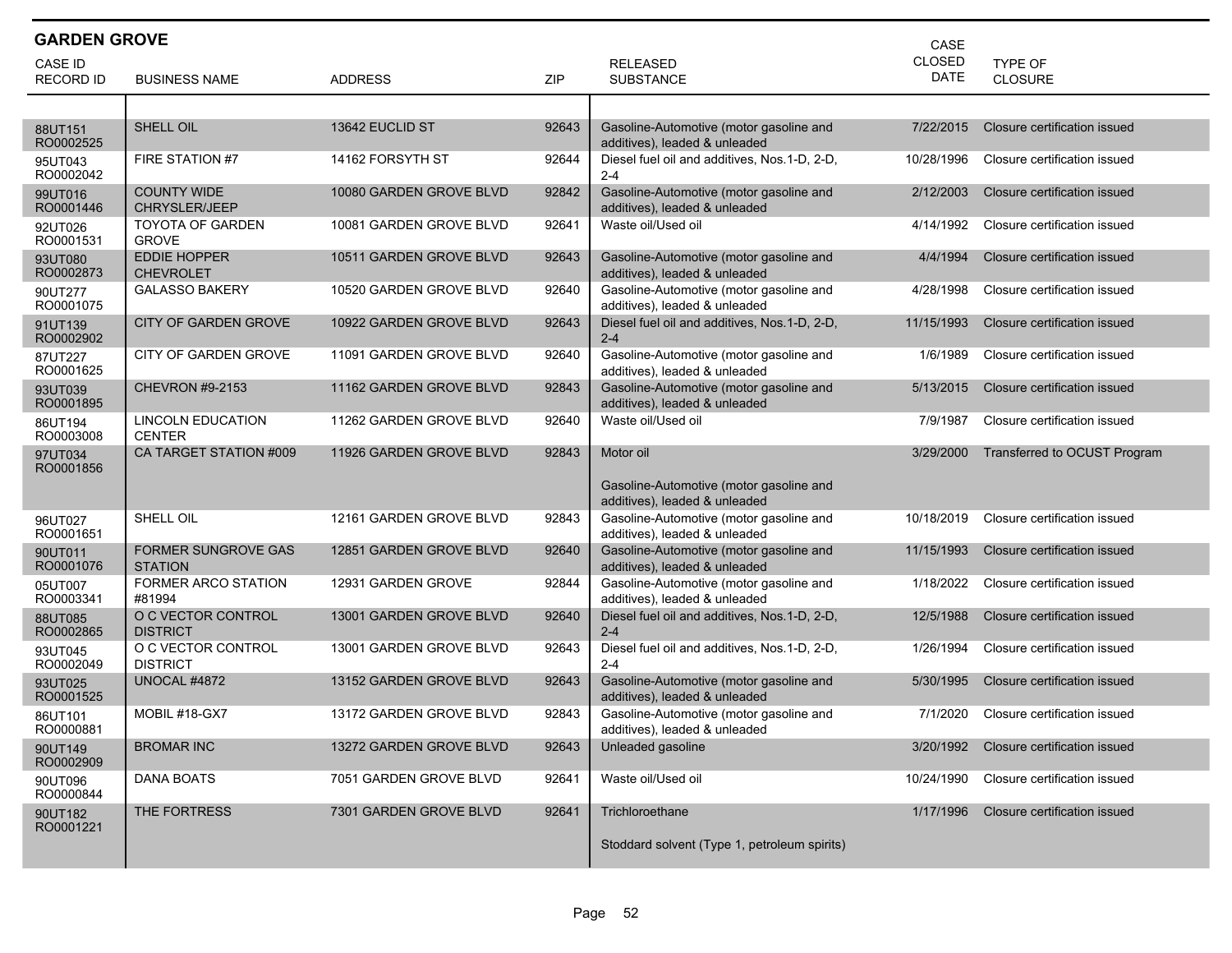| <b>GARDEN GROVE</b><br>CASE |                                              |                         |       |                                                                                                           |                              |                                  |  |  |
|-----------------------------|----------------------------------------------|-------------------------|-------|-----------------------------------------------------------------------------------------------------------|------------------------------|----------------------------------|--|--|
| CASE ID<br><b>RECORD ID</b> | <b>BUSINESS NAME</b>                         | <b>ADDRESS</b>          | ZIP   | <b>RELEASED</b><br><b>SUBSTANCE</b>                                                                       | <b>CLOSED</b><br><b>DATE</b> | <b>TYPE OF</b><br><b>CLOSURE</b> |  |  |
|                             |                                              |                         |       |                                                                                                           |                              |                                  |  |  |
| 88UT151<br>RO0002525        | <b>SHELL OIL</b>                             | 13642 EUCLID ST         | 92643 | Gasoline-Automotive (motor gasoline and<br>additives), leaded & unleaded                                  | 7/22/2015                    | Closure certification issued     |  |  |
| 95UT043<br>RO0002042        | FIRE STATION #7                              | 14162 FORSYTH ST        | 92644 | Diesel fuel oil and additives, Nos.1-D, 2-D,<br>$2 - 4$                                                   | 10/28/1996                   | Closure certification issued     |  |  |
| 99UT016<br>RO0001446        | <b>COUNTY WIDE</b><br><b>CHRYSLER/JEEP</b>   | 10080 GARDEN GROVE BLVD | 92842 | Gasoline-Automotive (motor gasoline and<br>additives), leaded & unleaded                                  | 2/12/2003                    | Closure certification issued     |  |  |
| 92UT026<br>RO0001531        | <b>TOYOTA OF GARDEN</b><br><b>GROVE</b>      | 10081 GARDEN GROVE BLVD | 92641 | Waste oil/Used oil                                                                                        | 4/14/1992                    | Closure certification issued     |  |  |
| 93UT080<br>RO0002873        | <b>EDDIE HOPPER</b><br><b>CHEVROLET</b>      | 10511 GARDEN GROVE BLVD | 92643 | Gasoline-Automotive (motor gasoline and<br>additives), leaded & unleaded                                  | 4/4/1994                     | Closure certification issued     |  |  |
| 90UT277<br>RO0001075        | <b>GALASSO BAKERY</b>                        | 10520 GARDEN GROVE BLVD | 92640 | Gasoline-Automotive (motor gasoline and<br>additives), leaded & unleaded                                  | 4/28/1998                    | Closure certification issued     |  |  |
| 91UT139<br>RO0002902        | <b>CITY OF GARDEN GROVE</b>                  | 10922 GARDEN GROVE BLVD | 92643 | Diesel fuel oil and additives, Nos.1-D, 2-D,<br>$2 - 4$                                                   | 11/15/1993                   | Closure certification issued     |  |  |
| 87UT227<br>RO0001625        | CITY OF GARDEN GROVE                         | 11091 GARDEN GROVE BLVD | 92640 | Gasoline-Automotive (motor gasoline and<br>additives), leaded & unleaded                                  | 1/6/1989                     | Closure certification issued     |  |  |
| 93UT039<br>RO0001895        | <b>CHEVRON #9-2153</b>                       | 11162 GARDEN GROVE BLVD | 92843 | Gasoline-Automotive (motor gasoline and<br>additives), leaded & unleaded                                  | 5/13/2015                    | Closure certification issued     |  |  |
| 86UT194<br>RO0003008        | <b>LINCOLN EDUCATION</b><br><b>CENTER</b>    | 11262 GARDEN GROVE BLVD | 92640 | Waste oil/Used oil                                                                                        | 7/9/1987                     | Closure certification issued     |  |  |
| 97UT034<br>RO0001856        | CA TARGET STATION #009                       | 11926 GARDEN GROVE BLVD | 92843 | Motor oil<br>Gasoline-Automotive (motor gasoline and                                                      | 3/29/2000                    | Transferred to OCUST Program     |  |  |
| 96UT027<br>RO0001651        | SHELL OIL                                    | 12161 GARDEN GROVE BLVD | 92843 | additives), leaded & unleaded<br>Gasoline-Automotive (motor gasoline and<br>additives), leaded & unleaded | 10/18/2019                   | Closure certification issued     |  |  |
| 90UT011<br>RO0001076        | <b>FORMER SUNGROVE GAS</b><br><b>STATION</b> | 12851 GARDEN GROVE BLVD | 92640 | Gasoline-Automotive (motor gasoline and<br>additives), leaded & unleaded                                  | 11/15/1993                   | Closure certification issued     |  |  |
| 05UT007<br>RO0003341        | <b>FORMER ARCO STATION</b><br>#81994         | 12931 GARDEN GROVE      | 92844 | Gasoline-Automotive (motor gasoline and<br>additives), leaded & unleaded                                  | 1/18/2022                    | Closure certification issued     |  |  |
| 88UT085<br>RO0002865        | O C VECTOR CONTROL<br><b>DISTRICT</b>        | 13001 GARDEN GROVE BLVD | 92640 | Diesel fuel oil and additives, Nos.1-D, 2-D,<br>$2 - 4$                                                   | 12/5/1988                    | Closure certification issued     |  |  |
| 93UT045<br>RO0002049        | O C VECTOR CONTROL<br><b>DISTRICT</b>        | 13001 GARDEN GROVE BLVD | 92643 | Diesel fuel oil and additives, Nos.1-D, 2-D,<br>$2 - 4$                                                   | 1/26/1994                    | Closure certification issued     |  |  |
| 93UT025<br>RO0001525        | <b>UNOCAL #4872</b>                          | 13152 GARDEN GROVE BLVD | 92643 | Gasoline-Automotive (motor gasoline and<br>additives), leaded & unleaded                                  | 5/30/1995                    | Closure certification issued     |  |  |
| 86UT101<br>RO0000881        | MOBIL #18-GX7                                | 13172 GARDEN GROVE BLVD | 92843 | Gasoline-Automotive (motor gasoline and<br>additives), leaded & unleaded                                  | 7/1/2020                     | Closure certification issued     |  |  |
| 90UT149<br>RO0002909        | <b>BROMAR INC</b>                            | 13272 GARDEN GROVE BLVD | 92643 | Unleaded gasoline                                                                                         | 3/20/1992                    | Closure certification issued     |  |  |
| 90UT096<br>RO0000844        | DANA BOATS                                   | 7051 GARDEN GROVE BLVD  | 92641 | Waste oil/Used oil                                                                                        | 10/24/1990                   | Closure certification issued     |  |  |
| 90UT182<br>RO0001221        | THE FORTRESS                                 | 7301 GARDEN GROVE BLVD  | 92641 | Trichloroethane                                                                                           | 1/17/1996                    | Closure certification issued     |  |  |
|                             |                                              |                         |       | Stoddard solvent (Type 1, petroleum spirits)                                                              |                              |                                  |  |  |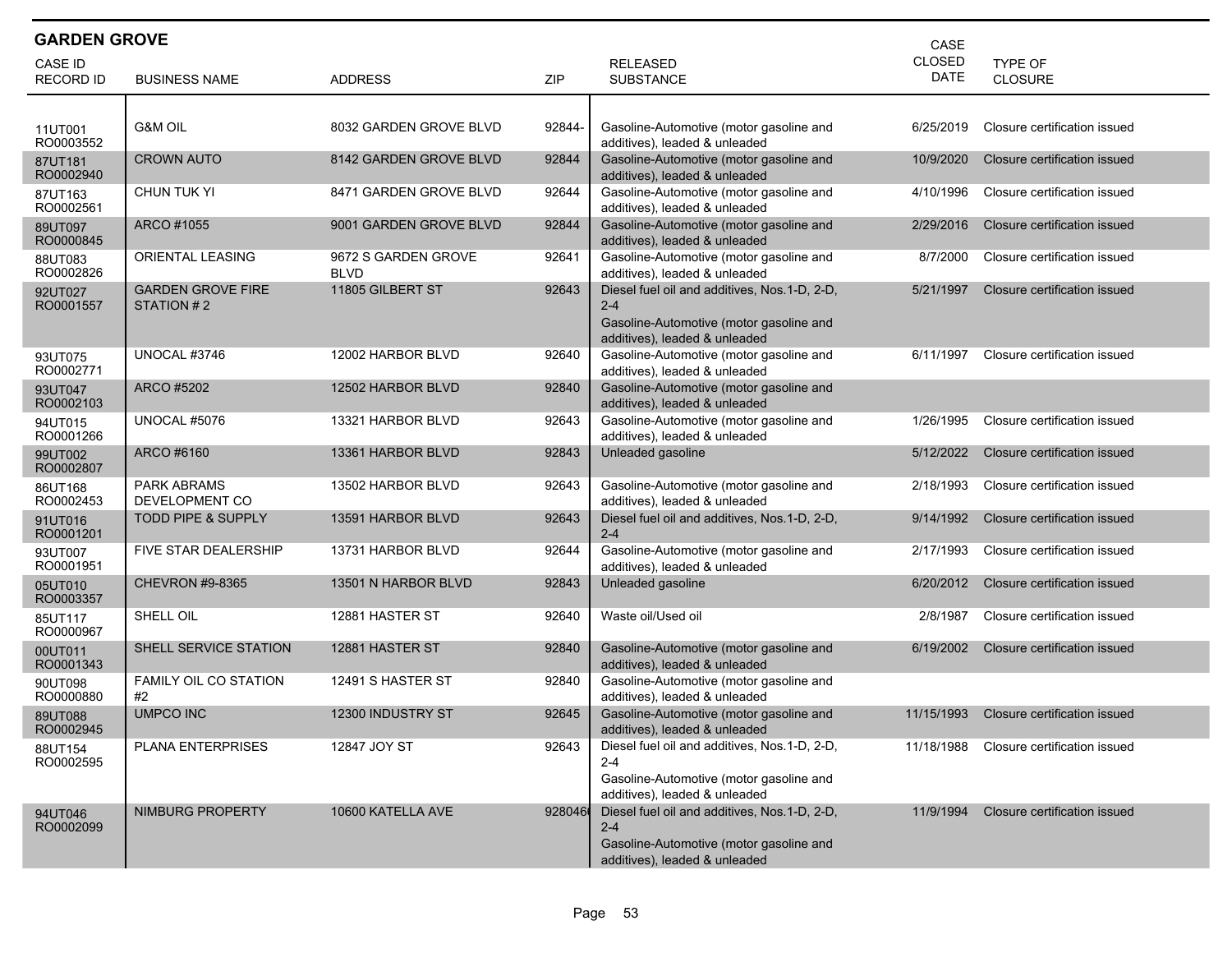| <b>GARDEN GROVE</b><br>CASE |                                        |                                    |        |                                                                                                                                     |                              |                                  |  |  |
|-----------------------------|----------------------------------------|------------------------------------|--------|-------------------------------------------------------------------------------------------------------------------------------------|------------------------------|----------------------------------|--|--|
| CASE ID<br><b>RECORD ID</b> | <b>BUSINESS NAME</b>                   | <b>ADDRESS</b>                     | ZIP    | <b>RELEASED</b><br><b>SUBSTANCE</b>                                                                                                 | <b>CLOSED</b><br><b>DATE</b> | <b>TYPE OF</b><br><b>CLOSURE</b> |  |  |
|                             |                                        |                                    |        |                                                                                                                                     |                              |                                  |  |  |
| 11UT001<br>RO0003552        | <b>G&amp;M OIL</b>                     | 8032 GARDEN GROVE BLVD             | 92844- | Gasoline-Automotive (motor gasoline and<br>additives), leaded & unleaded                                                            | 6/25/2019                    | Closure certification issued     |  |  |
| 87UT181<br>RO0002940        | <b>CROWN AUTO</b>                      | 8142 GARDEN GROVE BLVD             | 92844  | Gasoline-Automotive (motor gasoline and<br>additives), leaded & unleaded                                                            | 10/9/2020                    | Closure certification issued     |  |  |
| 87UT163<br>RO0002561        | <b>CHUN TUK YI</b>                     | 8471 GARDEN GROVE BLVD             | 92644  | Gasoline-Automotive (motor gasoline and<br>additives), leaded & unleaded                                                            | 4/10/1996                    | Closure certification issued     |  |  |
| 89UT097<br>RO0000845        | ARCO #1055                             | 9001 GARDEN GROVE BLVD             | 92844  | Gasoline-Automotive (motor gasoline and<br>additives), leaded & unleaded                                                            | 2/29/2016                    | Closure certification issued     |  |  |
| 88UT083<br>RO0002826        | ORIENTAL LEASING                       | 9672 S GARDEN GROVE<br><b>BLVD</b> | 92641  | Gasoline-Automotive (motor gasoline and<br>additives), leaded & unleaded                                                            | 8/7/2000                     | Closure certification issued     |  |  |
| 92UT027<br>RO0001557        | <b>GARDEN GROVE FIRE</b><br>STATION #2 | 11805 GILBERT ST                   | 92643  | Diesel fuel oil and additives, Nos.1-D, 2-D,<br>$2 - 4$<br>Gasoline-Automotive (motor gasoline and<br>additives), leaded & unleaded | 5/21/1997                    | Closure certification issued     |  |  |
| 93UT075<br>RO0002771        | UNOCAL #3746                           | 12002 HARBOR BLVD                  | 92640  | Gasoline-Automotive (motor gasoline and<br>additives), leaded & unleaded                                                            | 6/11/1997                    | Closure certification issued     |  |  |
| 93UT047<br>RO0002103        | ARCO #5202                             | 12502 HARBOR BLVD                  | 92840  | Gasoline-Automotive (motor gasoline and<br>additives), leaded & unleaded                                                            |                              |                                  |  |  |
| 94UT015<br>RO0001266        | UNOCAL #5076                           | 13321 HARBOR BLVD                  | 92643  | Gasoline-Automotive (motor gasoline and<br>additives), leaded & unleaded                                                            | 1/26/1995                    | Closure certification issued     |  |  |
| 99UT002<br>RO0002807        | ARCO #6160                             | 13361 HARBOR BLVD                  | 92843  | Unleaded gasoline                                                                                                                   | 5/12/2022                    | Closure certification issued     |  |  |
| 86UT168<br>RO0002453        | PARK ABRAMS<br>DEVELOPMENT CO          | 13502 HARBOR BLVD                  | 92643  | Gasoline-Automotive (motor gasoline and<br>additives), leaded & unleaded                                                            | 2/18/1993                    | Closure certification issued     |  |  |
| 91UT016<br>RO0001201        | <b>TODD PIPE &amp; SUPPLY</b>          | 13591 HARBOR BLVD                  | 92643  | Diesel fuel oil and additives, Nos.1-D, 2-D,<br>$2 - 4$                                                                             | 9/14/1992                    | Closure certification issued     |  |  |
| 93UT007<br>RO0001951        | FIVE STAR DEALERSHIP                   | 13731 HARBOR BLVD                  | 92644  | Gasoline-Automotive (motor gasoline and<br>additives), leaded & unleaded                                                            | 2/17/1993                    | Closure certification issued     |  |  |
| 05UT010<br>RO0003357        | <b>CHEVRON #9-8365</b>                 | 13501 N HARBOR BLVD                | 92843  | Unleaded gasoline                                                                                                                   | 6/20/2012                    | Closure certification issued     |  |  |
| 85UT117<br>RO0000967        | SHELL OIL                              | 12881 HASTER ST                    | 92640  | Waste oil/Used oil                                                                                                                  | 2/8/1987                     | Closure certification issued     |  |  |
| 00UT011<br>RO0001343        | SHELL SERVICE STATION                  | 12881 HASTER ST                    | 92840  | Gasoline-Automotive (motor gasoline and<br>additives), leaded & unleaded                                                            | 6/19/2002                    | Closure certification issued     |  |  |
| 90UT098<br>RO0000880        | FAMILY OIL CO STATION<br>#2            | 12491 S HASTER ST                  | 92840  | Gasoline-Automotive (motor gasoline and<br>additives), leaded & unleaded                                                            |                              |                                  |  |  |
| 89UT088<br>RO0002945        | <b>UMPCO INC</b>                       | 12300 INDUSTRY ST                  | 92645  | Gasoline-Automotive (motor gasoline and<br>additives), leaded & unleaded                                                            | 11/15/1993                   | Closure certification issued     |  |  |
| 88UT154<br>RO0002595        | PLANA ENTERPRISES                      | 12847 JOY ST                       | 92643  | Diesel fuel oil and additives, Nos.1-D, 2-D,<br>$2 - 4$<br>Gasoline-Automotive (motor gasoline and<br>additives), leaded & unleaded | 11/18/1988                   | Closure certification issued     |  |  |
| 94UT046<br>RO0002099        | NIMBURG PROPERTY                       | 10600 KATELLA AVE                  | 928046 | Diesel fuel oil and additives, Nos.1-D, 2-D,<br>$2 - 4$<br>Gasoline-Automotive (motor gasoline and<br>additives), leaded & unleaded | 11/9/1994                    | Closure certification issued     |  |  |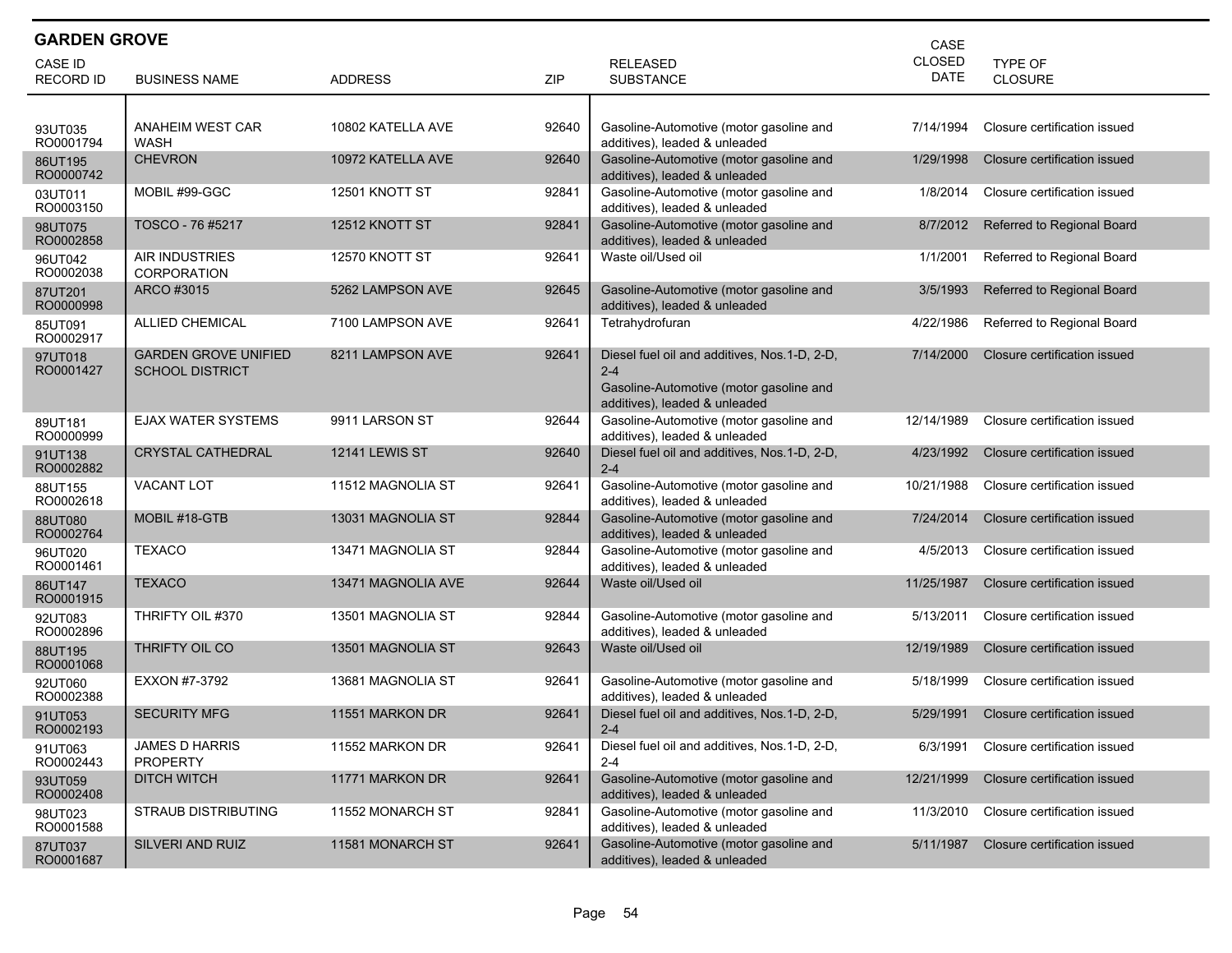| <b>GARDEN GROVE</b><br>CASE |                                                       |                       |       |                                                                                                                                     |                       |                              |  |  |  |
|-----------------------------|-------------------------------------------------------|-----------------------|-------|-------------------------------------------------------------------------------------------------------------------------------------|-----------------------|------------------------------|--|--|--|
| CASE ID                     |                                                       |                       |       | <b>RELEASED</b>                                                                                                                     | CLOSED<br><b>DATE</b> | TYPE OF                      |  |  |  |
| <b>RECORD ID</b>            | <b>BUSINESS NAME</b>                                  | <b>ADDRESS</b>        | ZIP   | <b>SUBSTANCE</b>                                                                                                                    |                       | CLOSURE                      |  |  |  |
| 93UT035<br>RO0001794        | <b>ANAHEIM WEST CAR</b><br><b>WASH</b>                | 10802 KATELLA AVE     | 92640 | Gasoline-Automotive (motor gasoline and<br>additives), leaded & unleaded                                                            | 7/14/1994             | Closure certification issued |  |  |  |
| 86UT195<br>RO0000742        | <b>CHEVRON</b>                                        | 10972 KATELLA AVE     | 92640 | Gasoline-Automotive (motor gasoline and<br>additives), leaded & unleaded                                                            | 1/29/1998             | Closure certification issued |  |  |  |
| 03UT011<br>RO0003150        | MOBIL #99-GGC                                         | 12501 KNOTT ST        | 92841 | Gasoline-Automotive (motor gasoline and<br>additives), leaded & unleaded                                                            | 1/8/2014              | Closure certification issued |  |  |  |
| 98UT075<br>RO0002858        | TOSCO - 76 #5217                                      | 12512 KNOTT ST        | 92841 | Gasoline-Automotive (motor gasoline and<br>additives), leaded & unleaded                                                            | 8/7/2012              | Referred to Regional Board   |  |  |  |
| 96UT042<br>RO0002038        | <b>AIR INDUSTRIES</b><br><b>CORPORATION</b>           | 12570 KNOTT ST        | 92641 | Waste oil/Used oil                                                                                                                  | 1/1/2001              | Referred to Regional Board   |  |  |  |
| 87UT201<br>RO0000998        | ARCO #3015                                            | 5262 LAMPSON AVE      | 92645 | Gasoline-Automotive (motor gasoline and<br>additives), leaded & unleaded                                                            | 3/5/1993              | Referred to Regional Board   |  |  |  |
| 85UT091<br>RO0002917        | <b>ALLIED CHEMICAL</b>                                | 7100 LAMPSON AVE      | 92641 | Tetrahydrofuran                                                                                                                     | 4/22/1986             | Referred to Regional Board   |  |  |  |
| 97UT018<br>RO0001427        | <b>GARDEN GROVE UNIFIED</b><br><b>SCHOOL DISTRICT</b> | 8211 LAMPSON AVE      | 92641 | Diesel fuel oil and additives, Nos.1-D, 2-D,<br>$2 - 4$<br>Gasoline-Automotive (motor gasoline and<br>additives), leaded & unleaded | 7/14/2000             | Closure certification issued |  |  |  |
| 89UT181<br>RO0000999        | <b>EJAX WATER SYSTEMS</b>                             | 9911 LARSON ST        | 92644 | Gasoline-Automotive (motor gasoline and<br>additives), leaded & unleaded                                                            | 12/14/1989            | Closure certification issued |  |  |  |
| 91UT138<br>RO0002882        | <b>CRYSTAL CATHEDRAL</b>                              | <b>12141 LEWIS ST</b> | 92640 | Diesel fuel oil and additives, Nos.1-D, 2-D,<br>$2 - 4$                                                                             | 4/23/1992             | Closure certification issued |  |  |  |
| 88UT155<br>RO0002618        | <b>VACANT LOT</b>                                     | 11512 MAGNOLIA ST     | 92641 | Gasoline-Automotive (motor gasoline and<br>additives), leaded & unleaded                                                            | 10/21/1988            | Closure certification issued |  |  |  |
| 88UT080<br>RO0002764        | MOBIL #18-GTB                                         | 13031 MAGNOLIA ST     | 92844 | Gasoline-Automotive (motor gasoline and<br>additives), leaded & unleaded                                                            | 7/24/2014             | Closure certification issued |  |  |  |
| 96UT020<br>RO0001461        | TEXACO                                                | 13471 MAGNOLIA ST     | 92844 | Gasoline-Automotive (motor gasoline and<br>additives), leaded & unleaded                                                            | 4/5/2013              | Closure certification issued |  |  |  |
| 86UT147<br>RO0001915        | <b>TEXACO</b>                                         | 13471 MAGNOLIA AVE    | 92644 | Waste oil/Used oil                                                                                                                  | 11/25/1987            | Closure certification issued |  |  |  |
| 92UT083<br>RO0002896        | THRIFTY OIL #370                                      | 13501 MAGNOLIA ST     | 92844 | Gasoline-Automotive (motor gasoline and<br>additives), leaded & unleaded                                                            | 5/13/2011             | Closure certification issued |  |  |  |
| 88UT195<br>RO0001068        | THRIFTY OIL CO                                        | 13501 MAGNOLIA ST     | 92643 | Waste oil/Used oil                                                                                                                  | 12/19/1989            | Closure certification issued |  |  |  |
| 92UT060<br>RO0002388        | EXXON #7-3792                                         | 13681 MAGNOLIA ST     | 92641 | Gasoline-Automotive (motor gasoline and<br>additives), leaded & unleaded                                                            | 5/18/1999             | Closure certification issued |  |  |  |
| 91UT053<br>RO0002193        | <b>SECURITY MFG</b>                                   | 11551 MARKON DR       | 92641 | Diesel fuel oil and additives, Nos.1-D, 2-D,<br>$2 - 4$                                                                             | 5/29/1991             | Closure certification issued |  |  |  |
| 91UT063<br>RO0002443        | <b>JAMES D HARRIS</b><br><b>PROPERTY</b>              | 11552 MARKON DR       | 92641 | Diesel fuel oil and additives, Nos.1-D, 2-D,<br>$2 - 4$                                                                             | 6/3/1991              | Closure certification issued |  |  |  |
| 93UT059<br>RO0002408        | <b>DITCH WITCH</b>                                    | 11771 MARKON DR       | 92641 | Gasoline-Automotive (motor gasoline and<br>additives), leaded & unleaded                                                            | 12/21/1999            | Closure certification issued |  |  |  |
| 98UT023<br>RO0001588        | <b>STRAUB DISTRIBUTING</b>                            | 11552 MONARCH ST      | 92841 | Gasoline-Automotive (motor gasoline and<br>additives), leaded & unleaded                                                            | 11/3/2010             | Closure certification issued |  |  |  |
| 87UT037<br>RO0001687        | SILVERI AND RUIZ                                      | 11581 MONARCH ST      | 92641 | Gasoline-Automotive (motor gasoline and<br>additives), leaded & unleaded                                                            | 5/11/1987             | Closure certification issued |  |  |  |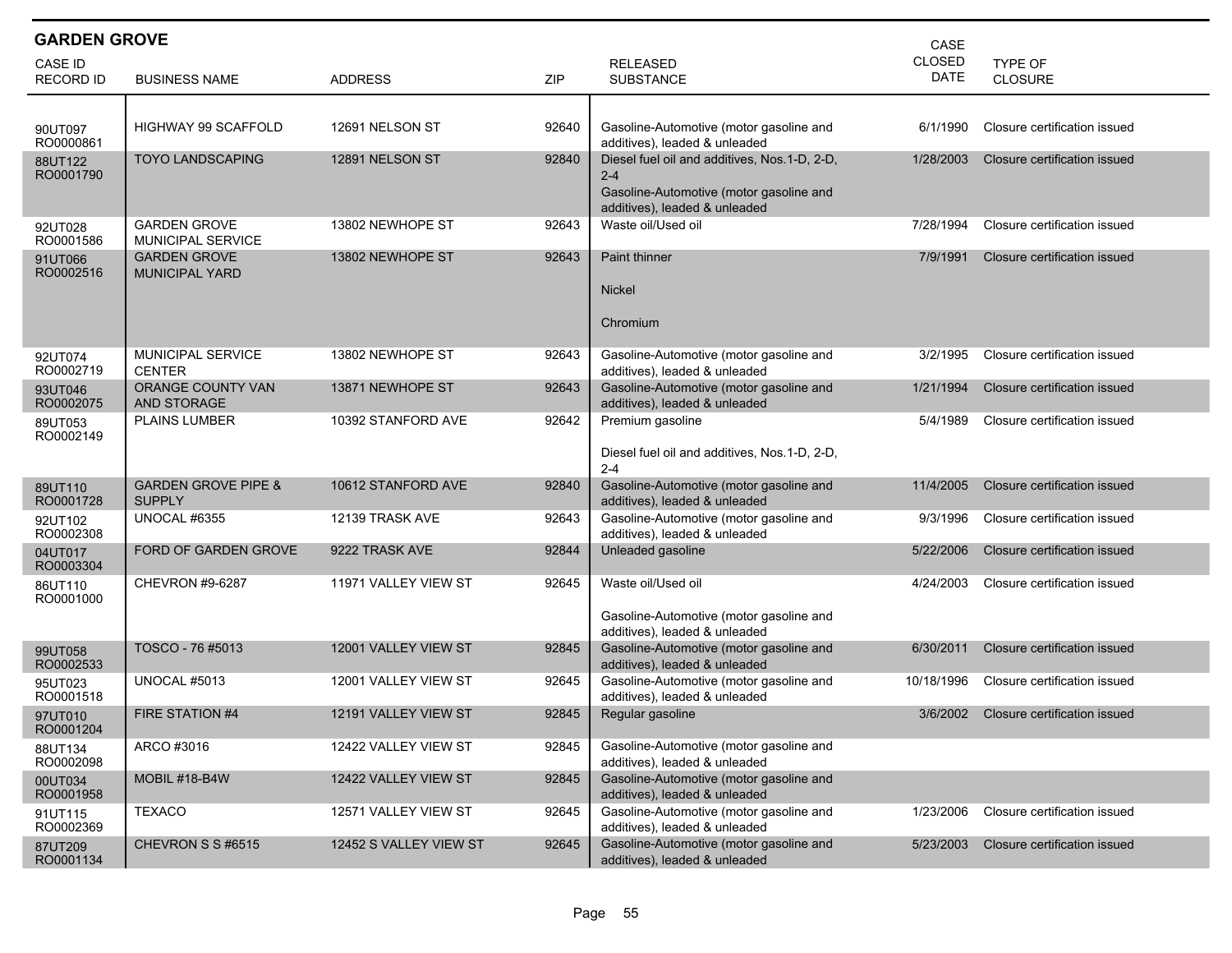| <b>GARDEN GROVE</b><br>CASE        |                                                 |                        |       |                                                                                                                                     |                              |                              |  |  |
|------------------------------------|-------------------------------------------------|------------------------|-------|-------------------------------------------------------------------------------------------------------------------------------------|------------------------------|------------------------------|--|--|
| <b>CASE ID</b><br><b>RECORD ID</b> | <b>BUSINESS NAME</b>                            | <b>ADDRESS</b>         | ZIP   | <b>RELEASED</b><br><b>SUBSTANCE</b>                                                                                                 | <b>CLOSED</b><br><b>DATE</b> | TYPE OF<br><b>CLOSURE</b>    |  |  |
|                                    |                                                 |                        |       |                                                                                                                                     |                              |                              |  |  |
| 90UT097<br>RO0000861               | <b>HIGHWAY 99 SCAFFOLD</b>                      | 12691 NELSON ST        | 92640 | Gasoline-Automotive (motor gasoline and<br>additives), leaded & unleaded                                                            | 6/1/1990                     | Closure certification issued |  |  |
| 88UT122<br>RO0001790               | <b>TOYO LANDSCAPING</b>                         | 12891 NELSON ST        | 92840 | Diesel fuel oil and additives, Nos.1-D, 2-D,<br>$2 - 4$<br>Gasoline-Automotive (motor gasoline and<br>additives), leaded & unleaded | 1/28/2003                    | Closure certification issued |  |  |
| 92UT028<br>RO0001586               | <b>GARDEN GROVE</b><br><b>MUNICIPAL SERVICE</b> | 13802 NEWHOPE ST       | 92643 | Waste oil/Used oil                                                                                                                  | 7/28/1994                    | Closure certification issued |  |  |
| 91UT066<br>RO0002516               | <b>GARDEN GROVE</b><br><b>MUNICIPAL YARD</b>    | 13802 NEWHOPE ST       | 92643 | <b>Paint thinner</b><br><b>Nickel</b><br>Chromium                                                                                   | 7/9/1991                     | Closure certification issued |  |  |
| 92UT074<br>RO0002719               | <b>MUNICIPAL SERVICE</b><br><b>CENTER</b>       | 13802 NEWHOPE ST       | 92643 | Gasoline-Automotive (motor gasoline and<br>additives), leaded & unleaded                                                            | 3/2/1995                     | Closure certification issued |  |  |
| 93UT046<br>RO0002075               | <b>ORANGE COUNTY VAN</b><br><b>AND STORAGE</b>  | 13871 NEWHOPE ST       | 92643 | Gasoline-Automotive (motor gasoline and<br>additives), leaded & unleaded                                                            | 1/21/1994                    | Closure certification issued |  |  |
| 89UT053<br>RO0002149               | <b>PLAINS LUMBER</b>                            | 10392 STANFORD AVE     | 92642 | Premium gasoline<br>Diesel fuel oil and additives, Nos.1-D, 2-D,<br>$2 - 4$                                                         | 5/4/1989                     | Closure certification issued |  |  |
| 89UT110<br>RO0001728               | <b>GARDEN GROVE PIPE &amp;</b><br><b>SUPPLY</b> | 10612 STANFORD AVE     | 92840 | Gasoline-Automotive (motor gasoline and<br>additives), leaded & unleaded                                                            | 11/4/2005                    | Closure certification issued |  |  |
| 92UT102<br>RO0002308               | <b>UNOCAL #6355</b>                             | 12139 TRASK AVE        | 92643 | Gasoline-Automotive (motor gasoline and<br>additives), leaded & unleaded                                                            | 9/3/1996                     | Closure certification issued |  |  |
| 04UT017<br>RO0003304               | FORD OF GARDEN GROVE                            | 9222 TRASK AVE         | 92844 | Unleaded gasoline                                                                                                                   | 5/22/2006                    | Closure certification issued |  |  |
| 86UT110<br>RO0001000               | <b>CHEVRON #9-6287</b>                          | 11971 VALLEY VIEW ST   | 92645 | Waste oil/Used oil<br>Gasoline-Automotive (motor gasoline and<br>additives), leaded & unleaded                                      | 4/24/2003                    | Closure certification issued |  |  |
| 99UT058<br>RO0002533               | TOSCO - 76 #5013                                | 12001 VALLEY VIEW ST   | 92845 | Gasoline-Automotive (motor gasoline and<br>additives), leaded & unleaded                                                            | 6/30/2011                    | Closure certification issued |  |  |
| 95UT023<br>RO0001518               | UNOCAL #5013                                    | 12001 VALLEY VIEW ST   | 92645 | Gasoline-Automotive (motor gasoline and<br>additives), leaded & unleaded                                                            | 10/18/1996                   | Closure certification issued |  |  |
| 97UT010<br>RO0001204               | FIRE STATION #4                                 | 12191 VALLEY VIEW ST   | 92845 | Regular gasoline                                                                                                                    | 3/6/2002                     | Closure certification issued |  |  |
| 88UT134<br>RO0002098               | ARCO #3016                                      | 12422 VALLEY VIEW ST   | 92845 | Gasoline-Automotive (motor gasoline and<br>additives), leaded & unleaded                                                            |                              |                              |  |  |
| 00UT034<br>RO0001958               | MOBIL #18-B4W                                   | 12422 VALLEY VIEW ST   | 92845 | Gasoline-Automotive (motor gasoline and<br>additives), leaded & unleaded                                                            |                              |                              |  |  |
| 91UT115<br>RO0002369               | <b>TEXACO</b>                                   | 12571 VALLEY VIEW ST   | 92645 | Gasoline-Automotive (motor gasoline and<br>additives), leaded & unleaded                                                            | 1/23/2006                    | Closure certification issued |  |  |
| 87UT209<br>RO0001134               | CHEVRON S S #6515                               | 12452 S VALLEY VIEW ST | 92645 | Gasoline-Automotive (motor gasoline and<br>additives), leaded & unleaded                                                            | 5/23/2003                    | Closure certification issued |  |  |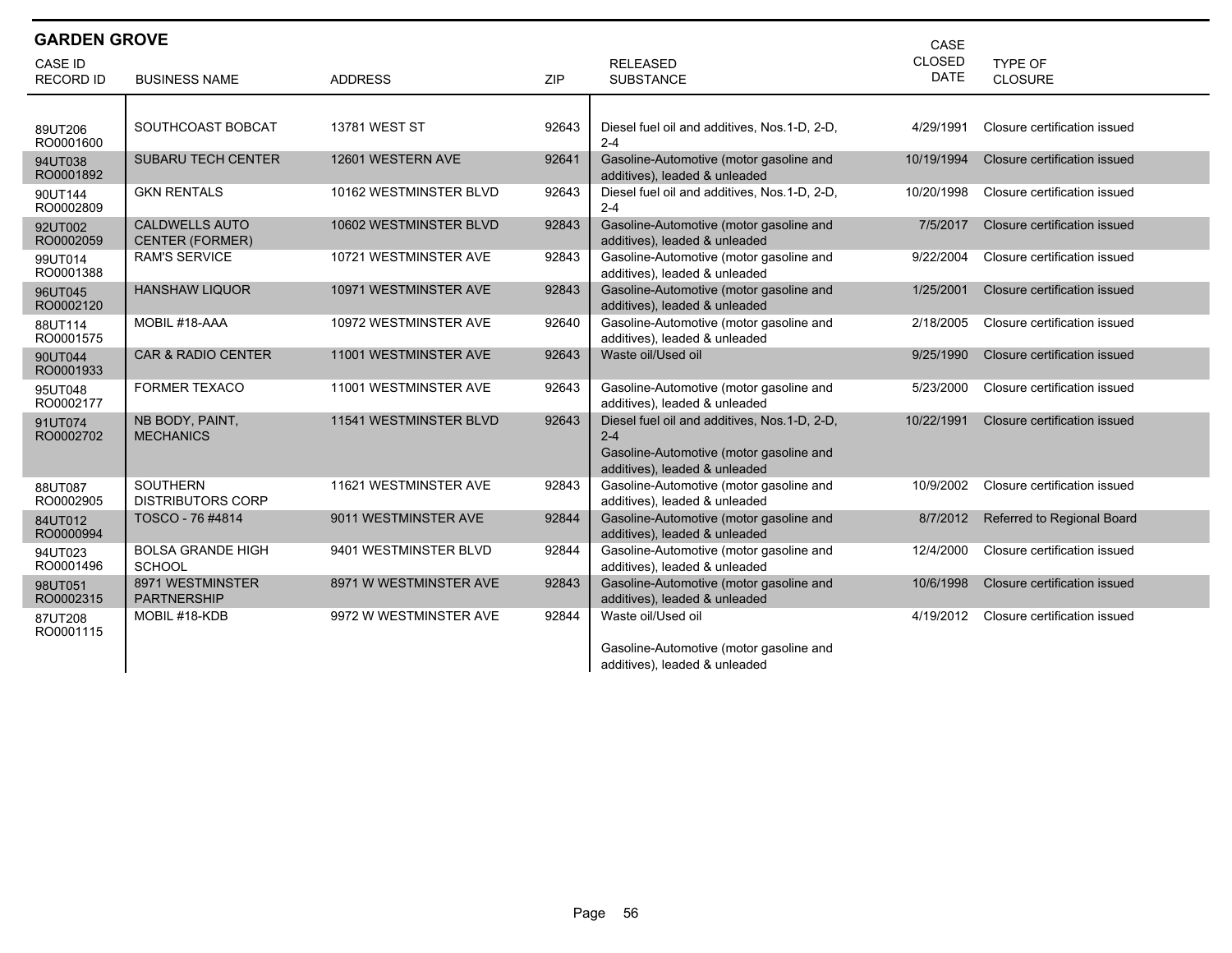| <b>GARDEN GROVE</b>                |                                                 |                        |            |                                                                                                                                     | CASE                         |                              |
|------------------------------------|-------------------------------------------------|------------------------|------------|-------------------------------------------------------------------------------------------------------------------------------------|------------------------------|------------------------------|
| <b>CASE ID</b><br><b>RECORD ID</b> | <b>BUSINESS NAME</b>                            | <b>ADDRESS</b>         | <b>ZIP</b> | <b>RELEASED</b><br><b>SUBSTANCE</b>                                                                                                 | <b>CLOSED</b><br><b>DATE</b> | TYPE OF<br><b>CLOSURE</b>    |
|                                    |                                                 |                        |            |                                                                                                                                     |                              |                              |
| 89UT206<br>RO0001600               | SOUTHCOAST BOBCAT                               | <b>13781 WEST ST</b>   | 92643      | Diesel fuel oil and additives, Nos.1-D, 2-D,<br>$2 - 4$                                                                             | 4/29/1991                    | Closure certification issued |
| 94UT038<br>RO0001892               | <b>SUBARU TECH CENTER</b>                       | 12601 WESTERN AVE      | 92641      | Gasoline-Automotive (motor gasoline and<br>additives), leaded & unleaded                                                            | 10/19/1994                   | Closure certification issued |
| 90UT144<br>RO0002809               | <b>GKN RENTALS</b>                              | 10162 WESTMINSTER BLVD | 92643      | Diesel fuel oil and additives, Nos.1-D, 2-D,<br>$2 - 4$                                                                             | 10/20/1998                   | Closure certification issued |
| 92UT002<br>RO0002059               | <b>CALDWELLS AUTO</b><br><b>CENTER (FORMER)</b> | 10602 WESTMINSTER BLVD | 92843      | Gasoline-Automotive (motor gasoline and<br>additives), leaded & unleaded                                                            | 7/5/2017                     | Closure certification issued |
| 99UT014<br>RO0001388               | <b>RAM'S SERVICE</b>                            | 10721 WESTMINSTER AVE  | 92843      | Gasoline-Automotive (motor gasoline and<br>additives), leaded & unleaded                                                            | 9/22/2004                    | Closure certification issued |
| 96UT045<br>RO0002120               | <b>HANSHAW LIQUOR</b>                           | 10971 WESTMINSTER AVE  | 92843      | Gasoline-Automotive (motor gasoline and<br>additives), leaded & unleaded                                                            | 1/25/2001                    | Closure certification issued |
| 88UT114<br>RO0001575               | MOBIL #18-AAA                                   | 10972 WESTMINSTER AVE  | 92640      | Gasoline-Automotive (motor gasoline and<br>additives), leaded & unleaded                                                            | 2/18/2005                    | Closure certification issued |
| 90UT044<br>RO0001933               | <b>CAR &amp; RADIO CENTER</b>                   | 11001 WESTMINSTER AVE  | 92643      | Waste oil/Used oil                                                                                                                  | 9/25/1990                    | Closure certification issued |
| 95UT048<br>RO0002177               | <b>FORMER TEXACO</b>                            | 11001 WESTMINSTER AVE  | 92643      | Gasoline-Automotive (motor gasoline and<br>additives), leaded & unleaded                                                            | 5/23/2000                    | Closure certification issued |
| 91UT074<br>RO0002702               | NB BODY, PAINT,<br><b>MECHANICS</b>             | 11541 WESTMINSTER BLVD | 92643      | Diesel fuel oil and additives, Nos.1-D, 2-D,<br>$2 - 4$<br>Gasoline-Automotive (motor gasoline and<br>additives), leaded & unleaded | 10/22/1991                   | Closure certification issued |
| 88UT087<br>RO0002905               | <b>SOUTHERN</b><br><b>DISTRIBUTORS CORP</b>     | 11621 WESTMINSTER AVE  | 92843      | Gasoline-Automotive (motor gasoline and<br>additives), leaded & unleaded                                                            | 10/9/2002                    | Closure certification issued |
| 84UT012<br>RO0000994               | TOSCO - 76 #4814                                | 9011 WESTMINSTER AVE   | 92844      | Gasoline-Automotive (motor gasoline and<br>additives), leaded & unleaded                                                            | 8/7/2012                     | Referred to Regional Board   |
| 94UT023<br>RO0001496               | <b>BOLSA GRANDE HIGH</b><br><b>SCHOOL</b>       | 9401 WESTMINSTER BLVD  | 92844      | Gasoline-Automotive (motor gasoline and<br>additives), leaded & unleaded                                                            | 12/4/2000                    | Closure certification issued |
| 98UT051<br>RO0002315               | 8971 WESTMINSTER<br><b>PARTNERSHIP</b>          | 8971 W WESTMINSTER AVE | 92843      | Gasoline-Automotive (motor gasoline and<br>additives), leaded & unleaded                                                            | 10/6/1998                    | Closure certification issued |
| 87UT208<br>RO0001115               | MOBIL #18-KDB                                   | 9972 W WESTMINSTER AVE | 92844      | Waste oil/Used oil                                                                                                                  | 4/19/2012                    | Closure certification issued |
|                                    |                                                 |                        |            | Gasoline-Automotive (motor gasoline and<br>additives), leaded & unleaded                                                            |                              |                              |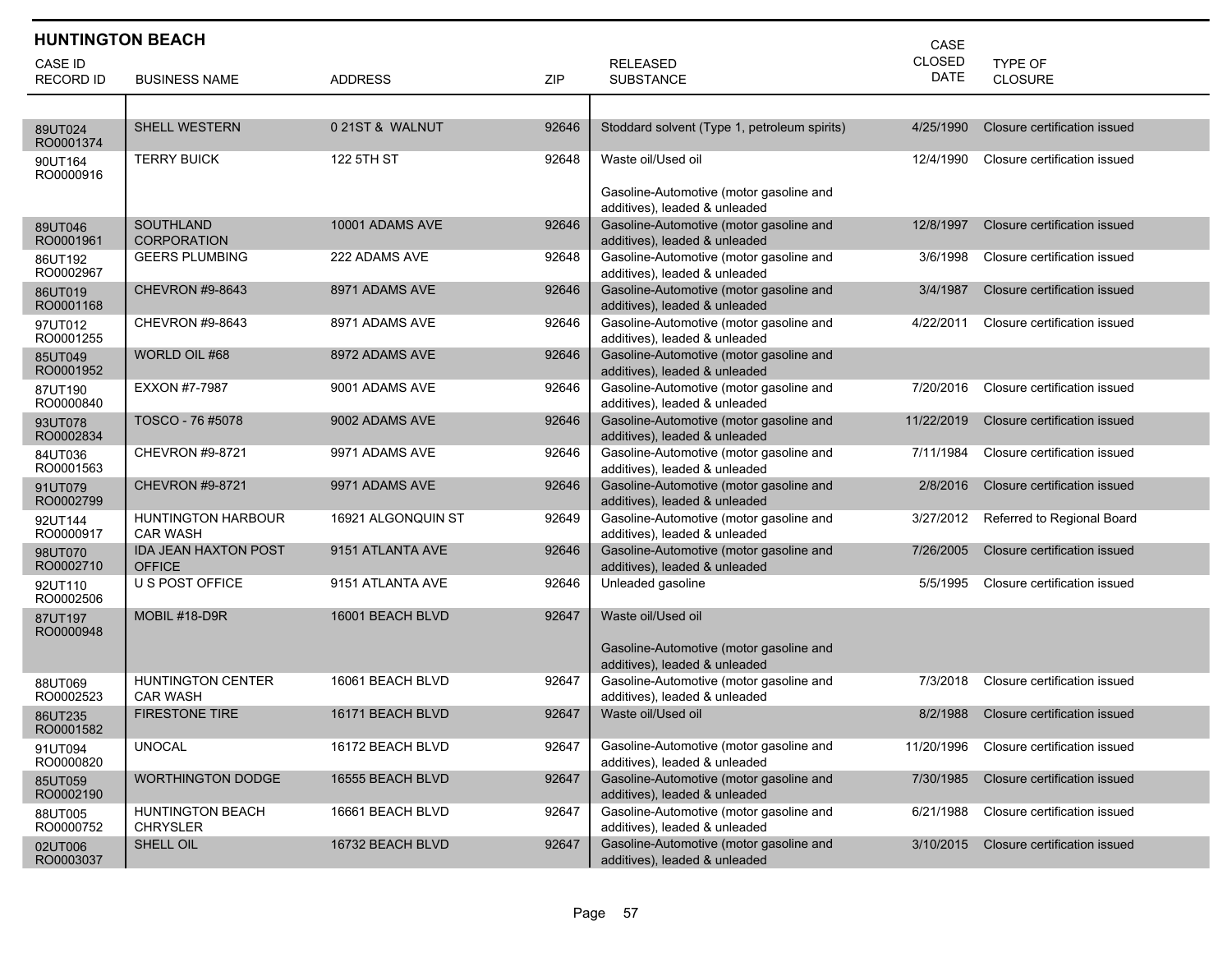| <b>HUNTINGTON BEACH</b> |                                              |                    |       | CASE                                                                     |             |                              |
|-------------------------|----------------------------------------------|--------------------|-------|--------------------------------------------------------------------------|-------------|------------------------------|
| <b>CASE ID</b>          |                                              |                    |       | <b>RELEASED</b>                                                          | CLOSED      | <b>TYPE OF</b>               |
| <b>RECORD ID</b>        | <b>BUSINESS NAME</b>                         | <b>ADDRESS</b>     | ZIP   | <b>SUBSTANCE</b>                                                         | <b>DATE</b> | CLOSURE                      |
|                         |                                              |                    |       |                                                                          |             |                              |
| 89UT024<br>RO0001374    | <b>SHELL WESTERN</b>                         | 0 21ST & WALNUT    | 92646 | Stoddard solvent (Type 1, petroleum spirits)                             | 4/25/1990   | Closure certification issued |
| 90UT164<br>RO0000916    | <b>TERRY BUICK</b>                           | 122 5TH ST         | 92648 | Waste oil/Used oil                                                       | 12/4/1990   | Closure certification issued |
|                         |                                              |                    |       | Gasoline-Automotive (motor gasoline and<br>additives), leaded & unleaded |             |                              |
| 89UT046<br>RO0001961    | <b>SOUTHLAND</b><br><b>CORPORATION</b>       | 10001 ADAMS AVE    | 92646 | Gasoline-Automotive (motor gasoline and<br>additives), leaded & unleaded | 12/8/1997   | Closure certification issued |
| 86UT192<br>RO0002967    | <b>GEERS PLUMBING</b>                        | 222 ADAMS AVE      | 92648 | Gasoline-Automotive (motor gasoline and<br>additives), leaded & unleaded | 3/6/1998    | Closure certification issued |
| 86UT019<br>RO0001168    | <b>CHEVRON #9-8643</b>                       | 8971 ADAMS AVE     | 92646 | Gasoline-Automotive (motor gasoline and<br>additives), leaded & unleaded | 3/4/1987    | Closure certification issued |
| 97UT012<br>RO0001255    | <b>CHEVRON #9-8643</b>                       | 8971 ADAMS AVE     | 92646 | Gasoline-Automotive (motor gasoline and<br>additives), leaded & unleaded | 4/22/2011   | Closure certification issued |
| 85UT049<br>RO0001952    | WORLD OIL #68                                | 8972 ADAMS AVE     | 92646 | Gasoline-Automotive (motor gasoline and<br>additives), leaded & unleaded |             |                              |
| 87UT190<br>RO0000840    | <b>EXXON #7-7987</b>                         | 9001 ADAMS AVE     | 92646 | Gasoline-Automotive (motor gasoline and<br>additives), leaded & unleaded | 7/20/2016   | Closure certification issued |
| 93UT078<br>RO0002834    | TOSCO - 76 #5078                             | 9002 ADAMS AVE     | 92646 | Gasoline-Automotive (motor gasoline and<br>additives), leaded & unleaded | 11/22/2019  | Closure certification issued |
| 84UT036<br>RO0001563    | CHEVRON #9-8721                              | 9971 ADAMS AVE     | 92646 | Gasoline-Automotive (motor gasoline and<br>additives), leaded & unleaded | 7/11/1984   | Closure certification issued |
| 91UT079<br>RO0002799    | <b>CHEVRON #9-8721</b>                       | 9971 ADAMS AVE     | 92646 | Gasoline-Automotive (motor gasoline and<br>additives), leaded & unleaded | 2/8/2016    | Closure certification issued |
| 92UT144<br>RO0000917    | <b>HUNTINGTON HARBOUR</b><br><b>CAR WASH</b> | 16921 ALGONQUIN ST | 92649 | Gasoline-Automotive (motor gasoline and<br>additives), leaded & unleaded | 3/27/2012   | Referred to Regional Board   |
| 98UT070<br>RO0002710    | <b>IDA JEAN HAXTON POST</b><br><b>OFFICE</b> | 9151 ATLANTA AVE   | 92646 | Gasoline-Automotive (motor gasoline and<br>additives), leaded & unleaded | 7/26/2005   | Closure certification issued |
| 92UT110<br>RO0002506    | U S POST OFFICE                              | 9151 ATLANTA AVE   | 92646 | Unleaded gasoline                                                        | 5/5/1995    | Closure certification issued |
| 87UT197<br>RO0000948    | MOBIL #18-D9R                                | 16001 BEACH BLVD   | 92647 | Waste oil/Used oil                                                       |             |                              |
|                         |                                              |                    |       | Gasoline-Automotive (motor gasoline and<br>additives), leaded & unleaded |             |                              |
| 88UT069<br>RO0002523    | <b>HUNTINGTON CENTER</b><br><b>CAR WASH</b>  | 16061 BEACH BLVD   | 92647 | Gasoline-Automotive (motor gasoline and<br>additives), leaded & unleaded | 7/3/2018    | Closure certification issued |
| 86UT235<br>RO0001582    | <b>FIRESTONE TIRE</b>                        | 16171 BEACH BLVD   | 92647 | Waste oil/Used oil                                                       | 8/2/1988    | Closure certification issued |
| 91UT094<br>RO0000820    | <b>UNOCAL</b>                                | 16172 BEACH BLVD   | 92647 | Gasoline-Automotive (motor gasoline and<br>additives), leaded & unleaded | 11/20/1996  | Closure certification issued |
| 85UT059<br>RO0002190    | <b>WORTHINGTON DODGE</b>                     | 16555 BEACH BLVD   | 92647 | Gasoline-Automotive (motor gasoline and<br>additives), leaded & unleaded | 7/30/1985   | Closure certification issued |
| 88UT005<br>RO0000752    | <b>HUNTINGTON BEACH</b><br><b>CHRYSLER</b>   | 16661 BEACH BLVD   | 92647 | Gasoline-Automotive (motor gasoline and<br>additives), leaded & unleaded | 6/21/1988   | Closure certification issued |
| 02UT006<br>RO0003037    | SHELL OIL                                    | 16732 BEACH BLVD   | 92647 | Gasoline-Automotive (motor gasoline and<br>additives), leaded & unleaded | 3/10/2015   | Closure certification issued |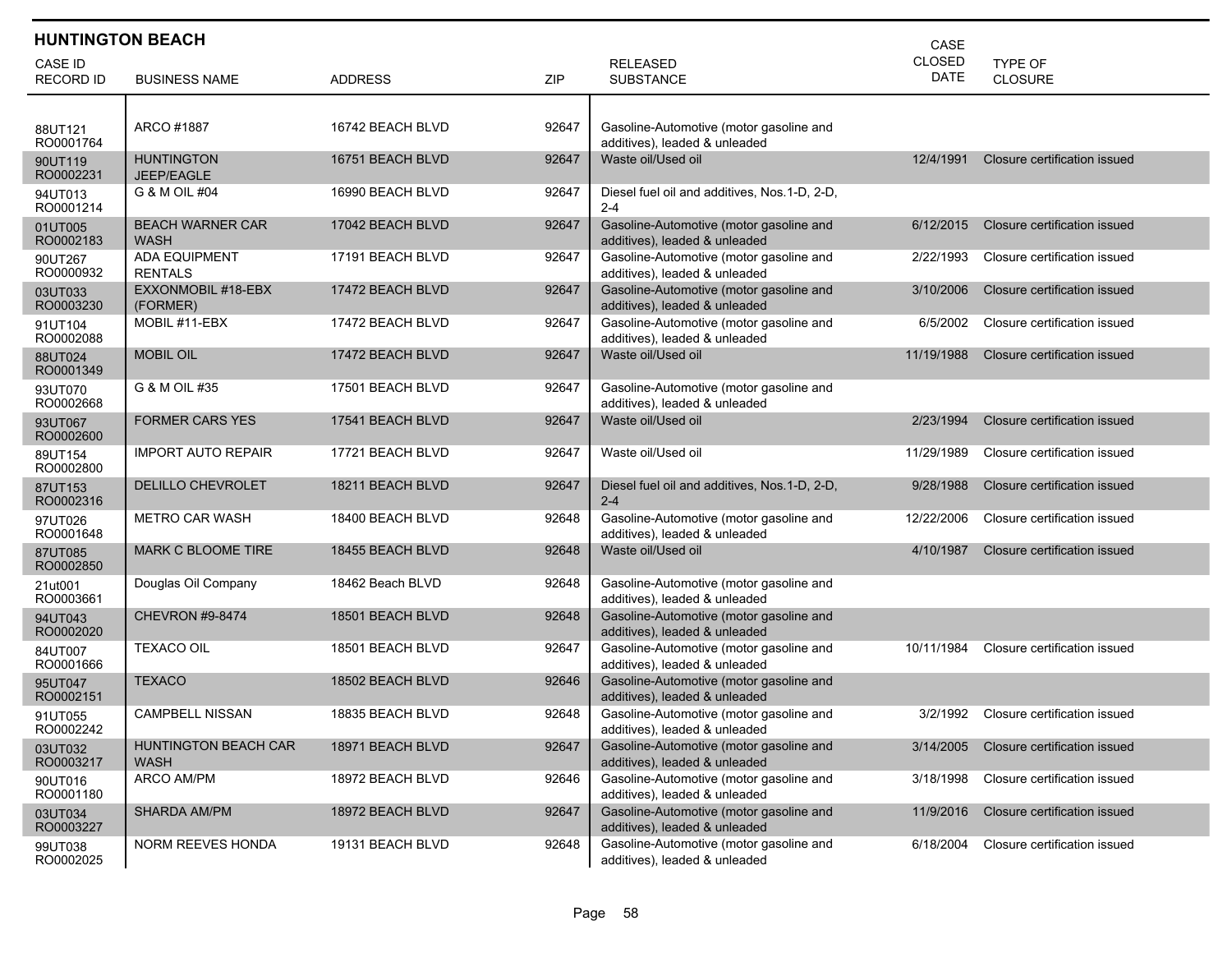| <b>HUNTINGTON BEACH</b><br>CASE    |                                            |                  |       |                                                                          |                              |                              |  |  |
|------------------------------------|--------------------------------------------|------------------|-------|--------------------------------------------------------------------------|------------------------------|------------------------------|--|--|
| <b>CASE ID</b><br><b>RECORD ID</b> | <b>BUSINESS NAME</b>                       | <b>ADDRESS</b>   | ZIP   | <b>RELEASED</b><br><b>SUBSTANCE</b>                                      | <b>CLOSED</b><br><b>DATE</b> | TYPE OF<br><b>CLOSURE</b>    |  |  |
|                                    |                                            |                  |       |                                                                          |                              |                              |  |  |
| 88UT121<br>RO0001764               | ARCO #1887                                 | 16742 BEACH BLVD | 92647 | Gasoline-Automotive (motor gasoline and<br>additives), leaded & unleaded |                              |                              |  |  |
| 90UT119<br>RO0002231               | <b>HUNTINGTON</b><br>JEEP/EAGLE            | 16751 BEACH BLVD | 92647 | Waste oil/Used oil                                                       | 12/4/1991                    | Closure certification issued |  |  |
| 94UT013<br>RO0001214               | G & M OIL #04                              | 16990 BEACH BLVD | 92647 | Diesel fuel oil and additives, Nos.1-D, 2-D,<br>$2 - 4$                  |                              |                              |  |  |
| 01UT005<br>RO0002183               | <b>BEACH WARNER CAR</b><br><b>WASH</b>     | 17042 BEACH BLVD | 92647 | Gasoline-Automotive (motor gasoline and<br>additives), leaded & unleaded | 6/12/2015                    | Closure certification issued |  |  |
| 90UT267<br>RO0000932               | <b>ADA EQUIPMENT</b><br><b>RENTALS</b>     | 17191 BEACH BLVD | 92647 | Gasoline-Automotive (motor gasoline and<br>additives), leaded & unleaded | 2/22/1993                    | Closure certification issued |  |  |
| 03UT033<br>RO0003230               | EXXONMOBIL #18-EBX<br>(FORMER)             | 17472 BEACH BLVD | 92647 | Gasoline-Automotive (motor gasoline and<br>additives), leaded & unleaded | 3/10/2006                    | Closure certification issued |  |  |
| 91UT104<br>RO0002088               | MOBIL #11-EBX                              | 17472 BEACH BLVD | 92647 | Gasoline-Automotive (motor gasoline and<br>additives), leaded & unleaded | 6/5/2002                     | Closure certification issued |  |  |
| 88UT024<br>RO0001349               | <b>MOBIL OIL</b>                           | 17472 BEACH BLVD | 92647 | Waste oil/Used oil                                                       | 11/19/1988                   | Closure certification issued |  |  |
| 93UT070<br>RO0002668               | G & M OIL #35                              | 17501 BEACH BLVD | 92647 | Gasoline-Automotive (motor gasoline and<br>additives), leaded & unleaded |                              |                              |  |  |
| 93UT067<br>RO0002600               | <b>FORMER CARS YES</b>                     | 17541 BEACH BLVD | 92647 | Waste oil/Used oil                                                       | 2/23/1994                    | Closure certification issued |  |  |
| 89UT154<br>RO0002800               | <b>IMPORT AUTO REPAIR</b>                  | 17721 BEACH BLVD | 92647 | Waste oil/Used oil                                                       | 11/29/1989                   | Closure certification issued |  |  |
| 87UT153<br>RO0002316               | <b>DELILLO CHEVROLET</b>                   | 18211 BEACH BLVD | 92647 | Diesel fuel oil and additives, Nos.1-D, 2-D,<br>$2 - 4$                  | 9/28/1988                    | Closure certification issued |  |  |
| 97UT026<br>RO0001648               | <b>METRO CAR WASH</b>                      | 18400 BEACH BLVD | 92648 | Gasoline-Automotive (motor gasoline and<br>additives), leaded & unleaded | 12/22/2006                   | Closure certification issued |  |  |
| 87UT085<br>RO0002850               | MARK C BLOOME TIRE                         | 18455 BEACH BLVD | 92648 | Waste oil/Used oil                                                       | 4/10/1987                    | Closure certification issued |  |  |
| 21ut001<br>RO0003661               | Douglas Oil Company                        | 18462 Beach BLVD | 92648 | Gasoline-Automotive (motor gasoline and<br>additives), leaded & unleaded |                              |                              |  |  |
| 94UT043<br>RO0002020               | <b>CHEVRON #9-8474</b>                     | 18501 BEACH BLVD | 92648 | Gasoline-Automotive (motor gasoline and<br>additives), leaded & unleaded |                              |                              |  |  |
| 84UT007<br>RO0001666               | <b>TEXACO OIL</b>                          | 18501 BEACH BLVD | 92647 | Gasoline-Automotive (motor gasoline and<br>additives), leaded & unleaded | 10/11/1984                   | Closure certification issued |  |  |
| 95UT047<br>RO0002151               | <b>TEXACO</b>                              | 18502 BEACH BLVD | 92646 | Gasoline-Automotive (motor gasoline and<br>additives), leaded & unleaded |                              |                              |  |  |
| 91UT055<br>RO0002242               | <b>CAMPBELL NISSAN</b>                     | 18835 BEACH BLVD | 92648 | Gasoline-Automotive (motor gasoline and<br>additives), leaded & unleaded | 3/2/1992                     | Closure certification issued |  |  |
| 03UT032<br>RO0003217               | <b>HUNTINGTON BEACH CAR</b><br><b>WASH</b> | 18971 BEACH BLVD | 92647 | Gasoline-Automotive (motor gasoline and<br>additives), leaded & unleaded | 3/14/2005                    | Closure certification issued |  |  |
| 90UT016<br>RO0001180               | ARCO AM/PM                                 | 18972 BEACH BLVD | 92646 | Gasoline-Automotive (motor gasoline and<br>additives), leaded & unleaded | 3/18/1998                    | Closure certification issued |  |  |
| 03UT034<br>RO0003227               | SHARDA AM/PM                               | 18972 BEACH BLVD | 92647 | Gasoline-Automotive (motor gasoline and<br>additives), leaded & unleaded | 11/9/2016                    | Closure certification issued |  |  |
| 99UT038<br>RO0002025               | NORM REEVES HONDA                          | 19131 BEACH BLVD | 92648 | Gasoline-Automotive (motor gasoline and<br>additives), leaded & unleaded | 6/18/2004                    | Closure certification issued |  |  |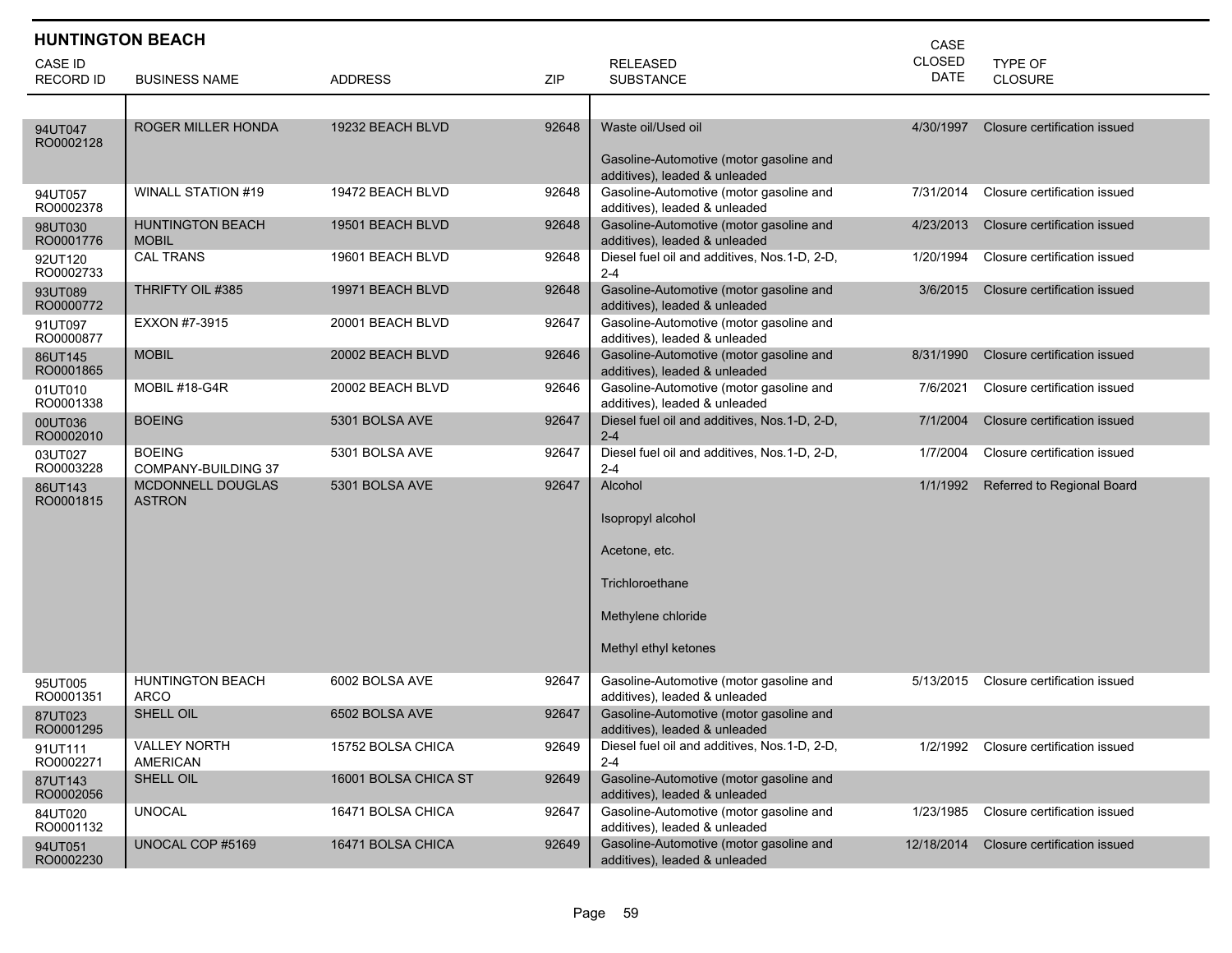| <b>HUNTINGTON BEACH</b>            |                                           |                      |       | CASE                                                                                                           |                              |                              |
|------------------------------------|-------------------------------------------|----------------------|-------|----------------------------------------------------------------------------------------------------------------|------------------------------|------------------------------|
| <b>CASE ID</b><br><b>RECORD ID</b> | <b>BUSINESS NAME</b>                      | <b>ADDRESS</b>       | ZIP   | <b>RELEASED</b><br><b>SUBSTANCE</b>                                                                            | <b>CLOSED</b><br><b>DATE</b> | TYPE OF<br>CLOSURE           |
|                                    |                                           |                      |       |                                                                                                                |                              |                              |
| 94UT047<br>RO0002128               | <b>ROGER MILLER HONDA</b>                 | 19232 BEACH BLVD     | 92648 | Waste oil/Used oil<br>Gasoline-Automotive (motor gasoline and<br>additives), leaded & unleaded                 | 4/30/1997                    | Closure certification issued |
| 94UT057<br>RO0002378               | <b>WINALL STATION #19</b>                 | 19472 BEACH BLVD     | 92648 | Gasoline-Automotive (motor gasoline and<br>additives), leaded & unleaded                                       | 7/31/2014                    | Closure certification issued |
| 98UT030<br>RO0001776               | <b>HUNTINGTON BEACH</b><br><b>MOBIL</b>   | 19501 BEACH BLVD     | 92648 | Gasoline-Automotive (motor gasoline and<br>additives), leaded & unleaded                                       | 4/23/2013                    | Closure certification issued |
| 92UT120<br>RO0002733               | <b>CAL TRANS</b>                          | 19601 BEACH BLVD     | 92648 | Diesel fuel oil and additives, Nos.1-D, 2-D,<br>$2 - 4$                                                        | 1/20/1994                    | Closure certification issued |
| 93UT089<br>RO0000772               | THRIFTY OIL #385                          | 19971 BEACH BLVD     | 92648 | Gasoline-Automotive (motor gasoline and<br>additives), leaded & unleaded                                       | 3/6/2015                     | Closure certification issued |
| 91UT097<br>RO0000877               | EXXON #7-3915                             | 20001 BEACH BLVD     | 92647 | Gasoline-Automotive (motor gasoline and<br>additives), leaded & unleaded                                       |                              |                              |
| 86UT145<br>RO0001865               | <b>MOBIL</b>                              | 20002 BEACH BLVD     | 92646 | Gasoline-Automotive (motor gasoline and<br>additives), leaded & unleaded                                       | 8/31/1990                    | Closure certification issued |
| 01UT010<br>RO0001338               | MOBIL #18-G4R                             | 20002 BEACH BLVD     | 92646 | Gasoline-Automotive (motor gasoline and<br>additives), leaded & unleaded                                       | 7/6/2021                     | Closure certification issued |
| 00UT036<br>RO0002010               | <b>BOEING</b>                             | 5301 BOLSA AVE       | 92647 | Diesel fuel oil and additives, Nos.1-D, 2-D,<br>$2 - 4$                                                        | 7/1/2004                     | Closure certification issued |
| 03UT027<br>RO0003228               | <b>BOEING</b><br>COMPANY-BUILDING 37      | 5301 BOLSA AVE       | 92647 | Diesel fuel oil and additives, Nos.1-D, 2-D,<br>$2 - 4$                                                        | 1/7/2004                     | Closure certification issued |
| 86UT143<br>RO0001815               | <b>MCDONNELL DOUGLAS</b><br><b>ASTRON</b> | 5301 BOLSA AVE       | 92647 | Alcohol<br>Isopropyl alcohol<br>Acetone, etc.<br>Trichloroethane<br>Methylene chloride<br>Methyl ethyl ketones | 1/1/1992                     | Referred to Regional Board   |
| 95UT005<br>RO0001351               | <b>HUNTINGTON BEACH</b><br><b>ARCO</b>    | 6002 BOLSA AVE       | 92647 | Gasoline-Automotive (motor gasoline and<br>additives), leaded & unleaded                                       | 5/13/2015                    | Closure certification issued |
| 87UT023<br>RO0001295               | SHELL OIL                                 | 6502 BOLSA AVE       | 92647 | Gasoline-Automotive (motor gasoline and<br>additives), leaded & unleaded                                       |                              |                              |
| 91UT111<br>RO0002271               | <b>VALLEY NORTH</b><br><b>AMERICAN</b>    | 15752 BOLSA CHICA    | 92649 | Diesel fuel oil and additives, Nos.1-D, 2-D,<br>$2 - 4$                                                        | 1/2/1992                     | Closure certification issued |
| 87UT143<br>RO0002056               | SHELL OIL                                 | 16001 BOLSA CHICA ST | 92649 | Gasoline-Automotive (motor gasoline and<br>additives), leaded & unleaded                                       |                              |                              |
| 84UT020<br>RO0001132               | <b>UNOCAL</b>                             | 16471 BOLSA CHICA    | 92647 | Gasoline-Automotive (motor gasoline and<br>additives), leaded & unleaded                                       | 1/23/1985                    | Closure certification issued |
| 94UT051<br>RO0002230               | UNOCAL COP #5169                          | 16471 BOLSA CHICA    | 92649 | Gasoline-Automotive (motor gasoline and<br>additives), leaded & unleaded                                       | 12/18/2014                   | Closure certification issued |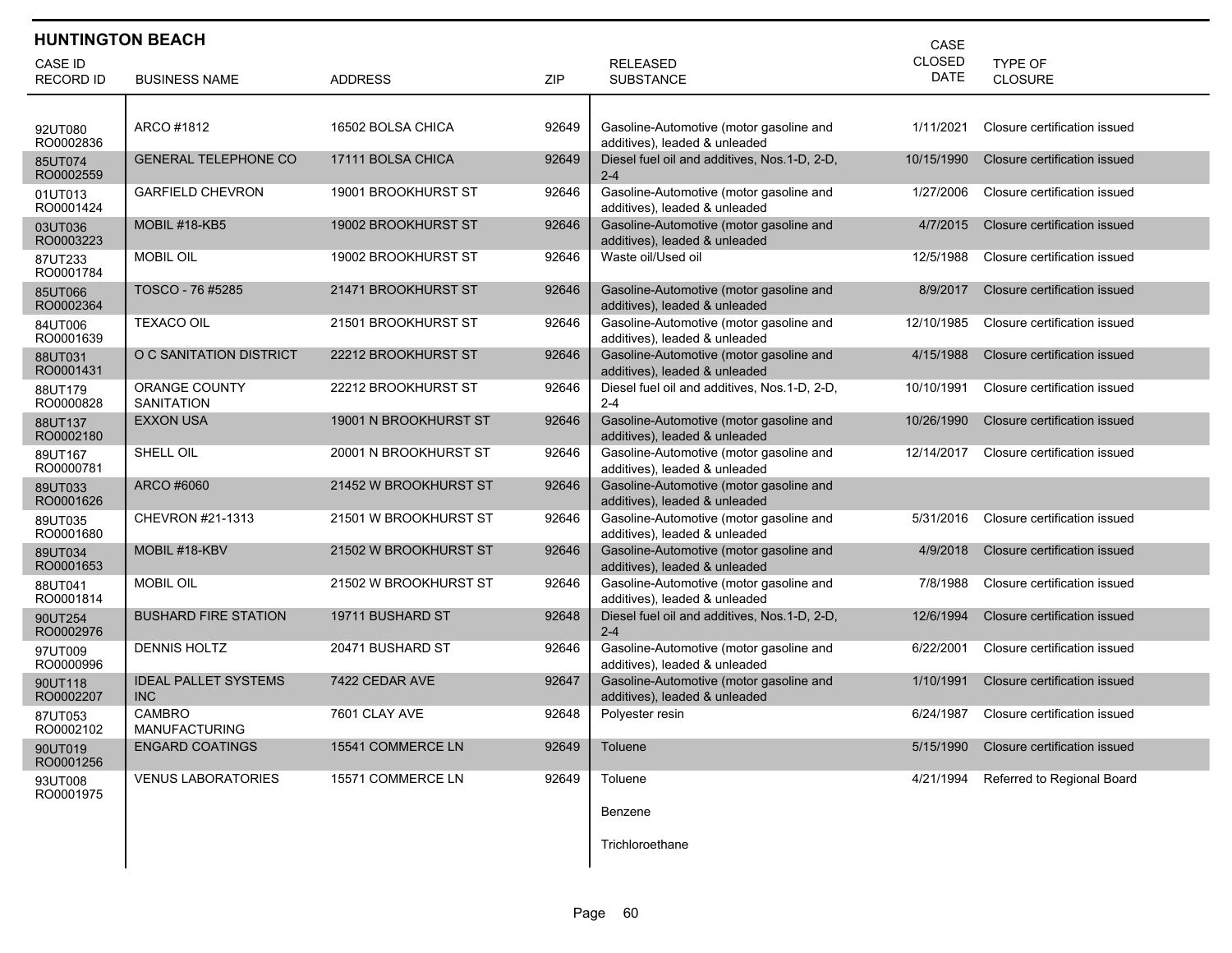| <b>HUNTINGTON BEACH</b><br>CASE    |                                           |                       |       |                                                                          |                              |                              |  |  |
|------------------------------------|-------------------------------------------|-----------------------|-------|--------------------------------------------------------------------------|------------------------------|------------------------------|--|--|
| <b>CASE ID</b><br><b>RECORD ID</b> | <b>BUSINESS NAME</b>                      | <b>ADDRESS</b>        | ZIP   | <b>RELEASED</b><br><b>SUBSTANCE</b>                                      | <b>CLOSED</b><br><b>DATE</b> | <b>TYPE OF</b><br>CLOSURE    |  |  |
|                                    |                                           |                       |       |                                                                          |                              |                              |  |  |
| 92UT080<br>RO0002836               | ARCO #1812                                | 16502 BOLSA CHICA     | 92649 | Gasoline-Automotive (motor gasoline and<br>additives), leaded & unleaded | 1/11/2021                    | Closure certification issued |  |  |
| 85UT074<br>RO0002559               | <b>GENERAL TELEPHONE CO</b>               | 17111 BOLSA CHICA     | 92649 | Diesel fuel oil and additives, Nos.1-D, 2-D,<br>$2 - 4$                  | 10/15/1990                   | Closure certification issued |  |  |
| 01UT013<br>RO0001424               | <b>GARFIELD CHEVRON</b>                   | 19001 BROOKHURST ST   | 92646 | Gasoline-Automotive (motor gasoline and<br>additives), leaded & unleaded | 1/27/2006                    | Closure certification issued |  |  |
| 03UT036<br>RO0003223               | MOBIL #18-KB5                             | 19002 BROOKHURST ST   | 92646 | Gasoline-Automotive (motor gasoline and<br>additives), leaded & unleaded | 4/7/2015                     | Closure certification issued |  |  |
| 87UT233<br>RO0001784               | <b>MOBIL OIL</b>                          | 19002 BROOKHURST ST   | 92646 | Waste oil/Used oil                                                       | 12/5/1988                    | Closure certification issued |  |  |
| 85UT066<br>RO0002364               | TOSCO - 76 #5285                          | 21471 BROOKHURST ST   | 92646 | Gasoline-Automotive (motor gasoline and<br>additives), leaded & unleaded | 8/9/2017                     | Closure certification issued |  |  |
| 84UT006<br>RO0001639               | <b>TEXACO OIL</b>                         | 21501 BROOKHURST ST   | 92646 | Gasoline-Automotive (motor gasoline and<br>additives), leaded & unleaded | 12/10/1985                   | Closure certification issued |  |  |
| 88UT031<br>RO0001431               | O C SANITATION DISTRICT                   | 22212 BROOKHURST ST   | 92646 | Gasoline-Automotive (motor gasoline and<br>additives), leaded & unleaded | 4/15/1988                    | Closure certification issued |  |  |
| 88UT179<br>RO0000828               | ORANGE COUNTY<br><b>SANITATION</b>        | 22212 BROOKHURST ST   | 92646 | Diesel fuel oil and additives, Nos.1-D, 2-D,<br>$2 - 4$                  | 10/10/1991                   | Closure certification issued |  |  |
| 88UT137<br>RO0002180               | <b>EXXON USA</b>                          | 19001 N BROOKHURST ST | 92646 | Gasoline-Automotive (motor gasoline and<br>additives), leaded & unleaded | 10/26/1990                   | Closure certification issued |  |  |
| 89UT167<br>RO0000781               | SHELL OIL                                 | 20001 N BROOKHURST ST | 92646 | Gasoline-Automotive (motor gasoline and<br>additives), leaded & unleaded | 12/14/2017                   | Closure certification issued |  |  |
| 89UT033<br>RO0001626               | ARCO #6060                                | 21452 W BROOKHURST ST | 92646 | Gasoline-Automotive (motor gasoline and<br>additives), leaded & unleaded |                              |                              |  |  |
| 89UT035<br>RO0001680               | CHEVRON #21-1313                          | 21501 W BROOKHURST ST | 92646 | Gasoline-Automotive (motor gasoline and<br>additives), leaded & unleaded | 5/31/2016                    | Closure certification issued |  |  |
| 89UT034<br>RO0001653               | MOBIL #18-KBV                             | 21502 W BROOKHURST ST | 92646 | Gasoline-Automotive (motor gasoline and<br>additives), leaded & unleaded | 4/9/2018                     | Closure certification issued |  |  |
| 88UT041<br>RO0001814               | <b>MOBIL OIL</b>                          | 21502 W BROOKHURST ST | 92646 | Gasoline-Automotive (motor gasoline and<br>additives), leaded & unleaded | 7/8/1988                     | Closure certification issued |  |  |
| 90UT254<br>RO0002976               | <b>BUSHARD FIRE STATION</b>               | 19711 BUSHARD ST      | 92648 | Diesel fuel oil and additives, Nos.1-D, 2-D,<br>$2 - 4$                  | 12/6/1994                    | Closure certification issued |  |  |
| 97UT009<br>RO0000996               | <b>DENNIS HOLTZ</b>                       | 20471 BUSHARD ST      | 92646 | Gasoline-Automotive (motor gasoline and<br>additives), leaded & unleaded | 6/22/2001                    | Closure certification issued |  |  |
| 90UT118<br>RO0002207               | <b>IDEAL PALLET SYSTEMS</b><br><b>INC</b> | 7422 CEDAR AVE        | 92647 | Gasoline-Automotive (motor gasoline and<br>additives), leaded & unleaded | 1/10/1991                    | Closure certification issued |  |  |
| 87UT053<br>RO0002102               | <b>CAMBRO</b><br><b>MANUFACTURING</b>     | 7601 CLAY AVE         | 92648 | Polyester resin                                                          | 6/24/1987                    | Closure certification issued |  |  |
| 90UT019<br>RO0001256               | <b>ENGARD COATINGS</b>                    | 15541 COMMERCE LN     | 92649 | Toluene                                                                  | 5/15/1990                    | Closure certification issued |  |  |
| 93UT008<br>RO0001975               | <b>VENUS LABORATORIES</b>                 | 15571 COMMERCE LN     | 92649 | Toluene                                                                  | 4/21/1994                    | Referred to Regional Board   |  |  |
|                                    |                                           |                       |       | Benzene                                                                  |                              |                              |  |  |
|                                    |                                           |                       |       | Trichloroethane                                                          |                              |                              |  |  |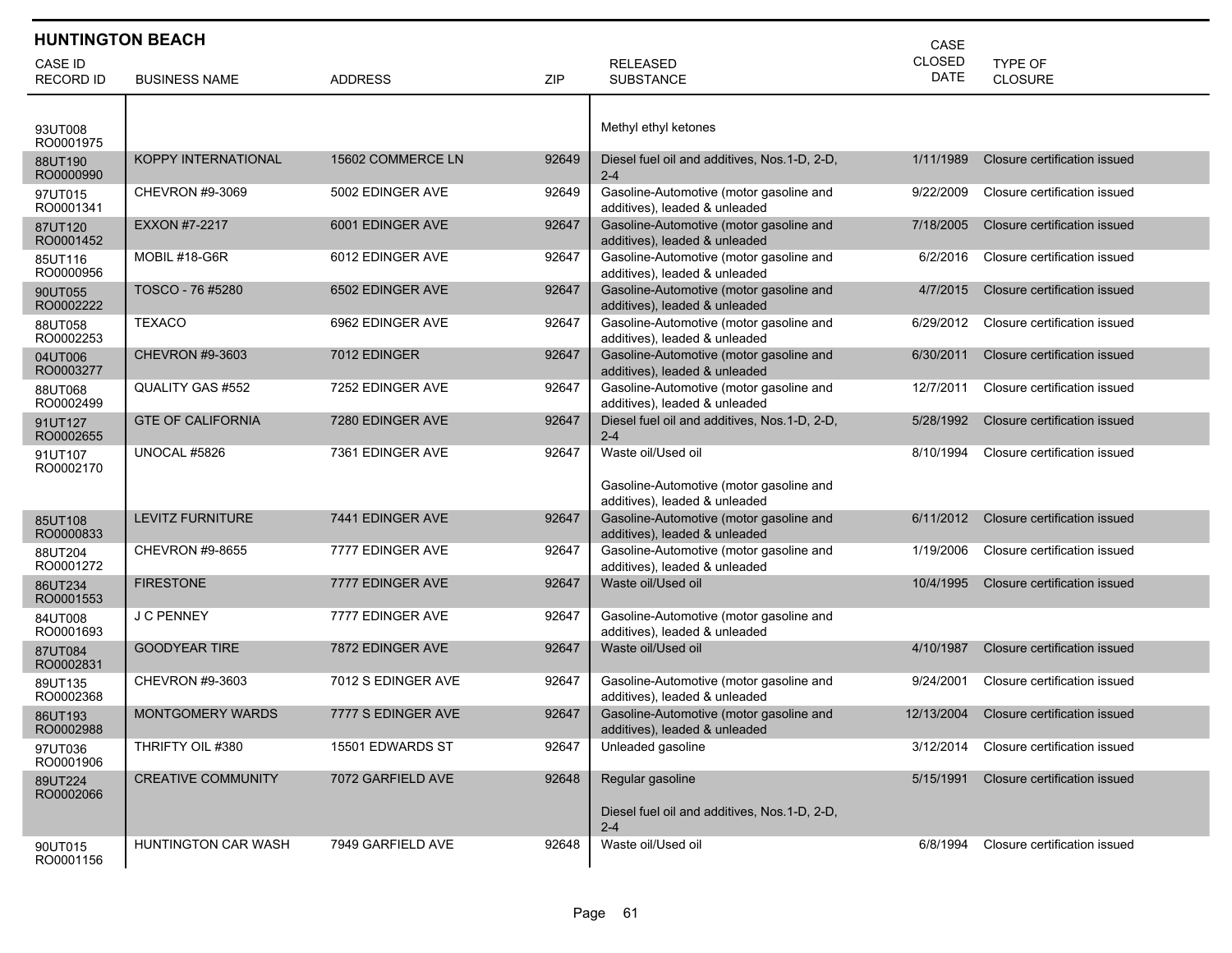|                                    | <b>HUNTINGTON BEACH</b><br>CASE |                    |       |                                                                                                |                              |                                  |  |  |
|------------------------------------|---------------------------------|--------------------|-------|------------------------------------------------------------------------------------------------|------------------------------|----------------------------------|--|--|
| <b>CASE ID</b><br><b>RECORD ID</b> | <b>BUSINESS NAME</b>            | <b>ADDRESS</b>     | ZIP   | <b>RELEASED</b><br><b>SUBSTANCE</b>                                                            | <b>CLOSED</b><br><b>DATE</b> | <b>TYPE OF</b><br><b>CLOSURE</b> |  |  |
| 93UT008<br>RO0001975               |                                 |                    |       | Methyl ethyl ketones                                                                           |                              |                                  |  |  |
| 88UT190<br>RO0000990               | <b>KOPPY INTERNATIONAL</b>      | 15602 COMMERCE LN  | 92649 | Diesel fuel oil and additives, Nos. 1-D, 2-D,<br>$2 - 4$                                       | 1/11/1989                    | Closure certification issued     |  |  |
| 97UT015<br>RO0001341               | CHEVRON #9-3069                 | 5002 EDINGER AVE   | 92649 | Gasoline-Automotive (motor gasoline and<br>additives), leaded & unleaded                       | 9/22/2009                    | Closure certification issued     |  |  |
| 87UT120<br>RO0001452               | <b>EXXON #7-2217</b>            | 6001 EDINGER AVE   | 92647 | Gasoline-Automotive (motor gasoline and<br>additives), leaded & unleaded                       | 7/18/2005                    | Closure certification issued     |  |  |
| 85UT116<br>RO0000956               | MOBIL #18-G6R                   | 6012 EDINGER AVE   | 92647 | Gasoline-Automotive (motor gasoline and<br>additives), leaded & unleaded                       | 6/2/2016                     | Closure certification issued     |  |  |
| 90UT055<br>RO0002222               | TOSCO - 76 #5280                | 6502 EDINGER AVE   | 92647 | Gasoline-Automotive (motor gasoline and<br>additives), leaded & unleaded                       | 4/7/2015                     | Closure certification issued     |  |  |
| 88UT058<br>RO0002253               | <b>TEXACO</b>                   | 6962 EDINGER AVE   | 92647 | Gasoline-Automotive (motor gasoline and<br>additives), leaded & unleaded                       | 6/29/2012                    | Closure certification issued     |  |  |
| 04UT006<br>RO0003277               | <b>CHEVRON #9-3603</b>          | 7012 EDINGER       | 92647 | Gasoline-Automotive (motor gasoline and<br>additives), leaded & unleaded                       | 6/30/2011                    | Closure certification issued     |  |  |
| 88UT068<br>RO0002499               | QUALITY GAS #552                | 7252 EDINGER AVE   | 92647 | Gasoline-Automotive (motor gasoline and<br>additives), leaded & unleaded                       | 12/7/2011                    | Closure certification issued     |  |  |
| 91UT127<br>RO0002655               | <b>GTE OF CALIFORNIA</b>        | 7280 EDINGER AVE   | 92647 | Diesel fuel oil and additives, Nos.1-D, 2-D,<br>$2 - 4$                                        | 5/28/1992                    | Closure certification issued     |  |  |
| 91UT107<br>RO0002170               | UNOCAL #5826                    | 7361 EDINGER AVE   | 92647 | Waste oil/Used oil<br>Gasoline-Automotive (motor gasoline and<br>additives), leaded & unleaded | 8/10/1994                    | Closure certification issued     |  |  |
| 85UT108<br>RO0000833               | <b>LEVITZ FURNITURE</b>         | 7441 EDINGER AVE   | 92647 | Gasoline-Automotive (motor gasoline and<br>additives), leaded & unleaded                       | 6/11/2012                    | Closure certification issued     |  |  |
| 88UT204<br>RO0001272               | CHEVRON #9-8655                 | 7777 EDINGER AVE   | 92647 | Gasoline-Automotive (motor gasoline and<br>additives), leaded & unleaded                       | 1/19/2006                    | Closure certification issued     |  |  |
| 86UT234<br>RO0001553               | <b>FIRESTONE</b>                | 7777 EDINGER AVE   | 92647 | Waste oil/Used oil                                                                             | 10/4/1995                    | Closure certification issued     |  |  |
| 84UT008<br>RO0001693               | J C PENNEY                      | 7777 EDINGER AVE   | 92647 | Gasoline-Automotive (motor gasoline and<br>additives), leaded & unleaded                       |                              |                                  |  |  |
| 87UT084<br>RO0002831               | <b>GOODYEAR TIRE</b>            | 7872 EDINGER AVE   | 92647 | Waste oil/Used oil                                                                             | 4/10/1987                    | Closure certification issued     |  |  |
| 89UT135<br>RO0002368               | CHEVRON #9-3603                 | 7012 S EDINGER AVE | 92647 | Gasoline-Automotive (motor gasoline and<br>additives), leaded & unleaded                       | 9/24/2001                    | Closure certification issued     |  |  |
| 86UT193<br>RO0002988               | <b>MONTGOMERY WARDS</b>         | 7777 S EDINGER AVE | 92647 | Gasoline-Automotive (motor gasoline and<br>additives), leaded & unleaded                       | 12/13/2004                   | Closure certification issued     |  |  |
| 97UT036<br>RO0001906               | THRIFTY OIL #380                | 15501 EDWARDS ST   | 92647 | Unleaded gasoline                                                                              | 3/12/2014                    | Closure certification issued     |  |  |
| 89UT224<br>RO0002066               | <b>CREATIVE COMMUNITY</b>       | 7072 GARFIELD AVE  | 92648 | Regular gasoline<br>Diesel fuel oil and additives, Nos.1-D, 2-D,<br>$2 - 4$                    | 5/15/1991                    | Closure certification issued     |  |  |
| 90UT015<br>RO0001156               | HUNTINGTON CAR WASH             | 7949 GARFIELD AVE  | 92648 | Waste oil/Used oil                                                                             | 6/8/1994                     | Closure certification issued     |  |  |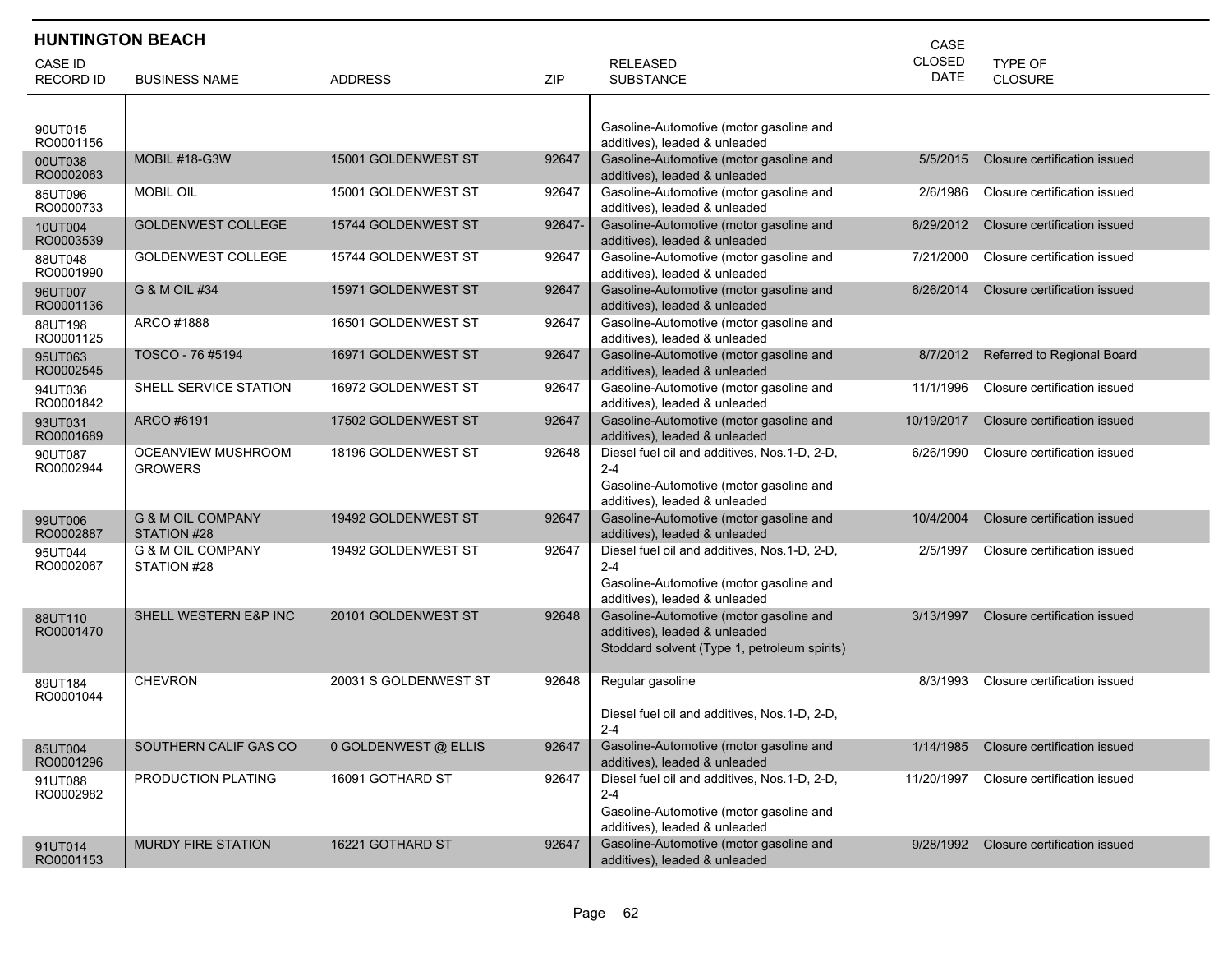| <b>HUNTINGTON BEACH</b><br>CASE    |                                             |                       |        |                                                                                                                                     |                              |                              |  |
|------------------------------------|---------------------------------------------|-----------------------|--------|-------------------------------------------------------------------------------------------------------------------------------------|------------------------------|------------------------------|--|
| <b>CASE ID</b><br><b>RECORD ID</b> | <b>BUSINESS NAME</b>                        | <b>ADDRESS</b>        | ZIP    | <b>RELEASED</b><br><b>SUBSTANCE</b>                                                                                                 | <b>CLOSED</b><br><b>DATE</b> | TYPE OF<br><b>CLOSURE</b>    |  |
| 90UT015<br>RO0001156               |                                             |                       |        | Gasoline-Automotive (motor gasoline and<br>additives), leaded & unleaded                                                            |                              |                              |  |
| 00UT038<br>RO0002063               | MOBIL #18-G3W                               | 15001 GOLDENWEST ST   | 92647  | Gasoline-Automotive (motor gasoline and<br>additives), leaded & unleaded                                                            | 5/5/2015                     | Closure certification issued |  |
| 85UT096<br>RO0000733               | <b>MOBIL OIL</b>                            | 15001 GOLDENWEST ST   | 92647  | Gasoline-Automotive (motor gasoline and<br>additives), leaded & unleaded                                                            | 2/6/1986                     | Closure certification issued |  |
| 10UT004<br>RO0003539               | <b>GOLDENWEST COLLEGE</b>                   | 15744 GOLDENWEST ST   | 92647- | Gasoline-Automotive (motor gasoline and<br>additives), leaded & unleaded                                                            | 6/29/2012                    | Closure certification issued |  |
| 88UT048<br>RO0001990               | <b>GOLDENWEST COLLEGE</b>                   | 15744 GOLDENWEST ST   | 92647  | Gasoline-Automotive (motor gasoline and<br>additives), leaded & unleaded                                                            | 7/21/2000                    | Closure certification issued |  |
| 96UT007<br>RO0001136               | G & M OIL #34                               | 15971 GOLDENWEST ST   | 92647  | Gasoline-Automotive (motor gasoline and<br>additives), leaded & unleaded                                                            | 6/26/2014                    | Closure certification issued |  |
| 88UT198<br>RO0001125               | ARCO #1888                                  | 16501 GOLDENWEST ST   | 92647  | Gasoline-Automotive (motor gasoline and<br>additives), leaded & unleaded                                                            |                              |                              |  |
| 95UT063<br>RO0002545               | TOSCO - 76 #5194                            | 16971 GOLDENWEST ST   | 92647  | Gasoline-Automotive (motor gasoline and<br>additives), leaded & unleaded                                                            | 8/7/2012                     | Referred to Regional Board   |  |
| 94UT036<br>RO0001842               | SHELL SERVICE STATION                       | 16972 GOLDENWEST ST   | 92647  | Gasoline-Automotive (motor gasoline and<br>additives), leaded & unleaded                                                            | 11/1/1996                    | Closure certification issued |  |
| 93UT031<br>RO0001689               | ARCO #6191                                  | 17502 GOLDENWEST ST   | 92647  | Gasoline-Automotive (motor gasoline and<br>additives), leaded & unleaded                                                            | 10/19/2017                   | Closure certification issued |  |
| 90UT087<br>RO0002944               | OCEANVIEW MUSHROOM<br><b>GROWERS</b>        | 18196 GOLDENWEST ST   | 92648  | Diesel fuel oil and additives, Nos.1-D, 2-D,<br>$2 - 4$<br>Gasoline-Automotive (motor gasoline and<br>additives), leaded & unleaded | 6/26/1990                    | Closure certification issued |  |
| 99UT006<br>RO0002887               | <b>G &amp; M OIL COMPANY</b><br>STATION #28 | 19492 GOLDENWEST ST   | 92647  | Gasoline-Automotive (motor gasoline and<br>additives), leaded & unleaded                                                            | 10/4/2004                    | Closure certification issued |  |
| 95UT044<br>RO0002067               | <b>G &amp; M OIL COMPANY</b><br>STATION #28 | 19492 GOLDENWEST ST   | 92647  | Diesel fuel oil and additives, Nos.1-D, 2-D,<br>$2 - 4$<br>Gasoline-Automotive (motor gasoline and<br>additives), leaded & unleaded | 2/5/1997                     | Closure certification issued |  |
| 88UT110<br>RO0001470               | SHELL WESTERN E&P INC                       | 20101 GOLDENWEST ST   | 92648  | Gasoline-Automotive (motor gasoline and<br>additives), leaded & unleaded<br>Stoddard solvent (Type 1, petroleum spirits)            | 3/13/1997                    | Closure certification issued |  |
| 89UT184<br>RO0001044               | <b>CHEVRON</b>                              | 20031 S GOLDENWEST ST | 92648  | Regular gasoline<br>Diesel fuel oil and additives. Nos. 1-D. 2-D.<br>$2 - 4$                                                        | 8/3/1993                     | Closure certification issued |  |
| 85UT004<br>RO0001296               | SOUTHERN CALIF GAS CO                       | 0 GOLDENWEST @ ELLIS  | 92647  | Gasoline-Automotive (motor gasoline and<br>additives), leaded & unleaded                                                            | 1/14/1985                    | Closure certification issued |  |
| 91UT088<br>RO0002982               | PRODUCTION PLATING                          | 16091 GOTHARD ST      | 92647  | Diesel fuel oil and additives, Nos.1-D, 2-D,<br>$2 - 4$<br>Gasoline-Automotive (motor gasoline and<br>additives), leaded & unleaded | 11/20/1997                   | Closure certification issued |  |
| 91UT014<br>RO0001153               | <b>MURDY FIRE STATION</b>                   | 16221 GOTHARD ST      | 92647  | Gasoline-Automotive (motor gasoline and<br>additives), leaded & unleaded                                                            | 9/28/1992                    | Closure certification issued |  |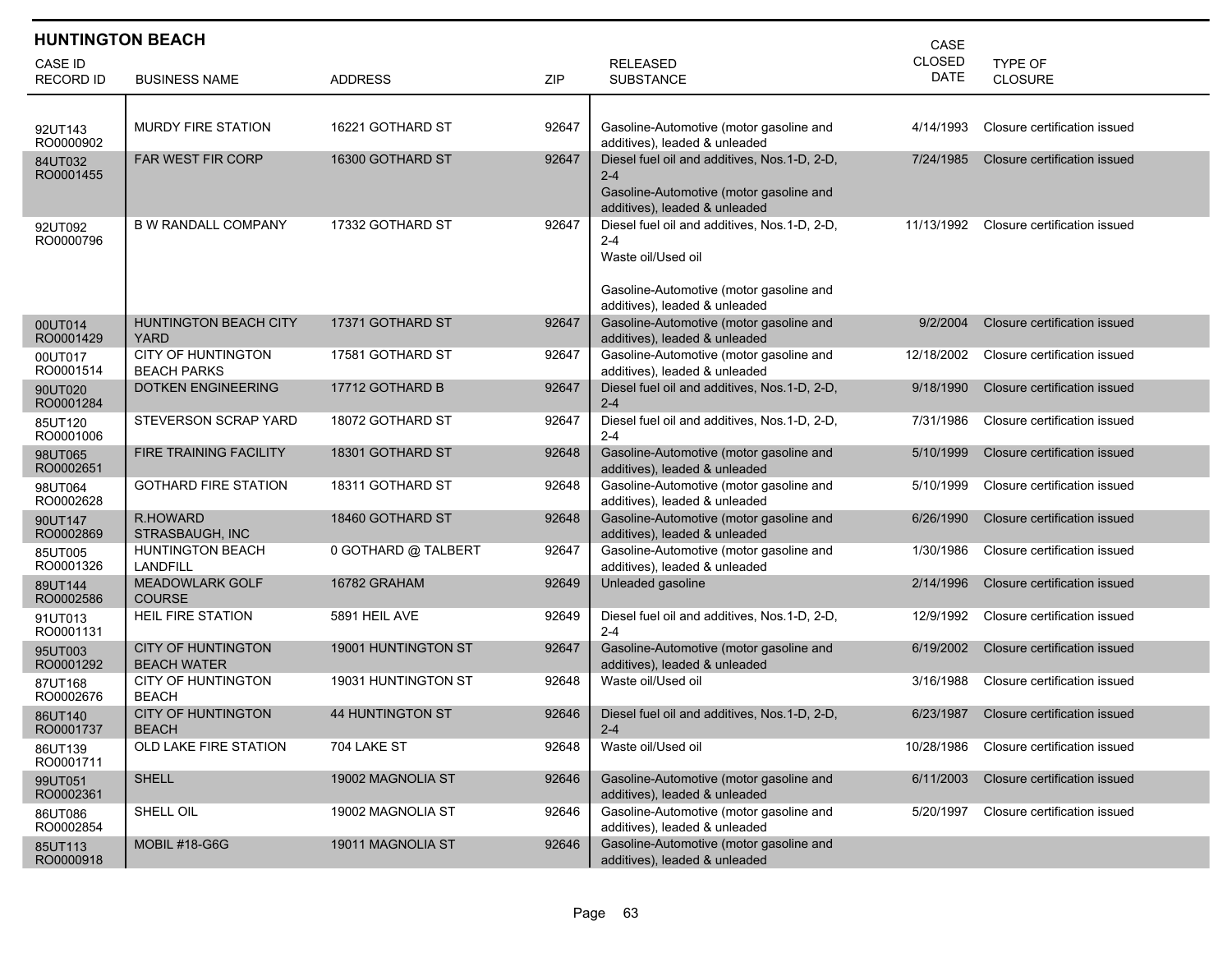| <b>HUNTINGTON BEACH</b><br>CASE    |                                                 |                     |       |                                                                                                                                     |                              |                              |  |  |
|------------------------------------|-------------------------------------------------|---------------------|-------|-------------------------------------------------------------------------------------------------------------------------------------|------------------------------|------------------------------|--|--|
| <b>CASE ID</b><br><b>RECORD ID</b> | <b>BUSINESS NAME</b>                            | <b>ADDRESS</b>      | ZIP   | <b>RELEASED</b><br><b>SUBSTANCE</b>                                                                                                 | <b>CLOSED</b><br><b>DATE</b> | TYPE OF<br><b>CLOSURE</b>    |  |  |
|                                    |                                                 |                     |       |                                                                                                                                     |                              |                              |  |  |
| 92UT143<br>RO0000902               | <b>MURDY FIRE STATION</b>                       | 16221 GOTHARD ST    | 92647 | Gasoline-Automotive (motor gasoline and<br>additives), leaded & unleaded                                                            | 4/14/1993                    | Closure certification issued |  |  |
| 84UT032<br>RO0001455               | <b>FAR WEST FIR CORP</b>                        | 16300 GOTHARD ST    | 92647 | Diesel fuel oil and additives, Nos.1-D, 2-D,<br>$2 - 4$<br>Gasoline-Automotive (motor gasoline and<br>additives), leaded & unleaded | 7/24/1985                    | Closure certification issued |  |  |
| 92UT092<br>RO0000796               | <b>B W RANDALL COMPANY</b>                      | 17332 GOTHARD ST    | 92647 | Diesel fuel oil and additives, Nos.1-D, 2-D,<br>$2 - 4$<br>Waste oil/Used oil<br>Gasoline-Automotive (motor gasoline and            | 11/13/1992                   | Closure certification issued |  |  |
| 00UT014<br>RO0001429               | <b>HUNTINGTON BEACH CITY</b><br>YARD            | 17371 GOTHARD ST    | 92647 | additives), leaded & unleaded<br>Gasoline-Automotive (motor gasoline and<br>additives), leaded & unleaded                           | 9/2/2004                     | Closure certification issued |  |  |
| 00UT017<br>RO0001514               | <b>CITY OF HUNTINGTON</b><br><b>BEACH PARKS</b> | 17581 GOTHARD ST    | 92647 | Gasoline-Automotive (motor gasoline and<br>additives), leaded & unleaded                                                            | 12/18/2002                   | Closure certification issued |  |  |
| 90UT020<br>RO0001284               | <b>DOTKEN ENGINEERING</b>                       | 17712 GOTHARD B     | 92647 | Diesel fuel oil and additives, Nos.1-D, 2-D,<br>$2 - 4$                                                                             | 9/18/1990                    | Closure certification issued |  |  |
| 85UT120<br>RO0001006               | <b>STEVERSON SCRAP YARD</b>                     | 18072 GOTHARD ST    | 92647 | Diesel fuel oil and additives, Nos.1-D, 2-D,<br>$2 - 4$                                                                             | 7/31/1986                    | Closure certification issued |  |  |
| 98UT065<br>RO0002651               | <b>FIRE TRAINING FACILITY</b>                   | 18301 GOTHARD ST    | 92648 | Gasoline-Automotive (motor gasoline and<br>additives), leaded & unleaded                                                            | 5/10/1999                    | Closure certification issued |  |  |
| 98UT064<br>RO0002628               | <b>GOTHARD FIRE STATION</b>                     | 18311 GOTHARD ST    | 92648 | Gasoline-Automotive (motor gasoline and<br>additives), leaded & unleaded                                                            | 5/10/1999                    | Closure certification issued |  |  |
| 90UT147<br>RO0002869               | R.HOWARD<br>STRASBAUGH, INC                     | 18460 GOTHARD ST    | 92648 | Gasoline-Automotive (motor gasoline and<br>additives), leaded & unleaded                                                            | 6/26/1990                    | Closure certification issued |  |  |
| 85UT005<br>RO0001326               | <b>HUNTINGTON BEACH</b><br>LANDFILL             | 0 GOTHARD @ TALBERT | 92647 | Gasoline-Automotive (motor gasoline and<br>additives), leaded & unleaded                                                            | 1/30/1986                    | Closure certification issued |  |  |
| 89UT144<br>RO0002586               | <b>MEADOWLARK GOLF</b><br><b>COURSE</b>         | 16782 GRAHAM        | 92649 | Unleaded gasoline                                                                                                                   | 2/14/1996                    | Closure certification issued |  |  |
| 91UT013<br>RO0001131               | <b>HEIL FIRE STATION</b>                        | 5891 HEIL AVE       | 92649 | Diesel fuel oil and additives, Nos.1-D, 2-D,<br>$2 - 4$                                                                             | 12/9/1992                    | Closure certification issued |  |  |
| 95UT003<br>RO0001292               | <b>CITY OF HUNTINGTON</b><br><b>BEACH WATER</b> | 19001 HUNTINGTON ST | 92647 | Gasoline-Automotive (motor gasoline and<br>additives), leaded & unleaded                                                            | 6/19/2002                    | Closure certification issued |  |  |
| 87UT168<br>RO0002676               | <b>CITY OF HUNTINGTON</b><br><b>BEACH</b>       | 19031 HUNTINGTON ST | 92648 | Waste oil/Used oil                                                                                                                  | 3/16/1988                    | Closure certification issued |  |  |
| 86UT140<br>RO0001737               | <b>CITY OF HUNTINGTON</b><br><b>BEACH</b>       | 44 HUNTINGTON ST    | 92646 | Diesel fuel oil and additives, Nos. 1-D, 2-D,<br>$2 - 4$                                                                            | 6/23/1987                    | Closure certification issued |  |  |
| 86UT139<br>RO0001711               | OLD LAKE FIRE STATION                           | 704 LAKE ST         | 92648 | Waste oil/Used oil                                                                                                                  | 10/28/1986                   | Closure certification issued |  |  |
| 99UT051<br>RO0002361               | <b>SHELL</b>                                    | 19002 MAGNOLIA ST   | 92646 | Gasoline-Automotive (motor gasoline and<br>additives), leaded & unleaded                                                            | 6/11/2003                    | Closure certification issued |  |  |
| 86UT086<br>RO0002854               | SHELL OIL                                       | 19002 MAGNOLIA ST   | 92646 | Gasoline-Automotive (motor gasoline and<br>additives), leaded & unleaded                                                            | 5/20/1997                    | Closure certification issued |  |  |
| 85UT113<br>RO0000918               | <b>MOBIL #18-G6G</b>                            | 19011 MAGNOLIA ST   | 92646 | Gasoline-Automotive (motor gasoline and<br>additives), leaded & unleaded                                                            |                              |                              |  |  |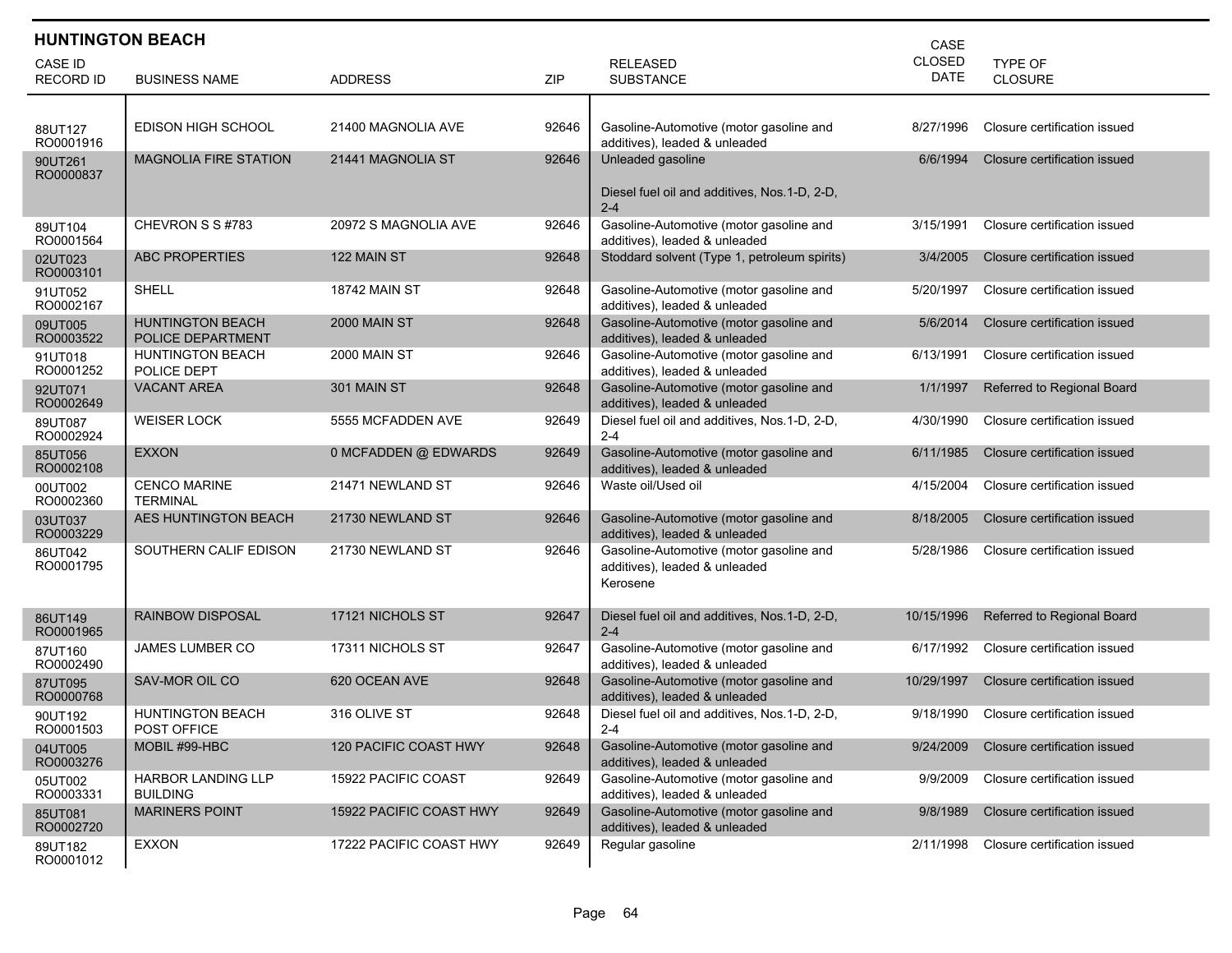|                             | <b>HUNTINGTON BEACH</b><br>CASE              |                         |       |                                                                                      |                              |                              |  |  |  |
|-----------------------------|----------------------------------------------|-------------------------|-------|--------------------------------------------------------------------------------------|------------------------------|------------------------------|--|--|--|
| CASE ID<br><b>RECORD ID</b> | <b>BUSINESS NAME</b>                         | <b>ADDRESS</b>          | ZIP   | <b>RELEASED</b><br><b>SUBSTANCE</b>                                                  | <b>CLOSED</b><br><b>DATE</b> | TYPE OF<br><b>CLOSURE</b>    |  |  |  |
|                             |                                              |                         |       |                                                                                      |                              |                              |  |  |  |
| 88UT127<br>RO0001916        | EDISON HIGH SCHOOL                           | 21400 MAGNOLIA AVE      | 92646 | Gasoline-Automotive (motor gasoline and<br>additives), leaded & unleaded             | 8/27/1996                    | Closure certification issued |  |  |  |
| 90UT261<br>RO0000837        | <b>MAGNOLIA FIRE STATION</b>                 | 21441 MAGNOLIA ST       | 92646 | Unleaded gasoline                                                                    | 6/6/1994                     | Closure certification issued |  |  |  |
|                             |                                              |                         |       | Diesel fuel oil and additives, Nos.1-D, 2-D,<br>$2 - 4$                              |                              |                              |  |  |  |
| 89UT104<br>RO0001564        | CHEVRON S S#783                              | 20972 S MAGNOLIA AVE    | 92646 | Gasoline-Automotive (motor gasoline and<br>additives), leaded & unleaded             | 3/15/1991                    | Closure certification issued |  |  |  |
| 02UT023<br>RO0003101        | <b>ABC PROPERTIES</b>                        | 122 MAIN ST             | 92648 | Stoddard solvent (Type 1, petroleum spirits)                                         | 3/4/2005                     | Closure certification issued |  |  |  |
| 91UT052<br>RO0002167        | <b>SHELL</b>                                 | <b>18742 MAIN ST</b>    | 92648 | Gasoline-Automotive (motor gasoline and<br>additives), leaded & unleaded             | 5/20/1997                    | Closure certification issued |  |  |  |
| 09UT005<br>RO0003522        | <b>HUNTINGTON BEACH</b><br>POLICE DEPARTMENT | <b>2000 MAIN ST</b>     | 92648 | Gasoline-Automotive (motor gasoline and<br>additives), leaded & unleaded             | 5/6/2014                     | Closure certification issued |  |  |  |
| 91UT018<br>RO0001252        | <b>HUNTINGTON BEACH</b><br>POLICE DEPT       | <b>2000 MAIN ST</b>     | 92646 | Gasoline-Automotive (motor gasoline and<br>additives), leaded & unleaded             | 6/13/1991                    | Closure certification issued |  |  |  |
| 92UT071<br>RO0002649        | <b>VACANT AREA</b>                           | 301 MAIN ST             | 92648 | Gasoline-Automotive (motor gasoline and<br>additives), leaded & unleaded             | 1/1/1997                     | Referred to Regional Board   |  |  |  |
| 89UT087<br>RO0002924        | <b>WEISER LOCK</b>                           | 5555 MCFADDEN AVE       | 92649 | Diesel fuel oil and additives, Nos.1-D, 2-D,<br>$2 - 4$                              | 4/30/1990                    | Closure certification issued |  |  |  |
| 85UT056<br>RO0002108        | <b>EXXON</b>                                 | 0 MCFADDEN @ EDWARDS    | 92649 | Gasoline-Automotive (motor gasoline and<br>additives), leaded & unleaded             | 6/11/1985                    | Closure certification issued |  |  |  |
| 00UT002<br>RO0002360        | <b>CENCO MARINE</b><br><b>TERMINAL</b>       | 21471 NEWLAND ST        | 92646 | Waste oil/Used oil                                                                   | 4/15/2004                    | Closure certification issued |  |  |  |
| 03UT037<br>RO0003229        | AES HUNTINGTON BEACH                         | 21730 NEWLAND ST        | 92646 | Gasoline-Automotive (motor gasoline and<br>additives), leaded & unleaded             | 8/18/2005                    | Closure certification issued |  |  |  |
| 86UT042<br>RO0001795        | SOUTHERN CALIF EDISON                        | 21730 NEWLAND ST        | 92646 | Gasoline-Automotive (motor gasoline and<br>additives), leaded & unleaded<br>Kerosene | 5/28/1986                    | Closure certification issued |  |  |  |
| 86UT149<br>RO0001965        | <b>RAINBOW DISPOSAL</b>                      | 17121 NICHOLS ST        | 92647 | Diesel fuel oil and additives, Nos.1-D, 2-D,<br>$2 - 4$                              | 10/15/1996                   | Referred to Regional Board   |  |  |  |
| 87UT160<br>RO0002490        | <b>JAMES LUMBER CO</b>                       | 17311 NICHOLS ST        | 92647 | Gasoline-Automotive (motor gasoline and<br>additives), leaded & unleaded             | 6/17/1992                    | Closure certification issued |  |  |  |
| 87UT095<br>RO0000768        | SAV-MOR OIL CO                               | 620 OCEAN AVE           | 92648 | Gasoline-Automotive (motor gasoline and<br>additives), leaded & unleaded             | 10/29/1997                   | Closure certification issued |  |  |  |
| 90UT192<br>RO0001503        | <b>HUNTINGTON BEACH</b><br>POST OFFICE       | 316 OLIVE ST            | 92648 | Diesel fuel oil and additives, Nos.1-D, 2-D,<br>2-4                                  | 9/18/1990                    | Closure certification issued |  |  |  |
| 04UT005<br>RO0003276        | MOBIL #99-HBC                                | 120 PACIFIC COAST HWY   | 92648 | Gasoline-Automotive (motor gasoline and<br>additives), leaded & unleaded             | 9/24/2009                    | Closure certification issued |  |  |  |
| 05UT002<br>RO0003331        | HARBOR LANDING LLP<br><b>BUILDING</b>        | 15922 PACIFIC COAST     | 92649 | Gasoline-Automotive (motor gasoline and<br>additives), leaded & unleaded             | 9/9/2009                     | Closure certification issued |  |  |  |
| 85UT081<br>RO0002720        | <b>MARINERS POINT</b>                        | 15922 PACIFIC COAST HWY | 92649 | Gasoline-Automotive (motor gasoline and<br>additives), leaded & unleaded             | 9/8/1989                     | Closure certification issued |  |  |  |
| 89UT182<br>RO0001012        | <b>EXXON</b>                                 | 17222 PACIFIC COAST HWY | 92649 | Regular gasoline                                                                     | 2/11/1998                    | Closure certification issued |  |  |  |

Г L

Г ı

Г ı

Г ı

ı

Г ı

I ı

I ı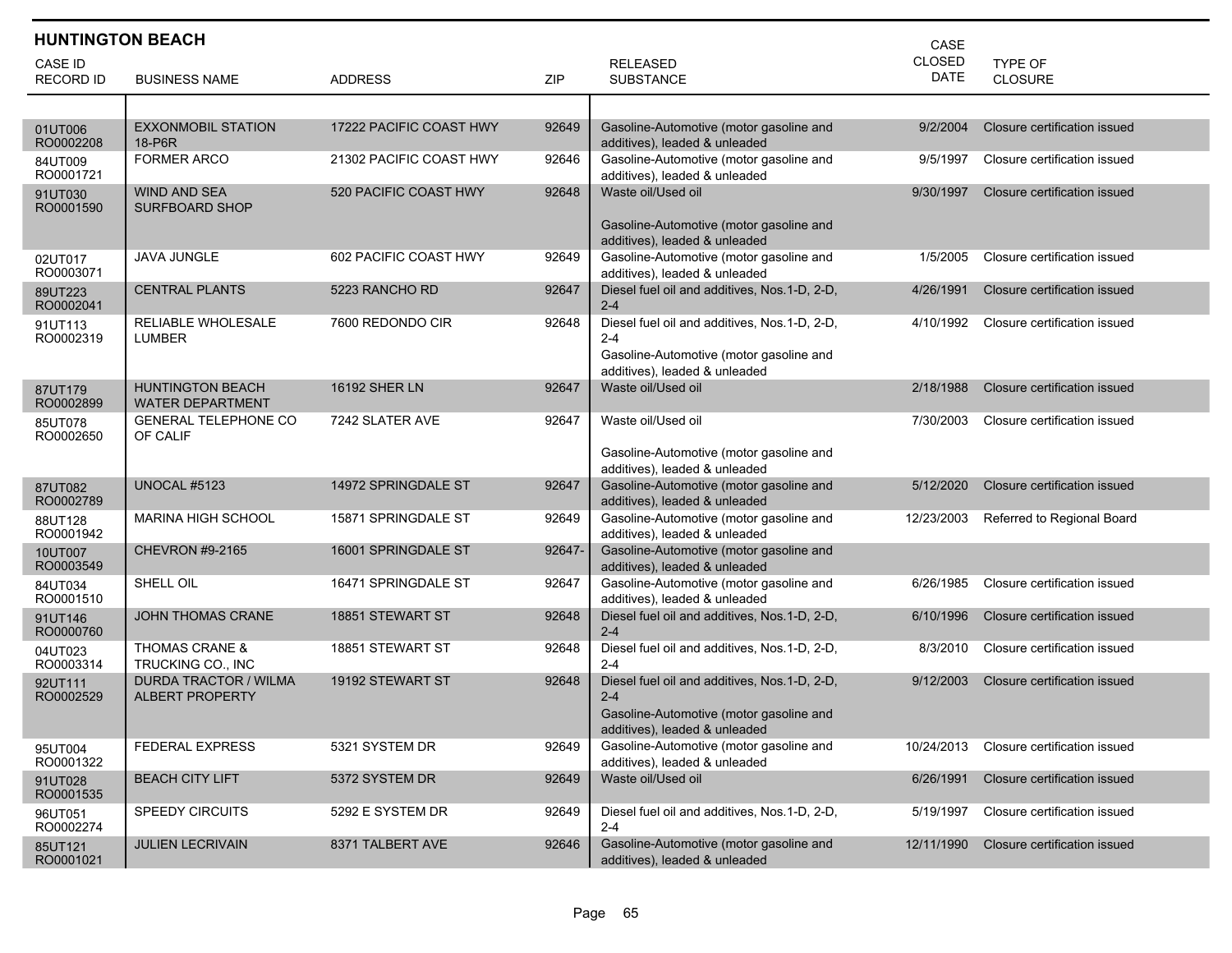|                                    | <b>HUNTINGTON BEACH</b><br>CASE                        |                         |        |                                                                                                                                     |                              |                                  |  |  |
|------------------------------------|--------------------------------------------------------|-------------------------|--------|-------------------------------------------------------------------------------------------------------------------------------------|------------------------------|----------------------------------|--|--|
| <b>CASE ID</b><br><b>RECORD ID</b> | <b>BUSINESS NAME</b>                                   | <b>ADDRESS</b>          | ZIP    | <b>RELEASED</b><br><b>SUBSTANCE</b>                                                                                                 | <b>CLOSED</b><br><b>DATE</b> | <b>TYPE OF</b><br><b>CLOSURE</b> |  |  |
|                                    |                                                        |                         |        |                                                                                                                                     |                              |                                  |  |  |
| 01UT006<br>RO0002208               | <b>EXXONMOBIL STATION</b><br>18-P6R                    | 17222 PACIFIC COAST HWY | 92649  | Gasoline-Automotive (motor gasoline and<br>additives), leaded & unleaded                                                            | 9/2/2004                     | Closure certification issued     |  |  |
| 84UT009<br>RO0001721               | <b>FORMER ARCO</b>                                     | 21302 PACIFIC COAST HWY | 92646  | Gasoline-Automotive (motor gasoline and<br>additives), leaded & unleaded                                                            | 9/5/1997                     | Closure certification issued     |  |  |
| 91UT030<br>RO0001590               | <b>WIND AND SEA</b><br><b>SURFBOARD SHOP</b>           | 520 PACIFIC COAST HWY   | 92648  | Waste oil/Used oil<br>Gasoline-Automotive (motor gasoline and<br>additives), leaded & unleaded                                      | 9/30/1997                    | Closure certification issued     |  |  |
| 02UT017<br>RO0003071               | <b>JAVA JUNGLE</b>                                     | 602 PACIFIC COAST HWY   | 92649  | Gasoline-Automotive (motor gasoline and<br>additives), leaded & unleaded                                                            | 1/5/2005                     | Closure certification issued     |  |  |
| 89UT223<br>RO0002041               | <b>CENTRAL PLANTS</b>                                  | 5223 RANCHO RD          | 92647  | Diesel fuel oil and additives, Nos.1-D, 2-D,<br>$2 - 4$                                                                             | 4/26/1991                    | Closure certification issued     |  |  |
| 91UT113<br>RO0002319               | RELIABLE WHOLESALE<br>LUMBER                           | 7600 REDONDO CIR        | 92648  | Diesel fuel oil and additives, Nos.1-D, 2-D,<br>$2 - 4$<br>Gasoline-Automotive (motor gasoline and<br>additives), leaded & unleaded | 4/10/1992                    | Closure certification issued     |  |  |
| 87UT179<br>RO0002899               | <b>HUNTINGTON BEACH</b><br><b>WATER DEPARTMENT</b>     | 16192 SHER LN           | 92647  | Waste oil/Used oil                                                                                                                  | 2/18/1988                    | Closure certification issued     |  |  |
| 85UT078<br>RO0002650               | <b>GENERAL TELEPHONE CO</b><br>OF CALIF                | 7242 SLATER AVE         | 92647  | Waste oil/Used oil<br>Gasoline-Automotive (motor gasoline and<br>additives), leaded & unleaded                                      | 7/30/2003                    | Closure certification issued     |  |  |
| 87UT082<br>RO0002789               | <b>UNOCAL #5123</b>                                    | 14972 SPRINGDALE ST     | 92647  | Gasoline-Automotive (motor gasoline and<br>additives), leaded & unleaded                                                            | 5/12/2020                    | Closure certification issued     |  |  |
| 88UT128<br>RO0001942               | <b>MARINA HIGH SCHOOL</b>                              | 15871 SPRINGDALE ST     | 92649  | Gasoline-Automotive (motor gasoline and<br>additives), leaded & unleaded                                                            | 12/23/2003                   | Referred to Regional Board       |  |  |
| 10UT007<br>RO0003549               | <b>CHEVRON #9-2165</b>                                 | 16001 SPRINGDALE ST     | 92647- | Gasoline-Automotive (motor gasoline and<br>additives), leaded & unleaded                                                            |                              |                                  |  |  |
| 84UT034<br>RO0001510               | SHELL OIL                                              | 16471 SPRINGDALE ST     | 92647  | Gasoline-Automotive (motor gasoline and<br>additives), leaded & unleaded                                                            | 6/26/1985                    | Closure certification issued     |  |  |
| 91UT146<br>RO0000760               | JOHN THOMAS CRANE                                      | 18851 STEWART ST        | 92648  | Diesel fuel oil and additives, Nos.1-D, 2-D,<br>$2 - 4$                                                                             | 6/10/1996                    | Closure certification issued     |  |  |
| 04UT023<br>RO0003314               | THOMAS CRANE &<br>TRUCKING CO., INC                    | 18851 STEWART ST        | 92648  | Diesel fuel oil and additives, Nos.1-D, 2-D,<br>$2 - 4$                                                                             | 8/3/2010                     | Closure certification issued     |  |  |
| 92UT111<br>RO0002529               | <b>DURDA TRACTOR / WILMA</b><br><b>ALBERT PROPERTY</b> | 19192 STEWART ST        | 92648  | Diesel fuel oil and additives, Nos.1-D, 2-D,<br>$2 - 4$<br>Gasoline-Automotive (motor gasoline and<br>additives), leaded & unleaded | 9/12/2003                    | Closure certification issued     |  |  |
| 95UT004<br>RO0001322               | <b>FEDERAL EXPRESS</b>                                 | 5321 SYSTEM DR          | 92649  | Gasoline-Automotive (motor gasoline and<br>additives), leaded & unleaded                                                            | 10/24/2013                   | Closure certification issued     |  |  |
| 91UT028<br>RO0001535               | <b>BEACH CITY LIFT</b>                                 | 5372 SYSTEM DR          | 92649  | Waste oil/Used oil                                                                                                                  | 6/26/1991                    | Closure certification issued     |  |  |
| 96UT051<br>RO0002274               | <b>SPEEDY CIRCUITS</b>                                 | 5292 E SYSTEM DR        | 92649  | Diesel fuel oil and additives, Nos.1-D, 2-D,<br>$2 - 4$                                                                             | 5/19/1997                    | Closure certification issued     |  |  |
| 85UT121<br>RO0001021               | <b>JULIEN LECRIVAIN</b>                                | 8371 TALBERT AVE        | 92646  | Gasoline-Automotive (motor gasoline and<br>additives), leaded & unleaded                                                            | 12/11/1990                   | Closure certification issued     |  |  |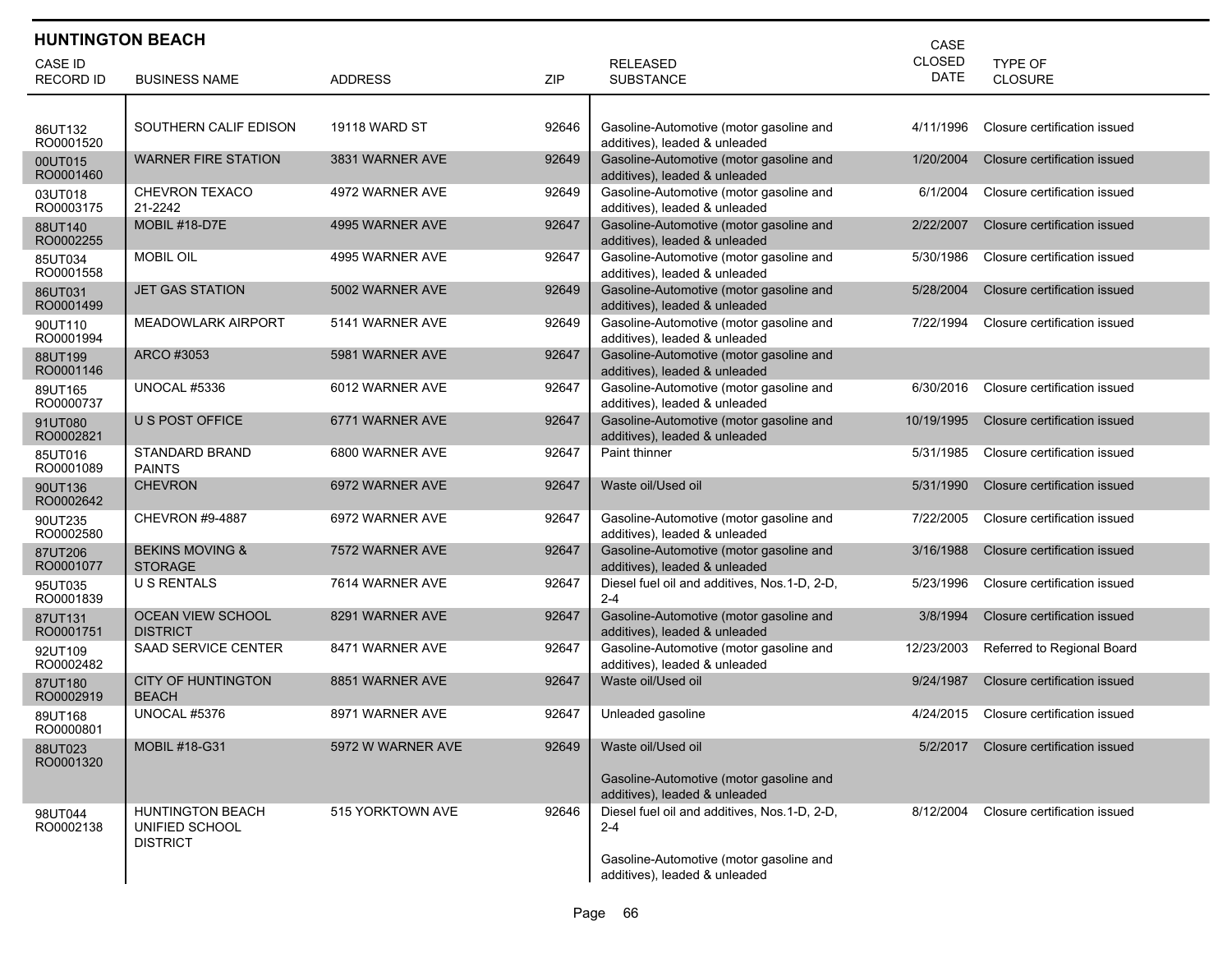| <b>HUNTINGTON BEACH</b><br>CASE    |                                                              |                      |       |                                                                                                                                     |                              |                              |  |  |
|------------------------------------|--------------------------------------------------------------|----------------------|-------|-------------------------------------------------------------------------------------------------------------------------------------|------------------------------|------------------------------|--|--|
| <b>CASE ID</b><br><b>RECORD ID</b> | <b>BUSINESS NAME</b>                                         | <b>ADDRESS</b>       | ZIP   | <b>RELEASED</b><br><b>SUBSTANCE</b>                                                                                                 | <b>CLOSED</b><br><b>DATE</b> | TYPE OF<br>CLOSURE           |  |  |
| 86UT132<br>RO0001520               | SOUTHERN CALIF EDISON                                        | <b>19118 WARD ST</b> | 92646 | Gasoline-Automotive (motor gasoline and<br>additives), leaded & unleaded                                                            | 4/11/1996                    | Closure certification issued |  |  |
| 00UT015<br>RO0001460               | <b>WARNER FIRE STATION</b>                                   | 3831 WARNER AVE      | 92649 | Gasoline-Automotive (motor gasoline and<br>additives), leaded & unleaded                                                            | 1/20/2004                    | Closure certification issued |  |  |
| 03UT018<br>RO0003175               | CHEVRON TEXACO<br>21-2242                                    | 4972 WARNER AVE      | 92649 | Gasoline-Automotive (motor gasoline and<br>additives), leaded & unleaded                                                            | 6/1/2004                     | Closure certification issued |  |  |
| 88UT140<br>RO0002255               | <b>MOBIL #18-D7E</b>                                         | 4995 WARNER AVE      | 92647 | Gasoline-Automotive (motor gasoline and<br>additives), leaded & unleaded                                                            | 2/22/2007                    | Closure certification issued |  |  |
| 85UT034<br>RO0001558               | <b>MOBIL OIL</b>                                             | 4995 WARNER AVE      | 92647 | Gasoline-Automotive (motor gasoline and<br>additives), leaded & unleaded                                                            | 5/30/1986                    | Closure certification issued |  |  |
| 86UT031<br>RO0001499               | <b>JET GAS STATION</b>                                       | 5002 WARNER AVE      | 92649 | Gasoline-Automotive (motor gasoline and<br>additives), leaded & unleaded                                                            | 5/28/2004                    | Closure certification issued |  |  |
| 90UT110<br>RO0001994               | <b>MEADOWLARK AIRPORT</b>                                    | 5141 WARNER AVE      | 92649 | Gasoline-Automotive (motor gasoline and<br>additives), leaded & unleaded                                                            | 7/22/1994                    | Closure certification issued |  |  |
| 88UT199<br>RO0001146               | ARCO #3053                                                   | 5981 WARNER AVE      | 92647 | Gasoline-Automotive (motor gasoline and<br>additives), leaded & unleaded                                                            |                              |                              |  |  |
| 89UT165<br>RO0000737               | UNOCAL #5336                                                 | 6012 WARNER AVE      | 92647 | Gasoline-Automotive (motor gasoline and<br>additives), leaded & unleaded                                                            | 6/30/2016                    | Closure certification issued |  |  |
| 91UT080<br>RO0002821               | <b>U S POST OFFICE</b>                                       | 6771 WARNER AVE      | 92647 | Gasoline-Automotive (motor gasoline and<br>additives), leaded & unleaded                                                            | 10/19/1995                   | Closure certification issued |  |  |
| 85UT016<br>RO0001089               | <b>STANDARD BRAND</b><br><b>PAINTS</b>                       | 6800 WARNER AVE      | 92647 | Paint thinner                                                                                                                       | 5/31/1985                    | Closure certification issued |  |  |
| 90UT136<br>RO0002642               | <b>CHEVRON</b>                                               | 6972 WARNER AVE      | 92647 | Waste oil/Used oil                                                                                                                  | 5/31/1990                    | Closure certification issued |  |  |
| 90UT235<br>RO0002580               | <b>CHEVRON #9-4887</b>                                       | 6972 WARNER AVE      | 92647 | Gasoline-Automotive (motor gasoline and<br>additives), leaded & unleaded                                                            | 7/22/2005                    | Closure certification issued |  |  |
| 87UT206<br>RO0001077               | <b>BEKINS MOVING &amp;</b><br><b>STORAGE</b>                 | 7572 WARNER AVE      | 92647 | Gasoline-Automotive (motor gasoline and<br>additives), leaded & unleaded                                                            | 3/16/1988                    | Closure certification issued |  |  |
| 95UT035<br>RO0001839               | <b>U S RENTALS</b>                                           | 7614 WARNER AVE      | 92647 | Diesel fuel oil and additives, Nos.1-D, 2-D,<br>$2 - 4$                                                                             | 5/23/1996                    | Closure certification issued |  |  |
| 87UT131<br>RO0001751               | <b>OCEAN VIEW SCHOOL</b><br><b>DISTRICT</b>                  | 8291 WARNER AVE      | 92647 | Gasoline-Automotive (motor gasoline and<br>additives), leaded & unleaded                                                            | 3/8/1994                     | Closure certification issued |  |  |
| 92UT109<br>RO0002482               | SAAD SERVICE CENTER                                          | 8471 WARNER AVE      | 92647 | Gasoline-Automotive (motor gasoline and<br>additives), leaded & unleaded                                                            | 12/23/2003                   | Referred to Regional Board   |  |  |
| 87UT180<br>RO0002919               | <b>CITY OF HUNTINGTON</b><br><b>BEACH</b>                    | 8851 WARNER AVE      | 92647 | Waste oil/Used oil                                                                                                                  | 9/24/1987                    | Closure certification issued |  |  |
| 89UT168<br>RO0000801               | UNOCAL #5376                                                 | 8971 WARNER AVE      | 92647 | Unleaded gasoline                                                                                                                   | 4/24/2015                    | Closure certification issued |  |  |
| 88UT023<br>RO0001320               | <b>MOBIL #18-G31</b>                                         | 5972 W WARNER AVE    | 92649 | Waste oil/Used oil<br>Gasoline-Automotive (motor gasoline and<br>additives), leaded & unleaded                                      | 5/2/2017                     | Closure certification issued |  |  |
| 98UT044<br>RO0002138               | <b>HUNTINGTON BEACH</b><br>UNIFIED SCHOOL<br><b>DISTRICT</b> | 515 YORKTOWN AVE     | 92646 | Diesel fuel oil and additives, Nos.1-D, 2-D,<br>$2 - 4$<br>Gasoline-Automotive (motor gasoline and<br>additives), leaded & unleaded | 8/12/2004                    | Closure certification issued |  |  |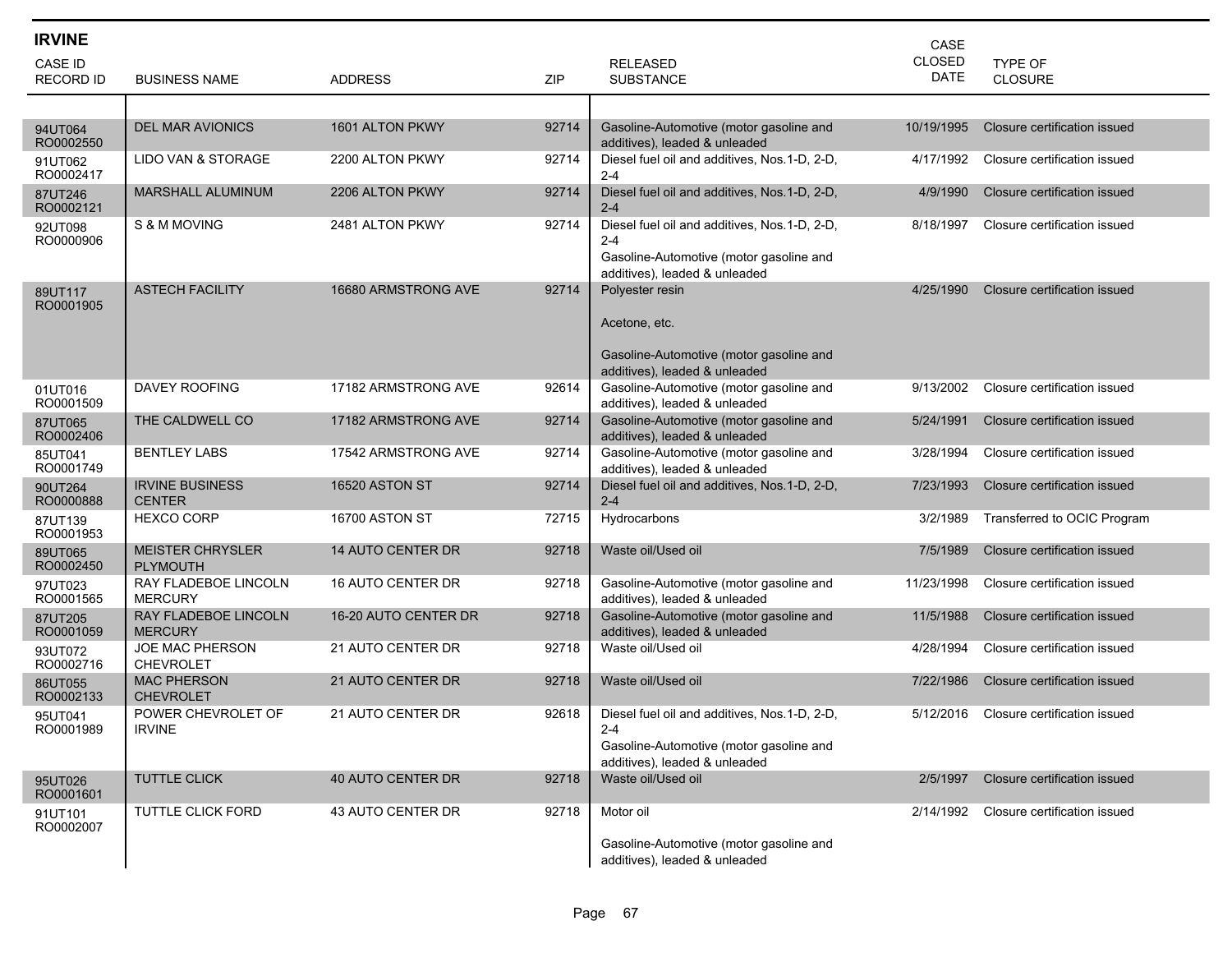| <b>IRVINE</b>               |                                            |                          |       |                                                                                                                                     | CASE                         |                              |
|-----------------------------|--------------------------------------------|--------------------------|-------|-------------------------------------------------------------------------------------------------------------------------------------|------------------------------|------------------------------|
| CASE ID<br><b>RECORD ID</b> | <b>BUSINESS NAME</b>                       | <b>ADDRESS</b>           | ZIP   | <b>RELEASED</b><br><b>SUBSTANCE</b>                                                                                                 | <b>CLOSED</b><br><b>DATE</b> | TYPE OF<br><b>CLOSURE</b>    |
|                             |                                            |                          |       |                                                                                                                                     |                              |                              |
| 94UT064<br>RO0002550        | <b>DEL MAR AVIONICS</b>                    | 1601 ALTON PKWY          | 92714 | Gasoline-Automotive (motor gasoline and<br>additives), leaded & unleaded                                                            | 10/19/1995                   | Closure certification issued |
| 91UT062<br>RO0002417        | LIDO VAN & STORAGE                         | 2200 ALTON PKWY          | 92714 | Diesel fuel oil and additives, Nos.1-D, 2-D,<br>2-4                                                                                 | 4/17/1992                    | Closure certification issued |
| 87UT246<br>RO0002121        | <b>MARSHALL ALUMINUM</b>                   | 2206 ALTON PKWY          | 92714 | Diesel fuel oil and additives, Nos.1-D, 2-D,<br>$2 - 4$                                                                             | 4/9/1990                     | Closure certification issued |
| 92UT098<br>RO0000906        | S & M MOVING                               | 2481 ALTON PKWY          | 92714 | Diesel fuel oil and additives, Nos.1-D, 2-D,<br>$2 - 4$<br>Gasoline-Automotive (motor gasoline and<br>additives), leaded & unleaded | 8/18/1997                    | Closure certification issued |
| 89UT117<br>RO0001905        | <b>ASTECH FACILITY</b>                     | 16680 ARMSTRONG AVE      | 92714 | Polyester resin<br>Acetone, etc.<br>Gasoline-Automotive (motor gasoline and<br>additives), leaded & unleaded                        | 4/25/1990                    | Closure certification issued |
| 01UT016<br>RO0001509        | <b>DAVEY ROOFING</b>                       | 17182 ARMSTRONG AVE      | 92614 | Gasoline-Automotive (motor gasoline and<br>additives), leaded & unleaded                                                            | 9/13/2002                    | Closure certification issued |
| 87UT065<br>RO0002406        | THE CALDWELL CO                            | 17182 ARMSTRONG AVE      | 92714 | Gasoline-Automotive (motor gasoline and<br>additives), leaded & unleaded                                                            | 5/24/1991                    | Closure certification issued |
| 85UT041<br>RO0001749        | <b>BENTLEY LABS</b>                        | 17542 ARMSTRONG AVE      | 92714 | Gasoline-Automotive (motor gasoline and<br>additives), leaded & unleaded                                                            | 3/28/1994                    | Closure certification issued |
| 90UT264<br>RO0000888        | <b>IRVINE BUSINESS</b><br><b>CENTER</b>    | 16520 ASTON ST           | 92714 | Diesel fuel oil and additives, Nos.1-D, 2-D,<br>$2 - 4$                                                                             | 7/23/1993                    | Closure certification issued |
| 87UT139<br>RO0001953        | <b>HEXCO CORP</b>                          | 16700 ASTON ST           | 72715 | Hydrocarbons                                                                                                                        | 3/2/1989                     | Transferred to OCIC Program  |
| 89UT065<br>RO0002450        | <b>MEISTER CHRYSLER</b><br><b>PLYMOUTH</b> | <b>14 AUTO CENTER DR</b> | 92718 | Waste oil/Used oil                                                                                                                  | 7/5/1989                     | Closure certification issued |
| 97UT023<br>RO0001565        | RAY FLADEBOE LINCOLN<br><b>MERCURY</b>     | <b>16 AUTO CENTER DR</b> | 92718 | Gasoline-Automotive (motor gasoline and<br>additives), leaded & unleaded                                                            | 11/23/1998                   | Closure certification issued |
| 87UT205<br>RO0001059        | RAY FLADEBOE LINCOLN<br><b>MERCURY</b>     | 16-20 AUTO CENTER DR     | 92718 | Gasoline-Automotive (motor gasoline and<br>additives), leaded & unleaded                                                            | 11/5/1988                    | Closure certification issued |
| 93UT072<br>RO0002716        | JOE MAC PHERSON<br><b>CHEVROLET</b>        | 21 AUTO CENTER DR        | 92718 | Waste oil/Used oil                                                                                                                  | 4/28/1994                    | Closure certification issued |
| 86UT055<br>RO0002133        | <b>MAC PHERSON</b><br>CHEVROLET            | 21 AUTO CENTER DR        | 92718 | Waste oil/Used oil                                                                                                                  | 7/22/1986                    | Closure certification issued |
| 95UT041<br>RO0001989        | POWER CHEVROLET OF<br><b>IRVINE</b>        | 21 AUTO CENTER DR        | 92618 | Diesel fuel oil and additives, Nos.1-D, 2-D,<br>$2 - 4$<br>Gasoline-Automotive (motor gasoline and<br>additives), leaded & unleaded | 5/12/2016                    | Closure certification issued |
| 95UT026<br>RO0001601        | <b>TUTTLE CLICK</b>                        | <b>40 AUTO CENTER DR</b> | 92718 | Waste oil/Used oil                                                                                                                  | 2/5/1997                     | Closure certification issued |
| 91UT101<br>RO0002007        | TUTTLE CLICK FORD                          | 43 AUTO CENTER DR        | 92718 | Motor oil<br>Gasoline-Automotive (motor gasoline and<br>additives), leaded & unleaded                                               | 2/14/1992                    | Closure certification issued |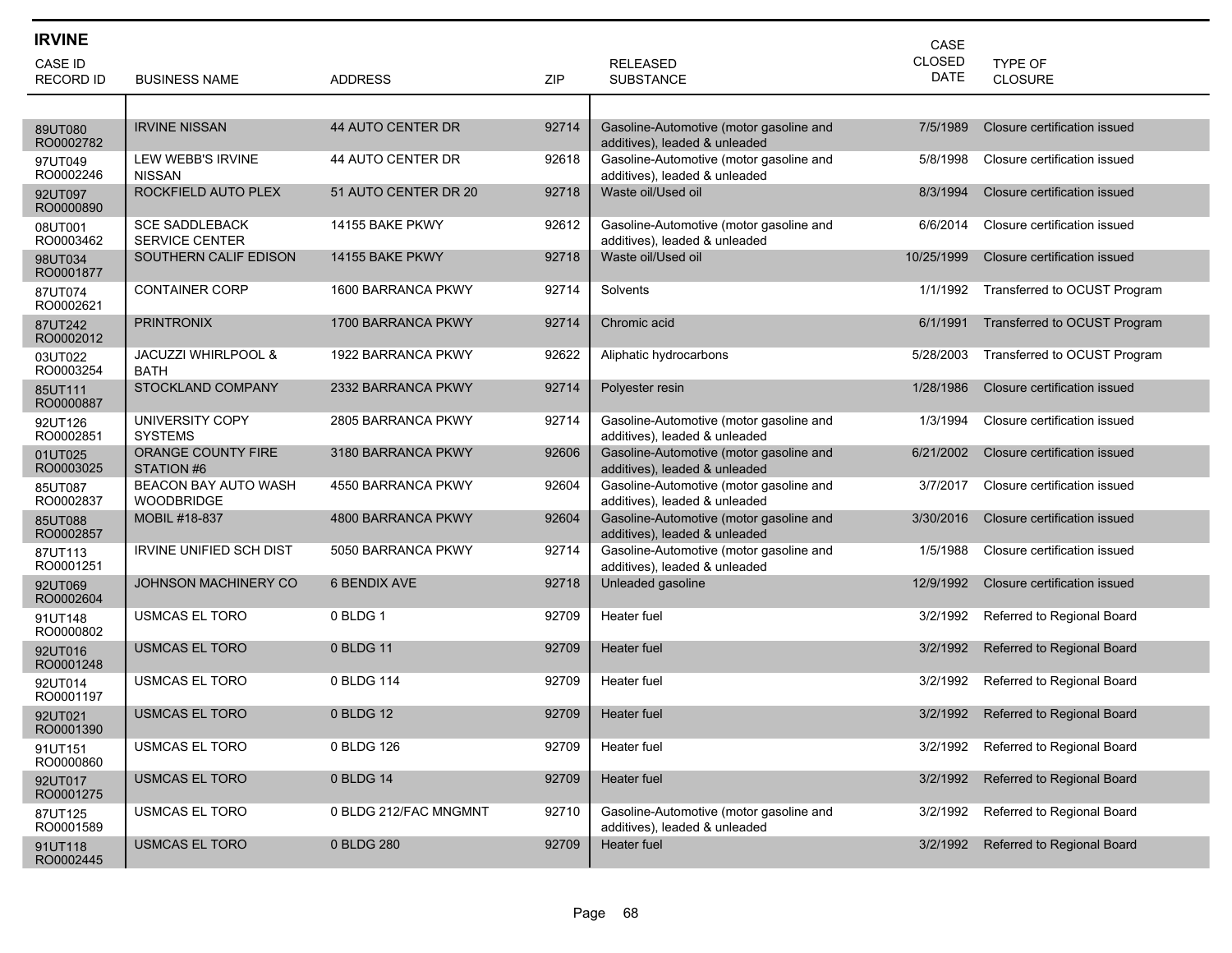| <b>IRVINE</b>        |                                                |                          |       |                                                                          | CASE        |                              |
|----------------------|------------------------------------------------|--------------------------|-------|--------------------------------------------------------------------------|-------------|------------------------------|
| CASE ID              |                                                |                          |       | <b>RELEASED</b>                                                          | CLOSED      | <b>TYPE OF</b>               |
| <b>RECORD ID</b>     | <b>BUSINESS NAME</b>                           | <b>ADDRESS</b>           | ZIP   | <b>SUBSTANCE</b>                                                         | <b>DATE</b> | CLOSURE                      |
|                      |                                                |                          |       |                                                                          |             |                              |
| 89UT080<br>RO0002782 | <b>IRVINE NISSAN</b>                           | <b>44 AUTO CENTER DR</b> | 92714 | Gasoline-Automotive (motor gasoline and<br>additives), leaded & unleaded | 7/5/1989    | Closure certification issued |
| 97UT049<br>RO0002246 | LEW WEBB'S IRVINE<br><b>NISSAN</b>             | 44 AUTO CENTER DR        | 92618 | Gasoline-Automotive (motor gasoline and<br>additives), leaded & unleaded | 5/8/1998    | Closure certification issued |
| 92UT097<br>RO0000890 | ROCKFIELD AUTO PLEX                            | 51 AUTO CENTER DR 20     | 92718 | Waste oil/Used oil                                                       | 8/3/1994    | Closure certification issued |
| 08UT001<br>RO0003462 | <b>SCE SADDLEBACK</b><br><b>SERVICE CENTER</b> | 14155 BAKE PKWY          | 92612 | Gasoline-Automotive (motor gasoline and<br>additives), leaded & unleaded | 6/6/2014    | Closure certification issued |
| 98UT034<br>RO0001877 | SOUTHERN CALIF EDISON                          | 14155 BAKE PKWY          | 92718 | Waste oil/Used oil                                                       | 10/25/1999  | Closure certification issued |
| 87UT074<br>RO0002621 | <b>CONTAINER CORP</b>                          | 1600 BARRANCA PKWY       | 92714 | Solvents                                                                 | 1/1/1992    | Transferred to OCUST Program |
| 87UT242<br>RO0002012 | <b>PRINTRONIX</b>                              | 1700 BARRANCA PKWY       | 92714 | Chromic acid                                                             | 6/1/1991    | Transferred to OCUST Program |
| 03UT022<br>RO0003254 | <b>JACUZZI WHIRLPOOL &amp;</b><br><b>BATH</b>  | 1922 BARRANCA PKWY       | 92622 | Aliphatic hydrocarbons                                                   | 5/28/2003   | Transferred to OCUST Program |
| 85UT111<br>RO0000887 | STOCKLAND COMPANY                              | 2332 BARRANCA PKWY       | 92714 | Polyester resin                                                          | 1/28/1986   | Closure certification issued |
| 92UT126<br>RO0002851 | UNIVERSITY COPY<br><b>SYSTEMS</b>              | 2805 BARRANCA PKWY       | 92714 | Gasoline-Automotive (motor gasoline and<br>additives), leaded & unleaded | 1/3/1994    | Closure certification issued |
| 01UT025<br>RO0003025 | ORANGE COUNTY FIRE<br>STATION #6               | 3180 BARRANCA PKWY       | 92606 | Gasoline-Automotive (motor gasoline and<br>additives), leaded & unleaded | 6/21/2002   | Closure certification issued |
| 85UT087<br>RO0002837 | BEACON BAY AUTO WASH<br><b>WOODBRIDGE</b>      | 4550 BARRANCA PKWY       | 92604 | Gasoline-Automotive (motor gasoline and<br>additives), leaded & unleaded | 3/7/2017    | Closure certification issued |
| 85UT088<br>RO0002857 | MOBIL #18-837                                  | 4800 BARRANCA PKWY       | 92604 | Gasoline-Automotive (motor gasoline and<br>additives), leaded & unleaded | 3/30/2016   | Closure certification issued |
| 87UT113<br>RO0001251 | <b>IRVINE UNIFIED SCH DIST</b>                 | 5050 BARRANCA PKWY       | 92714 | Gasoline-Automotive (motor gasoline and<br>additives), leaded & unleaded | 1/5/1988    | Closure certification issued |
| 92UT069<br>RO0002604 | <b>JOHNSON MACHINERY CO</b>                    | <b>6 BENDIX AVE</b>      | 92718 | Unleaded gasoline                                                        | 12/9/1992   | Closure certification issued |
| 91UT148<br>RO0000802 | <b>USMCAS EL TORO</b>                          | 0 BLDG 1                 | 92709 | Heater fuel                                                              | 3/2/1992    | Referred to Regional Board   |
| 92UT016<br>RO0001248 | <b>USMCAS EL TORO</b>                          | 0 BLDG 11                | 92709 | Heater fuel                                                              | 3/2/1992    | Referred to Regional Board   |
| 92UT014<br>RO0001197 | <b>USMCAS EL TORO</b>                          | 0 BLDG 114               | 92709 | Heater fuel                                                              | 3/2/1992    | Referred to Regional Board   |
| 92UT021<br>RO0001390 | <b>USMCAS EL TORO</b>                          | 0 BLDG 12                | 92709 | Heater fuel                                                              | 3/2/1992    | Referred to Regional Board   |
| 91UT151<br>RO0000860 | <b>USMCAS EL TORO</b>                          | 0 BLDG 126               | 92709 | Heater fuel                                                              | 3/2/1992    | Referred to Regional Board   |
| 92UT017<br>RO0001275 | <b>USMCAS EL TORO</b>                          | 0 BLDG 14                | 92709 | Heater fuel                                                              | 3/2/1992    | Referred to Regional Board   |
| 87UT125<br>RO0001589 | <b>USMCAS EL TORO</b>                          | 0 BLDG 212/FAC MNGMNT    | 92710 | Gasoline-Automotive (motor gasoline and<br>additives), leaded & unleaded | 3/2/1992    | Referred to Regional Board   |
| 91UT118<br>RO0002445 | <b>USMCAS EL TORO</b>                          | 0 BLDG 280               | 92709 | Heater fuel                                                              | 3/2/1992    | Referred to Regional Board   |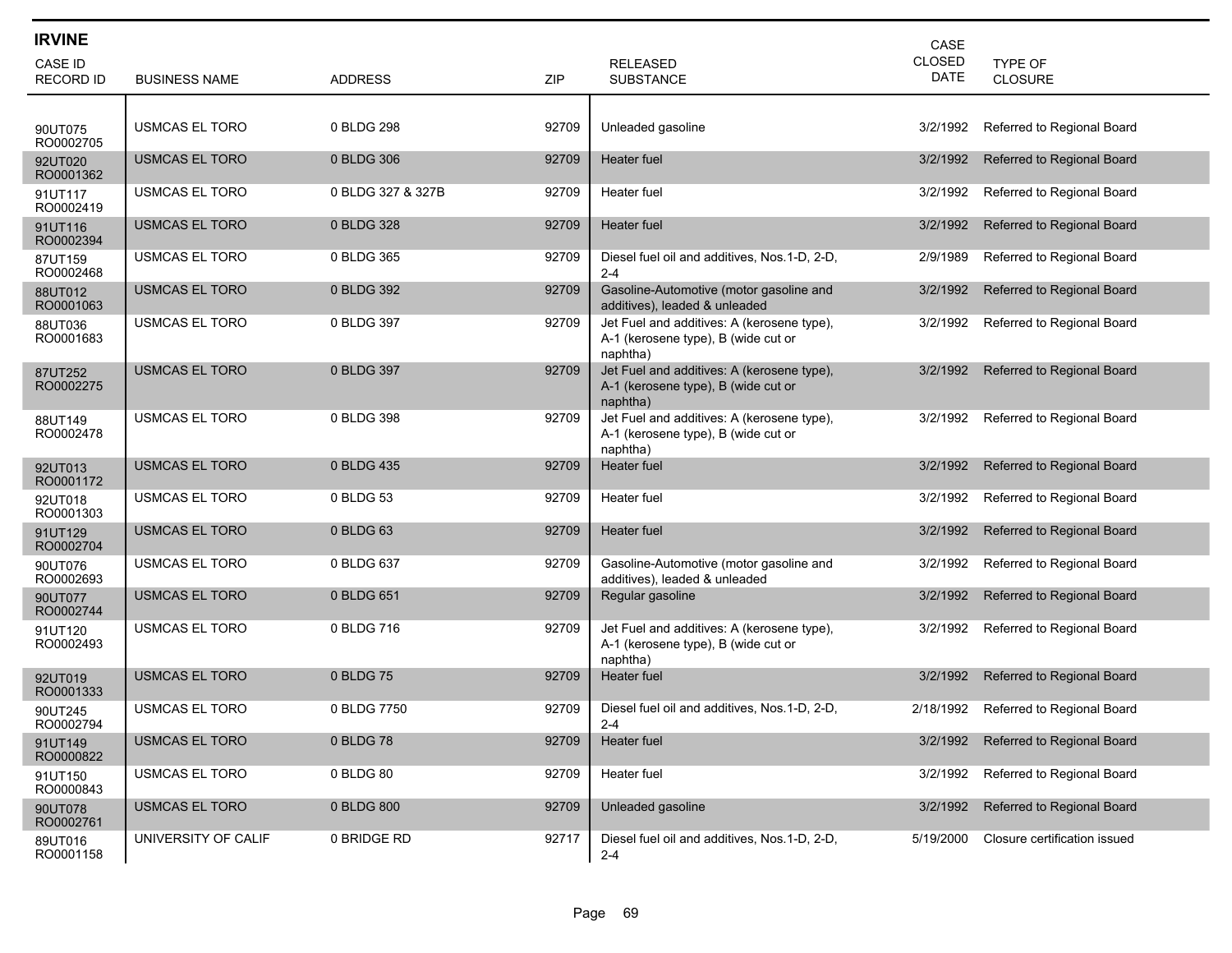| <b>IRVINE</b>               |                       |                   |       |                                                                                               | CASE                         |                                   |
|-----------------------------|-----------------------|-------------------|-------|-----------------------------------------------------------------------------------------------|------------------------------|-----------------------------------|
| CASE ID<br><b>RECORD ID</b> | <b>BUSINESS NAME</b>  | <b>ADDRESS</b>    | ZIP   | <b>RELEASED</b><br><b>SUBSTANCE</b>                                                           | <b>CLOSED</b><br><b>DATE</b> | TYPE OF<br><b>CLOSURE</b>         |
|                             |                       |                   |       |                                                                                               |                              |                                   |
| 90UT075<br>RO0002705        | USMCAS EL TORO        | 0 BLDG 298        | 92709 | Unleaded gasoline                                                                             | 3/2/1992                     | Referred to Regional Board        |
| 92UT020<br>RO0001362        | <b>USMCAS EL TORO</b> | 0 BLDG 306        | 92709 | Heater fuel                                                                                   | 3/2/1992                     | Referred to Regional Board        |
| 91UT117<br>RO0002419        | <b>USMCAS EL TORO</b> | 0 BLDG 327 & 327B | 92709 | Heater fuel                                                                                   | 3/2/1992                     | Referred to Regional Board        |
| 91UT116<br>RO0002394        | <b>USMCAS EL TORO</b> | 0 BLDG 328        | 92709 | Heater fuel                                                                                   | 3/2/1992                     | Referred to Regional Board        |
| 87UT159<br>RO0002468        | USMCAS EL TORO        | 0 BLDG 365        | 92709 | Diesel fuel oil and additives, Nos.1-D, 2-D,<br>$2 - 4$                                       | 2/9/1989                     | Referred to Regional Board        |
| 88UT012<br>RO0001063        | <b>USMCAS EL TORO</b> | 0 BLDG 392        | 92709 | Gasoline-Automotive (motor gasoline and<br>additives), leaded & unleaded                      | 3/2/1992                     | Referred to Regional Board        |
| 88UT036<br>RO0001683        | <b>USMCAS EL TORO</b> | 0 BLDG 397        | 92709 | Jet Fuel and additives: A (kerosene type),<br>A-1 (kerosene type), B (wide cut or<br>naphtha) | 3/2/1992                     | Referred to Regional Board        |
| 87UT252<br>RO0002275        | <b>USMCAS EL TORO</b> | 0 BLDG 397        | 92709 | Jet Fuel and additives: A (kerosene type),<br>A-1 (kerosene type), B (wide cut or<br>naphtha) | 3/2/1992                     | Referred to Regional Board        |
| 88UT149<br>RO0002478        | USMCAS EL TORO        | 0 BLDG 398        | 92709 | Jet Fuel and additives: A (kerosene type),<br>A-1 (kerosene type), B (wide cut or<br>naphtha) | 3/2/1992                     | Referred to Regional Board        |
| 92UT013<br>RO0001172        | <b>USMCAS EL TORO</b> | 0 BLDG 435        | 92709 | <b>Heater</b> fuel                                                                            | 3/2/1992                     | Referred to Regional Board        |
| 92UT018<br>RO0001303        | <b>USMCAS EL TORO</b> | 0 BLDG 53         | 92709 | Heater fuel                                                                                   | 3/2/1992                     | Referred to Regional Board        |
| 91UT129<br>RO0002704        | <b>USMCAS EL TORO</b> | 0 BLDG 63         | 92709 | Heater fuel                                                                                   | 3/2/1992                     | Referred to Regional Board        |
| 90UT076<br>RO0002693        | <b>USMCAS EL TORO</b> | 0 BLDG 637        | 92709 | Gasoline-Automotive (motor gasoline and<br>additives), leaded & unleaded                      | 3/2/1992                     | Referred to Regional Board        |
| 90UT077<br>RO0002744        | <b>USMCAS EL TORO</b> | 0 BLDG 651        | 92709 | Regular gasoline                                                                              | 3/2/1992                     | Referred to Regional Board        |
| 91UT120<br>RO0002493        | <b>USMCAS EL TORO</b> | 0 BLDG 716        | 92709 | Jet Fuel and additives: A (kerosene type),<br>A-1 (kerosene type), B (wide cut or<br>naphtha) | 3/2/1992                     | Referred to Regional Board        |
| 92UT019<br>RO0001333        | <b>USMCAS EL TORO</b> | 0 BLDG 75         | 92709 | Heater fuel                                                                                   | 3/2/1992                     | Referred to Regional Board        |
| 90UT245<br>RO0002794        | <b>USMCAS EL TORO</b> | 0 BLDG 7750       | 92709 | Diesel fuel oil and additives, Nos.1-D, 2-D,<br>$2 - 4$                                       | 2/18/1992                    | Referred to Regional Board        |
| 91UT149<br>RO0000822        | <b>USMCAS EL TORO</b> | 0 BLDG 78         | 92709 | Heater fuel                                                                                   | 3/2/1992                     | <b>Referred to Regional Board</b> |
| 91UT150<br>RO0000843        | <b>USMCAS EL TORO</b> | 0 BLDG 80         | 92709 | Heater fuel                                                                                   | 3/2/1992                     | Referred to Regional Board        |
| 90UT078<br>RO0002761        | <b>USMCAS EL TORO</b> | 0 BLDG 800        | 92709 | Unleaded gasoline                                                                             | 3/2/1992                     | Referred to Regional Board        |
| 89UT016<br>RO0001158        | UNIVERSITY OF CALIF   | 0 BRIDGE RD       | 92717 | Diesel fuel oil and additives, Nos.1-D, 2-D,<br>$2 - 4$                                       | 5/19/2000                    | Closure certification issued      |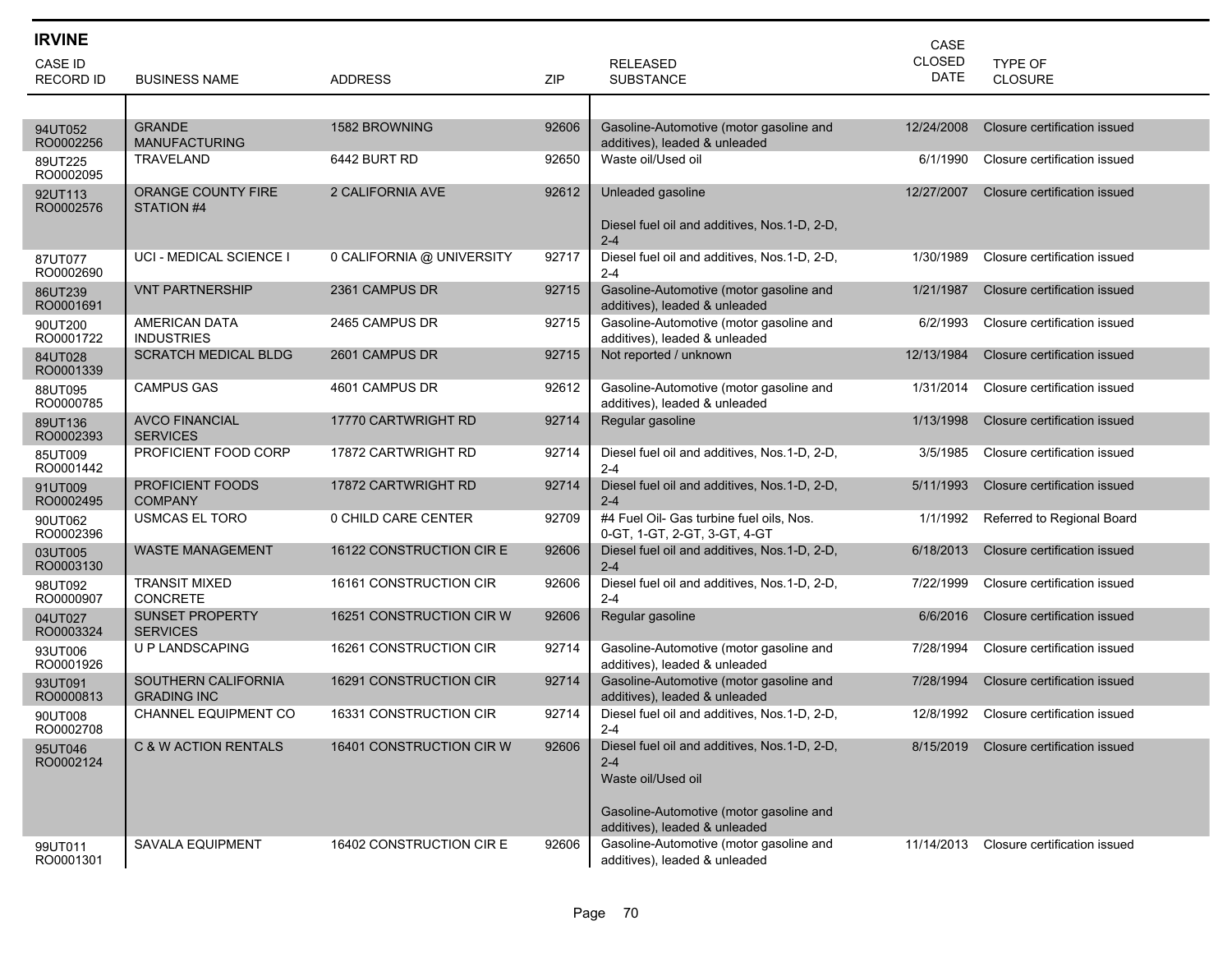| <b>IRVINE</b>               |                                           |                           |       |                                                                                                                                                            | CASE                         |                              |
|-----------------------------|-------------------------------------------|---------------------------|-------|------------------------------------------------------------------------------------------------------------------------------------------------------------|------------------------------|------------------------------|
| CASE ID<br><b>RECORD ID</b> | <b>BUSINESS NAME</b>                      | <b>ADDRESS</b>            | ZIP   | <b>RELEASED</b><br><b>SUBSTANCE</b>                                                                                                                        | <b>CLOSED</b><br><b>DATE</b> | TYPE OF<br><b>CLOSURE</b>    |
|                             |                                           |                           |       |                                                                                                                                                            |                              |                              |
| 94UT052<br>RO0002256        | <b>GRANDE</b><br><b>MANUFACTURING</b>     | 1582 BROWNING             | 92606 | Gasoline-Automotive (motor gasoline and<br>additives), leaded & unleaded                                                                                   | 12/24/2008                   | Closure certification issued |
| 89UT225<br>RO0002095        | TRAVELAND                                 | 6442 BURT RD              | 92650 | Waste oil/Used oil                                                                                                                                         | 6/1/1990                     | Closure certification issued |
| 92UT113<br>RO0002576        | ORANGE COUNTY FIRE<br>STATION #4          | 2 CALIFORNIA AVE          | 92612 | Unleaded gasoline<br>Diesel fuel oil and additives, Nos.1-D, 2-D,                                                                                          | 12/27/2007                   | Closure certification issued |
|                             |                                           |                           |       | $2 - 4$                                                                                                                                                    |                              |                              |
| 87UT077<br>RO0002690        | UCI - MEDICAL SCIENCE I                   | 0 CALIFORNIA @ UNIVERSITY | 92717 | Diesel fuel oil and additives, Nos.1-D, 2-D,<br>$2 - 4$                                                                                                    | 1/30/1989                    | Closure certification issued |
| 86UT239<br>RO0001691        | <b>VNT PARTNERSHIP</b>                    | 2361 CAMPUS DR            | 92715 | Gasoline-Automotive (motor gasoline and<br>additives), leaded & unleaded                                                                                   | 1/21/1987                    | Closure certification issued |
| 90UT200<br>RO0001722        | <b>AMERICAN DATA</b><br><b>INDUSTRIES</b> | 2465 CAMPUS DR            | 92715 | Gasoline-Automotive (motor gasoline and<br>additives), leaded & unleaded                                                                                   | 6/2/1993                     | Closure certification issued |
| 84UT028<br>RO0001339        | <b>SCRATCH MEDICAL BLDG</b>               | 2601 CAMPUS DR            | 92715 | Not reported / unknown                                                                                                                                     | 12/13/1984                   | Closure certification issued |
| 88UT095<br>RO0000785        | <b>CAMPUS GAS</b>                         | 4601 CAMPUS DR            | 92612 | Gasoline-Automotive (motor gasoline and<br>additives), leaded & unleaded                                                                                   | 1/31/2014                    | Closure certification issued |
| 89UT136<br>RO0002393        | <b>AVCO FINANCIAL</b><br><b>SERVICES</b>  | 17770 CARTWRIGHT RD       | 92714 | Regular gasoline                                                                                                                                           | 1/13/1998                    | Closure certification issued |
| 85UT009<br>RO0001442        | PROFICIENT FOOD CORP                      | 17872 CARTWRIGHT RD       | 92714 | Diesel fuel oil and additives, Nos.1-D, 2-D,<br>$2 - 4$                                                                                                    | 3/5/1985                     | Closure certification issued |
| 91UT009<br>RO0002495        | <b>PROFICIENT FOODS</b><br><b>COMPANY</b> | 17872 CARTWRIGHT RD       | 92714 | Diesel fuel oil and additives, Nos.1-D, 2-D,<br>$2 - 4$                                                                                                    | 5/11/1993                    | Closure certification issued |
| 90UT062<br>RO0002396        | USMCAS EL TORO                            | 0 CHILD CARE CENTER       | 92709 | #4 Fuel Oil- Gas turbine fuel oils, Nos.<br>0-GT, 1-GT, 2-GT, 3-GT, 4-GT                                                                                   | 1/1/1992                     | Referred to Regional Board   |
| 03UT005<br>RO0003130        | <b>WASTE MANAGEMENT</b>                   | 16122 CONSTRUCTION CIRE   | 92606 | Diesel fuel oil and additives, Nos.1-D, 2-D,<br>$2 - 4$                                                                                                    | 6/18/2013                    | Closure certification issued |
| 98UT092<br>RO0000907        | <b>TRANSIT MIXED</b><br><b>CONCRETE</b>   | 16161 CONSTRUCTION CIR    | 92606 | Diesel fuel oil and additives, Nos. 1-D, 2-D,<br>$2 - 4$                                                                                                   | 7/22/1999                    | Closure certification issued |
| 04UT027<br>RO0003324        | <b>SUNSET PROPERTY</b><br><b>SERVICES</b> | 16251 CONSTRUCTION CIR W  | 92606 | Regular gasoline                                                                                                                                           | 6/6/2016                     | Closure certification issued |
| 93UT006<br>RO0001926        | U P LANDSCAPING                           | 16261 CONSTRUCTION CIR    | 92714 | Gasoline-Automotive (motor gasoline and<br>additives), leaded & unleaded                                                                                   | 7/28/1994                    | Closure certification issued |
| 93UT091<br>RO0000813        | SOUTHERN CALIFORNIA<br><b>GRADING INC</b> | 16291 CONSTRUCTION CIR    | 92714 | Gasoline-Automotive (motor gasoline and<br>additives), leaded & unleaded                                                                                   | 7/28/1994                    | Closure certification issued |
| 90UT008<br>RO0002708        | CHANNEL EQUIPMENT CO                      | 16331 CONSTRUCTION CIR    | 92714 | Diesel fuel oil and additives, Nos. 1-D, 2-D,<br>$2 - 4$                                                                                                   | 12/8/1992                    | Closure certification issued |
| 95UT046<br>RO0002124        | C & W ACTION RENTALS                      | 16401 CONSTRUCTION CIR W  | 92606 | Diesel fuel oil and additives, Nos. 1-D, 2-D,<br>$2 - 4$<br>Waste oil/Used oil<br>Gasoline-Automotive (motor gasoline and<br>additives), leaded & unleaded | 8/15/2019                    | Closure certification issued |
| 99UT011<br>RO0001301        | <b>SAVALA EQUIPMENT</b>                   | 16402 CONSTRUCTION CIRE   | 92606 | Gasoline-Automotive (motor gasoline and<br>additives), leaded & unleaded                                                                                   | 11/14/2013                   | Closure certification issued |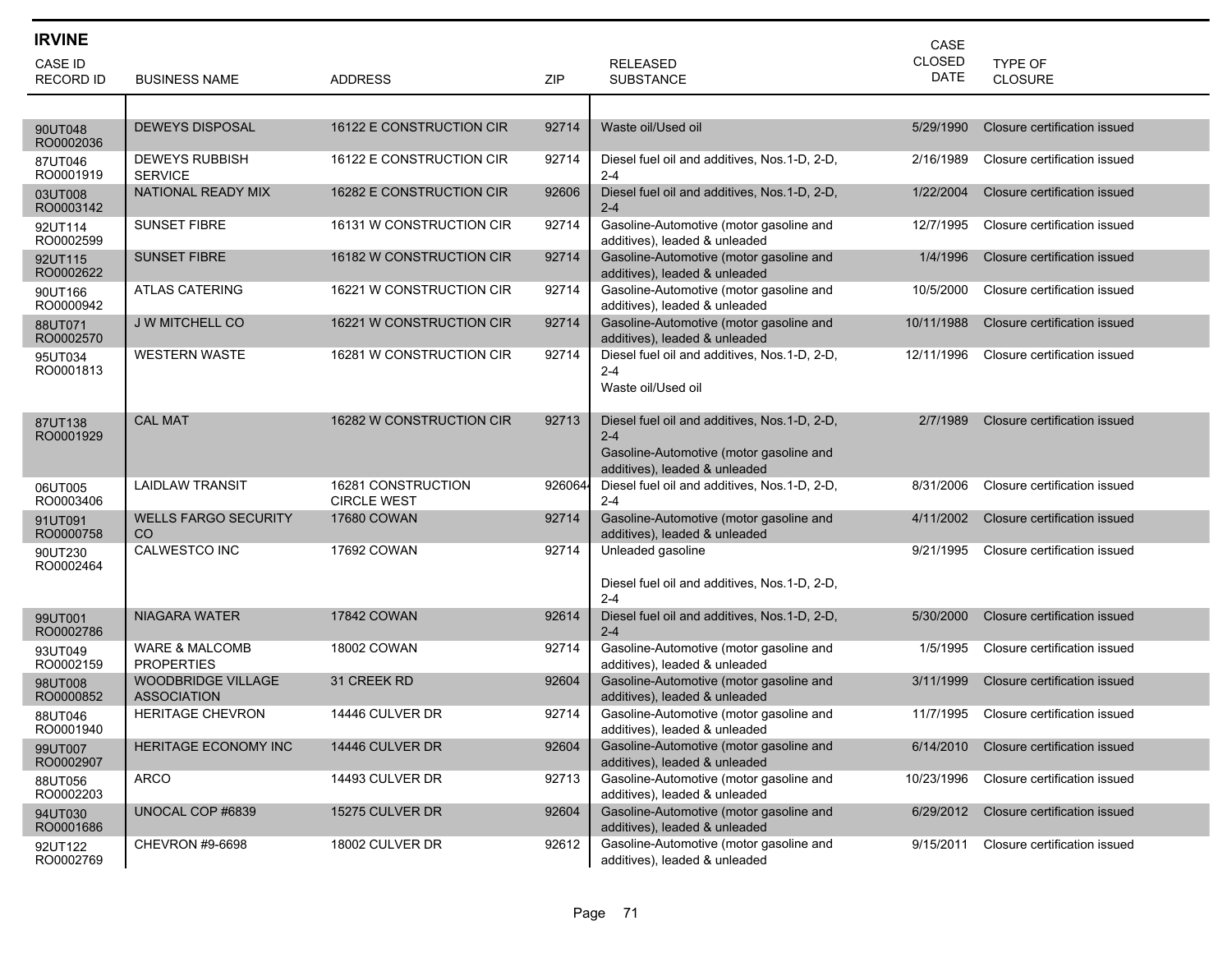| <b>IRVINE</b>        |                                                 |                                          |        |                                                                                                                                      | CASE                         |                              |
|----------------------|-------------------------------------------------|------------------------------------------|--------|--------------------------------------------------------------------------------------------------------------------------------------|------------------------------|------------------------------|
| CASE ID              |                                                 |                                          |        | <b>RELEASED</b>                                                                                                                      | <b>CLOSED</b><br><b>DATE</b> | <b>TYPE OF</b>               |
| <b>RECORD ID</b>     | <b>BUSINESS NAME</b>                            | <b>ADDRESS</b>                           | ZIP    | <b>SUBSTANCE</b>                                                                                                                     |                              | <b>CLOSURE</b>               |
|                      | <b>DEWEYS DISPOSAL</b>                          | 16122 E CONSTRUCTION CIR                 | 92714  | Waste oil/Used oil                                                                                                                   | 5/29/1990                    | Closure certification issued |
| 90UT048<br>RO0002036 |                                                 |                                          |        |                                                                                                                                      |                              |                              |
| 87UT046<br>RO0001919 | <b>DEWEYS RUBBISH</b><br><b>SERVICE</b>         | 16122 E CONSTRUCTION CIR                 | 92714  | Diesel fuel oil and additives, Nos.1-D, 2-D,<br>$2 - 4$                                                                              | 2/16/1989                    | Closure certification issued |
| 03UT008<br>RO0003142 | NATIONAL READY MIX                              | 16282 E CONSTRUCTION CIR                 | 92606  | Diesel fuel oil and additives, Nos.1-D, 2-D,<br>$2 - 4$                                                                              | 1/22/2004                    | Closure certification issued |
| 92UT114<br>RO0002599 | <b>SUNSET FIBRE</b>                             | 16131 W CONSTRUCTION CIR                 | 92714  | Gasoline-Automotive (motor gasoline and<br>additives), leaded & unleaded                                                             | 12/7/1995                    | Closure certification issued |
| 92UT115<br>RO0002622 | <b>SUNSET FIBRE</b>                             | 16182 W CONSTRUCTION CIR                 | 92714  | Gasoline-Automotive (motor gasoline and<br>additives), leaded & unleaded                                                             | 1/4/1996                     | Closure certification issued |
| 90UT166<br>RO0000942 | <b>ATLAS CATERING</b>                           | 16221 W CONSTRUCTION CIR                 | 92714  | Gasoline-Automotive (motor gasoline and<br>additives), leaded & unleaded                                                             | 10/5/2000                    | Closure certification issued |
| 88UT071<br>RO0002570 | <b>J W MITCHELL CO</b>                          | 16221 W CONSTRUCTION CIR                 | 92714  | Gasoline-Automotive (motor gasoline and<br>additives), leaded & unleaded                                                             | 10/11/1988                   | Closure certification issued |
| 95UT034<br>RO0001813 | <b>WESTERN WASTE</b>                            | 16281 W CONSTRUCTION CIR                 | 92714  | Diesel fuel oil and additives, Nos.1-D, 2-D,<br>$2 - 4$<br>Waste oil/Used oil                                                        | 12/11/1996                   | Closure certification issued |
| 87UT138<br>RO0001929 | <b>CAL MAT</b>                                  | 16282 W CONSTRUCTION CIR                 | 92713  | Diesel fuel oil and additives, Nos. 1-D, 2-D,<br>$2 - 4$<br>Gasoline-Automotive (motor gasoline and<br>additives), leaded & unleaded | 2/7/1989                     | Closure certification issued |
| 06UT005<br>RO0003406 | <b>LAIDLAW TRANSIT</b>                          | 16281 CONSTRUCTION<br><b>CIRCLE WEST</b> | 926064 | Diesel fuel oil and additives, Nos.1-D, 2-D,<br>$2 - 4$                                                                              | 8/31/2006                    | Closure certification issued |
| 91UT091<br>RO0000758 | <b>WELLS FARGO SECURITY</b><br>CO.              | <b>17680 COWAN</b>                       | 92714  | Gasoline-Automotive (motor gasoline and<br>additives), leaded & unleaded                                                             | 4/11/2002                    | Closure certification issued |
| 90UT230<br>RO0002464 | <b>CALWESTCO INC</b>                            | 17692 COWAN                              | 92714  | Unleaded gasoline<br>Diesel fuel oil and additives, Nos.1-D, 2-D,<br>$2 - 4$                                                         | 9/21/1995                    | Closure certification issued |
| 99UT001<br>RO0002786 | NIAGARA WATER                                   | <b>17842 COWAN</b>                       | 92614  | Diesel fuel oil and additives, Nos.1-D, 2-D,<br>$2 - 4$                                                                              | 5/30/2000                    | Closure certification issued |
| 93UT049<br>RO0002159 | <b>WARE &amp; MALCOMB</b><br><b>PROPERTIES</b>  | <b>18002 COWAN</b>                       | 92714  | Gasoline-Automotive (motor gasoline and<br>additives), leaded & unleaded                                                             | 1/5/1995                     | Closure certification issued |
| 98UT008<br>RO0000852 | <b>WOODBRIDGE VILLAGE</b><br><b>ASSOCIATION</b> | 31 CREEK RD                              | 92604  | Gasoline-Automotive (motor gasoline and<br>additives), leaded & unleaded                                                             | 3/11/1999                    | Closure certification issued |
| 88UT046<br>RO0001940 | <b>HERITAGE CHEVRON</b>                         | 14446 CULVER DR                          | 92714  | Gasoline-Automotive (motor gasoline and<br>additives), leaded & unleaded                                                             | 11/7/1995                    | Closure certification issued |
| 99UT007<br>RO0002907 | HERITAGE ECONOMY INC                            | 14446 CULVER DR                          | 92604  | Gasoline-Automotive (motor gasoline and<br>additives), leaded & unleaded                                                             | 6/14/2010                    | Closure certification issued |
| 88UT056<br>RO0002203 | <b>ARCO</b>                                     | 14493 CULVER DR                          | 92713  | Gasoline-Automotive (motor gasoline and<br>additives), leaded & unleaded                                                             | 10/23/1996                   | Closure certification issued |
| 94UT030<br>RO0001686 | UNOCAL COP #6839                                | 15275 CULVER DR                          | 92604  | Gasoline-Automotive (motor gasoline and<br>additives), leaded & unleaded                                                             | 6/29/2012                    | Closure certification issued |
| 92UT122<br>RO0002769 | CHEVRON #9-6698                                 | 18002 CULVER DR                          | 92612  | Gasoline-Automotive (motor gasoline and<br>additives), leaded & unleaded                                                             | 9/15/2011                    | Closure certification issued |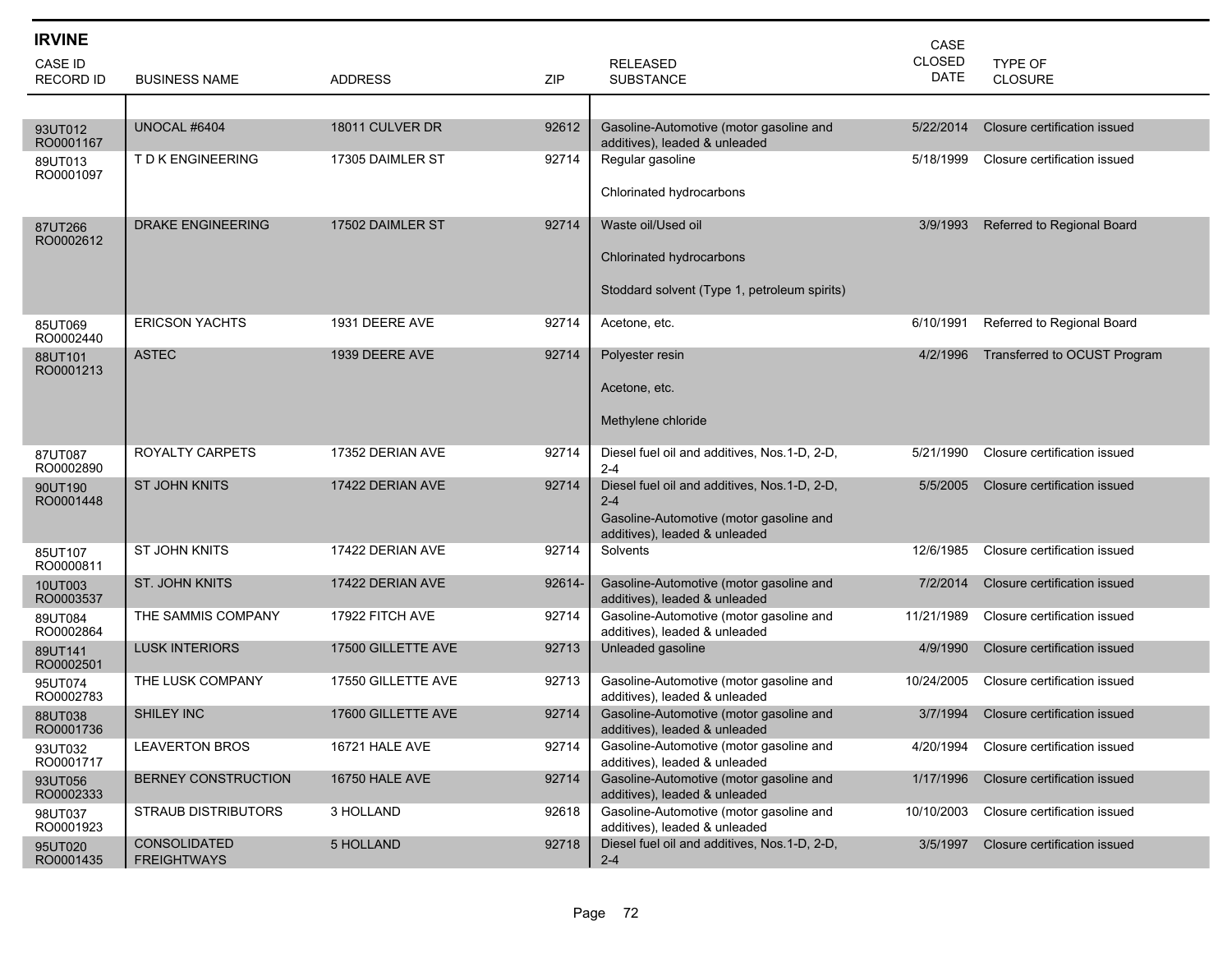| <b>IRVINE</b>               |                                    |                       |        |                                                                                                                                     | CASE                         |                              |
|-----------------------------|------------------------------------|-----------------------|--------|-------------------------------------------------------------------------------------------------------------------------------------|------------------------------|------------------------------|
| CASE ID<br><b>RECORD ID</b> | <b>BUSINESS NAME</b>               | <b>ADDRESS</b>        | ZIP    | <b>RELEASED</b><br><b>SUBSTANCE</b>                                                                                                 | <b>CLOSED</b><br><b>DATE</b> | TYPE OF<br><b>CLOSURE</b>    |
|                             |                                    |                       |        |                                                                                                                                     |                              |                              |
| 93UT012<br>RO0001167        | UNOCAL #6404                       | 18011 CULVER DR       | 92612  | Gasoline-Automotive (motor gasoline and<br>additives), leaded & unleaded                                                            | 5/22/2014                    | Closure certification issued |
| 89UT013<br>RO0001097        | T D K ENGINEERING                  | 17305 DAIMLER ST      | 92714  | Regular gasoline<br>Chlorinated hydrocarbons                                                                                        | 5/18/1999                    | Closure certification issued |
| 87UT266<br>RO0002612        | <b>DRAKE ENGINEERING</b>           | 17502 DAIMLER ST      | 92714  | Waste oil/Used oil<br>Chlorinated hydrocarbons                                                                                      | 3/9/1993                     | Referred to Regional Board   |
|                             |                                    |                       |        | Stoddard solvent (Type 1, petroleum spirits)                                                                                        |                              |                              |
| 85UT069<br>RO0002440        | <b>ERICSON YACHTS</b>              | 1931 DEERE AVE        | 92714  | Acetone, etc.                                                                                                                       | 6/10/1991                    | Referred to Regional Board   |
| 88UT101<br>RO0001213        | <b>ASTEC</b>                       | 1939 DEERE AVE        | 92714  | Polyester resin                                                                                                                     | 4/2/1996                     | Transferred to OCUST Program |
|                             |                                    |                       |        | Acetone, etc.                                                                                                                       |                              |                              |
|                             |                                    |                       |        | Methylene chloride                                                                                                                  |                              |                              |
| 87UT087<br>RO0002890        | ROYALTY CARPETS                    | 17352 DERIAN AVE      | 92714  | Diesel fuel oil and additives, Nos.1-D, 2-D,<br>$2 - 4$                                                                             | 5/21/1990                    | Closure certification issued |
| 90UT190<br>RO0001448        | <b>ST JOHN KNITS</b>               | 17422 DERIAN AVE      | 92714  | Diesel fuel oil and additives, Nos.1-D, 2-D,<br>$2 - 4$<br>Gasoline-Automotive (motor gasoline and<br>additives), leaded & unleaded | 5/5/2005                     | Closure certification issued |
| 85UT107<br>RO0000811        | ST JOHN KNITS                      | 17422 DERIAN AVE      | 92714  | Solvents                                                                                                                            | 12/6/1985                    | Closure certification issued |
| 10UT003<br>RO0003537        | ST. JOHN KNITS                     | 17422 DERIAN AVE      | 92614- | Gasoline-Automotive (motor gasoline and<br>additives), leaded & unleaded                                                            | 7/2/2014                     | Closure certification issued |
| 89UT084<br>RO0002864        | THE SAMMIS COMPANY                 | 17922 FITCH AVE       | 92714  | Gasoline-Automotive (motor gasoline and<br>additives), leaded & unleaded                                                            | 11/21/1989                   | Closure certification issued |
| 89UT141<br>RO0002501        | <b>LUSK INTERIORS</b>              | 17500 GILLETTE AVE    | 92713  | Unleaded gasoline                                                                                                                   | 4/9/1990                     | Closure certification issued |
| 95UT074<br>RO0002783        | THE LUSK COMPANY                   | 17550 GILLETTE AVE    | 92713  | Gasoline-Automotive (motor gasoline and<br>additives), leaded & unleaded                                                            | 10/24/2005                   | Closure certification issued |
| 88UT038<br>RO0001736        | <b>SHILEY INC</b>                  | 17600 GILLETTE AVE    | 92714  | Gasoline-Automotive (motor gasoline and<br>additives), leaded & unleaded                                                            | 3/7/1994                     | Closure certification issued |
| 93UT032<br>RO0001717        | LEAVERTON BROS                     | 16721 HALE AVE        | 92714  | Gasoline-Automotive (motor gasoline and<br>additives), leaded & unleaded                                                            | 4/20/1994                    | Closure certification issued |
| 93UT056<br>RO0002333        | BERNEY CONSTRUCTION                | <b>16750 HALE AVE</b> | 92714  | Gasoline-Automotive (motor gasoline and<br>additives), leaded & unleaded                                                            | 1/17/1996                    | Closure certification issued |
| 98UT037<br>RO0001923        | <b>STRAUB DISTRIBUTORS</b>         | 3 HOLLAND             | 92618  | Gasoline-Automotive (motor gasoline and<br>additives), leaded & unleaded                                                            | 10/10/2003                   | Closure certification issued |
| 95UT020<br>RO0001435        | CONSOLIDATED<br><b>FREIGHTWAYS</b> | 5 HOLLAND             | 92718  | Diesel fuel oil and additives, Nos.1-D, 2-D,<br>$2 - 4$                                                                             | 3/5/1997                     | Closure certification issued |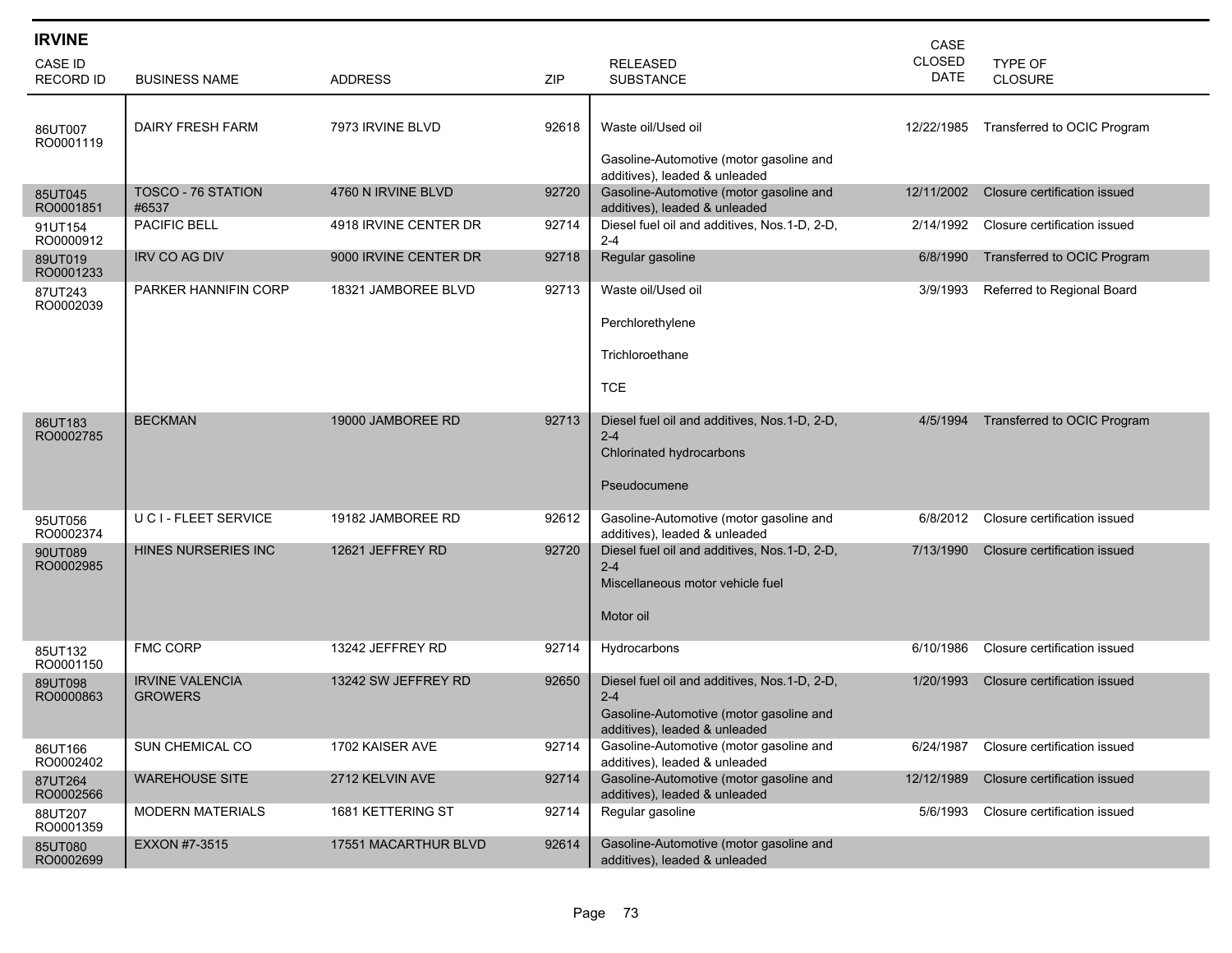| <b>IRVINE</b><br>CASE ID<br><b>RECORD ID</b> | <b>BUSINESS NAME</b>                     | ADDRESS               | ZIP   | <b>RELEASED</b><br><b>SUBSTANCE</b>                                                                                                 | CASE<br><b>CLOSED</b><br><b>DATE</b> | TYPE OF<br><b>CLOSURE</b>    |
|----------------------------------------------|------------------------------------------|-----------------------|-------|-------------------------------------------------------------------------------------------------------------------------------------|--------------------------------------|------------------------------|
| 86UT007<br>RO0001119                         | <b>DAIRY FRESH FARM</b>                  | 7973 IRVINE BLVD      | 92618 | Waste oil/Used oil<br>Gasoline-Automotive (motor gasoline and<br>additives), leaded & unleaded                                      | 12/22/1985                           | Transferred to OCIC Program  |
| 85UT045<br>RO0001851                         | TOSCO - 76 STATION<br>#6537              | 4760 N IRVINE BLVD    | 92720 | Gasoline-Automotive (motor gasoline and<br>additives), leaded & unleaded                                                            | 12/11/2002                           | Closure certification issued |
| 91UT154<br>RO0000912                         | <b>PACIFIC BELL</b>                      | 4918 IRVINE CENTER DR | 92714 | Diesel fuel oil and additives, Nos.1-D, 2-D,<br>$2 - 4$                                                                             | 2/14/1992                            | Closure certification issued |
| 89UT019<br>RO0001233                         | <b>IRV CO AG DIV</b>                     | 9000 IRVINE CENTER DR | 92718 | Regular gasoline                                                                                                                    | 6/8/1990                             | Transferred to OCIC Program  |
| 87UT243<br>RO0002039                         | PARKER HANNIFIN CORP                     | 18321 JAMBOREE BLVD   | 92713 | Waste oil/Used oil<br>Perchlorethylene<br>Trichloroethane<br><b>TCE</b>                                                             | 3/9/1993                             | Referred to Regional Board   |
| 86UT183<br>RO0002785                         | <b>BECKMAN</b>                           | 19000 JAMBOREE RD     | 92713 | Diesel fuel oil and additives, Nos.1-D, 2-D,<br>$2 - 4$<br>Chlorinated hydrocarbons<br>Pseudocumene                                 | 4/5/1994                             | Transferred to OCIC Program  |
| 95UT056<br>RO0002374                         | U C I - FLEET SERVICE                    | 19182 JAMBOREE RD     | 92612 | Gasoline-Automotive (motor gasoline and<br>additives), leaded & unleaded                                                            | 6/8/2012                             | Closure certification issued |
| 90UT089<br>RO0002985                         | HINES NURSERIES INC                      | 12621 JEFFREY RD      | 92720 | Diesel fuel oil and additives, Nos.1-D, 2-D,<br>$2 - 4$<br>Miscellaneous motor vehicle fuel<br>Motor oil                            | 7/13/1990                            | Closure certification issued |
| 85UT132<br>RO0001150                         | <b>FMC CORP</b>                          | 13242 JEFFREY RD      | 92714 | Hydrocarbons                                                                                                                        | 6/10/1986                            | Closure certification issued |
| 89UT098<br>RO0000863                         | <b>IRVINE VALENCIA</b><br><b>GROWERS</b> | 13242 SW JEFFREY RD   | 92650 | Diesel fuel oil and additives, Nos.1-D, 2-D,<br>$2 - 4$<br>Gasoline-Automotive (motor gasoline and<br>additives), leaded & unleaded | 1/20/1993                            | Closure certification issued |
| 86UT166<br>RO0002402                         | SUN CHEMICAL CO                          | 1702 KAISER AVE       | 92714 | Gasoline-Automotive (motor gasoline and<br>additives), leaded & unleaded                                                            | 6/24/1987                            | Closure certification issued |
| 87UT264<br>RO0002566                         | <b>WAREHOUSE SITE</b>                    | 2712 KELVIN AVE       | 92714 | Gasoline-Automotive (motor gasoline and<br>additives), leaded & unleaded                                                            | 12/12/1989                           | Closure certification issued |
| 88UT207<br>RO0001359                         | <b>MODERN MATERIALS</b>                  | 1681 KETTERING ST     | 92714 | Regular gasoline                                                                                                                    | 5/6/1993                             | Closure certification issued |
| 85UT080<br>RO0002699                         | EXXON #7-3515                            | 17551 MACARTHUR BLVD  | 92614 | Gasoline-Automotive (motor gasoline and<br>additives), leaded & unleaded                                                            |                                      |                              |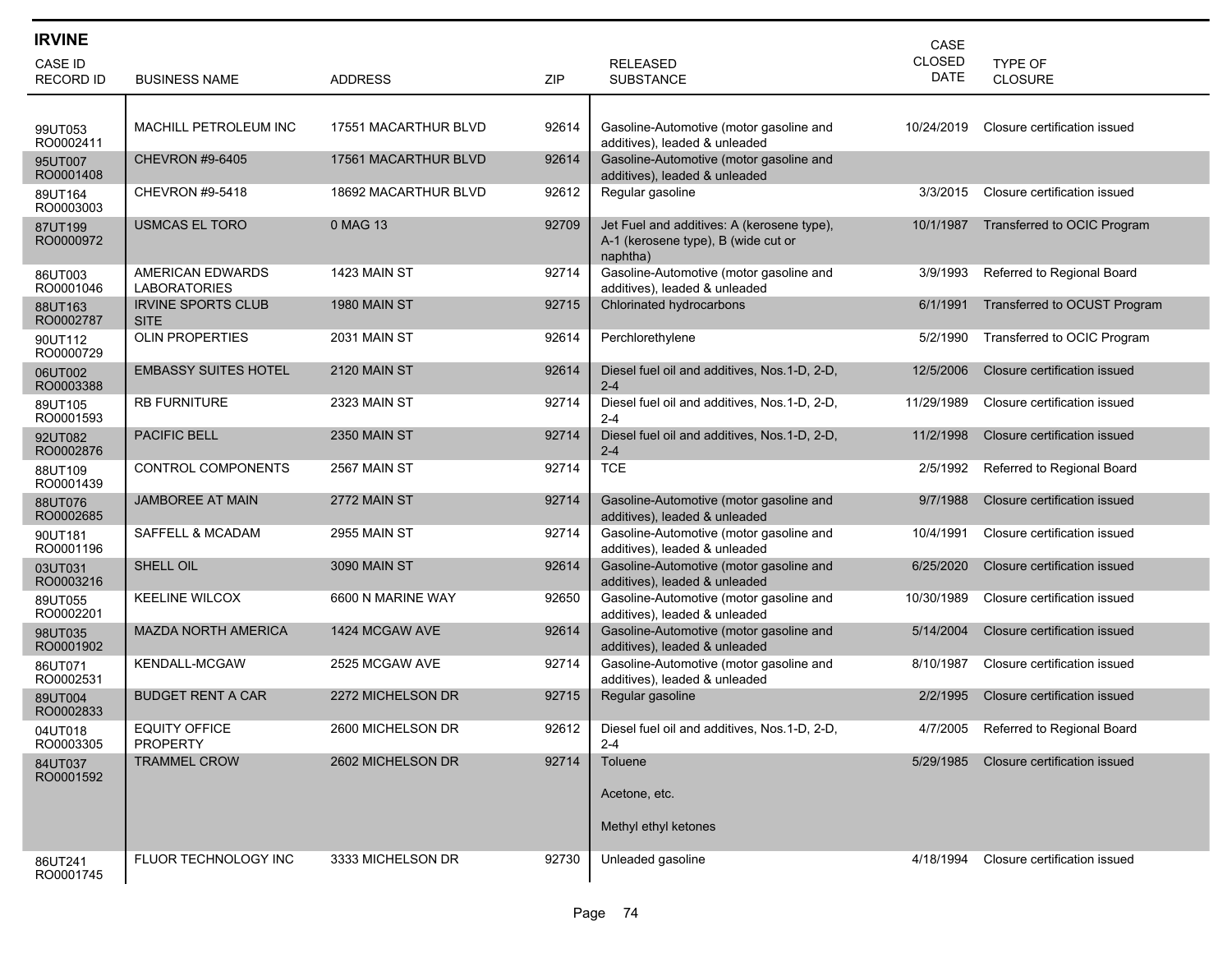| <b>IRVINE</b>                      |                                          |                      |       |                                                                                               | CASE                  |                                     |
|------------------------------------|------------------------------------------|----------------------|-------|-----------------------------------------------------------------------------------------------|-----------------------|-------------------------------------|
| <b>CASE ID</b><br><b>RECORD ID</b> | <b>BUSINESS NAME</b>                     | <b>ADDRESS</b>       | ZIP   | <b>RELEASED</b><br><b>SUBSTANCE</b>                                                           | CLOSED<br><b>DATE</b> | <b>TYPE OF</b><br><b>CLOSURE</b>    |
|                                    |                                          |                      |       |                                                                                               |                       |                                     |
| 99UT053<br>RO0002411               | MACHILL PETROLEUM INC                    | 17551 MACARTHUR BLVD | 92614 | Gasoline-Automotive (motor gasoline and<br>additives), leaded & unleaded                      | 10/24/2019            | Closure certification issued        |
| 95UT007<br>RO0001408               | <b>CHEVRON #9-6405</b>                   | 17561 MACARTHUR BLVD | 92614 | Gasoline-Automotive (motor gasoline and<br>additives), leaded & unleaded                      |                       |                                     |
| 89UT164<br>RO0003003               | <b>CHEVRON #9-5418</b>                   | 18692 MACARTHUR BLVD | 92612 | Regular gasoline                                                                              | 3/3/2015              | Closure certification issued        |
| 87UT199<br>RO0000972               | <b>USMCAS EL TORO</b>                    | 0 MAG 13             | 92709 | Jet Fuel and additives: A (kerosene type),<br>A-1 (kerosene type), B (wide cut or<br>naphtha) | 10/1/1987             | Transferred to OCIC Program         |
| 86UT003<br>RO0001046               | AMERICAN EDWARDS<br><b>LABORATORIES</b>  | 1423 MAIN ST         | 92714 | Gasoline-Automotive (motor gasoline and<br>additives), leaded & unleaded                      | 3/9/1993              | Referred to Regional Board          |
| 88UT163<br>RO0002787               | <b>IRVINE SPORTS CLUB</b><br><b>SITE</b> | 1980 MAIN ST         | 92715 | Chlorinated hydrocarbons                                                                      | 6/1/1991              | Transferred to OCUST Program        |
| 90UT112<br>RO0000729               | <b>OLIN PROPERTIES</b>                   | <b>2031 MAIN ST</b>  | 92614 | Perchlorethylene                                                                              | 5/2/1990              | Transferred to OCIC Program         |
| 06UT002<br>RO0003388               | <b>EMBASSY SUITES HOTEL</b>              | <b>2120 MAIN ST</b>  | 92614 | Diesel fuel oil and additives, Nos. 1-D, 2-D,<br>$2 - 4$                                      | 12/5/2006             | Closure certification issued        |
| 89UT105<br>RO0001593               | <b>RB FURNITURE</b>                      | 2323 MAIN ST         | 92714 | Diesel fuel oil and additives, Nos.1-D, 2-D,<br>$2 - 4$                                       | 11/29/1989            | Closure certification issued        |
| 92UT082<br>RO0002876               | <b>PACIFIC BELL</b>                      | <b>2350 MAIN ST</b>  | 92714 | Diesel fuel oil and additives, Nos.1-D, 2-D,<br>$2 - 4$                                       | 11/2/1998             | Closure certification issued        |
| 88UT109<br>RO0001439               | CONTROL COMPONENTS                       | 2567 MAIN ST         | 92714 | <b>TCE</b>                                                                                    | 2/5/1992              | Referred to Regional Board          |
| 88UT076<br>RO0002685               | <b>JAMBOREE AT MAIN</b>                  | 2772 MAIN ST         | 92714 | Gasoline-Automotive (motor gasoline and<br>additives), leaded & unleaded                      | 9/7/1988              | Closure certification issued        |
| 90UT181<br>RO0001196               | SAFFELL & MCADAM                         | <b>2955 MAIN ST</b>  | 92714 | Gasoline-Automotive (motor gasoline and<br>additives), leaded & unleaded                      | 10/4/1991             | Closure certification issued        |
| 03UT031<br>RO0003216               | SHELL OIL                                | <b>3090 MAIN ST</b>  | 92614 | Gasoline-Automotive (motor gasoline and<br>additives), leaded & unleaded                      | 6/25/2020             | Closure certification issued        |
| 89UT055<br>RO0002201               | <b>KEELINE WILCOX</b>                    | 6600 N MARINE WAY    | 92650 | Gasoline-Automotive (motor gasoline and<br>additives), leaded & unleaded                      | 10/30/1989            | Closure certification issued        |
| 98UT035<br>RO0001902               | MAZDA NORTH AMERICA                      | 1424 MCGAW AVE       | 92614 | Gasoline-Automotive (motor gasoline and<br>additives), leaded & unleaded                      | 5/14/2004             | Closure certification issued        |
| 86UT071<br>RO0002531               | <b>KENDALL-MCGAW</b>                     | 2525 MCGAW AVE       | 92714 | Gasoline-Automotive (motor gasoline and<br>additives), leaded & unleaded                      | 8/10/1987             | Closure certification issued        |
| 89UT004<br>RO0002833               | <b>BUDGET RENT A CAR</b>                 | 2272 MICHELSON DR    | 92715 | Regular gasoline                                                                              | 2/2/1995              | Closure certification issued        |
| 04UT018<br>RO0003305               | <b>EQUITY OFFICE</b><br><b>PROPERTY</b>  | 2600 MICHELSON DR    | 92612 | Diesel fuel oil and additives, Nos.1-D, 2-D,<br>$2 - 4$                                       |                       | 4/7/2005 Referred to Regional Board |
| 84UT037<br>RO0001592               | <b>TRAMMEL CROW</b>                      | 2602 MICHELSON DR    | 92714 | Toluene                                                                                       | 5/29/1985             | Closure certification issued        |
|                                    |                                          |                      |       | Acetone, etc.                                                                                 |                       |                                     |
|                                    |                                          |                      |       | Methyl ethyl ketones                                                                          |                       |                                     |
| 86UT241<br>RO0001745               | FLUOR TECHNOLOGY INC                     | 3333 MICHELSON DR    | 92730 | Unleaded gasoline                                                                             | 4/18/1994             | Closure certification issued        |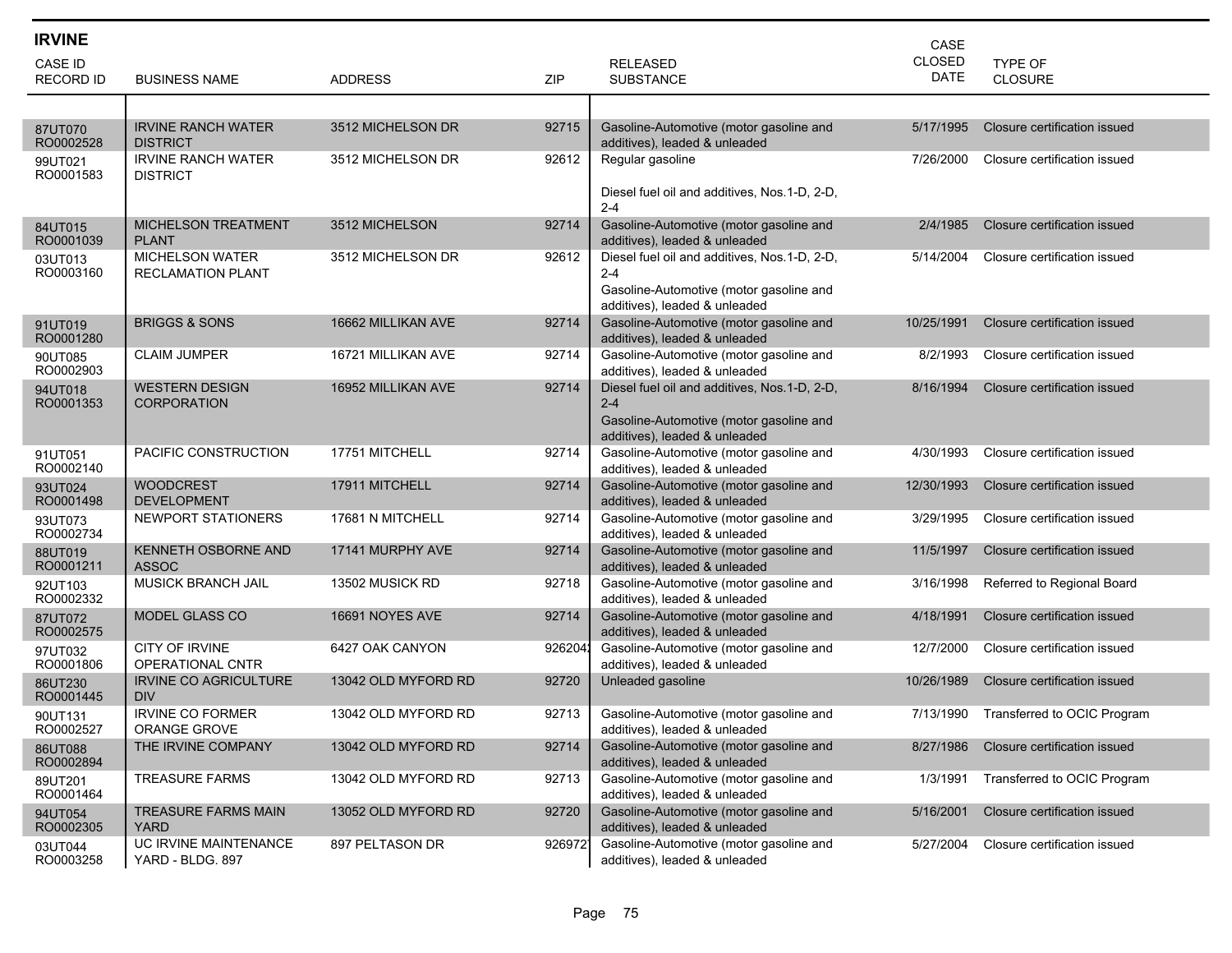| <b>IRVINE</b>        |                                                    |                     |            |                                                                          | CASE          |                              |
|----------------------|----------------------------------------------------|---------------------|------------|--------------------------------------------------------------------------|---------------|------------------------------|
| <b>CASE ID</b>       |                                                    |                     |            | <b>RELEASED</b>                                                          | <b>CLOSED</b> | <b>TYPE OF</b>               |
| <b>RECORD ID</b>     | <b>BUSINESS NAME</b>                               | <b>ADDRESS</b>      | <b>ZIP</b> | <b>SUBSTANCE</b>                                                         | DATE          | <b>CLOSURE</b>               |
|                      |                                                    |                     |            |                                                                          |               |                              |
| 87UT070<br>RO0002528 | <b>IRVINE RANCH WATER</b><br><b>DISTRICT</b>       | 3512 MICHELSON DR   | 92715      | Gasoline-Automotive (motor gasoline and<br>additives), leaded & unleaded | 5/17/1995     | Closure certification issued |
| 99UT021<br>RO0001583 | <b>IRVINE RANCH WATER</b><br><b>DISTRICT</b>       | 3512 MICHELSON DR   | 92612      | Regular gasoline                                                         | 7/26/2000     | Closure certification issued |
|                      |                                                    |                     |            | Diesel fuel oil and additives, Nos.1-D, 2-D,<br>$2 - 4$                  |               |                              |
| 84UT015<br>RO0001039 | <b>MICHELSON TREATMENT</b><br><b>PLANT</b>         | 3512 MICHELSON      | 92714      | Gasoline-Automotive (motor gasoline and<br>additives), leaded & unleaded | 2/4/1985      | Closure certification issued |
| 03UT013<br>RO0003160 | <b>MICHELSON WATER</b><br><b>RECLAMATION PLANT</b> | 3512 MICHELSON DR   | 92612      | Diesel fuel oil and additives, Nos.1-D, 2-D,<br>$2 - 4$                  | 5/14/2004     | Closure certification issued |
|                      |                                                    |                     |            | Gasoline-Automotive (motor gasoline and<br>additives), leaded & unleaded |               |                              |
| 91UT019<br>RO0001280 | <b>BRIGGS &amp; SONS</b>                           | 16662 MILLIKAN AVE  | 92714      | Gasoline-Automotive (motor gasoline and<br>additives), leaded & unleaded | 10/25/1991    | Closure certification issued |
| 90UT085<br>RO0002903 | <b>CLAIM JUMPER</b>                                | 16721 MILLIKAN AVE  | 92714      | Gasoline-Automotive (motor gasoline and<br>additives), leaded & unleaded | 8/2/1993      | Closure certification issued |
| 94UT018<br>RO0001353 | <b>WESTERN DESIGN</b><br><b>CORPORATION</b>        | 16952 MILLIKAN AVE  | 92714      | Diesel fuel oil and additives, Nos.1-D, 2-D,<br>$2 - 4$                  | 8/16/1994     | Closure certification issued |
|                      |                                                    |                     |            | Gasoline-Automotive (motor gasoline and<br>additives), leaded & unleaded |               |                              |
| 91UT051<br>RO0002140 | PACIFIC CONSTRUCTION                               | 17751 MITCHELL      | 92714      | Gasoline-Automotive (motor gasoline and<br>additives), leaded & unleaded | 4/30/1993     | Closure certification issued |
| 93UT024<br>RO0001498 | <b>WOODCREST</b><br><b>DEVELOPMENT</b>             | 17911 MITCHELL      | 92714      | Gasoline-Automotive (motor gasoline and<br>additives), leaded & unleaded | 12/30/1993    | Closure certification issued |
| 93UT073<br>RO0002734 | NEWPORT STATIONERS                                 | 17681 N MITCHELL    | 92714      | Gasoline-Automotive (motor gasoline and<br>additives), leaded & unleaded | 3/29/1995     | Closure certification issued |
| 88UT019<br>RO0001211 | <b>KENNETH OSBORNE AND</b><br><b>ASSOC</b>         | 17141 MURPHY AVE    | 92714      | Gasoline-Automotive (motor gasoline and<br>additives), leaded & unleaded | 11/5/1997     | Closure certification issued |
| 92UT103<br>RO0002332 | <b>MUSICK BRANCH JAIL</b>                          | 13502 MUSICK RD     | 92718      | Gasoline-Automotive (motor gasoline and<br>additives), leaded & unleaded | 3/16/1998     | Referred to Regional Board   |
| 87UT072<br>RO0002575 | <b>MODEL GLASS CO</b>                              | 16691 NOYES AVE     | 92714      | Gasoline-Automotive (motor gasoline and<br>additives), leaded & unleaded | 4/18/1991     | Closure certification issued |
| 97UT032<br>RO0001806 | CITY OF IRVINE<br><b>OPERATIONAL CNTR</b>          | 6427 OAK CANYON     | 9262041    | Gasoline-Automotive (motor gasoline and<br>additives), leaded & unleaded | 12/7/2000     | Closure certification issued |
| 86UT230<br>RO0001445 | <b>IRVINE CO AGRICULTURE</b><br><b>DIV</b>         | 13042 OLD MYFORD RD | 92720      | Unleaded gasoline                                                        | 10/26/1989    | Closure certification issued |
| 90UT131<br>RO0002527 | <b>IRVINE CO FORMER</b><br>ORANGE GROVE            | 13042 OLD MYFORD RD | 92713      | Gasoline-Automotive (motor gasoline and<br>additives), leaded & unleaded | 7/13/1990     | Transferred to OCIC Program  |
| 86UT088<br>RO0002894 | THE IRVINE COMPANY                                 | 13042 OLD MYFORD RD | 92714      | Gasoline-Automotive (motor gasoline and<br>additives), leaded & unleaded | 8/27/1986     | Closure certification issued |
| 89UT201<br>RO0001464 | <b>TREASURE FARMS</b>                              | 13042 OLD MYFORD RD | 92713      | Gasoline-Automotive (motor gasoline and<br>additives), leaded & unleaded | 1/3/1991      | Transferred to OCIC Program  |
| 94UT054<br>RO0002305 | <b>TREASURE FARMS MAIN</b><br><b>YARD</b>          | 13052 OLD MYFORD RD | 92720      | Gasoline-Automotive (motor gasoline and<br>additives), leaded & unleaded | 5/16/2001     | Closure certification issued |
| 03UT044<br>RO0003258 | UC IRVINE MAINTENANCE<br>YARD - BLDG. 897          | 897 PELTASON DR     | 9269721    | Gasoline-Automotive (motor gasoline and<br>additives), leaded & unleaded | 5/27/2004     | Closure certification issued |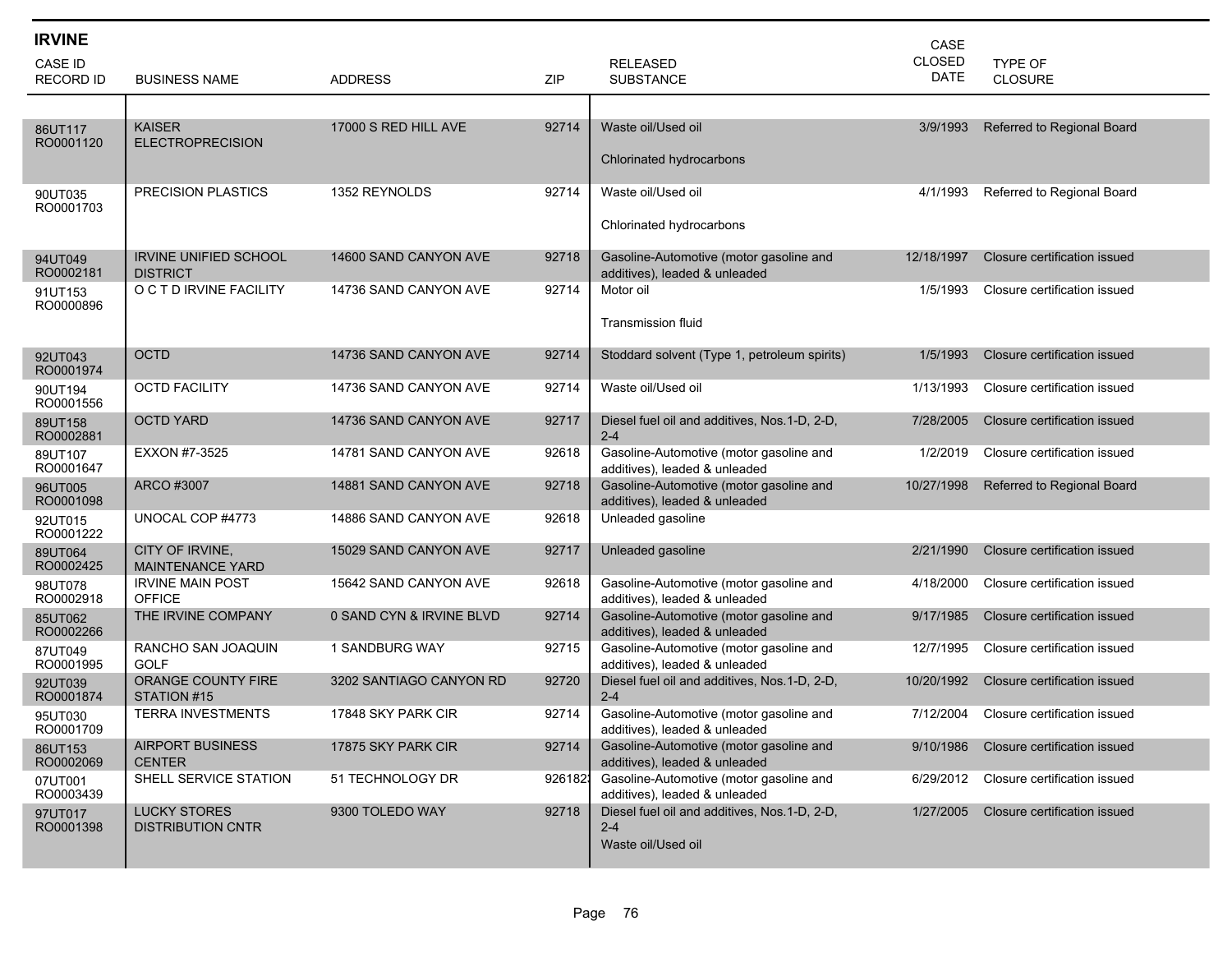| <b>IRVINE</b><br>CASE ID<br><b>RECORD ID</b> | <b>BUSINESS NAME</b>                            | <b>ADDRESS</b>           | ZIP     | <b>RELEASED</b><br><b>SUBSTANCE</b>                                           | CASE<br><b>CLOSED</b><br><b>DATE</b> | <b>TYPE OF</b><br><b>CLOSURE</b> |
|----------------------------------------------|-------------------------------------------------|--------------------------|---------|-------------------------------------------------------------------------------|--------------------------------------|----------------------------------|
| 86UT117<br>RO0001120                         | <b>KAISER</b><br><b>ELECTROPRECISION</b>        | 17000 S RED HILL AVE     | 92714   | Waste oil/Used oil<br>Chlorinated hydrocarbons                                | 3/9/1993                             | Referred to Regional Board       |
| 90UT035<br>RO0001703                         | <b>PRECISION PLASTICS</b>                       | 1352 REYNOLDS            | 92714   | Waste oil/Used oil<br>Chlorinated hydrocarbons                                | 4/1/1993                             | Referred to Regional Board       |
| 94UT049<br>RO0002181                         | <b>IRVINE UNIFIED SCHOOL</b><br><b>DISTRICT</b> | 14600 SAND CANYON AVE    | 92718   | Gasoline-Automotive (motor gasoline and<br>additives), leaded & unleaded      | 12/18/1997                           | Closure certification issued     |
| 91UT153<br>RO0000896                         | O C T D IRVINE FACILITY                         | 14736 SAND CANYON AVE    | 92714   | Motor oil<br><b>Transmission fluid</b>                                        | 1/5/1993                             | Closure certification issued     |
| 92UT043<br>RO0001974                         | <b>OCTD</b>                                     | 14736 SAND CANYON AVE    | 92714   | Stoddard solvent (Type 1, petroleum spirits)                                  | 1/5/1993                             | Closure certification issued     |
| 90UT194<br>RO0001556                         | <b>OCTD FACILITY</b>                            | 14736 SAND CANYON AVE    | 92714   | Waste oil/Used oil                                                            | 1/13/1993                            | Closure certification issued     |
| 89UT158<br>RO0002881                         | <b>OCTD YARD</b>                                | 14736 SAND CANYON AVE    | 92717   | Diesel fuel oil and additives, Nos.1-D, 2-D,<br>$2 - 4$                       | 7/28/2005                            | Closure certification issued     |
| 89UT107<br>RO0001647                         | EXXON #7-3525                                   | 14781 SAND CANYON AVE    | 92618   | Gasoline-Automotive (motor gasoline and<br>additives), leaded & unleaded      | 1/2/2019                             | Closure certification issued     |
| 96UT005<br>RO0001098                         | ARCO #3007                                      | 14881 SAND CANYON AVE    | 92718   | Gasoline-Automotive (motor gasoline and<br>additives), leaded & unleaded      | 10/27/1998                           | Referred to Regional Board       |
| 92UT015<br>RO0001222                         | UNOCAL COP #4773                                | 14886 SAND CANYON AVE    | 92618   | Unleaded gasoline                                                             |                                      |                                  |
| 89UT064<br>RO0002425                         | CITY OF IRVINE,<br><b>MAINTENANCE YARD</b>      | 15029 SAND CANYON AVE    | 92717   | Unleaded gasoline                                                             | 2/21/1990                            | Closure certification issued     |
| 98UT078<br>RO0002918                         | <b>IRVINE MAIN POST</b><br><b>OFFICE</b>        | 15642 SAND CANYON AVE    | 92618   | Gasoline-Automotive (motor gasoline and<br>additives), leaded & unleaded      | 4/18/2000                            | Closure certification issued     |
| 85UT062<br>RO0002266                         | THE IRVINE COMPANY                              | 0 SAND CYN & IRVINE BLVD | 92714   | Gasoline-Automotive (motor gasoline and<br>additives), leaded & unleaded      | 9/17/1985                            | Closure certification issued     |
| 87UT049<br>RO0001995                         | RANCHO SAN JOAQUIN<br><b>GOLF</b>               | 1 SANDBURG WAY           | 92715   | Gasoline-Automotive (motor gasoline and<br>additives), leaded & unleaded      | 12/7/1995                            | Closure certification issued     |
| 92UT039<br>RO0001874                         | ORANGE COUNTY FIRE<br>STATION #15               | 3202 SANTIAGO CANYON RD  | 92720   | Diesel fuel oil and additives, Nos.1-D, 2-D,<br>$2 - 4$                       | 10/20/1992                           | Closure certification issued     |
| 95UT030<br>RO0001709                         | <b>TERRA INVESTMENTS</b>                        | 17848 SKY PARK CIR       | 92714   | Gasoline-Automotive (motor gasoline and<br>additives), leaded & unleaded      | 7/12/2004                            | Closure certification issued     |
| 86UT153<br>RO0002069                         | <b>AIRPORT BUSINESS</b><br><b>CENTER</b>        | 17875 SKY PARK CIR       | 92714   | Gasoline-Automotive (motor gasoline and<br>additives), leaded & unleaded      | 9/10/1986                            | Closure certification issued     |
| 07UT001<br>RO0003439                         | SHELL SERVICE STATION                           | 51 TECHNOLOGY DR         | 9261821 | Gasoline-Automotive (motor gasoline and<br>additives), leaded & unleaded      | 6/29/2012                            | Closure certification issued     |
| 97UT017<br>RO0001398                         | <b>LUCKY STORES</b><br><b>DISTRIBUTION CNTR</b> | 9300 TOLEDO WAY          | 92718   | Diesel fuel oil and additives, Nos.1-D, 2-D,<br>$2 - 4$<br>Waste oil/Used oil | 1/27/2005                            | Closure certification issued     |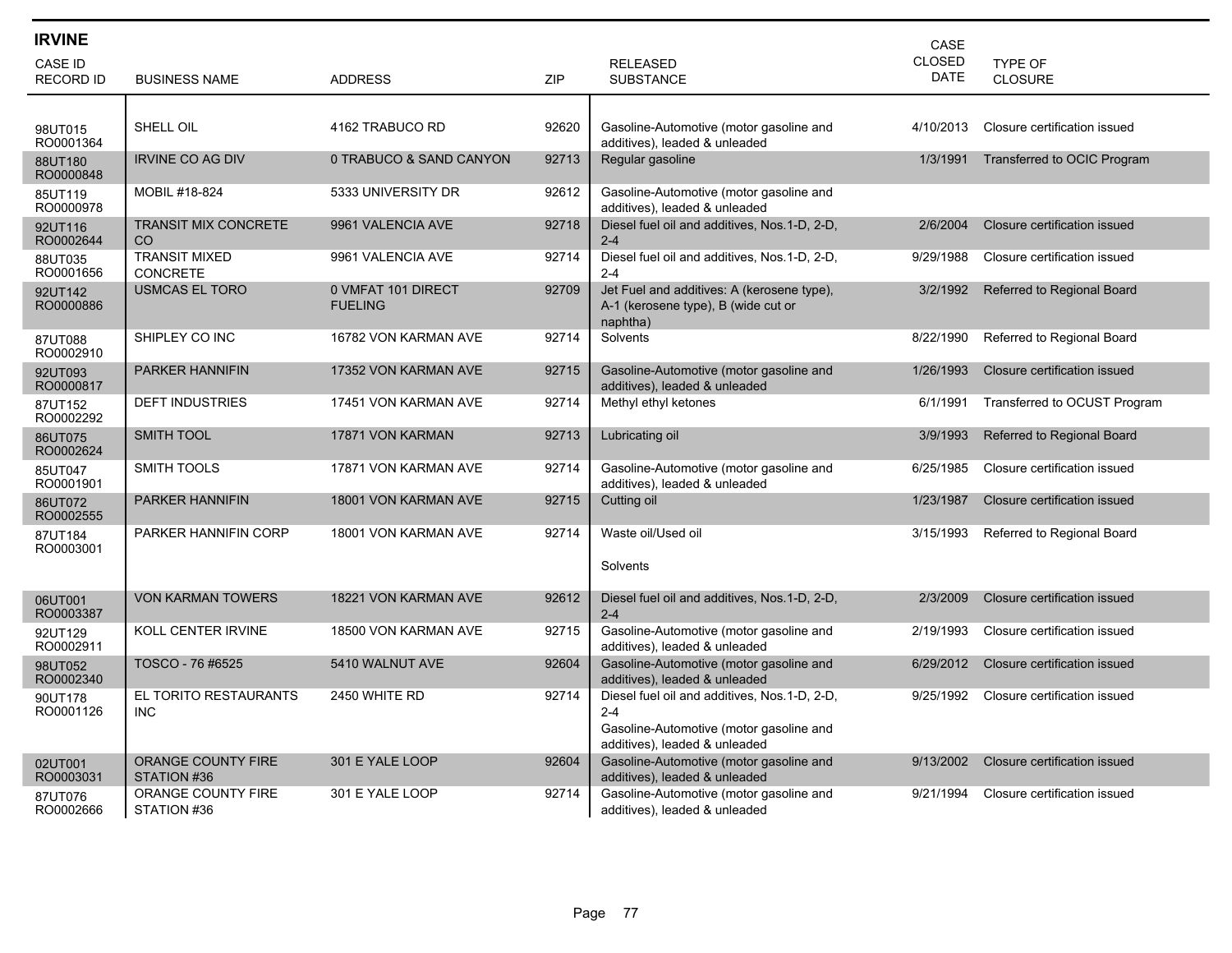| <b>IRVINE</b>                      |                                          |                                      |            |                                                                                                                                     | CASE                         |                              |
|------------------------------------|------------------------------------------|--------------------------------------|------------|-------------------------------------------------------------------------------------------------------------------------------------|------------------------------|------------------------------|
| <b>CASE ID</b><br><b>RECORD ID</b> | <b>BUSINESS NAME</b>                     | <b>ADDRESS</b>                       | <b>ZIP</b> | <b>RELEASED</b><br><b>SUBSTANCE</b>                                                                                                 | <b>CLOSED</b><br><b>DATE</b> | TYPE OF<br><b>CLOSURE</b>    |
|                                    |                                          |                                      |            |                                                                                                                                     |                              |                              |
| 98UT015<br>RO0001364               | SHELL OIL                                | 4162 TRABUCO RD                      | 92620      | Gasoline-Automotive (motor gasoline and<br>additives), leaded & unleaded                                                            | 4/10/2013                    | Closure certification issued |
| 88UT180<br>RO0000848               | <b>IRVINE CO AG DIV</b>                  | 0 TRABUCO & SAND CANYON              | 92713      | Regular gasoline                                                                                                                    | 1/3/1991                     | Transferred to OCIC Program  |
| 85UT119<br>RO0000978               | MOBIL #18-824                            | 5333 UNIVERSITY DR                   | 92612      | Gasoline-Automotive (motor gasoline and<br>additives), leaded & unleaded                                                            |                              |                              |
| 92UT116<br>RO0002644               | <b>TRANSIT MIX CONCRETE</b><br><b>CO</b> | 9961 VALENCIA AVE                    | 92718      | Diesel fuel oil and additives, Nos.1-D, 2-D,<br>$2 - 4$                                                                             | 2/6/2004                     | Closure certification issued |
| 88UT035<br>RO0001656               | <b>TRANSIT MIXED</b><br><b>CONCRETE</b>  | 9961 VALENCIA AVE                    | 92714      | Diesel fuel oil and additives, Nos.1-D, 2-D,<br>$2 - 4$                                                                             | 9/29/1988                    | Closure certification issued |
| 92UT142<br>RO0000886               | <b>USMCAS EL TORO</b>                    | 0 VMFAT 101 DIRECT<br><b>FUELING</b> | 92709      | Jet Fuel and additives: A (kerosene type),<br>A-1 (kerosene type), B (wide cut or<br>naphtha)                                       | 3/2/1992                     | Referred to Regional Board   |
| 87UT088<br>RO0002910               | SHIPLEY CO INC                           | 16782 VON KARMAN AVE                 | 92714      | Solvents                                                                                                                            | 8/22/1990                    | Referred to Regional Board   |
| 92UT093<br>RO0000817               | <b>PARKER HANNIFIN</b>                   | 17352 VON KARMAN AVE                 | 92715      | Gasoline-Automotive (motor gasoline and<br>additives), leaded & unleaded                                                            | 1/26/1993                    | Closure certification issued |
| 87UT152<br>RO0002292               | <b>DEFT INDUSTRIES</b>                   | 17451 VON KARMAN AVE                 | 92714      | Methyl ethyl ketones                                                                                                                | 6/1/1991                     | Transferred to OCUST Program |
| 86UT075<br>RO0002624               | <b>SMITH TOOL</b>                        | 17871 VON KARMAN                     | 92713      | Lubricating oil                                                                                                                     | 3/9/1993                     | Referred to Regional Board   |
| 85UT047<br>RO0001901               | <b>SMITH TOOLS</b>                       | 17871 VON KARMAN AVE                 | 92714      | Gasoline-Automotive (motor gasoline and<br>additives), leaded & unleaded                                                            | 6/25/1985                    | Closure certification issued |
| 86UT072<br>RO0002555               | <b>PARKER HANNIFIN</b>                   | 18001 VON KARMAN AVE                 | 92715      | Cutting oil                                                                                                                         | 1/23/1987                    | Closure certification issued |
| 87UT184<br>RO0003001               | PARKER HANNIFIN CORP                     | 18001 VON KARMAN AVE                 | 92714      | Waste oil/Used oil                                                                                                                  | 3/15/1993                    | Referred to Regional Board   |
|                                    |                                          |                                      |            | Solvents                                                                                                                            |                              |                              |
| 06UT001<br>RO0003387               | <b>VON KARMAN TOWERS</b>                 | 18221 VON KARMAN AVE                 | 92612      | Diesel fuel oil and additives, Nos.1-D, 2-D,<br>$2 - 4$                                                                             | 2/3/2009                     | Closure certification issued |
| 92UT129<br>RO0002911               | KOLL CENTER IRVINE                       | 18500 VON KARMAN AVE                 | 92715      | Gasoline-Automotive (motor gasoline and<br>additives), leaded & unleaded                                                            | 2/19/1993                    | Closure certification issued |
| 98UT052<br>RO0002340               | TOSCO - 76 #6525                         | 5410 WALNUT AVE                      | 92604      | Gasoline-Automotive (motor gasoline and<br>additives), leaded & unleaded                                                            | 6/29/2012                    | Closure certification issued |
| 90UT178<br>RO0001126               | EL TORITO RESTAURANTS<br>INC             | 2450 WHITE RD                        | 92714      | Diesel fuel oil and additives, Nos.1-D, 2-D,<br>$2 - 4$<br>Gasoline-Automotive (motor gasoline and<br>additives), leaded & unleaded | 9/25/1992                    | Closure certification issued |
| 02UT001<br>RO0003031               | <b>ORANGE COUNTY FIRE</b><br>STATION #36 | 301 E YALE LOOP                      | 92604      | Gasoline-Automotive (motor gasoline and<br>additives), leaded & unleaded                                                            | 9/13/2002                    | Closure certification issued |
| 87UT076<br>RO0002666               | ORANGE COUNTY FIRE<br>STATION #36        | 301 E YALE LOOP                      | 92714      | Gasoline-Automotive (motor gasoline and<br>additives), leaded & unleaded                                                            | 9/21/1994                    | Closure certification issued |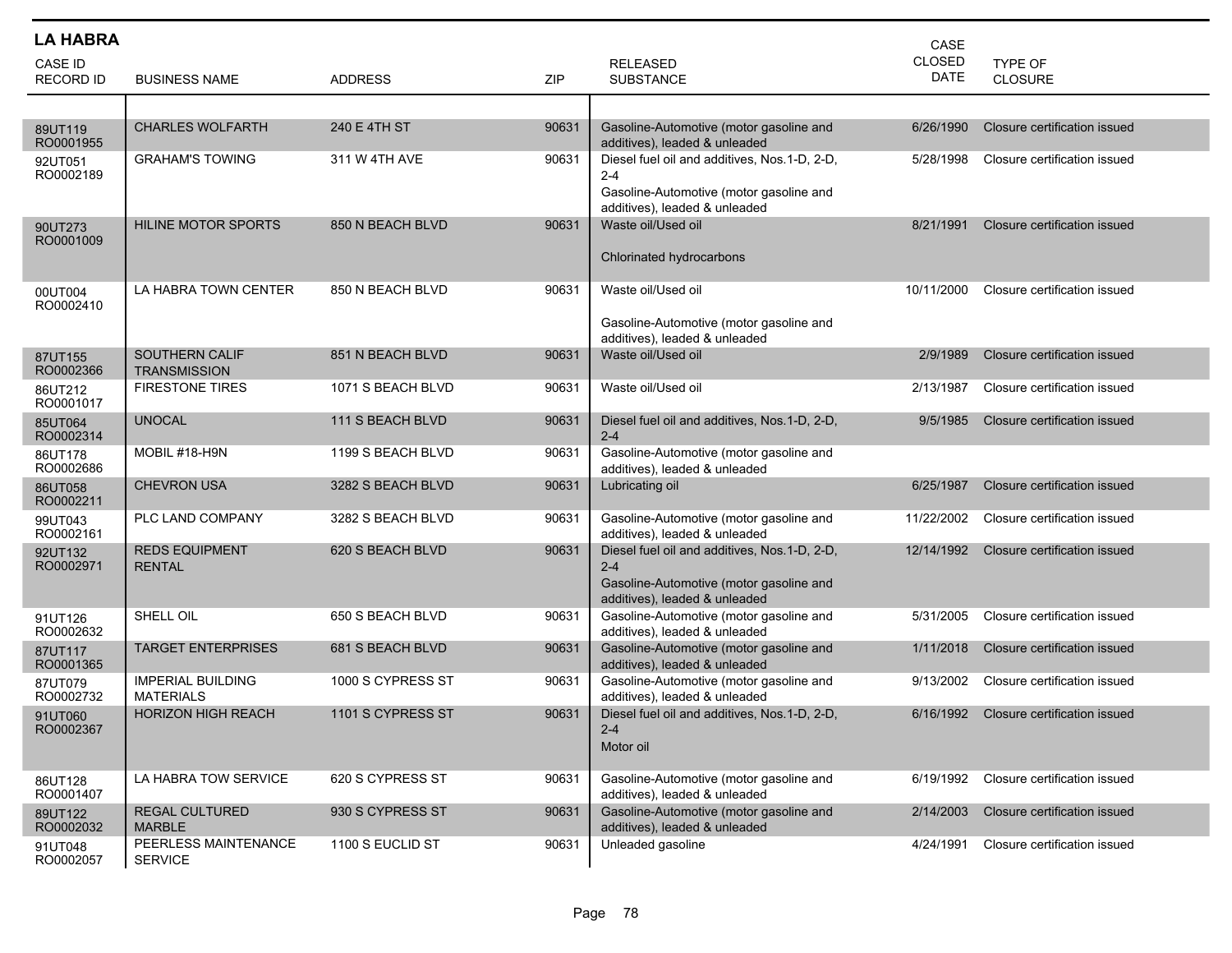| <b>LA HABRA</b>      |                                              |                   |       |                                                                          | CASE                  |                              |
|----------------------|----------------------------------------------|-------------------|-------|--------------------------------------------------------------------------|-----------------------|------------------------------|
| CASE ID              |                                              |                   |       | <b>RELEASED</b>                                                          | CLOSED<br><b>DATE</b> | TYPE OF                      |
| RECORD ID            | <b>BUSINESS NAME</b>                         | <b>ADDRESS</b>    | ZIP   | <b>SUBSTANCE</b>                                                         |                       | CLOSURE                      |
|                      |                                              |                   |       |                                                                          |                       |                              |
| 89UT119<br>RO0001955 | <b>CHARLES WOLFARTH</b>                      | 240 E 4TH ST      | 90631 | Gasoline-Automotive (motor gasoline and<br>additives), leaded & unleaded | 6/26/1990             | Closure certification issued |
| 92UT051              | <b>GRAHAM'S TOWING</b>                       | 311 W 4TH AVE     | 90631 | Diesel fuel oil and additives, Nos.1-D, 2-D,                             | 5/28/1998             | Closure certification issued |
| RO0002189            |                                              |                   |       | $2 - 4$<br>Gasoline-Automotive (motor gasoline and                       |                       |                              |
|                      |                                              |                   |       | additives), leaded & unleaded                                            |                       |                              |
| 90UT273<br>RO0001009 | HILINE MOTOR SPORTS                          | 850 N BEACH BLVD  | 90631 | Waste oil/Used oil                                                       | 8/21/1991             | Closure certification issued |
|                      |                                              |                   |       | Chlorinated hydrocarbons                                                 |                       |                              |
|                      |                                              |                   |       | Waste oil/Used oil                                                       |                       |                              |
| 00UT004<br>RO0002410 | LA HABRA TOWN CENTER                         | 850 N BEACH BLVD  | 90631 |                                                                          | 10/11/2000            | Closure certification issued |
|                      |                                              |                   |       | Gasoline-Automotive (motor gasoline and                                  |                       |                              |
| 87UT155              | <b>SOUTHERN CALIF</b>                        | 851 N BEACH BLVD  | 90631 | additives), leaded & unleaded<br>Waste oil/Used oil                      | 2/9/1989              | Closure certification issued |
| RO0002366            | <b>TRANSMISSION</b>                          |                   |       |                                                                          |                       |                              |
| 86UT212<br>RO0001017 | <b>FIRESTONE TIRES</b>                       | 1071 S BEACH BLVD | 90631 | Waste oil/Used oil                                                       | 2/13/1987             | Closure certification issued |
| 85UT064<br>RO0002314 | <b>UNOCAL</b>                                | 111 S BEACH BLVD  | 90631 | Diesel fuel oil and additives, Nos.1-D, 2-D,<br>$2 - 4$                  | 9/5/1985              | Closure certification issued |
| 86UT178<br>RO0002686 | MOBIL #18-H9N                                | 1199 S BEACH BLVD | 90631 | Gasoline-Automotive (motor gasoline and<br>additives), leaded & unleaded |                       |                              |
| 86UT058<br>RO0002211 | <b>CHEVRON USA</b>                           | 3282 S BEACH BLVD | 90631 | Lubricating oil                                                          | 6/25/1987             | Closure certification issued |
| 99UT043<br>RO0002161 | PLC LAND COMPANY                             | 3282 S BEACH BLVD | 90631 | Gasoline-Automotive (motor gasoline and<br>additives), leaded & unleaded | 11/22/2002            | Closure certification issued |
| 92UT132              | <b>REDS EQUIPMENT</b>                        | 620 S BEACH BLVD  | 90631 | Diesel fuel oil and additives, Nos.1-D, 2-D,                             | 12/14/1992            | Closure certification issued |
| RO0002971            | <b>RENTAL</b>                                |                   |       | $2 - 4$<br>Gasoline-Automotive (motor gasoline and                       |                       |                              |
|                      |                                              |                   |       | additives), leaded & unleaded                                            |                       |                              |
| 91UT126<br>RO0002632 | SHELL OIL                                    | 650 S BEACH BLVD  | 90631 | Gasoline-Automotive (motor gasoline and<br>additives), leaded & unleaded | 5/31/2005             | Closure certification issued |
| 87UT117<br>RO0001365 | <b>TARGET ENTERPRISES</b>                    | 681 S BEACH BLVD  | 90631 | Gasoline-Automotive (motor gasoline and<br>additives), leaded & unleaded | 1/11/2018             | Closure certification issued |
| 87UT079<br>RO0002732 | <b>IMPERIAL BUILDING</b><br><b>MATERIALS</b> | 1000 S CYPRESS ST | 90631 | Gasoline-Automotive (motor gasoline and<br>additives), leaded & unleaded | 9/13/2002             | Closure certification issued |
| 91UT060              | <b>HORIZON HIGH REACH</b>                    | 1101 S CYPRESS ST | 90631 | Diesel fuel oil and additives, Nos.1-D, 2-D,                             | 6/16/1992             | Closure certification issued |
| RO0002367            |                                              |                   |       | 2-4<br>Motor oil                                                         |                       |                              |
|                      |                                              |                   |       |                                                                          |                       |                              |
| 86UT128<br>RO0001407 | LA HABRA TOW SERVICE                         | 620 S CYPRESS ST  | 90631 | Gasoline-Automotive (motor gasoline and<br>additives), leaded & unleaded | 6/19/1992             | Closure certification issued |
| 89UT122<br>RO0002032 | <b>REGAL CULTURED</b><br><b>MARBLE</b>       | 930 S CYPRESS ST  | 90631 | Gasoline-Automotive (motor gasoline and<br>additives), leaded & unleaded | 2/14/2003             | Closure certification issued |
| 91UT048<br>RO0002057 | PEERLESS MAINTENANCE<br><b>SERVICE</b>       | 1100 S EUCLID ST  | 90631 | Unleaded gasoline                                                        | 4/24/1991             | Closure certification issued |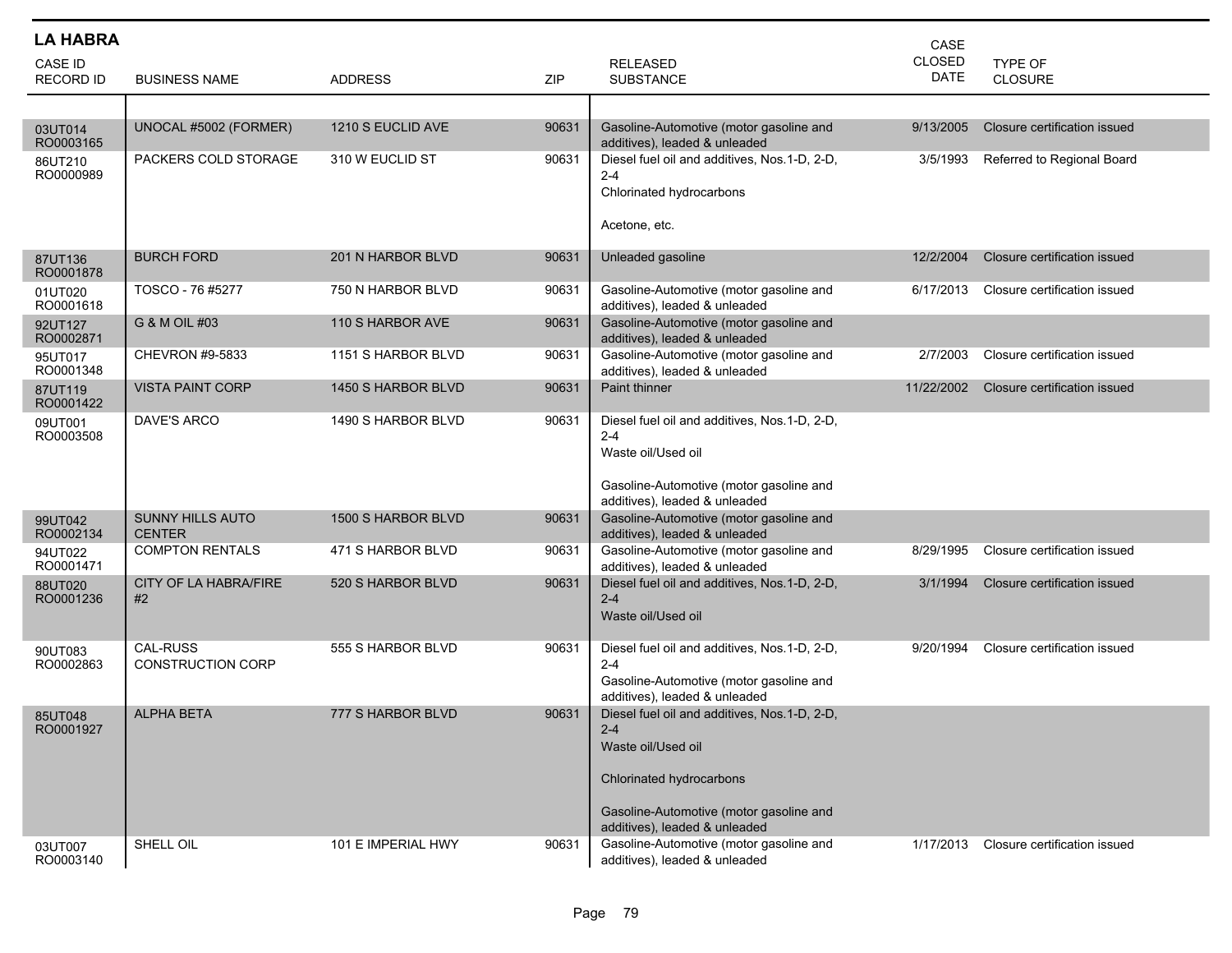| <b>LA HABRA</b>                    |                                             |                    |       |                                                                                                                                                                                       | CASE                         |                              |
|------------------------------------|---------------------------------------------|--------------------|-------|---------------------------------------------------------------------------------------------------------------------------------------------------------------------------------------|------------------------------|------------------------------|
| <b>CASE ID</b><br><b>RECORD ID</b> | <b>BUSINESS NAME</b>                        | <b>ADDRESS</b>     | ZIP   | <b>RELEASED</b><br><b>SUBSTANCE</b>                                                                                                                                                   | <b>CLOSED</b><br><b>DATE</b> | TYPE OF<br><b>CLOSURE</b>    |
|                                    |                                             |                    |       |                                                                                                                                                                                       |                              |                              |
| 03UT014<br>RO0003165               | UNOCAL #5002 (FORMER)                       | 1210 S EUCLID AVE  | 90631 | Gasoline-Automotive (motor gasoline and<br>additives), leaded & unleaded                                                                                                              | 9/13/2005                    | Closure certification issued |
| 86UT210<br>RO0000989               | PACKERS COLD STORAGE                        | 310 W EUCLID ST    | 90631 | Diesel fuel oil and additives, Nos.1-D, 2-D,<br>$2 - 4$<br>Chlorinated hydrocarbons<br>Acetone, etc.                                                                                  | 3/5/1993                     | Referred to Regional Board   |
| 87UT136<br>RO0001878               | <b>BURCH FORD</b>                           | 201 N HARBOR BLVD  | 90631 | Unleaded gasoline                                                                                                                                                                     | 12/2/2004                    | Closure certification issued |
| 01UT020<br>RO0001618               | TOSCO - 76 #5277                            | 750 N HARBOR BLVD  | 90631 | Gasoline-Automotive (motor gasoline and<br>additives), leaded & unleaded                                                                                                              | 6/17/2013                    | Closure certification issued |
| 92UT127<br>RO0002871               | G & M OIL #03                               | 110 S HARBOR AVE   | 90631 | Gasoline-Automotive (motor gasoline and<br>additives), leaded & unleaded                                                                                                              |                              |                              |
| 95UT017<br>RO0001348               | CHEVRON #9-5833                             | 1151 S HARBOR BLVD | 90631 | Gasoline-Automotive (motor gasoline and<br>additives), leaded & unleaded                                                                                                              | 2/7/2003                     | Closure certification issued |
| 87UT119<br>RO0001422               | <b>VISTA PAINT CORP</b>                     | 1450 S HARBOR BLVD | 90631 | Paint thinner                                                                                                                                                                         | 11/22/2002                   | Closure certification issued |
| 09UT001<br>RO0003508               | DAVE'S ARCO                                 | 1490 S HARBOR BLVD | 90631 | Diesel fuel oil and additives, Nos.1-D, 2-D,<br>$2 - 4$<br>Waste oil/Used oil<br>Gasoline-Automotive (motor gasoline and<br>additives), leaded & unleaded                             |                              |                              |
| 99UT042<br>RO0002134               | <b>SUNNY HILLS AUTO</b><br><b>CENTER</b>    | 1500 S HARBOR BLVD | 90631 | Gasoline-Automotive (motor gasoline and<br>additives), leaded & unleaded                                                                                                              |                              |                              |
| 94UT022<br>RO0001471               | <b>COMPTON RENTALS</b>                      | 471 S HARBOR BLVD  | 90631 | Gasoline-Automotive (motor gasoline and<br>additives), leaded & unleaded                                                                                                              | 8/29/1995                    | Closure certification issued |
| 88UT020<br>RO0001236               | CITY OF LA HABRA/FIRE<br>#2                 | 520 S HARBOR BLVD  | 90631 | Diesel fuel oil and additives, Nos.1-D, 2-D,<br>$2 - 4$<br>Waste oil/Used oil                                                                                                         | 3/1/1994                     | Closure certification issued |
| 90UT083<br>RO0002863               | <b>CAL-RUSS</b><br><b>CONSTRUCTION CORP</b> | 555 S HARBOR BLVD  | 90631 | Diesel fuel oil and additives, Nos.1-D, 2-D,<br>$2 - 4$<br>Gasoline-Automotive (motor gasoline and<br>additives), leaded & unleaded                                                   | 9/20/1994                    | Closure certification issued |
| 85UT048<br>RO0001927               | <b>ALPHA BETA</b>                           | 777 S HARBOR BLVD  | 90631 | Diesel fuel oil and additives, Nos.1-D, 2-D,<br>$2 - 4$<br>Waste oil/Used oil<br>Chlorinated hydrocarbons<br>Gasoline-Automotive (motor gasoline and<br>additives), leaded & unleaded |                              |                              |
| 03UT007<br>RO0003140               | SHELL OIL                                   | 101 E IMPERIAL HWY | 90631 | Gasoline-Automotive (motor gasoline and<br>additives), leaded & unleaded                                                                                                              | 1/17/2013                    | Closure certification issued |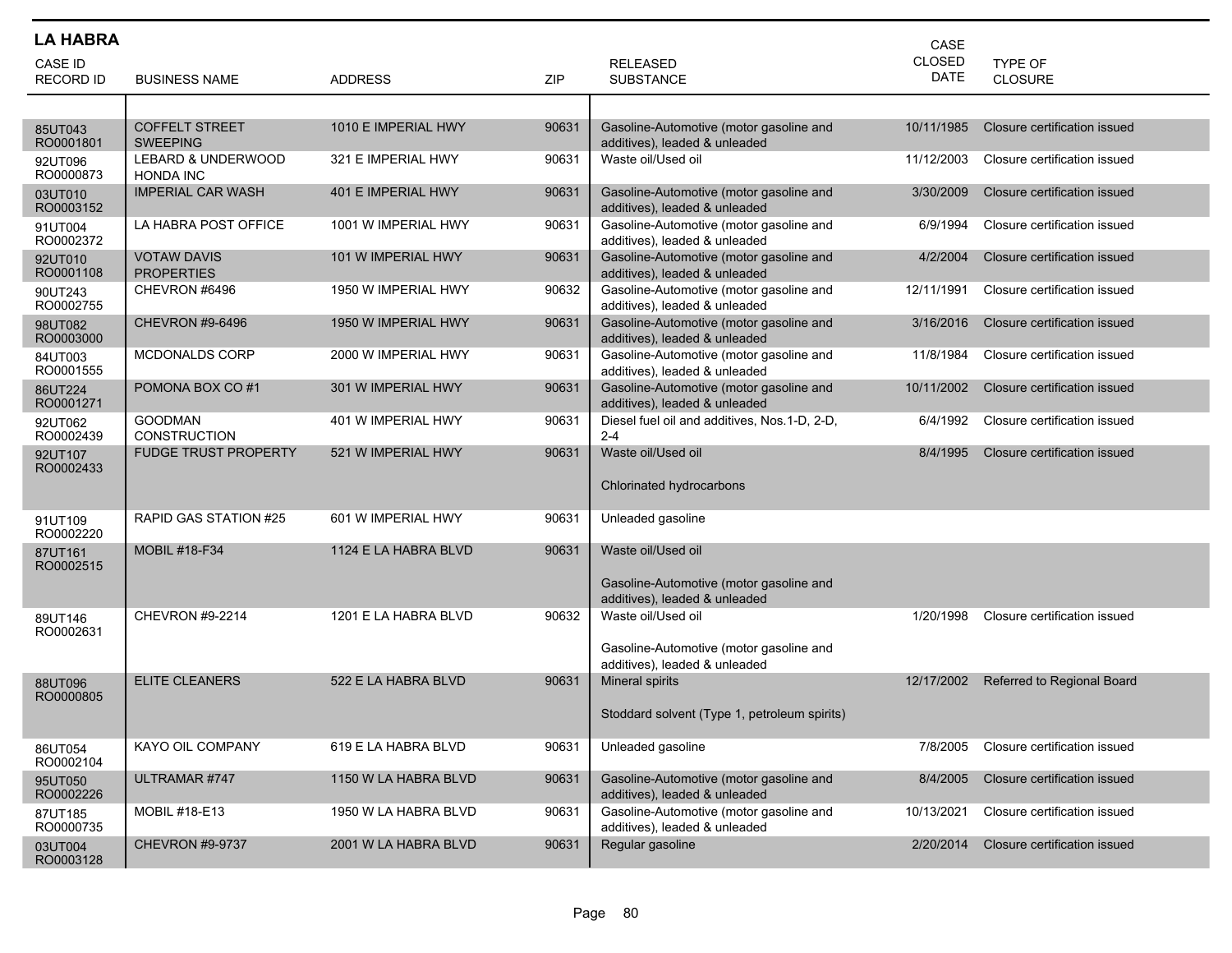| <b>LA HABRA</b>             |                                          |                      |       |                                                                          | CASE                         |                              |
|-----------------------------|------------------------------------------|----------------------|-------|--------------------------------------------------------------------------|------------------------------|------------------------------|
| CASE ID<br><b>RECORD ID</b> | <b>BUSINESS NAME</b>                     | <b>ADDRESS</b>       | ZIP   | <b>RELEASED</b><br><b>SUBSTANCE</b>                                      | <b>CLOSED</b><br><b>DATE</b> | TYPE OF<br><b>CLOSURE</b>    |
|                             |                                          |                      |       |                                                                          |                              |                              |
| 85UT043<br>RO0001801        | <b>COFFELT STREET</b><br><b>SWEEPING</b> | 1010 E IMPERIAL HWY  | 90631 | Gasoline-Automotive (motor gasoline and<br>additives), leaded & unleaded | 10/11/1985                   | Closure certification issued |
| 92UT096<br>RO0000873        | LEBARD & UNDERWOOD<br><b>HONDA INC</b>   | 321 E IMPERIAL HWY   | 90631 | Waste oil/Used oil                                                       | 11/12/2003                   | Closure certification issued |
| 03UT010<br>RO0003152        | <b>IMPERIAL CAR WASH</b>                 | 401 E IMPERIAL HWY   | 90631 | Gasoline-Automotive (motor gasoline and<br>additives), leaded & unleaded | 3/30/2009                    | Closure certification issued |
| 91UT004<br>RO0002372        | LA HABRA POST OFFICE                     | 1001 W IMPERIAL HWY  | 90631 | Gasoline-Automotive (motor gasoline and<br>additives), leaded & unleaded | 6/9/1994                     | Closure certification issued |
| 92UT010<br>RO0001108        | <b>VOTAW DAVIS</b><br><b>PROPERTIES</b>  | 101 W IMPERIAL HWY   | 90631 | Gasoline-Automotive (motor gasoline and<br>additives), leaded & unleaded | 4/2/2004                     | Closure certification issued |
| 90UT243<br>RO0002755        | CHEVRON #6496                            | 1950 W IMPERIAL HWY  | 90632 | Gasoline-Automotive (motor gasoline and<br>additives), leaded & unleaded | 12/11/1991                   | Closure certification issued |
| 98UT082<br>RO0003000        | <b>CHEVRON #9-6496</b>                   | 1950 W IMPERIAL HWY  | 90631 | Gasoline-Automotive (motor gasoline and<br>additives), leaded & unleaded | 3/16/2016                    | Closure certification issued |
| 84UT003<br>RO0001555        | MCDONALDS CORP                           | 2000 W IMPERIAL HWY  | 90631 | Gasoline-Automotive (motor gasoline and<br>additives), leaded & unleaded | 11/8/1984                    | Closure certification issued |
| 86UT224<br>RO0001271        | POMONA BOX CO#1                          | 301 W IMPERIAL HWY   | 90631 | Gasoline-Automotive (motor gasoline and<br>additives), leaded & unleaded | 10/11/2002                   | Closure certification issued |
| 92UT062<br>RO0002439        | <b>GOODMAN</b><br><b>CONSTRUCTION</b>    | 401 W IMPERIAL HWY   | 90631 | Diesel fuel oil and additives, Nos.1-D, 2-D,<br>$2 - 4$                  | 6/4/1992                     | Closure certification issued |
| 92UT107<br>RO0002433        | <b>FUDGE TRUST PROPERTY</b>              | 521 W IMPERIAL HWY   | 90631 | Waste oil/Used oil<br>Chlorinated hydrocarbons                           | 8/4/1995                     | Closure certification issued |
| 91UT109<br>RO0002220        | RAPID GAS STATION #25                    | 601 W IMPERIAL HWY   | 90631 | Unleaded gasoline                                                        |                              |                              |
| 87UT161<br>RO0002515        | <b>MOBIL #18-F34</b>                     | 1124 E LA HABRA BLVD | 90631 | Waste oil/Used oil<br>Gasoline-Automotive (motor gasoline and            |                              |                              |
| 89UT146                     | CHEVRON #9-2214                          | 1201 E LA HABRA BLVD | 90632 | additives), leaded & unleaded<br>Waste oil/Used oil                      | 1/20/1998                    | Closure certification issued |
| RO0002631                   |                                          |                      |       | Gasoline-Automotive (motor gasoline and<br>additives), leaded & unleaded |                              |                              |
| 88UT096<br>RO0000805        | <b>ELITE CLEANERS</b>                    | 522 E LA HABRA BLVD  | 90631 | <b>Mineral spirits</b>                                                   | 12/17/2002                   | Referred to Regional Board   |
|                             |                                          |                      |       | Stoddard solvent (Type 1, petroleum spirits)                             |                              |                              |
| 86UT054<br>RO0002104        | KAYO OIL COMPANY                         | 619 E LA HABRA BLVD  | 90631 | Unleaded gasoline                                                        | 7/8/2005                     | Closure certification issued |
| 95UT050<br>RO0002226        | ULTRAMAR #747                            | 1150 W LA HABRA BLVD | 90631 | Gasoline-Automotive (motor gasoline and<br>additives), leaded & unleaded | 8/4/2005                     | Closure certification issued |
| 87UT185<br>RO0000735        | MOBIL #18-E13                            | 1950 W LA HABRA BLVD | 90631 | Gasoline-Automotive (motor gasoline and<br>additives), leaded & unleaded | 10/13/2021                   | Closure certification issued |
| 03UT004<br>RO0003128        | <b>CHEVRON #9-9737</b>                   | 2001 W LA HABRA BLVD | 90631 | Regular gasoline                                                         | 2/20/2014                    | Closure certification issued |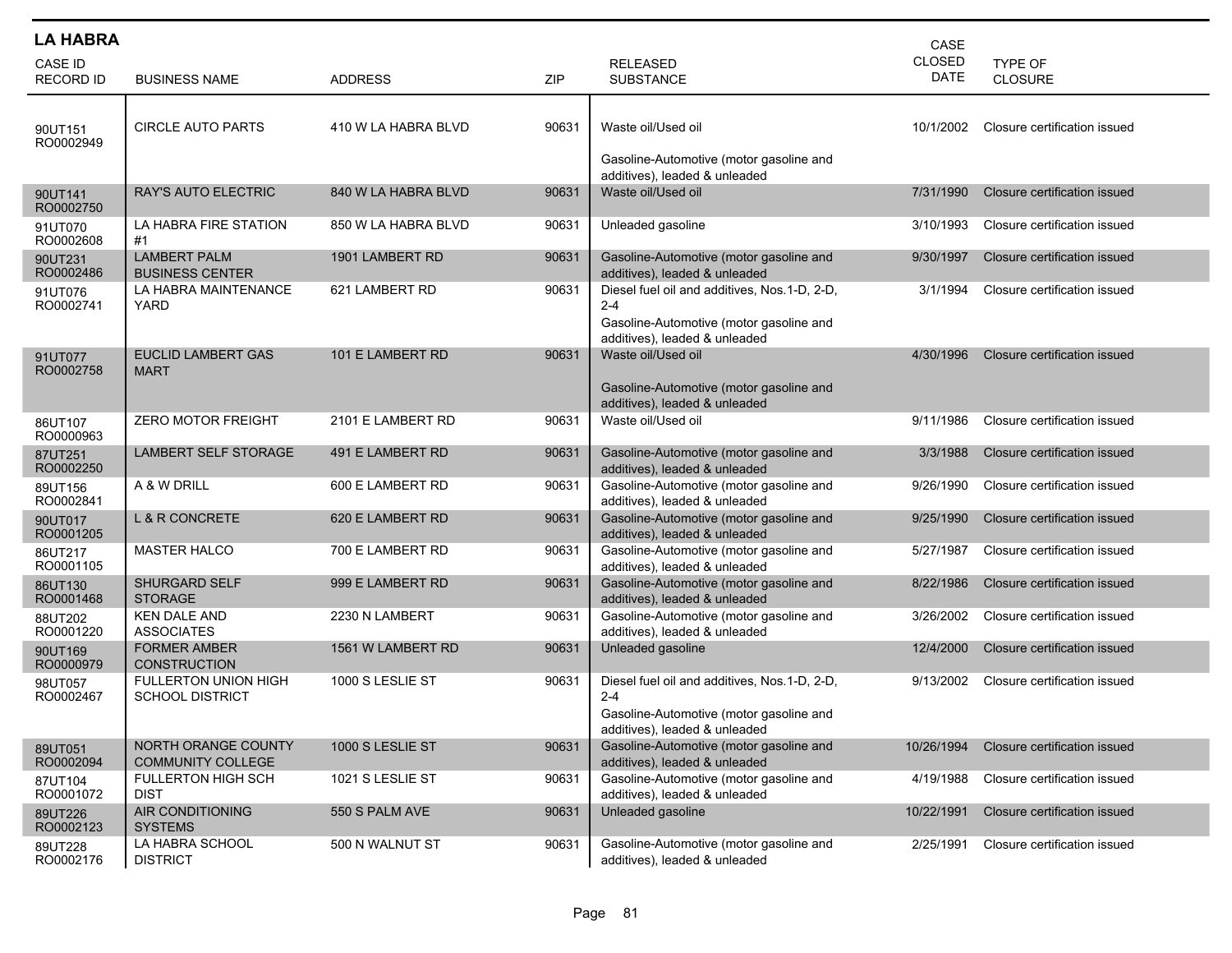| <b>LA HABRA</b>             |                                                 |                     |       |                                                                                                                                     | CASE                         |                                  |
|-----------------------------|-------------------------------------------------|---------------------|-------|-------------------------------------------------------------------------------------------------------------------------------------|------------------------------|----------------------------------|
| CASE ID<br><b>RECORD ID</b> | <b>BUSINESS NAME</b>                            | <b>ADDRESS</b>      | ZIP   | <b>RELEASED</b><br><b>SUBSTANCE</b>                                                                                                 | <b>CLOSED</b><br><b>DATE</b> | <b>TYPE OF</b><br><b>CLOSURE</b> |
| 90UT151<br>RO0002949        | <b>CIRCLE AUTO PARTS</b>                        | 410 W LA HABRA BLVD | 90631 | Waste oil/Used oil<br>Gasoline-Automotive (motor gasoline and<br>additives), leaded & unleaded                                      | 10/1/2002                    | Closure certification issued     |
| 90UT141<br>RO0002750        | <b>RAY'S AUTO ELECTRIC</b>                      | 840 W LA HABRA BLVD | 90631 | Waste oil/Used oil                                                                                                                  | 7/31/1990                    | Closure certification issued     |
| 91UT070<br>RO0002608        | LA HABRA FIRE STATION<br>#1                     | 850 W LA HABRA BLVD | 90631 | Unleaded gasoline                                                                                                                   | 3/10/1993                    | Closure certification issued     |
| 90UT231<br>RO0002486        | <b>LAMBERT PALM</b><br><b>BUSINESS CENTER</b>   | 1901 LAMBERT RD     | 90631 | Gasoline-Automotive (motor gasoline and<br>additives), leaded & unleaded                                                            | 9/30/1997                    | Closure certification issued     |
| 91UT076<br>RO0002741        | LA HABRA MAINTENANCE<br>YARD                    | 621 LAMBERT RD      | 90631 | Diesel fuel oil and additives, Nos.1-D, 2-D,<br>$2 - 4$<br>Gasoline-Automotive (motor gasoline and<br>additives), leaded & unleaded | 3/1/1994                     | Closure certification issued     |
| 91UT077<br>RO0002758        | <b>EUCLID LAMBERT GAS</b><br><b>MART</b>        | 101 E LAMBERT RD    | 90631 | Waste oil/Used oil<br>Gasoline-Automotive (motor gasoline and<br>additives), leaded & unleaded                                      | 4/30/1996                    | Closure certification issued     |
| 86UT107<br>RO0000963        | <b>ZERO MOTOR FREIGHT</b>                       | 2101 E LAMBERT RD   | 90631 | Waste oil/Used oil                                                                                                                  | 9/11/1986                    | Closure certification issued     |
| 87UT251<br>RO0002250        | LAMBERT SELF STORAGE                            | 491 E LAMBERT RD    | 90631 | Gasoline-Automotive (motor gasoline and<br>additives), leaded & unleaded                                                            | 3/3/1988                     | Closure certification issued     |
| 89UT156<br>RO0002841        | A & W DRILL                                     | 600 E LAMBERT RD    | 90631 | Gasoline-Automotive (motor gasoline and<br>additives), leaded & unleaded                                                            | 9/26/1990                    | Closure certification issued     |
| 90UT017<br>RO0001205        | <b>L &amp; R CONCRETE</b>                       | 620 E LAMBERT RD    | 90631 | Gasoline-Automotive (motor gasoline and<br>additives), leaded & unleaded                                                            | 9/25/1990                    | Closure certification issued     |
| 86UT217<br>RO0001105        | <b>MASTER HALCO</b>                             | 700 E LAMBERT RD    | 90631 | Gasoline-Automotive (motor gasoline and<br>additives), leaded & unleaded                                                            | 5/27/1987                    | Closure certification issued     |
| 86UT130<br>RO0001468        | <b>SHURGARD SELF</b><br><b>STORAGE</b>          | 999 E LAMBERT RD    | 90631 | Gasoline-Automotive (motor gasoline and<br>additives), leaded & unleaded                                                            | 8/22/1986                    | Closure certification issued     |
| 88UT202<br>RO0001220        | <b>KEN DALE AND</b><br><b>ASSOCIATES</b>        | 2230 N LAMBERT      | 90631 | Gasoline-Automotive (motor gasoline and<br>additives), leaded & unleaded                                                            | 3/26/2002                    | Closure certification issued     |
| 90UT169<br>RO0000979        | <b>FORMER AMBER</b><br><b>CONSTRUCTION</b>      | 1561 W LAMBERT RD   | 90631 | Unleaded gasoline                                                                                                                   | 12/4/2000                    | Closure certification issued     |
| 98UT057<br>RO0002467        | FULLERTON UNION HIGH<br><b>SCHOOL DISTRICT</b>  | 1000 S LESLIE ST    | 90631 | Diesel fuel oil and additives, Nos.1-D, 2-D,<br>$2 - 4$<br>Gasoline-Automotive (motor gasoline and<br>additives), leaded & unleaded | 9/13/2002                    | Closure certification issued     |
| 89UT051<br>RO0002094        | NORTH ORANGE COUNTY<br><b>COMMUNITY COLLEGE</b> | 1000 S LESLIE ST    | 90631 | Gasoline-Automotive (motor gasoline and<br>additives), leaded & unleaded                                                            | 10/26/1994                   | Closure certification issued     |
| 87UT104<br>RO0001072        | FULLERTON HIGH SCH<br><b>DIST</b>               | 1021 S LESLIE ST    | 90631 | Gasoline-Automotive (motor gasoline and<br>additives), leaded & unleaded                                                            | 4/19/1988                    | Closure certification issued     |
| 89UT226<br>RO0002123        | AIR CONDITIONING<br><b>SYSTEMS</b>              | 550 S PALM AVE      | 90631 | Unleaded gasoline                                                                                                                   | 10/22/1991                   | Closure certification issued     |
| 89UT228<br>RO0002176        | LA HABRA SCHOOL<br><b>DISTRICT</b>              | 500 N WALNUT ST     | 90631 | Gasoline-Automotive (motor gasoline and<br>additives), leaded & unleaded                                                            | 2/25/1991                    | Closure certification issued     |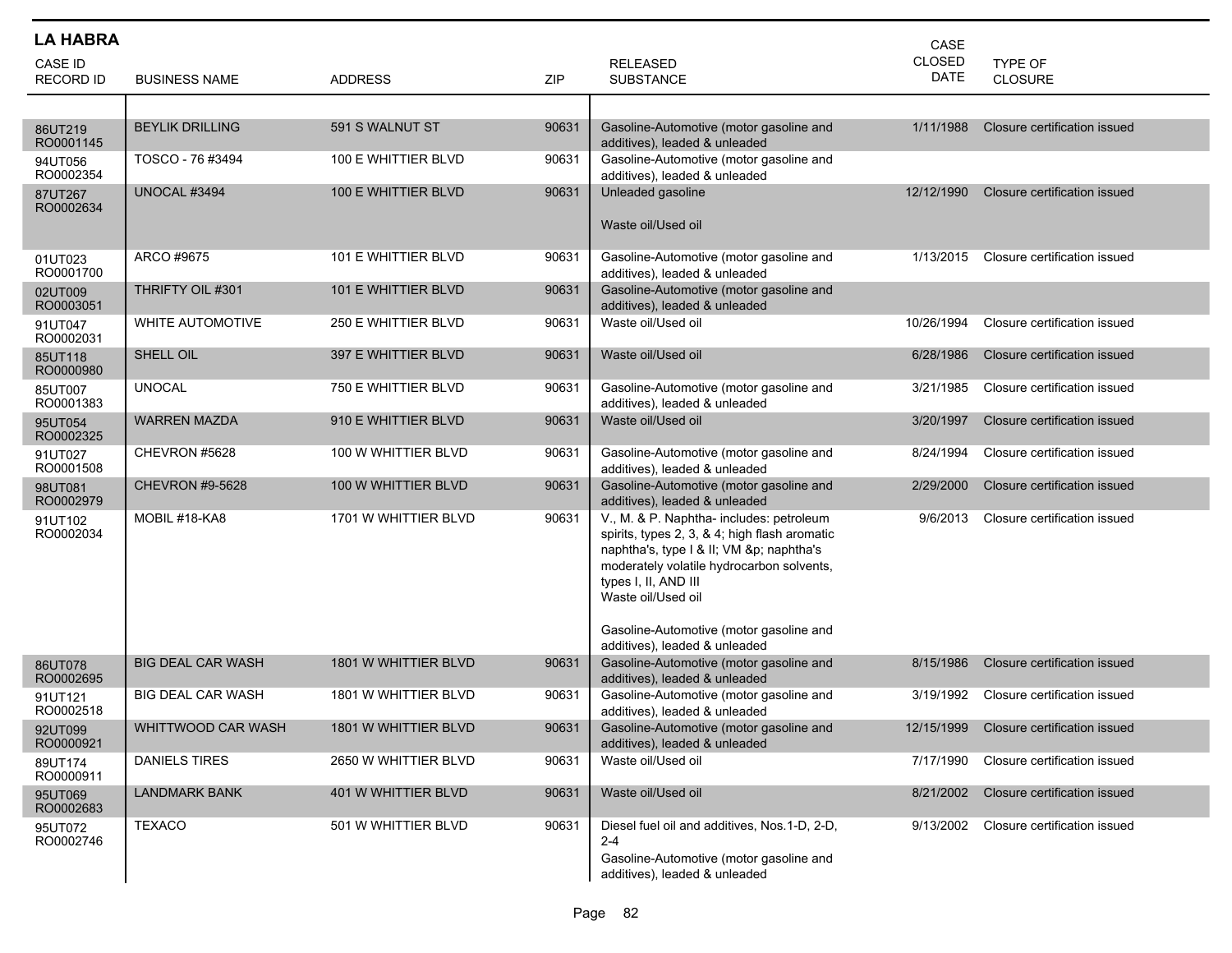| <b>LA HABRA</b>             |                          |                      |       |                                                                                                                                                                                                                                                                            | CASE                         |                              |
|-----------------------------|--------------------------|----------------------|-------|----------------------------------------------------------------------------------------------------------------------------------------------------------------------------------------------------------------------------------------------------------------------------|------------------------------|------------------------------|
| CASE ID<br><b>RECORD ID</b> | <b>BUSINESS NAME</b>     | <b>ADDRESS</b>       | ZIP   | <b>RELEASED</b><br><b>SUBSTANCE</b>                                                                                                                                                                                                                                        | <b>CLOSED</b><br><b>DATE</b> | TYPE OF<br><b>CLOSURE</b>    |
|                             |                          |                      |       |                                                                                                                                                                                                                                                                            |                              |                              |
| 86UT219<br>RO0001145        | <b>BEYLIK DRILLING</b>   | 591 S WALNUT ST      | 90631 | Gasoline-Automotive (motor gasoline and<br>additives), leaded & unleaded                                                                                                                                                                                                   | 1/11/1988                    | Closure certification issued |
| 94UT056<br>RO0002354        | TOSCO - 76 #3494         | 100 E WHITTIER BLVD  | 90631 | Gasoline-Automotive (motor gasoline and<br>additives), leaded & unleaded                                                                                                                                                                                                   |                              |                              |
| 87UT267<br>RO0002634        | UNOCAL #3494             | 100 E WHITTIER BLVD  | 90631 | Unleaded gasoline<br>Waste oil/Used oil                                                                                                                                                                                                                                    | 12/12/1990                   | Closure certification issued |
| 01UT023<br>RO0001700        | ARCO #9675               | 101 E WHITTIER BLVD  | 90631 | Gasoline-Automotive (motor gasoline and<br>additives), leaded & unleaded                                                                                                                                                                                                   | 1/13/2015                    | Closure certification issued |
| 02UT009<br>RO0003051        | THRIFTY OIL #301         | 101 E WHITTIER BLVD  | 90631 | Gasoline-Automotive (motor gasoline and<br>additives), leaded & unleaded                                                                                                                                                                                                   |                              |                              |
| 91UT047<br>RO0002031        | <b>WHITE AUTOMOTIVE</b>  | 250 E WHITTIER BLVD  | 90631 | Waste oil/Used oil                                                                                                                                                                                                                                                         | 10/26/1994                   | Closure certification issued |
| 85UT118<br>RO0000980        | SHELL OIL                | 397 E WHITTIER BLVD  | 90631 | Waste oil/Used oil                                                                                                                                                                                                                                                         | 6/28/1986                    | Closure certification issued |
| 85UT007<br>RO0001383        | <b>UNOCAL</b>            | 750 E WHITTIER BLVD  | 90631 | Gasoline-Automotive (motor gasoline and<br>additives), leaded & unleaded                                                                                                                                                                                                   | 3/21/1985                    | Closure certification issued |
| 95UT054<br>RO0002325        | <b>WARREN MAZDA</b>      | 910 E WHITTIER BLVD  | 90631 | Waste oil/Used oil                                                                                                                                                                                                                                                         | 3/20/1997                    | Closure certification issued |
| 91UT027<br>RO0001508        | CHEVRON #5628            | 100 W WHITTIER BLVD  | 90631 | Gasoline-Automotive (motor gasoline and<br>additives), leaded & unleaded                                                                                                                                                                                                   | 8/24/1994                    | Closure certification issued |
| 98UT081<br>RO0002979        | <b>CHEVRON #9-5628</b>   | 100 W WHITTIER BLVD  | 90631 | Gasoline-Automotive (motor gasoline and<br>additives), leaded & unleaded                                                                                                                                                                                                   | 2/29/2000                    | Closure certification issued |
| 91UT102<br>RO0002034        | MOBIL #18-KA8            | 1701 W WHITTIER BLVD | 90631 | V., M. & P. Naphtha- includes: petroleum<br>spirits, types 2, 3, & 4; high flash aromatic<br>naphtha's, type I & II; VM &p naphtha's<br>moderately volatile hydrocarbon solvents,<br>types I, II, AND III<br>Waste oil/Used oil<br>Gasoline-Automotive (motor gasoline and | 9/6/2013                     | Closure certification issued |
| 86UT078<br>RO0002695        | <b>BIG DEAL CAR WASH</b> | 1801 W WHITTIER BLVD | 90631 | additives), leaded & unleaded<br>Gasoline-Automotive (motor gasoline and<br>additives), leaded & unleaded                                                                                                                                                                  | 8/15/1986                    | Closure certification issued |
| 91UT121<br>RO0002518        | <b>BIG DEAL CAR WASH</b> | 1801 W WHITTIER BLVD | 90631 | Gasoline-Automotive (motor gasoline and<br>additives), leaded & unleaded                                                                                                                                                                                                   | 3/19/1992                    | Closure certification issued |
| 92UT099<br>RO0000921        | WHITTWOOD CAR WASH       | 1801 W WHITTIER BLVD | 90631 | Gasoline-Automotive (motor gasoline and<br>additives), leaded & unleaded                                                                                                                                                                                                   | 12/15/1999                   | Closure certification issued |
| 89UT174<br>RO0000911        | <b>DANIELS TIRES</b>     | 2650 W WHITTIER BLVD | 90631 | Waste oil/Used oil                                                                                                                                                                                                                                                         | 7/17/1990                    | Closure certification issued |
| 95UT069<br>RO0002683        | <b>LANDMARK BANK</b>     | 401 W WHITTIER BLVD  | 90631 | Waste oil/Used oil                                                                                                                                                                                                                                                         | 8/21/2002                    | Closure certification issued |
| 95UT072<br>RO0002746        | <b>TEXACO</b>            | 501 W WHITTIER BLVD  | 90631 | Diesel fuel oil and additives, Nos.1-D, 2-D,<br>$2 - 4$<br>Gasoline-Automotive (motor gasoline and<br>additives), leaded & unleaded                                                                                                                                        | 9/13/2002                    | Closure certification issued |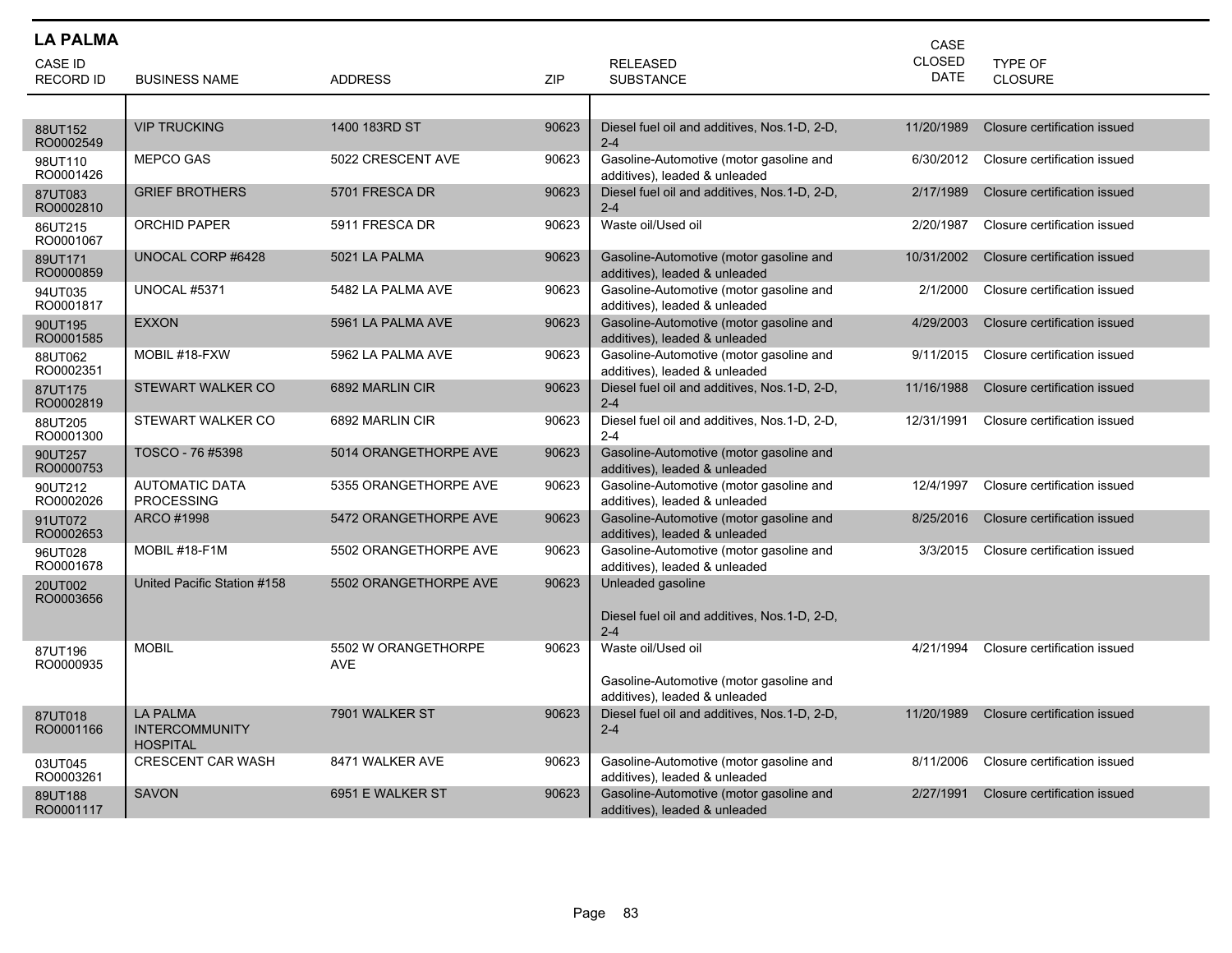| <b>LA PALMA</b>                    |                                                             |                                   |            |                                                                          | CASE                         |                                  |
|------------------------------------|-------------------------------------------------------------|-----------------------------------|------------|--------------------------------------------------------------------------|------------------------------|----------------------------------|
| <b>CASE ID</b><br><b>RECORD ID</b> | <b>BUSINESS NAME</b>                                        | <b>ADDRESS</b>                    | <b>ZIP</b> | <b>RELEASED</b><br><b>SUBSTANCE</b>                                      | <b>CLOSED</b><br><b>DATE</b> | <b>TYPE OF</b><br><b>CLOSURE</b> |
|                                    |                                                             |                                   |            |                                                                          |                              |                                  |
| 88UT152<br>RO0002549               | <b>VIP TRUCKING</b>                                         | 1400 183RD ST                     | 90623      | Diesel fuel oil and additives, Nos.1-D, 2-D,<br>$2 - 4$                  | 11/20/1989                   | Closure certification issued     |
| 98UT110<br>RO0001426               | <b>MEPCO GAS</b>                                            | 5022 CRESCENT AVE                 | 90623      | Gasoline-Automotive (motor gasoline and<br>additives), leaded & unleaded | 6/30/2012                    | Closure certification issued     |
| 87UT083<br>RO0002810               | <b>GRIEF BROTHERS</b>                                       | 5701 FRESCA DR                    | 90623      | Diesel fuel oil and additives, Nos.1-D, 2-D,<br>$2 - 4$                  | 2/17/1989                    | Closure certification issued     |
| 86UT215<br>RO0001067               | <b>ORCHID PAPER</b>                                         | 5911 FRESCA DR                    | 90623      | Waste oil/Used oil                                                       | 2/20/1987                    | Closure certification issued     |
| 89UT171<br>RO0000859               | UNOCAL CORP #6428                                           | 5021 LA PALMA                     | 90623      | Gasoline-Automotive (motor gasoline and<br>additives), leaded & unleaded | 10/31/2002                   | Closure certification issued     |
| 94UT035<br>RO0001817               | <b>UNOCAL #5371</b>                                         | 5482 LA PALMA AVE                 | 90623      | Gasoline-Automotive (motor gasoline and<br>additives), leaded & unleaded | 2/1/2000                     | Closure certification issued     |
| 90UT195<br>RO0001585               | <b>EXXON</b>                                                | 5961 LA PALMA AVE                 | 90623      | Gasoline-Automotive (motor gasoline and<br>additives), leaded & unleaded | 4/29/2003                    | Closure certification issued     |
| 88UT062<br>RO0002351               | MOBIL #18-FXW                                               | 5962 LA PALMA AVE                 | 90623      | Gasoline-Automotive (motor gasoline and<br>additives), leaded & unleaded | 9/11/2015                    | Closure certification issued     |
| 87UT175<br>RO0002819               | STEWART WALKER CO                                           | 6892 MARLIN CIR                   | 90623      | Diesel fuel oil and additives, Nos.1-D, 2-D,<br>$2 - 4$                  | 11/16/1988                   | Closure certification issued     |
| 88UT205<br>RO0001300               | STEWART WALKER CO                                           | 6892 MARLIN CIR                   | 90623      | Diesel fuel oil and additives, Nos.1-D, 2-D,<br>$2 - 4$                  | 12/31/1991                   | Closure certification issued     |
| 90UT257<br>RO0000753               | TOSCO - 76 #5398                                            | 5014 ORANGETHORPE AVE             | 90623      | Gasoline-Automotive (motor gasoline and<br>additives), leaded & unleaded |                              |                                  |
| 90UT212<br>RO0002026               | <b>AUTOMATIC DATA</b><br><b>PROCESSING</b>                  | 5355 ORANGETHORPE AVE             | 90623      | Gasoline-Automotive (motor gasoline and<br>additives), leaded & unleaded | 12/4/1997                    | Closure certification issued     |
| 91UT072<br>RO0002653               | ARCO #1998                                                  | 5472 ORANGETHORPE AVE             | 90623      | Gasoline-Automotive (motor gasoline and<br>additives), leaded & unleaded | 8/25/2016                    | Closure certification issued     |
| 96UT028<br>RO0001678               | MOBIL #18-F1M                                               | 5502 ORANGETHORPE AVE             | 90623      | Gasoline-Automotive (motor gasoline and<br>additives), leaded & unleaded | 3/3/2015                     | Closure certification issued     |
| 20UT002<br>RO0003656               | United Pacific Station #158                                 | 5502 ORANGETHORPE AVE             | 90623      | Unleaded gasoline                                                        |                              |                                  |
|                                    |                                                             |                                   |            | Diesel fuel oil and additives, Nos.1-D, 2-D,<br>$2 - 4$                  |                              |                                  |
| 87UT196<br>RO0000935               | <b>MOBIL</b>                                                | 5502 W ORANGETHORPE<br><b>AVE</b> | 90623      | Waste oil/Used oil                                                       | 4/21/1994                    | Closure certification issued     |
|                                    |                                                             |                                   |            | Gasoline-Automotive (motor gasoline and<br>additives), leaded & unleaded |                              |                                  |
| 87UT018<br>RO0001166               | <b>LA PALMA</b><br><b>INTERCOMMUNITY</b><br><b>HOSPITAL</b> | 7901 WALKER ST                    | 90623      | Diesel fuel oil and additives, Nos. 1-D, 2-D,<br>$2 - 4$                 | 11/20/1989                   | Closure certification issued     |
| 03UT045<br>RO0003261               | <b>CRESCENT CAR WASH</b>                                    | 8471 WALKER AVE                   | 90623      | Gasoline-Automotive (motor gasoline and<br>additives), leaded & unleaded | 8/11/2006                    | Closure certification issued     |
| 89UT188<br>RO0001117               | <b>SAVON</b>                                                | 6951 E WALKER ST                  | 90623      | Gasoline-Automotive (motor gasoline and<br>additives), leaded & unleaded | 2/27/1991                    | Closure certification issued     |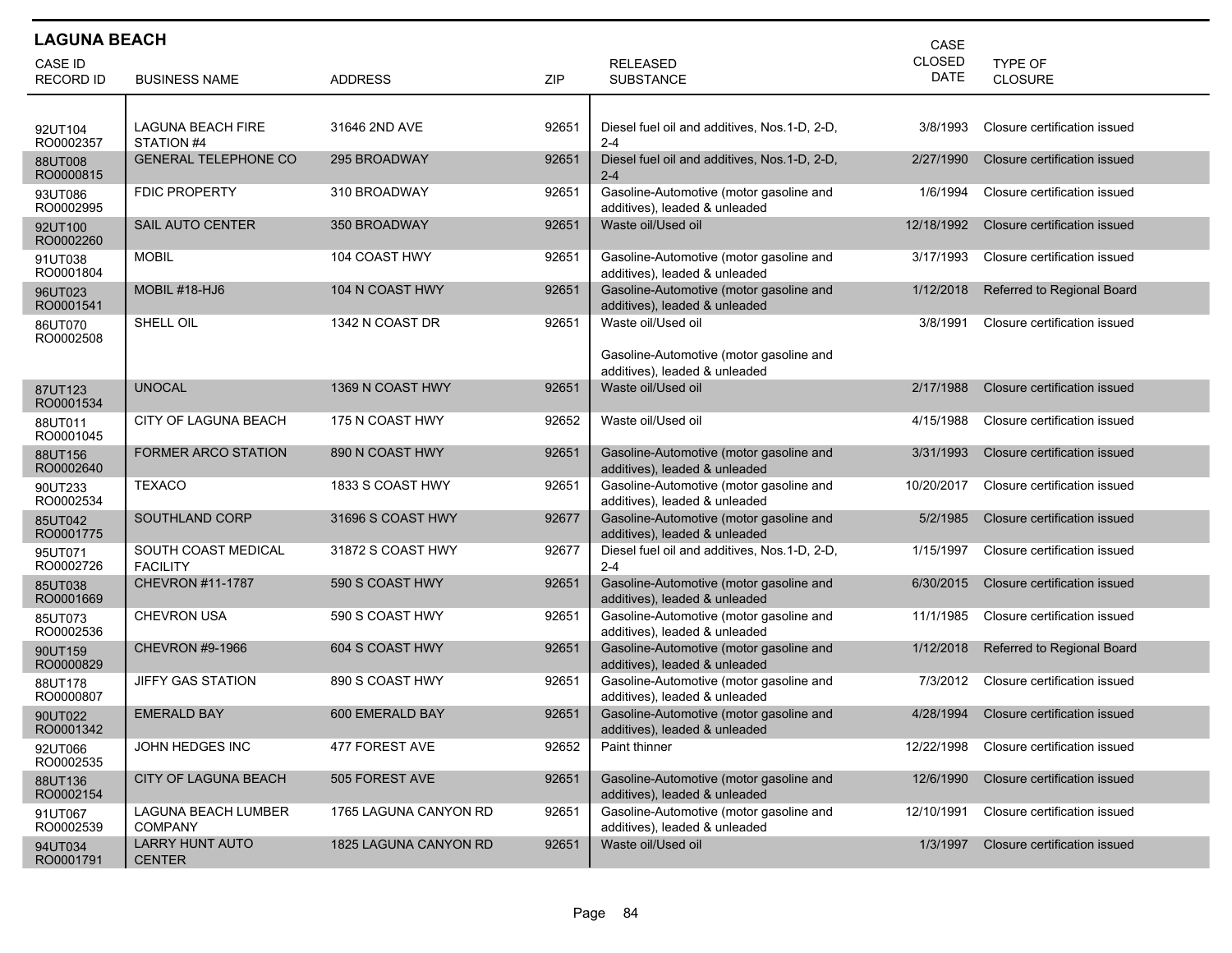| <b>LAGUNA BEACH</b><br>CASE |                                         |                       |       |                                                                          |               |                              |  |  |
|-----------------------------|-----------------------------------------|-----------------------|-------|--------------------------------------------------------------------------|---------------|------------------------------|--|--|
| CASE ID                     |                                         |                       |       | <b>RELEASED</b>                                                          | <b>CLOSED</b> | <b>TYPE OF</b>               |  |  |
| <b>RECORD ID</b>            | <b>BUSINESS NAME</b>                    | <b>ADDRESS</b>        | ZIP   | <b>SUBSTANCE</b>                                                         | <b>DATE</b>   | <b>CLOSURE</b>               |  |  |
|                             |                                         |                       |       |                                                                          |               |                              |  |  |
| 92UT104<br>RO0002357        | <b>LAGUNA BEACH FIRE</b><br>STATION #4  | 31646 2ND AVE         | 92651 | Diesel fuel oil and additives, Nos.1-D, 2-D,<br>$2 - 4$                  | 3/8/1993      | Closure certification issued |  |  |
| 88UT008<br>RO0000815        | <b>GENERAL TELEPHONE CO</b>             | 295 BROADWAY          | 92651 | Diesel fuel oil and additives, Nos.1-D, 2-D,<br>$2 - 4$                  | 2/27/1990     | Closure certification issued |  |  |
| 93UT086<br>RO0002995        | <b>FDIC PROPERTY</b>                    | 310 BROADWAY          | 92651 | Gasoline-Automotive (motor gasoline and<br>additives), leaded & unleaded | 1/6/1994      | Closure certification issued |  |  |
| 92UT100<br>RO0002260        | <b>SAIL AUTO CENTER</b>                 | 350 BROADWAY          | 92651 | Waste oil/Used oil                                                       | 12/18/1992    | Closure certification issued |  |  |
| 91UT038<br>RO0001804        | <b>MOBIL</b>                            | 104 COAST HWY         | 92651 | Gasoline-Automotive (motor gasoline and<br>additives), leaded & unleaded | 3/17/1993     | Closure certification issued |  |  |
| 96UT023<br>RO0001541        | MOBIL #18-HJ6                           | 104 N COAST HWY       | 92651 | Gasoline-Automotive (motor gasoline and<br>additives), leaded & unleaded | 1/12/2018     | Referred to Regional Board   |  |  |
| 86UT070<br>RO0002508        | SHELL OIL                               | 1342 N COAST DR       | 92651 | Waste oil/Used oil                                                       | 3/8/1991      | Closure certification issued |  |  |
|                             |                                         |                       |       | Gasoline-Automotive (motor gasoline and<br>additives), leaded & unleaded |               |                              |  |  |
| 87UT123<br>RO0001534        | <b>UNOCAL</b>                           | 1369 N COAST HWY      | 92651 | Waste oil/Used oil                                                       | 2/17/1988     | Closure certification issued |  |  |
| 88UT011<br>RO0001045        | CITY OF LAGUNA BEACH                    | 175 N COAST HWY       | 92652 | Waste oil/Used oil                                                       | 4/15/1988     | Closure certification issued |  |  |
| 88UT156<br>RO0002640        | <b>FORMER ARCO STATION</b>              | 890 N COAST HWY       | 92651 | Gasoline-Automotive (motor gasoline and<br>additives), leaded & unleaded | 3/31/1993     | Closure certification issued |  |  |
| 90UT233<br>RO0002534        | <b>TEXACO</b>                           | 1833 S COAST HWY      | 92651 | Gasoline-Automotive (motor gasoline and<br>additives), leaded & unleaded | 10/20/2017    | Closure certification issued |  |  |
| 85UT042<br>RO0001775        | SOUTHLAND CORP                          | 31696 S COAST HWY     | 92677 | Gasoline-Automotive (motor gasoline and<br>additives), leaded & unleaded | 5/2/1985      | Closure certification issued |  |  |
| 95UT071<br>RO0002726        | SOUTH COAST MEDICAL<br><b>FACILITY</b>  | 31872 S COAST HWY     | 92677 | Diesel fuel oil and additives, Nos.1-D, 2-D,<br>$2 - 4$                  | 1/15/1997     | Closure certification issued |  |  |
| 85UT038<br>RO0001669        | <b>CHEVRON #11-1787</b>                 | 590 S COAST HWY       | 92651 | Gasoline-Automotive (motor gasoline and<br>additives), leaded & unleaded | 6/30/2015     | Closure certification issued |  |  |
| 85UT073<br>RO0002536        | <b>CHEVRON USA</b>                      | 590 S COAST HWY       | 92651 | Gasoline-Automotive (motor gasoline and<br>additives), leaded & unleaded | 11/1/1985     | Closure certification issued |  |  |
| 90UT159<br>RO0000829        | <b>CHEVRON #9-1966</b>                  | 604 S COAST HWY       | 92651 | Gasoline-Automotive (motor gasoline and<br>additives), leaded & unleaded | 1/12/2018     | Referred to Regional Board   |  |  |
| 88UT178<br>RO0000807        | <b>JIFFY GAS STATION</b>                | 890 S COAST HWY       | 92651 | Gasoline-Automotive (motor gasoline and<br>additives), leaded & unleaded | 7/3/2012      | Closure certification issued |  |  |
| 90UT022<br>RO0001342        | <b>EMERALD BAY</b>                      | 600 EMERALD BAY       | 92651 | Gasoline-Automotive (motor gasoline and<br>additives), leaded & unleaded | 4/28/1994     | Closure certification issued |  |  |
| 92UT066<br>RO0002535        | JOHN HEDGES INC                         | 477 FOREST AVE        | 92652 | Paint thinner                                                            | 12/22/1998    | Closure certification issued |  |  |
| 88UT136<br>RO0002154        | <b>CITY OF LAGUNA BEACH</b>             | 505 FOREST AVE        | 92651 | Gasoline-Automotive (motor gasoline and<br>additives), leaded & unleaded | 12/6/1990     | Closure certification issued |  |  |
| 91UT067<br>RO0002539        | LAGUNA BEACH LUMBER<br><b>COMPANY</b>   | 1765 LAGUNA CANYON RD | 92651 | Gasoline-Automotive (motor gasoline and<br>additives), leaded & unleaded | 12/10/1991    | Closure certification issued |  |  |
| 94UT034<br>RO0001791        | <b>LARRY HUNT AUTO</b><br><b>CENTER</b> | 1825 LAGUNA CANYON RD | 92651 | Waste oil/Used oil                                                       | 1/3/1997      | Closure certification issued |  |  |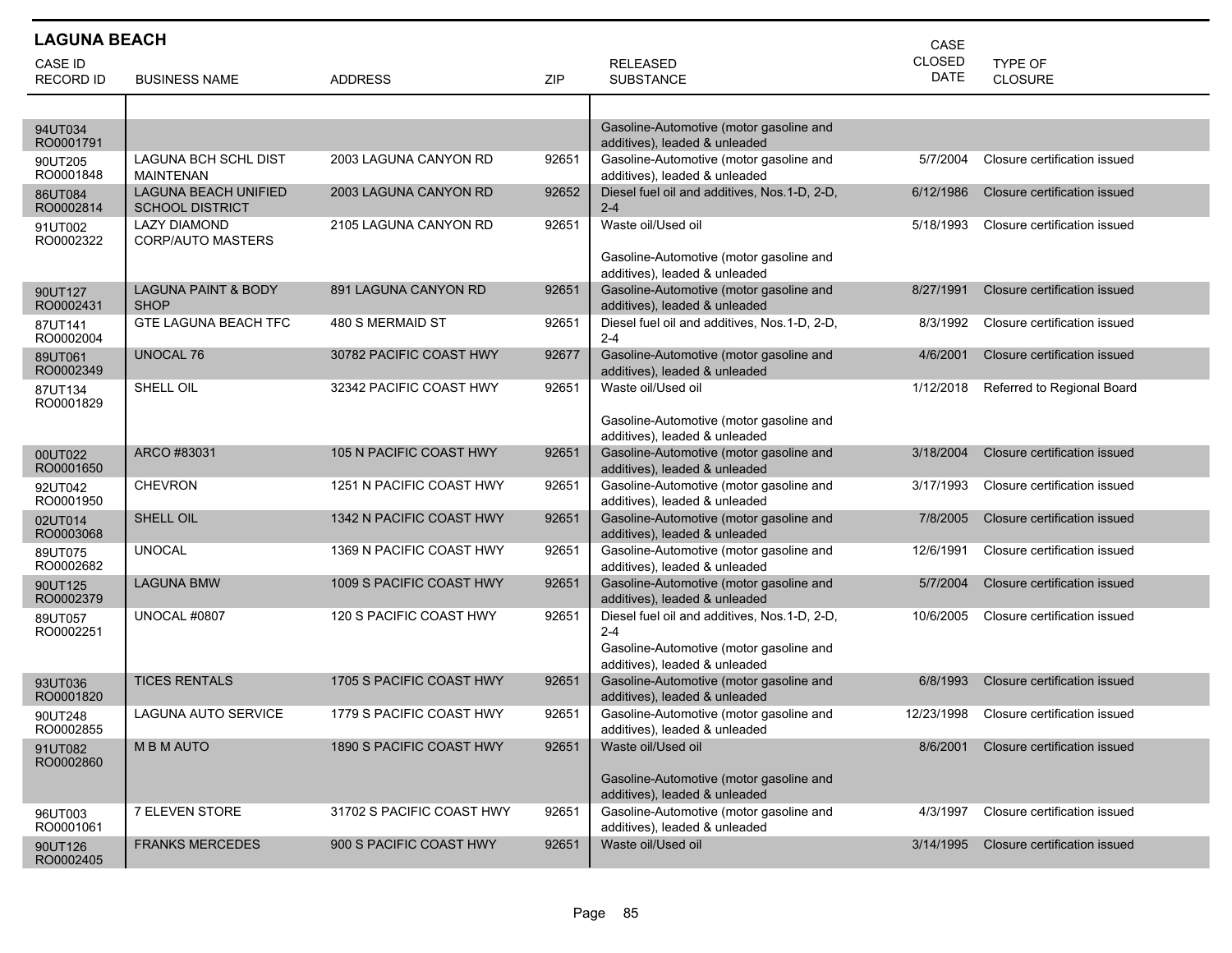| <b>LAGUNA BEACH</b>  |                                                       |                           |       |                                                                          | CASE          |                              |
|----------------------|-------------------------------------------------------|---------------------------|-------|--------------------------------------------------------------------------|---------------|------------------------------|
| <b>CASE ID</b>       |                                                       |                           |       | <b>RELEASED</b>                                                          | <b>CLOSED</b> | TYPE OF                      |
| <b>RECORD ID</b>     | <b>BUSINESS NAME</b>                                  | <b>ADDRESS</b>            | ZIP   | <b>SUBSTANCE</b>                                                         | <b>DATE</b>   | <b>CLOSURE</b>               |
|                      |                                                       |                           |       |                                                                          |               |                              |
| 94UT034<br>RO0001791 |                                                       |                           |       | Gasoline-Automotive (motor gasoline and<br>additives), leaded & unleaded |               |                              |
| 90UT205<br>RO0001848 | <b>LAGUNA BCH SCHL DIST</b><br><b>MAINTENAN</b>       | 2003 LAGUNA CANYON RD     | 92651 | Gasoline-Automotive (motor gasoline and<br>additives), leaded & unleaded | 5/7/2004      | Closure certification issued |
| 86UT084<br>RO0002814 | <b>LAGUNA BEACH UNIFIED</b><br><b>SCHOOL DISTRICT</b> | 2003 LAGUNA CANYON RD     | 92652 | Diesel fuel oil and additives, Nos.1-D, 2-D,<br>$2 - 4$                  | 6/12/1986     | Closure certification issued |
| 91UT002<br>RO0002322 | LAZY DIAMOND<br><b>CORP/AUTO MASTERS</b>              | 2105 LAGUNA CANYON RD     | 92651 | Waste oil/Used oil<br>Gasoline-Automotive (motor gasoline and            | 5/18/1993     | Closure certification issued |
|                      |                                                       |                           |       | additives), leaded & unleaded                                            |               |                              |
| 90UT127<br>RO0002431 | <b>LAGUNA PAINT &amp; BODY</b><br><b>SHOP</b>         | 891 LAGUNA CANYON RD      | 92651 | Gasoline-Automotive (motor gasoline and<br>additives), leaded & unleaded | 8/27/1991     | Closure certification issued |
| 87UT141<br>RO0002004 | <b>GTE LAGUNA BEACH TFC</b>                           | 480 S MERMAID ST          | 92651 | Diesel fuel oil and additives, Nos.1-D, 2-D,<br>$2 - 4$                  | 8/3/1992      | Closure certification issued |
| 89UT061<br>RO0002349 | <b>UNOCAL 76</b>                                      | 30782 PACIFIC COAST HWY   | 92677 | Gasoline-Automotive (motor gasoline and<br>additives), leaded & unleaded | 4/6/2001      | Closure certification issued |
| 87UT134<br>RO0001829 | SHELL OIL                                             | 32342 PACIFIC COAST HWY   | 92651 | Waste oil/Used oil                                                       | 1/12/2018     | Referred to Regional Board   |
|                      |                                                       |                           |       | Gasoline-Automotive (motor gasoline and<br>additives), leaded & unleaded |               |                              |
| 00UT022<br>RO0001650 | ARCO #83031                                           | 105 N PACIFIC COAST HWY   | 92651 | Gasoline-Automotive (motor gasoline and<br>additives), leaded & unleaded | 3/18/2004     | Closure certification issued |
| 92UT042<br>RO0001950 | <b>CHEVRON</b>                                        | 1251 N PACIFIC COAST HWY  | 92651 | Gasoline-Automotive (motor gasoline and<br>additives), leaded & unleaded | 3/17/1993     | Closure certification issued |
| 02UT014<br>RO0003068 | SHELL OIL                                             | 1342 N PACIFIC COAST HWY  | 92651 | Gasoline-Automotive (motor gasoline and<br>additives), leaded & unleaded | 7/8/2005      | Closure certification issued |
| 89UT075<br>RO0002682 | <b>UNOCAL</b>                                         | 1369 N PACIFIC COAST HWY  | 92651 | Gasoline-Automotive (motor gasoline and<br>additives), leaded & unleaded | 12/6/1991     | Closure certification issued |
| 90UT125<br>RO0002379 | <b>LAGUNA BMW</b>                                     | 1009 S PACIFIC COAST HWY  | 92651 | Gasoline-Automotive (motor gasoline and<br>additives), leaded & unleaded | 5/7/2004      | Closure certification issued |
| 89UT057<br>RO0002251 | UNOCAL #0807                                          | 120 S PACIFIC COAST HWY   | 92651 | Diesel fuel oil and additives, Nos.1-D, 2-D,<br>$2 - 4$                  | 10/6/2005     | Closure certification issued |
|                      |                                                       |                           |       | Gasoline-Automotive (motor gasoline and<br>additives), leaded & unleaded |               |                              |
| 93UT036<br>RO0001820 | <b>TICES RENTALS</b>                                  | 1705 S PACIFIC COAST HWY  | 92651 | Gasoline-Automotive (motor gasoline and<br>additives), leaded & unleaded | 6/8/1993      | Closure certification issued |
| 90UT248<br>RO0002855 | LAGUNA AUTO SERVICE                                   | 1779 S PACIFIC COAST HWY  | 92651 | Gasoline-Automotive (motor gasoline and<br>additives), leaded & unleaded | 12/23/1998    | Closure certification issued |
| 91UT082<br>RO0002860 | <b>MBMAUTO</b>                                        | 1890 S PACIFIC COAST HWY  | 92651 | Waste oil/Used oil                                                       | 8/6/2001      | Closure certification issued |
|                      |                                                       |                           |       | Gasoline-Automotive (motor gasoline and<br>additives), leaded & unleaded |               |                              |
| 96UT003<br>RO0001061 | <b>7 ELEVEN STORE</b>                                 | 31702 S PACIFIC COAST HWY | 92651 | Gasoline-Automotive (motor gasoline and<br>additives), leaded & unleaded | 4/3/1997      | Closure certification issued |
| 90UT126<br>RO0002405 | <b>FRANKS MERCEDES</b>                                | 900 S PACIFIC COAST HWY   | 92651 | Waste oil/Used oil                                                       | 3/14/1995     | Closure certification issued |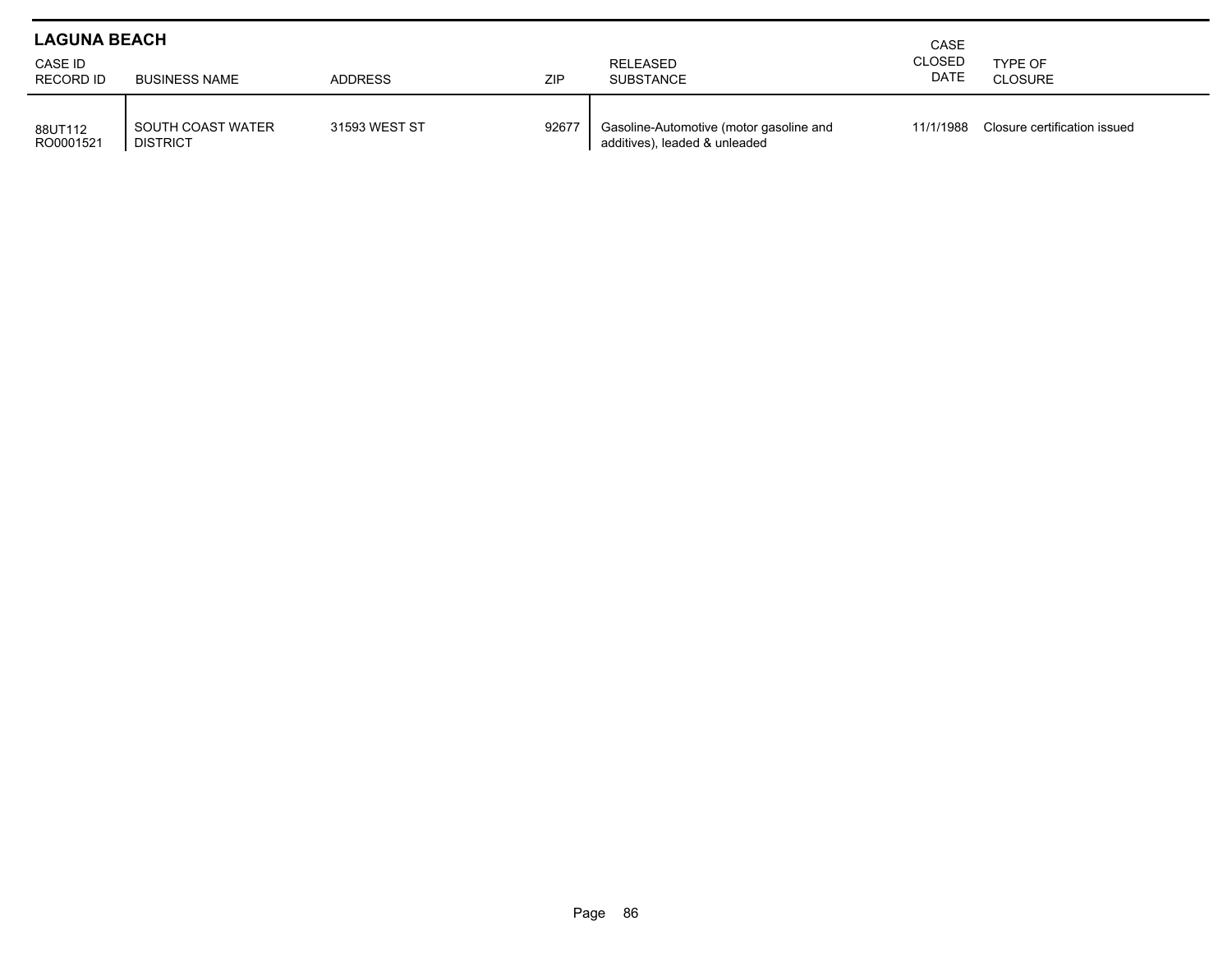| <b>LAGUNA BEACH</b>         |                                      | CASE           |            |                                                                          |                       |                              |
|-----------------------------|--------------------------------------|----------------|------------|--------------------------------------------------------------------------|-----------------------|------------------------------|
| CASE ID<br><b>RECORD ID</b> | <b>BUSINESS NAME</b>                 | <b>ADDRESS</b> | <b>ZIP</b> | RELEASED<br><b>SUBSTANCE</b>                                             | <b>CLOSED</b><br>DATE | TYPE OF<br><b>CLOSURE</b>    |
| 88UT112<br>RO0001521        | SOUTH COAST WATER<br><b>DISTRICT</b> | 31593 WEST ST  | 92677      | Gasoline-Automotive (motor gasoline and<br>additives), leaded & unleaded | 11/1/1988             | Closure certification issued |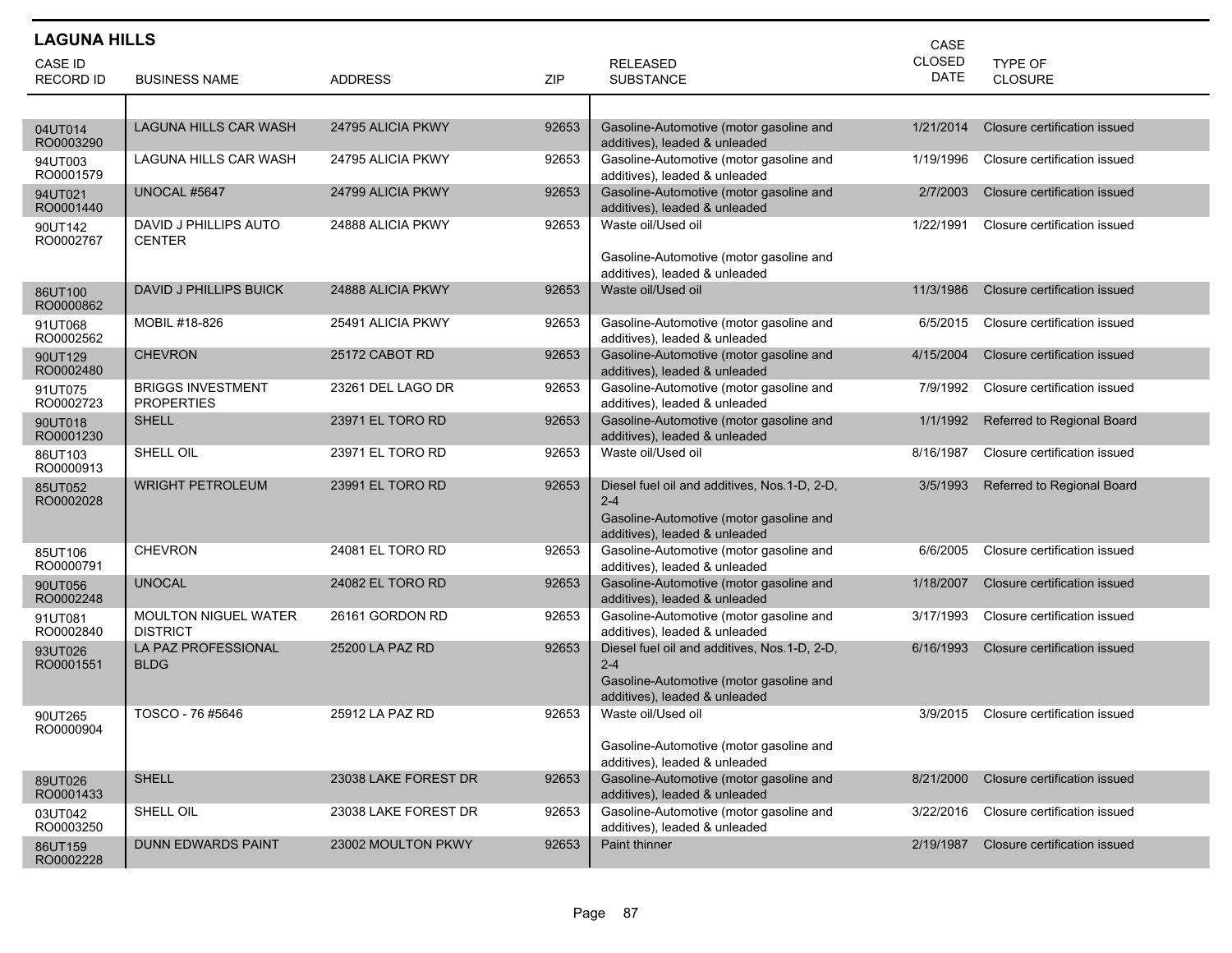| <b>LAGUNA HILLS</b><br>CASE |                                                |                      |       |                                                                                                    |               |                              |  |  |
|-----------------------------|------------------------------------------------|----------------------|-------|----------------------------------------------------------------------------------------------------|---------------|------------------------------|--|--|
| CASE ID                     |                                                |                      |       | <b>RELEASED</b>                                                                                    | <b>CLOSED</b> | <b>TYPE OF</b>               |  |  |
| <b>RECORD ID</b>            | <b>BUSINESS NAME</b>                           | <b>ADDRESS</b>       | ZIP   | <b>SUBSTANCE</b>                                                                                   | DATE          | CLOSURE                      |  |  |
|                             |                                                |                      |       |                                                                                                    |               |                              |  |  |
| 04UT014<br>RO0003290        | LAGUNA HILLS CAR WASH                          | 24795 ALICIA PKWY    | 92653 | Gasoline-Automotive (motor gasoline and<br>additives), leaded & unleaded                           | 1/21/2014     | Closure certification issued |  |  |
| 94UT003<br>RO0001579        | LAGUNA HILLS CAR WASH                          | 24795 ALICIA PKWY    | 92653 | Gasoline-Automotive (motor gasoline and<br>additives), leaded & unleaded                           | 1/19/1996     | Closure certification issued |  |  |
| 94UT021<br>RO0001440        | UNOCAL #5647                                   | 24799 ALICIA PKWY    | 92653 | Gasoline-Automotive (motor gasoline and<br>additives), leaded & unleaded                           | 2/7/2003      | Closure certification issued |  |  |
| 90UT142<br>RO0002767        | DAVID J PHILLIPS AUTO<br><b>CENTER</b>         | 24888 ALICIA PKWY    | 92653 | Waste oil/Used oil                                                                                 | 1/22/1991     | Closure certification issued |  |  |
|                             |                                                |                      |       | Gasoline-Automotive (motor gasoline and<br>additives), leaded & unleaded                           |               |                              |  |  |
| 86UT100<br>RO0000862        | DAVID J PHILLIPS BUICK                         | 24888 ALICIA PKWY    | 92653 | Waste oil/Used oil                                                                                 | 11/3/1986     | Closure certification issued |  |  |
| 91UT068<br>RO0002562        | MOBIL #18-826                                  | 25491 ALICIA PKWY    | 92653 | Gasoline-Automotive (motor gasoline and<br>additives), leaded & unleaded                           | 6/5/2015      | Closure certification issued |  |  |
| 90UT129<br>RO0002480        | <b>CHEVRON</b>                                 | 25172 CABOT RD       | 92653 | Gasoline-Automotive (motor gasoline and<br>additives), leaded & unleaded                           | 4/15/2004     | Closure certification issued |  |  |
| 91UT075<br>RO0002723        | <b>BRIGGS INVESTMENT</b><br><b>PROPERTIES</b>  | 23261 DEL LAGO DR    | 92653 | Gasoline-Automotive (motor gasoline and<br>additives), leaded & unleaded                           | 7/9/1992      | Closure certification issued |  |  |
| 90UT018<br>RO0001230        | <b>SHELL</b>                                   | 23971 EL TORO RD     | 92653 | Gasoline-Automotive (motor gasoline and<br>additives), leaded & unleaded                           | 1/1/1992      | Referred to Regional Board   |  |  |
| 86UT103<br>RO0000913        | SHELL OIL                                      | 23971 EL TORO RD     | 92653 | Waste oil/Used oil                                                                                 | 8/16/1987     | Closure certification issued |  |  |
| 85UT052<br>RO0002028        | <b>WRIGHT PETROLEUM</b>                        | 23991 EL TORO RD     | 92653 | Diesel fuel oil and additives, Nos.1-D, 2-D,<br>$2 - 4$<br>Gasoline-Automotive (motor gasoline and | 3/5/1993      | Referred to Regional Board   |  |  |
|                             |                                                |                      |       | additives), leaded & unleaded                                                                      |               |                              |  |  |
| 85UT106<br>RO0000791        | <b>CHEVRON</b>                                 | 24081 EL TORO RD     | 92653 | Gasoline-Automotive (motor gasoline and<br>additives), leaded & unleaded                           | 6/6/2005      | Closure certification issued |  |  |
| 90UT056<br>RO0002248        | <b>UNOCAL</b>                                  | 24082 EL TORO RD     | 92653 | Gasoline-Automotive (motor gasoline and<br>additives), leaded & unleaded                           | 1/18/2007     | Closure certification issued |  |  |
| 91UT081<br>RO0002840        | <b>MOULTON NIGUEL WATER</b><br><b>DISTRICT</b> | 26161 GORDON RD      | 92653 | Gasoline-Automotive (motor gasoline and<br>additives), leaded & unleaded                           | 3/17/1993     | Closure certification issued |  |  |
| 93UT026<br>RO0001551        | LA PAZ PROFESSIONAL<br><b>BLDG</b>             | 25200 LA PAZ RD      | 92653 | Diesel fuel oil and additives, Nos.1-D, 2-D,<br>$2 - 4$                                            | 6/16/1993     | Closure certification issued |  |  |
|                             |                                                |                      |       | Gasoline-Automotive (motor gasoline and<br>additives), leaded & unleaded                           |               |                              |  |  |
| 90UT265<br>RO0000904        | TOSCO - 76 #5646                               | 25912 LA PAZ RD      | 92653 | Waste oil/Used oil                                                                                 | 3/9/2015      | Closure certification issued |  |  |
|                             |                                                |                      |       | Gasoline-Automotive (motor gasoline and<br>additives), leaded & unleaded                           |               |                              |  |  |
| 89UT026<br>RO0001433        | <b>SHELL</b>                                   | 23038 LAKE FOREST DR | 92653 | Gasoline-Automotive (motor gasoline and<br>additives), leaded & unleaded                           | 8/21/2000     | Closure certification issued |  |  |
| 03UT042<br>RO0003250        | SHELL OIL                                      | 23038 LAKE FOREST DR | 92653 | Gasoline-Automotive (motor gasoline and<br>additives), leaded & unleaded                           | 3/22/2016     | Closure certification issued |  |  |
| 86UT159<br>RO0002228        | <b>DUNN EDWARDS PAINT</b>                      | 23002 MOULTON PKWY   | 92653 | Paint thinner                                                                                      | 2/19/1987     | Closure certification issued |  |  |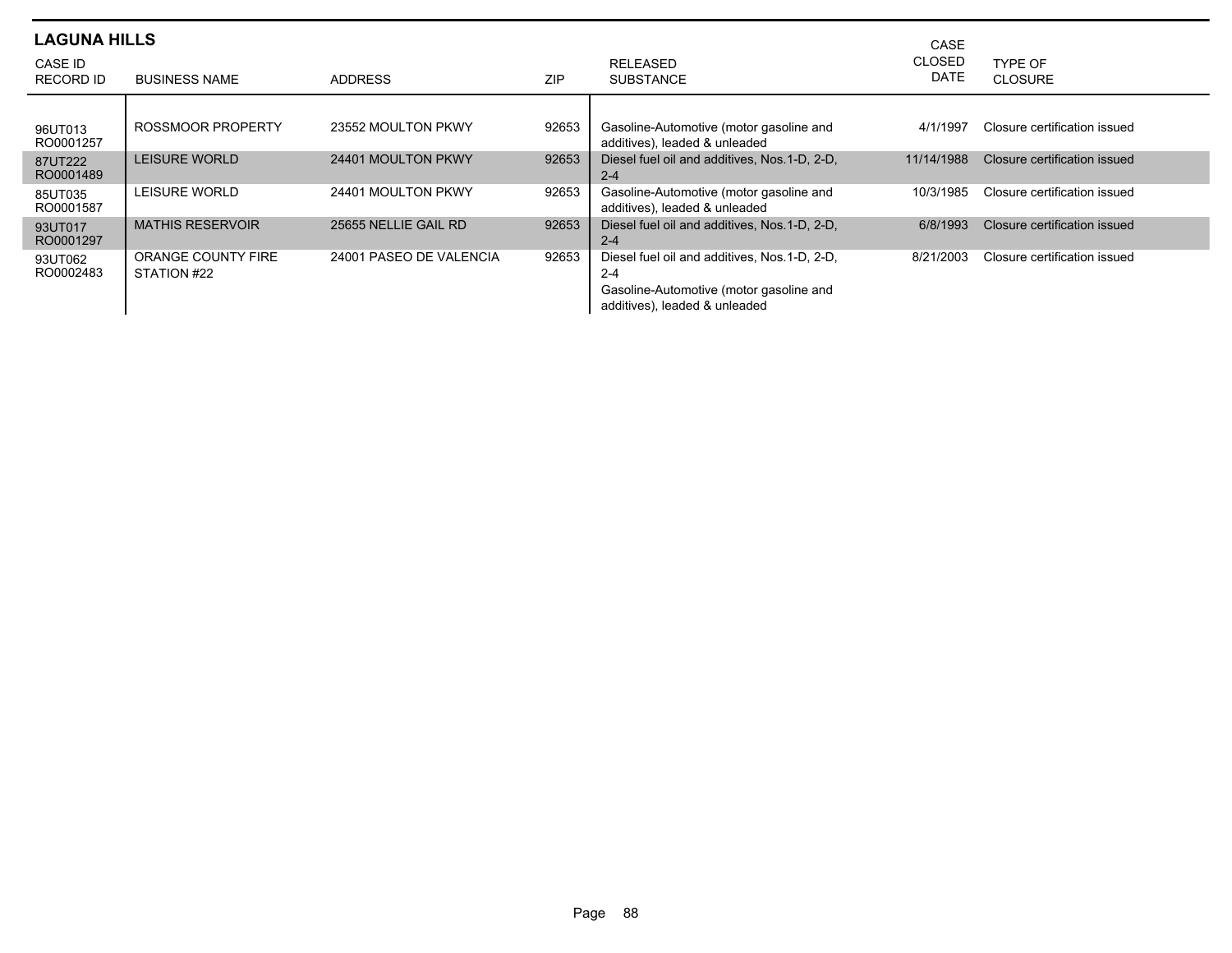| <b>LAGUNA HILLS</b>  |                                   |                         |            | CASE                                                                                                                                 |                              |                              |
|----------------------|-----------------------------------|-------------------------|------------|--------------------------------------------------------------------------------------------------------------------------------------|------------------------------|------------------------------|
| CASE ID<br>RECORD ID | <b>BUSINESS NAME</b>              | <b>ADDRESS</b>          | <b>ZIP</b> | <b>RELEASED</b><br><b>SUBSTANCE</b>                                                                                                  | <b>CLOSED</b><br><b>DATE</b> | TYPE OF<br><b>CLOSURE</b>    |
| 96UT013<br>RO0001257 | ROSSMOOR PROPERTY                 | 23552 MOULTON PKWY      | 92653      | Gasoline-Automotive (motor gasoline and<br>additives), leaded & unleaded                                                             | 4/1/1997                     | Closure certification issued |
| 87UT222<br>RO0001489 | <b>LEISURE WORLD</b>              | 24401 MOULTON PKWY      | 92653      | Diesel fuel oil and additives. Nos. 1-D. 2-D.<br>$2 - 4$                                                                             | 11/14/1988                   | Closure certification issued |
| 85UT035<br>RO0001587 | LEISURE WORLD                     | 24401 MOULTON PKWY      | 92653      | Gasoline-Automotive (motor gasoline and<br>additives), leaded & unleaded                                                             | 10/3/1985                    | Closure certification issued |
| 93UT017<br>RO0001297 | <b>MATHIS RESERVOIR</b>           | 25655 NELLIE GAIL RD    | 92653      | Diesel fuel oil and additives, Nos. 1-D, 2-D,<br>$2 - 4$                                                                             | 6/8/1993                     | Closure certification issued |
| 93UT062<br>RO0002483 | ORANGE COUNTY FIRE<br>STATION #22 | 24001 PASEO DE VALENCIA | 92653      | Diesel fuel oil and additives, Nos. 1-D, 2-D,<br>$2 - 4$<br>Gasoline-Automotive (motor gasoline and<br>additives), leaded & unleaded | 8/21/2003                    | Closure certification issued |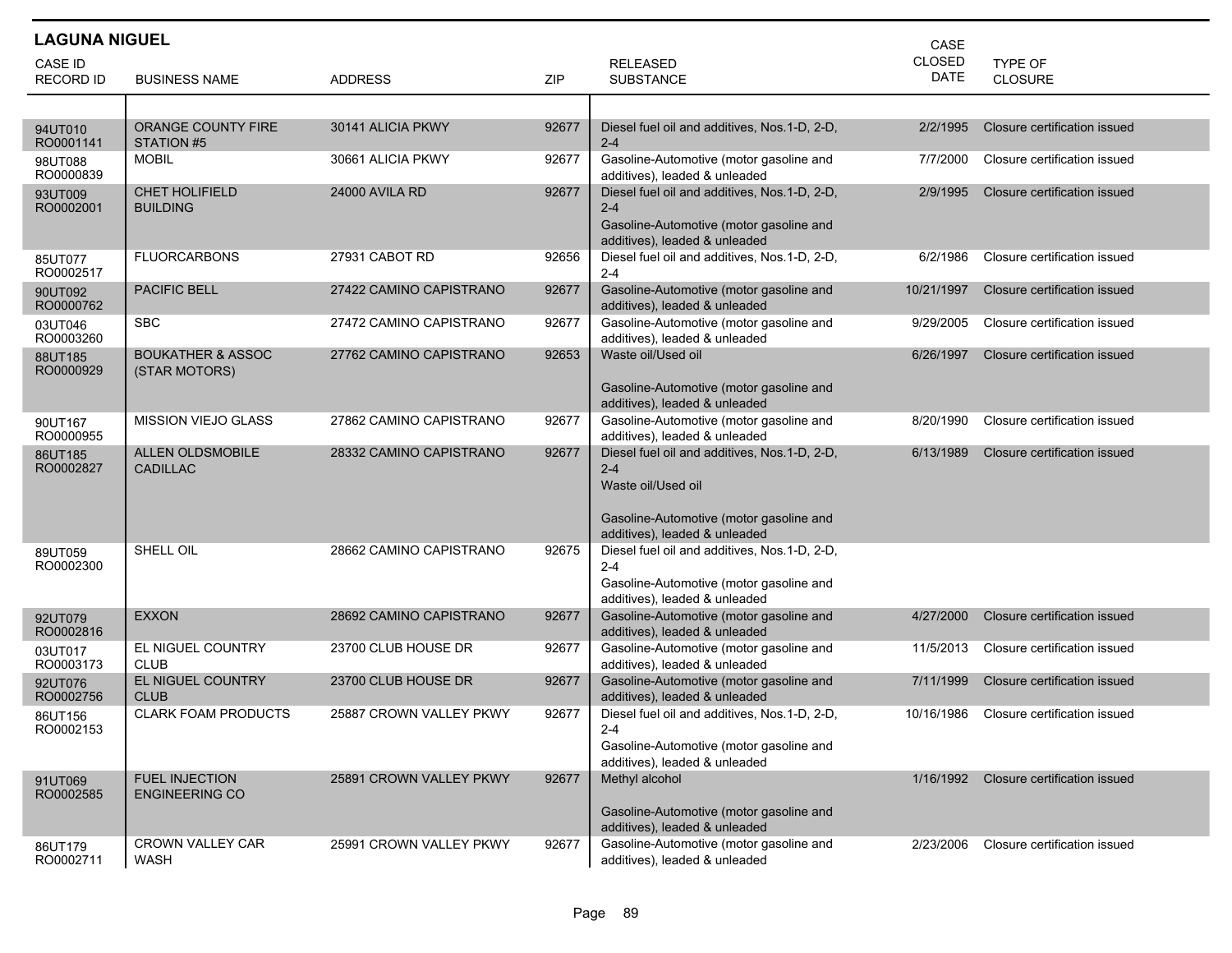| <b>LAGUNA NIGUEL</b><br>CASE |                                                |                         |       |                                                                                                                                                           |                              |                              |  |
|------------------------------|------------------------------------------------|-------------------------|-------|-----------------------------------------------------------------------------------------------------------------------------------------------------------|------------------------------|------------------------------|--|
| CASE ID<br><b>RECORD ID</b>  | <b>BUSINESS NAME</b>                           | <b>ADDRESS</b>          | ZIP   | <b>RELEASED</b><br><b>SUBSTANCE</b>                                                                                                                       | <b>CLOSED</b><br><b>DATE</b> | TYPE OF<br><b>CLOSURE</b>    |  |
|                              |                                                |                         |       |                                                                                                                                                           |                              |                              |  |
| 94UT010<br>RO0001141         | ORANGE COUNTY FIRE<br>STATION #5               | 30141 ALICIA PKWY       | 92677 | Diesel fuel oil and additives, Nos.1-D, 2-D,<br>$2 - 4$                                                                                                   | 2/2/1995                     | Closure certification issued |  |
| 98UT088<br>RO0000839         | <b>MOBIL</b>                                   | 30661 ALICIA PKWY       | 92677 | Gasoline-Automotive (motor gasoline and<br>additives), leaded & unleaded                                                                                  | 7/7/2000                     | Closure certification issued |  |
| 93UT009<br>RO0002001         | <b>CHET HOLIFIELD</b><br><b>BUILDING</b>       | <b>24000 AVILA RD</b>   | 92677 | Diesel fuel oil and additives, Nos.1-D, 2-D,<br>$2 - 4$<br>Gasoline-Automotive (motor gasoline and<br>additives), leaded & unleaded                       | 2/9/1995                     | Closure certification issued |  |
| 85UT077<br>RO0002517         | <b>FLUORCARBONS</b>                            | 27931 CABOT RD          | 92656 | Diesel fuel oil and additives, Nos.1-D, 2-D,<br>$2 - 4$                                                                                                   | 6/2/1986                     | Closure certification issued |  |
| 90UT092<br>RO0000762         | <b>PACIFIC BELL</b>                            | 27422 CAMINO CAPISTRANO | 92677 | Gasoline-Automotive (motor gasoline and<br>additives), leaded & unleaded                                                                                  | 10/21/1997                   | Closure certification issued |  |
| 03UT046<br>RO0003260         | <b>SBC</b>                                     | 27472 CAMINO CAPISTRANO | 92677 | Gasoline-Automotive (motor gasoline and<br>additives), leaded & unleaded                                                                                  | 9/29/2005                    | Closure certification issued |  |
| 88UT185<br>RO0000929         | <b>BOUKATHER &amp; ASSOC</b><br>(STAR MOTORS)  | 27762 CAMINO CAPISTRANO | 92653 | Waste oil/Used oil<br>Gasoline-Automotive (motor gasoline and<br>additives), leaded & unleaded                                                            | 6/26/1997                    | Closure certification issued |  |
| 90UT167<br>RO0000955         | MISSION VIEJO GLASS                            | 27862 CAMINO CAPISTRANO | 92677 | Gasoline-Automotive (motor gasoline and<br>additives), leaded & unleaded                                                                                  | 8/20/1990                    | Closure certification issued |  |
| 86UT185<br>RO0002827         | <b>ALLEN OLDSMOBILE</b><br><b>CADILLAC</b>     | 28332 CAMINO CAPISTRANO | 92677 | Diesel fuel oil and additives, Nos.1-D, 2-D,<br>$2 - 4$<br>Waste oil/Used oil<br>Gasoline-Automotive (motor gasoline and<br>additives), leaded & unleaded | 6/13/1989                    | Closure certification issued |  |
| 89UT059<br>RO0002300         | SHELL OIL                                      | 28662 CAMINO CAPISTRANO | 92675 | Diesel fuel oil and additives, Nos.1-D, 2-D,<br>$2 - 4$<br>Gasoline-Automotive (motor gasoline and<br>additives), leaded & unleaded                       |                              |                              |  |
| 92UT079<br>RO0002816         | <b>EXXON</b>                                   | 28692 CAMINO CAPISTRANO | 92677 | Gasoline-Automotive (motor gasoline and<br>additives), leaded & unleaded                                                                                  | 4/27/2000                    | Closure certification issued |  |
| 03UT017<br>RO0003173         | EL NIGUEL COUNTRY<br><b>CLUB</b>               | 23700 CLUB HOUSE DR     | 92677 | Gasoline-Automotive (motor gasoline and<br>additives), leaded & unleaded                                                                                  | 11/5/2013                    | Closure certification issued |  |
| 92UT076<br>RO0002756         | <b>EL NIGUEL COUNTRY</b><br><b>CLUB</b>        | 23700 CLUB HOUSE DR     | 92677 | Gasoline-Automotive (motor gasoline and<br>additives), leaded & unleaded                                                                                  | 7/11/1999                    | Closure certification issued |  |
| 86UT156<br>RO0002153         | <b>CLARK FOAM PRODUCTS</b>                     | 25887 CROWN VALLEY PKWY | 92677 | Diesel fuel oil and additives, Nos.1-D, 2-D,<br>2-4<br>Gasoline-Automotive (motor gasoline and<br>additives), leaded & unleaded                           | 10/16/1986                   | Closure certification issued |  |
| 91UT069<br>RO0002585         | <b>FUEL INJECTION</b><br><b>ENGINEERING CO</b> | 25891 CROWN VALLEY PKWY | 92677 | Methyl alcohol<br>Gasoline-Automotive (motor gasoline and<br>additives), leaded & unleaded                                                                | 1/16/1992                    | Closure certification issued |  |
| 86UT179<br>RO0002711         | <b>CROWN VALLEY CAR</b><br>WASH                | 25991 CROWN VALLEY PKWY | 92677 | Gasoline-Automotive (motor gasoline and<br>additives), leaded & unleaded                                                                                  | 2/23/2006                    | Closure certification issued |  |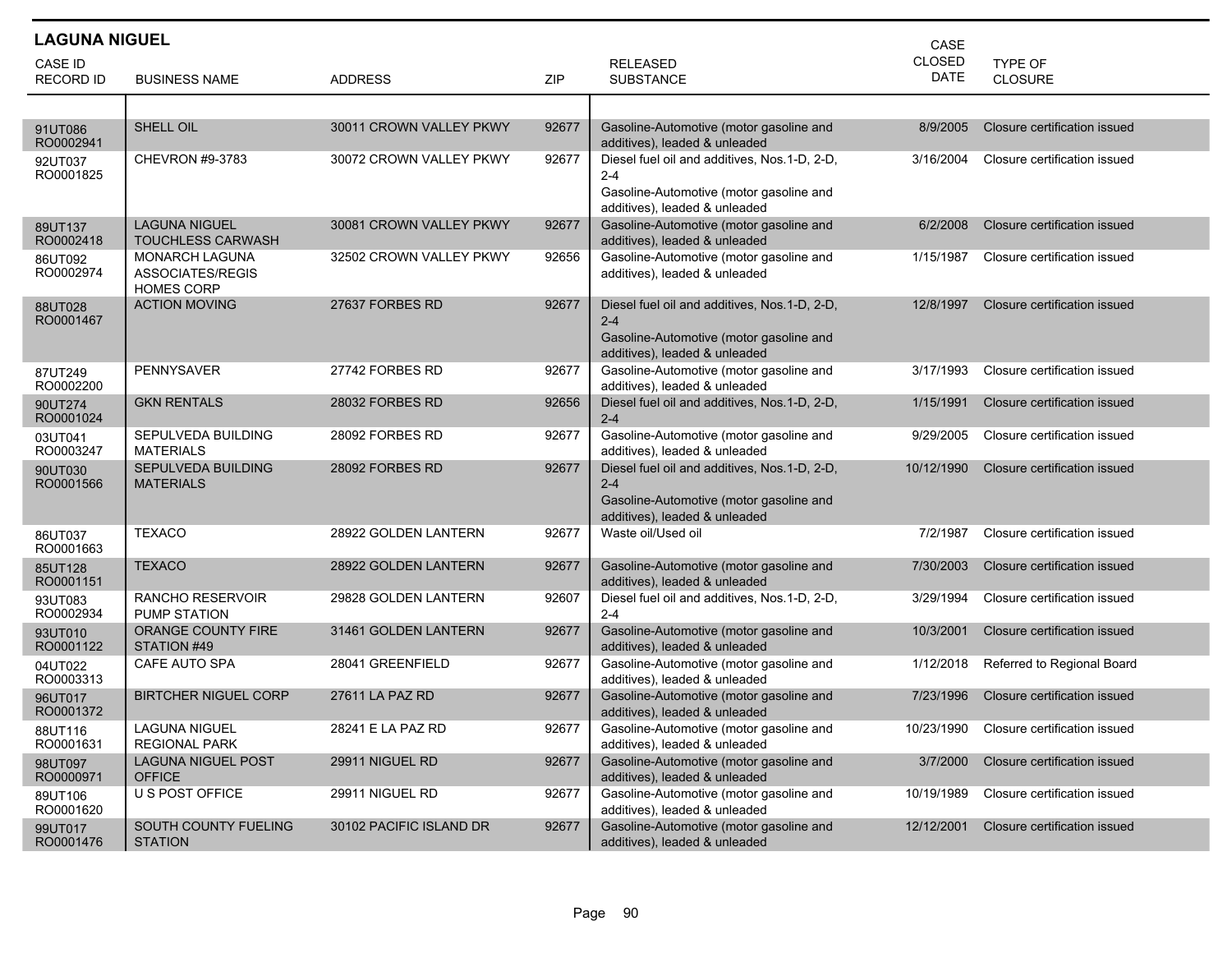| <b>LAGUNA NIGUEL</b>        |                                                                |                         |       |                                                                                                                                     | CASE                         |                                  |
|-----------------------------|----------------------------------------------------------------|-------------------------|-------|-------------------------------------------------------------------------------------------------------------------------------------|------------------------------|----------------------------------|
| CASE ID<br><b>RECORD ID</b> | <b>BUSINESS NAME</b>                                           | <b>ADDRESS</b>          | ZIP   | <b>RELEASED</b><br><b>SUBSTANCE</b>                                                                                                 | <b>CLOSED</b><br><b>DATE</b> | <b>TYPE OF</b><br><b>CLOSURE</b> |
|                             |                                                                |                         |       |                                                                                                                                     |                              |                                  |
| 91UT086<br>RO0002941        | <b>SHELL OIL</b>                                               | 30011 CROWN VALLEY PKWY | 92677 | Gasoline-Automotive (motor gasoline and<br>additives), leaded & unleaded                                                            | 8/9/2005                     | Closure certification issued     |
| 92UT037<br>RO0001825        | <b>CHEVRON #9-3783</b>                                         | 30072 CROWN VALLEY PKWY | 92677 | Diesel fuel oil and additives, Nos.1-D, 2-D,<br>$2 - 4$<br>Gasoline-Automotive (motor gasoline and<br>additives), leaded & unleaded | 3/16/2004                    | Closure certification issued     |
| 89UT137<br>RO0002418        | <b>LAGUNA NIGUEL</b><br><b>TOUCHLESS CARWASH</b>               | 30081 CROWN VALLEY PKWY | 92677 | Gasoline-Automotive (motor gasoline and<br>additives), leaded & unleaded                                                            | 6/2/2008                     | Closure certification issued     |
| 86UT092<br>RO0002974        | <b>MONARCH LAGUNA</b><br>ASSOCIATES/REGIS<br><b>HOMES CORP</b> | 32502 CROWN VALLEY PKWY | 92656 | Gasoline-Automotive (motor gasoline and<br>additives), leaded & unleaded                                                            | 1/15/1987                    | Closure certification issued     |
| 88UT028<br>RO0001467        | <b>ACTION MOVING</b>                                           | 27637 FORBES RD         | 92677 | Diesel fuel oil and additives, Nos.1-D, 2-D,<br>$2 - 4$<br>Gasoline-Automotive (motor gasoline and<br>additives), leaded & unleaded | 12/8/1997                    | Closure certification issued     |
| 87UT249<br>RO0002200        | <b>PENNYSAVER</b>                                              | 27742 FORBES RD         | 92677 | Gasoline-Automotive (motor gasoline and<br>additives), leaded & unleaded                                                            | 3/17/1993                    | Closure certification issued     |
| 90UT274<br>RO0001024        | <b>GKN RENTALS</b>                                             | 28032 FORBES RD         | 92656 | Diesel fuel oil and additives, Nos.1-D, 2-D,<br>$2 - 4$                                                                             | 1/15/1991                    | Closure certification issued     |
| 03UT041<br>RO0003247        | SEPULVEDA BUILDING<br><b>MATERIALS</b>                         | 28092 FORBES RD         | 92677 | Gasoline-Automotive (motor gasoline and<br>additives), leaded & unleaded                                                            | 9/29/2005                    | Closure certification issued     |
| 90UT030<br>RO0001566        | <b>SEPULVEDA BUILDING</b><br><b>MATERIALS</b>                  | 28092 FORBES RD         | 92677 | Diesel fuel oil and additives, Nos.1-D, 2-D,<br>$2 - 4$<br>Gasoline-Automotive (motor gasoline and<br>additives), leaded & unleaded | 10/12/1990                   | Closure certification issued     |
| 86UT037<br>RO0001663        | <b>TEXACO</b>                                                  | 28922 GOLDEN LANTERN    | 92677 | Waste oil/Used oil                                                                                                                  | 7/2/1987                     | Closure certification issued     |
| 85UT128<br>RO0001151        | <b>TEXACO</b>                                                  | 28922 GOLDEN LANTERN    | 92677 | Gasoline-Automotive (motor gasoline and<br>additives), leaded & unleaded                                                            | 7/30/2003                    | Closure certification issued     |
| 93UT083<br>RO0002934        | RANCHO RESERVOIR<br>PUMP STATION                               | 29828 GOLDEN LANTERN    | 92607 | Diesel fuel oil and additives, Nos.1-D, 2-D,<br>$2 - 4$                                                                             | 3/29/1994                    | Closure certification issued     |
| 93UT010<br>RO0001122        | ORANGE COUNTY FIRE<br>STATION #49                              | 31461 GOLDEN LANTERN    | 92677 | Gasoline-Automotive (motor gasoline and<br>additives), leaded & unleaded                                                            | 10/3/2001                    | Closure certification issued     |
| 04UT022<br>RO0003313        | CAFE AUTO SPA                                                  | 28041 GREENFIELD        | 92677 | Gasoline-Automotive (motor gasoline and<br>additives), leaded & unleaded                                                            | 1/12/2018                    | Referred to Regional Board       |
| 96UT017<br>RO0001372        | <b>BIRTCHER NIGUEL CORP</b>                                    | 27611 LA PAZ RD         | 92677 | Gasoline-Automotive (motor gasoline and<br>additives), leaded & unleaded                                                            | 7/23/1996                    | Closure certification issued     |
| 88UT116<br>RO0001631        | LAGUNA NIGUEL<br><b>REGIONAL PARK</b>                          | 28241 E LA PAZ RD       | 92677 | Gasoline-Automotive (motor gasoline and<br>additives), leaded & unleaded                                                            | 10/23/1990                   | Closure certification issued     |
| 98UT097<br>RO0000971        | <b>LAGUNA NIGUEL POST</b><br><b>OFFICE</b>                     | 29911 NIGUEL RD         | 92677 | Gasoline-Automotive (motor gasoline and<br>additives), leaded & unleaded                                                            | 3/7/2000                     | Closure certification issued     |
| 89UT106<br>RO0001620        | U S POST OFFICE                                                | 29911 NIGUEL RD         | 92677 | Gasoline-Automotive (motor gasoline and<br>additives), leaded & unleaded                                                            | 10/19/1989                   | Closure certification issued     |
| 99UT017<br>RO0001476        | SOUTH COUNTY FUELING<br><b>STATION</b>                         | 30102 PACIFIC ISLAND DR | 92677 | Gasoline-Automotive (motor gasoline and<br>additives), leaded & unleaded                                                            | 12/12/2001                   | Closure certification issued     |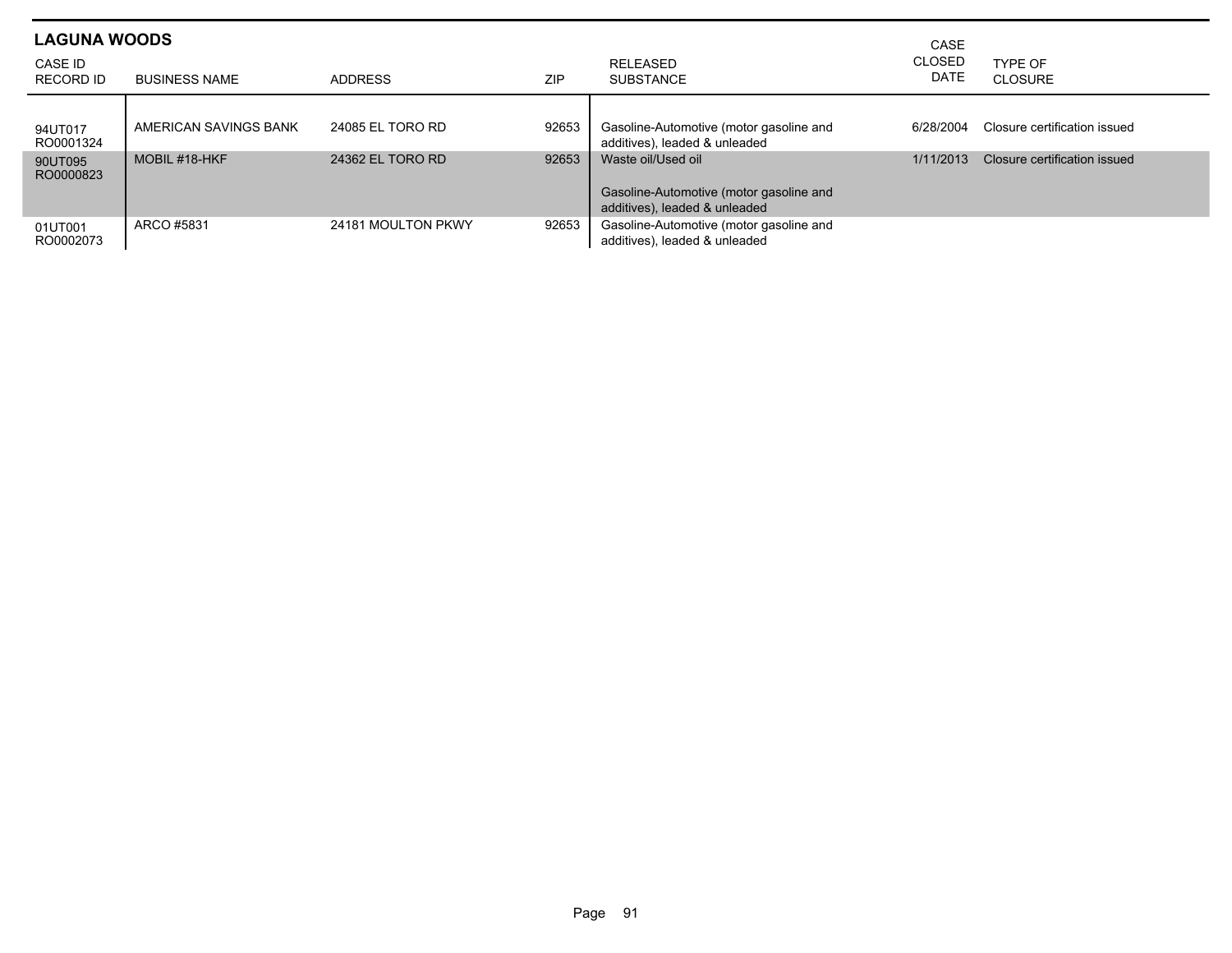| <b>LAGUNA WOODS</b>         |                       |                    |            |                                                                          | CASE                         |                              |
|-----------------------------|-----------------------|--------------------|------------|--------------------------------------------------------------------------|------------------------------|------------------------------|
| <b>CASE ID</b><br>RECORD ID | <b>BUSINESS NAME</b>  | <b>ADDRESS</b>     | <b>ZIP</b> | <b>RELEASED</b><br><b>SUBSTANCE</b>                                      | <b>CLOSED</b><br><b>DATE</b> | TYPF OF<br>CLOSURE           |
|                             |                       |                    |            |                                                                          |                              |                              |
| 94UT017<br>RO0001324        | AMERICAN SAVINGS BANK | 24085 EL TORO RD   | 92653      | Gasoline-Automotive (motor gasoline and<br>additives), leaded & unleaded | 6/28/2004                    | Closure certification issued |
| 90UT095<br>RO0000823        | MOBIL #18-HKF         | 24362 EL TORO RD   | 92653      | Waste oil/Used oil                                                       | 1/11/2013                    | Closure certification issued |
|                             |                       |                    |            | Gasoline-Automotive (motor gasoline and<br>additives), leaded & unleaded |                              |                              |
| 01UT001<br>RO0002073        | ARCO #5831            | 24181 MOULTON PKWY | 92653      | Gasoline-Automotive (motor gasoline and<br>additives), leaded & unleaded |                              |                              |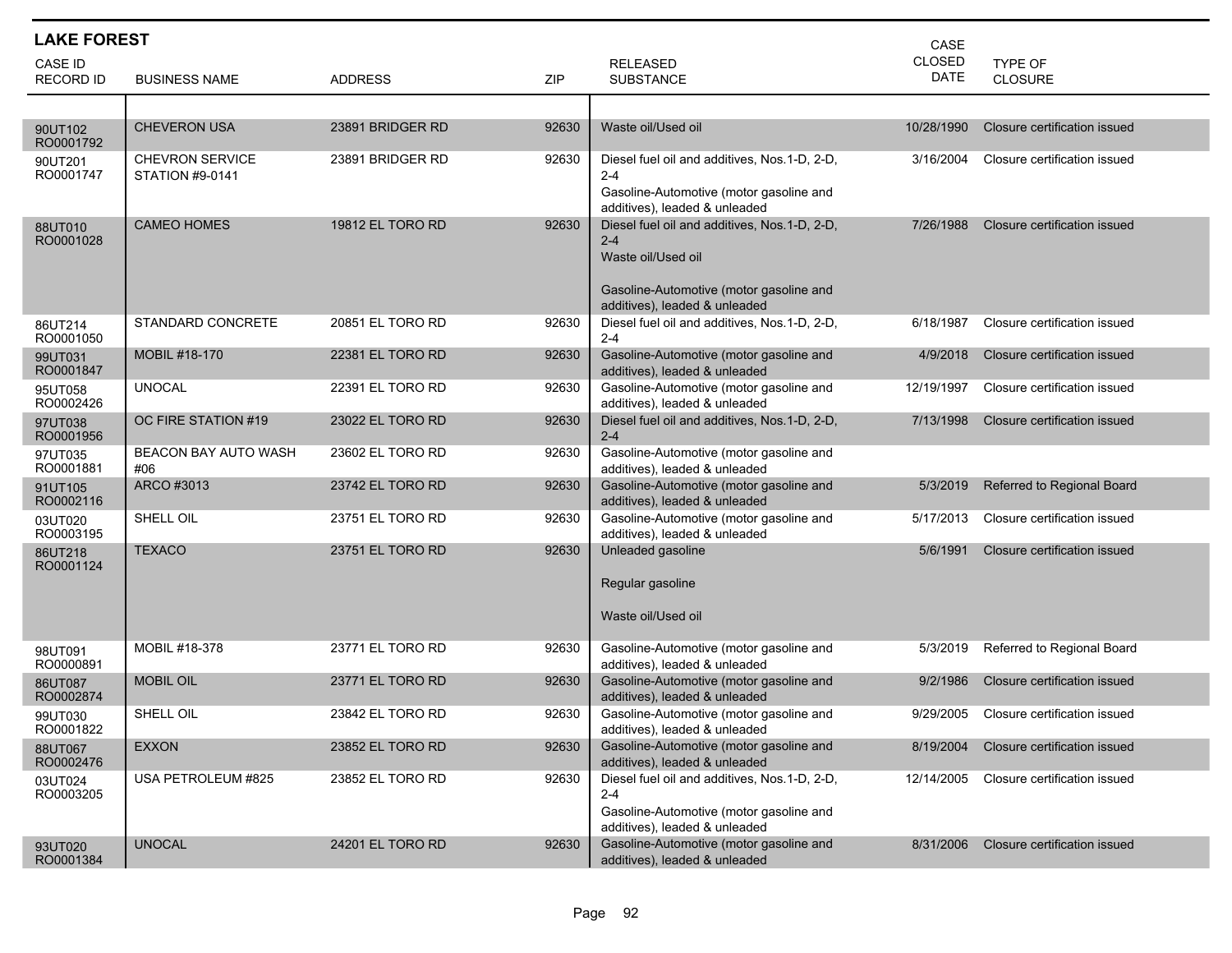| <b>LAKE FOREST</b>                 |                                                  |                  |       | CASE                                                                                                                                                      |                       |                              |
|------------------------------------|--------------------------------------------------|------------------|-------|-----------------------------------------------------------------------------------------------------------------------------------------------------------|-----------------------|------------------------------|
| <b>CASE ID</b><br><b>RECORD ID</b> | <b>BUSINESS NAME</b>                             | <b>ADDRESS</b>   | ZIP   | <b>RELEASED</b><br><b>SUBSTANCE</b>                                                                                                                       | CLOSED<br><b>DATE</b> | <b>TYPE OF</b><br>CLOSURE    |
|                                    |                                                  |                  |       |                                                                                                                                                           |                       |                              |
| 90UT102<br>RO0001792               | <b>CHEVERON USA</b>                              | 23891 BRIDGER RD | 92630 | Waste oil/Used oil                                                                                                                                        | 10/28/1990            | Closure certification issued |
| 90UT201<br>RO0001747               | <b>CHEVRON SERVICE</b><br><b>STATION #9-0141</b> | 23891 BRIDGER RD | 92630 | Diesel fuel oil and additives, Nos.1-D, 2-D,<br>$2 - 4$<br>Gasoline-Automotive (motor gasoline and<br>additives), leaded & unleaded                       | 3/16/2004             | Closure certification issued |
| 88UT010<br>RO0001028               | <b>CAMEO HOMES</b>                               | 19812 EL TORO RD | 92630 | Diesel fuel oil and additives, Nos.1-D, 2-D,<br>$2 - 4$<br>Waste oil/Used oil<br>Gasoline-Automotive (motor gasoline and<br>additives), leaded & unleaded | 7/26/1988             | Closure certification issued |
| 86UT214<br>RO0001050               | STANDARD CONCRETE                                | 20851 EL TORO RD | 92630 | Diesel fuel oil and additives, Nos.1-D, 2-D,<br>$2 - 4$                                                                                                   | 6/18/1987             | Closure certification issued |
| 99UT031<br>RO0001847               | MOBIL #18-170                                    | 22381 EL TORO RD | 92630 | Gasoline-Automotive (motor gasoline and<br>additives), leaded & unleaded                                                                                  | 4/9/2018              | Closure certification issued |
| 95UT058<br>RO0002426               | <b>UNOCAL</b>                                    | 22391 EL TORO RD | 92630 | Gasoline-Automotive (motor gasoline and<br>additives), leaded & unleaded                                                                                  | 12/19/1997            | Closure certification issued |
| 97UT038<br>RO0001956               | OC FIRE STATION #19                              | 23022 EL TORO RD | 92630 | Diesel fuel oil and additives, Nos.1-D, 2-D,<br>$2 - 4$                                                                                                   | 7/13/1998             | Closure certification issued |
| 97UT035<br>RO0001881               | <b>BEACON BAY AUTO WASH</b><br>#06               | 23602 EL TORO RD | 92630 | Gasoline-Automotive (motor gasoline and<br>additives), leaded & unleaded                                                                                  |                       |                              |
| 91UT105<br>RO0002116               | ARCO #3013                                       | 23742 EL TORO RD | 92630 | Gasoline-Automotive (motor gasoline and<br>additives), leaded & unleaded                                                                                  | 5/3/2019              | Referred to Regional Board   |
| 03UT020<br>RO0003195               | SHELL OIL                                        | 23751 EL TORO RD | 92630 | Gasoline-Automotive (motor gasoline and<br>additives), leaded & unleaded                                                                                  | 5/17/2013             | Closure certification issued |
| 86UT218<br>RO0001124               | <b>TEXACO</b>                                    | 23751 EL TORO RD | 92630 | Unleaded gasoline<br>Regular gasoline<br>Waste oil/Used oil                                                                                               | 5/6/1991              | Closure certification issued |
| 98UT091<br>RO0000891               | MOBIL #18-378                                    | 23771 EL TORO RD | 92630 | Gasoline-Automotive (motor gasoline and<br>additives), leaded & unleaded                                                                                  | 5/3/2019              | Referred to Regional Board   |
| 86UT087<br>RO0002874               | <b>MOBIL OIL</b>                                 | 23771 EL TORO RD | 92630 | Gasoline-Automotive (motor gasoline and<br>additives), leaded & unleaded                                                                                  | 9/2/1986              | Closure certification issued |
| 99UT030<br>RO0001822               | SHELL OIL                                        | 23842 EL TORO RD | 92630 | Gasoline-Automotive (motor gasoline and<br>additives), leaded & unleaded                                                                                  | 9/29/2005             | Closure certification issued |
| 88UT067<br>RO0002476               | <b>EXXON</b>                                     | 23852 EL TORO RD | 92630 | Gasoline-Automotive (motor gasoline and<br>additives), leaded & unleaded                                                                                  | 8/19/2004             | Closure certification issued |
| 03UT024<br>RO0003205               | USA PETROLEUM #825                               | 23852 EL TORO RD | 92630 | Diesel fuel oil and additives, Nos.1-D, 2-D,<br>2-4<br>Gasoline-Automotive (motor gasoline and<br>additives), leaded & unleaded                           | 12/14/2005            | Closure certification issued |
| 93UT020<br>RO0001384               | <b>UNOCAL</b>                                    | 24201 EL TORO RD | 92630 | Gasoline-Automotive (motor gasoline and<br>additives), leaded & unleaded                                                                                  | 8/31/2006             | Closure certification issued |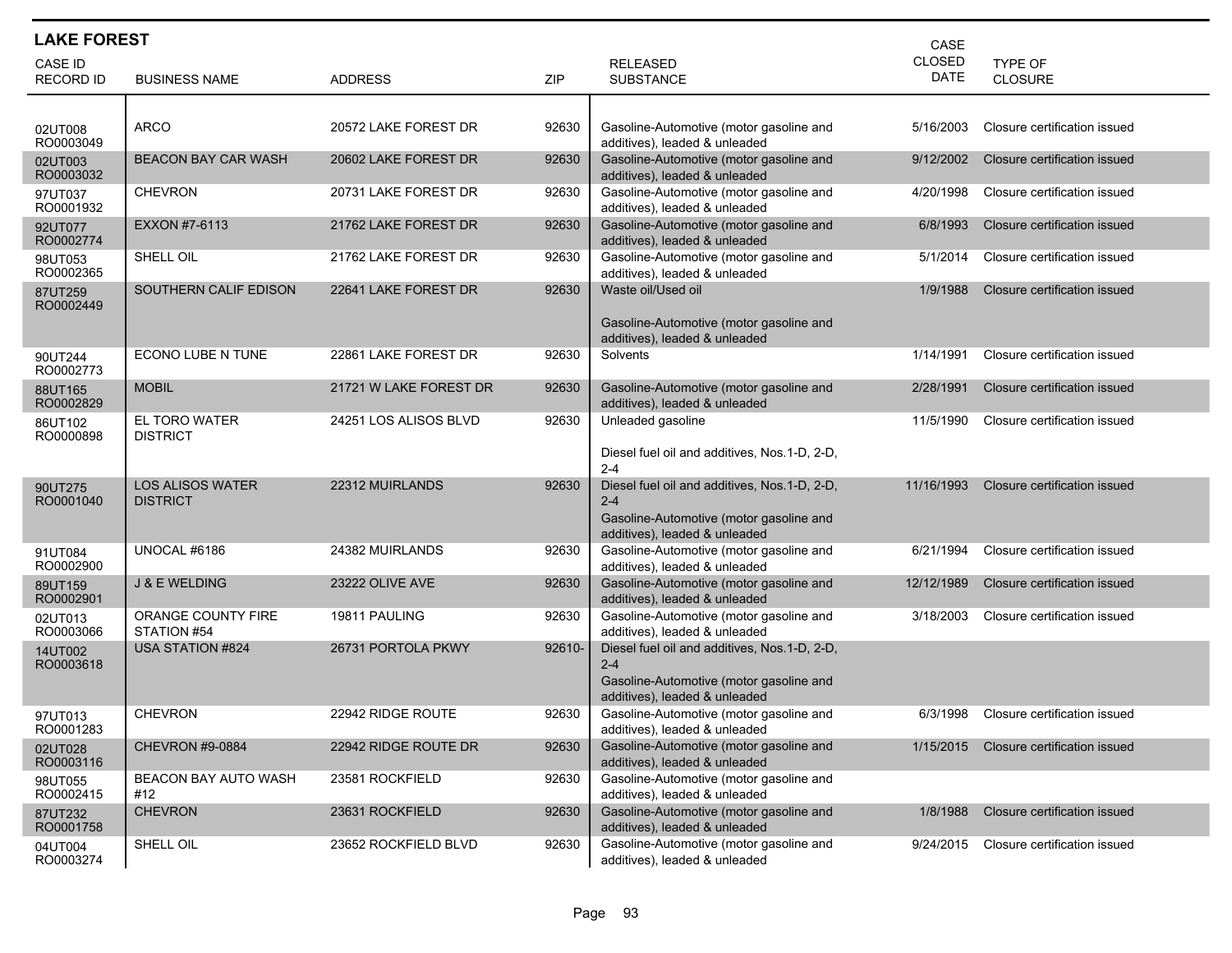| <b>LAKE FOREST</b><br>CASE |                                            |                        |        |                                                                          |                              |                              |  |  |
|----------------------------|--------------------------------------------|------------------------|--------|--------------------------------------------------------------------------|------------------------------|------------------------------|--|--|
| CASE ID                    |                                            |                        |        | <b>RELEASED</b>                                                          | <b>CLOSED</b><br><b>DATE</b> | TYPE OF                      |  |  |
| <b>RECORD ID</b>           | <b>BUSINESS NAME</b>                       | <b>ADDRESS</b>         | ZIP    | <b>SUBSTANCE</b>                                                         |                              | <b>CLOSURE</b>               |  |  |
|                            |                                            |                        |        |                                                                          |                              |                              |  |  |
| 02UT008<br>RO0003049       | <b>ARCO</b>                                | 20572 LAKE FOREST DR   | 92630  | Gasoline-Automotive (motor gasoline and<br>additives), leaded & unleaded | 5/16/2003                    | Closure certification issued |  |  |
| 02UT003<br>RO0003032       | <b>BEACON BAY CAR WASH</b>                 | 20602 LAKE FOREST DR   | 92630  | Gasoline-Automotive (motor gasoline and<br>additives), leaded & unleaded | 9/12/2002                    | Closure certification issued |  |  |
| 97UT037<br>RO0001932       | <b>CHEVRON</b>                             | 20731 LAKE FOREST DR   | 92630  | Gasoline-Automotive (motor gasoline and<br>additives), leaded & unleaded | 4/20/1998                    | Closure certification issued |  |  |
| 92UT077<br>RO0002774       | EXXON #7-6113                              | 21762 LAKE FOREST DR   | 92630  | Gasoline-Automotive (motor gasoline and<br>additives), leaded & unleaded | 6/8/1993                     | Closure certification issued |  |  |
| 98UT053<br>RO0002365       | SHELL OIL                                  | 21762 LAKE FOREST DR   | 92630  | Gasoline-Automotive (motor gasoline and<br>additives), leaded & unleaded | 5/1/2014                     | Closure certification issued |  |  |
| 87UT259<br>RO0002449       | SOUTHERN CALIF EDISON                      | 22641 LAKE FOREST DR   | 92630  | Waste oil/Used oil                                                       | 1/9/1988                     | Closure certification issued |  |  |
|                            |                                            |                        |        | Gasoline-Automotive (motor gasoline and<br>additives), leaded & unleaded |                              |                              |  |  |
| 90UT244<br>RO0002773       | ECONO LUBE N TUNE                          | 22861 LAKE FOREST DR   | 92630  | Solvents                                                                 | 1/14/1991                    | Closure certification issued |  |  |
| 88UT165<br>RO0002829       | <b>MOBIL</b>                               | 21721 W LAKE FOREST DR | 92630  | Gasoline-Automotive (motor gasoline and<br>additives), leaded & unleaded | 2/28/1991                    | Closure certification issued |  |  |
| 86UT102<br>RO0000898       | EL TORO WATER<br><b>DISTRICT</b>           | 24251 LOS ALISOS BLVD  | 92630  | Unleaded gasoline                                                        | 11/5/1990                    | Closure certification issued |  |  |
|                            |                                            |                        |        | Diesel fuel oil and additives, Nos.1-D, 2-D,<br>$2 - 4$                  |                              |                              |  |  |
| 90UT275<br>RO0001040       | <b>LOS ALISOS WATER</b><br><b>DISTRICT</b> | 22312 MUIRLANDS        | 92630  | Diesel fuel oil and additives, Nos. 1-D, 2-D,<br>$2 - 4$                 | 11/16/1993                   | Closure certification issued |  |  |
|                            |                                            |                        |        | Gasoline-Automotive (motor gasoline and<br>additives), leaded & unleaded |                              |                              |  |  |
| 91UT084<br>RO0002900       | UNOCAL #6186                               | 24382 MUIRLANDS        | 92630  | Gasoline-Automotive (motor gasoline and<br>additives), leaded & unleaded | 6/21/1994                    | Closure certification issued |  |  |
| 89UT159<br>RO0002901       | <b>J &amp; E WELDING</b>                   | 23222 OLIVE AVE        | 92630  | Gasoline-Automotive (motor gasoline and<br>additives), leaded & unleaded | 12/12/1989                   | Closure certification issued |  |  |
| 02UT013<br>RO0003066       | ORANGE COUNTY FIRE<br>STATION #54          | 19811 PAULING          | 92630  | Gasoline-Automotive (motor gasoline and<br>additives), leaded & unleaded | 3/18/2003                    | Closure certification issued |  |  |
| 14UT002<br>RO0003618       | <b>USA STATION #824</b>                    | 26731 PORTOLA PKWY     | 92610- | Diesel fuel oil and additives, Nos.1-D, 2-D,<br>$2 - 4$                  |                              |                              |  |  |
|                            |                                            |                        |        | Gasoline-Automotive (motor gasoline and<br>additives), leaded & unleaded |                              |                              |  |  |
| 97UT013<br>RO0001283       | <b>CHEVRON</b>                             | 22942 RIDGE ROUTE      | 92630  | Gasoline-Automotive (motor gasoline and<br>additives), leaded & unleaded | 6/3/1998                     | Closure certification issued |  |  |
| 02UT028<br>RO0003116       | <b>CHEVRON #9-0884</b>                     | 22942 RIDGE ROUTE DR   | 92630  | Gasoline-Automotive (motor gasoline and<br>additives), leaded & unleaded | 1/15/2015                    | Closure certification issued |  |  |
| 98UT055<br>RO0002415       | BEACON BAY AUTO WASH<br>#12                | 23581 ROCKFIELD        | 92630  | Gasoline-Automotive (motor gasoline and<br>additives), leaded & unleaded |                              |                              |  |  |
| 87UT232<br>RO0001758       | <b>CHEVRON</b>                             | 23631 ROCKFIELD        | 92630  | Gasoline-Automotive (motor gasoline and<br>additives), leaded & unleaded | 1/8/1988                     | Closure certification issued |  |  |
| 04UT004<br>RO0003274       | SHELL OIL                                  | 23652 ROCKFIELD BLVD   | 92630  | Gasoline-Automotive (motor gasoline and<br>additives), leaded & unleaded | 9/24/2015                    | Closure certification issued |  |  |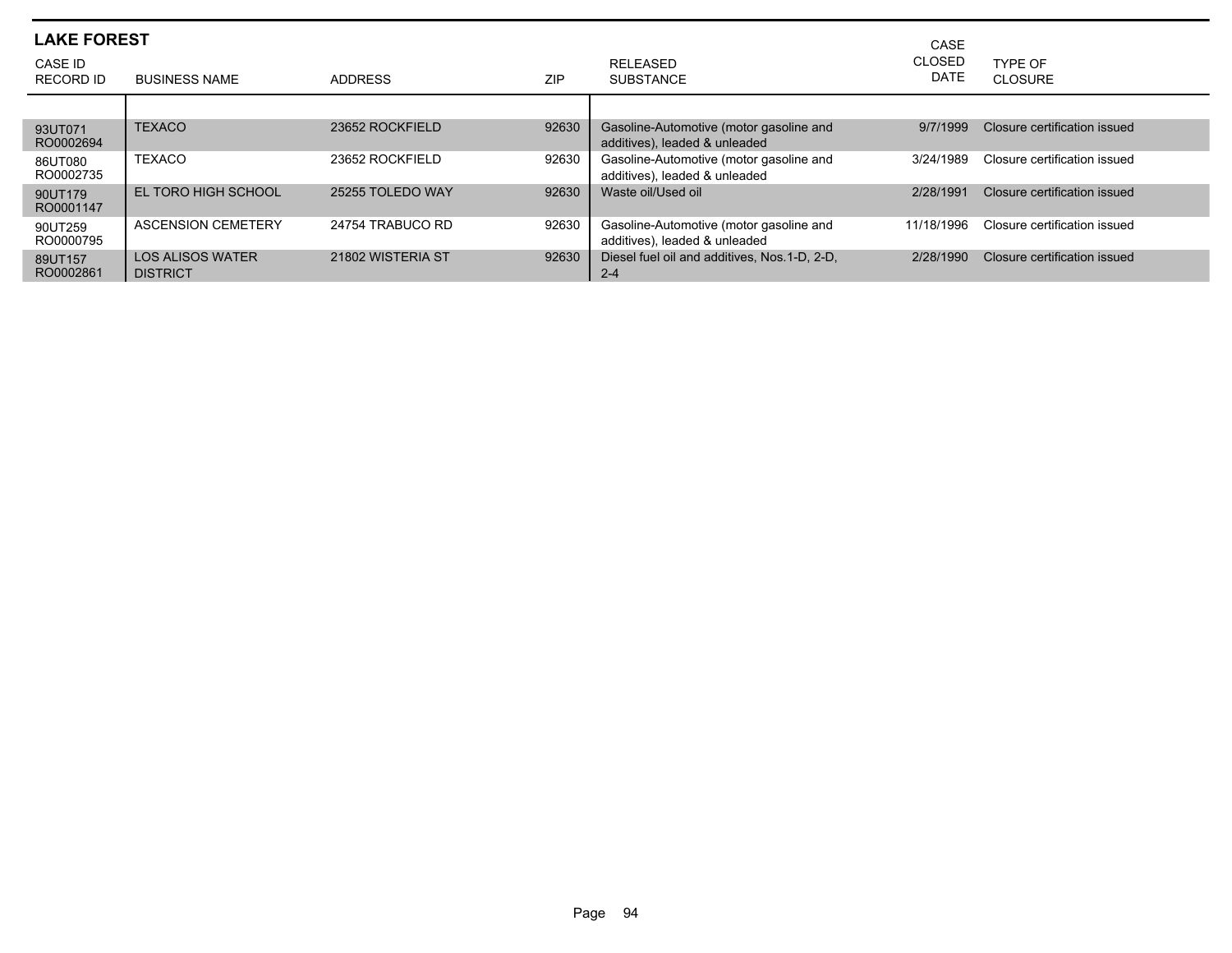| <b>LAKE FOREST</b>   |                                            |                   |            | CASE                                                                     |                       |                              |
|----------------------|--------------------------------------------|-------------------|------------|--------------------------------------------------------------------------|-----------------------|------------------------------|
| CASE ID<br>RECORD ID | <b>BUSINESS NAME</b>                       | <b>ADDRESS</b>    | <b>ZIP</b> | <b>RELEASED</b><br><b>SUBSTANCE</b>                                      | <b>CLOSED</b><br>DATE | TYPE OF<br>CLOSURE           |
|                      |                                            |                   |            |                                                                          |                       |                              |
| 93UT071<br>RO0002694 | <b>TEXACO</b>                              | 23652 ROCKFIELD   | 92630      | Gasoline-Automotive (motor gasoline and<br>additives), leaded & unleaded | 9/7/1999              | Closure certification issued |
| 86UT080<br>RO0002735 | <b>TEXACO</b>                              | 23652 ROCKFIELD   | 92630      | Gasoline-Automotive (motor gasoline and<br>additives), leaded & unleaded | 3/24/1989             | Closure certification issued |
| 90UT179<br>RO0001147 | EL TORO HIGH SCHOOL                        | 25255 TOLEDO WAY  | 92630      | Waste oil/Used oil                                                       | 2/28/1991             | Closure certification issued |
| 90UT259<br>RO0000795 | <b>ASCENSION CEMETERY</b>                  | 24754 TRABUCO RD  | 92630      | Gasoline-Automotive (motor gasoline and<br>additives), leaded & unleaded | 11/18/1996            | Closure certification issued |
| 89UT157<br>RO0002861 | <b>LOS ALISOS WATER</b><br><b>DISTRICT</b> | 21802 WISTERIA ST | 92630      | Diesel fuel oil and additives, Nos. 1-D, 2-D,<br>$2 - 4$                 | 2/28/1990             | Closure certification issued |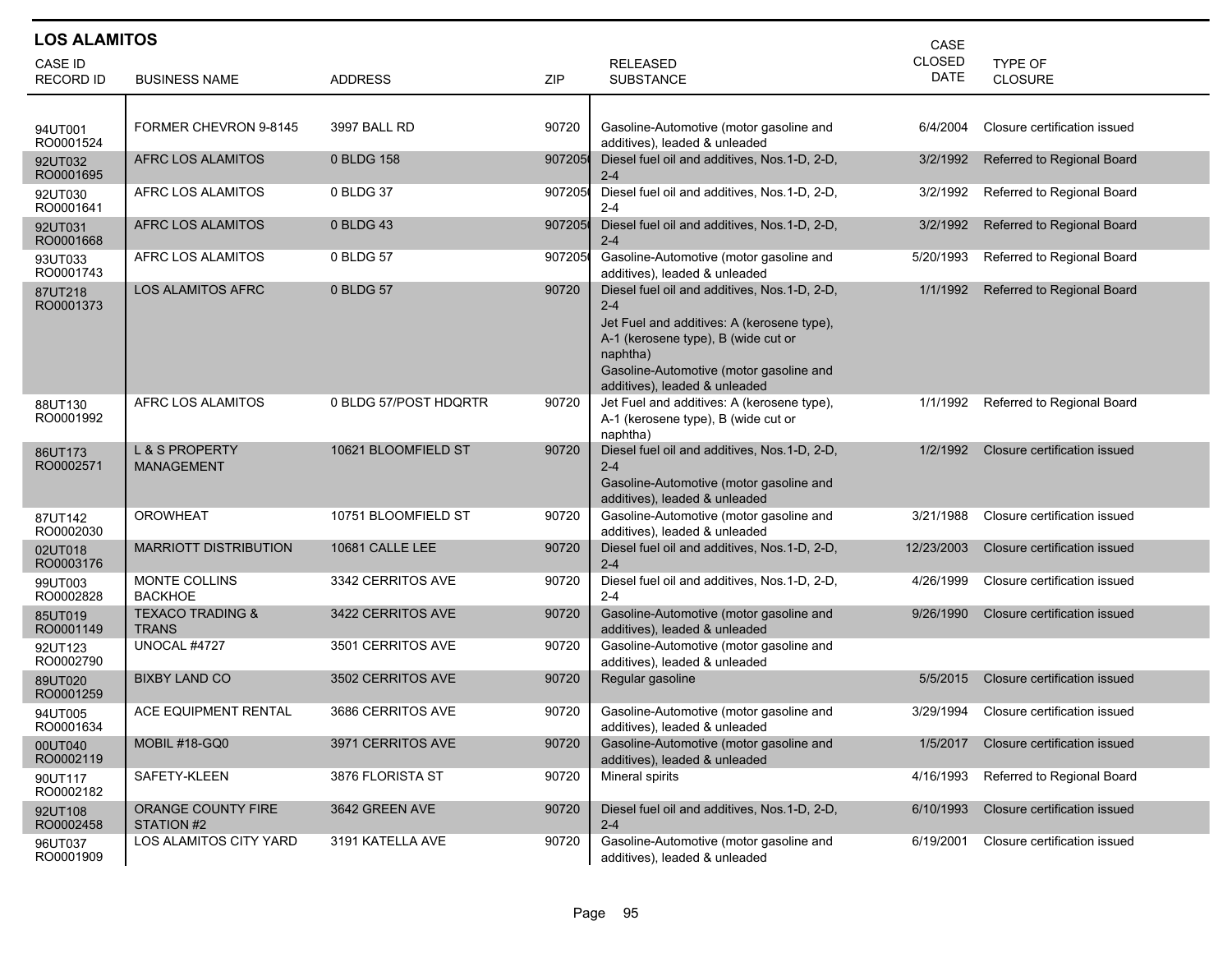| <b>LOS ALAMITOS</b><br>CASE |                                                |                       |        |                                                                                                                                                                                                                                      |               |                              |  |  |  |
|-----------------------------|------------------------------------------------|-----------------------|--------|--------------------------------------------------------------------------------------------------------------------------------------------------------------------------------------------------------------------------------------|---------------|------------------------------|--|--|--|
| <b>CASE ID</b>              |                                                |                       |        | <b>RELEASED</b>                                                                                                                                                                                                                      | <b>CLOSED</b> | TYPE OF                      |  |  |  |
| <b>RECORD ID</b>            | <b>BUSINESS NAME</b>                           | <b>ADDRESS</b>        | ZIP    | <b>SUBSTANCE</b>                                                                                                                                                                                                                     | <b>DATE</b>   | <b>CLOSURE</b>               |  |  |  |
|                             |                                                |                       |        |                                                                                                                                                                                                                                      |               |                              |  |  |  |
| 94UT001<br>RO0001524        | FORMER CHEVRON 9-8145                          | 3997 BALL RD          | 90720  | Gasoline-Automotive (motor gasoline and<br>additives), leaded & unleaded                                                                                                                                                             | 6/4/2004      | Closure certification issued |  |  |  |
| 92UT032<br>RO0001695        | AFRC LOS ALAMITOS                              | 0 BLDG 158            | 907205 | Diesel fuel oil and additives, Nos.1-D, 2-D,<br>$2 - 4$                                                                                                                                                                              | 3/2/1992      | Referred to Regional Board   |  |  |  |
| 92UT030<br>RO0001641        | AFRC LOS ALAMITOS                              | 0 BLDG 37             | 907205 | Diesel fuel oil and additives, Nos.1-D, 2-D,<br>$2 - 4$                                                                                                                                                                              | 3/2/1992      | Referred to Regional Board   |  |  |  |
| 92UT031<br>RO0001668        | <b>AFRC LOS ALAMITOS</b>                       | 0 BLDG 43             | 907205 | Diesel fuel oil and additives, Nos. 1-D, 2-D,<br>$2 - 4$                                                                                                                                                                             | 3/2/1992      | Referred to Regional Board   |  |  |  |
| 93UT033<br>RO0001743        | AFRC LOS ALAMITOS                              | 0 BLDG 57             | 907205 | Gasoline-Automotive (motor gasoline and<br>additives), leaded & unleaded                                                                                                                                                             | 5/20/1993     | Referred to Regional Board   |  |  |  |
| 87UT218<br>RO0001373        | <b>LOS ALAMITOS AFRC</b>                       | 0 BLDG 57             | 90720  | Diesel fuel oil and additives, Nos.1-D, 2-D,<br>$2 - 4$<br>Jet Fuel and additives: A (kerosene type),<br>A-1 (kerosene type), B (wide cut or<br>naphtha)<br>Gasoline-Automotive (motor gasoline and<br>additives), leaded & unleaded | 1/1/1992      | Referred to Regional Board   |  |  |  |
| 88UT130<br>RO0001992        | AFRC LOS ALAMITOS                              | 0 BLDG 57/POST HDQRTR | 90720  | Jet Fuel and additives: A (kerosene type),<br>A-1 (kerosene type), B (wide cut or<br>naphtha)                                                                                                                                        | 1/1/1992      | Referred to Regional Board   |  |  |  |
| 86UT173<br>RO0002571        | <b>L &amp; S PROPERTY</b><br><b>MANAGEMENT</b> | 10621 BLOOMFIELD ST   | 90720  | Diesel fuel oil and additives, Nos.1-D, 2-D,<br>$2 - 4$<br>Gasoline-Automotive (motor gasoline and<br>additives), leaded & unleaded                                                                                                  | 1/2/1992      | Closure certification issued |  |  |  |
| 87UT142<br>RO0002030        | OROWHEAT                                       | 10751 BLOOMFIELD ST   | 90720  | Gasoline-Automotive (motor gasoline and<br>additives), leaded & unleaded                                                                                                                                                             | 3/21/1988     | Closure certification issued |  |  |  |
| 02UT018<br>RO0003176        | <b>MARRIOTT DISTRIBUTION</b>                   | 10681 CALLE LEE       | 90720  | Diesel fuel oil and additives, Nos.1-D, 2-D,<br>$2 - 4$                                                                                                                                                                              | 12/23/2003    | Closure certification issued |  |  |  |
| 99UT003<br>RO0002828        | MONTE COLLINS<br><b>BACKHOE</b>                | 3342 CERRITOS AVE     | 90720  | Diesel fuel oil and additives, Nos.1-D, 2-D,<br>$2 - 4$                                                                                                                                                                              | 4/26/1999     | Closure certification issued |  |  |  |
| 85UT019<br>RO0001149        | <b>TEXACO TRADING &amp;</b><br><b>TRANS</b>    | 3422 CERRITOS AVE     | 90720  | Gasoline-Automotive (motor gasoline and<br>additives), leaded & unleaded                                                                                                                                                             | 9/26/1990     | Closure certification issued |  |  |  |
| 92UT123<br>RO0002790        | UNOCAL #4727                                   | 3501 CERRITOS AVE     | 90720  | Gasoline-Automotive (motor gasoline and<br>additives), leaded & unleaded                                                                                                                                                             |               |                              |  |  |  |
| 89UT020<br>RO0001259        | <b>BIXBY LAND CO</b>                           | 3502 CERRITOS AVE     | 90720  | Regular gasoline                                                                                                                                                                                                                     | 5/5/2015      | Closure certification issued |  |  |  |
| 94UT005<br>RO0001634        | <b>ACE EQUIPMENT RENTAL</b>                    | 3686 CERRITOS AVE     | 90720  | Gasoline-Automotive (motor gasoline and<br>additives), leaded & unleaded                                                                                                                                                             | 3/29/1994     | Closure certification issued |  |  |  |
| 00UT040<br>RO0002119        | MOBIL #18-GQ0                                  | 3971 CERRITOS AVE     | 90720  | Gasoline-Automotive (motor gasoline and<br>additives), leaded & unleaded                                                                                                                                                             | 1/5/2017      | Closure certification issued |  |  |  |
| 90UT117<br>RO0002182        | SAFETY-KLEEN                                   | 3876 FLORISTA ST      | 90720  | Mineral spirits                                                                                                                                                                                                                      | 4/16/1993     | Referred to Regional Board   |  |  |  |
| 92UT108<br>RO0002458        | ORANGE COUNTY FIRE<br>STATION #2               | 3642 GREEN AVE        | 90720  | Diesel fuel oil and additives, Nos.1-D, 2-D,<br>$2 - 4$                                                                                                                                                                              | 6/10/1993     | Closure certification issued |  |  |  |
| 96UT037<br>RO0001909        | LOS ALAMITOS CITY YARD                         | 3191 KATELLA AVE      | 90720  | Gasoline-Automotive (motor gasoline and<br>additives), leaded & unleaded                                                                                                                                                             | 6/19/2001     | Closure certification issued |  |  |  |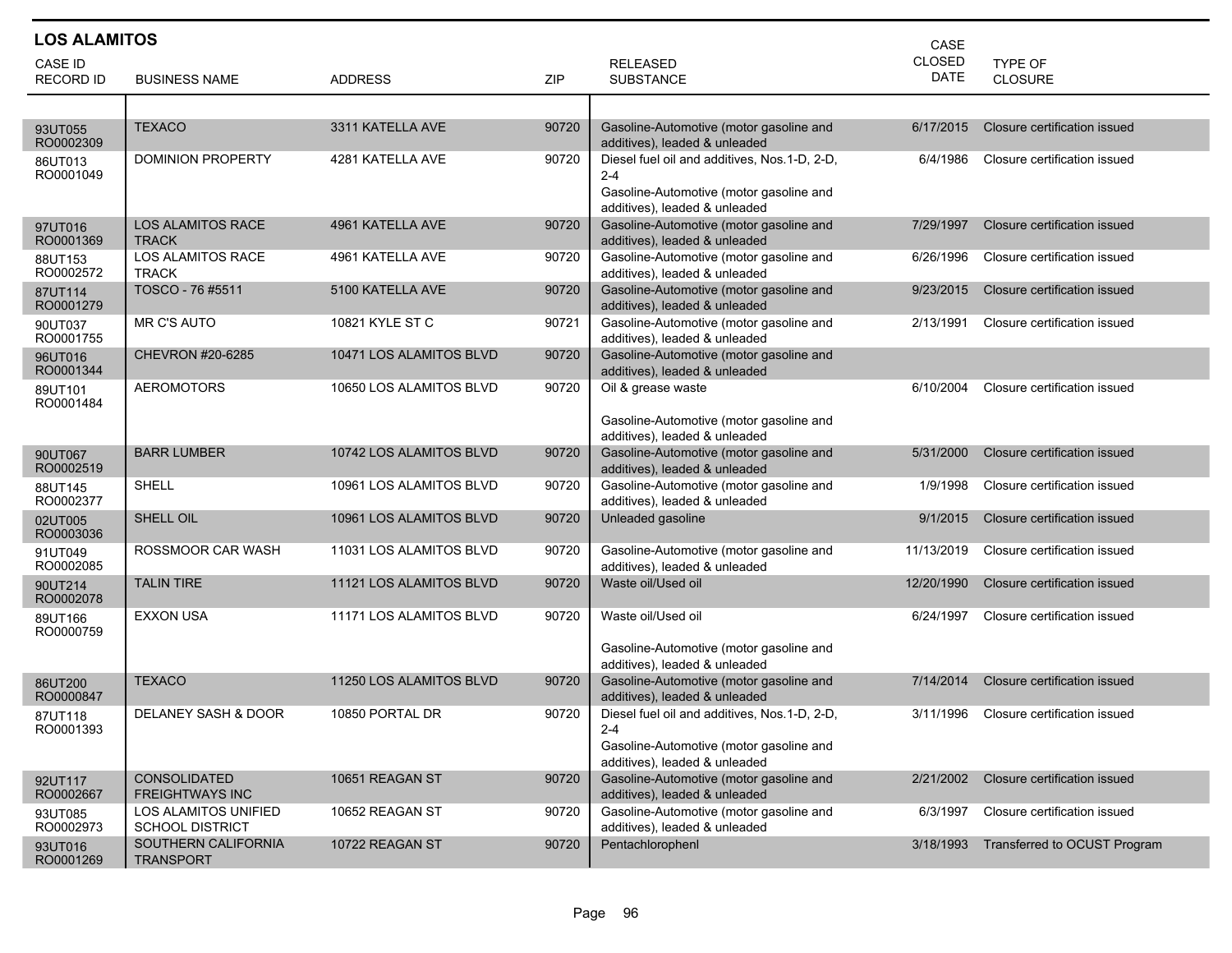| <b>LOS ALAMITOS</b>  |                                                       |                         |       |                                                                                                                                 | CASE          |                              |
|----------------------|-------------------------------------------------------|-------------------------|-------|---------------------------------------------------------------------------------------------------------------------------------|---------------|------------------------------|
| <b>CASE ID</b>       |                                                       |                         |       | <b>RELEASED</b>                                                                                                                 | <b>CLOSED</b> | TYPE OF                      |
| <b>RECORD ID</b>     | <b>BUSINESS NAME</b>                                  | <b>ADDRESS</b>          | ZIP   | <b>SUBSTANCE</b>                                                                                                                | DATE          | <b>CLOSURE</b>               |
|                      |                                                       |                         |       |                                                                                                                                 |               |                              |
| 93UT055<br>RO0002309 | <b>TEXACO</b>                                         | 3311 KATELLA AVE        | 90720 | Gasoline-Automotive (motor gasoline and<br>additives), leaded & unleaded                                                        | 6/17/2015     | Closure certification issued |
| 86UT013<br>RO0001049 | DOMINION PROPERTY                                     | 4281 KATELLA AVE        | 90720 | Diesel fuel oil and additives, Nos.1-D, 2-D,<br>$2 - 4$<br>Gasoline-Automotive (motor gasoline and                              | 6/4/1986      | Closure certification issued |
| 97UT016<br>RO0001369 | <b>LOS ALAMITOS RACE</b><br><b>TRACK</b>              | 4961 KATELLA AVE        | 90720 | additives), leaded & unleaded<br>Gasoline-Automotive (motor gasoline and<br>additives), leaded & unleaded                       | 7/29/1997     | Closure certification issued |
| 88UT153<br>RO0002572 | <b>LOS ALAMITOS RACE</b><br><b>TRACK</b>              | 4961 KATELLA AVE        | 90720 | Gasoline-Automotive (motor gasoline and<br>additives), leaded & unleaded                                                        | 6/26/1996     | Closure certification issued |
| 87UT114<br>RO0001279 | TOSCO - 76 #5511                                      | 5100 KATELLA AVE        | 90720 | Gasoline-Automotive (motor gasoline and<br>additives), leaded & unleaded                                                        | 9/23/2015     | Closure certification issued |
| 90UT037<br>RO0001755 | MR C'S AUTO                                           | 10821 KYLE ST C         | 90721 | Gasoline-Automotive (motor gasoline and<br>additives), leaded & unleaded                                                        | 2/13/1991     | Closure certification issued |
| 96UT016<br>RO0001344 | CHEVRON #20-6285                                      | 10471 LOS ALAMITOS BLVD | 90720 | Gasoline-Automotive (motor gasoline and<br>additives), leaded & unleaded                                                        |               |                              |
| 89UT101<br>RO0001484 | <b>AEROMOTORS</b>                                     | 10650 LOS ALAMITOS BLVD | 90720 | Oil & grease waste<br>Gasoline-Automotive (motor gasoline and<br>additives), leaded & unleaded                                  | 6/10/2004     | Closure certification issued |
| 90UT067<br>RO0002519 | <b>BARR LUMBER</b>                                    | 10742 LOS ALAMITOS BLVD | 90720 | Gasoline-Automotive (motor gasoline and<br>additives), leaded & unleaded                                                        | 5/31/2000     | Closure certification issued |
| 88UT145<br>RO0002377 | <b>SHELL</b>                                          | 10961 LOS ALAMITOS BLVD | 90720 | Gasoline-Automotive (motor gasoline and<br>additives), leaded & unleaded                                                        | 1/9/1998      | Closure certification issued |
| 02UT005<br>RO0003036 | SHELL OIL                                             | 10961 LOS ALAMITOS BLVD | 90720 | Unleaded gasoline                                                                                                               | 9/1/2015      | Closure certification issued |
| 91UT049<br>RO0002085 | ROSSMOOR CAR WASH                                     | 11031 LOS ALAMITOS BLVD | 90720 | Gasoline-Automotive (motor gasoline and<br>additives), leaded & unleaded                                                        | 11/13/2019    | Closure certification issued |
| 90UT214<br>RO0002078 | <b>TALIN TIRE</b>                                     | 11121 LOS ALAMITOS BLVD | 90720 | Waste oil/Used oil                                                                                                              | 12/20/1990    | Closure certification issued |
| 89UT166<br>RO0000759 | <b>EXXON USA</b>                                      | 11171 LOS ALAMITOS BLVD | 90720 | Waste oil/Used oil<br>Gasoline-Automotive (motor gasoline and<br>additives), leaded & unleaded                                  | 6/24/1997     | Closure certification issued |
| 86UT200<br>RO0000847 | <b>TEXACO</b>                                         | 11250 LOS ALAMITOS BLVD | 90720 | Gasoline-Automotive (motor gasoline and<br>additives), leaded & unleaded                                                        | 7/14/2014     | Closure certification issued |
| 87UT118<br>RO0001393 | <b>DELANEY SASH &amp; DOOR</b>                        | 10850 PORTAL DR         | 90720 | Diesel fuel oil and additives, Nos.1-D, 2-D,<br>2-4<br>Gasoline-Automotive (motor gasoline and<br>additives), leaded & unleaded | 3/11/1996     | Closure certification issued |
| 92UT117<br>RO0002667 | <b>CONSOLIDATED</b><br><b>FREIGHTWAYS INC</b>         | 10651 REAGAN ST         | 90720 | Gasoline-Automotive (motor gasoline and<br>additives), leaded & unleaded                                                        | 2/21/2002     | Closure certification issued |
| 93UT085<br>RO0002973 | <b>LOS ALAMITOS UNIFIED</b><br><b>SCHOOL DISTRICT</b> | 10652 REAGAN ST         | 90720 | Gasoline-Automotive (motor gasoline and<br>additives), leaded & unleaded                                                        | 6/3/1997      | Closure certification issued |
| 93UT016<br>RO0001269 | SOUTHERN CALIFORNIA<br><b>TRANSPORT</b>               | 10722 REAGAN ST         | 90720 | Pentachlorophenl                                                                                                                | 3/18/1993     | Transferred to OCUST Program |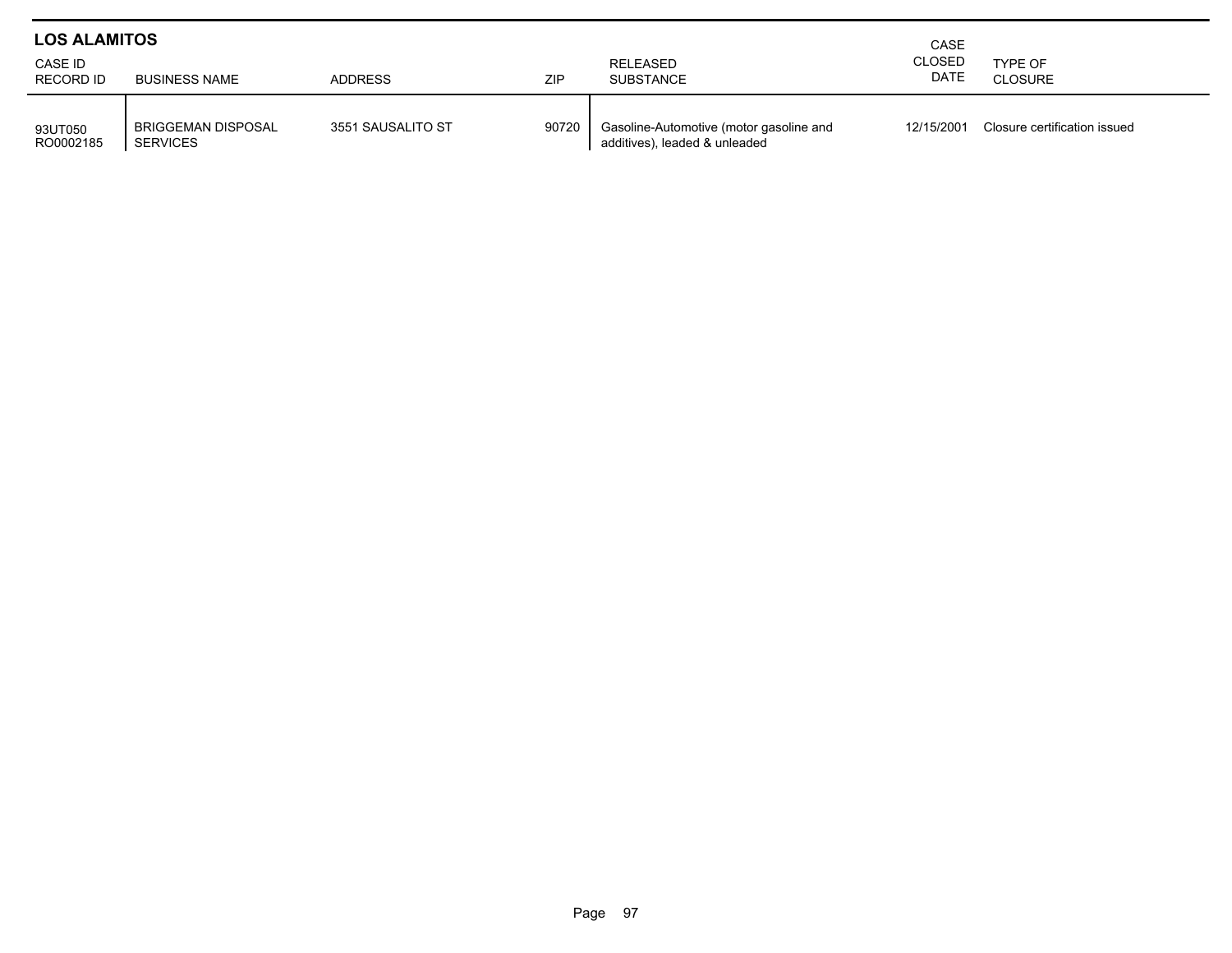| <b>LOS ALAMITOS</b>         |                                       | CASE              |       |                                                                          |                       |                              |
|-----------------------------|---------------------------------------|-------------------|-------|--------------------------------------------------------------------------|-----------------------|------------------------------|
| CASE ID<br><b>RECORD ID</b> | <b>BUSINESS NAME</b>                  | <b>ADDRESS</b>    | ZIP   | RELEASED<br><b>SUBSTANCE</b>                                             | <b>CLOSED</b><br>DATE | TYPE OF<br><b>CLOSURE</b>    |
| 93UT050<br>RO0002185        | <b>BRIGGEMAN DISPOSAL</b><br>SERVICES | 3551 SAUSALITO ST | 90720 | Gasoline-Automotive (motor gasoline and<br>additives), leaded & unleaded | 12/15/2001            | Closure certification issued |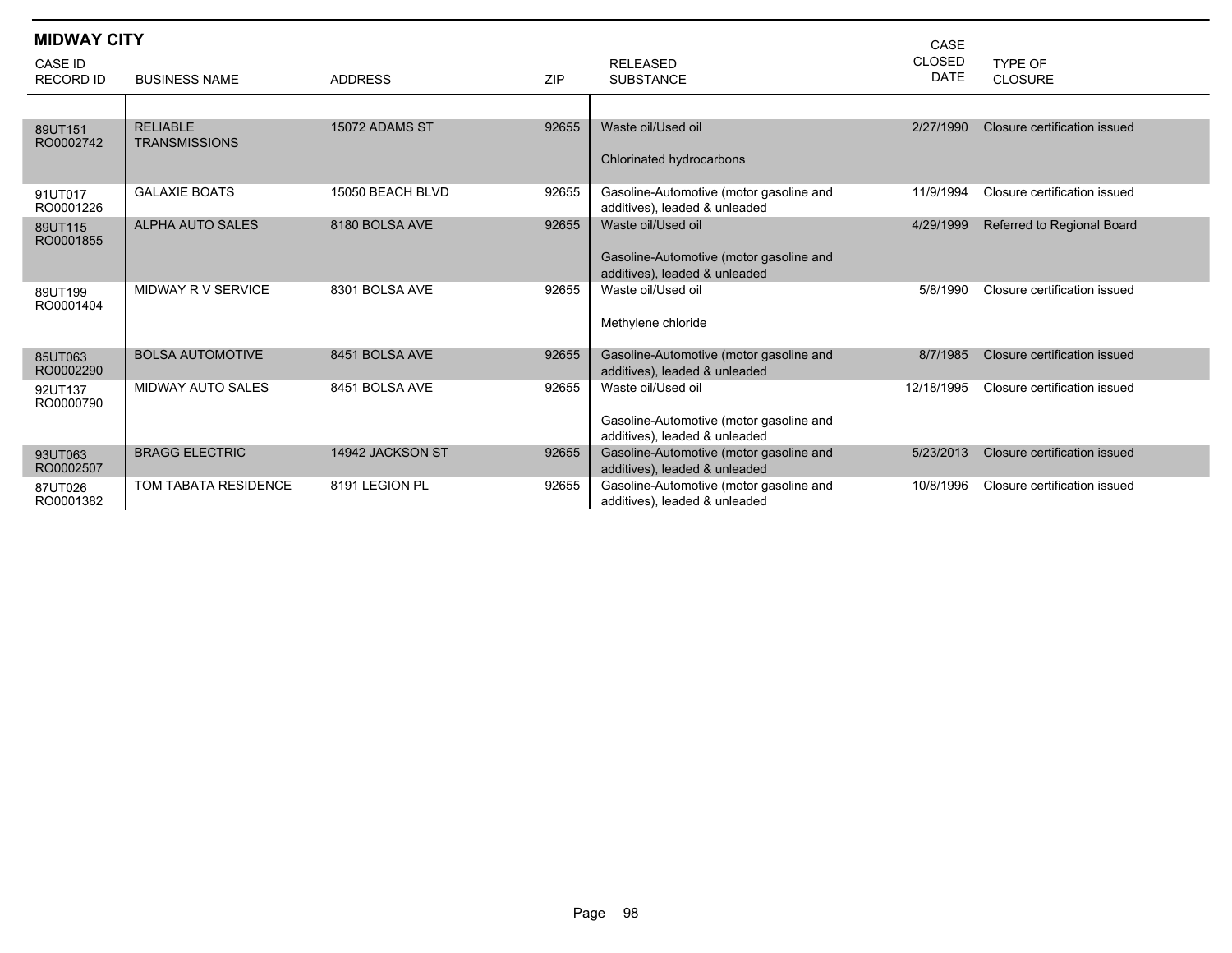| <b>MIDWAY CITY</b>          |                                         |                  |            |                                                                                                | CASE                         |                              |
|-----------------------------|-----------------------------------------|------------------|------------|------------------------------------------------------------------------------------------------|------------------------------|------------------------------|
| CASE ID<br><b>RECORD ID</b> | <b>BUSINESS NAME</b>                    | <b>ADDRESS</b>   | <b>ZIP</b> | <b>RELEASED</b><br><b>SUBSTANCE</b>                                                            | <b>CLOSED</b><br><b>DATE</b> | TYPE OF<br><b>CLOSURE</b>    |
|                             |                                         |                  |            |                                                                                                |                              |                              |
| 89UT151<br>RO0002742        | <b>RELIABLE</b><br><b>TRANSMISSIONS</b> | 15072 ADAMS ST   | 92655      | Waste oil/Used oil<br>Chlorinated hydrocarbons                                                 | 2/27/1990                    | Closure certification issued |
| 91UT017<br>RO0001226        | <b>GALAXIE BOATS</b>                    | 15050 BEACH BLVD | 92655      | Gasoline-Automotive (motor gasoline and<br>additives), leaded & unleaded                       | 11/9/1994                    | Closure certification issued |
| 89UT115<br>RO0001855        | <b>ALPHA AUTO SALES</b>                 | 8180 BOLSA AVE   | 92655      | Waste oil/Used oil<br>Gasoline-Automotive (motor gasoline and<br>additives), leaded & unleaded | 4/29/1999                    | Referred to Regional Board   |
| 89UT199<br>RO0001404        | MIDWAY R V SERVICE                      | 8301 BOLSA AVE   | 92655      | Waste oil/Used oil<br>Methylene chloride                                                       | 5/8/1990                     | Closure certification issued |
| 85UT063<br>RO0002290        | <b>BOLSA AUTOMOTIVE</b>                 | 8451 BOLSA AVE   | 92655      | Gasoline-Automotive (motor gasoline and<br>additives), leaded & unleaded                       | 8/7/1985                     | Closure certification issued |
| 92UT137<br>RO0000790        | <b>MIDWAY AUTO SALES</b>                | 8451 BOLSA AVE   | 92655      | Waste oil/Used oil<br>Gasoline-Automotive (motor gasoline and<br>additives), leaded & unleaded | 12/18/1995                   | Closure certification issued |
| 93UT063<br>RO0002507        | <b>BRAGG ELECTRIC</b>                   | 14942 JACKSON ST | 92655      | Gasoline-Automotive (motor gasoline and<br>additives), leaded & unleaded                       | 5/23/2013                    | Closure certification issued |
| 87UT026<br>RO0001382        | TOM TABATA RESIDENCE                    | 8191 LEGION PL   | 92655      | Gasoline-Automotive (motor gasoline and<br>additives), leaded & unleaded                       | 10/8/1996                    | Closure certification issued |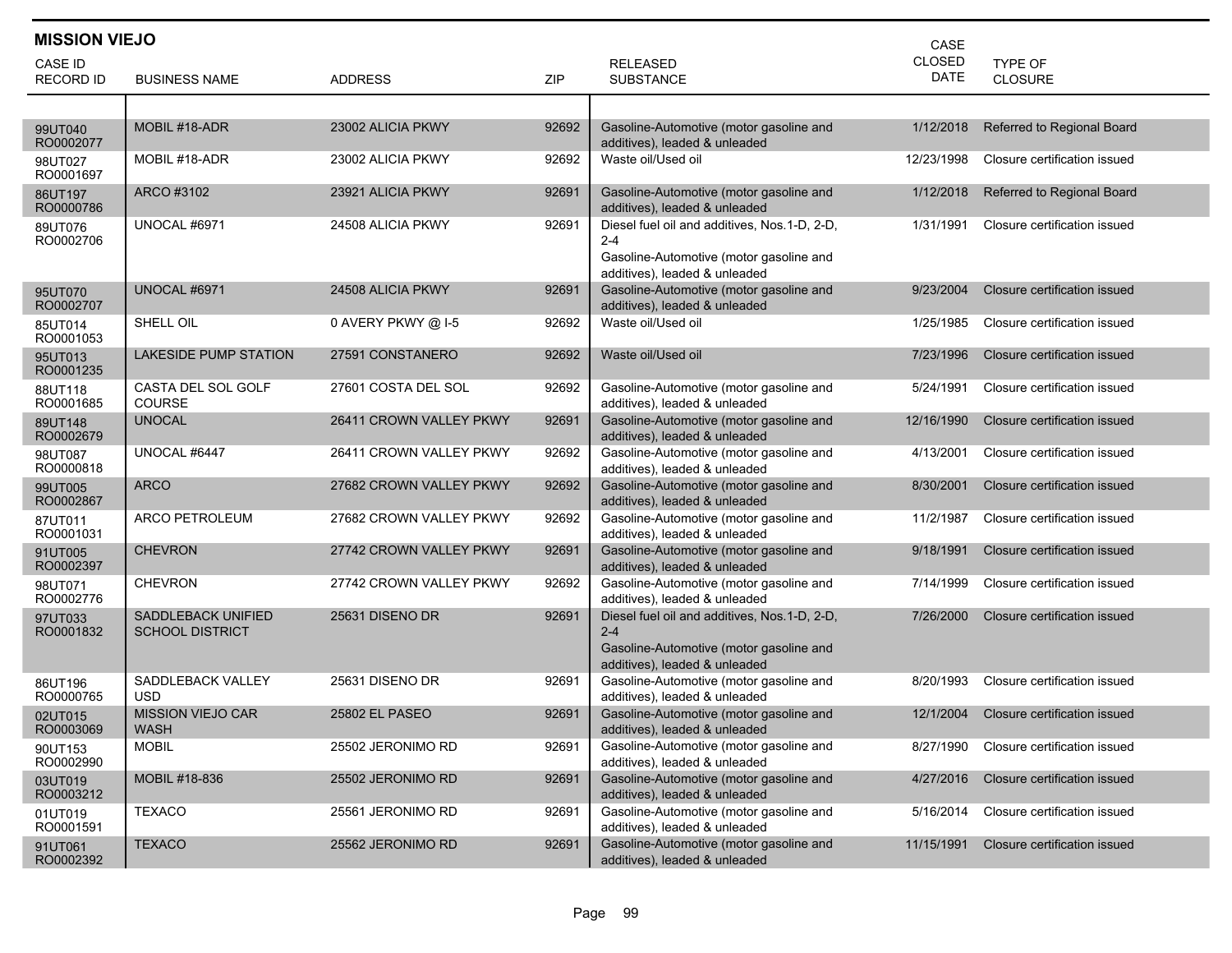| <b>MISSION VIEJO</b> |                                                     |                         |       |                                                                                                                                     | CASE                         |                              |
|----------------------|-----------------------------------------------------|-------------------------|-------|-------------------------------------------------------------------------------------------------------------------------------------|------------------------------|------------------------------|
| CASE ID              | <b>BUSINESS NAME</b>                                | <b>ADDRESS</b>          | ZIP   | <b>RELEASED</b>                                                                                                                     | <b>CLOSED</b><br><b>DATE</b> | <b>TYPE OF</b><br>CLOSURE    |
| RECORD ID            |                                                     |                         |       | <b>SUBSTANCE</b>                                                                                                                    |                              |                              |
|                      | MOBIL #18-ADR                                       | 23002 ALICIA PKWY       | 92692 | Gasoline-Automotive (motor gasoline and                                                                                             | 1/12/2018                    | Referred to Regional Board   |
| 99UT040<br>RO0002077 |                                                     |                         |       | additives), leaded & unleaded                                                                                                       |                              |                              |
| 98UT027<br>RO0001697 | MOBIL #18-ADR                                       | 23002 ALICIA PKWY       | 92692 | Waste oil/Used oil                                                                                                                  | 12/23/1998                   | Closure certification issued |
| 86UT197<br>RO0000786 | ARCO #3102                                          | 23921 ALICIA PKWY       | 92691 | Gasoline-Automotive (motor gasoline and<br>additives), leaded & unleaded                                                            | 1/12/2018                    | Referred to Regional Board   |
| 89UT076<br>RO0002706 | UNOCAL #6971                                        | 24508 ALICIA PKWY       | 92691 | Diesel fuel oil and additives, Nos.1-D, 2-D,<br>$2 - 4$<br>Gasoline-Automotive (motor gasoline and<br>additives), leaded & unleaded | 1/31/1991                    | Closure certification issued |
| 95UT070<br>RO0002707 | UNOCAL #6971                                        | 24508 ALICIA PKWY       | 92691 | Gasoline-Automotive (motor gasoline and<br>additives), leaded & unleaded                                                            | 9/23/2004                    | Closure certification issued |
| 85UT014<br>RO0001053 | SHELL OIL                                           | 0 AVERY PKWY @ I-5      | 92692 | Waste oil/Used oil                                                                                                                  | 1/25/1985                    | Closure certification issued |
| 95UT013<br>RO0001235 | <b>LAKESIDE PUMP STATION</b>                        | 27591 CONSTANERO        | 92692 | Waste oil/Used oil                                                                                                                  | 7/23/1996                    | Closure certification issued |
| 88UT118<br>RO0001685 | CASTA DEL SOL GOLF<br><b>COURSE</b>                 | 27601 COSTA DEL SOL     | 92692 | Gasoline-Automotive (motor gasoline and<br>additives), leaded & unleaded                                                            | 5/24/1991                    | Closure certification issued |
| 89UT148<br>RO0002679 | <b>UNOCAL</b>                                       | 26411 CROWN VALLEY PKWY | 92691 | Gasoline-Automotive (motor gasoline and<br>additives), leaded & unleaded                                                            | 12/16/1990                   | Closure certification issued |
| 98UT087<br>RO0000818 | UNOCAL #6447                                        | 26411 CROWN VALLEY PKWY | 92692 | Gasoline-Automotive (motor gasoline and<br>additives), leaded & unleaded                                                            | 4/13/2001                    | Closure certification issued |
| 99UT005<br>RO0002867 | <b>ARCO</b>                                         | 27682 CROWN VALLEY PKWY | 92692 | Gasoline-Automotive (motor gasoline and<br>additives), leaded & unleaded                                                            | 8/30/2001                    | Closure certification issued |
| 87UT011<br>RO0001031 | <b>ARCO PETROLEUM</b>                               | 27682 CROWN VALLEY PKWY | 92692 | Gasoline-Automotive (motor gasoline and<br>additives), leaded & unleaded                                                            | 11/2/1987                    | Closure certification issued |
| 91UT005<br>RO0002397 | <b>CHEVRON</b>                                      | 27742 CROWN VALLEY PKWY | 92691 | Gasoline-Automotive (motor gasoline and<br>additives), leaded & unleaded                                                            | 9/18/1991                    | Closure certification issued |
| 98UT071<br>RO0002776 | <b>CHEVRON</b>                                      | 27742 CROWN VALLEY PKWY | 92692 | Gasoline-Automotive (motor gasoline and<br>additives), leaded & unleaded                                                            | 7/14/1999                    | Closure certification issued |
| 97UT033<br>RO0001832 | <b>SADDLEBACK UNIFIED</b><br><b>SCHOOL DISTRICT</b> | 25631 DISENO DR         | 92691 | Diesel fuel oil and additives, Nos.1-D, 2-D,<br>$2 - 4$<br>Gasoline-Automotive (motor gasoline and<br>additives), leaded & unleaded | 7/26/2000                    | Closure certification issued |
| 86UT196<br>RO0000765 | SADDLEBACK VALLEY<br>USD                            | 25631 DISENO DR         | 92691 | Gasoline-Automotive (motor gasoline and<br>additives), leaded & unleaded                                                            | 8/20/1993                    | Closure certification issued |
| 02UT015<br>RO0003069 | <b>MISSION VIEJO CAR</b><br>WASH                    | 25802 EL PASEO          | 92691 | Gasoline-Automotive (motor gasoline and<br>additives), leaded & unleaded                                                            | 12/1/2004                    | Closure certification issued |
| 90UT153<br>RO0002990 | <b>MOBIL</b>                                        | 25502 JERONIMO RD       | 92691 | Gasoline-Automotive (motor gasoline and<br>additives), leaded & unleaded                                                            | 8/27/1990                    | Closure certification issued |
| 03UT019<br>RO0003212 | MOBIL #18-836                                       | 25502 JERONIMO RD       | 92691 | Gasoline-Automotive (motor gasoline and<br>additives), leaded & unleaded                                                            | 4/27/2016                    | Closure certification issued |
| 01UT019<br>RO0001591 | <b>TEXACO</b>                                       | 25561 JERONIMO RD       | 92691 | Gasoline-Automotive (motor gasoline and<br>additives), leaded & unleaded                                                            | 5/16/2014                    | Closure certification issued |
| 91UT061<br>RO0002392 | <b>TEXACO</b>                                       | 25562 JERONIMO RD       | 92691 | Gasoline-Automotive (motor gasoline and<br>additives), leaded & unleaded                                                            | 11/15/1991                   | Closure certification issued |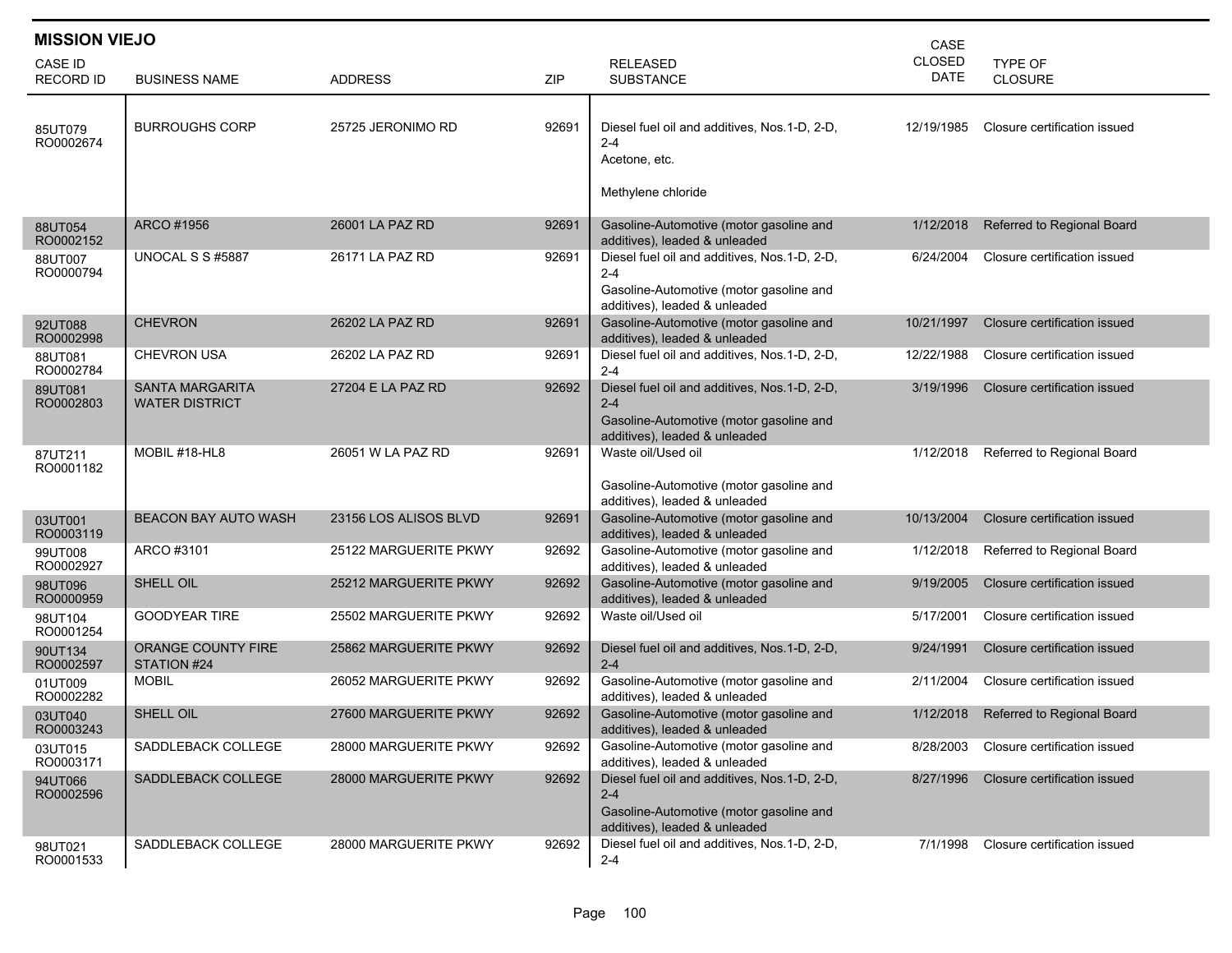| <b>MISSION VIEJO</b><br>CASE |                                                 |                       |       |                                                                                                                                     |                       |                              |  |  |
|------------------------------|-------------------------------------------------|-----------------------|-------|-------------------------------------------------------------------------------------------------------------------------------------|-----------------------|------------------------------|--|--|
| CASE ID<br><b>RECORD ID</b>  | <b>BUSINESS NAME</b>                            | <b>ADDRESS</b>        | ZIP   | <b>RELEASED</b><br><b>SUBSTANCE</b>                                                                                                 | <b>CLOSED</b><br>DATE | TYPE OF<br><b>CLOSURE</b>    |  |  |
| 85UT079<br>RO0002674         | <b>BURROUGHS CORP</b>                           | 25725 JERONIMO RD     | 92691 | Diesel fuel oil and additives, Nos.1-D, 2-D,<br>$2 - 4$<br>Acetone, etc.<br>Methylene chloride                                      | 12/19/1985            | Closure certification issued |  |  |
| 88UT054<br>RO0002152         | ARCO #1956                                      | 26001 LA PAZ RD       | 92691 | Gasoline-Automotive (motor gasoline and<br>additives), leaded & unleaded                                                            | 1/12/2018             | Referred to Regional Board   |  |  |
| 88UT007<br>RO0000794         | UNOCAL S S #5887                                | 26171 LA PAZ RD       | 92691 | Diesel fuel oil and additives, Nos.1-D, 2-D,<br>$2 - 4$<br>Gasoline-Automotive (motor gasoline and<br>additives), leaded & unleaded | 6/24/2004             | Closure certification issued |  |  |
| 92UT088<br>RO0002998         | <b>CHEVRON</b>                                  | 26202 LA PAZ RD       | 92691 | Gasoline-Automotive (motor gasoline and<br>additives), leaded & unleaded                                                            | 10/21/1997            | Closure certification issued |  |  |
| 88UT081<br>RO0002784         | <b>CHEVRON USA</b>                              | 26202 LA PAZ RD       | 92691 | Diesel fuel oil and additives, Nos.1-D, 2-D,<br>$2 - 4$                                                                             | 12/22/1988            | Closure certification issued |  |  |
| 89UT081<br>RO0002803         | <b>SANTA MARGARITA</b><br><b>WATER DISTRICT</b> | 27204 E LA PAZ RD     | 92692 | Diesel fuel oil and additives, Nos.1-D, 2-D,<br>$2 - 4$<br>Gasoline-Automotive (motor gasoline and<br>additives), leaded & unleaded | 3/19/1996             | Closure certification issued |  |  |
| 87UT211<br>RO0001182         | MOBIL #18-HL8                                   | 26051 W LA PAZ RD     | 92691 | Waste oil/Used oil<br>Gasoline-Automotive (motor gasoline and<br>additives), leaded & unleaded                                      | 1/12/2018             | Referred to Regional Board   |  |  |
| 03UT001<br>RO0003119         | <b>BEACON BAY AUTO WASH</b>                     | 23156 LOS ALISOS BLVD | 92691 | Gasoline-Automotive (motor gasoline and<br>additives), leaded & unleaded                                                            | 10/13/2004            | Closure certification issued |  |  |
| 99UT008<br>RO0002927         | ARCO #3101                                      | 25122 MARGUERITE PKWY | 92692 | Gasoline-Automotive (motor gasoline and<br>additives), leaded & unleaded                                                            | 1/12/2018             | Referred to Regional Board   |  |  |
| 98UT096<br>RO0000959         | SHELL OIL                                       | 25212 MARGUERITE PKWY | 92692 | Gasoline-Automotive (motor gasoline and<br>additives), leaded & unleaded                                                            | 9/19/2005             | Closure certification issued |  |  |
| 98UT104<br>RO0001254         | <b>GOODYEAR TIRE</b>                            | 25502 MARGUERITE PKWY | 92692 | Waste oil/Used oil                                                                                                                  | 5/17/2001             | Closure certification issued |  |  |
| 90UT134<br>RO0002597         | ORANGE COUNTY FIRE<br>STATION #24               | 25862 MARGUERITE PKWY | 92692 | Diesel fuel oil and additives, Nos.1-D, 2-D,<br>$2 - 4$                                                                             | 9/24/1991             | Closure certification issued |  |  |
| 01UT009<br>RO0002282         | <b>MOBIL</b>                                    | 26052 MARGUERITE PKWY | 92692 | Gasoline-Automotive (motor gasoline and<br>additives), leaded & unleaded                                                            | 2/11/2004             | Closure certification issued |  |  |
| 03UT040<br>RO0003243         | SHELL OIL                                       | 27600 MARGUERITE PKWY | 92692 | Gasoline-Automotive (motor gasoline and<br>additives), leaded & unleaded                                                            | 1/12/2018             | Referred to Regional Board   |  |  |
| 03UT015<br>RO0003171         | SADDLEBACK COLLEGE                              | 28000 MARGUERITE PKWY | 92692 | Gasoline-Automotive (motor gasoline and<br>additives), leaded & unleaded                                                            | 8/28/2003             | Closure certification issued |  |  |
| 94UT066<br>RO0002596         | SADDLEBACK COLLEGE                              | 28000 MARGUERITE PKWY | 92692 | Diesel fuel oil and additives, Nos.1-D, 2-D,<br>$2 - 4$<br>Gasoline-Automotive (motor gasoline and<br>additives), leaded & unleaded | 8/27/1996             | Closure certification issued |  |  |
| 98UT021<br>RO0001533         | SADDLEBACK COLLEGE                              | 28000 MARGUERITE PKWY | 92692 | Diesel fuel oil and additives, Nos.1-D, 2-D,<br>$2 - 4$                                                                             | 7/1/1998              | Closure certification issued |  |  |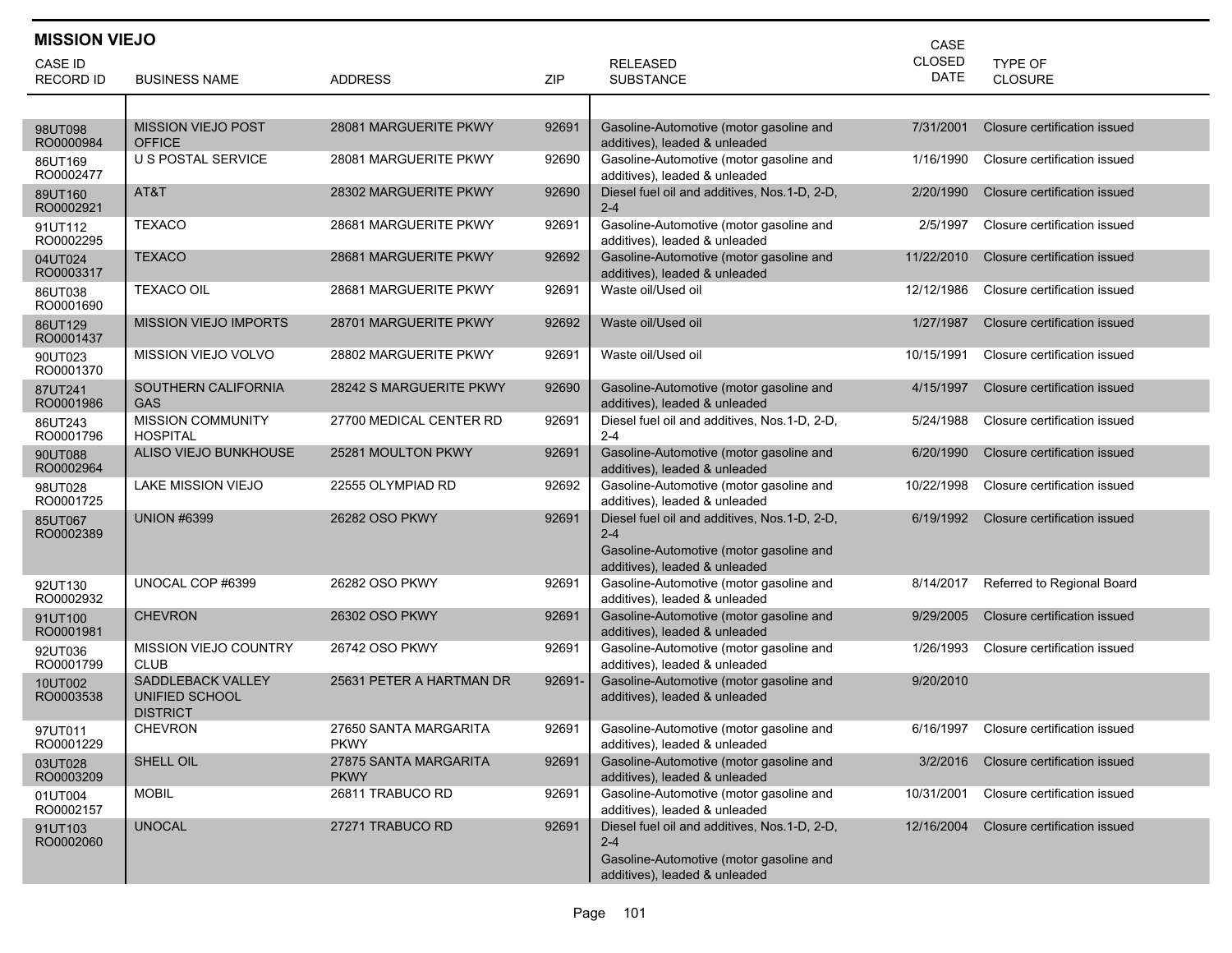| <b>MISSION VIEJO</b><br>CASE |                                                               |                                      |        |                                                                          |             |                                        |  |  |
|------------------------------|---------------------------------------------------------------|--------------------------------------|--------|--------------------------------------------------------------------------|-------------|----------------------------------------|--|--|
| CASE ID                      |                                                               |                                      |        | <b>RELEASED</b>                                                          | CLOSED      | TYPE OF                                |  |  |
| <b>RECORD ID</b>             | <b>BUSINESS NAME</b>                                          | <b>ADDRESS</b>                       | ZIP    | <b>SUBSTANCE</b>                                                         | <b>DATE</b> | <b>CLOSURE</b>                         |  |  |
|                              |                                                               |                                      |        |                                                                          |             |                                        |  |  |
| 98UT098<br>RO0000984         | <b>MISSION VIEJO POST</b><br><b>OFFICE</b>                    | 28081 MARGUERITE PKWY                | 92691  | Gasoline-Automotive (motor gasoline and<br>additives), leaded & unleaded | 7/31/2001   | Closure certification issued           |  |  |
| 86UT169<br>RO0002477         | U S POSTAL SERVICE                                            | 28081 MARGUERITE PKWY                | 92690  | Gasoline-Automotive (motor gasoline and<br>additives), leaded & unleaded | 1/16/1990   | Closure certification issued           |  |  |
| 89UT160<br>RO0002921         | AT&T                                                          | 28302 MARGUERITE PKWY                | 92690  | Diesel fuel oil and additives, Nos.1-D, 2-D,<br>$2 - 4$                  | 2/20/1990   | Closure certification issued           |  |  |
| 91UT112<br>RO0002295         | <b>TEXACO</b>                                                 | 28681 MARGUERITE PKWY                | 92691  | Gasoline-Automotive (motor gasoline and<br>additives), leaded & unleaded | 2/5/1997    | Closure certification issued           |  |  |
| 04UT024<br>RO0003317         | <b>TEXACO</b>                                                 | 28681 MARGUERITE PKWY                | 92692  | Gasoline-Automotive (motor gasoline and<br>additives), leaded & unleaded | 11/22/2010  | Closure certification issued           |  |  |
| 86UT038<br>RO0001690         | <b>TEXACO OIL</b>                                             | 28681 MARGUERITE PKWY                | 92691  | Waste oil/Used oil                                                       | 12/12/1986  | Closure certification issued           |  |  |
| 86UT129<br>RO0001437         | <b>MISSION VIEJO IMPORTS</b>                                  | 28701 MARGUERITE PKWY                | 92692  | Waste oil/Used oil                                                       | 1/27/1987   | Closure certification issued           |  |  |
| 90UT023<br>RO0001370         | MISSION VIEJO VOLVO                                           | 28802 MARGUERITE PKWY                | 92691  | Waste oil/Used oil                                                       | 10/15/1991  | Closure certification issued           |  |  |
| 87UT241<br>RO0001986         | SOUTHERN CALIFORNIA<br>GAS                                    | 28242 S MARGUERITE PKWY              | 92690  | Gasoline-Automotive (motor gasoline and<br>additives), leaded & unleaded | 4/15/1997   | Closure certification issued           |  |  |
| 86UT243<br>RO0001796         | <b>MISSION COMMUNITY</b><br>HOSPITAL                          | 27700 MEDICAL CENTER RD              | 92691  | Diesel fuel oil and additives, Nos.1-D, 2-D,<br>$2 - 4$                  | 5/24/1988   | Closure certification issued           |  |  |
| 90UT088<br>RO0002964         | ALISO VIEJO BUNKHOUSE                                         | 25281 MOULTON PKWY                   | 92691  | Gasoline-Automotive (motor gasoline and<br>additives), leaded & unleaded | 6/20/1990   | Closure certification issued           |  |  |
| 98UT028<br>RO0001725         | <b>LAKE MISSION VIEJO</b>                                     | 22555 OLYMPIAD RD                    | 92692  | Gasoline-Automotive (motor gasoline and<br>additives), leaded & unleaded | 10/22/1998  | Closure certification issued           |  |  |
| 85UT067<br>RO0002389         | <b>UNION #6399</b>                                            | 26282 OSO PKWY                       | 92691  | Diesel fuel oil and additives, Nos.1-D, 2-D,<br>$2 - 4$                  | 6/19/1992   | Closure certification issued           |  |  |
|                              |                                                               |                                      |        | Gasoline-Automotive (motor gasoline and<br>additives), leaded & unleaded |             |                                        |  |  |
| 92UT130<br>RO0002932         | UNOCAL COP #6399                                              | 26282 OSO PKWY                       | 92691  | Gasoline-Automotive (motor gasoline and<br>additives), leaded & unleaded | 8/14/2017   | Referred to Regional Board             |  |  |
| 91UT100<br>RO0001981         | <b>CHEVRON</b>                                                | 26302 OSO PKWY                       | 92691  | Gasoline-Automotive (motor gasoline and<br>additives), leaded & unleaded | 9/29/2005   | Closure certification issued           |  |  |
| 92UT036<br>RO0001799         | MISSION VIEJO COUNTRY<br><b>CLUB</b>                          | 26742 OSO PKWY                       | 92691  | Gasoline-Automotive (motor gasoline and<br>additives), leaded & unleaded | 1/26/1993   | Closure certification issued           |  |  |
| 10UT002<br>RO0003538         | <b>SADDLEBACK VALLEY</b><br>UNIFIED SCHOOL<br><b>DISTRICT</b> | 25631 PETER A HARTMAN DR             | 92691- | Gasoline-Automotive (motor gasoline and<br>additives), leaded & unleaded | 9/20/2010   |                                        |  |  |
| 97UT011<br>RO0001229         | <b>CHEVRON</b>                                                | 27650 SANTA MARGARITA<br><b>PKWY</b> | 92691  | Gasoline-Automotive (motor gasoline and<br>additives), leaded & unleaded |             | 6/16/1997 Closure certification issued |  |  |
| 03UT028<br>RO0003209         | SHELL OIL                                                     | 27875 SANTA MARGARITA<br><b>PKWY</b> | 92691  | Gasoline-Automotive (motor gasoline and<br>additives), leaded & unleaded | 3/2/2016    | Closure certification issued           |  |  |
| 01UT004<br>RO0002157         | <b>MOBIL</b>                                                  | 26811 TRABUCO RD                     | 92691  | Gasoline-Automotive (motor gasoline and<br>additives), leaded & unleaded | 10/31/2001  | Closure certification issued           |  |  |
| 91UT103<br>RO0002060         | <b>UNOCAL</b>                                                 | 27271 TRABUCO RD                     | 92691  | Diesel fuel oil and additives, Nos.1-D, 2-D,<br>$2 - 4$                  | 12/16/2004  | Closure certification issued           |  |  |
|                              |                                                               |                                      |        | Gasoline-Automotive (motor gasoline and<br>additives), leaded & unleaded |             |                                        |  |  |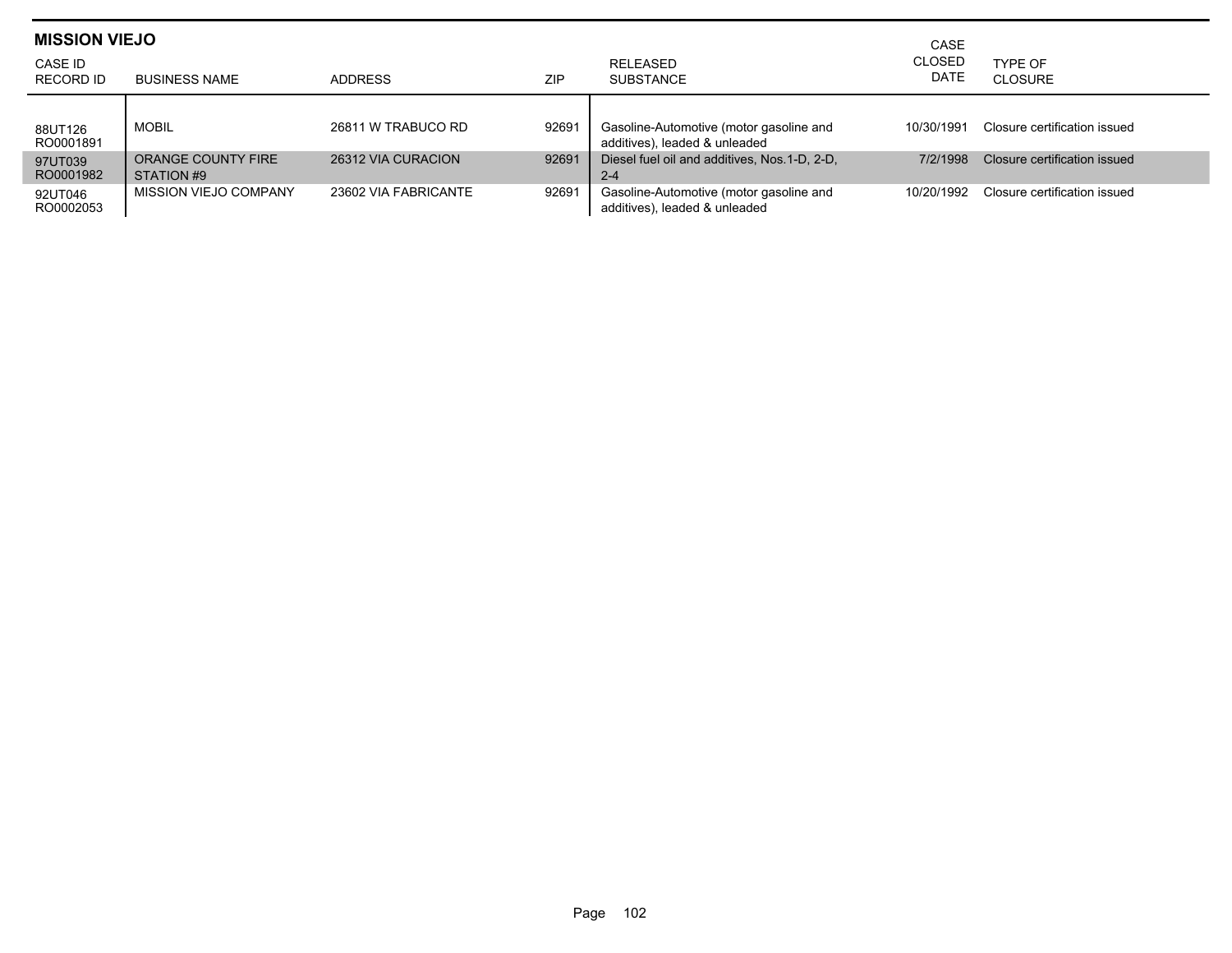| <b>MISSION VIEJO</b><br>CASE ID<br><b>RECORD ID</b> | <b>BUSINESS NAME</b>             | ADDRESS              | <b>ZIP</b> | RELEASED<br><b>SUBSTANCE</b>                                             | CASE<br><b>CLOSED</b><br>DATE | TYPE OF<br>CLOSURE           |
|-----------------------------------------------------|----------------------------------|----------------------|------------|--------------------------------------------------------------------------|-------------------------------|------------------------------|
| 88UT126<br>RO0001891                                | <b>MOBIL</b>                     | 26811 W TRABUCO RD   | 92691      | Gasoline-Automotive (motor gasoline and<br>additives), leaded & unleaded | 10/30/1991                    | Closure certification issued |
| 97UT039<br>RO0001982                                | ORANGE COUNTY FIRE<br>STATION #9 | 26312 VIA CURACION   | 92691      | Diesel fuel oil and additives, Nos.1-D, 2-D,<br>$2 - 4$                  | 7/2/1998                      | Closure certification issued |
| 92UT046<br>RO0002053                                | MISSION VIEJO COMPANY            | 23602 VIA FABRICANTE | 92691      | Gasoline-Automotive (motor gasoline and<br>additives), leaded & unleaded | 10/20/1992                    | Closure certification issued |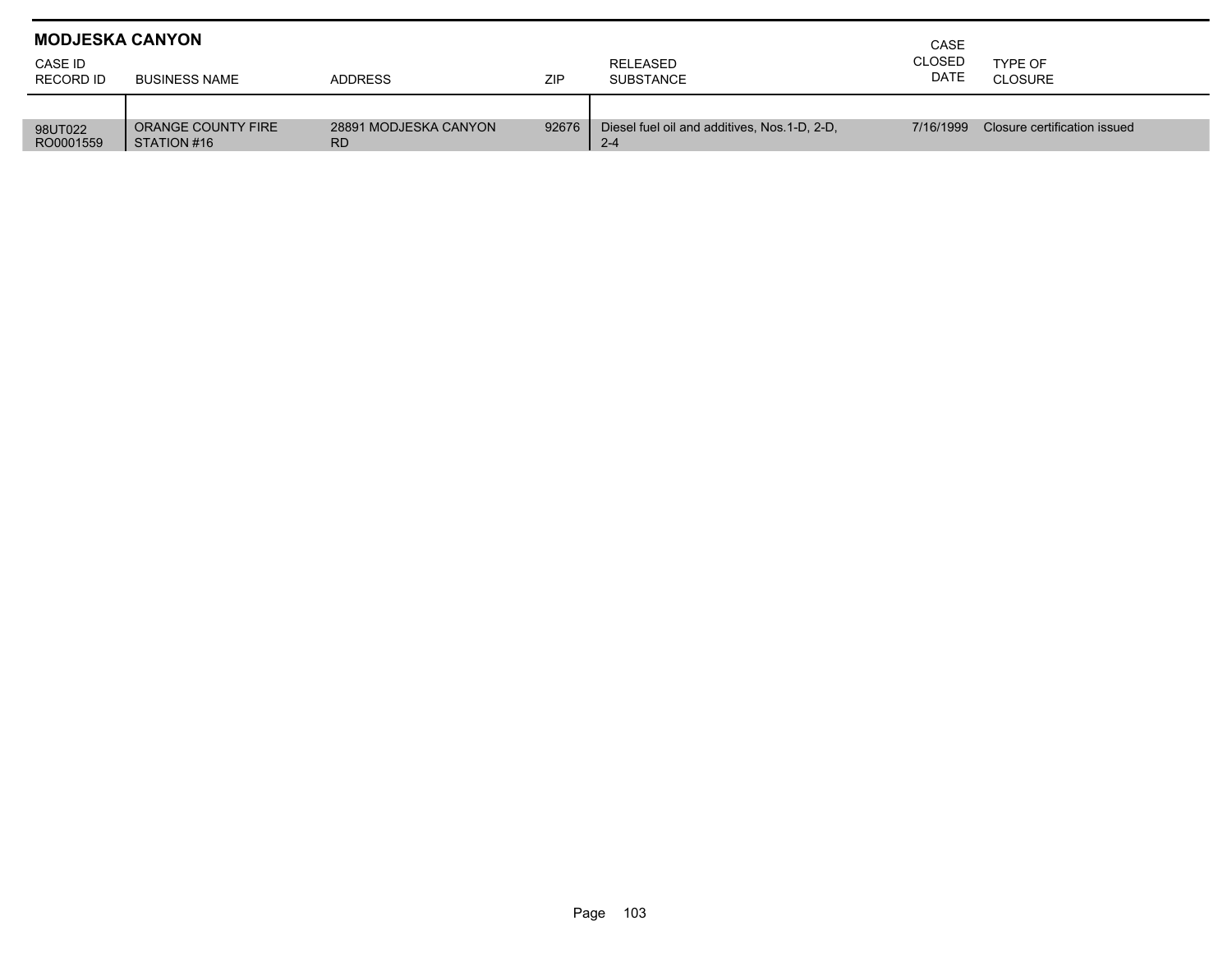| <b>MODJESKA CANYON</b> |                                   | CASE                               |       |                                                          |                       |                              |
|------------------------|-----------------------------------|------------------------------------|-------|----------------------------------------------------------|-----------------------|------------------------------|
| CASE ID<br>RECORD ID   | <b>BUSINESS NAME</b>              | <b>ADDRESS</b>                     | ZIP   | RELEASED<br><b>SUBSTANCE</b>                             | <b>CLOSED</b><br>DATE | TYPE OF<br><b>CLOSURE</b>    |
|                        |                                   |                                    |       |                                                          |                       |                              |
| 98UT022<br>RO0001559   | ORANGE COUNTY FIRE<br>STATION #16 | 28891 MODJESKA CANYON<br><b>RD</b> | 92676 | Diesel fuel oil and additives, Nos. 1-D, 2-D,<br>$2 - 4$ | 7/16/1999             | Closure certification issued |

Г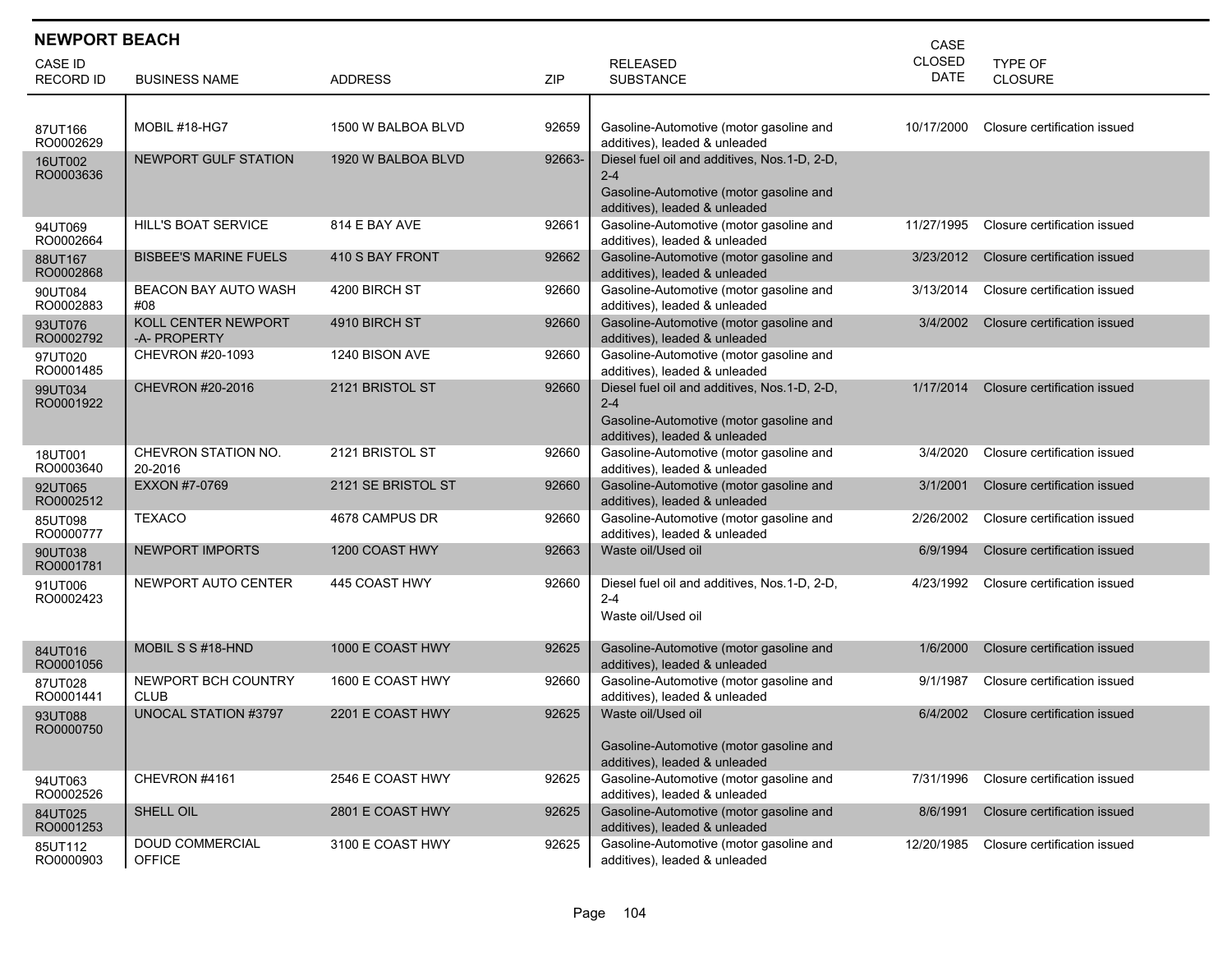| <b>NEWPORT BEACH</b><br>CASE |                                     |                    |        |                                                                                                                                     |                       |                              |  |  |
|------------------------------|-------------------------------------|--------------------|--------|-------------------------------------------------------------------------------------------------------------------------------------|-----------------------|------------------------------|--|--|
| CASE ID<br><b>RECORD ID</b>  | <b>BUSINESS NAME</b>                | <b>ADDRESS</b>     | ZIP    | <b>RELEASED</b><br><b>SUBSTANCE</b>                                                                                                 | <b>CLOSED</b><br>DATE | TYPE OF<br>CLOSURE           |  |  |
| 87UT166<br>RO0002629         | MOBIL #18-HG7                       | 1500 W BALBOA BLVD | 92659  | Gasoline-Automotive (motor gasoline and<br>additives), leaded & unleaded                                                            | 10/17/2000            | Closure certification issued |  |  |
| 16UT002<br>RO0003636         | NEWPORT GULF STATION                | 1920 W BALBOA BLVD | 92663- | Diesel fuel oil and additives, Nos.1-D, 2-D,<br>$2 - 4$<br>Gasoline-Automotive (motor gasoline and<br>additives), leaded & unleaded |                       |                              |  |  |
| 94UT069<br>RO0002664         | HILL'S BOAT SERVICE                 | 814 E BAY AVE      | 92661  | Gasoline-Automotive (motor gasoline and<br>additives), leaded & unleaded                                                            | 11/27/1995            | Closure certification issued |  |  |
| 88UT167<br>RO0002868         | <b>BISBEE'S MARINE FUELS</b>        | 410 S BAY FRONT    | 92662  | Gasoline-Automotive (motor gasoline and<br>additives), leaded & unleaded                                                            | 3/23/2012             | Closure certification issued |  |  |
| 90UT084<br>RO0002883         | <b>BEACON BAY AUTO WASH</b><br>#08  | 4200 BIRCH ST      | 92660  | Gasoline-Automotive (motor gasoline and<br>additives), leaded & unleaded                                                            | 3/13/2014             | Closure certification issued |  |  |
| 93UT076<br>RO0002792         | KOLL CENTER NEWPORT<br>-A- PROPERTY | 4910 BIRCH ST      | 92660  | Gasoline-Automotive (motor gasoline and<br>additives), leaded & unleaded                                                            | 3/4/2002              | Closure certification issued |  |  |
| 97UT020<br>RO0001485         | CHEVRON #20-1093                    | 1240 BISON AVE     | 92660  | Gasoline-Automotive (motor gasoline and<br>additives), leaded & unleaded                                                            |                       |                              |  |  |
| 99UT034<br>RO0001922         | CHEVRON #20-2016                    | 2121 BRISTOL ST    | 92660  | Diesel fuel oil and additives, Nos.1-D, 2-D,<br>$2 - 4$<br>Gasoline-Automotive (motor gasoline and<br>additives), leaded & unleaded | 1/17/2014             | Closure certification issued |  |  |
| 18UT001<br>RO0003640         | CHEVRON STATION NO.<br>20-2016      | 2121 BRISTOL ST    | 92660  | Gasoline-Automotive (motor gasoline and<br>additives), leaded & unleaded                                                            | 3/4/2020              | Closure certification issued |  |  |
| 92UT065<br>RO0002512         | EXXON #7-0769                       | 2121 SE BRISTOL ST | 92660  | Gasoline-Automotive (motor gasoline and<br>additives), leaded & unleaded                                                            | 3/1/2001              | Closure certification issued |  |  |
| 85UT098<br>RO0000777         | <b>TEXACO</b>                       | 4678 CAMPUS DR     | 92660  | Gasoline-Automotive (motor gasoline and<br>additives), leaded & unleaded                                                            | 2/26/2002             | Closure certification issued |  |  |
| 90UT038<br>RO0001781         | <b>NEWPORT IMPORTS</b>              | 1200 COAST HWY     | 92663  | Waste oil/Used oil                                                                                                                  | 6/9/1994              | Closure certification issued |  |  |
| 91UT006<br>RO0002423         | NEWPORT AUTO CENTER                 | 445 COAST HWY      | 92660  | Diesel fuel oil and additives, Nos.1-D, 2-D,<br>$2 - 4$<br>Waste oil/Used oil                                                       | 4/23/1992             | Closure certification issued |  |  |
| 84UT016<br>RO0001056         | MOBIL S S #18-HND                   | 1000 E COAST HWY   | 92625  | Gasoline-Automotive (motor gasoline and<br>additives), leaded & unleaded                                                            | 1/6/2000              | Closure certification issued |  |  |
| 87UT028<br>RO0001441         | NEWPORT BCH COUNTRY<br><b>CLUB</b>  | 1600 E COAST HWY   | 92660  | Gasoline-Automotive (motor gasoline and<br>additives), leaded & unleaded                                                            | 9/1/1987              | Closure certification issued |  |  |
| 93UT088<br>RO0000750         | UNOCAL STATION #3797                | 2201 E COAST HWY   | 92625  | Waste oil/Used oil<br>Gasoline-Automotive (motor gasoline and<br>additives), leaded & unleaded                                      | 6/4/2002              | Closure certification issued |  |  |
| 94UT063<br>RO0002526         | CHEVRON #4161                       | 2546 E COAST HWY   | 92625  | Gasoline-Automotive (motor gasoline and<br>additives), leaded & unleaded                                                            | 7/31/1996             | Closure certification issued |  |  |
| 84UT025<br>RO0001253         | SHELL OIL                           | 2801 E COAST HWY   | 92625  | Gasoline-Automotive (motor gasoline and<br>additives), leaded & unleaded                                                            | 8/6/1991              | Closure certification issued |  |  |
| 85UT112<br>RO0000903         | DOUD COMMERCIAL<br><b>OFFICE</b>    | 3100 E COAST HWY   | 92625  | Gasoline-Automotive (motor gasoline and<br>additives), leaded & unleaded                                                            | 12/20/1985            | Closure certification issued |  |  |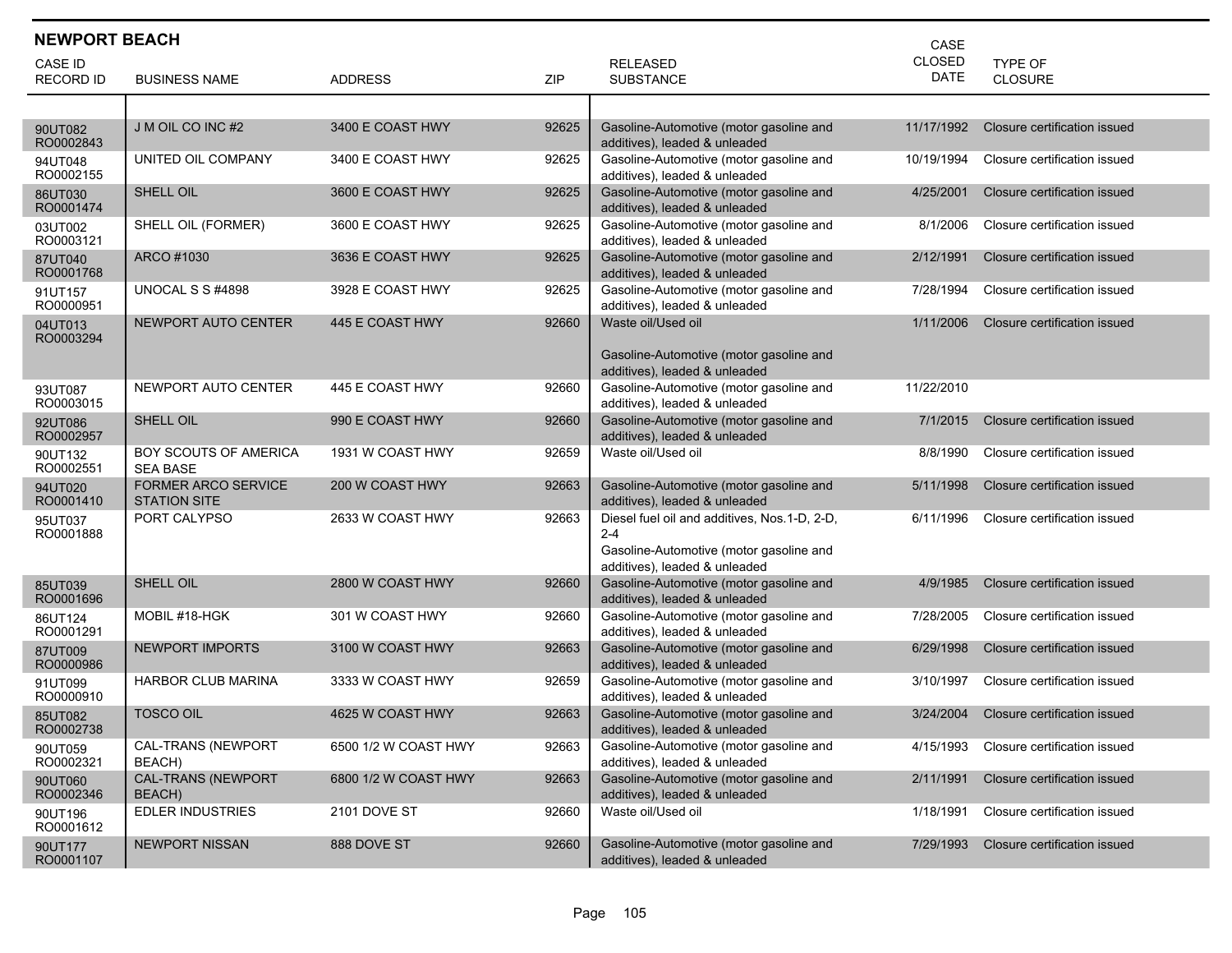| <b>NEWPORT BEACH</b><br>CASE |                                                   |                      |       |                                                                                                                                     |                       |                              |  |  |
|------------------------------|---------------------------------------------------|----------------------|-------|-------------------------------------------------------------------------------------------------------------------------------------|-----------------------|------------------------------|--|--|
| CASE ID                      |                                                   |                      |       | <b>RELEASED</b>                                                                                                                     | CLOSED<br><b>DATE</b> | <b>TYPE OF</b>               |  |  |
| <b>RECORD ID</b>             | <b>BUSINESS NAME</b>                              | <b>ADDRESS</b>       | ZIP   | <b>SUBSTANCE</b>                                                                                                                    |                       | CLOSURE                      |  |  |
|                              |                                                   |                      |       |                                                                                                                                     |                       |                              |  |  |
| 90UT082<br>RO0002843         | J M OIL CO INC #2                                 | 3400 E COAST HWY     | 92625 | Gasoline-Automotive (motor gasoline and<br>additives), leaded & unleaded                                                            | 11/17/1992            | Closure certification issued |  |  |
| 94UT048<br>RO0002155         | UNITED OIL COMPANY                                | 3400 E COAST HWY     | 92625 | Gasoline-Automotive (motor gasoline and<br>additives), leaded & unleaded                                                            | 10/19/1994            | Closure certification issued |  |  |
| 86UT030<br>RO0001474         | SHELL OIL                                         | 3600 E COAST HWY     | 92625 | Gasoline-Automotive (motor gasoline and<br>additives), leaded & unleaded                                                            | 4/25/2001             | Closure certification issued |  |  |
| 03UT002<br>RO0003121         | SHELL OIL (FORMER)                                | 3600 E COAST HWY     | 92625 | Gasoline-Automotive (motor gasoline and<br>additives), leaded & unleaded                                                            | 8/1/2006              | Closure certification issued |  |  |
| 87UT040<br>RO0001768         | ARCO #1030                                        | 3636 E COAST HWY     | 92625 | Gasoline-Automotive (motor gasoline and<br>additives), leaded & unleaded                                                            | 2/12/1991             | Closure certification issued |  |  |
| 91UT157<br>RO0000951         | UNOCAL S S #4898                                  | 3928 E COAST HWY     | 92625 | Gasoline-Automotive (motor gasoline and<br>additives), leaded & unleaded                                                            | 7/28/1994             | Closure certification issued |  |  |
| 04UT013<br>RO0003294         | NEWPORT AUTO CENTER                               | 445 E COAST HWY      | 92660 | Waste oil/Used oil<br>Gasoline-Automotive (motor gasoline and<br>additives), leaded & unleaded                                      | 1/11/2006             | Closure certification issued |  |  |
| 93UT087<br>RO0003015         | NEWPORT AUTO CENTER                               | 445 E COAST HWY      | 92660 | Gasoline-Automotive (motor gasoline and<br>additives), leaded & unleaded                                                            | 11/22/2010            |                              |  |  |
| 92UT086<br>RO0002957         | SHELL OIL                                         | 990 E COAST HWY      | 92660 | Gasoline-Automotive (motor gasoline and<br>additives), leaded & unleaded                                                            | 7/1/2015              | Closure certification issued |  |  |
| 90UT132<br>RO0002551         | <b>BOY SCOUTS OF AMERICA</b><br><b>SEA BASE</b>   | 1931 W COAST HWY     | 92659 | Waste oil/Used oil                                                                                                                  | 8/8/1990              | Closure certification issued |  |  |
| 94UT020<br>RO0001410         | <b>FORMER ARCO SERVICE</b><br><b>STATION SITE</b> | 200 W COAST HWY      | 92663 | Gasoline-Automotive (motor gasoline and<br>additives), leaded & unleaded                                                            | 5/11/1998             | Closure certification issued |  |  |
| 95UT037<br>RO0001888         | PORT CALYPSO                                      | 2633 W COAST HWY     | 92663 | Diesel fuel oil and additives, Nos.1-D, 2-D,<br>$2 - 4$<br>Gasoline-Automotive (motor gasoline and<br>additives), leaded & unleaded | 6/11/1996             | Closure certification issued |  |  |
| 85UT039<br>RO0001696         | SHELL OIL                                         | 2800 W COAST HWY     | 92660 | Gasoline-Automotive (motor gasoline and<br>additives), leaded & unleaded                                                            | 4/9/1985              | Closure certification issued |  |  |
| 86UT124<br>RO0001291         | MOBIL #18-HGK                                     | 301 W COAST HWY      | 92660 | Gasoline-Automotive (motor gasoline and<br>additives), leaded & unleaded                                                            | 7/28/2005             | Closure certification issued |  |  |
| 87UT009<br>RO0000986         | <b>NEWPORT IMPORTS</b>                            | 3100 W COAST HWY     | 92663 | Gasoline-Automotive (motor gasoline and<br>additives), leaded & unleaded                                                            | 6/29/1998             | Closure certification issued |  |  |
| 91UT099<br>RO0000910         | <b>HARBOR CLUB MARINA</b>                         | 3333 W COAST HWY     | 92659 | Gasoline-Automotive (motor gasoline and<br>additives), leaded & unleaded                                                            | 3/10/1997             | Closure certification issued |  |  |
| 85UT082<br>RO0002738         | <b>TOSCO OIL</b>                                  | 4625 W COAST HWY     | 92663 | Gasoline-Automotive (motor gasoline and<br>additives), leaded & unleaded                                                            | 3/24/2004             | Closure certification issued |  |  |
| 90UT059<br>RO0002321         | CAL-TRANS (NEWPORT<br>BEACH)                      | 6500 1/2 W COAST HWY | 92663 | Gasoline-Automotive (motor gasoline and<br>additives), leaded & unleaded                                                            | 4/15/1993             | Closure certification issued |  |  |
| 90UT060<br>RO0002346         | CAL-TRANS (NEWPORT<br>BEACH)                      | 6800 1/2 W COAST HWY | 92663 | Gasoline-Automotive (motor gasoline and<br>additives), leaded & unleaded                                                            | 2/11/1991             | Closure certification issued |  |  |
| 90UT196<br>RO0001612         | <b>EDLER INDUSTRIES</b>                           | 2101 DOVE ST         | 92660 | Waste oil/Used oil                                                                                                                  | 1/18/1991             | Closure certification issued |  |  |
| 90UT177<br>RO0001107         | <b>NEWPORT NISSAN</b>                             | 888 DOVE ST          | 92660 | Gasoline-Automotive (motor gasoline and<br>additives), leaded & unleaded                                                            | 7/29/1993             | Closure certification issued |  |  |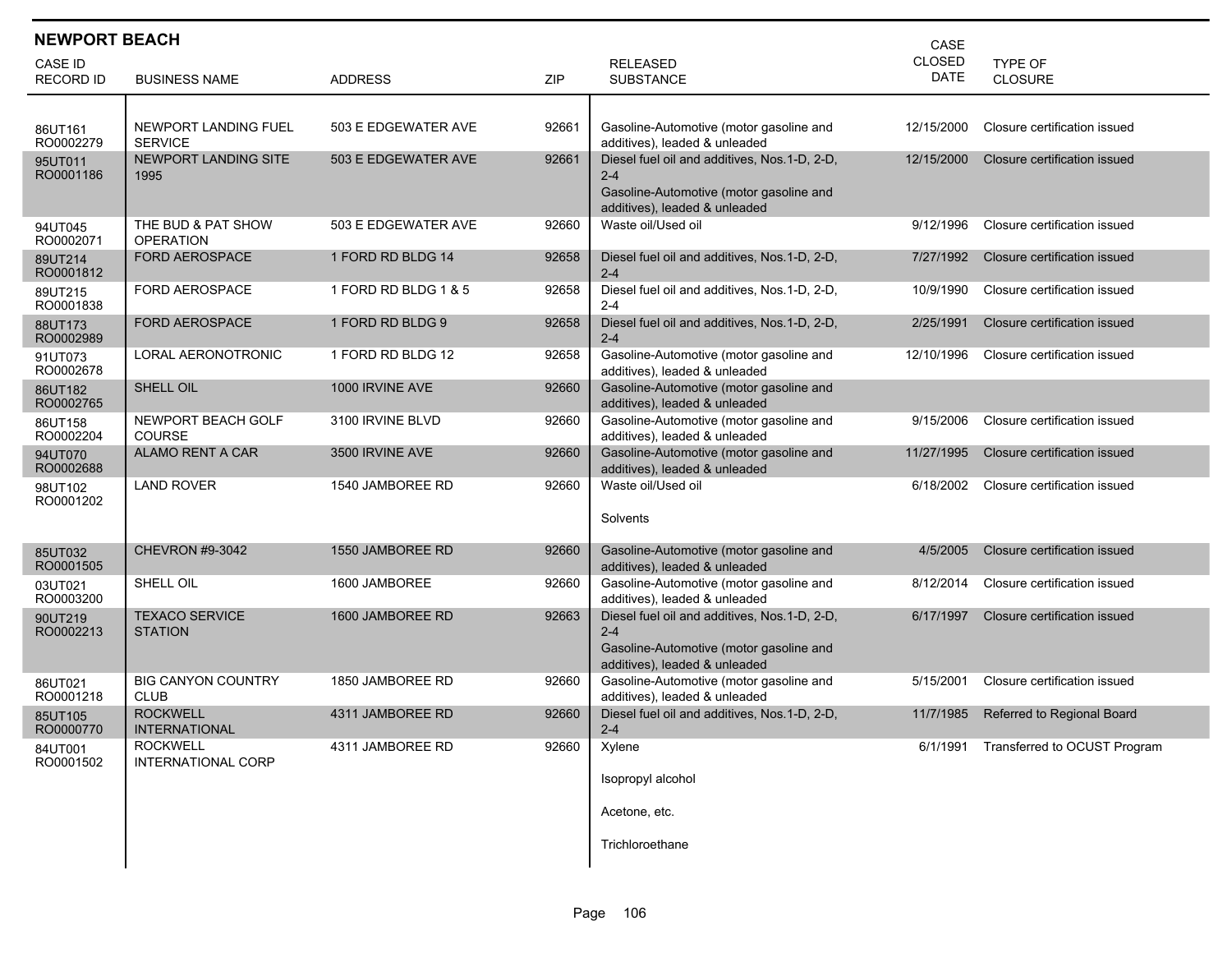| <b>NEWPORT BEACH</b><br>CASE |                                              |                      |       |                                                                                                                                     |                              |                                       |  |
|------------------------------|----------------------------------------------|----------------------|-------|-------------------------------------------------------------------------------------------------------------------------------------|------------------------------|---------------------------------------|--|
| CASE ID<br><b>RECORD ID</b>  | <b>BUSINESS NAME</b>                         | <b>ADDRESS</b>       | ZIP   | <b>RELEASED</b><br><b>SUBSTANCE</b>                                                                                                 | <b>CLOSED</b><br><b>DATE</b> | <b>TYPE OF</b><br><b>CLOSURE</b>      |  |
| 86UT161<br>RO0002279         | NEWPORT LANDING FUEL<br><b>SERVICE</b>       | 503 E EDGEWATER AVE  | 92661 | Gasoline-Automotive (motor gasoline and<br>additives). leaded & unleaded                                                            | 12/15/2000                   | Closure certification issued          |  |
| 95UT011<br>RO0001186         | <b>NEWPORT LANDING SITE</b><br>1995          | 503 E EDGEWATER AVE  | 92661 | Diesel fuel oil and additives, Nos.1-D, 2-D,<br>$2 - 4$<br>Gasoline-Automotive (motor gasoline and<br>additives), leaded & unleaded | 12/15/2000                   | Closure certification issued          |  |
| 94UT045<br>RO0002071         | THE BUD & PAT SHOW<br><b>OPERATION</b>       | 503 E EDGEWATER AVE  | 92660 | Waste oil/Used oil                                                                                                                  | 9/12/1996                    | Closure certification issued          |  |
| 89UT214<br>RO0001812         | <b>FORD AEROSPACE</b>                        | 1 FORD RD BLDG 14    | 92658 | Diesel fuel oil and additives, Nos.1-D, 2-D,<br>$2 - 4$                                                                             | 7/27/1992                    | Closure certification issued          |  |
| 89UT215<br>RO0001838         | <b>FORD AEROSPACE</b>                        | 1 FORD RD BLDG 1 & 5 | 92658 | Diesel fuel oil and additives, Nos.1-D, 2-D,<br>$2 - 4$                                                                             | 10/9/1990                    | Closure certification issued          |  |
| 88UT173<br>RO0002989         | <b>FORD AEROSPACE</b>                        | 1 FORD RD BLDG 9     | 92658 | Diesel fuel oil and additives, Nos.1-D, 2-D,<br>$2 - 4$                                                                             | 2/25/1991                    | Closure certification issued          |  |
| 91UT073<br>RO0002678         | <b>LORAL AERONOTRONIC</b>                    | 1 FORD RD BLDG 12    | 92658 | Gasoline-Automotive (motor gasoline and<br>additives), leaded & unleaded                                                            | 12/10/1996                   | Closure certification issued          |  |
| 86UT182<br>RO0002765         | SHELL OIL                                    | 1000 IRVINE AVE      | 92660 | Gasoline-Automotive (motor gasoline and<br>additives), leaded & unleaded                                                            |                              |                                       |  |
| 86UT158<br>RO0002204         | NEWPORT BEACH GOLF<br><b>COURSE</b>          | 3100 IRVINE BLVD     | 92660 | Gasoline-Automotive (motor gasoline and<br>additives), leaded & unleaded                                                            | 9/15/2006                    | Closure certification issued          |  |
| 94UT070<br>RO0002688         | <b>ALAMO RENT A CAR</b>                      | 3500 IRVINE AVE      | 92660 | Gasoline-Automotive (motor gasoline and<br>additives), leaded & unleaded                                                            | 11/27/1995                   | Closure certification issued          |  |
| 98UT102<br>RO0001202         | <b>LAND ROVER</b>                            | 1540 JAMBOREE RD     | 92660 | Waste oil/Used oil<br>Solvents                                                                                                      | 6/18/2002                    | Closure certification issued          |  |
| 85UT032<br>RO0001505         | <b>CHEVRON #9-3042</b>                       | 1550 JAMBOREE RD     | 92660 | Gasoline-Automotive (motor gasoline and<br>additives), leaded & unleaded                                                            | 4/5/2005                     | Closure certification issued          |  |
| 03UT021<br>RO0003200         | SHELL OIL                                    | 1600 JAMBOREE        | 92660 | Gasoline-Automotive (motor gasoline and<br>additives), leaded & unleaded                                                            | 8/12/2014                    | Closure certification issued          |  |
| 90UT219<br>RO0002213         | <b>TEXACO SERVICE</b><br><b>STATION</b>      | 1600 JAMBOREE RD     | 92663 | Diesel fuel oil and additives, Nos.1-D, 2-D,<br>$2 - 4$<br>Gasoline-Automotive (motor gasoline and<br>additives), leaded & unleaded | 6/17/1997                    | Closure certification issued          |  |
| 86UT021<br>RO0001218         | <b>BIG CANYON COUNTRY</b><br><b>CLUB</b>     | 1850 JAMBOREE RD     | 92660 | Gasoline-Automotive (motor gasoline and<br>additives), leaded & unleaded                                                            | 5/15/2001                    | Closure certification issued          |  |
| 85UT105<br>RO0000770         | <b>ROCKWELL</b><br>INTERNATIONAL             | 4311 JAMBOREE RD     | 92660 | Diesel fuel oil and additives, Nos.1-D, 2-D,<br>$2 - 4$                                                                             | 11/7/1985                    | Referred to Regional Board            |  |
| 84UT001<br>RO0001502         | <b>ROCKWELL</b><br><b>INTERNATIONAL CORP</b> | 4311 JAMBOREE RD     | 92660 | Xylene<br>Isopropyl alcohol<br>Acetone, etc.<br>Trichloroethane                                                                     |                              | 6/1/1991 Transferred to OCUST Program |  |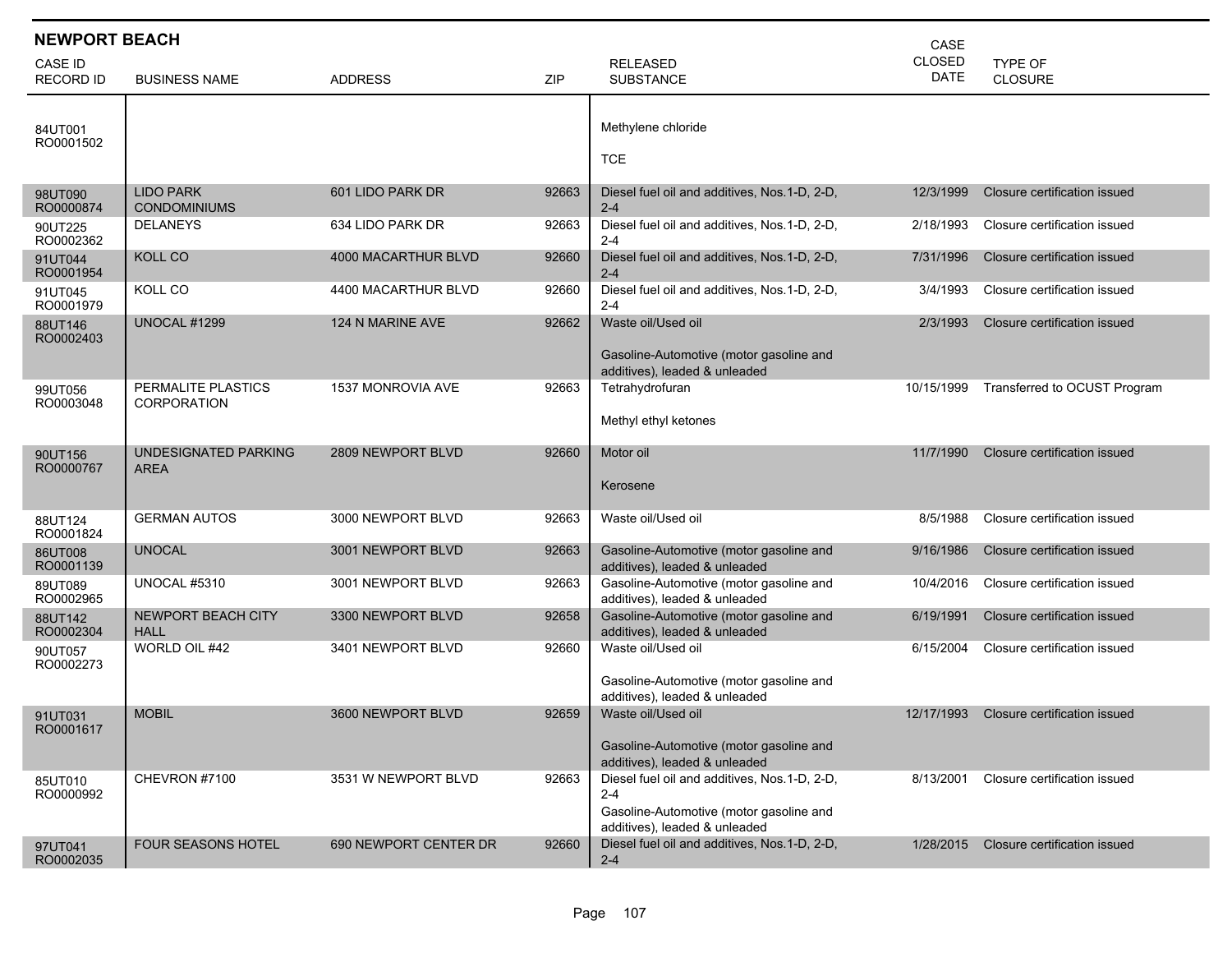| <b>NEWPORT BEACH</b>        |                                          |                       |       | CASE                                                                                                                                |                              |                              |
|-----------------------------|------------------------------------------|-----------------------|-------|-------------------------------------------------------------------------------------------------------------------------------------|------------------------------|------------------------------|
| CASE ID<br><b>RECORD ID</b> | <b>BUSINESS NAME</b>                     | <b>ADDRESS</b>        | ZIP   | <b>RELEASED</b><br><b>SUBSTANCE</b>                                                                                                 | <b>CLOSED</b><br><b>DATE</b> | TYPE OF<br><b>CLOSURE</b>    |
| 84UT001<br>RO0001502        |                                          |                       |       | Methylene chloride<br><b>TCE</b>                                                                                                    |                              |                              |
| 98UT090<br>RO0000874        | <b>LIDO PARK</b><br><b>CONDOMINIUMS</b>  | 601 LIDO PARK DR      | 92663 | Diesel fuel oil and additives, Nos.1-D, 2-D,<br>$2 - 4$                                                                             | 12/3/1999                    | Closure certification issued |
| 90UT225<br>RO0002362        | <b>DELANEYS</b>                          | 634 LIDO PARK DR      | 92663 | Diesel fuel oil and additives, Nos.1-D, 2-D,<br>$2 - 4$                                                                             | 2/18/1993                    | Closure certification issued |
| 91UT044<br>RO0001954        | <b>KOLL CO</b>                           | 4000 MACARTHUR BLVD   | 92660 | Diesel fuel oil and additives, Nos.1-D, 2-D,<br>$2 - 4$                                                                             | 7/31/1996                    | Closure certification issued |
| 91UT045<br>RO0001979        | KOLL CO                                  | 4400 MACARTHUR BLVD   | 92660 | Diesel fuel oil and additives, Nos.1-D, 2-D,<br>$2 - 4$                                                                             | 3/4/1993                     | Closure certification issued |
| 88UT146<br>RO0002403        | <b>UNOCAL #1299</b>                      | 124 N MARINE AVE      | 92662 | Waste oil/Used oil<br>Gasoline-Automotive (motor gasoline and<br>additives), leaded & unleaded                                      | 2/3/1993                     | Closure certification issued |
| 99UT056<br>RO0003048        | PERMALITE PLASTICS<br><b>CORPORATION</b> | 1537 MONROVIA AVE     | 92663 | Tetrahydrofuran<br>Methyl ethyl ketones                                                                                             | 10/15/1999                   | Transferred to OCUST Program |
| 90UT156<br>RO0000767        | UNDESIGNATED PARKING<br>AREA             | 2809 NEWPORT BLVD     | 92660 | Motor oil<br>Kerosene                                                                                                               | 11/7/1990                    | Closure certification issued |
| 88UT124<br>RO0001824        | <b>GERMAN AUTOS</b>                      | 3000 NEWPORT BLVD     | 92663 | Waste oil/Used oil                                                                                                                  | 8/5/1988                     | Closure certification issued |
| 86UT008<br>RO0001139        | <b>UNOCAL</b>                            | 3001 NEWPORT BLVD     | 92663 | Gasoline-Automotive (motor gasoline and<br>additives), leaded & unleaded                                                            | 9/16/1986                    | Closure certification issued |
| 89UT089<br>RO0002965        | <b>UNOCAL #5310</b>                      | 3001 NEWPORT BLVD     | 92663 | Gasoline-Automotive (motor gasoline and<br>additives), leaded & unleaded                                                            | 10/4/2016                    | Closure certification issued |
| 88UT142<br>RO0002304        | <b>NEWPORT BEACH CITY</b><br><b>HALL</b> | 3300 NEWPORT BLVD     | 92658 | Gasoline-Automotive (motor gasoline and<br>additives), leaded & unleaded                                                            | 6/19/1991                    | Closure certification issued |
| 90UT057<br>RO0002273        | WORLD OIL #42                            | 3401 NEWPORT BLVD     | 92660 | Waste oil/Used oil<br>Gasoline-Automotive (motor gasoline and<br>additives), leaded & unleaded                                      | 6/15/2004                    | Closure certification issued |
| 91UT031<br>RO0001617        | <b>MOBIL</b>                             | 3600 NEWPORT BLVD     | 92659 | Waste oil/Used oil<br>Gasoline-Automotive (motor gasoline and<br>additives), leaded & unleaded                                      | 12/17/1993                   | Closure certification issued |
| 85UT010<br>RO0000992        | CHEVRON #7100                            | 3531 W NEWPORT BLVD   | 92663 | Diesel fuel oil and additives, Nos.1-D, 2-D,<br>$2 - 4$<br>Gasoline-Automotive (motor gasoline and<br>additives), leaded & unleaded | 8/13/2001                    | Closure certification issued |
| 97UT041<br>RO0002035        | <b>FOUR SEASONS HOTEL</b>                | 690 NEWPORT CENTER DR | 92660 | Diesel fuel oil and additives, Nos.1-D, 2-D,<br>$2 - 4$                                                                             | 1/28/2015                    | Closure certification issued |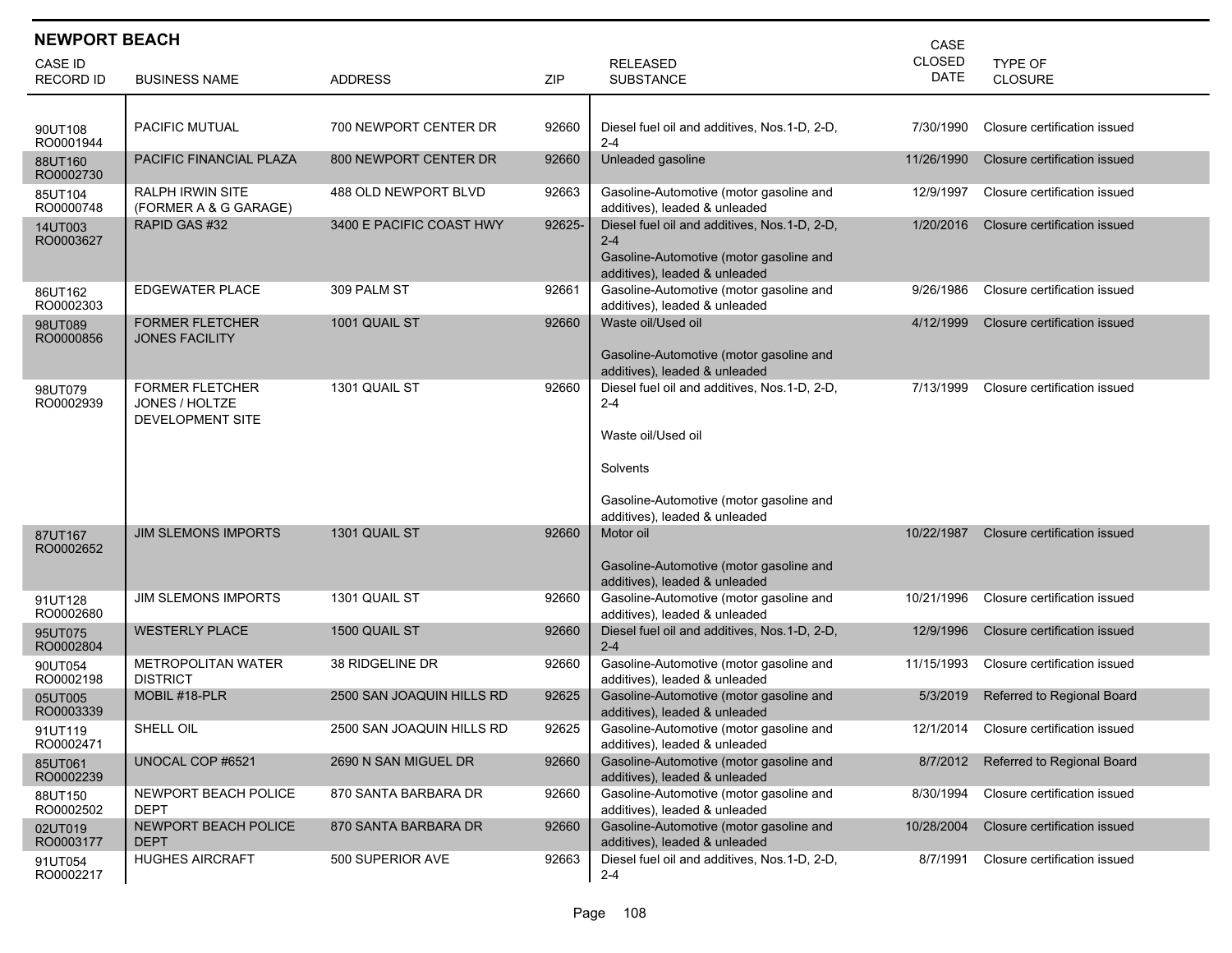| <b>NEWPORT BEACH</b><br>CASE |                                                              |                           |        |                                                                                                                                                                       |                              |                                   |  |  |  |
|------------------------------|--------------------------------------------------------------|---------------------------|--------|-----------------------------------------------------------------------------------------------------------------------------------------------------------------------|------------------------------|-----------------------------------|--|--|--|
| CASE ID<br><b>RECORD ID</b>  | <b>BUSINESS NAME</b>                                         | <b>ADDRESS</b>            | ZIP    | <b>RELEASED</b><br><b>SUBSTANCE</b>                                                                                                                                   | <b>CLOSED</b><br><b>DATE</b> | TYPE OF<br><b>CLOSURE</b>         |  |  |  |
| 90UT108<br>RO0001944         | <b>PACIFIC MUTUAL</b>                                        | 700 NEWPORT CENTER DR     | 92660  | Diesel fuel oil and additives, Nos.1-D, 2-D,<br>$2 - 4$                                                                                                               | 7/30/1990                    | Closure certification issued      |  |  |  |
| 88UT160<br>RO0002730         | PACIFIC FINANCIAL PLAZA                                      | 800 NEWPORT CENTER DR     | 92660  | Unleaded gasoline                                                                                                                                                     | 11/26/1990                   | Closure certification issued      |  |  |  |
| 85UT104<br>RO0000748         | <b>RALPH IRWIN SITE</b><br>(FORMER A & G GARAGE)             | 488 OLD NEWPORT BLVD      | 92663  | Gasoline-Automotive (motor gasoline and<br>additives), leaded & unleaded                                                                                              | 12/9/1997                    | Closure certification issued      |  |  |  |
| 14UT003<br>RO0003627         | RAPID GAS #32                                                | 3400 E PACIFIC COAST HWY  | 92625- | Diesel fuel oil and additives, Nos.1-D, 2-D,<br>$2 - 4$<br>Gasoline-Automotive (motor gasoline and<br>additives), leaded & unleaded                                   | 1/20/2016                    | Closure certification issued      |  |  |  |
| 86UT162<br>RO0002303         | <b>EDGEWATER PLACE</b>                                       | 309 PALM ST               | 92661  | Gasoline-Automotive (motor gasoline and<br>additives), leaded & unleaded                                                                                              | 9/26/1986                    | Closure certification issued      |  |  |  |
| 98UT089<br>RO0000856         | <b>FORMER FLETCHER</b><br><b>JONES FACILITY</b>              | 1001 QUAIL ST             | 92660  | Waste oil/Used oil<br>Gasoline-Automotive (motor gasoline and<br>additives), leaded & unleaded                                                                        | 4/12/1999                    | Closure certification issued      |  |  |  |
| 98UT079<br>RO0002939         | <b>FORMER FLETCHER</b><br>JONES / HOLTZE<br>DEVELOPMENT SITE | 1301 QUAIL ST             | 92660  | Diesel fuel oil and additives, Nos.1-D, 2-D,<br>$2 - 4$<br>Waste oil/Used oil<br>Solvents<br>Gasoline-Automotive (motor gasoline and<br>additives), leaded & unleaded | 7/13/1999                    | Closure certification issued      |  |  |  |
| 87UT167<br>RO0002652         | <b>JIM SLEMONS IMPORTS</b>                                   | 1301 QUAIL ST             | 92660  | Motor oil<br>Gasoline-Automotive (motor gasoline and<br>additives), leaded & unleaded                                                                                 | 10/22/1987                   | Closure certification issued      |  |  |  |
| 91UT128<br>RO0002680         | <b>JIM SLEMONS IMPORTS</b>                                   | 1301 QUAIL ST             | 92660  | Gasoline-Automotive (motor gasoline and<br>additives), leaded & unleaded                                                                                              | 10/21/1996                   | Closure certification issued      |  |  |  |
| 95UT075<br>RO0002804         | <b>WESTERLY PLACE</b>                                        | 1500 QUAIL ST             | 92660  | Diesel fuel oil and additives, Nos.1-D, 2-D,<br>$2 - 4$                                                                                                               | 12/9/1996                    | Closure certification issued      |  |  |  |
| 90UT054<br>RO0002198         | <b>METROPOLITAN WATER</b><br><b>DISTRICT</b>                 | 38 RIDGELINE DR           | 92660  | Gasoline-Automotive (motor gasoline and<br>additives), leaded & unleaded                                                                                              | 11/15/1993                   | Closure certification issued      |  |  |  |
| 05UT005<br>RO0003339         | MOBIL #18-PLR                                                | 2500 SAN JOAQUIN HILLS RD | 92625  | Gasoline-Automotive (motor gasoline and<br>additives), leaded & unleaded                                                                                              | 5/3/2019                     | Referred to Regional Board        |  |  |  |
| 91UT119<br>RO0002471         | SHELL OIL                                                    | 2500 SAN JOAQUIN HILLS RD | 92625  | Gasoline-Automotive (motor gasoline and<br>additives), leaded & unleaded                                                                                              | 12/1/2014                    | Closure certification issued      |  |  |  |
| 85UT061<br>RO0002239         | UNOCAL COP #6521                                             | 2690 N SAN MIGUEL DR      | 92660  | Gasoline-Automotive (motor gasoline and<br>additives), leaded & unleaded                                                                                              | 8/7/2012                     | <b>Referred to Regional Board</b> |  |  |  |
| 88UT150<br>RO0002502         | NEWPORT BEACH POLICE<br>DEPT                                 | 870 SANTA BARBARA DR      | 92660  | Gasoline-Automotive (motor gasoline and<br>additives), leaded & unleaded                                                                                              | 8/30/1994                    | Closure certification issued      |  |  |  |
| 02UT019<br>RO0003177         | NEWPORT BEACH POLICE<br><b>DEPT</b>                          | 870 SANTA BARBARA DR      | 92660  | Gasoline-Automotive (motor gasoline and<br>additives), leaded & unleaded                                                                                              | 10/28/2004                   | Closure certification issued      |  |  |  |
| 91UT054<br>RO0002217         | <b>HUGHES AIRCRAFT</b>                                       | 500 SUPERIOR AVE          | 92663  | Diesel fuel oil and additives, Nos.1-D, 2-D,<br>$2 - 4$                                                                                                               | 8/7/1991                     | Closure certification issued      |  |  |  |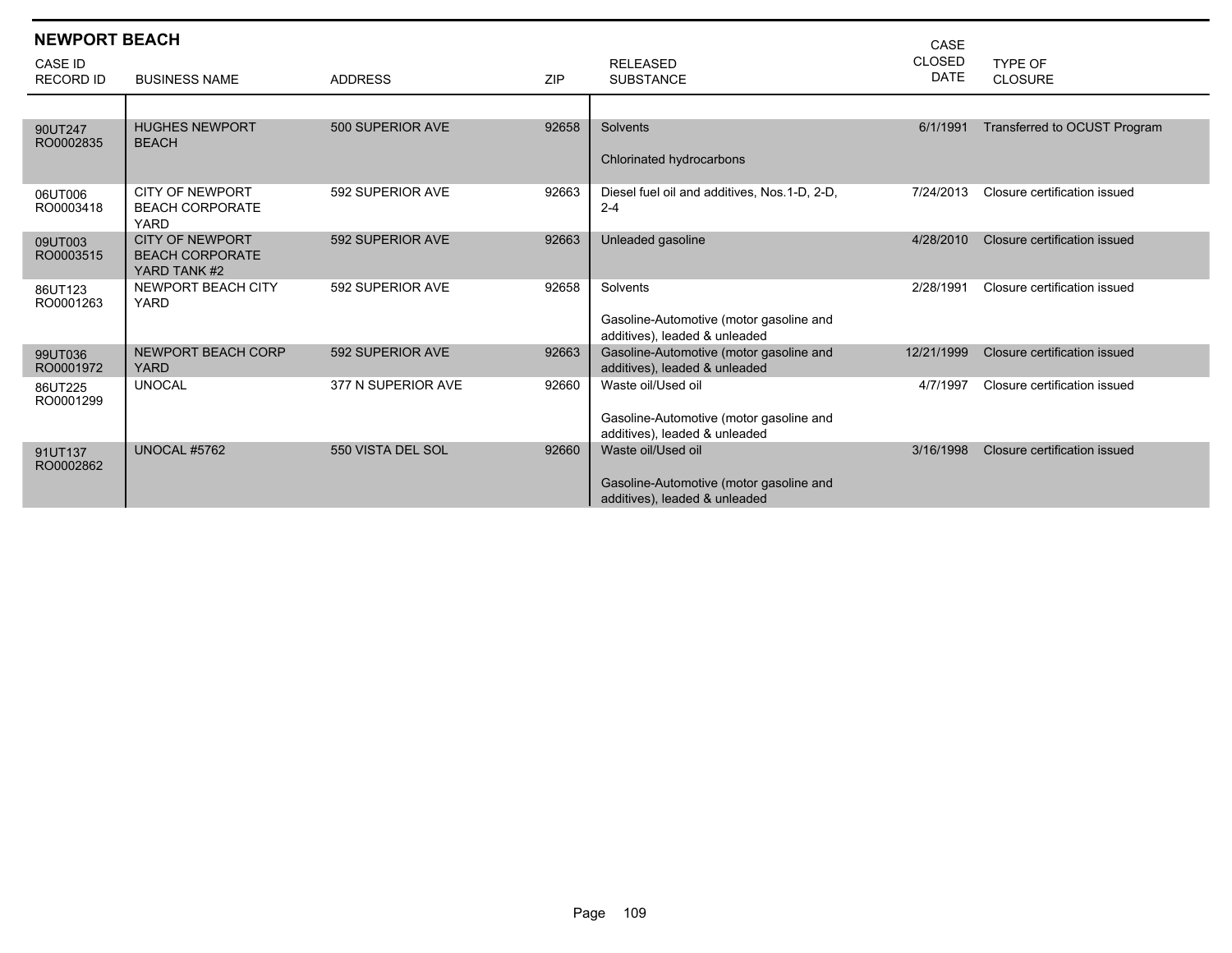| <b>NEWPORT BEACH</b><br><b>CASE ID</b> |                                                                  |                    |       | <b>RELEASED</b>                                                          | CASE<br><b>CLOSED</b> | TYPE OF                      |
|----------------------------------------|------------------------------------------------------------------|--------------------|-------|--------------------------------------------------------------------------|-----------------------|------------------------------|
| <b>RECORD ID</b>                       | <b>BUSINESS NAME</b>                                             | <b>ADDRESS</b>     | ZIP   | <b>SUBSTANCE</b>                                                         | <b>DATE</b>           | <b>CLOSURE</b>               |
|                                        |                                                                  |                    |       |                                                                          |                       |                              |
| 90UT247<br>RO0002835                   | <b>HUGHES NEWPORT</b><br><b>BEACH</b>                            | 500 SUPERIOR AVE   | 92658 | Solvents                                                                 | 6/1/1991              | Transferred to OCUST Program |
|                                        |                                                                  |                    |       | Chlorinated hydrocarbons                                                 |                       |                              |
| 06UT006<br>RO0003418                   | <b>CITY OF NEWPORT</b><br><b>BEACH CORPORATE</b><br><b>YARD</b>  | 592 SUPERIOR AVE   | 92663 | Diesel fuel oil and additives, Nos.1-D, 2-D,<br>$2 - 4$                  | 7/24/2013             | Closure certification issued |
| 09UT003<br>RO0003515                   | <b>CITY OF NEWPORT</b><br><b>BEACH CORPORATE</b><br>YARD TANK #2 | 592 SUPERIOR AVE   | 92663 | Unleaded gasoline                                                        | 4/28/2010             | Closure certification issued |
| 86UT123<br>RO0001263                   | NEWPORT BEACH CITY<br><b>YARD</b>                                | 592 SUPERIOR AVE   | 92658 | Solvents<br>Gasoline-Automotive (motor gasoline and                      | 2/28/1991             | Closure certification issued |
|                                        |                                                                  |                    |       | additives), leaded & unleaded                                            |                       |                              |
| 99UT036<br>RO0001972                   | NEWPORT BEACH CORP<br><b>YARD</b>                                | 592 SUPERIOR AVE   | 92663 | Gasoline-Automotive (motor gasoline and<br>additives), leaded & unleaded | 12/21/1999            | Closure certification issued |
| 86UT225<br>RO0001299                   | <b>UNOCAL</b>                                                    | 377 N SUPERIOR AVE | 92660 | Waste oil/Used oil                                                       | 4/7/1997              | Closure certification issued |
|                                        |                                                                  |                    |       | Gasoline-Automotive (motor gasoline and<br>additives), leaded & unleaded |                       |                              |
| 91UT137<br>RO0002862                   | <b>UNOCAL #5762</b>                                              | 550 VISTA DEL SOL  | 92660 | Waste oil/Used oil                                                       | 3/16/1998             | Closure certification issued |
|                                        |                                                                  |                    |       | Gasoline-Automotive (motor gasoline and<br>additives), leaded & unleaded |                       |                              |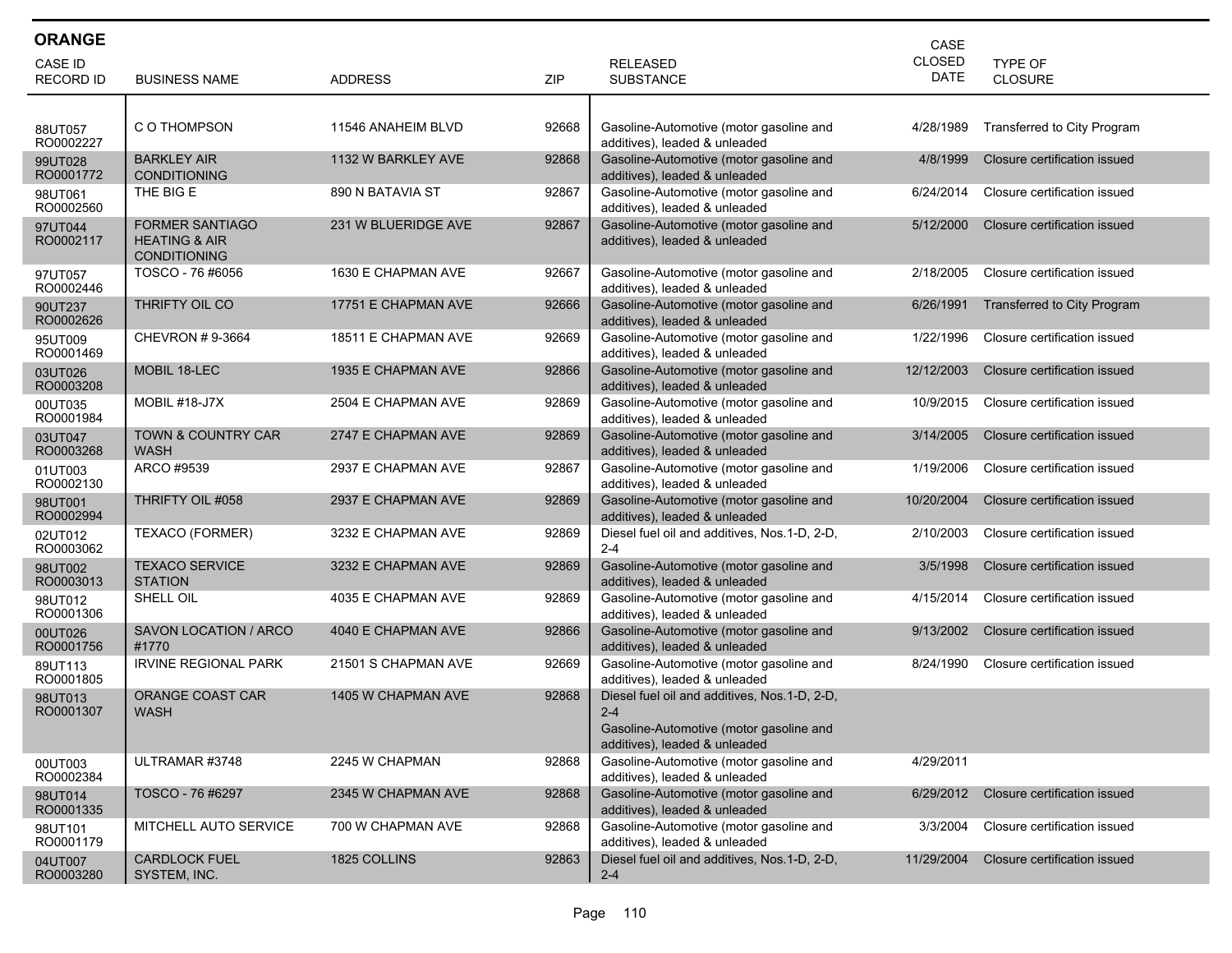| <b>ORANGE</b>        |                                                                           |                     |       |                                                                                                                                     | CASE          |                              |
|----------------------|---------------------------------------------------------------------------|---------------------|-------|-------------------------------------------------------------------------------------------------------------------------------------|---------------|------------------------------|
| <b>CASE ID</b>       |                                                                           |                     |       | <b>RELEASED</b>                                                                                                                     | <b>CLOSED</b> | TYPE OF                      |
| <b>RECORD ID</b>     | <b>BUSINESS NAME</b>                                                      | <b>ADDRESS</b>      | ZIP   | <b>SUBSTANCE</b>                                                                                                                    | <b>DATE</b>   | <b>CLOSURE</b>               |
|                      |                                                                           |                     |       |                                                                                                                                     |               |                              |
| 88UT057<br>RO0002227 | C O THOMPSON                                                              | 11546 ANAHEIM BLVD  | 92668 | Gasoline-Automotive (motor gasoline and<br>additives), leaded & unleaded                                                            | 4/28/1989     | Transferred to City Program  |
| 99UT028<br>RO0001772 | <b>BARKLEY AIR</b><br><b>CONDITIONING</b>                                 | 1132 W BARKLEY AVE  | 92868 | Gasoline-Automotive (motor gasoline and<br>additives), leaded & unleaded                                                            | 4/8/1999      | Closure certification issued |
| 98UT061<br>RO0002560 | THE BIG E                                                                 | 890 N BATAVIA ST    | 92867 | Gasoline-Automotive (motor gasoline and<br>additives), leaded & unleaded                                                            | 6/24/2014     | Closure certification issued |
| 97UT044<br>RO0002117 | <b>FORMER SANTIAGO</b><br><b>HEATING &amp; AIR</b><br><b>CONDITIONING</b> | 231 W BLUERIDGE AVE | 92867 | Gasoline-Automotive (motor gasoline and<br>additives), leaded & unleaded                                                            | 5/12/2000     | Closure certification issued |
| 97UT057<br>RO0002446 | TOSCO - 76 #6056                                                          | 1630 E CHAPMAN AVE  | 92667 | Gasoline-Automotive (motor gasoline and<br>additives), leaded & unleaded                                                            | 2/18/2005     | Closure certification issued |
| 90UT237<br>RO0002626 | THRIFTY OIL CO                                                            | 17751 E CHAPMAN AVE | 92666 | Gasoline-Automotive (motor gasoline and<br>additives), leaded & unleaded                                                            | 6/26/1991     | Transferred to City Program  |
| 95UT009<br>RO0001469 | CHEVRON #9-3664                                                           | 18511 E CHAPMAN AVE | 92669 | Gasoline-Automotive (motor gasoline and<br>additives), leaded & unleaded                                                            | 1/22/1996     | Closure certification issued |
| 03UT026<br>RO0003208 | <b>MOBIL 18-LEC</b>                                                       | 1935 E CHAPMAN AVE  | 92866 | Gasoline-Automotive (motor gasoline and<br>additives), leaded & unleaded                                                            | 12/12/2003    | Closure certification issued |
| 00UT035<br>RO0001984 | <b>MOBIL #18-J7X</b>                                                      | 2504 E CHAPMAN AVE  | 92869 | Gasoline-Automotive (motor gasoline and<br>additives), leaded & unleaded                                                            | 10/9/2015     | Closure certification issued |
| 03UT047<br>RO0003268 | <b>TOWN &amp; COUNTRY CAR</b><br><b>WASH</b>                              | 2747 E CHAPMAN AVE  | 92869 | Gasoline-Automotive (motor gasoline and<br>additives), leaded & unleaded                                                            | 3/14/2005     | Closure certification issued |
| 01UT003<br>RO0002130 | ARCO #9539                                                                | 2937 E CHAPMAN AVE  | 92867 | Gasoline-Automotive (motor gasoline and<br>additives), leaded & unleaded                                                            | 1/19/2006     | Closure certification issued |
| 98UT001<br>RO0002994 | THRIFTY OIL #058                                                          | 2937 E CHAPMAN AVE  | 92869 | Gasoline-Automotive (motor gasoline and<br>additives), leaded & unleaded                                                            | 10/20/2004    | Closure certification issued |
| 02UT012<br>RO0003062 | TEXACO (FORMER)                                                           | 3232 E CHAPMAN AVE  | 92869 | Diesel fuel oil and additives, Nos.1-D, 2-D,<br>$2 - 4$                                                                             | 2/10/2003     | Closure certification issued |
| 98UT002<br>RO0003013 | <b>TEXACO SERVICE</b><br><b>STATION</b>                                   | 3232 E CHAPMAN AVE  | 92869 | Gasoline-Automotive (motor gasoline and<br>additives), leaded & unleaded                                                            | 3/5/1998      | Closure certification issued |
| 98UT012<br>RO0001306 | SHELL OIL                                                                 | 4035 E CHAPMAN AVE  | 92869 | Gasoline-Automotive (motor gasoline and<br>additives), leaded & unleaded                                                            | 4/15/2014     | Closure certification issued |
| 00UT026<br>RO0001756 | SAVON LOCATION / ARCO<br>#1770                                            | 4040 E CHAPMAN AVE  | 92866 | Gasoline-Automotive (motor gasoline and<br>additives), leaded & unleaded                                                            | 9/13/2002     | Closure certification issued |
| 89UT113<br>RO0001805 | IRVINE REGIONAL PARK                                                      | 21501 S CHAPMAN AVE | 92669 | Gasoline-Automotive (motor gasoline and<br>additives), leaded & unleaded                                                            | 8/24/1990     | Closure certification issued |
| 98UT013<br>RO0001307 | ORANGE COAST CAR<br><b>WASH</b>                                           | 1405 W CHAPMAN AVE  | 92868 | Diesel fuel oil and additives, Nos.1-D, 2-D,<br>$2 - 4$<br>Gasoline-Automotive (motor gasoline and<br>additives), leaded & unleaded |               |                              |
| 00UT003<br>RO0002384 | ULTRAMAR #3748                                                            | 2245 W CHAPMAN      | 92868 | Gasoline-Automotive (motor gasoline and<br>additives), leaded & unleaded                                                            | 4/29/2011     |                              |
| 98UT014<br>RO0001335 | TOSCO - 76 #6297                                                          | 2345 W CHAPMAN AVE  | 92868 | Gasoline-Automotive (motor gasoline and<br>additives), leaded & unleaded                                                            | 6/29/2012     | Closure certification issued |
| 98UT101<br>RO0001179 | MITCHELL AUTO SERVICE                                                     | 700 W CHAPMAN AVE   | 92868 | Gasoline-Automotive (motor gasoline and<br>additives), leaded & unleaded                                                            | 3/3/2004      | Closure certification issued |
| 04UT007<br>RO0003280 | <b>CARDLOCK FUEL</b><br>SYSTEM, INC.                                      | 1825 COLLINS        | 92863 | Diesel fuel oil and additives, Nos. 1-D, 2-D,<br>$2 - 4$                                                                            | 11/29/2004    | Closure certification issued |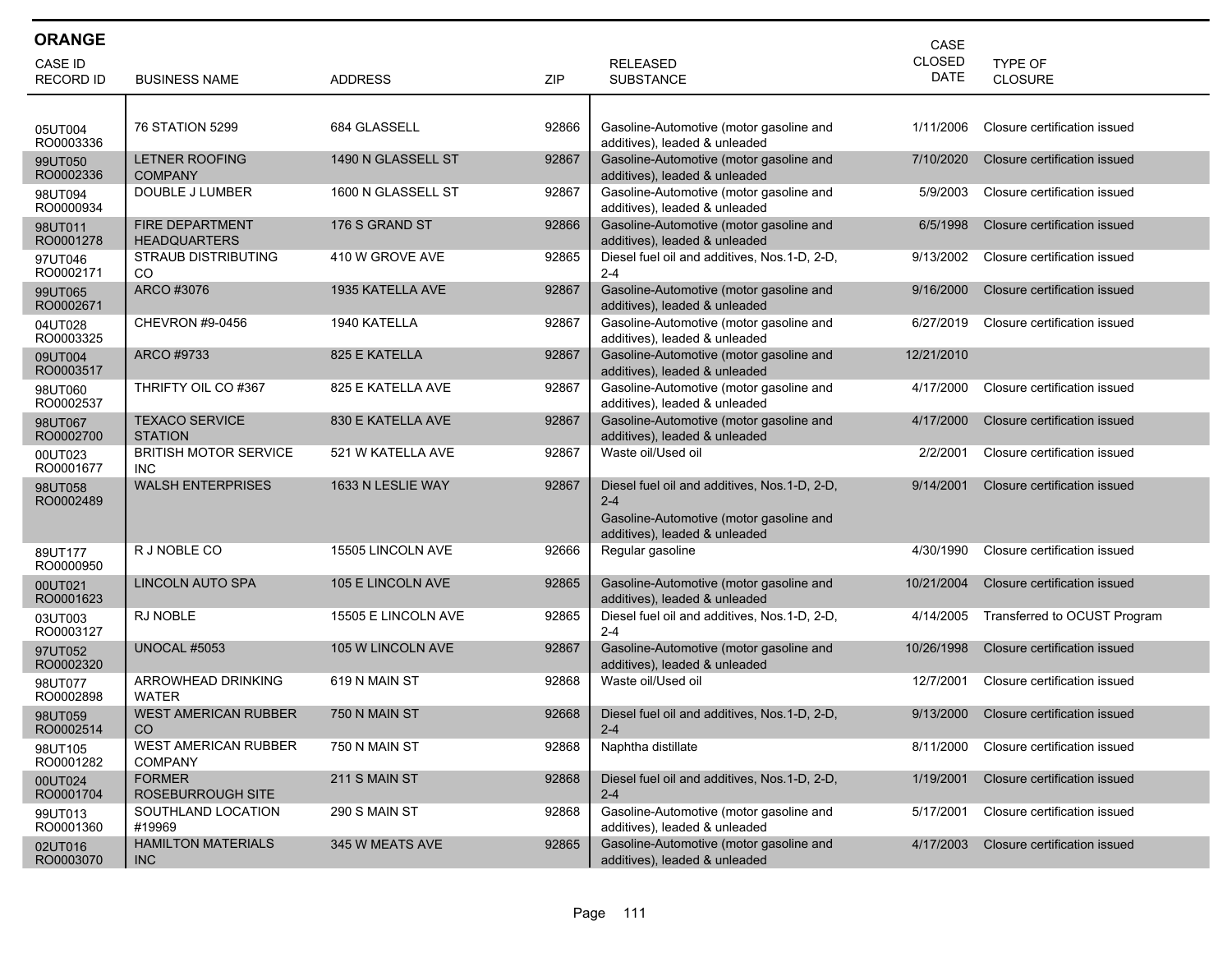| <b>ORANGE</b>               |                                               |                     |       |                                                                                                                                      | CASE                         |                              |
|-----------------------------|-----------------------------------------------|---------------------|-------|--------------------------------------------------------------------------------------------------------------------------------------|------------------------------|------------------------------|
| CASE ID<br><b>RECORD ID</b> | <b>BUSINESS NAME</b>                          | <b>ADDRESS</b>      | ZIP   | <b>RELEASED</b><br><b>SUBSTANCE</b>                                                                                                  | <b>CLOSED</b><br><b>DATE</b> | <b>TYPE OF</b><br>CLOSURE    |
|                             |                                               |                     |       |                                                                                                                                      |                              |                              |
| 05UT004<br>RO0003336        | 76 STATION 5299                               | 684 GLASSELL        | 92866 | Gasoline-Automotive (motor gasoline and<br>additives), leaded & unleaded                                                             | 1/11/2006                    | Closure certification issued |
| 99UT050<br>RO0002336        | <b>LETNER ROOFING</b><br><b>COMPANY</b>       | 1490 N GLASSELL ST  | 92867 | Gasoline-Automotive (motor gasoline and<br>additives), leaded & unleaded                                                             | 7/10/2020                    | Closure certification issued |
| 98UT094<br>RO0000934        | DOUBLE J LUMBER                               | 1600 N GLASSELL ST  | 92867 | Gasoline-Automotive (motor gasoline and<br>additives), leaded & unleaded                                                             | 5/9/2003                     | Closure certification issued |
| 98UT011<br>RO0001278        | <b>FIRE DEPARTMENT</b><br><b>HEADQUARTERS</b> | 176 S GRAND ST      | 92866 | Gasoline-Automotive (motor gasoline and<br>additives), leaded & unleaded                                                             | 6/5/1998                     | Closure certification issued |
| 97UT046<br>RO0002171        | <b>STRAUB DISTRIBUTING</b><br>CO.             | 410 W GROVE AVE     | 92865 | Diesel fuel oil and additives, Nos.1-D, 2-D,<br>$2 - 4$                                                                              | 9/13/2002                    | Closure certification issued |
| 99UT065<br>RO0002671        | ARCO #3076                                    | 1935 KATELLA AVE    | 92867 | Gasoline-Automotive (motor gasoline and<br>additives), leaded & unleaded                                                             | 9/16/2000                    | Closure certification issued |
| 04UT028<br>RO0003325        | CHEVRON #9-0456                               | 1940 KATELLA        | 92867 | Gasoline-Automotive (motor gasoline and<br>additives), leaded & unleaded                                                             | 6/27/2019                    | Closure certification issued |
| 09UT004<br>RO0003517        | ARCO #9733                                    | 825 E KATELLA       | 92867 | Gasoline-Automotive (motor gasoline and<br>additives), leaded & unleaded                                                             | 12/21/2010                   |                              |
| 98UT060<br>RO0002537        | THRIFTY OIL CO#367                            | 825 E KATELLA AVE   | 92867 | Gasoline-Automotive (motor gasoline and<br>additives), leaded & unleaded                                                             | 4/17/2000                    | Closure certification issued |
| 98UT067<br>RO0002700        | <b>TEXACO SERVICE</b><br><b>STATION</b>       | 830 E KATELLA AVE   | 92867 | Gasoline-Automotive (motor gasoline and<br>additives), leaded & unleaded                                                             | 4/17/2000                    | Closure certification issued |
| 00UT023<br>RO0001677        | <b>BRITISH MOTOR SERVICE</b><br><b>INC</b>    | 521 W KATELLA AVE   | 92867 | Waste oil/Used oil                                                                                                                   | 2/2/2001                     | Closure certification issued |
| 98UT058<br>RO0002489        | <b>WALSH ENTERPRISES</b>                      | 1633 N LESLIE WAY   | 92867 | Diesel fuel oil and additives, Nos. 1-D, 2-D,<br>$2 - 4$<br>Gasoline-Automotive (motor gasoline and<br>additives), leaded & unleaded | 9/14/2001                    | Closure certification issued |
| 89UT177<br>RO0000950        | R J NOBLE CO                                  | 15505 LINCOLN AVE   | 92666 | Regular gasoline                                                                                                                     | 4/30/1990                    | Closure certification issued |
| 00UT021<br>RO0001623        | LINCOLN AUTO SPA                              | 105 E LINCOLN AVE   | 92865 | Gasoline-Automotive (motor gasoline and<br>additives), leaded & unleaded                                                             | 10/21/2004                   | Closure certification issued |
| 03UT003<br>RO0003127        | <b>RJ NOBLE</b>                               | 15505 E LINCOLN AVE | 92865 | Diesel fuel oil and additives, Nos.1-D, 2-D,<br>$2 - 4$                                                                              | 4/14/2005                    | Transferred to OCUST Program |
| 97UT052<br>RO0002320        | <b>UNOCAL #5053</b>                           | 105 W LINCOLN AVE   | 92867 | Gasoline-Automotive (motor gasoline and<br>additives), leaded & unleaded                                                             | 10/26/1998                   | Closure certification issued |
| 98UT077<br>RO0002898        | ARROWHEAD DRINKING<br><b>WATER</b>            | 619 N MAIN ST       | 92868 | Waste oil/Used oil                                                                                                                   | 12/7/2001                    | Closure certification issued |
| 98UT059<br>RO0002514        | <b>WEST AMERICAN RUBBER</b><br>CO.            | 750 N MAIN ST       | 92668 | Diesel fuel oil and additives, Nos. 1-D, 2-D,<br>$2 - 4$                                                                             | 9/13/2000                    | Closure certification issued |
| 98UT105<br>RO0001282        | <b>WEST AMERICAN RUBBER</b><br><b>COMPANY</b> | 750 N MAIN ST       | 92868 | Naphtha distillate                                                                                                                   | 8/11/2000                    | Closure certification issued |
| 00UT024<br>RO0001704        | <b>FORMER</b><br>ROSEBURROUGH SITE            | 211 S MAIN ST       | 92868 | Diesel fuel oil and additives, Nos.1-D, 2-D,<br>$2 - 4$                                                                              | 1/19/2001                    | Closure certification issued |
| 99UT013<br>RO0001360        | SOUTHLAND LOCATION<br>#19969                  | 290 S MAIN ST       | 92868 | Gasoline-Automotive (motor gasoline and<br>additives). leaded & unleaded                                                             | 5/17/2001                    | Closure certification issued |
| 02UT016<br>RO0003070        | <b>HAMILTON MATERIALS</b><br>INC              | 345 W MEATS AVE     | 92865 | Gasoline-Automotive (motor gasoline and<br>additives), leaded & unleaded                                                             | 4/17/2003                    | Closure certification issued |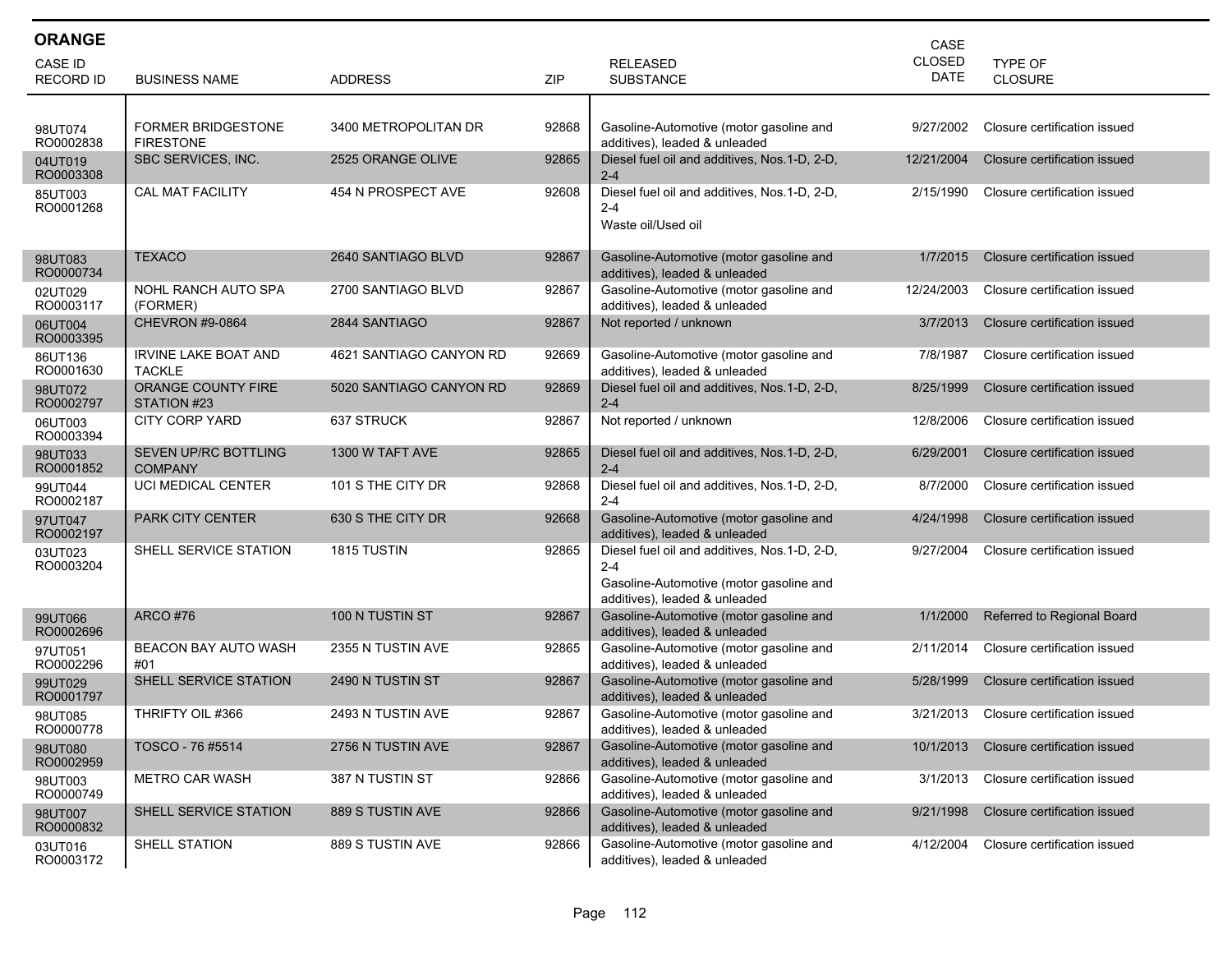| <b>ORANGE</b>               |                                               |                         |       |                                                                                                                                     | CASE                         |                              |
|-----------------------------|-----------------------------------------------|-------------------------|-------|-------------------------------------------------------------------------------------------------------------------------------------|------------------------------|------------------------------|
| CASE ID<br><b>RECORD ID</b> | <b>BUSINESS NAME</b>                          | <b>ADDRESS</b>          | ZIP   | <b>RELEASED</b><br><b>SUBSTANCE</b>                                                                                                 | <b>CLOSED</b><br><b>DATE</b> | TYPE OF<br><b>CLOSURE</b>    |
|                             |                                               |                         |       |                                                                                                                                     |                              |                              |
| 98UT074<br>RO0002838        | <b>FORMER BRIDGESTONE</b><br><b>FIRESTONE</b> | 3400 METROPOLITAN DR    | 92868 | Gasoline-Automotive (motor gasoline and<br>additives), leaded & unleaded                                                            | 9/27/2002                    | Closure certification issued |
| 04UT019<br>RO0003308        | SBC SERVICES, INC.                            | 2525 ORANGE OLIVE       | 92865 | Diesel fuel oil and additives, Nos.1-D, 2-D,<br>$2 - 4$                                                                             | 12/21/2004                   | Closure certification issued |
| 85UT003<br>RO0001268        | <b>CAL MAT FACILITY</b>                       | 454 N PROSPECT AVE      | 92608 | Diesel fuel oil and additives, Nos.1-D, 2-D,<br>$2 - 4$<br>Waste oil/Used oil                                                       | 2/15/1990                    | Closure certification issued |
| 98UT083<br>RO0000734        | <b>TEXACO</b>                                 | 2640 SANTIAGO BLVD      | 92867 | Gasoline-Automotive (motor gasoline and<br>additives), leaded & unleaded                                                            | 1/7/2015                     | Closure certification issued |
| 02UT029<br>RO0003117        | NOHL RANCH AUTO SPA<br>(FORMER)               | 2700 SANTIAGO BLVD      | 92867 | Gasoline-Automotive (motor gasoline and<br>additives), leaded & unleaded                                                            | 12/24/2003                   | Closure certification issued |
| 06UT004<br>RO0003395        | <b>CHEVRON #9-0864</b>                        | 2844 SANTIAGO           | 92867 | Not reported / unknown                                                                                                              | 3/7/2013                     | Closure certification issued |
| 86UT136<br>RO0001630        | <b>IRVINE LAKE BOAT AND</b><br><b>TACKLE</b>  | 4621 SANTIAGO CANYON RD | 92669 | Gasoline-Automotive (motor gasoline and<br>additives), leaded & unleaded                                                            | 7/8/1987                     | Closure certification issued |
| 98UT072<br>RO0002797        | <b>ORANGE COUNTY FIRE</b><br>STATION #23      | 5020 SANTIAGO CANYON RD | 92869 | Diesel fuel oil and additives, Nos.1-D, 2-D,<br>$2 - 4$                                                                             | 8/25/1999                    | Closure certification issued |
| 06UT003<br>RO0003394        | <b>CITY CORP YARD</b>                         | 637 STRUCK              | 92867 | Not reported / unknown                                                                                                              | 12/8/2006                    | Closure certification issued |
| 98UT033<br>RO0001852        | SEVEN UP/RC BOTTLING<br><b>COMPANY</b>        | 1300 W TAFT AVE         | 92865 | Diesel fuel oil and additives, Nos.1-D, 2-D,<br>$2 - 4$                                                                             | 6/29/2001                    | Closure certification issued |
| 99UT044<br>RO0002187        | UCI MEDICAL CENTER                            | 101 S THE CITY DR       | 92868 | Diesel fuel oil and additives, Nos.1-D, 2-D,<br>$2 - 4$                                                                             | 8/7/2000                     | Closure certification issued |
| 97UT047<br>RO0002197        | <b>PARK CITY CENTER</b>                       | 630 S THE CITY DR       | 92668 | Gasoline-Automotive (motor gasoline and<br>additives), leaded & unleaded                                                            | 4/24/1998                    | Closure certification issued |
| 03UT023<br>RO0003204        | SHELL SERVICE STATION                         | 1815 TUSTIN             | 92865 | Diesel fuel oil and additives, Nos.1-D, 2-D,<br>$2 - 4$<br>Gasoline-Automotive (motor gasoline and<br>additives), leaded & unleaded | 9/27/2004                    | Closure certification issued |
| 99UT066<br>RO0002696        | <b>ARCO #76</b>                               | 100 N TUSTIN ST         | 92867 | Gasoline-Automotive (motor gasoline and<br>additives), leaded & unleaded                                                            | 1/1/2000                     | Referred to Regional Board   |
| 97UT051<br>RO0002296        | <b>BEACON BAY AUTO WASH</b><br>#01            | 2355 N TUSTIN AVE       | 92865 | Gasoline-Automotive (motor gasoline and<br>additives), leaded & unleaded                                                            | 2/11/2014                    | Closure certification issued |
| 99UT029<br>RO0001797        | SHELL SERVICE STATION                         | 2490 N TUSTIN ST        | 92867 | Gasoline-Automotive (motor gasoline and<br>additives), leaded & unleaded                                                            | 5/28/1999                    | Closure certification issued |
| 98UT085<br>RO0000778        | THRIFTY OIL #366                              | 2493 N TUSTIN AVE       | 92867 | Gasoline-Automotive (motor gasoline and<br>additives), leaded & unleaded                                                            | 3/21/2013                    | Closure certification issued |
| 98UT080<br>RO0002959        | TOSCO - 76 #5514                              | 2756 N TUSTIN AVE       | 92867 | Gasoline-Automotive (motor gasoline and<br>additives), leaded & unleaded                                                            | 10/1/2013                    | Closure certification issued |
| 98UT003<br>RO0000749        | <b>METRO CAR WASH</b>                         | 387 N TUSTIN ST         | 92866 | Gasoline-Automotive (motor gasoline and<br>additives), leaded & unleaded                                                            | 3/1/2013                     | Closure certification issued |
| 98UT007<br>RO0000832        | SHELL SERVICE STATION                         | 889 S TUSTIN AVE        | 92866 | Gasoline-Automotive (motor gasoline and<br>additives), leaded & unleaded                                                            | 9/21/1998                    | Closure certification issued |
| 03UT016<br>RO0003172        | SHELL STATION                                 | 889 S TUSTIN AVE        | 92866 | Gasoline-Automotive (motor gasoline and<br>additives), leaded & unleaded                                                            | 4/12/2004                    | Closure certification issued |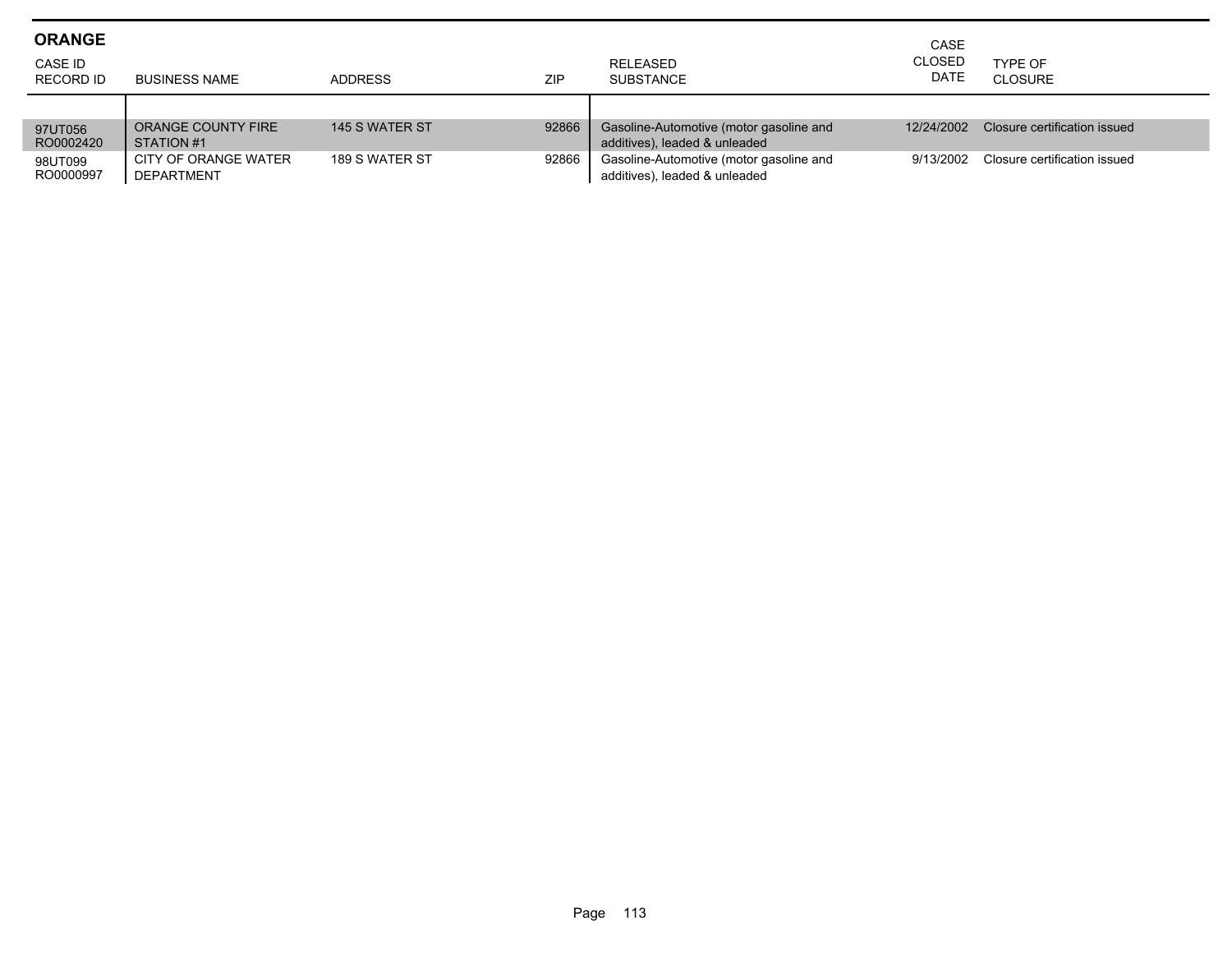| <b>ORANGE</b><br>CASE ID<br>RECORD ID | <b>BUSINESS NAME</b>                      | <b>ADDRESS</b> | <b>ZIP</b> | RELEASED<br><b>SUBSTANCE</b>                                             | CASE<br><b>CLOSED</b><br><b>DATE</b> | TYPE OF<br>CLOSURE           |
|---------------------------------------|-------------------------------------------|----------------|------------|--------------------------------------------------------------------------|--------------------------------------|------------------------------|
| 97UT056<br>RO0002420                  | ORANGE COUNTY FIRE<br>STATION #1          | 145 S WATER ST | 92866      | Gasoline-Automotive (motor gasoline and<br>additives), leaded & unleaded | 12/24/2002                           | Closure certification issued |
| 98UT099<br>RO0000997                  | CITY OF ORANGE WATER<br><b>DEPARTMENT</b> | 189 S WATER ST | 92866      | Gasoline-Automotive (motor gasoline and<br>additives), leaded & unleaded | 9/13/2002                            | Closure certification issued |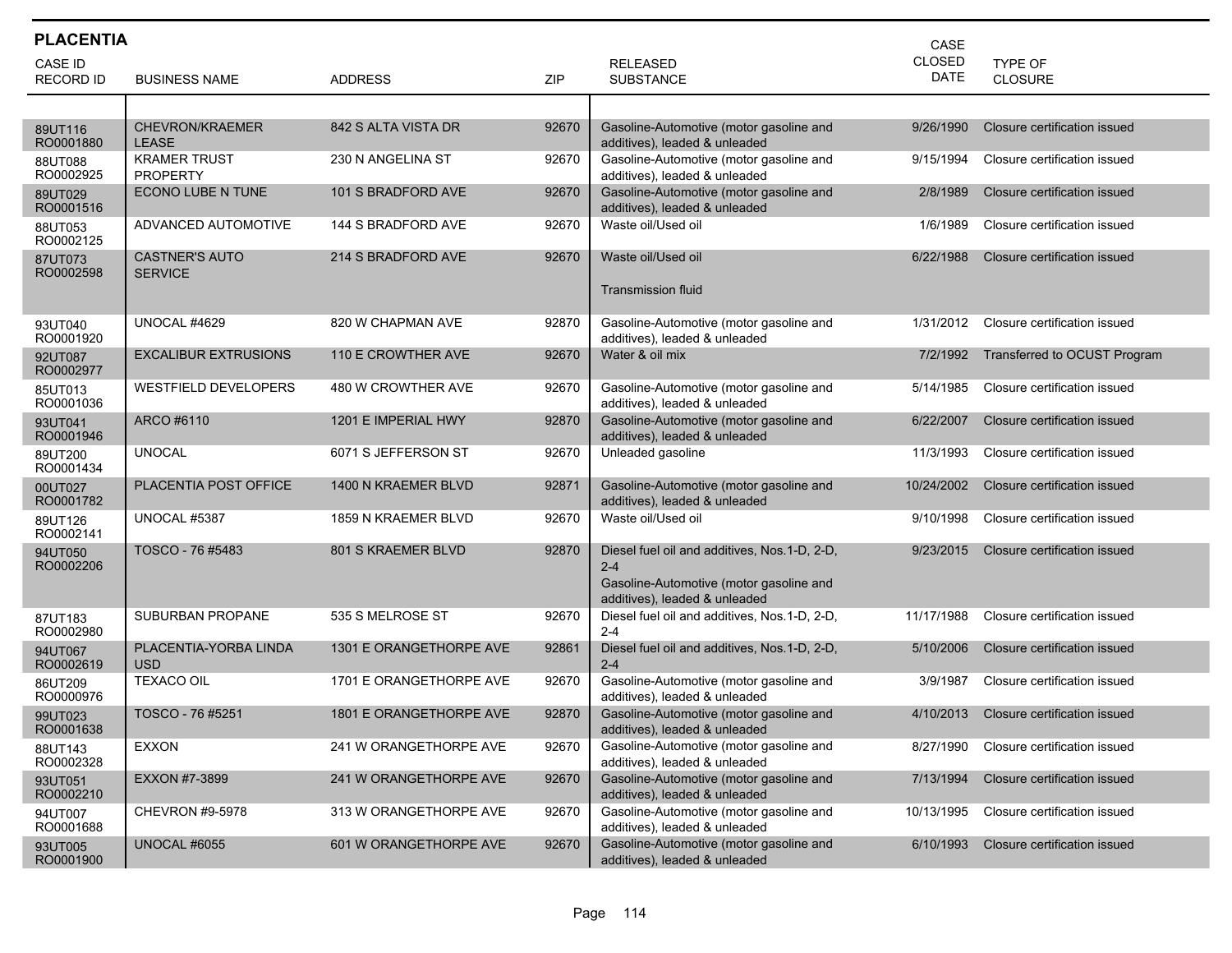| <b>PLACENTIA</b>     |                                         |                         |       | CASE                                                                                                                                |               |                              |
|----------------------|-----------------------------------------|-------------------------|-------|-------------------------------------------------------------------------------------------------------------------------------------|---------------|------------------------------|
| CASE ID              |                                         |                         |       | <b>RELEASED</b>                                                                                                                     | <b>CLOSED</b> | TYPE OF                      |
| <b>RECORD ID</b>     | <b>BUSINESS NAME</b>                    | <b>ADDRESS</b>          | ZIP   | <b>SUBSTANCE</b>                                                                                                                    | <b>DATE</b>   | <b>CLOSURE</b>               |
|                      |                                         |                         |       |                                                                                                                                     |               |                              |
| 89UT116<br>RO0001880 | <b>CHEVRON/KRAEMER</b><br><b>LEASE</b>  | 842 S ALTA VISTA DR     | 92670 | Gasoline-Automotive (motor gasoline and<br>additives), leaded & unleaded                                                            | 9/26/1990     | Closure certification issued |
| 88UT088<br>RO0002925 | <b>KRAMER TRUST</b><br><b>PROPERTY</b>  | 230 N ANGELINA ST       | 92670 | Gasoline-Automotive (motor gasoline and<br>additives), leaded & unleaded                                                            | 9/15/1994     | Closure certification issued |
| 89UT029<br>RO0001516 | ECONO LUBE N TUNE                       | 101 S BRADFORD AVE      | 92670 | Gasoline-Automotive (motor gasoline and<br>additives), leaded & unleaded                                                            | 2/8/1989      | Closure certification issued |
| 88UT053<br>RO0002125 | ADVANCED AUTOMOTIVE                     | 144 S BRADFORD AVE      | 92670 | Waste oil/Used oil                                                                                                                  | 1/6/1989      | Closure certification issued |
| 87UT073<br>RO0002598 | <b>CASTNER'S AUTO</b><br><b>SERVICE</b> | 214 S BRADFORD AVE      | 92670 | Waste oil/Used oil<br>Transmission fluid                                                                                            | 6/22/1988     | Closure certification issued |
|                      |                                         |                         |       |                                                                                                                                     |               |                              |
| 93UT040<br>RO0001920 | UNOCAL #4629                            | 820 W CHAPMAN AVE       | 92870 | Gasoline-Automotive (motor gasoline and<br>additives), leaded & unleaded                                                            | 1/31/2012     | Closure certification issued |
| 92UT087<br>RO0002977 | EXCALIBUR EXTRUSIONS                    | 110 E CROWTHER AVE      | 92670 | Water & oil mix                                                                                                                     | 7/2/1992      | Transferred to OCUST Program |
| 85UT013<br>RO0001036 | WESTFIELD DEVELOPERS                    | 480 W CROWTHER AVE      | 92670 | Gasoline-Automotive (motor gasoline and<br>additives), leaded & unleaded                                                            | 5/14/1985     | Closure certification issued |
| 93UT041<br>RO0001946 | ARCO #6110                              | 1201 E IMPERIAL HWY     | 92870 | Gasoline-Automotive (motor gasoline and<br>additives), leaded & unleaded                                                            | 6/22/2007     | Closure certification issued |
| 89UT200<br>RO0001434 | <b>UNOCAL</b>                           | 6071 S JEFFERSON ST     | 92670 | Unleaded gasoline                                                                                                                   | 11/3/1993     | Closure certification issued |
| 00UT027<br>RO0001782 | PLACENTIA POST OFFICE                   | 1400 N KRAEMER BLVD     | 92871 | Gasoline-Automotive (motor gasoline and<br>additives), leaded & unleaded                                                            | 10/24/2002    | Closure certification issued |
| 89UT126<br>RO0002141 | UNOCAL #5387                            | 1859 N KRAEMER BLVD     | 92670 | Waste oil/Used oil                                                                                                                  | 9/10/1998     | Closure certification issued |
| 94UT050<br>RO0002206 | TOSCO - 76 #5483                        | 801 S KRAEMER BLVD      | 92870 | Diesel fuel oil and additives, Nos.1-D, 2-D,<br>$2 - 4$<br>Gasoline-Automotive (motor gasoline and<br>additives), leaded & unleaded | 9/23/2015     | Closure certification issued |
| 87UT183<br>RO0002980 | SUBURBAN PROPANE                        | 535 S MELROSE ST        | 92670 | Diesel fuel oil and additives, Nos.1-D, 2-D,<br>$2 - 4$                                                                             | 11/17/1988    | Closure certification issued |
| 94UT067<br>RO0002619 | PLACENTIA-YORBA LINDA<br><b>USD</b>     | 1301 E ORANGETHORPE AVE | 92861 | Diesel fuel oil and additives, Nos.1-D, 2-D,<br>$2 - 4$                                                                             | 5/10/2006     | Closure certification issued |
| 86UT209<br>RO0000976 | <b>TEXACO OIL</b>                       | 1701 E ORANGETHORPE AVE | 92670 | Gasoline-Automotive (motor gasoline and<br>additives), leaded & unleaded                                                            | 3/9/1987      | Closure certification issued |
| 99UT023<br>RO0001638 | TOSCO - 76 #5251                        | 1801 E ORANGETHORPE AVE | 92870 | Gasoline-Automotive (motor gasoline and<br>additives), leaded & unleaded                                                            | 4/10/2013     | Closure certification issued |
| 88UT143<br>RO0002328 | <b>EXXON</b>                            | 241 W ORANGETHORPE AVE  | 92670 | Gasoline-Automotive (motor gasoline and<br>additives), leaded & unleaded                                                            | 8/27/1990     | Closure certification issued |
| 93UT051<br>RO0002210 | EXXON #7-3899                           | 241 W ORANGETHORPE AVE  | 92670 | Gasoline-Automotive (motor gasoline and<br>additives), leaded & unleaded                                                            | 7/13/1994     | Closure certification issued |
| 94UT007<br>RO0001688 | CHEVRON #9-5978                         | 313 W ORANGETHORPE AVE  | 92670 | Gasoline-Automotive (motor gasoline and<br>additives), leaded & unleaded                                                            | 10/13/1995    | Closure certification issued |
| 93UT005<br>RO0001900 | <b>UNOCAL #6055</b>                     | 601 W ORANGETHORPE AVE  | 92670 | Gasoline-Automotive (motor gasoline and<br>additives), leaded & unleaded                                                            | 6/10/1993     | Closure certification issued |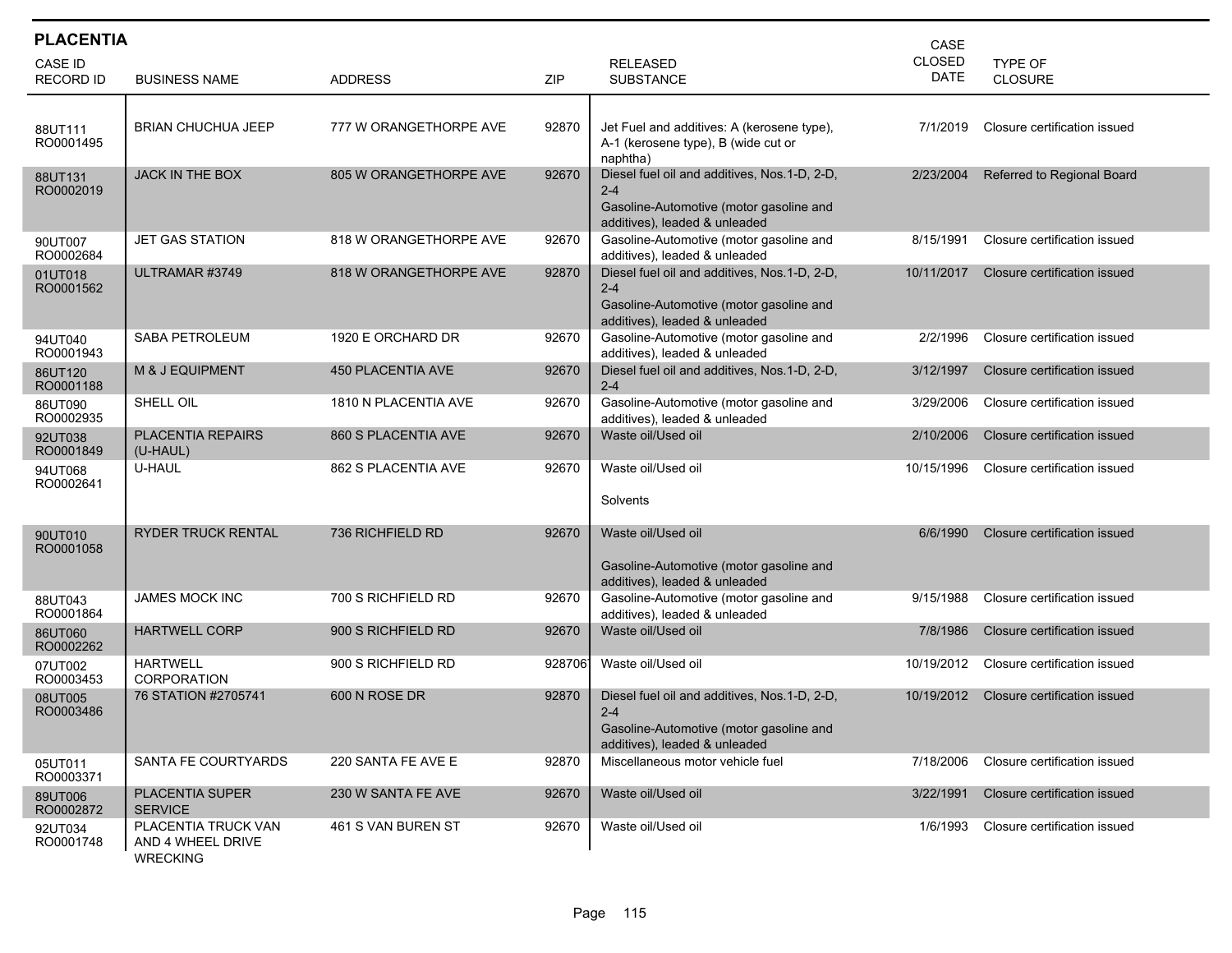| <b>PLACENTIA</b>            |                                                             |                            |        |                                                                                                                                      | CASE                         |                              |
|-----------------------------|-------------------------------------------------------------|----------------------------|--------|--------------------------------------------------------------------------------------------------------------------------------------|------------------------------|------------------------------|
| CASE ID<br><b>RECORD ID</b> | <b>BUSINESS NAME</b>                                        | <b>ADDRESS</b>             | ZIP    | <b>RELEASED</b><br><b>SUBSTANCE</b>                                                                                                  | <b>CLOSED</b><br><b>DATE</b> | TYPE OF<br><b>CLOSURE</b>    |
| 88UT111<br>RO0001495        | <b>BRIAN CHUCHUA JEEP</b>                                   | 777 W ORANGETHORPE AVE     | 92870  | Jet Fuel and additives: A (kerosene type),<br>A-1 (kerosene type), B (wide cut or<br>naphtha)                                        | 7/1/2019                     | Closure certification issued |
| 88UT131<br>RO0002019        | <b>JACK IN THE BOX</b>                                      | 805 W ORANGETHORPE AVE     | 92670  | Diesel fuel oil and additives, Nos.1-D, 2-D,<br>$2 - 4$<br>Gasoline-Automotive (motor gasoline and<br>additives), leaded & unleaded  | 2/23/2004                    | Referred to Regional Board   |
| 90UT007<br>RO0002684        | JET GAS STATION                                             | 818 W ORANGETHORPE AVE     | 92670  | Gasoline-Automotive (motor gasoline and<br>additives), leaded & unleaded                                                             | 8/15/1991                    | Closure certification issued |
| 01UT018<br>RO0001562        | ULTRAMAR #3749                                              | 818 W ORANGETHORPE AVE     | 92870  | Diesel fuel oil and additives, Nos.1-D, 2-D,<br>$2 - 4$<br>Gasoline-Automotive (motor gasoline and<br>additives), leaded & unleaded  | 10/11/2017                   | Closure certification issued |
| 94UT040<br>RO0001943        | SABA PETROLEUM                                              | 1920 E ORCHARD DR          | 92670  | Gasoline-Automotive (motor gasoline and<br>additives), leaded & unleaded                                                             | 2/2/1996                     | Closure certification issued |
| 86UT120<br>RO0001188        | M & J EQUIPMENT                                             | <b>450 PLACENTIA AVE</b>   | 92670  | Diesel fuel oil and additives, Nos.1-D, 2-D,<br>$2 - 4$                                                                              | 3/12/1997                    | Closure certification issued |
| 86UT090<br>RO0002935        | SHELL OIL                                                   | 1810 N PLACENTIA AVE       | 92670  | Gasoline-Automotive (motor gasoline and<br>additives), leaded & unleaded                                                             | 3/29/2006                    | Closure certification issued |
| 92UT038<br>RO0001849        | PLACENTIA REPAIRS<br>(U-HAUL)                               | <b>860 S PLACENTIA AVE</b> | 92670  | Waste oil/Used oil                                                                                                                   | 2/10/2006                    | Closure certification issued |
| 94UT068<br>RO0002641        | U-HAUL                                                      | 862 S PLACENTIA AVE        | 92670  | Waste oil/Used oil<br>Solvents                                                                                                       | 10/15/1996                   | Closure certification issued |
| 90UT010<br>RO0001058        | <b>RYDER TRUCK RENTAL</b>                                   | 736 RICHFIELD RD           | 92670  | Waste oil/Used oil<br>Gasoline-Automotive (motor gasoline and<br>additives), leaded & unleaded                                       | 6/6/1990                     | Closure certification issued |
| 88UT043<br>RO0001864        | JAMES MOCK INC                                              | 700 S RICHFIELD RD         | 92670  | Gasoline-Automotive (motor gasoline and<br>additives), leaded & unleaded                                                             | 9/15/1988                    | Closure certification issued |
| 86UT060<br>RO0002262        | <b>HARTWELL CORP</b>                                        | 900 S RICHFIELD RD         | 92670  | Waste oil/Used oil                                                                                                                   | 7/8/1986                     | Closure certification issued |
| 07UT002<br>RO0003453        | <b>HARTWELL</b><br>CORPORATION                              | 900 S RICHFIELD RD         | 928706 | Waste oil/Used oil                                                                                                                   | 10/19/2012                   | Closure certification issued |
| 08UT005<br>RO0003486        | 76 STATION #2705741                                         | 600 N ROSE DR              | 92870  | Diesel fuel oil and additives, Nos. 1-D, 2-D,<br>$2 - 4$<br>Gasoline-Automotive (motor gasoline and<br>additives), leaded & unleaded | 10/19/2012                   | Closure certification issued |
| 05UT011<br>RO0003371        | SANTA FE COURTYARDS                                         | 220 SANTA FE AVE E         | 92870  | Miscellaneous motor vehicle fuel                                                                                                     | 7/18/2006                    | Closure certification issued |
| 89UT006<br>RO0002872        | <b>PLACENTIA SUPER</b><br><b>SERVICE</b>                    | 230 W SANTA FE AVE         | 92670  | Waste oil/Used oil                                                                                                                   | 3/22/1991                    | Closure certification issued |
| 92UT034<br>RO0001748        | PLACENTIA TRUCK VAN<br>AND 4 WHEEL DRIVE<br><b>WRECKING</b> | 461 S VAN BUREN ST         | 92670  | Waste oil/Used oil                                                                                                                   | 1/6/1993                     | Closure certification issued |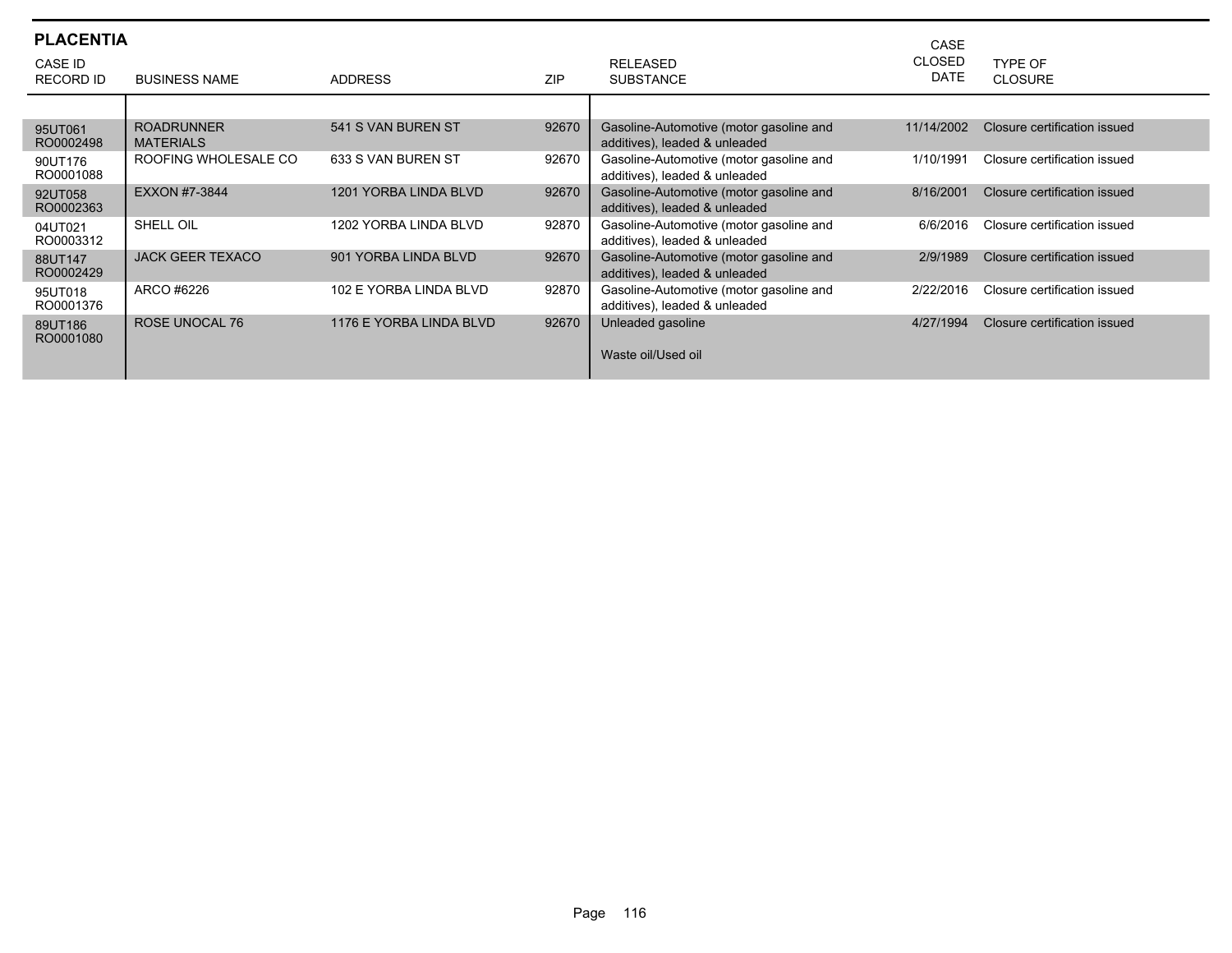| <b>PLACENTIA</b><br>CASE ID |                                       |                         |            | <b>RELEASED</b>                                                          | CASE<br><b>CLOSED</b> | TYPF OF                      |
|-----------------------------|---------------------------------------|-------------------------|------------|--------------------------------------------------------------------------|-----------------------|------------------------------|
| <b>RECORD ID</b>            | <b>BUSINESS NAME</b>                  | <b>ADDRESS</b>          | <b>ZIP</b> | <b>SUBSTANCE</b>                                                         | <b>DATE</b>           | <b>CLOSURE</b>               |
|                             |                                       |                         |            |                                                                          |                       |                              |
| 95UT061<br>RO0002498        | <b>ROADRUNNER</b><br><b>MATERIALS</b> | 541 S VAN BUREN ST      | 92670      | Gasoline-Automotive (motor gasoline and<br>additives), leaded & unleaded | 11/14/2002            | Closure certification issued |
| 90UT176<br>RO0001088        | ROOFING WHOLESALE CO                  | 633 S VAN BUREN ST      | 92670      | Gasoline-Automotive (motor gasoline and<br>additives), leaded & unleaded | 1/10/1991             | Closure certification issued |
| 92UT058<br>RO0002363        | EXXON #7-3844                         | 1201 YORBA LINDA BLVD   | 92670      | Gasoline-Automotive (motor gasoline and<br>additives), leaded & unleaded | 8/16/2001             | Closure certification issued |
| 04UT021<br>RO0003312        | SHELL OIL                             | 1202 YORBA LINDA BLVD   | 92870      | Gasoline-Automotive (motor gasoline and<br>additives), leaded & unleaded | 6/6/2016              | Closure certification issued |
| 88UT147<br>RO0002429        | <b>JACK GEER TEXACO</b>               | 901 YORBA LINDA BLVD    | 92670      | Gasoline-Automotive (motor gasoline and<br>additives), leaded & unleaded | 2/9/1989              | Closure certification issued |
| 95UT018<br>RO0001376        | ARCO #6226                            | 102 E YORBA LINDA BLVD  | 92870      | Gasoline-Automotive (motor gasoline and<br>additives), leaded & unleaded | 2/22/2016             | Closure certification issued |
| 89UT186<br>RO0001080        | <b>ROSE UNOCAL 76</b>                 | 1176 E YORBA LINDA BLVD | 92670      | Unleaded gasoline<br>Waste oil/Used oil                                  | 4/27/1994             | Closure certification issued |
|                             |                                       |                         |            |                                                                          |                       |                              |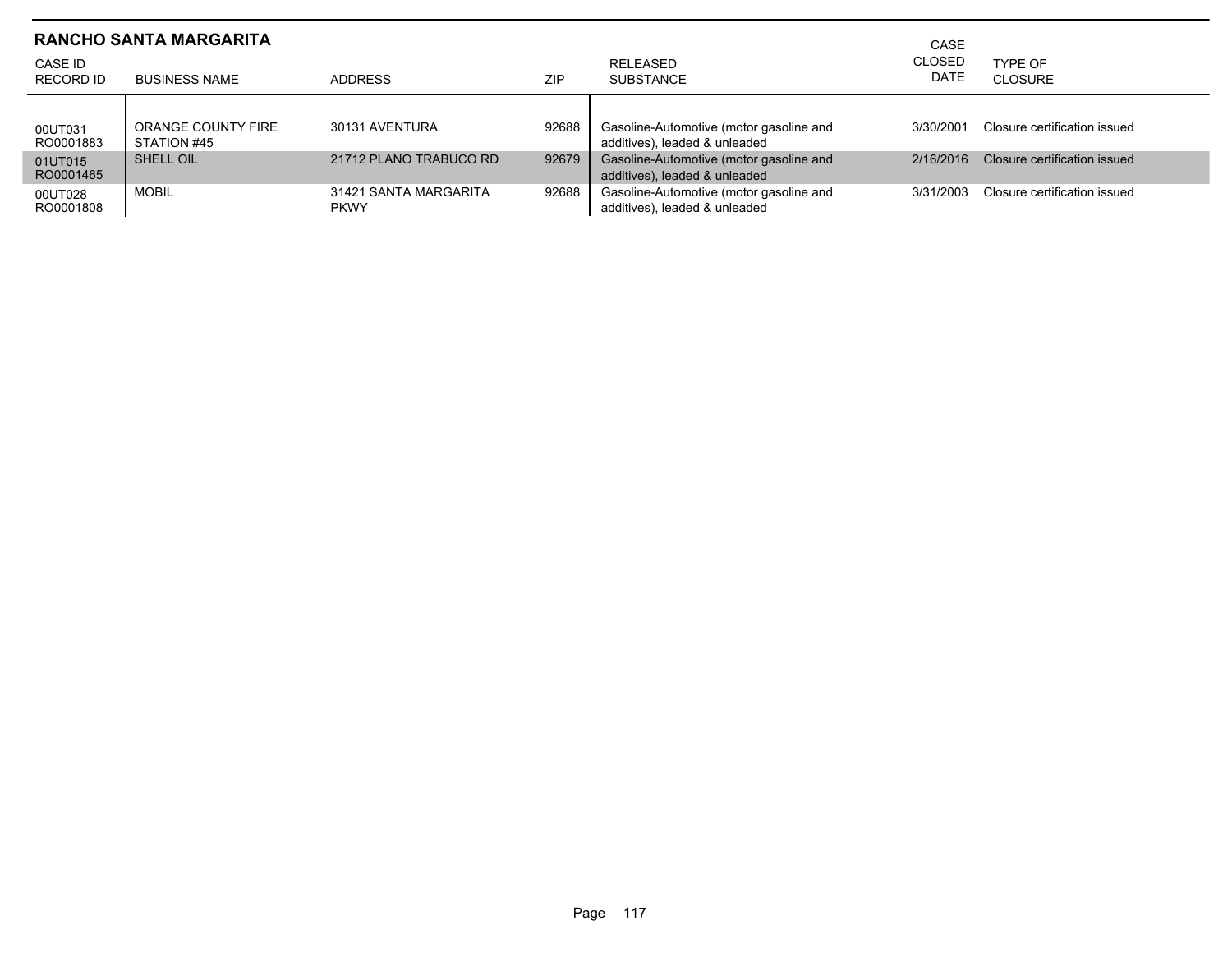|                      | <b>RANCHO SANTA MARGARITA</b>     |                                      | CASE       |                                                                          |                       |                              |
|----------------------|-----------------------------------|--------------------------------------|------------|--------------------------------------------------------------------------|-----------------------|------------------------------|
| CASE ID<br>RECORD ID | <b>BUSINESS NAME</b>              | <b>ADDRESS</b>                       | <b>ZIP</b> | <b>RELEASED</b><br><b>SUBSTANCE</b>                                      | <b>CLOSED</b><br>DATE | TYPE OF<br>CLOSURE           |
| 00UT031<br>RO0001883 | ORANGE COUNTY FIRE<br>STATION #45 | 30131 AVENTURA                       | 92688      | Gasoline-Automotive (motor gasoline and<br>additives), leaded & unleaded | 3/30/2001             | Closure certification issued |
| 01UT015<br>RO0001465 | SHELL OIL                         | 21712 PLANO TRABUCO RD               | 92679      | Gasoline-Automotive (motor gasoline and<br>additives), leaded & unleaded | 2/16/2016             | Closure certification issued |
| 00UT028<br>RO0001808 | <b>MOBIL</b>                      | 31421 SANTA MARGARITA<br><b>PKWY</b> | 92688      | Gasoline-Automotive (motor gasoline and<br>additives), leaded & unleaded | 3/31/2003             | Closure certification issued |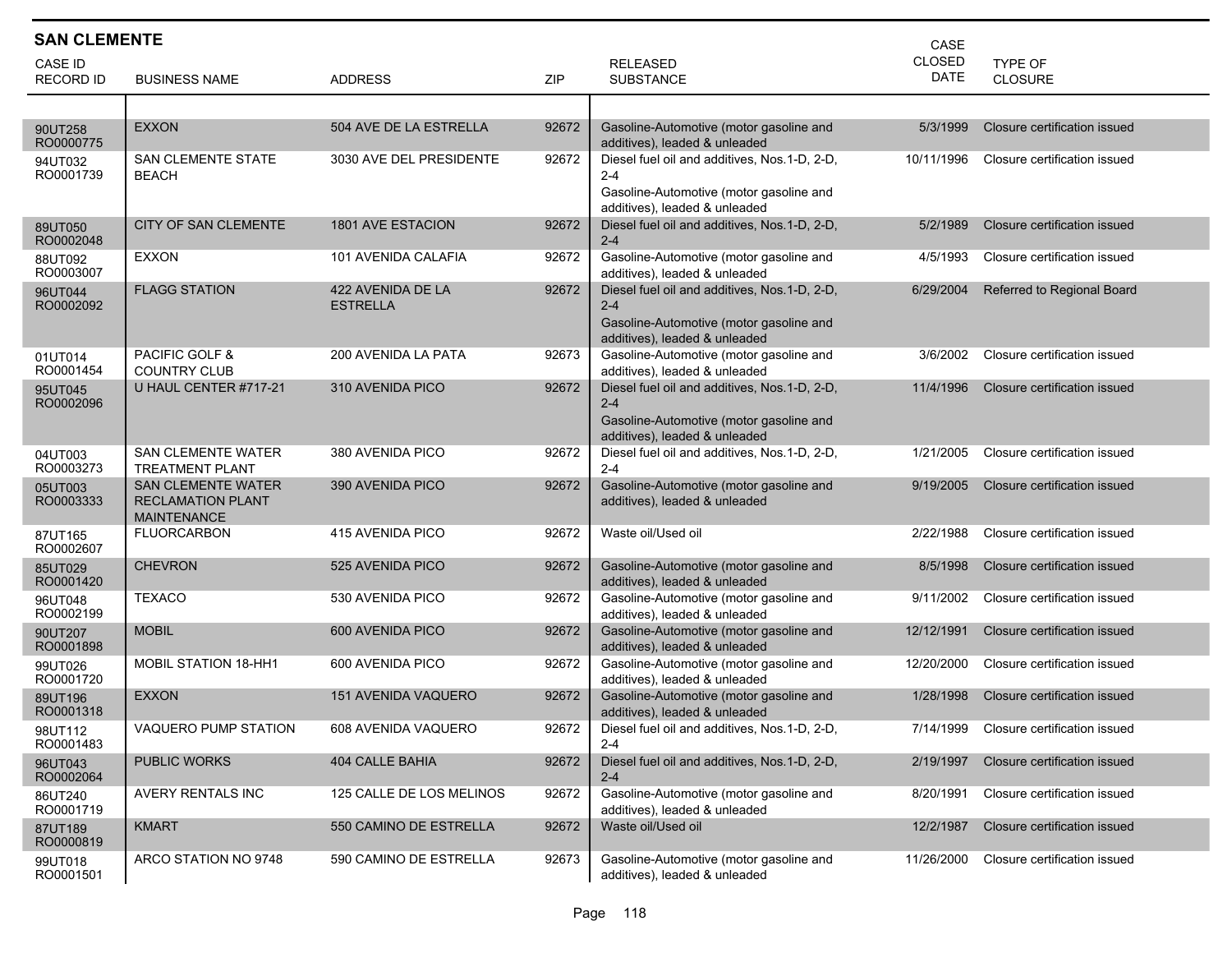| <b>SAN CLEMENTE</b><br>CASE       |                                                                             |                                      |       |                                                                                                                                     |               |                                        |  |  |
|-----------------------------------|-----------------------------------------------------------------------------|--------------------------------------|-------|-------------------------------------------------------------------------------------------------------------------------------------|---------------|----------------------------------------|--|--|
| <b>CASE ID</b>                    |                                                                             |                                      |       | <b>RELEASED</b>                                                                                                                     | <b>CLOSED</b> | TYPE OF                                |  |  |
| <b>RECORD ID</b>                  | <b>BUSINESS NAME</b>                                                        | <b>ADDRESS</b>                       | ZIP   | <b>SUBSTANCE</b>                                                                                                                    | <b>DATE</b>   | CLOSURE                                |  |  |
|                                   |                                                                             |                                      |       |                                                                                                                                     |               |                                        |  |  |
| 90UT258<br>RO0000775              | <b>EXXON</b>                                                                | 504 AVE DE LA ESTRELLA               | 92672 | Gasoline-Automotive (motor gasoline and<br>additives), leaded & unleaded                                                            | 5/3/1999      | Closure certification issued           |  |  |
| 94UT032<br>RO0001739              | <b>SAN CLEMENTE STATE</b><br><b>BEACH</b>                                   | 3030 AVE DEL PRESIDENTE              | 92672 | Diesel fuel oil and additives, Nos.1-D, 2-D,<br>$2 - 4$<br>Gasoline-Automotive (motor gasoline and                                  | 10/11/1996    | Closure certification issued           |  |  |
| 89UT050                           | CITY OF SAN CLEMENTE                                                        | <b>1801 AVE ESTACION</b>             | 92672 | additives), leaded & unleaded<br>Diesel fuel oil and additives, Nos.1-D, 2-D,<br>$2 - 4$                                            | 5/2/1989      | Closure certification issued           |  |  |
| RO0002048<br>88UT092<br>RO0003007 | <b>EXXON</b>                                                                | 101 AVENIDA CALAFIA                  | 92672 | Gasoline-Automotive (motor gasoline and<br>additives), leaded & unleaded                                                            | 4/5/1993      | Closure certification issued           |  |  |
| 96UT044<br>RO0002092              | <b>FLAGG STATION</b>                                                        | 422 AVENIDA DE LA<br><b>ESTRELLA</b> | 92672 | Diesel fuel oil and additives, Nos.1-D, 2-D,<br>$2 - 4$<br>Gasoline-Automotive (motor gasoline and<br>additives), leaded & unleaded | 6/29/2004     | Referred to Regional Board             |  |  |
| 01UT014<br>RO0001454              | PACIFIC GOLF &<br><b>COUNTRY CLUB</b>                                       | 200 AVENIDA LA PATA                  | 92673 | Gasoline-Automotive (motor gasoline and<br>additives). leaded & unleaded                                                            | 3/6/2002      | Closure certification issued           |  |  |
| 95UT045<br>RO0002096              | U HAUL CENTER #717-21                                                       | 310 AVENIDA PICO                     | 92672 | Diesel fuel oil and additives, Nos.1-D, 2-D,<br>$2 - 4$<br>Gasoline-Automotive (motor gasoline and<br>additives), leaded & unleaded | 11/4/1996     | Closure certification issued           |  |  |
| 04UT003<br>RO0003273              | <b>SAN CLEMENTE WATER</b><br><b>TREATMENT PLANT</b>                         | 380 AVENIDA PICO                     | 92672 | Diesel fuel oil and additives, Nos.1-D, 2-D,<br>$2 - 4$                                                                             | 1/21/2005     | Closure certification issued           |  |  |
| 05UT003<br>RO0003333              | <b>SAN CLEMENTE WATER</b><br><b>RECLAMATION PLANT</b><br><b>MAINTENANCE</b> | 390 AVENIDA PICO                     | 92672 | Gasoline-Automotive (motor gasoline and<br>additives), leaded & unleaded                                                            | 9/19/2005     | Closure certification issued           |  |  |
| 87UT165<br>RO0002607              | <b>FLUORCARBON</b>                                                          | 415 AVENIDA PICO                     | 92672 | Waste oil/Used oil                                                                                                                  | 2/22/1988     | Closure certification issued           |  |  |
| 85UT029<br>RO0001420              | <b>CHEVRON</b>                                                              | 525 AVENIDA PICO                     | 92672 | Gasoline-Automotive (motor gasoline and<br>additives), leaded & unleaded                                                            | 8/5/1998      | Closure certification issued           |  |  |
| 96UT048<br>RO0002199              | <b>TEXACO</b>                                                               | 530 AVENIDA PICO                     | 92672 | Gasoline-Automotive (motor gasoline and<br>additives), leaded & unleaded                                                            | 9/11/2002     | Closure certification issued           |  |  |
| 90UT207<br>RO0001898              | <b>MOBIL</b>                                                                | 600 AVENIDA PICO                     | 92672 | Gasoline-Automotive (motor gasoline and<br>additives), leaded & unleaded                                                            | 12/12/1991    | Closure certification issued           |  |  |
| 99UT026<br>RO0001720              | <b>MOBIL STATION 18-HH1</b>                                                 | 600 AVENIDA PICO                     | 92672 | Gasoline-Automotive (motor gasoline and<br>additives), leaded & unleaded                                                            | 12/20/2000    | Closure certification issued           |  |  |
| 89UT196<br>RO0001318              | <b>EXXON</b>                                                                | <b>151 AVENIDA VAQUERO</b>           | 92672 | Gasoline-Automotive (motor gasoline and<br>additives), leaded & unleaded                                                            | 1/28/1998     | Closure certification issued           |  |  |
| 98UT112<br>RO0001483              | VAQUERO PUMP STATION                                                        | 608 AVENIDA VAQUERO                  | 92672 | Diesel fuel oil and additives, Nos.1-D, 2-D,<br>$2 - 4$                                                                             |               | 7/14/1999 Closure certification issued |  |  |
| 96UT043<br>RO0002064              | <b>PUBLIC WORKS</b>                                                         | 404 CALLE BAHIA                      | 92672 | Diesel fuel oil and additives, Nos. 1-D, 2-D,<br>$2 - 4$                                                                            | 2/19/1997     | Closure certification issued           |  |  |
| 86UT240<br>RO0001719              | AVERY RENTALS INC                                                           | 125 CALLE DE LOS MELINOS             | 92672 | Gasoline-Automotive (motor gasoline and<br>additives), leaded & unleaded                                                            | 8/20/1991     | Closure certification issued           |  |  |
| 87UT189<br>RO0000819              | <b>KMART</b>                                                                | 550 CAMINO DE ESTRELLA               | 92672 | Waste oil/Used oil                                                                                                                  | 12/2/1987     | Closure certification issued           |  |  |
| 99UT018<br>RO0001501              | ARCO STATION NO 9748                                                        | 590 CAMINO DE ESTRELLA               | 92673 | Gasoline-Automotive (motor gasoline and<br>additives), leaded & unleaded                                                            | 11/26/2000    | Closure certification issued           |  |  |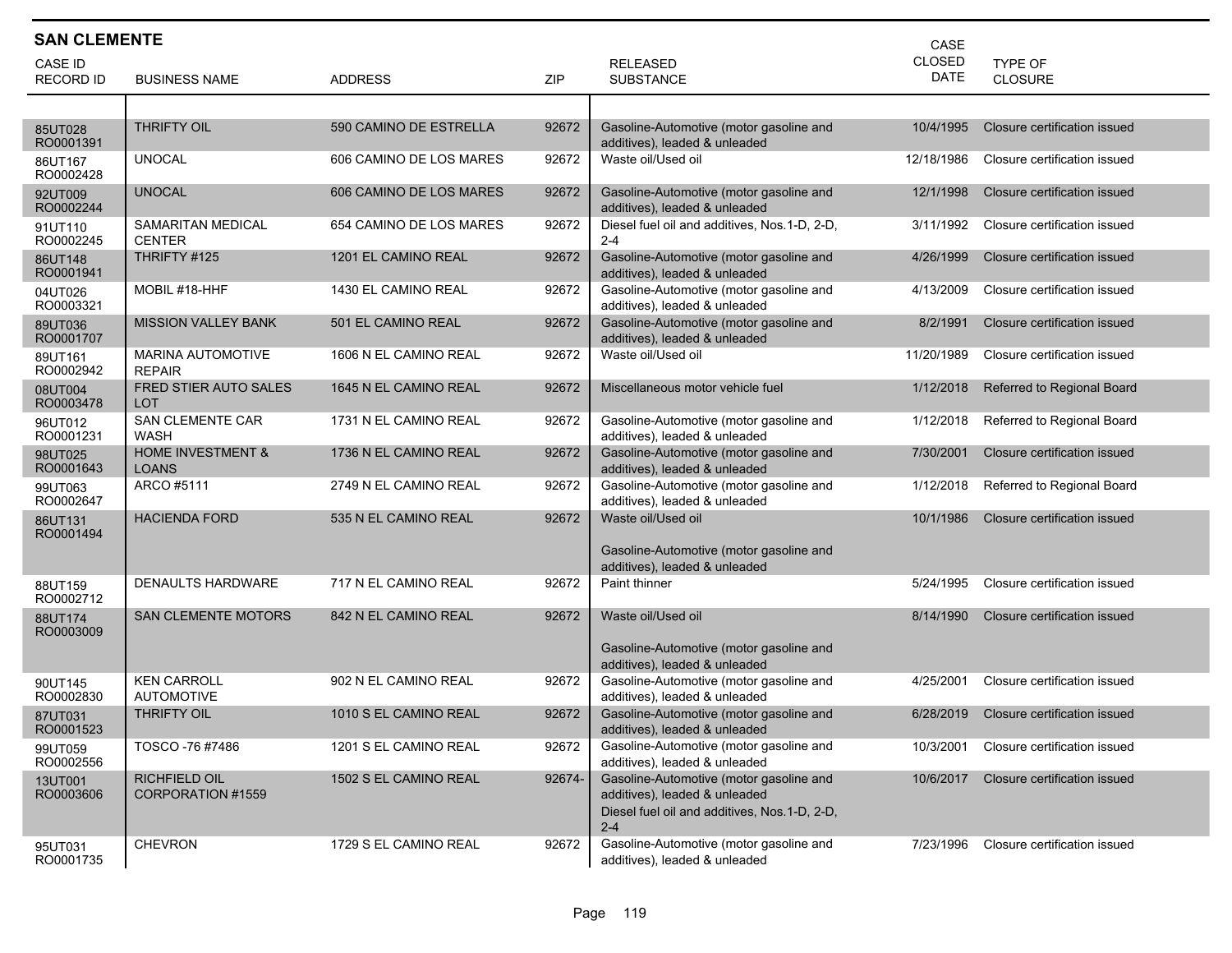| <b>SAN CLEMENTE</b><br>CASE |                                              |                         |        |                                                                          |               |                              |  |  |
|-----------------------------|----------------------------------------------|-------------------------|--------|--------------------------------------------------------------------------|---------------|------------------------------|--|--|
| CASE ID                     |                                              |                         |        | <b>RELEASED</b>                                                          | <b>CLOSED</b> | <b>TYPE OF</b>               |  |  |
| <b>RECORD ID</b>            | <b>BUSINESS NAME</b>                         | <b>ADDRESS</b>          | ZIP    | <b>SUBSTANCE</b>                                                         | DATE          | <b>CLOSURE</b>               |  |  |
|                             |                                              |                         |        |                                                                          |               |                              |  |  |
| 85UT028<br>RO0001391        | <b>THRIFTY OIL</b>                           | 590 CAMINO DE ESTRELLA  | 92672  | Gasoline-Automotive (motor gasoline and<br>additives), leaded & unleaded | 10/4/1995     | Closure certification issued |  |  |
| 86UT167<br>RO0002428        | <b>UNOCAL</b>                                | 606 CAMINO DE LOS MARES | 92672  | Waste oil/Used oil                                                       | 12/18/1986    | Closure certification issued |  |  |
| 92UT009<br>RO0002244        | <b>UNOCAL</b>                                | 606 CAMINO DE LOS MARES | 92672  | Gasoline-Automotive (motor gasoline and<br>additives), leaded & unleaded | 12/1/1998     | Closure certification issued |  |  |
| 91UT110<br>RO0002245        | <b>SAMARITAN MEDICAL</b><br><b>CENTER</b>    | 654 CAMINO DE LOS MARES | 92672  | Diesel fuel oil and additives, Nos.1-D, 2-D,<br>$2 - 4$                  | 3/11/1992     | Closure certification issued |  |  |
| 86UT148<br>RO0001941        | THRIFTY #125                                 | 1201 EL CAMINO REAL     | 92672  | Gasoline-Automotive (motor gasoline and<br>additives), leaded & unleaded | 4/26/1999     | Closure certification issued |  |  |
| 04UT026<br>RO0003321        | MOBIL #18-HHF                                | 1430 EL CAMINO REAL     | 92672  | Gasoline-Automotive (motor gasoline and<br>additives), leaded & unleaded | 4/13/2009     | Closure certification issued |  |  |
| 89UT036<br>RO0001707        | <b>MISSION VALLEY BANK</b>                   | 501 EL CAMINO REAL      | 92672  | Gasoline-Automotive (motor gasoline and<br>additives), leaded & unleaded | 8/2/1991      | Closure certification issued |  |  |
| 89UT161<br>RO0002942        | MARINA AUTOMOTIVE<br><b>REPAIR</b>           | 1606 N EL CAMINO REAL   | 92672  | Waste oil/Used oil                                                       | 11/20/1989    | Closure certification issued |  |  |
| 08UT004<br>RO0003478        | FRED STIER AUTO SALES<br>LOT                 | 1645 N EL CAMINO REAL   | 92672  | Miscellaneous motor vehicle fuel                                         | 1/12/2018     | Referred to Regional Board   |  |  |
| 96UT012<br>RO0001231        | <b>SAN CLEMENTE CAR</b><br>WASH              | 1731 N EL CAMINO REAL   | 92672  | Gasoline-Automotive (motor gasoline and<br>additives), leaded & unleaded | 1/12/2018     | Referred to Regional Board   |  |  |
| 98UT025<br>RO0001643        | <b>HOME INVESTMENT &amp;</b><br><b>LOANS</b> | 1736 N EL CAMINO REAL   | 92672  | Gasoline-Automotive (motor gasoline and<br>additives), leaded & unleaded | 7/30/2001     | Closure certification issued |  |  |
| 99UT063<br>RO0002647        | ARCO #5111                                   | 2749 N EL CAMINO REAL   | 92672  | Gasoline-Automotive (motor gasoline and<br>additives), leaded & unleaded | 1/12/2018     | Referred to Regional Board   |  |  |
| 86UT131<br>RO0001494        | <b>HACIENDA FORD</b>                         | 535 N EL CAMINO REAL    | 92672  | Waste oil/Used oil                                                       | 10/1/1986     | Closure certification issued |  |  |
|                             |                                              |                         |        | Gasoline-Automotive (motor gasoline and<br>additives), leaded & unleaded |               |                              |  |  |
| 88UT159<br>RO0002712        | <b>DENAULTS HARDWARE</b>                     | 717 N EL CAMINO REAL    | 92672  | Paint thinner                                                            | 5/24/1995     | Closure certification issued |  |  |
| 88UT174<br>RO0003009        | <b>SAN CLEMENTE MOTORS</b>                   | 842 N EL CAMINO REAL    | 92672  | Waste oil/Used oil                                                       | 8/14/1990     | Closure certification issued |  |  |
|                             |                                              |                         |        | Gasoline-Automotive (motor gasoline and<br>additives), leaded & unleaded |               |                              |  |  |
| 90UT145<br>RO0002830        | <b>KEN CARROLL</b><br><b>AUTOMOTIVE</b>      | 902 N EL CAMINO REAL    | 92672  | Gasoline-Automotive (motor gasoline and<br>additives), leaded & unleaded | 4/25/2001     | Closure certification issued |  |  |
| 87UT031<br>RO0001523        | <b>THRIFTY OIL</b>                           | 1010 S EL CAMINO REAL   | 92672  | Gasoline-Automotive (motor gasoline and<br>additives), leaded & unleaded | 6/28/2019     | Closure certification issued |  |  |
| 99UT059<br>RO0002556        | TOSCO -76 #7486                              | 1201 S EL CAMINO REAL   | 92672  | Gasoline-Automotive (motor gasoline and<br>additives), leaded & unleaded | 10/3/2001     | Closure certification issued |  |  |
| 13UT001<br>RO0003606        | RICHFIELD OIL<br>CORPORATION #1559           | 1502 S EL CAMINO REAL   | 92674- | Gasoline-Automotive (motor gasoline and<br>additives), leaded & unleaded | 10/6/2017     | Closure certification issued |  |  |
|                             |                                              |                         |        | Diesel fuel oil and additives, Nos.1-D, 2-D,<br>$2 - 4$                  |               |                              |  |  |
| 95UT031<br>RO0001735        | <b>CHEVRON</b>                               | 1729 S EL CAMINO REAL   | 92672  | Gasoline-Automotive (motor gasoline and<br>additives), leaded & unleaded | 7/23/1996     | Closure certification issued |  |  |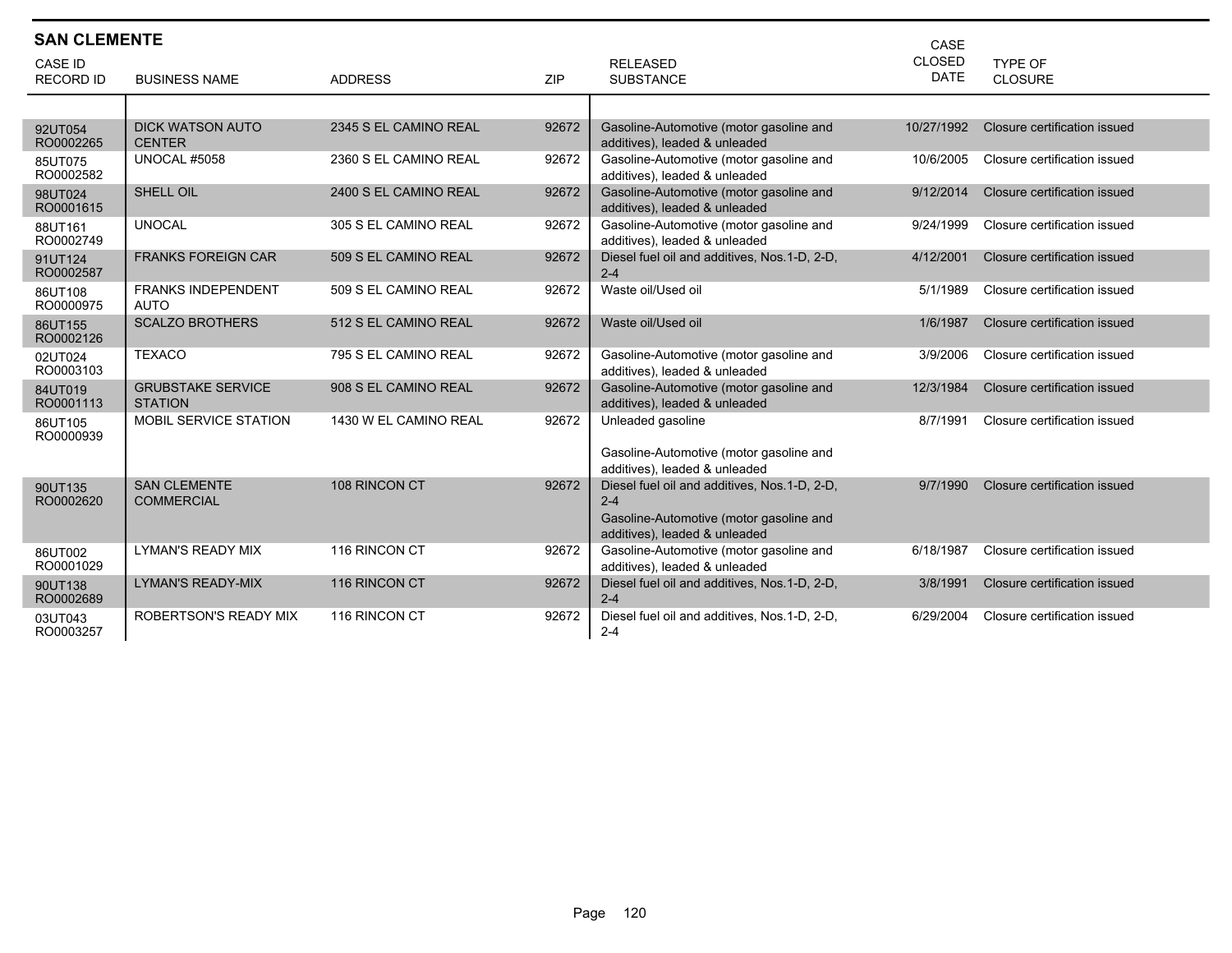| <b>SAN CLEMENTE</b>                |                                            |                       |       |                                                                          | CASE                         |                              |
|------------------------------------|--------------------------------------------|-----------------------|-------|--------------------------------------------------------------------------|------------------------------|------------------------------|
| <b>CASE ID</b><br><b>RECORD ID</b> | <b>BUSINESS NAME</b>                       | <b>ADDRESS</b>        | ZIP   | <b>RELEASED</b><br><b>SUBSTANCE</b>                                      | <b>CLOSED</b><br><b>DATE</b> | TYPE OF<br><b>CLOSURE</b>    |
|                                    |                                            |                       |       |                                                                          |                              |                              |
| 92UT054<br>RO0002265               | <b>DICK WATSON AUTO</b><br><b>CENTER</b>   | 2345 S EL CAMINO REAL | 92672 | Gasoline-Automotive (motor gasoline and<br>additives), leaded & unleaded | 10/27/1992                   | Closure certification issued |
| 85UT075<br>RO0002582               | <b>UNOCAL #5058</b>                        | 2360 S EL CAMINO REAL | 92672 | Gasoline-Automotive (motor gasoline and<br>additives), leaded & unleaded | 10/6/2005                    | Closure certification issued |
| 98UT024<br>RO0001615               | <b>SHELL OIL</b>                           | 2400 S EL CAMINO REAL | 92672 | Gasoline-Automotive (motor gasoline and<br>additives), leaded & unleaded | 9/12/2014                    | Closure certification issued |
| 88UT161<br>RO0002749               | <b>UNOCAL</b>                              | 305 S EL CAMINO REAL  | 92672 | Gasoline-Automotive (motor gasoline and<br>additives), leaded & unleaded | 9/24/1999                    | Closure certification issued |
| 91UT124<br>RO0002587               | <b>FRANKS FOREIGN CAR</b>                  | 509 S EL CAMINO REAL  | 92672 | Diesel fuel oil and additives, Nos.1-D, 2-D,<br>$2 - 4$                  | 4/12/2001                    | Closure certification issued |
| 86UT108<br>RO0000975               | <b>FRANKS INDEPENDENT</b><br><b>AUTO</b>   | 509 S EL CAMINO REAL  | 92672 | Waste oil/Used oil                                                       | 5/1/1989                     | Closure certification issued |
| 86UT155<br>RO0002126               | <b>SCALZO BROTHERS</b>                     | 512 S EL CAMINO REAL  | 92672 | Waste oil/Used oil                                                       | 1/6/1987                     | Closure certification issued |
| 02UT024<br>RO0003103               | <b>TEXACO</b>                              | 795 S EL CAMINO REAL  | 92672 | Gasoline-Automotive (motor gasoline and<br>additives), leaded & unleaded | 3/9/2006                     | Closure certification issued |
| 84UT019<br>RO0001113               | <b>GRUBSTAKE SERVICE</b><br><b>STATION</b> | 908 S EL CAMINO REAL  | 92672 | Gasoline-Automotive (motor gasoline and<br>additives), leaded & unleaded | 12/3/1984                    | Closure certification issued |
| 86UT105<br>RO0000939               | MOBIL SERVICE STATION                      | 1430 W EL CAMINO REAL | 92672 | Unleaded gasoline                                                        | 8/7/1991                     | Closure certification issued |
|                                    |                                            |                       |       | Gasoline-Automotive (motor gasoline and<br>additives), leaded & unleaded |                              |                              |
| 90UT135<br>RO0002620               | <b>SAN CLEMENTE</b><br><b>COMMERCIAL</b>   | 108 RINCON CT         | 92672 | Diesel fuel oil and additives, Nos.1-D, 2-D,<br>$2 - 4$                  | 9/7/1990                     | Closure certification issued |
|                                    |                                            |                       |       | Gasoline-Automotive (motor gasoline and<br>additives), leaded & unleaded |                              |                              |
| 86UT002<br>RO0001029               | <b>LYMAN'S READY MIX</b>                   | 116 RINCON CT         | 92672 | Gasoline-Automotive (motor gasoline and<br>additives), leaded & unleaded | 6/18/1987                    | Closure certification issued |
| 90UT138<br>RO0002689               | <b>LYMAN'S READY-MIX</b>                   | 116 RINCON CT         | 92672 | Diesel fuel oil and additives, Nos.1-D, 2-D,<br>$2 - 4$                  | 3/8/1991                     | Closure certification issued |
| 03UT043<br>RO0003257               | <b>ROBERTSON'S READY MIX</b>               | 116 RINCON CT         | 92672 | Diesel fuel oil and additives, Nos. 1-D, 2-D,<br>$2 - 4$                 | 6/29/2004                    | Closure certification issued |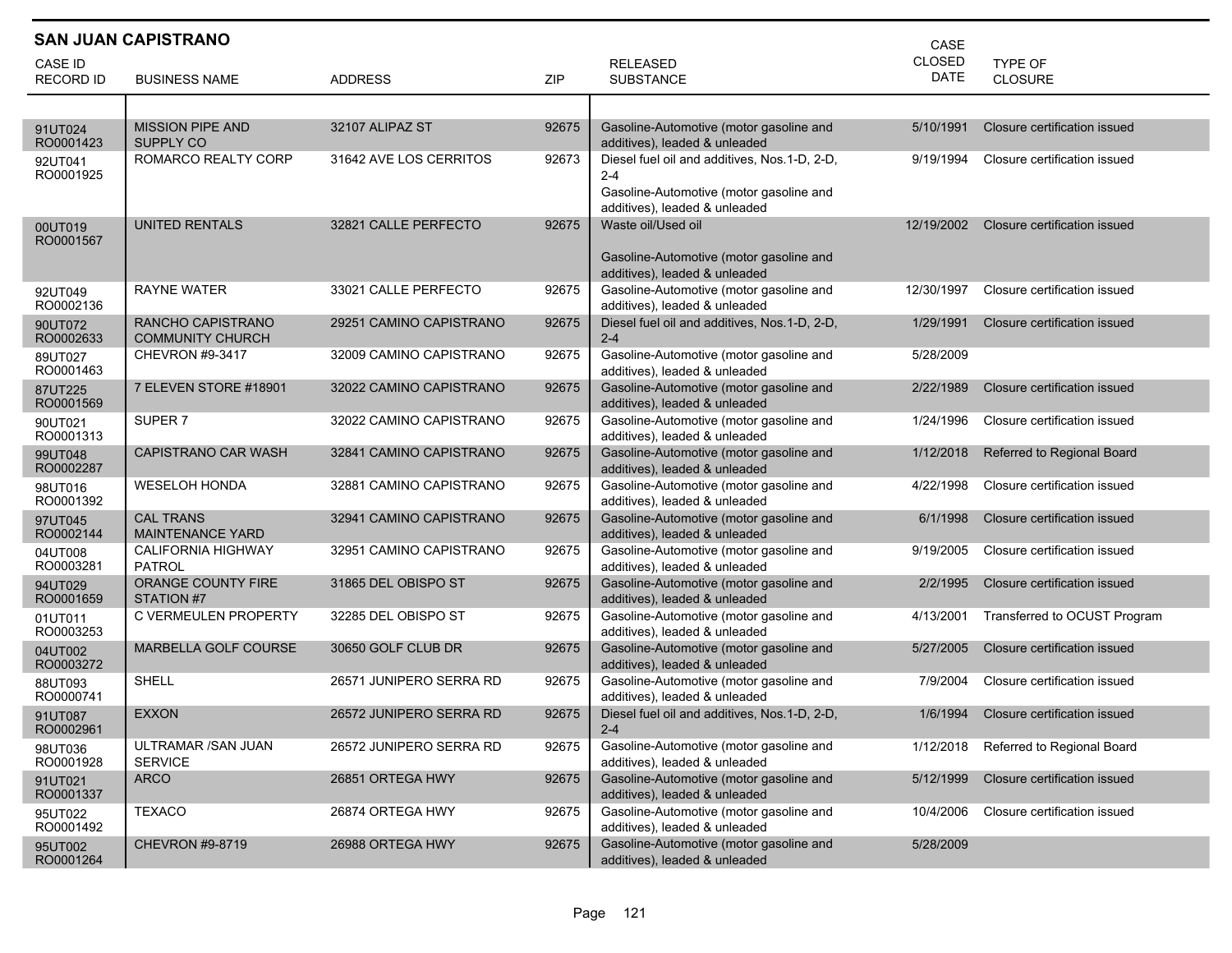|                      | <b>SAN JUAN CAPISTRANO</b><br>CASE           |                         |       |                                                                                                                                     |               |                              |  |  |  |  |
|----------------------|----------------------------------------------|-------------------------|-------|-------------------------------------------------------------------------------------------------------------------------------------|---------------|------------------------------|--|--|--|--|
| CASE ID              |                                              |                         |       | <b>RELEASED</b>                                                                                                                     | <b>CLOSED</b> | <b>TYPE OF</b>               |  |  |  |  |
| <b>RECORD ID</b>     | <b>BUSINESS NAME</b>                         | <b>ADDRESS</b>          | ZIP   | <b>SUBSTANCE</b>                                                                                                                    | DATE          | <b>CLOSURE</b>               |  |  |  |  |
|                      |                                              |                         |       |                                                                                                                                     |               |                              |  |  |  |  |
| 91UT024<br>RO0001423 | <b>MISSION PIPE AND</b><br><b>SUPPLY CO</b>  | 32107 ALIPAZ ST         | 92675 | Gasoline-Automotive (motor gasoline and<br>additives), leaded & unleaded                                                            | 5/10/1991     | Closure certification issued |  |  |  |  |
| 92UT041<br>RO0001925 | ROMARCO REALTY CORP                          | 31642 AVE LOS CERRITOS  | 92673 | Diesel fuel oil and additives, Nos.1-D, 2-D,<br>$2 - 4$<br>Gasoline-Automotive (motor gasoline and<br>additives), leaded & unleaded | 9/19/1994     | Closure certification issued |  |  |  |  |
| 00UT019<br>RO0001567 | <b>UNITED RENTALS</b>                        | 32821 CALLE PERFECTO    | 92675 | Waste oil/Used oil<br>Gasoline-Automotive (motor gasoline and<br>additives), leaded & unleaded                                      | 12/19/2002    | Closure certification issued |  |  |  |  |
| 92UT049<br>RO0002136 | <b>RAYNE WATER</b>                           | 33021 CALLE PERFECTO    | 92675 | Gasoline-Automotive (motor gasoline and<br>additives), leaded & unleaded                                                            | 12/30/1997    | Closure certification issued |  |  |  |  |
| 90UT072<br>RO0002633 | RANCHO CAPISTRANO<br><b>COMMUNITY CHURCH</b> | 29251 CAMINO CAPISTRANO | 92675 | Diesel fuel oil and additives, Nos.1-D, 2-D,<br>$2 - 4$                                                                             | 1/29/1991     | Closure certification issued |  |  |  |  |
| 89UT027<br>RO0001463 | CHEVRON #9-3417                              | 32009 CAMINO CAPISTRANO | 92675 | Gasoline-Automotive (motor gasoline and<br>additives), leaded & unleaded                                                            | 5/28/2009     |                              |  |  |  |  |
| 87UT225<br>RO0001569 | 7 ELEVEN STORE #18901                        | 32022 CAMINO CAPISTRANO | 92675 | Gasoline-Automotive (motor gasoline and<br>additives), leaded & unleaded                                                            | 2/22/1989     | Closure certification issued |  |  |  |  |
| 90UT021<br>RO0001313 | SUPER <sub>7</sub>                           | 32022 CAMINO CAPISTRANO | 92675 | Gasoline-Automotive (motor gasoline and<br>additives), leaded & unleaded                                                            | 1/24/1996     | Closure certification issued |  |  |  |  |
| 99UT048<br>RO0002287 | <b>CAPISTRANO CAR WASH</b>                   | 32841 CAMINO CAPISTRANO | 92675 | Gasoline-Automotive (motor gasoline and<br>additives), leaded & unleaded                                                            | 1/12/2018     | Referred to Regional Board   |  |  |  |  |
| 98UT016<br>RO0001392 | <b>WESELOH HONDA</b>                         | 32881 CAMINO CAPISTRANO | 92675 | Gasoline-Automotive (motor gasoline and<br>additives), leaded & unleaded                                                            | 4/22/1998     | Closure certification issued |  |  |  |  |
| 97UT045<br>RO0002144 | <b>CAL TRANS</b><br><b>MAINTENANCE YARD</b>  | 32941 CAMINO CAPISTRANO | 92675 | Gasoline-Automotive (motor gasoline and<br>additives), leaded & unleaded                                                            | 6/1/1998      | Closure certification issued |  |  |  |  |
| 04UT008<br>RO0003281 | <b>CALIFORNIA HIGHWAY</b><br>PATROL          | 32951 CAMINO CAPISTRANO | 92675 | Gasoline-Automotive (motor gasoline and<br>additives), leaded & unleaded                                                            | 9/19/2005     | Closure certification issued |  |  |  |  |
| 94UT029<br>RO0001659 | ORANGE COUNTY FIRE<br>STATION #7             | 31865 DEL OBISPO ST     | 92675 | Gasoline-Automotive (motor gasoline and<br>additives), leaded & unleaded                                                            | 2/2/1995      | Closure certification issued |  |  |  |  |
| 01UT011<br>RO0003253 | C VERMEULEN PROPERTY                         | 32285 DEL OBISPO ST     | 92675 | Gasoline-Automotive (motor gasoline and<br>additives), leaded & unleaded                                                            | 4/13/2001     | Transferred to OCUST Program |  |  |  |  |
| 04UT002<br>RO0003272 | MARBELLA GOLF COURSE                         | 30650 GOLF CLUB DR      | 92675 | Gasoline-Automotive (motor gasoline and<br>additives), leaded & unleaded                                                            | 5/27/2005     | Closure certification issued |  |  |  |  |
| 88UT093<br>RO0000741 | SHELL                                        | 26571 JUNIPERO SERRA RD | 92675 | Gasoline-Automotive (motor gasoline and<br>additives), leaded & unleaded                                                            | 7/9/2004      | Closure certification issued |  |  |  |  |
| 91UT087<br>RO0002961 | <b>EXXON</b>                                 | 26572 JUNIPERO SERRA RD | 92675 | Diesel fuel oil and additives, Nos.1-D, 2-D,<br>$2 - 4$                                                                             | 1/6/1994      | Closure certification issued |  |  |  |  |
| 98UT036<br>RO0001928 | ULTRAMAR /SAN JUAN<br><b>SERVICE</b>         | 26572 JUNIPERO SERRA RD | 92675 | Gasoline-Automotive (motor gasoline and<br>additives), leaded & unleaded                                                            | 1/12/2018     | Referred to Regional Board   |  |  |  |  |
| 91UT021<br>RO0001337 | <b>ARCO</b>                                  | 26851 ORTEGA HWY        | 92675 | Gasoline-Automotive (motor gasoline and<br>additives), leaded & unleaded                                                            | 5/12/1999     | Closure certification issued |  |  |  |  |
| 95UT022<br>RO0001492 | <b>TEXACO</b>                                | 26874 ORTEGA HWY        | 92675 | Gasoline-Automotive (motor gasoline and<br>additives), leaded & unleaded                                                            | 10/4/2006     | Closure certification issued |  |  |  |  |
| 95UT002<br>RO0001264 | CHEVRON #9-8719                              | 26988 ORTEGA HWY        | 92675 | Gasoline-Automotive (motor gasoline and<br>additives), leaded & unleaded                                                            | 5/28/2009     |                              |  |  |  |  |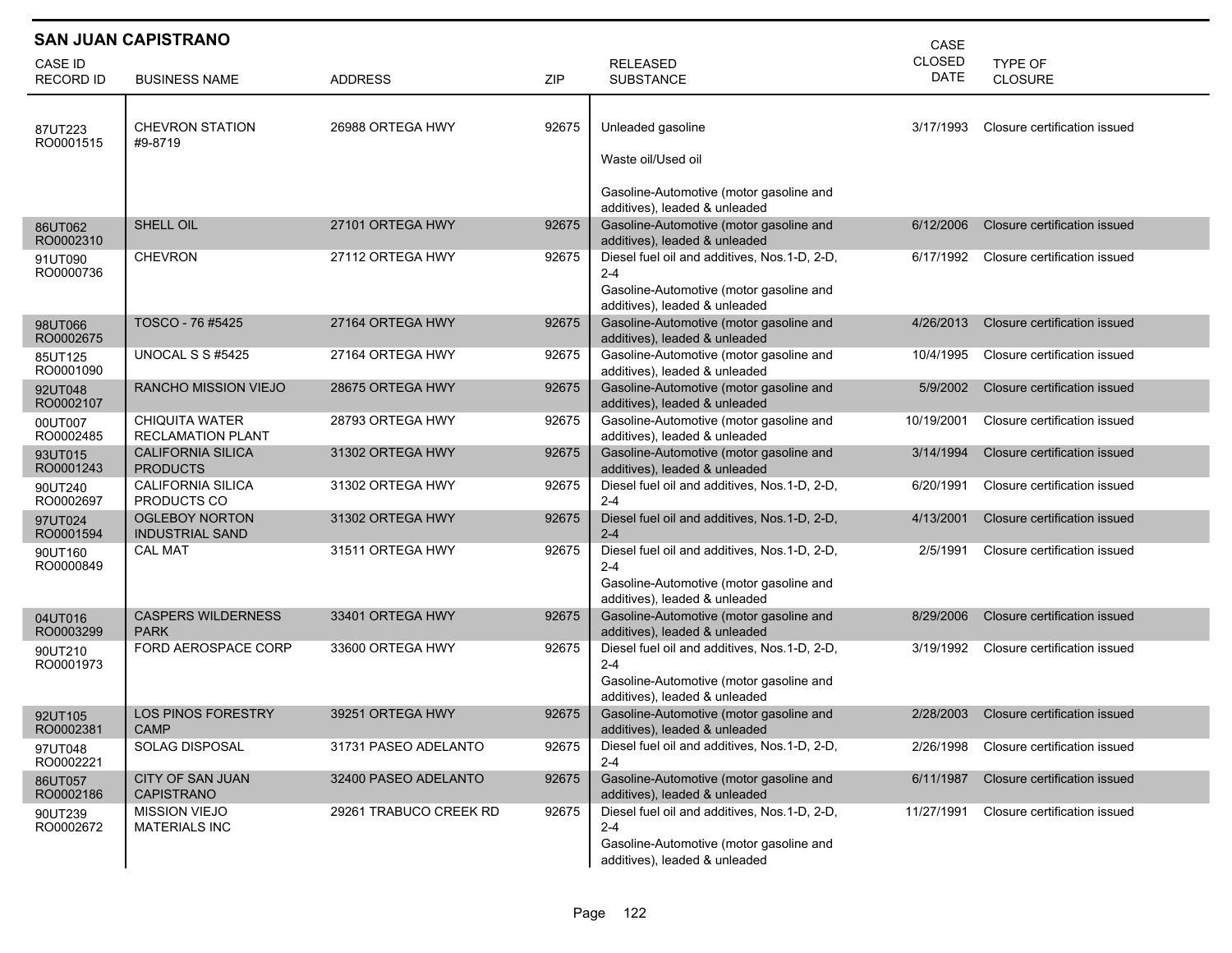|                                    | <b>SAN JUAN CAPISTRANO</b><br>CASE                |                        |       |                                                                                                                                     |                              |                                  |  |  |  |  |
|------------------------------------|---------------------------------------------------|------------------------|-------|-------------------------------------------------------------------------------------------------------------------------------------|------------------------------|----------------------------------|--|--|--|--|
| <b>CASE ID</b><br><b>RECORD ID</b> | <b>BUSINESS NAME</b>                              | <b>ADDRESS</b>         | ZIP   | <b>RELEASED</b><br><b>SUBSTANCE</b>                                                                                                 | <b>CLOSED</b><br><b>DATE</b> | <b>TYPE OF</b><br><b>CLOSURE</b> |  |  |  |  |
| 87UT223<br>RO0001515               | <b>CHEVRON STATION</b><br>#9-8719                 | 26988 ORTEGA HWY       | 92675 | Unleaded gasoline<br>Waste oil/Used oil                                                                                             | 3/17/1993                    | Closure certification issued     |  |  |  |  |
| 86UT062                            | SHELL OIL                                         | 27101 ORTEGA HWY       | 92675 | Gasoline-Automotive (motor gasoline and<br>additives), leaded & unleaded<br>Gasoline-Automotive (motor gasoline and                 | 6/12/2006                    | Closure certification issued     |  |  |  |  |
| RO0002310                          |                                                   |                        |       | additives), leaded & unleaded                                                                                                       |                              |                                  |  |  |  |  |
| 91UT090<br>RO0000736               | <b>CHEVRON</b>                                    | 27112 ORTEGA HWY       | 92675 | Diesel fuel oil and additives, Nos.1-D, 2-D,<br>2-4<br>Gasoline-Automotive (motor gasoline and<br>additives), leaded & unleaded     | 6/17/1992                    | Closure certification issued     |  |  |  |  |
| 98UT066<br>RO0002675               | TOSCO - 76 #5425                                  | 27164 ORTEGA HWY       | 92675 | Gasoline-Automotive (motor gasoline and<br>additives), leaded & unleaded                                                            | 4/26/2013                    | Closure certification issued     |  |  |  |  |
| 85UT125<br>RO0001090               | UNOCAL S S #5425                                  | 27164 ORTEGA HWY       | 92675 | Gasoline-Automotive (motor gasoline and<br>additives), leaded & unleaded                                                            | 10/4/1995                    | Closure certification issued     |  |  |  |  |
| 92UT048<br>RO0002107               | <b>RANCHO MISSION VIEJO</b>                       | 28675 ORTEGA HWY       | 92675 | Gasoline-Automotive (motor gasoline and<br>additives), leaded & unleaded                                                            | 5/9/2002                     | Closure certification issued     |  |  |  |  |
| 00UT007<br>RO0002485               | <b>CHIQUITA WATER</b><br><b>RECLAMATION PLANT</b> | 28793 ORTEGA HWY       | 92675 | Gasoline-Automotive (motor gasoline and<br>additives), leaded & unleaded                                                            | 10/19/2001                   | Closure certification issued     |  |  |  |  |
| 93UT015<br>RO0001243               | <b>CALIFORNIA SILICA</b><br><b>PRODUCTS</b>       | 31302 ORTEGA HWY       | 92675 | Gasoline-Automotive (motor gasoline and<br>additives), leaded & unleaded                                                            | 3/14/1994                    | Closure certification issued     |  |  |  |  |
| 90UT240<br>RO0002697               | <b>CALIFORNIA SILICA</b><br>PRODUCTS CO           | 31302 ORTEGA HWY       | 92675 | Diesel fuel oil and additives, Nos.1-D, 2-D,<br>$2 - 4$                                                                             | 6/20/1991                    | Closure certification issued     |  |  |  |  |
| 97UT024<br>RO0001594               | <b>OGLEBOY NORTON</b><br><b>INDUSTRIAL SAND</b>   | 31302 ORTEGA HWY       | 92675 | Diesel fuel oil and additives, Nos.1-D, 2-D,<br>$2 - 4$                                                                             | 4/13/2001                    | Closure certification issued     |  |  |  |  |
| 90UT160<br>RO0000849               | <b>CAL MAT</b>                                    | 31511 ORTEGA HWY       | 92675 | Diesel fuel oil and additives, Nos.1-D, 2-D,<br>$2 - 4$<br>Gasoline-Automotive (motor gasoline and<br>additives), leaded & unleaded | 2/5/1991                     | Closure certification issued     |  |  |  |  |
| 04UT016<br>RO0003299               | <b>CASPERS WILDERNESS</b><br><b>PARK</b>          | 33401 ORTEGA HWY       | 92675 | Gasoline-Automotive (motor gasoline and<br>additives), leaded & unleaded                                                            | 8/29/2006                    | Closure certification issued     |  |  |  |  |
| 90UT210<br>RO0001973               | FORD AEROSPACE CORP                               | 33600 ORTEGA HWY       | 92675 | Diesel fuel oil and additives, Nos.1-D, 2-D,<br>2-4<br>Gasoline-Automotive (motor gasoline and<br>additives), leaded & unleaded     | 3/19/1992                    | Closure certification issued     |  |  |  |  |
| 92UT105<br>RO0002381               | <b>LOS PINOS FORESTRY</b><br><b>CAMP</b>          | 39251 ORTEGA HWY       | 92675 | Gasoline-Automotive (motor gasoline and<br>additives), leaded & unleaded                                                            | 2/28/2003                    | Closure certification issued     |  |  |  |  |
| 97UT048<br>RO0002221               | SOLAG DISPOSAL                                    | 31731 PASEO ADELANTO   | 92675 | Diesel fuel oil and additives, Nos.1-D, 2-D,<br>$2 - 4$                                                                             | 2/26/1998                    | Closure certification issued     |  |  |  |  |
| 86UT057<br>RO0002186               | <b>CITY OF SAN JUAN</b><br><b>CAPISTRANO</b>      | 32400 PASEO ADELANTO   | 92675 | Gasoline-Automotive (motor gasoline and<br>additives), leaded & unleaded                                                            | 6/11/1987                    | Closure certification issued     |  |  |  |  |
| 90UT239<br>RO0002672               | <b>MISSION VIEJO</b><br><b>MATERIALS INC</b>      | 29261 TRABUCO CREEK RD | 92675 | Diesel fuel oil and additives, Nos.1-D, 2-D,<br>$2 - 4$<br>Gasoline-Automotive (motor gasoline and<br>additives), leaded & unleaded | 11/27/1991                   | Closure certification issued     |  |  |  |  |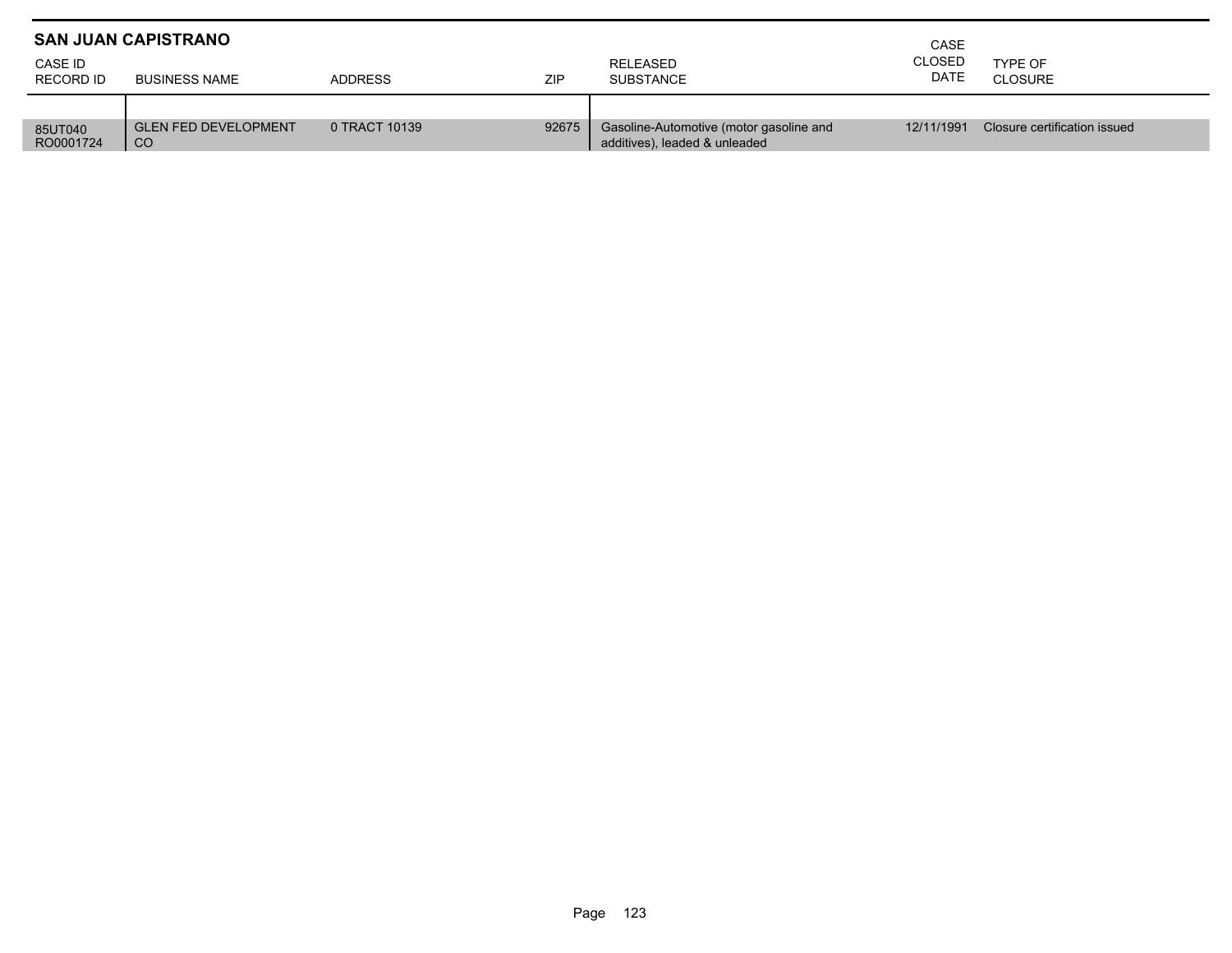|                             | <b>SAN JUAN CAPISTRANO</b>                   | CASE           |       |                                                                          |                              |                              |  |
|-----------------------------|----------------------------------------------|----------------|-------|--------------------------------------------------------------------------|------------------------------|------------------------------|--|
| CASE ID<br><b>RECORD ID</b> | <b>BUSINESS NAME</b>                         | <b>ADDRESS</b> | ZIP   | RELEASED<br><b>SUBSTANCE</b>                                             | <b>CLOSED</b><br><b>DATE</b> | TYPE OF<br>CLOSURE           |  |
|                             |                                              |                |       |                                                                          |                              |                              |  |
| 85UT040<br>RO0001724        | <b>GLEN FED DEVELOPMENT</b><br><sub>CO</sub> | 0 TRACT 10139  | 92675 | Gasoline-Automotive (motor gasoline and<br>additives), leaded & unleaded | 12/11/1991                   | Closure certification issued |  |

П ٠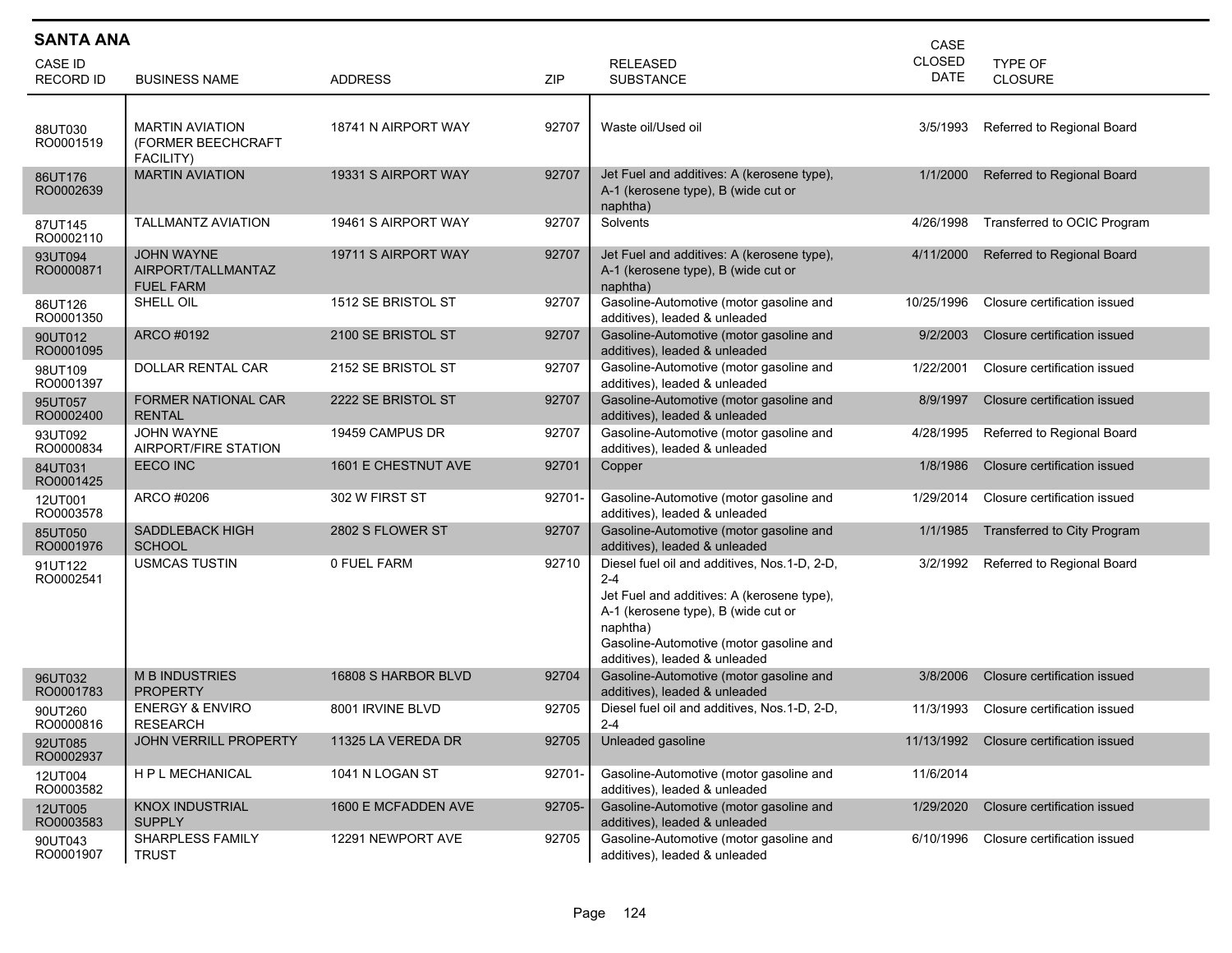| <b>SANTA ANA</b>            | CASE                                                      |                     |        |                                                                                                                                                                                                                                      |                       |                              |  |  |  |  |
|-----------------------------|-----------------------------------------------------------|---------------------|--------|--------------------------------------------------------------------------------------------------------------------------------------------------------------------------------------------------------------------------------------|-----------------------|------------------------------|--|--|--|--|
| CASE ID<br><b>RECORD ID</b> | <b>BUSINESS NAME</b>                                      | <b>ADDRESS</b>      | ZIP    | <b>RELEASED</b><br><b>SUBSTANCE</b>                                                                                                                                                                                                  | <b>CLOSED</b><br>DATE | TYPE OF<br><b>CLOSURE</b>    |  |  |  |  |
| 88UT030<br>RO0001519        | <b>MARTIN AVIATION</b><br>(FORMER BEECHCRAFT<br>FACILITY) | 18741 N AIRPORT WAY | 92707  | Waste oil/Used oil                                                                                                                                                                                                                   | 3/5/1993              | Referred to Regional Board   |  |  |  |  |
| 86UT176<br>RO0002639        | <b>MARTIN AVIATION</b>                                    | 19331 S AIRPORT WAY | 92707  | Jet Fuel and additives: A (kerosene type),<br>A-1 (kerosene type), B (wide cut or<br>naphtha)                                                                                                                                        | 1/1/2000              | Referred to Regional Board   |  |  |  |  |
| 87UT145<br>RO0002110        | <b>TALLMANTZ AVIATION</b>                                 | 19461 S AIRPORT WAY | 92707  | Solvents                                                                                                                                                                                                                             | 4/26/1998             | Transferred to OCIC Program  |  |  |  |  |
| 93UT094<br>RO0000871        | JOHN WAYNE<br>AIRPORT/TALLMANTAZ<br><b>FUEL FARM</b>      | 19711 S AIRPORT WAY | 92707  | Jet Fuel and additives: A (kerosene type),<br>A-1 (kerosene type), B (wide cut or<br>naphtha)                                                                                                                                        | 4/11/2000             | Referred to Regional Board   |  |  |  |  |
| 86UT126<br>RO0001350        | SHELL OIL                                                 | 1512 SE BRISTOL ST  | 92707  | Gasoline-Automotive (motor gasoline and<br>additives), leaded & unleaded                                                                                                                                                             | 10/25/1996            | Closure certification issued |  |  |  |  |
| 90UT012<br>RO0001095        | ARCO #0192                                                | 2100 SE BRISTOL ST  | 92707  | Gasoline-Automotive (motor gasoline and<br>additives), leaded & unleaded                                                                                                                                                             | 9/2/2003              | Closure certification issued |  |  |  |  |
| 98UT109<br>RO0001397        | DOLLAR RENTAL CAR                                         | 2152 SE BRISTOL ST  | 92707  | Gasoline-Automotive (motor gasoline and<br>additives), leaded & unleaded                                                                                                                                                             | 1/22/2001             | Closure certification issued |  |  |  |  |
| 95UT057<br>RO0002400        | <b>FORMER NATIONAL CAR</b><br><b>RENTAL</b>               | 2222 SE BRISTOL ST  | 92707  | Gasoline-Automotive (motor gasoline and<br>additives), leaded & unleaded                                                                                                                                                             | 8/9/1997              | Closure certification issued |  |  |  |  |
| 93UT092<br>RO0000834        | <b>JOHN WAYNE</b><br>AIRPORT/FIRE STATION                 | 19459 CAMPUS DR     | 92707  | Gasoline-Automotive (motor gasoline and<br>additives), leaded & unleaded                                                                                                                                                             | 4/28/1995             | Referred to Regional Board   |  |  |  |  |
| 84UT031<br>RO0001425        | EECO INC                                                  | 1601 E CHESTNUT AVE | 92701  | Copper                                                                                                                                                                                                                               | 1/8/1986              | Closure certification issued |  |  |  |  |
| 12UT001<br>RO0003578        | ARCO #0206                                                | 302 W FIRST ST      | 92701- | Gasoline-Automotive (motor gasoline and<br>additives), leaded & unleaded                                                                                                                                                             | 1/29/2014             | Closure certification issued |  |  |  |  |
| 85UT050<br>RO0001976        | <b>SADDLEBACK HIGH</b><br><b>SCHOOL</b>                   | 2802 S FLOWER ST    | 92707  | Gasoline-Automotive (motor gasoline and<br>additives), leaded & unleaded                                                                                                                                                             | 1/1/1985              | Transferred to City Program  |  |  |  |  |
| 91UT122<br>RO0002541        | <b>USMCAS TUSTIN</b>                                      | 0 FUEL FARM         | 92710  | Diesel fuel oil and additives, Nos.1-D, 2-D,<br>$2 - 4$<br>Jet Fuel and additives: A (kerosene type),<br>A-1 (kerosene type), B (wide cut or<br>naphtha)<br>Gasoline-Automotive (motor gasoline and<br>additives), leaded & unleaded | 3/2/1992              | Referred to Regional Board   |  |  |  |  |
| 96UT032<br>RO0001783        | <b>M B INDUSTRIES</b><br>PROPERTY                         | 16808 S HARBOR BLVD | 92704  | Gasoline-Automotive (motor gasoline and<br>additives), leaded & unleaded                                                                                                                                                             | 3/8/2006              | Closure certification issued |  |  |  |  |
| 90UT260<br>RO0000816        | <b>ENERGY &amp; ENVIRO</b><br><b>RESEARCH</b>             | 8001 IRVINE BLVD    | 92705  | Diesel fuel oil and additives, Nos.1-D, 2-D,<br>$2 - 4$                                                                                                                                                                              | 11/3/1993             | Closure certification issued |  |  |  |  |
| 92UT085<br>RO0002937        | JOHN VERRILL PROPERTY                                     | 11325 LA VEREDA DR  | 92705  | Unleaded gasoline                                                                                                                                                                                                                    | 11/13/1992            | Closure certification issued |  |  |  |  |
| 12UT004<br>RO0003582        | H P L MECHANICAL                                          | 1041 N LOGAN ST     | 92701- | Gasoline-Automotive (motor gasoline and<br>additives), leaded & unleaded                                                                                                                                                             | 11/6/2014             |                              |  |  |  |  |
| 12UT005<br>RO0003583        | <b>KNOX INDUSTRIAL</b><br><b>SUPPLY</b>                   | 1600 E MCFADDEN AVE | 92705- | Gasoline-Automotive (motor gasoline and<br>additives), leaded & unleaded                                                                                                                                                             | 1/29/2020             | Closure certification issued |  |  |  |  |
| 90UT043<br>RO0001907        | SHARPLESS FAMILY<br><b>TRUST</b>                          | 12291 NEWPORT AVE   | 92705  | Gasoline-Automotive (motor gasoline and<br>additives), leaded & unleaded                                                                                                                                                             | 6/10/1996             | Closure certification issued |  |  |  |  |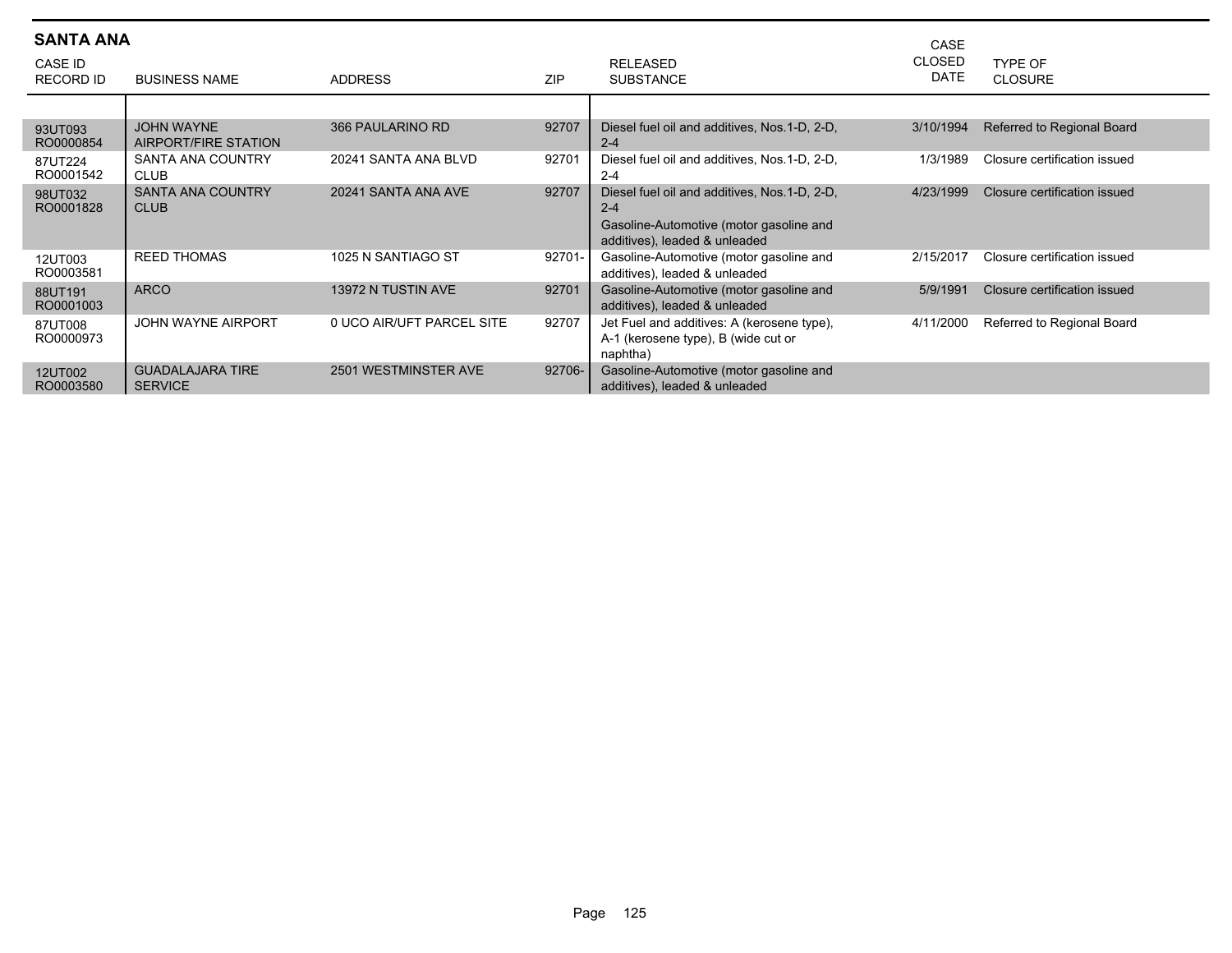| <b>SANTA ANA</b><br>CASE ID<br><b>RECORD ID</b> | <b>BUSINESS NAME</b>                      | <b>ADDRESS</b>            | <b>ZIP</b> | <b>RELEASED</b><br><b>SUBSTANCE</b>                                                                                                  | CASE<br><b>CLOSED</b><br><b>DATE</b> | TYPE OF<br><b>CLOSURE</b>    |
|-------------------------------------------------|-------------------------------------------|---------------------------|------------|--------------------------------------------------------------------------------------------------------------------------------------|--------------------------------------|------------------------------|
|                                                 |                                           |                           |            |                                                                                                                                      |                                      |                              |
| 93UT093<br>RO0000854                            | <b>JOHN WAYNE</b><br>AIRPORT/FIRE STATION | 366 PAULARINO RD          | 92707      | Diesel fuel oil and additives, Nos.1-D, 2-D,<br>$2 - 4$                                                                              | 3/10/1994                            | Referred to Regional Board   |
| 87UT224<br>RO0001542                            | <b>SANTA ANA COUNTRY</b><br><b>CLUB</b>   | 20241 SANTA ANA BLVD      | 92701      | Diesel fuel oil and additives, Nos. 1-D, 2-D,<br>$2 - 4$                                                                             | 1/3/1989                             | Closure certification issued |
| 98UT032<br>RO0001828                            | <b>SANTA ANA COUNTRY</b><br><b>CLUB</b>   | 20241 SANTA ANA AVE       | 92707      | Diesel fuel oil and additives, Nos. 1-D, 2-D,<br>$2 - 4$<br>Gasoline-Automotive (motor gasoline and<br>additives), leaded & unleaded | 4/23/1999                            | Closure certification issued |
| 12UT003<br>RO0003581                            | <b>REED THOMAS</b>                        | 1025 N SANTIAGO ST        | 92701-     | Gasoline-Automotive (motor gasoline and<br>additives), leaded & unleaded                                                             | 2/15/2017                            | Closure certification issued |
| 88UT191<br>RO0001003                            | <b>ARCO</b>                               | 13972 N TUSTIN AVE        | 92701      | Gasoline-Automotive (motor gasoline and<br>additives), leaded & unleaded                                                             | 5/9/1991                             | Closure certification issued |
| 87UT008<br>RO0000973                            | <b>JOHN WAYNE AIRPORT</b>                 | 0 UCO AIR/UFT PARCEL SITE | 92707      | Jet Fuel and additives: A (kerosene type),<br>A-1 (kerosene type), B (wide cut or<br>naphtha)                                        | 4/11/2000                            | Referred to Regional Board   |
| 12UT002<br>RO0003580                            | <b>GUADALAJARA TIRE</b><br><b>SERVICE</b> | 2501 WESTMINSTER AVE      | 92706-     | Gasoline-Automotive (motor gasoline and<br>additives), leaded & unleaded                                                             |                                      |                              |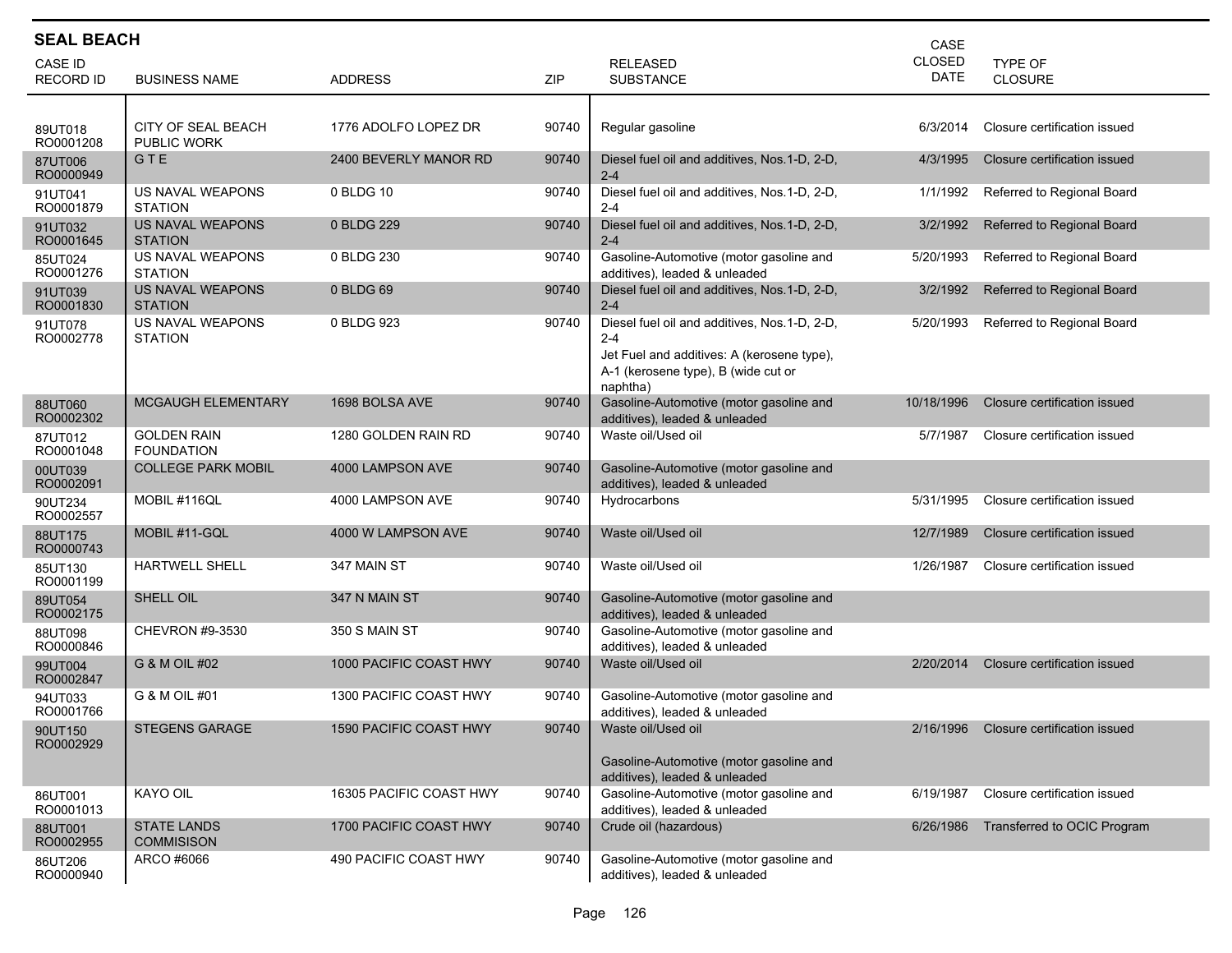|                             | <b>SEAL BEACH</b><br>CASE                 |                         |       |                                                                                                                                                          |                |                                  |  |  |  |  |  |
|-----------------------------|-------------------------------------------|-------------------------|-------|----------------------------------------------------------------------------------------------------------------------------------------------------------|----------------|----------------------------------|--|--|--|--|--|
| CASE ID<br><b>RECORD ID</b> | <b>BUSINESS NAME</b>                      | <b>ADDRESS</b>          | ZIP   | <b>RELEASED</b><br><b>SUBSTANCE</b>                                                                                                                      | CLOSED<br>DATE | <b>TYPE OF</b><br><b>CLOSURE</b> |  |  |  |  |  |
| 89UT018<br>RO0001208        | <b>CITY OF SEAL BEACH</b><br>PUBLIC WORK  | 1776 ADOLFO LOPEZ DR    | 90740 | Regular gasoline                                                                                                                                         | 6/3/2014       | Closure certification issued     |  |  |  |  |  |
| 87UT006<br>RO0000949        | GTE                                       | 2400 BEVERLY MANOR RD   | 90740 | Diesel fuel oil and additives, Nos. 1-D, 2-D,<br>$2 - 4$                                                                                                 | 4/3/1995       | Closure certification issued     |  |  |  |  |  |
| 91UT041<br>RO0001879        | US NAVAL WEAPONS<br><b>STATION</b>        | 0 BLDG 10               | 90740 | Diesel fuel oil and additives, Nos.1-D, 2-D,<br>$2 - 4$                                                                                                  | 1/1/1992       | Referred to Regional Board       |  |  |  |  |  |
| 91UT032<br>RO0001645        | US NAVAL WEAPONS<br><b>STATION</b>        | 0 BLDG 229              | 90740 | Diesel fuel oil and additives, Nos.1-D, 2-D,<br>$2 - 4$                                                                                                  | 3/2/1992       | Referred to Regional Board       |  |  |  |  |  |
| 85UT024<br>RO0001276        | US NAVAL WEAPONS<br><b>STATION</b>        | 0 BLDG 230              | 90740 | Gasoline-Automotive (motor gasoline and<br>additives), leaded & unleaded                                                                                 | 5/20/1993      | Referred to Regional Board       |  |  |  |  |  |
| 91UT039<br>RO0001830        | <b>US NAVAL WEAPONS</b><br><b>STATION</b> | 0 BLDG 69               | 90740 | Diesel fuel oil and additives, Nos.1-D, 2-D,<br>$2 - 4$                                                                                                  | 3/2/1992       | Referred to Regional Board       |  |  |  |  |  |
| 91UT078<br>RO0002778        | US NAVAL WEAPONS<br><b>STATION</b>        | 0 BLDG 923              | 90740 | Diesel fuel oil and additives, Nos.1-D, 2-D,<br>$2 - 4$<br>Jet Fuel and additives: A (kerosene type),<br>A-1 (kerosene type), B (wide cut or<br>naphtha) | 5/20/1993      | Referred to Regional Board       |  |  |  |  |  |
| 88UT060<br>RO0002302        | MCGAUGH ELEMENTARY                        | 1698 BOLSA AVE          | 90740 | Gasoline-Automotive (motor gasoline and<br>additives), leaded & unleaded                                                                                 | 10/18/1996     | Closure certification issued     |  |  |  |  |  |
| 87UT012<br>RO0001048        | <b>GOLDEN RAIN</b><br><b>FOUNDATION</b>   | 1280 GOLDEN RAIN RD     | 90740 | Waste oil/Used oil                                                                                                                                       | 5/7/1987       | Closure certification issued     |  |  |  |  |  |
| 00UT039<br>RO0002091        | <b>COLLEGE PARK MOBIL</b>                 | 4000 LAMPSON AVE        | 90740 | Gasoline-Automotive (motor gasoline and<br>additives), leaded & unleaded                                                                                 |                |                                  |  |  |  |  |  |
| 90UT234<br>RO0002557        | MOBIL #116QL                              | 4000 LAMPSON AVE        | 90740 | Hydrocarbons                                                                                                                                             | 5/31/1995      | Closure certification issued     |  |  |  |  |  |
| 88UT175<br>RO0000743        | MOBIL #11-GQL                             | 4000 W LAMPSON AVE      | 90740 | Waste oil/Used oil                                                                                                                                       | 12/7/1989      | Closure certification issued     |  |  |  |  |  |
| 85UT130<br>RO0001199        | <b>HARTWELL SHELL</b>                     | 347 MAIN ST             | 90740 | Waste oil/Used oil                                                                                                                                       | 1/26/1987      | Closure certification issued     |  |  |  |  |  |
| 89UT054<br>RO0002175        | SHELL OIL                                 | 347 N MAIN ST           | 90740 | Gasoline-Automotive (motor gasoline and<br>additives), leaded & unleaded                                                                                 |                |                                  |  |  |  |  |  |
| 88UT098<br>RO0000846        | CHEVRON #9-3530                           | 350 S MAIN ST           | 90740 | Gasoline-Automotive (motor gasoline and<br>additives), leaded & unleaded                                                                                 |                |                                  |  |  |  |  |  |
| 99UT004<br>RO0002847        | G & M OIL #02                             | 1000 PACIFIC COAST HWY  | 90740 | Waste oil/Used oil                                                                                                                                       | 2/20/2014      | Closure certification issued     |  |  |  |  |  |
| 94UT033<br>RO0001766        | G & M OIL #01                             | 1300 PACIFIC COAST HWY  | 90740 | Gasoline-Automotive (motor gasoline and<br>additives), leaded & unleaded                                                                                 |                |                                  |  |  |  |  |  |
| 90UT150<br>RO0002929        | <b>STEGENS GARAGE</b>                     | 1590 PACIFIC COAST HWY  | 90740 | Waste oil/Used oil<br>Gasoline-Automotive (motor gasoline and<br>additives), leaded & unleaded                                                           | 2/16/1996      | Closure certification issued     |  |  |  |  |  |
| 86UT001<br>RO0001013        | KAYO OIL                                  | 16305 PACIFIC COAST HWY | 90740 | Gasoline-Automotive (motor gasoline and<br>additives), leaded & unleaded                                                                                 | 6/19/1987      | Closure certification issued     |  |  |  |  |  |
| 88UT001<br>RO0002955        | <b>STATE LANDS</b><br><b>COMMISISON</b>   | 1700 PACIFIC COAST HWY  | 90740 | Crude oil (hazardous)                                                                                                                                    | 6/26/1986      | Transferred to OCIC Program      |  |  |  |  |  |
| 86UT206<br>RO0000940        | ARCO #6066                                | 490 PACIFIC COAST HWY   | 90740 | Gasoline-Automotive (motor gasoline and<br>additives), leaded & unleaded                                                                                 |                |                                  |  |  |  |  |  |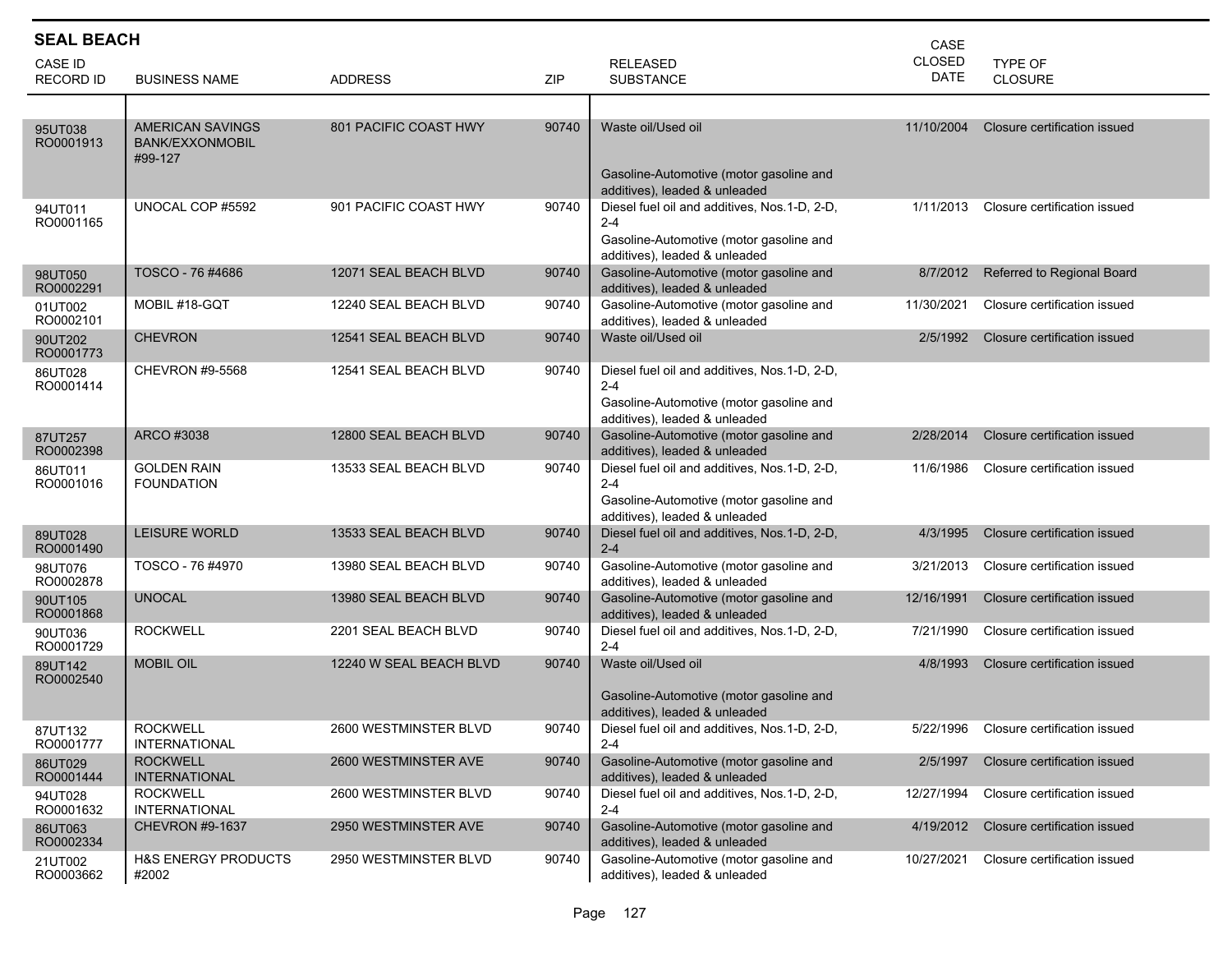| <b>SEAL BEACH</b>    |                                                       |                         |       |                                                                                                                                      | CASE          |                                        |
|----------------------|-------------------------------------------------------|-------------------------|-------|--------------------------------------------------------------------------------------------------------------------------------------|---------------|----------------------------------------|
| CASE ID              |                                                       |                         |       | <b>RELEASED</b>                                                                                                                      | <b>CLOSED</b> | TYPE OF                                |
| <b>RECORD ID</b>     | <b>BUSINESS NAME</b>                                  | <b>ADDRESS</b>          | ZIP   | <b>SUBSTANCE</b>                                                                                                                     | DATE          | <b>CLOSURE</b>                         |
|                      |                                                       |                         |       |                                                                                                                                      |               |                                        |
| 95UT038<br>RO0001913 | <b>AMERICAN SAVINGS</b><br>BANK/EXXONMOBIL<br>#99-127 | 801 PACIFIC COAST HWY   | 90740 | Waste oil/Used oil<br>Gasoline-Automotive (motor gasoline and                                                                        | 11/10/2004    | Closure certification issued           |
|                      |                                                       |                         |       | additives), leaded & unleaded                                                                                                        |               |                                        |
| 94UT011<br>RO0001165 | UNOCAL COP #5592                                      | 901 PACIFIC COAST HWY   | 90740 | Diesel fuel oil and additives, Nos.1-D, 2-D,<br>$2 - 4$<br>Gasoline-Automotive (motor gasoline and<br>additives), leaded & unleaded  | 1/11/2013     | Closure certification issued           |
| 98UT050<br>RO0002291 | TOSCO - 76 #4686                                      | 12071 SEAL BEACH BLVD   | 90740 | Gasoline-Automotive (motor gasoline and<br>additives), leaded & unleaded                                                             | 8/7/2012      | Referred to Regional Board             |
| 01UT002<br>RO0002101 | MOBIL #18-GQT                                         | 12240 SEAL BEACH BLVD   | 90740 | Gasoline-Automotive (motor gasoline and<br>additives), leaded & unleaded                                                             | 11/30/2021    | Closure certification issued           |
| 90UT202<br>RO0001773 | <b>CHEVRON</b>                                        | 12541 SEAL BEACH BLVD   | 90740 | Waste oil/Used oil                                                                                                                   | 2/5/1992      | Closure certification issued           |
| 86UT028<br>RO0001414 | <b>CHEVRON #9-5568</b>                                | 12541 SEAL BEACH BLVD   | 90740 | Diesel fuel oil and additives, Nos. 1-D, 2-D,<br>$2 - 4$<br>Gasoline-Automotive (motor gasoline and<br>additives), leaded & unleaded |               |                                        |
| 87UT257<br>RO0002398 | ARCO #3038                                            | 12800 SEAL BEACH BLVD   | 90740 | Gasoline-Automotive (motor gasoline and<br>additives), leaded & unleaded                                                             | 2/28/2014     | Closure certification issued           |
| 86UT011<br>RO0001016 | <b>GOLDEN RAIN</b><br><b>FOUNDATION</b>               | 13533 SEAL BEACH BLVD   | 90740 | Diesel fuel oil and additives, Nos.1-D, 2-D,<br>$2 - 4$<br>Gasoline-Automotive (motor gasoline and<br>additives), leaded & unleaded  | 11/6/1986     | Closure certification issued           |
| 89UT028<br>RO0001490 | <b>LEISURE WORLD</b>                                  | 13533 SEAL BEACH BLVD   | 90740 | Diesel fuel oil and additives, Nos.1-D, 2-D,<br>$2 - 4$                                                                              | 4/3/1995      | Closure certification issued           |
| 98UT076<br>RO0002878 | TOSCO - 76 #4970                                      | 13980 SEAL BEACH BLVD   | 90740 | Gasoline-Automotive (motor gasoline and<br>additives), leaded & unleaded                                                             | 3/21/2013     | Closure certification issued           |
| 90UT105<br>RO0001868 | <b>UNOCAL</b>                                         | 13980 SEAL BEACH BLVD   | 90740 | Gasoline-Automotive (motor gasoline and<br>additives), leaded & unleaded                                                             | 12/16/1991    | Closure certification issued           |
| 90UT036<br>RO0001729 | <b>ROCKWELL</b>                                       | 2201 SEAL BEACH BLVD    | 90740 | Diesel fuel oil and additives, Nos.1-D, 2-D,<br>$2 - 4$                                                                              | 7/21/1990     | Closure certification issued           |
| 89UT142<br>RO0002540 | <b>MOBIL OIL</b>                                      | 12240 W SEAL BEACH BLVD | 90740 | Waste oil/Used oil<br>Gasoline-Automotive (motor gasoline and<br>additives), leaded & unleaded                                       | 4/8/1993      | Closure certification issued           |
| 87UT132<br>RO0001777 | <b>ROCKWELL</b><br><b>INTERNATIONAL</b>               | 2600 WESTMINSTER BLVD   | 90740 | Diesel fuel oil and additives, Nos.1-D, 2-D,<br>$2 - 4$                                                                              |               | 5/22/1996 Closure certification issued |
| 86UT029<br>RO0001444 | <b>ROCKWELL</b><br><b>INTERNATIONAL</b>               | 2600 WESTMINSTER AVE    | 90740 | Gasoline-Automotive (motor gasoline and<br>additives), leaded & unleaded                                                             | 2/5/1997      | Closure certification issued           |
| 94UT028<br>RO0001632 | <b>ROCKWELL</b><br><b>INTERNATIONAL</b>               | 2600 WESTMINSTER BLVD   | 90740 | Diesel fuel oil and additives, Nos.1-D, 2-D,<br>$2 - 4$                                                                              | 12/27/1994    | Closure certification issued           |
| 86UT063<br>RO0002334 | <b>CHEVRON #9-1637</b>                                | 2950 WESTMINSTER AVE    | 90740 | Gasoline-Automotive (motor gasoline and<br>additives), leaded & unleaded                                                             | 4/19/2012     | Closure certification issued           |
| 21UT002<br>RO0003662 | <b>H&amp;S ENERGY PRODUCTS</b><br>#2002               | 2950 WESTMINSTER BLVD   | 90740 | Gasoline-Automotive (motor gasoline and<br>additives), leaded & unleaded                                                             | 10/27/2021    | Closure certification issued           |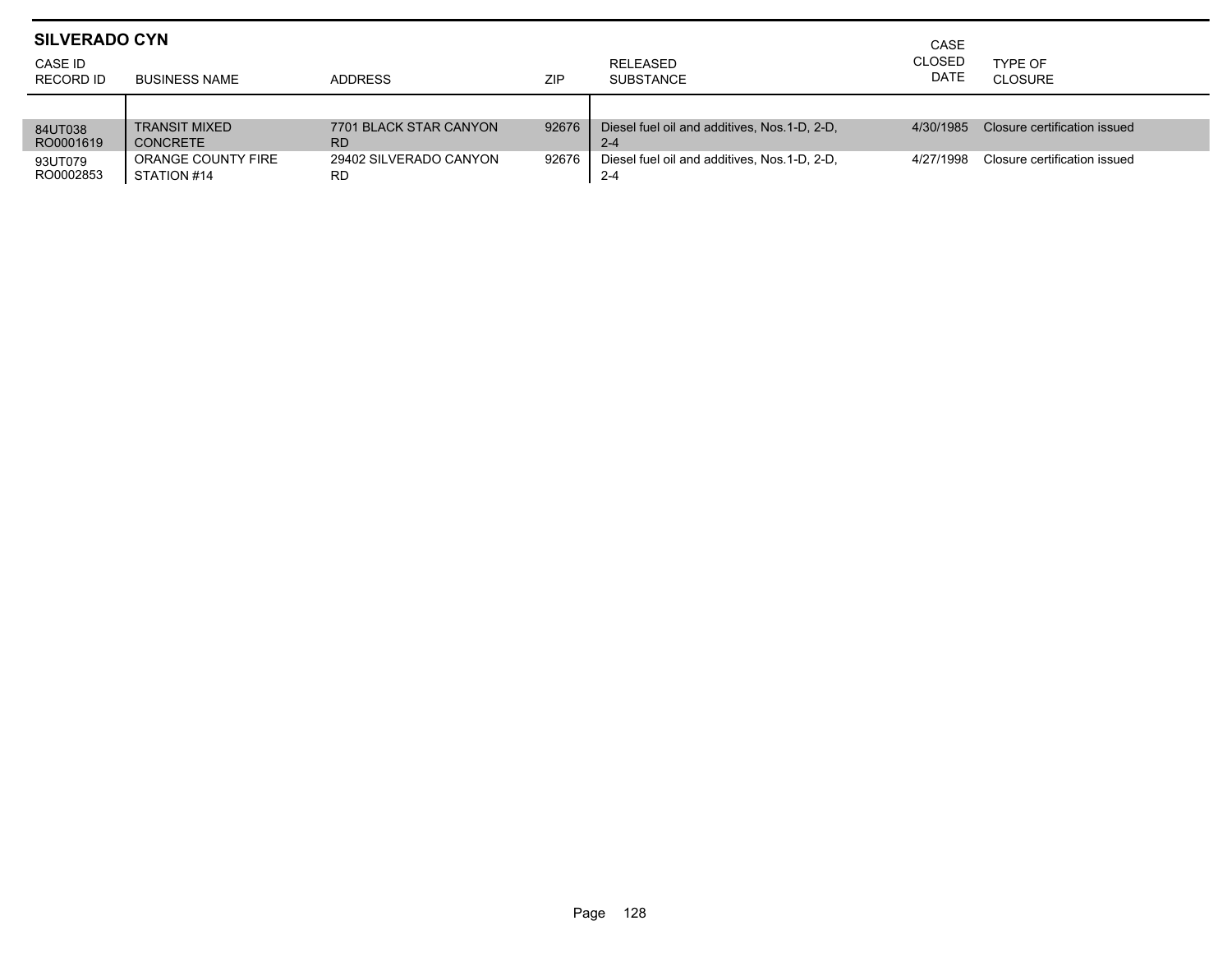| <b>SILVERADO CYN</b> |                      |                        |            |                                              | CASE                  |                              |
|----------------------|----------------------|------------------------|------------|----------------------------------------------|-----------------------|------------------------------|
| CASE ID<br>RECORD ID | BUSINESS NAME        | <b>ADDRESS</b>         | <b>ZIP</b> | RELEASED<br><b>SUBSTANCE</b>                 | <b>CLOSED</b><br>DATE | TYPE OF<br>CLOSURE           |
|                      |                      |                        |            |                                              |                       |                              |
| 84UT038              | <b>TRANSIT MIXED</b> | 7701 BLACK STAR CANYON | 92676      | Diesel fuel oil and additives. Nos.1-D. 2-D. | 4/30/1985             | Closure certification issued |
| RO0001619            | <b>CONCRETE</b>      | RD                     |            | $2 - 4$                                      |                       |                              |
| 93UT079              | ORANGE COUNTY FIRE   | 29402 SILVERADO CANYON | 92676      | Diesel fuel oil and additives. Nos.1-D. 2-D. | 4/27/1998             | Closure certification issued |
| RO0002853            | STATION #14          | RD.                    |            | $2 - 4$                                      |                       |                              |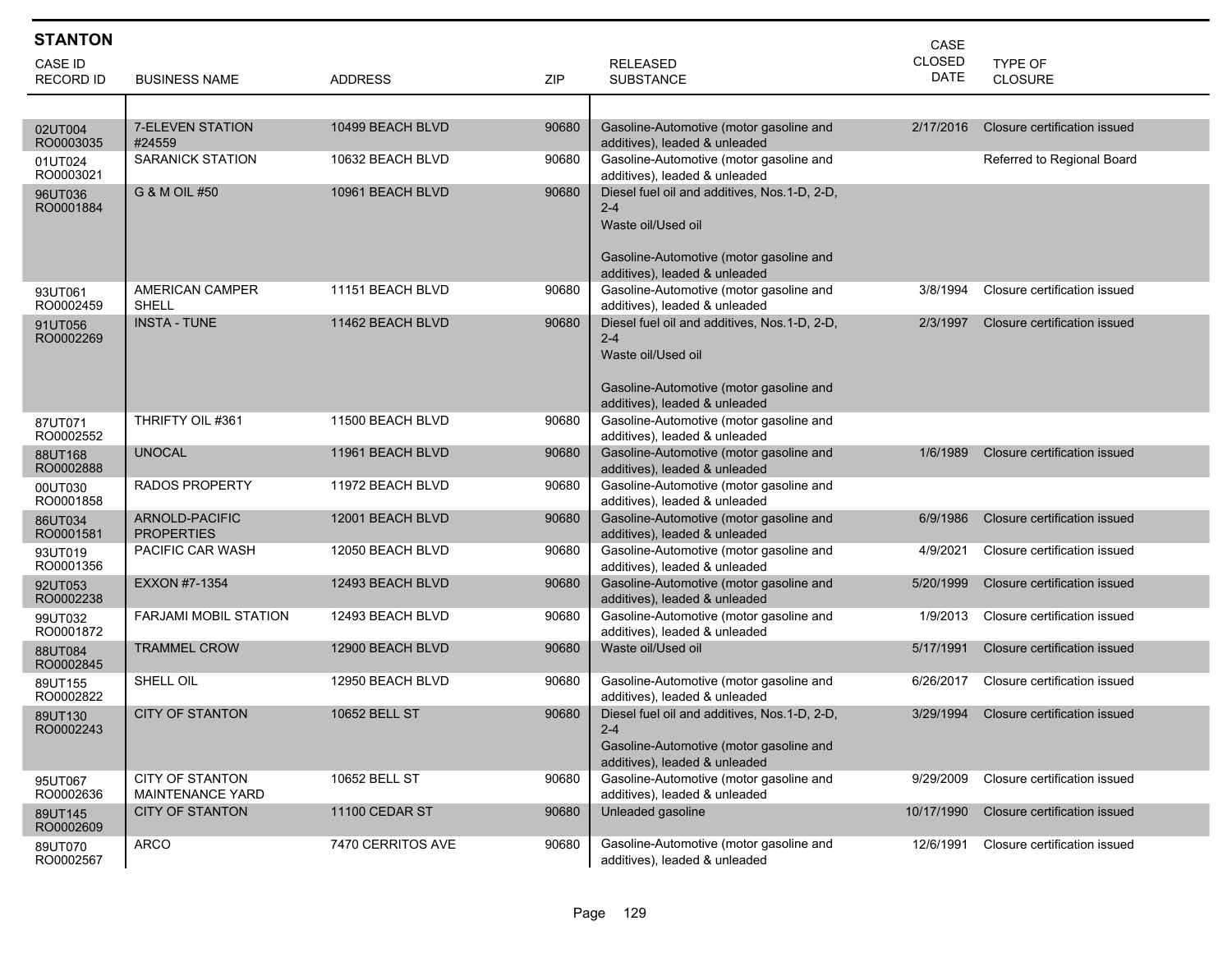| <b>STANTON</b>       |                                            |                   |       |                                                                                                                                                           | CASE          |                              |
|----------------------|--------------------------------------------|-------------------|-------|-----------------------------------------------------------------------------------------------------------------------------------------------------------|---------------|------------------------------|
| <b>CASE ID</b>       |                                            |                   |       | <b>RELEASED</b>                                                                                                                                           | <b>CLOSED</b> | <b>TYPE OF</b>               |
| <b>RECORD ID</b>     | <b>BUSINESS NAME</b>                       | <b>ADDRESS</b>    | ZIP   | <b>SUBSTANCE</b>                                                                                                                                          | <b>DATE</b>   | <b>CLOSURE</b>               |
|                      |                                            |                   |       |                                                                                                                                                           |               |                              |
| 02UT004<br>RO0003035 | <b>7-ELEVEN STATION</b><br>#24559          | 10499 BEACH BLVD  | 90680 | Gasoline-Automotive (motor gasoline and<br>additives), leaded & unleaded                                                                                  | 2/17/2016     | Closure certification issued |
| 01UT024<br>RO0003021 | <b>SARANICK STATION</b>                    | 10632 BEACH BLVD  | 90680 | Gasoline-Automotive (motor gasoline and<br>additives), leaded & unleaded                                                                                  |               | Referred to Regional Board   |
| 96UT036<br>RO0001884 | G & M OIL #50                              | 10961 BEACH BLVD  | 90680 | Diesel fuel oil and additives, Nos.1-D, 2-D,<br>$2 - 4$<br>Waste oil/Used oil<br>Gasoline-Automotive (motor gasoline and                                  |               |                              |
| 93UT061<br>RO0002459 | AMERICAN CAMPER<br>SHELL                   | 11151 BEACH BLVD  | 90680 | additives), leaded & unleaded<br>Gasoline-Automotive (motor gasoline and<br>additives), leaded & unleaded                                                 | 3/8/1994      | Closure certification issued |
| 91UT056<br>RO0002269 | <b>INSTA - TUNE</b>                        | 11462 BEACH BLVD  | 90680 | Diesel fuel oil and additives, Nos.1-D, 2-D,<br>$2 - 4$<br>Waste oil/Used oil<br>Gasoline-Automotive (motor gasoline and<br>additives), leaded & unleaded | 2/3/1997      | Closure certification issued |
| 87UT071<br>RO0002552 | THRIFTY OIL #361                           | 11500 BEACH BLVD  | 90680 | Gasoline-Automotive (motor gasoline and<br>additives), leaded & unleaded                                                                                  |               |                              |
| 88UT168<br>RO0002888 | <b>UNOCAL</b>                              | 11961 BEACH BLVD  | 90680 | Gasoline-Automotive (motor gasoline and<br>additives), leaded & unleaded                                                                                  | 1/6/1989      | Closure certification issued |
| 00UT030<br>RO0001858 | <b>RADOS PROPERTY</b>                      | 11972 BEACH BLVD  | 90680 | Gasoline-Automotive (motor gasoline and<br>additives), leaded & unleaded                                                                                  |               |                              |
| 86UT034<br>RO0001581 | ARNOLD-PACIFIC<br><b>PROPERTIES</b>        | 12001 BEACH BLVD  | 90680 | Gasoline-Automotive (motor gasoline and<br>additives), leaded & unleaded                                                                                  | 6/9/1986      | Closure certification issued |
| 93UT019<br>RO0001356 | PACIFIC CAR WASH                           | 12050 BEACH BLVD  | 90680 | Gasoline-Automotive (motor gasoline and<br>additives), leaded & unleaded                                                                                  | 4/9/2021      | Closure certification issued |
| 92UT053<br>RO0002238 | <b>EXXON #7-1354</b>                       | 12493 BEACH BLVD  | 90680 | Gasoline-Automotive (motor gasoline and<br>additives), leaded & unleaded                                                                                  | 5/20/1999     | Closure certification issued |
| 99UT032<br>RO0001872 | <b>FARJAMI MOBIL STATION</b>               | 12493 BEACH BLVD  | 90680 | Gasoline-Automotive (motor gasoline and<br>additives), leaded & unleaded                                                                                  | 1/9/2013      | Closure certification issued |
| 88UT084<br>RO0002845 | <b>TRAMMEL CROW</b>                        | 12900 BEACH BLVD  | 90680 | Waste oil/Used oil                                                                                                                                        | 5/17/1991     | Closure certification issued |
| 89UT155<br>RO0002822 | SHELL OIL                                  | 12950 BEACH BLVD  | 90680 | Gasoline-Automotive (motor gasoline and<br>additives), leaded & unleaded                                                                                  | 6/26/2017     | Closure certification issued |
| 89UT130<br>RO0002243 | <b>CITY OF STANTON</b>                     | 10652 BELL ST     | 90680 | Diesel fuel oil and additives, Nos.1-D, 2-D,<br>2-4<br>Gasoline-Automotive (motor gasoline and<br>additives), leaded & unleaded                           | 3/29/1994     | Closure certification issued |
| 95UT067<br>RO0002636 | <b>CITY OF STANTON</b><br>MAINTENANCE YARD | 10652 BELL ST     | 90680 | Gasoline-Automotive (motor gasoline and<br>additives), leaded & unleaded                                                                                  | 9/29/2009     | Closure certification issued |
| 89UT145<br>RO0002609 | <b>CITY OF STANTON</b>                     | 11100 CEDAR ST    | 90680 | Unleaded gasoline                                                                                                                                         | 10/17/1990    | Closure certification issued |
| 89UT070<br>RO0002567 | <b>ARCO</b>                                | 7470 CERRITOS AVE | 90680 | Gasoline-Automotive (motor gasoline and<br>additives), leaded & unleaded                                                                                  | 12/6/1991     | Closure certification issued |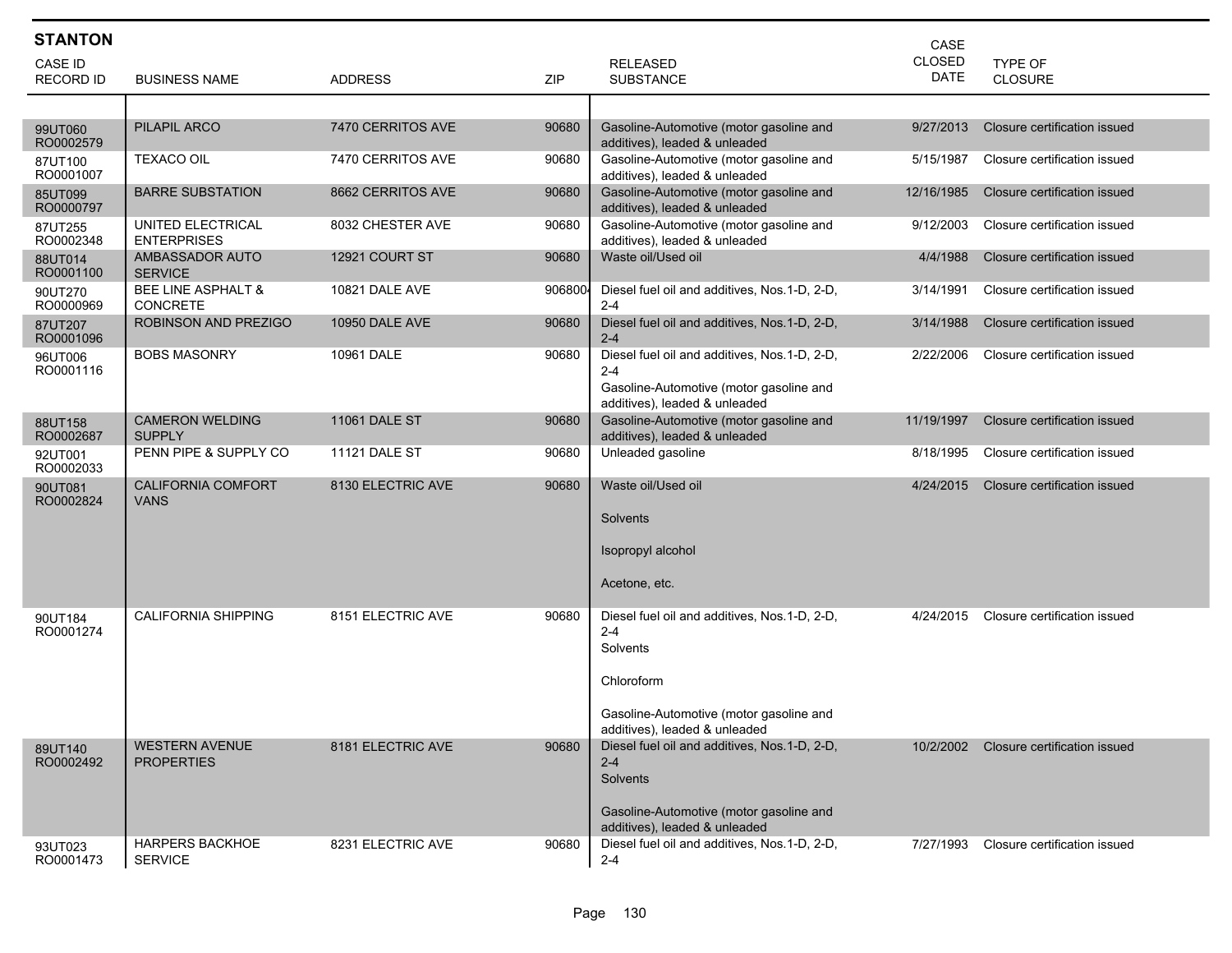| <b>STANTON</b>              |                                            |                      |         |                                                                                                                                                               | CASE                         |                              |
|-----------------------------|--------------------------------------------|----------------------|---------|---------------------------------------------------------------------------------------------------------------------------------------------------------------|------------------------------|------------------------------|
| CASE ID<br><b>RECORD ID</b> | <b>BUSINESS NAME</b>                       | <b>ADDRESS</b>       | ZIP     | <b>RELEASED</b><br><b>SUBSTANCE</b>                                                                                                                           | <b>CLOSED</b><br><b>DATE</b> | TYPE OF<br><b>CLOSURE</b>    |
|                             |                                            |                      |         |                                                                                                                                                               |                              |                              |
| 99UT060<br>RO0002579        | PILAPIL ARCO                               | 7470 CERRITOS AVE    | 90680   | Gasoline-Automotive (motor gasoline and<br>additives), leaded & unleaded                                                                                      | 9/27/2013                    | Closure certification issued |
| 87UT100<br>RO0001007        | <b>TEXACO OIL</b>                          | 7470 CERRITOS AVE    | 90680   | Gasoline-Automotive (motor gasoline and<br>additives), leaded & unleaded                                                                                      | 5/15/1987                    | Closure certification issued |
| 85UT099<br>RO0000797        | <b>BARRE SUBSTATION</b>                    | 8662 CERRITOS AVE    | 90680   | Gasoline-Automotive (motor gasoline and<br>additives), leaded & unleaded                                                                                      | 12/16/1985                   | Closure certification issued |
| 87UT255<br>RO0002348        | UNITED ELECTRICAL<br><b>ENTERPRISES</b>    | 8032 CHESTER AVE     | 90680   | Gasoline-Automotive (motor gasoline and<br>additives), leaded & unleaded                                                                                      | 9/12/2003                    | Closure certification issued |
| 88UT014<br>RO0001100        | AMBASSADOR AUTO<br><b>SERVICE</b>          | 12921 COURT ST       | 90680   | Waste oil/Used oil                                                                                                                                            | 4/4/1988                     | Closure certification issued |
| 90UT270<br>RO0000969        | BEE LINE ASPHALT &<br><b>CONCRETE</b>      | 10821 DALE AVE       | 9068004 | Diesel fuel oil and additives, Nos. 1-D, 2-D,<br>$2 - 4$                                                                                                      | 3/14/1991                    | Closure certification issued |
| 87UT207<br>RO0001096        | ROBINSON AND PREZIGO                       | 10950 DALE AVE       | 90680   | Diesel fuel oil and additives, Nos.1-D, 2-D,<br>$2 - 4$                                                                                                       | 3/14/1988                    | Closure certification issued |
| 96UT006<br>RO0001116        | <b>BOBS MASONRY</b>                        | 10961 DALE           | 90680   | Diesel fuel oil and additives, Nos.1-D, 2-D,<br>$2 - 4$<br>Gasoline-Automotive (motor gasoline and<br>additives), leaded & unleaded                           | 2/22/2006                    | Closure certification issued |
| 88UT158<br>RO0002687        | <b>CAMERON WELDING</b><br><b>SUPPLY</b>    | <b>11061 DALE ST</b> | 90680   | Gasoline-Automotive (motor gasoline and<br>additives), leaded & unleaded                                                                                      | 11/19/1997                   | Closure certification issued |
| 92UT001<br>RO0002033        | PENN PIPE & SUPPLY CO                      | <b>11121 DALE ST</b> | 90680   | Unleaded gasoline                                                                                                                                             | 8/18/1995                    | Closure certification issued |
| 90UT081<br>RO0002824        | <b>CALIFORNIA COMFORT</b><br><b>VANS</b>   | 8130 ELECTRIC AVE    | 90680   | Waste oil/Used oil<br>Solvents<br>Isopropyl alcohol<br>Acetone, etc.                                                                                          | 4/24/2015                    | Closure certification issued |
| 90UT184<br>RO0001274        | <b>CALIFORNIA SHIPPING</b>                 | 8151 ELECTRIC AVE    | 90680   | Diesel fuel oil and additives, Nos.1-D, 2-D,<br>$2 - 4$<br>Solvents<br>Chloroform<br>Gasoline-Automotive (motor gasoline and<br>additives), leaded & unleaded | 4/24/2015                    | Closure certification issued |
| 89UT140<br>RO0002492        | <b>WESTERN AVENUE</b><br><b>PROPERTIES</b> | 8181 ELECTRIC AVE    | 90680   | Diesel fuel oil and additives, Nos.1-D, 2-D,<br>$2 - 4$<br>Solvents<br>Gasoline-Automotive (motor gasoline and<br>additives), leaded & unleaded               | 10/2/2002                    | Closure certification issued |
| 93UT023<br>RO0001473        | <b>HARPERS BACKHOE</b><br><b>SERVICE</b>   | 8231 ELECTRIC AVE    | 90680   | Diesel fuel oil and additives, Nos.1-D, 2-D,<br>$2 - 4$                                                                                                       | 7/27/1993                    | Closure certification issued |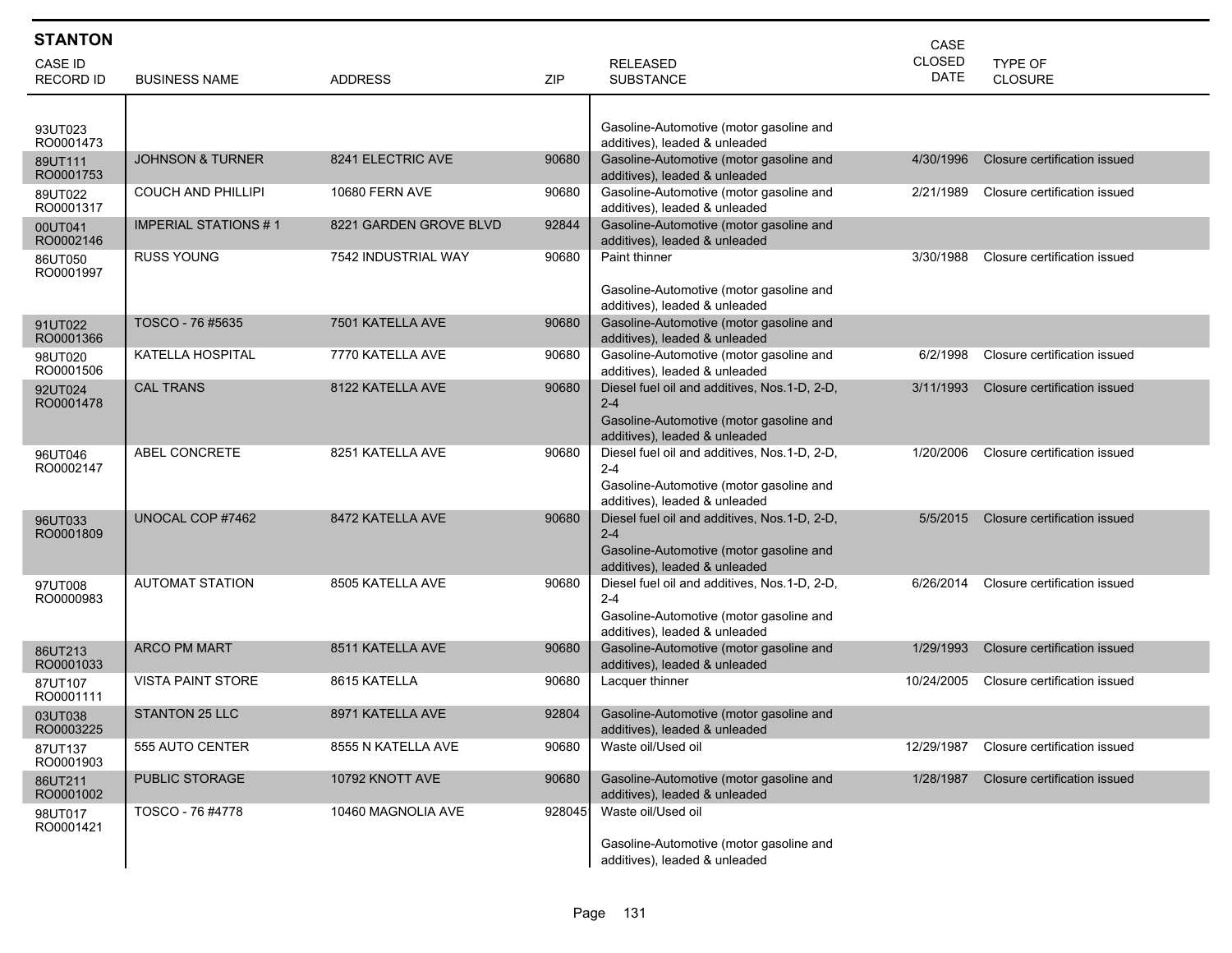| <b>STANTON</b>       |                             |                        |        |                                                                          | CASE          |                              |
|----------------------|-----------------------------|------------------------|--------|--------------------------------------------------------------------------|---------------|------------------------------|
| CASE ID              |                             |                        |        | <b>RELEASED</b>                                                          | <b>CLOSED</b> | TYPE OF                      |
| <b>RECORD ID</b>     | <b>BUSINESS NAME</b>        | <b>ADDRESS</b>         | ZIP    | <b>SUBSTANCE</b>                                                         | <b>DATE</b>   | CLOSURE                      |
|                      |                             |                        |        |                                                                          |               |                              |
| 93UT023              |                             |                        |        | Gasoline-Automotive (motor gasoline and                                  |               |                              |
| RO0001473            | <b>JOHNSON &amp; TURNER</b> | 8241 ELECTRIC AVE      | 90680  | additives), leaded & unleaded<br>Gasoline-Automotive (motor gasoline and | 4/30/1996     | Closure certification issued |
| 89UT111<br>RO0001753 |                             |                        |        | additives), leaded & unleaded                                            |               |                              |
| 89UT022<br>RO0001317 | <b>COUCH AND PHILLIPI</b>   | 10680 FERN AVE         | 90680  | Gasoline-Automotive (motor gasoline and<br>additives), leaded & unleaded | 2/21/1989     | Closure certification issued |
| 00UT041<br>RO0002146 | <b>IMPERIAL STATIONS #1</b> | 8221 GARDEN GROVE BLVD | 92844  | Gasoline-Automotive (motor gasoline and<br>additives), leaded & unleaded |               |                              |
| 86UT050<br>RO0001997 | <b>RUSS YOUNG</b>           | 7542 INDUSTRIAL WAY    | 90680  | Paint thinner                                                            | 3/30/1988     | Closure certification issued |
|                      |                             |                        |        | Gasoline-Automotive (motor gasoline and                                  |               |                              |
|                      |                             |                        |        | additives), leaded & unleaded                                            |               |                              |
| 91UT022<br>RO0001366 | TOSCO - 76 #5635            | 7501 KATELLA AVE       | 90680  | Gasoline-Automotive (motor gasoline and<br>additives), leaded & unleaded |               |                              |
| 98UT020<br>RO0001506 | KATELLA HOSPITAL            | 7770 KATELLA AVE       | 90680  | Gasoline-Automotive (motor gasoline and<br>additives), leaded & unleaded | 6/2/1998      | Closure certification issued |
| 92UT024              | <b>CAL TRANS</b>            | 8122 KATELLA AVE       | 90680  | Diesel fuel oil and additives, Nos.1-D, 2-D,                             | 3/11/1993     | Closure certification issued |
| RO0001478            |                             |                        |        | $2 - 4$<br>Gasoline-Automotive (motor gasoline and                       |               |                              |
|                      |                             |                        |        | additives), leaded & unleaded                                            |               |                              |
| 96UT046              | <b>ABEL CONCRETE</b>        | 8251 KATELLA AVE       | 90680  | Diesel fuel oil and additives, Nos.1-D, 2-D,<br>$2 - 4$                  | 1/20/2006     | Closure certification issued |
| RO0002147            |                             |                        |        | Gasoline-Automotive (motor gasoline and                                  |               |                              |
|                      |                             |                        |        | additives), leaded & unleaded                                            |               |                              |
| 96UT033              | UNOCAL COP #7462            | 8472 KATELLA AVE       | 90680  | Diesel fuel oil and additives, Nos.1-D, 2-D,                             | 5/5/2015      | Closure certification issued |
| RO0001809            |                             |                        |        | $2 - 4$<br>Gasoline-Automotive (motor gasoline and                       |               |                              |
|                      |                             |                        |        | additives), leaded & unleaded                                            |               |                              |
| 97UT008              | <b>AUTOMAT STATION</b>      | 8505 KATELLA AVE       | 90680  | Diesel fuel oil and additives, Nos.1-D, 2-D,                             | 6/26/2014     | Closure certification issued |
| RO0000983            |                             |                        |        | $2 - 4$<br>Gasoline-Automotive (motor gasoline and                       |               |                              |
|                      |                             |                        |        | additives), leaded & unleaded                                            |               |                              |
| 86UT213              | <b>ARCO PM MART</b>         | 8511 KATELLA AVE       | 90680  | Gasoline-Automotive (motor gasoline and                                  | 1/29/1993     | Closure certification issued |
| RO0001033            | <b>VISTA PAINT STORE</b>    | 8615 KATELLA           | 90680  | additives), leaded & unleaded<br>Lacquer thinner                         | 10/24/2005    | Closure certification issued |
| 87UT107<br>RO0001111 |                             |                        |        |                                                                          |               |                              |
| 03UT038<br>RO0003225 | <b>STANTON 25 LLC</b>       | 8971 KATELLA AVE       | 92804  | Gasoline-Automotive (motor gasoline and<br>additives), leaded & unleaded |               |                              |
| 87UT137<br>RO0001903 | 555 AUTO CENTER             | 8555 N KATELLA AVE     | 90680  | Waste oil/Used oil                                                       | 12/29/1987    | Closure certification issued |
| 86UT211<br>RO0001002 | <b>PUBLIC STORAGE</b>       | 10792 KNOTT AVE        | 90680  | Gasoline-Automotive (motor gasoline and<br>additives), leaded & unleaded | 1/28/1987     | Closure certification issued |
| 98UT017              | TOSCO - 76 #4778            | 10460 MAGNOLIA AVE     | 928045 | Waste oil/Used oil                                                       |               |                              |
| RO0001421            |                             |                        |        | Gasoline-Automotive (motor gasoline and                                  |               |                              |
|                      |                             |                        |        | additives), leaded & unleaded                                            |               |                              |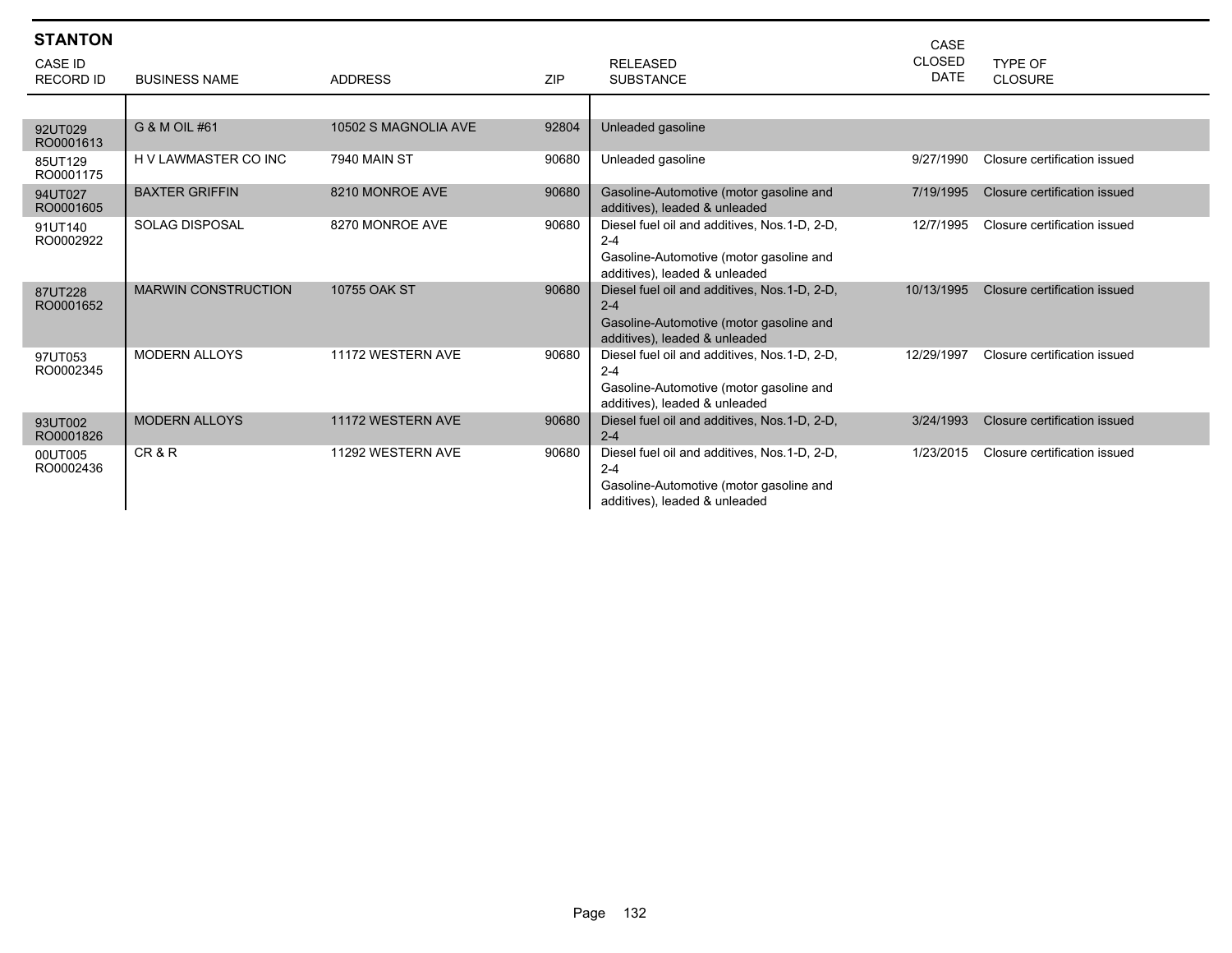| <b>STANTON</b><br><b>CASE ID</b><br><b>RECORD ID</b> | <b>BUSINESS NAME</b>       | <b>ADDRESS</b>       | <b>ZIP</b> | <b>RELEASED</b><br><b>SUBSTANCE</b>                                                                                                  | CASE<br><b>CLOSED</b><br><b>DATE</b> | TYPE OF<br><b>CLOSURE</b>    |
|------------------------------------------------------|----------------------------|----------------------|------------|--------------------------------------------------------------------------------------------------------------------------------------|--------------------------------------|------------------------------|
|                                                      |                            |                      |            |                                                                                                                                      |                                      |                              |
| 92UT029<br>RO0001613                                 | G & M OIL #61              | 10502 S MAGNOLIA AVE | 92804      | Unleaded gasoline                                                                                                                    |                                      |                              |
| 85UT129<br>RO0001175                                 | H V LAWMASTER CO INC       | <b>7940 MAIN ST</b>  | 90680      | Unleaded gasoline                                                                                                                    | 9/27/1990                            | Closure certification issued |
| 94UT027<br>RO0001605                                 | <b>BAXTER GRIFFIN</b>      | 8210 MONROE AVE      | 90680      | Gasoline-Automotive (motor gasoline and<br>additives), leaded & unleaded                                                             | 7/19/1995                            | Closure certification issued |
| 91UT140<br>RO0002922                                 | <b>SOLAG DISPOSAL</b>      | 8270 MONROE AVE      | 90680      | Diesel fuel oil and additives, Nos.1-D, 2-D,<br>$2 - 4$<br>Gasoline-Automotive (motor gasoline and<br>additives), leaded & unleaded  | 12/7/1995                            | Closure certification issued |
| 87UT228<br>RO0001652                                 | <b>MARWIN CONSTRUCTION</b> | 10755 OAK ST         | 90680      | Diesel fuel oil and additives, Nos.1-D, 2-D,<br>$2 - 4$<br>Gasoline-Automotive (motor gasoline and<br>additives), leaded & unleaded  | 10/13/1995                           | Closure certification issued |
| 97UT053<br>RO0002345                                 | <b>MODERN ALLOYS</b>       | 11172 WESTERN AVE    | 90680      | Diesel fuel oil and additives, Nos.1-D, 2-D,<br>$2 - 4$<br>Gasoline-Automotive (motor gasoline and<br>additives), leaded & unleaded  | 12/29/1997                           | Closure certification issued |
| 93UT002<br>RO0001826                                 | <b>MODERN ALLOYS</b>       | 11172 WESTERN AVE    | 90680      | Diesel fuel oil and additives, Nos.1-D, 2-D,<br>$2 - 4$                                                                              | 3/24/1993                            | Closure certification issued |
| 00UT005<br>RO0002436                                 | CR&R                       | 11292 WESTERN AVE    | 90680      | Diesel fuel oil and additives, Nos. 1-D, 2-D,<br>$2 - 4$<br>Gasoline-Automotive (motor gasoline and<br>additives), leaded & unleaded | 1/23/2015                            | Closure certification issued |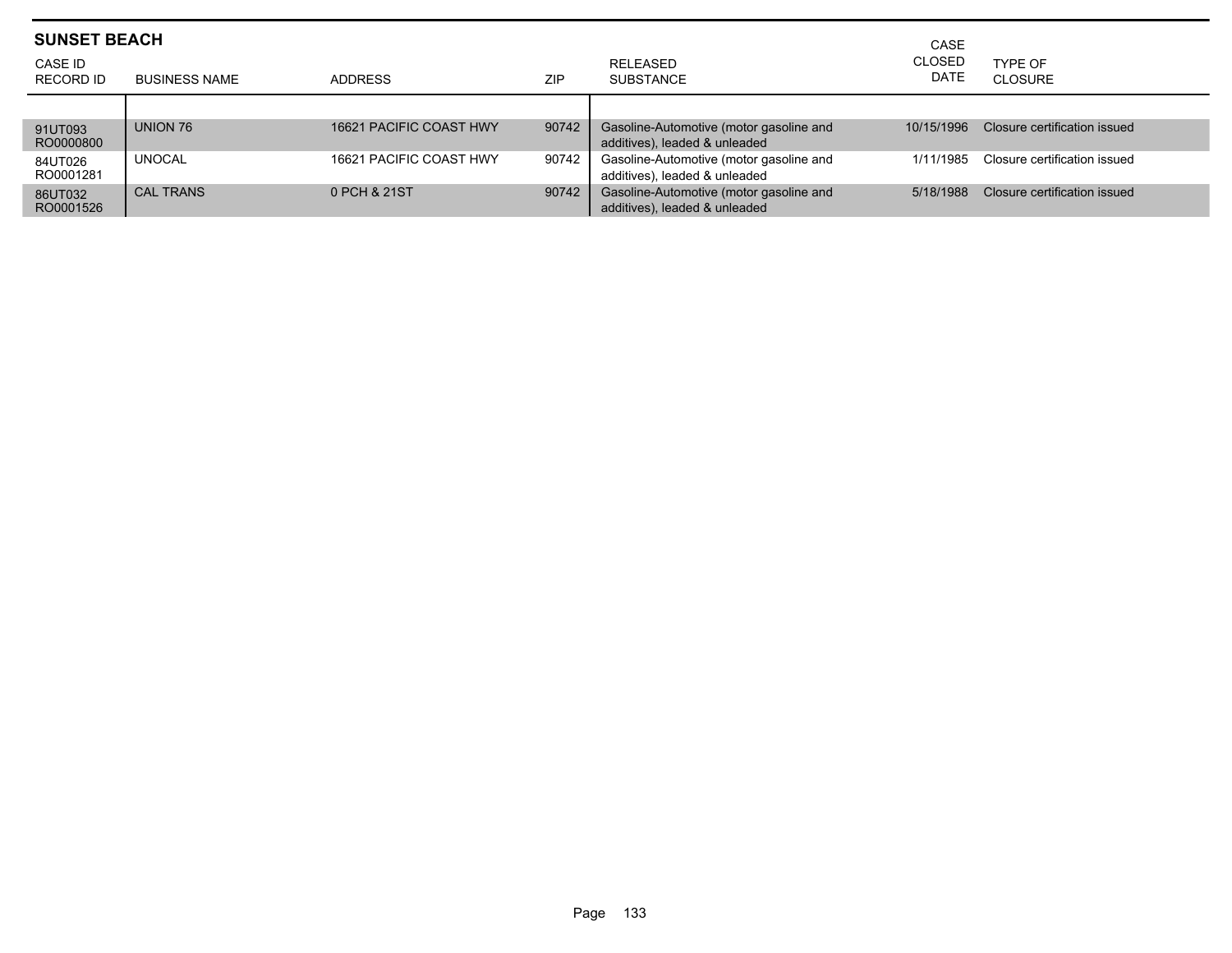| <b>SUNSET BEACH</b><br>CASE ID |                      |                         |       | RELEASED                                                                 | CASE<br><b>CLOSED</b> | TYPF OF                      |
|--------------------------------|----------------------|-------------------------|-------|--------------------------------------------------------------------------|-----------------------|------------------------------|
| RECORD ID                      | <b>BUSINESS NAME</b> | <b>ADDRESS</b>          | ZIP   | <b>SUBSTANCE</b>                                                         | <b>DATE</b>           | CLOSURE                      |
|                                |                      |                         |       |                                                                          |                       |                              |
| 91UT093<br>RO0000800           | UNION 76             | 16621 PACIFIC COAST HWY | 90742 | Gasoline-Automotive (motor gasoline and<br>additives), leaded & unleaded | 10/15/1996            | Closure certification issued |
| 84UT026<br>RO0001281           | <b>UNOCAL</b>        | 16621 PACIFIC COAST HWY | 90742 | Gasoline-Automotive (motor gasoline and<br>additives), leaded & unleaded | 1/11/1985             | Closure certification issued |
| 86UT032<br>RO0001526           | <b>CAL TRANS</b>     | 0 PCH & 21ST            | 90742 | Gasoline-Automotive (motor gasoline and<br>additives), leaded & unleaded | 5/18/1988             | Closure certification issued |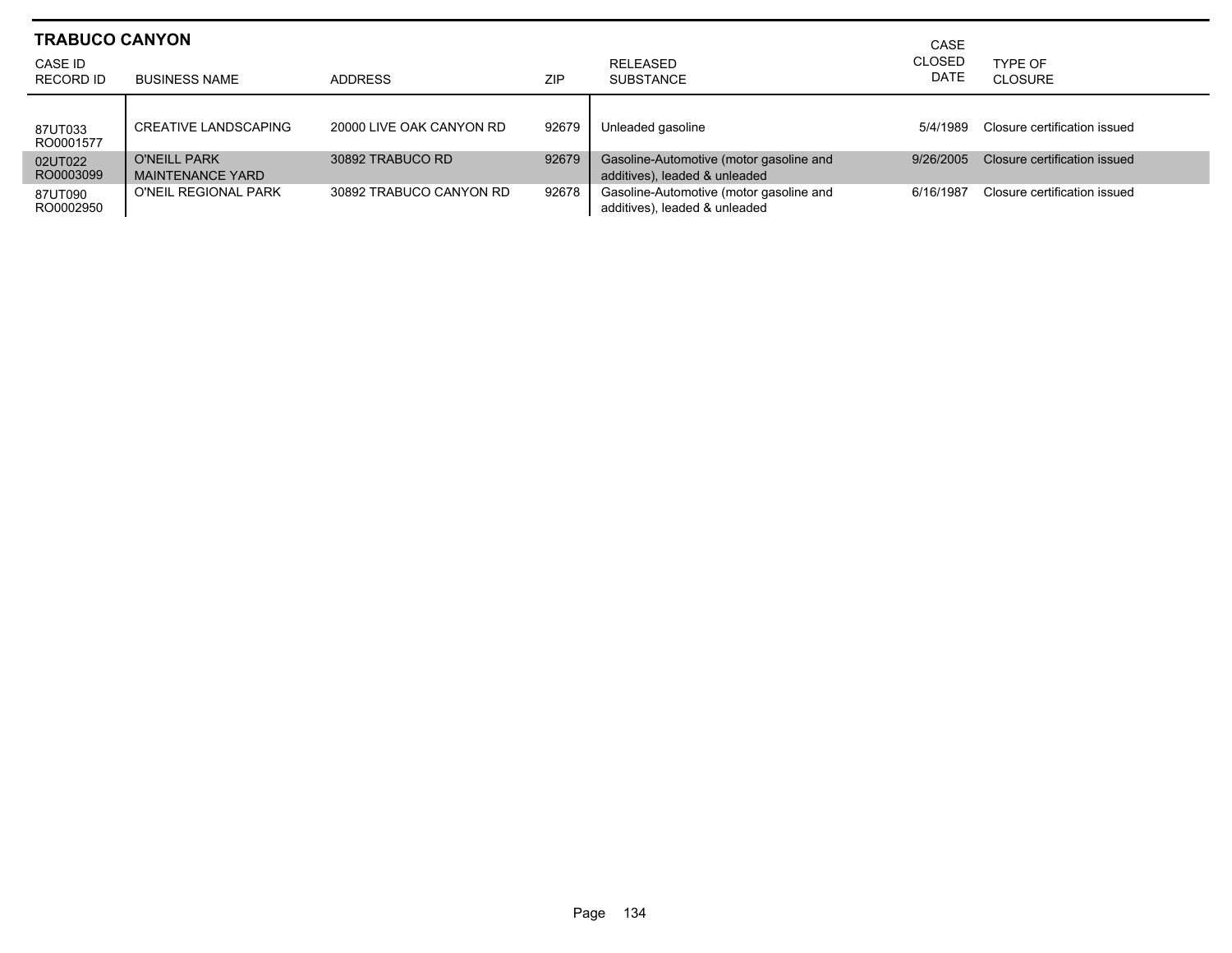| <b>TRABUCO CANYON</b> |                                                |                          |            |                                                                          | CASE                         |                              |
|-----------------------|------------------------------------------------|--------------------------|------------|--------------------------------------------------------------------------|------------------------------|------------------------------|
| CASE ID<br>RECORD ID  | <b>BUSINESS NAME</b>                           | ADDRESS                  | <b>ZIP</b> | RELEASED<br><b>SUBSTANCE</b>                                             | <b>CLOSED</b><br><b>DATE</b> | TYPE OF<br><b>CLOSURE</b>    |
| 87UT033<br>RO0001577  | CREATIVE LANDSCAPING                           | 20000 LIVE OAK CANYON RD | 92679      | Unleaded gasoline                                                        | 5/4/1989                     | Closure certification issued |
| 02UT022<br>RO0003099  | <b>O'NEILL PARK</b><br><b>MAINTENANCE YARD</b> | 30892 TRABUCO RD         | 92679      | Gasoline-Automotive (motor gasoline and<br>additives), leaded & unleaded | 9/26/2005                    | Closure certification issued |
| 87UT090<br>RO0002950  | O'NEIL REGIONAL PARK                           | 30892 TRABUCO CANYON RD  | 92678      | Gasoline-Automotive (motor gasoline and<br>additives), leaded & unleaded | 6/16/1987                    | Closure certification issued |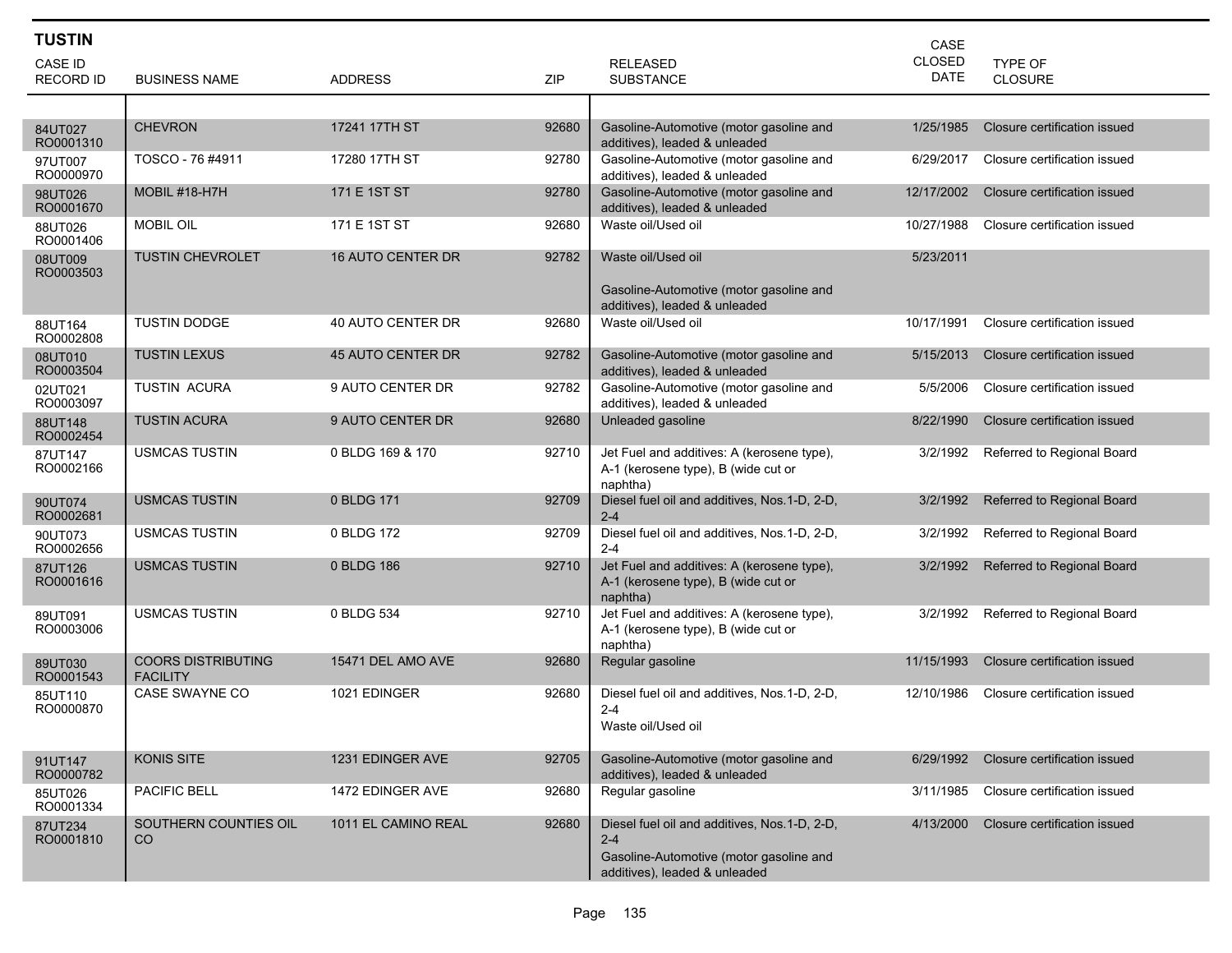| <b>TUSTIN</b>               |                                              |                          |       |                                                                                                                                     | CASE                         |                                  |
|-----------------------------|----------------------------------------------|--------------------------|-------|-------------------------------------------------------------------------------------------------------------------------------------|------------------------------|----------------------------------|
| CASE ID<br><b>RECORD ID</b> | <b>BUSINESS NAME</b>                         | <b>ADDRESS</b>           | ZIP   | <b>RELEASED</b><br><b>SUBSTANCE</b>                                                                                                 | <b>CLOSED</b><br><b>DATE</b> | <b>TYPE OF</b><br><b>CLOSURE</b> |
|                             |                                              |                          |       |                                                                                                                                     |                              |                                  |
| 84UT027<br>RO0001310        | <b>CHEVRON</b>                               | 17241 17TH ST            | 92680 | Gasoline-Automotive (motor gasoline and<br>additives), leaded & unleaded                                                            | 1/25/1985                    | Closure certification issued     |
| 97UT007<br>RO0000970        | TOSCO - 76 #4911                             | 17280 17TH ST            | 92780 | Gasoline-Automotive (motor gasoline and<br>additives), leaded & unleaded                                                            | 6/29/2017                    | Closure certification issued     |
| 98UT026<br>RO0001670        | MOBIL #18-H7H                                | 171 E 1ST ST             | 92780 | Gasoline-Automotive (motor gasoline and<br>additives), leaded & unleaded                                                            | 12/17/2002                   | Closure certification issued     |
| 88UT026<br>RO0001406        | <b>MOBIL OIL</b>                             | 171 E 1ST ST             | 92680 | Waste oil/Used oil                                                                                                                  | 10/27/1988                   | Closure certification issued     |
| 08UT009<br>RO0003503        | <b>TUSTIN CHEVROLET</b>                      | <b>16 AUTO CENTER DR</b> | 92782 | Waste oil/Used oil<br>Gasoline-Automotive (motor gasoline and<br>additives), leaded & unleaded                                      | 5/23/2011                    |                                  |
| 88UT164<br>RO0002808        | <b>TUSTIN DODGE</b>                          | 40 AUTO CENTER DR        | 92680 | Waste oil/Used oil                                                                                                                  | 10/17/1991                   | Closure certification issued     |
| 08UT010<br>RO0003504        | <b>TUSTIN LEXUS</b>                          | 45 AUTO CENTER DR        | 92782 | Gasoline-Automotive (motor gasoline and<br>additives), leaded & unleaded                                                            | 5/15/2013                    | Closure certification issued     |
| 02UT021<br>RO0003097        | <b>TUSTIN ACURA</b>                          | 9 AUTO CENTER DR         | 92782 | Gasoline-Automotive (motor gasoline and<br>additives), leaded & unleaded                                                            | 5/5/2006                     | Closure certification issued     |
| 88UT148<br>RO0002454        | <b>TUSTIN ACURA</b>                          | 9 AUTO CENTER DR         | 92680 | Unleaded gasoline                                                                                                                   | 8/22/1990                    | Closure certification issued     |
| 87UT147<br>RO0002166        | <b>USMCAS TUSTIN</b>                         | 0 BLDG 169 & 170         | 92710 | Jet Fuel and additives: A (kerosene type),<br>A-1 (kerosene type), B (wide cut or<br>naphtha)                                       | 3/2/1992                     | Referred to Regional Board       |
| 90UT074<br>RO0002681        | <b>USMCAS TUSTIN</b>                         | 0 BLDG 171               | 92709 | Diesel fuel oil and additives, Nos.1-D, 2-D,<br>$2 - 4$                                                                             | 3/2/1992                     | Referred to Regional Board       |
| 90UT073<br>RO0002656        | <b>USMCAS TUSTIN</b>                         | 0 BLDG 172               | 92709 | Diesel fuel oil and additives, Nos.1-D, 2-D,<br>$2 - 4$                                                                             | 3/2/1992                     | Referred to Regional Board       |
| 87UT126<br>RO0001616        | <b>USMCAS TUSTIN</b>                         | 0 BLDG 186               | 92710 | Jet Fuel and additives: A (kerosene type),<br>A-1 (kerosene type), B (wide cut or<br>naphtha)                                       | 3/2/1992                     | Referred to Regional Board       |
| 89UT091<br>RO0003006        | <b>USMCAS TUSTIN</b>                         | 0 BLDG 534               | 92710 | Jet Fuel and additives: A (kerosene type),<br>A-1 (kerosene type), B (wide cut or<br>naphtha)                                       | 3/2/1992                     | Referred to Regional Board       |
| 89UT030<br>RO0001543        | <b>COORS DISTRIBUTING</b><br><b>FACILITY</b> | 15471 DEL AMO AVE        | 92680 | Regular gasoline                                                                                                                    | 11/15/1993                   | Closure certification issued     |
| 85UT110<br>RO0000870        | <b>CASE SWAYNE CO</b>                        | 1021 EDINGER             | 92680 | Diesel fuel oil and additives, Nos.1-D, 2-D,<br>2-4<br>Waste oil/Used oil                                                           | 12/10/1986                   | Closure certification issued     |
| 91UT147<br>RO0000782        | <b>KONIS SITE</b>                            | 1231 EDINGER AVE         | 92705 | Gasoline-Automotive (motor gasoline and<br>additives), leaded & unleaded                                                            | 6/29/1992                    | Closure certification issued     |
| 85UT026<br>RO0001334        | PACIFIC BELL                                 | 1472 EDINGER AVE         | 92680 | Regular gasoline                                                                                                                    | 3/11/1985                    | Closure certification issued     |
| 87UT234<br>RO0001810        | SOUTHERN COUNTIES OIL<br>CO.                 | 1011 EL CAMINO REAL      | 92680 | Diesel fuel oil and additives, Nos.1-D, 2-D,<br>$2 - 4$<br>Gasoline-Automotive (motor gasoline and<br>additives), leaded & unleaded | 4/13/2000                    | Closure certification issued     |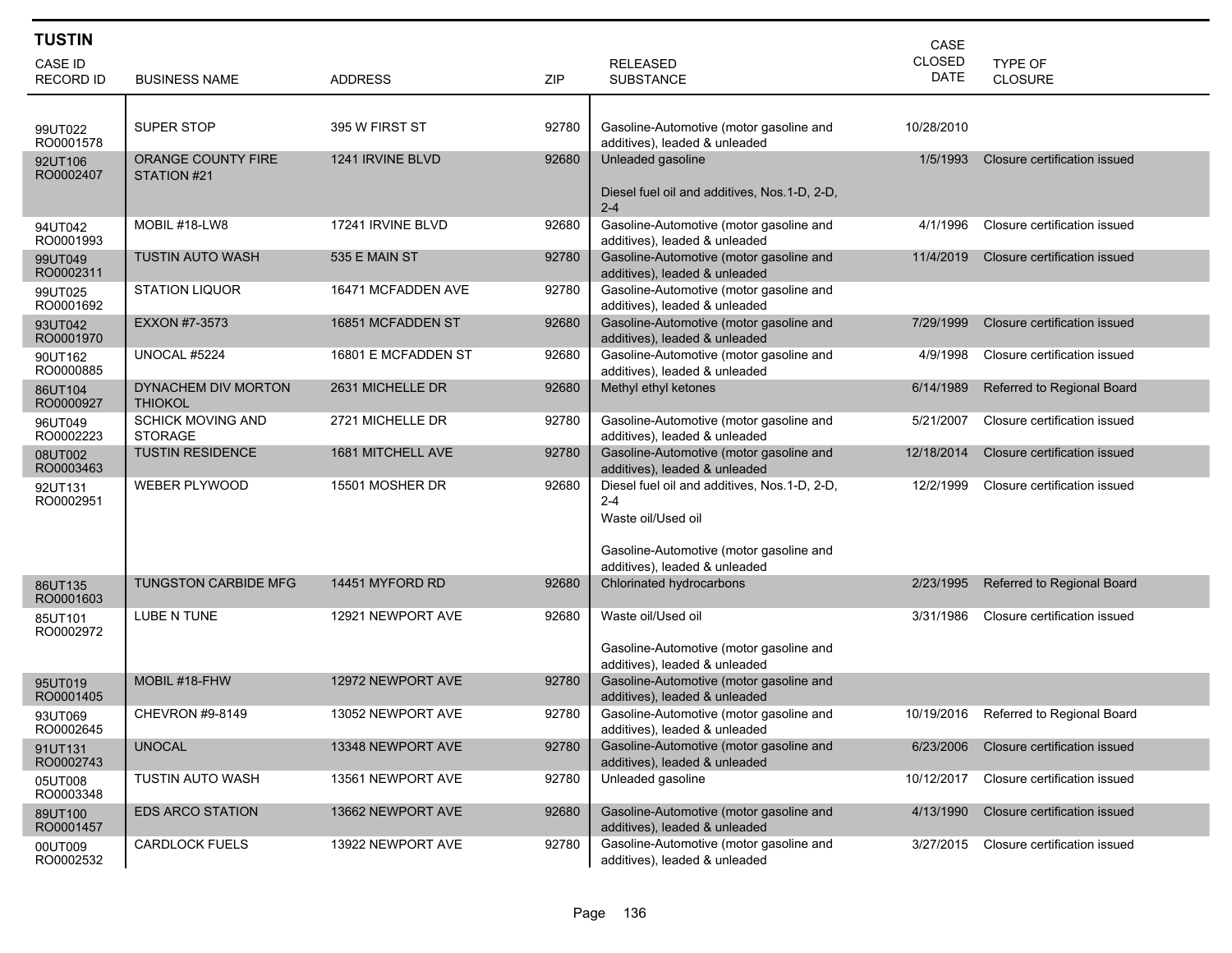| <b>TUSTIN</b>               |                                            |                     |       |                                                                                                                                                           | CASE                         |                              |
|-----------------------------|--------------------------------------------|---------------------|-------|-----------------------------------------------------------------------------------------------------------------------------------------------------------|------------------------------|------------------------------|
| CASE ID<br><b>RECORD ID</b> | <b>BUSINESS NAME</b>                       | <b>ADDRESS</b>      | ZIP   | <b>RELEASED</b><br><b>SUBSTANCE</b>                                                                                                                       | <b>CLOSED</b><br><b>DATE</b> | TYPE OF<br><b>CLOSURE</b>    |
|                             |                                            |                     |       |                                                                                                                                                           |                              |                              |
| 99UT022<br>RO0001578        | SUPER STOP                                 | 395 W FIRST ST      | 92780 | Gasoline-Automotive (motor gasoline and<br>additives), leaded & unleaded                                                                                  | 10/28/2010                   |                              |
| 92UT106<br>RO0002407        | <b>ORANGE COUNTY FIRE</b><br>STATION #21   | 1241 IRVINE BLVD    | 92680 | Unleaded gasoline<br>Diesel fuel oil and additives, Nos.1-D, 2-D,<br>$2 - 4$                                                                              | 1/5/1993                     | Closure certification issued |
| 94UT042<br>RO0001993        | MOBIL #18-LW8                              | 17241 IRVINE BLVD   | 92680 | Gasoline-Automotive (motor gasoline and<br>additives), leaded & unleaded                                                                                  | 4/1/1996                     | Closure certification issued |
| 99UT049<br>RO0002311        | <b>TUSTIN AUTO WASH</b>                    | 535 E MAIN ST       | 92780 | Gasoline-Automotive (motor gasoline and<br>additives), leaded & unleaded                                                                                  | 11/4/2019                    | Closure certification issued |
| 99UT025<br>RO0001692        | <b>STATION LIQUOR</b>                      | 16471 MCFADDEN AVE  | 92780 | Gasoline-Automotive (motor gasoline and<br>additives), leaded & unleaded                                                                                  |                              |                              |
| 93UT042<br>RO0001970        | EXXON #7-3573                              | 16851 MCFADDEN ST   | 92680 | Gasoline-Automotive (motor gasoline and<br>additives), leaded & unleaded                                                                                  | 7/29/1999                    | Closure certification issued |
| 90UT162<br>RO0000885        | UNOCAL #5224                               | 16801 E MCFADDEN ST | 92680 | Gasoline-Automotive (motor gasoline and<br>additives), leaded & unleaded                                                                                  | 4/9/1998                     | Closure certification issued |
| 86UT104<br>RO0000927        | DYNACHEM DIV MORTON<br><b>THIOKOL</b>      | 2631 MICHELLE DR    | 92680 | Methyl ethyl ketones                                                                                                                                      | 6/14/1989                    | Referred to Regional Board   |
| 96UT049<br>RO0002223        | <b>SCHICK MOVING AND</b><br><b>STORAGE</b> | 2721 MICHELLE DR    | 92780 | Gasoline-Automotive (motor gasoline and<br>additives), leaded & unleaded                                                                                  | 5/21/2007                    | Closure certification issued |
| 08UT002<br>RO0003463        | <b>TUSTIN RESIDENCE</b>                    | 1681 MITCHELL AVE   | 92780 | Gasoline-Automotive (motor gasoline and<br>additives), leaded & unleaded                                                                                  | 12/18/2014                   | Closure certification issued |
| 92UT131<br>RO0002951        | <b>WEBER PLYWOOD</b>                       | 15501 MOSHER DR     | 92680 | Diesel fuel oil and additives, Nos.1-D, 2-D,<br>$2 - 4$<br>Waste oil/Used oil<br>Gasoline-Automotive (motor gasoline and<br>additives), leaded & unleaded | 12/2/1999                    | Closure certification issued |
| 86UT135<br>RO0001603        | <b>TUNGSTON CARBIDE MFG</b>                | 14451 MYFORD RD     | 92680 | Chlorinated hydrocarbons                                                                                                                                  | 2/23/1995                    | Referred to Regional Board   |
| 85UT101<br>RO0002972        | <b>LUBE N TUNE</b>                         | 12921 NEWPORT AVE   | 92680 | Waste oil/Used oil<br>Gasoline-Automotive (motor gasoline and<br>additives), leaded & unleaded                                                            | 3/31/1986                    | Closure certification issued |
| 95UT019<br>RO0001405        | MOBIL #18-FHW                              | 12972 NEWPORT AVE   | 92780 | Gasoline-Automotive (motor gasoline and<br>additives), leaded & unleaded                                                                                  |                              |                              |
| 93UT069<br>RO0002645        | CHEVRON #9-8149                            | 13052 NEWPORT AVE   | 92780 | Gasoline-Automotive (motor gasoline and<br>additives), leaded & unleaded                                                                                  | 10/19/2016                   | Referred to Regional Board   |
| 91UT131<br>RO0002743        | <b>UNOCAL</b>                              | 13348 NEWPORT AVE   | 92780 | Gasoline-Automotive (motor gasoline and<br>additives), leaded & unleaded                                                                                  | 6/23/2006                    | Closure certification issued |
| 05UT008<br>RO0003348        | <b>TUSTIN AUTO WASH</b>                    | 13561 NEWPORT AVE   | 92780 | Unleaded gasoline                                                                                                                                         | 10/12/2017                   | Closure certification issued |
| 89UT100<br>RO0001457        | <b>EDS ARCO STATION</b>                    | 13662 NEWPORT AVE   | 92680 | Gasoline-Automotive (motor gasoline and<br>additives), leaded & unleaded                                                                                  | 4/13/1990                    | Closure certification issued |
| 00UT009<br>RO0002532        | <b>CARDLOCK FUELS</b>                      | 13922 NEWPORT AVE   | 92780 | Gasoline-Automotive (motor gasoline and<br>additives), leaded & unleaded                                                                                  | 3/27/2015                    | Closure certification issued |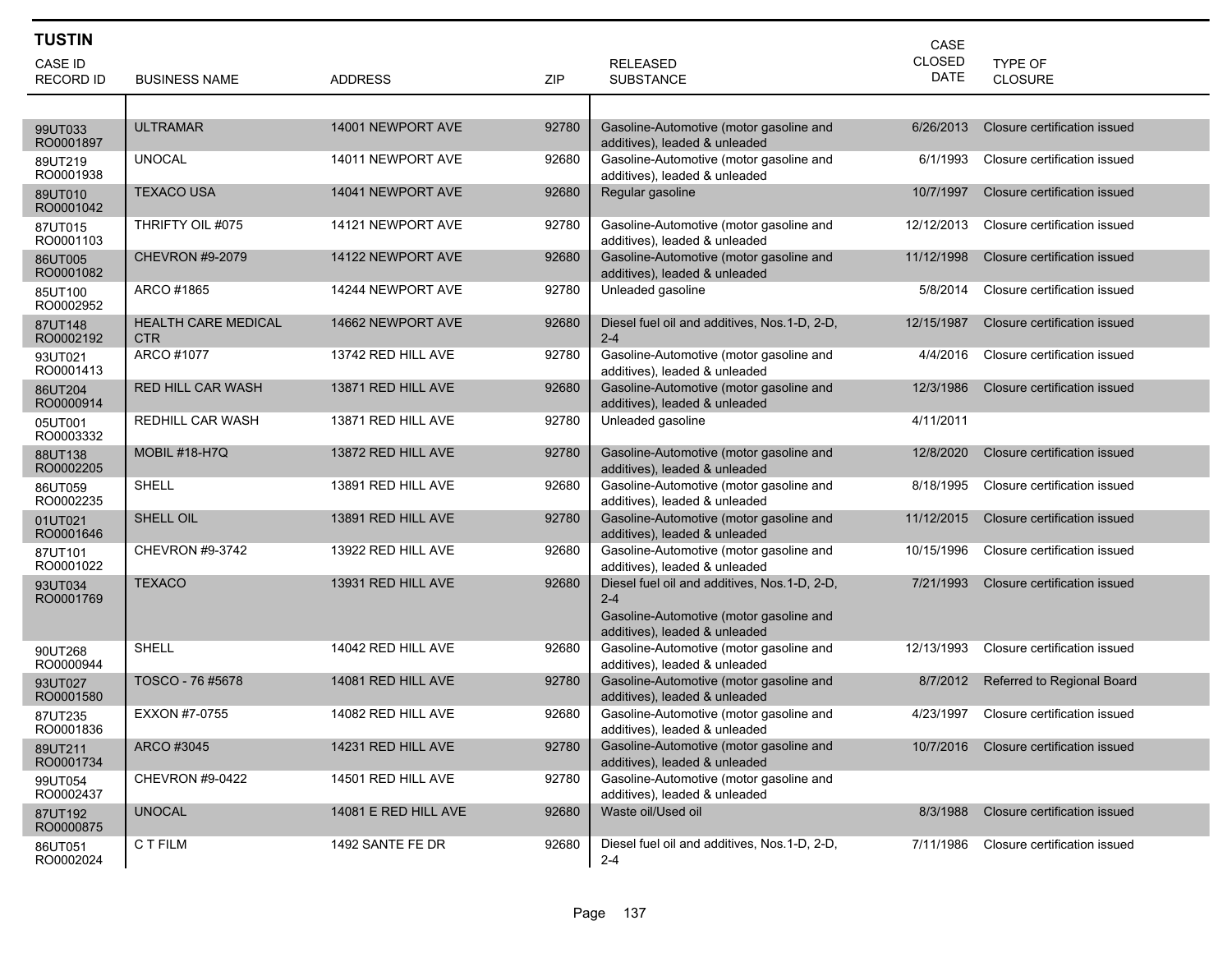| <b>TUSTIN</b>        |                                          |                      |            |                                                                                                                                     | CASE        |                                        |
|----------------------|------------------------------------------|----------------------|------------|-------------------------------------------------------------------------------------------------------------------------------------|-------------|----------------------------------------|
| <b>CASE ID</b>       |                                          |                      |            | <b>RELEASED</b>                                                                                                                     | CLOSED      | <b>TYPE OF</b>                         |
| <b>RECORD ID</b>     | <b>BUSINESS NAME</b>                     | <b>ADDRESS</b>       | <b>ZIP</b> | <b>SUBSTANCE</b>                                                                                                                    | <b>DATE</b> | <b>CLOSURE</b>                         |
|                      |                                          |                      |            |                                                                                                                                     |             |                                        |
| 99UT033<br>RO0001897 | <b>ULTRAMAR</b>                          | 14001 NEWPORT AVE    | 92780      | Gasoline-Automotive (motor gasoline and<br>additives), leaded & unleaded                                                            | 6/26/2013   | Closure certification issued           |
| 89UT219<br>RO0001938 | <b>UNOCAL</b>                            | 14011 NEWPORT AVE    | 92680      | Gasoline-Automotive (motor gasoline and<br>additives), leaded & unleaded                                                            | 6/1/1993    | Closure certification issued           |
| 89UT010<br>RO0001042 | <b>TEXACO USA</b>                        | 14041 NEWPORT AVE    | 92680      | Regular gasoline                                                                                                                    | 10/7/1997   | Closure certification issued           |
| 87UT015<br>RO0001103 | THRIFTY OIL #075                         | 14121 NEWPORT AVE    | 92780      | Gasoline-Automotive (motor gasoline and<br>additives), leaded & unleaded                                                            | 12/12/2013  | Closure certification issued           |
| 86UT005<br>RO0001082 | <b>CHEVRON #9-2079</b>                   | 14122 NEWPORT AVE    | 92680      | Gasoline-Automotive (motor gasoline and<br>additives), leaded & unleaded                                                            | 11/12/1998  | Closure certification issued           |
| 85UT100<br>RO0002952 | ARCO #1865                               | 14244 NEWPORT AVE    | 92780      | Unleaded gasoline                                                                                                                   | 5/8/2014    | Closure certification issued           |
| 87UT148<br>RO0002192 | <b>HEALTH CARE MEDICAL</b><br><b>CTR</b> | 14662 NEWPORT AVE    | 92680      | Diesel fuel oil and additives, Nos.1-D, 2-D,<br>$2 - 4$                                                                             | 12/15/1987  | Closure certification issued           |
| 93UT021<br>RO0001413 | ARCO #1077                               | 13742 RED HILL AVE   | 92780      | Gasoline-Automotive (motor gasoline and<br>additives), leaded & unleaded                                                            | 4/4/2016    | Closure certification issued           |
| 86UT204<br>RO0000914 | <b>RED HILL CAR WASH</b>                 | 13871 RED HILL AVE   | 92680      | Gasoline-Automotive (motor gasoline and<br>additives), leaded & unleaded                                                            | 12/3/1986   | Closure certification issued           |
| 05UT001<br>RO0003332 | REDHILL CAR WASH                         | 13871 RED HILL AVE   | 92780      | Unleaded gasoline                                                                                                                   | 4/11/2011   |                                        |
| 88UT138<br>RO0002205 | <b>MOBIL #18-H7Q</b>                     | 13872 RED HILL AVE   | 92780      | Gasoline-Automotive (motor gasoline and<br>additives), leaded & unleaded                                                            | 12/8/2020   | Closure certification issued           |
| 86UT059<br>RO0002235 | SHELL                                    | 13891 RED HILL AVE   | 92680      | Gasoline-Automotive (motor gasoline and<br>additives), leaded & unleaded                                                            | 8/18/1995   | Closure certification issued           |
| 01UT021<br>RO0001646 | SHELL OIL                                | 13891 RED HILL AVE   | 92780      | Gasoline-Automotive (motor gasoline and<br>additives), leaded & unleaded                                                            | 11/12/2015  | Closure certification issued           |
| 87UT101<br>RO0001022 | <b>CHEVRON #9-3742</b>                   | 13922 RED HILL AVE   | 92680      | Gasoline-Automotive (motor gasoline and<br>additives), leaded & unleaded                                                            | 10/15/1996  | Closure certification issued           |
| 93UT034<br>RO0001769 | <b>TEXACO</b>                            | 13931 RED HILL AVE   | 92680      | Diesel fuel oil and additives, Nos.1-D, 2-D,<br>$2 - 4$<br>Gasoline-Automotive (motor gasoline and<br>additives), leaded & unleaded | 7/21/1993   | Closure certification issued           |
| 90UT268<br>RO0000944 | SHELL                                    | 14042 RED HILL AVE   | 92680      | Gasoline-Automotive (motor gasoline and<br>additives), leaded & unleaded                                                            | 12/13/1993  | Closure certification issued           |
| 93UT027<br>RO0001580 | TOSCO - 76 #5678                         | 14081 RED HILL AVE   | 92780      | Gasoline-Automotive (motor gasoline and<br>additives), leaded & unleaded                                                            | 8/7/2012    | Referred to Regional Board             |
| 87UT235<br>RO0001836 | EXXON #7-0755                            | 14082 RED HILL AVE   | 92680      | Gasoline-Automotive (motor gasoline and<br>additives), leaded & unleaded                                                            | 4/23/1997   | Closure certification issued           |
| 89UT211<br>RO0001734 | ARCO #3045                               | 14231 RED HILL AVE   | 92780      | Gasoline-Automotive (motor gasoline and<br>additives), leaded & unleaded                                                            |             | 10/7/2016 Closure certification issued |
| 99UT054<br>RO0002437 | CHEVRON #9-0422                          | 14501 RED HILL AVE   | 92780      | Gasoline-Automotive (motor gasoline and<br>additives), leaded & unleaded                                                            |             |                                        |
| 87UT192<br>RO0000875 | <b>UNOCAL</b>                            | 14081 E RED HILL AVE | 92680      | Waste oil/Used oil                                                                                                                  | 8/3/1988    | Closure certification issued           |
| 86UT051<br>RO0002024 | C T FILM                                 | 1492 SANTE FE DR     | 92680      | Diesel fuel oil and additives, Nos.1-D, 2-D,<br>$2 - 4$                                                                             | 7/11/1986   | Closure certification issued           |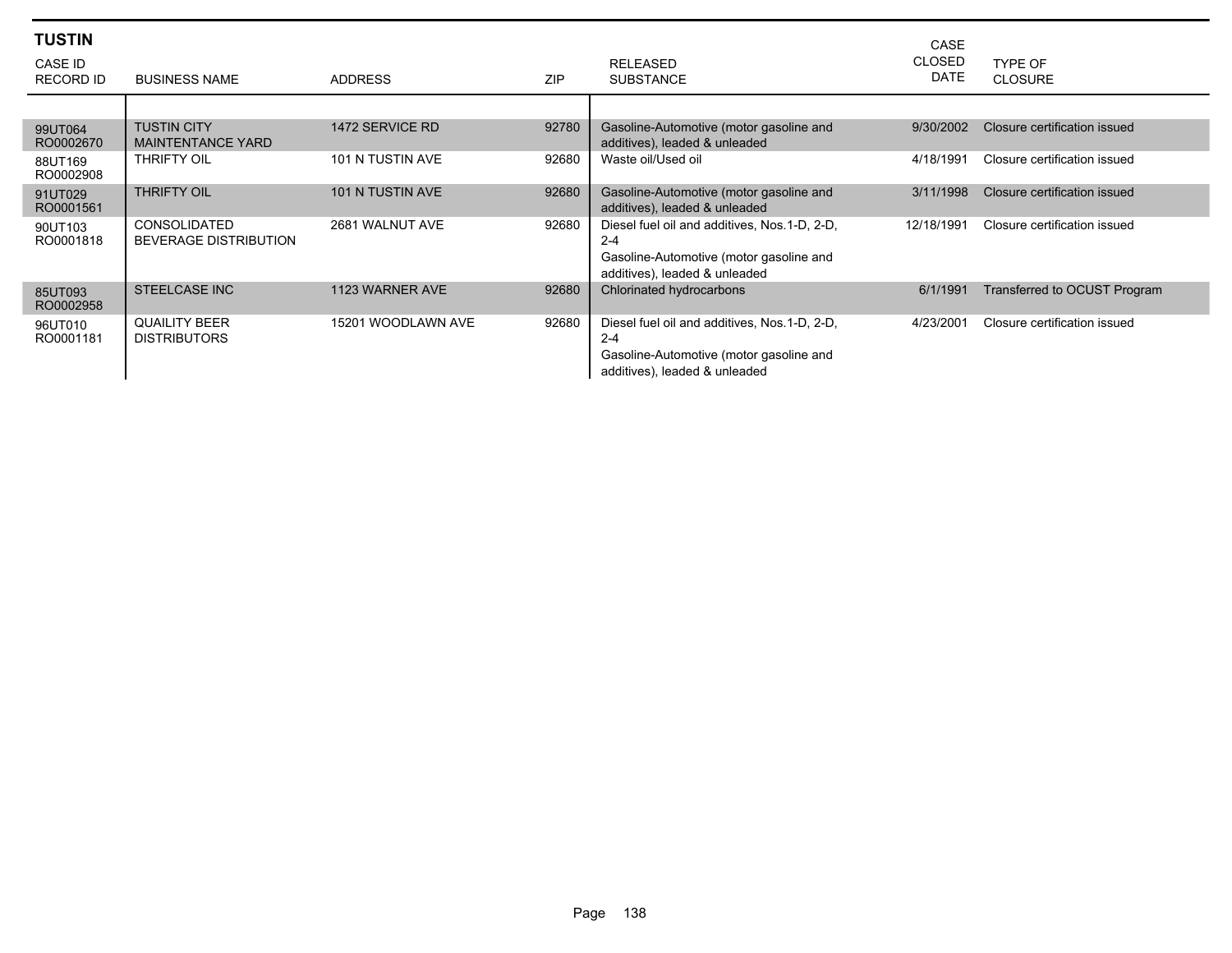| <b>TUSTIN</b><br><b>CASE ID</b><br>RECORD ID | <b>BUSINESS NAME</b>                                | <b>ADDRESS</b>     | <b>ZIP</b> | <b>RELEASED</b><br><b>SUBSTANCE</b>                                                                                                 | CASE<br><b>CLOSED</b><br><b>DATE</b> | TYPE OF<br><b>CLOSURE</b>    |
|----------------------------------------------|-----------------------------------------------------|--------------------|------------|-------------------------------------------------------------------------------------------------------------------------------------|--------------------------------------|------------------------------|
|                                              |                                                     |                    |            |                                                                                                                                     |                                      |                              |
| 99UT064<br>RO0002670                         | <b>TUSTIN CITY</b><br><b>MAINTENTANCE YARD</b>      | 1472 SERVICE RD    | 92780      | Gasoline-Automotive (motor gasoline and<br>additives), leaded & unleaded                                                            | 9/30/2002                            | Closure certification issued |
| 88UT169<br>RO0002908                         | THRIFTY OIL                                         | 101 N TUSTIN AVE   | 92680      | Waste oil/Used oil                                                                                                                  | 4/18/1991                            | Closure certification issued |
| 91UT029<br>RO0001561                         | <b>THRIFTY OIL</b>                                  | 101 N TUSTIN AVE   | 92680      | Gasoline-Automotive (motor gasoline and<br>additives), leaded & unleaded                                                            | 3/11/1998                            | Closure certification issued |
| 90UT103<br>RO0001818                         | <b>CONSOLIDATED</b><br><b>BEVERAGE DISTRIBUTION</b> | 2681 WALNUT AVE    | 92680      | Diesel fuel oil and additives, Nos.1-D, 2-D,<br>$2 - 4$<br>Gasoline-Automotive (motor gasoline and<br>additives), leaded & unleaded | 12/18/1991                           | Closure certification issued |
| 85UT093<br>RO0002958                         | <b>STEELCASE INC</b>                                | 1123 WARNER AVE    | 92680      | Chlorinated hydrocarbons                                                                                                            | 6/1/1991                             | Transferred to OCUST Program |
| 96UT010<br>RO0001181                         | <b>QUAILITY BEER</b><br><b>DISTRIBUTORS</b>         | 15201 WOODLAWN AVE | 92680      | Diesel fuel oil and additives, Nos.1-D, 2-D,<br>$2 - 4$<br>Gasoline-Automotive (motor gasoline and<br>additives), leaded & unleaded | 4/23/2001                            | Closure certification issued |

٠

٠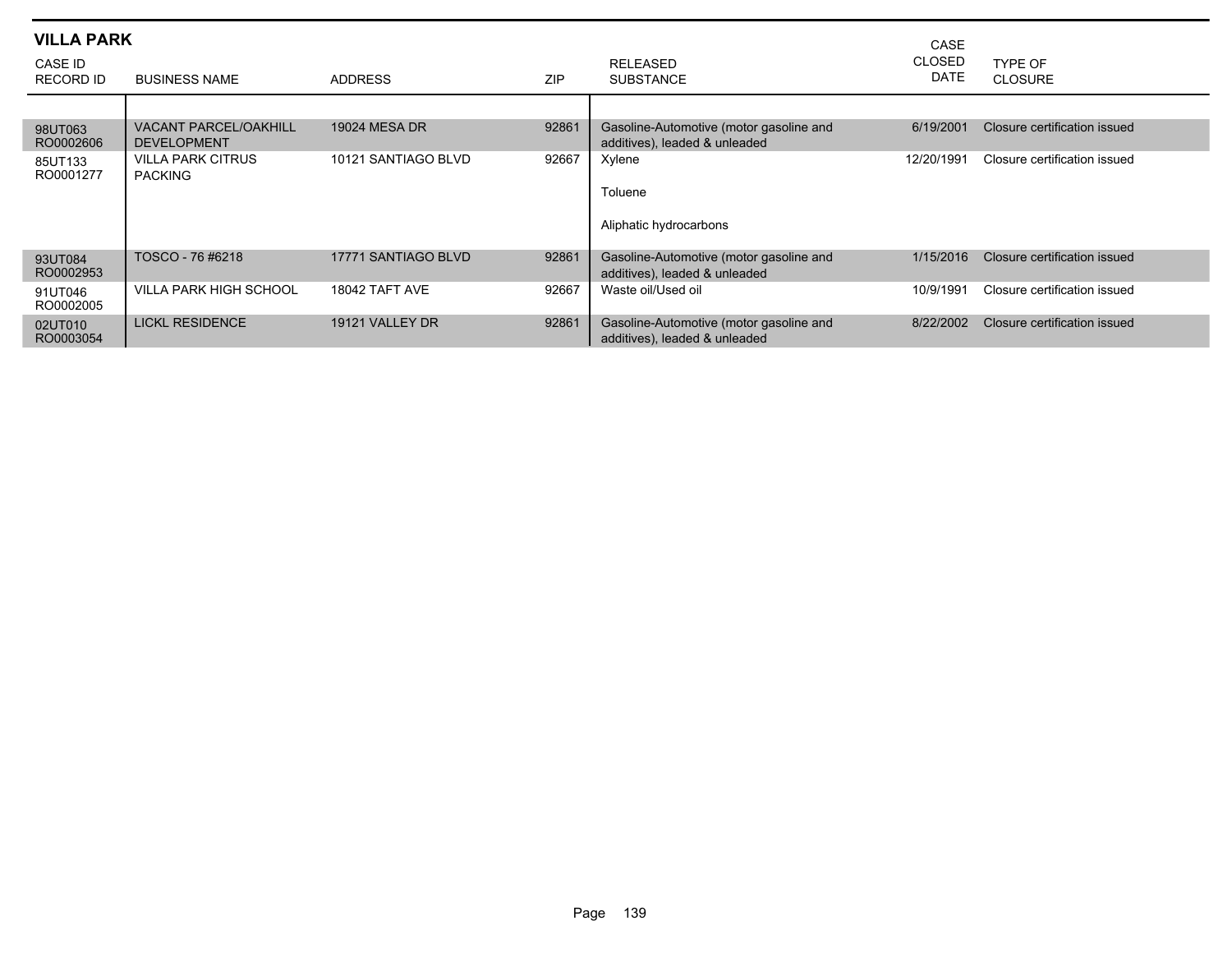| <b>VILLA PARK</b>           |                                                    |                      |            |                                                                          | CASE                         |                              |
|-----------------------------|----------------------------------------------------|----------------------|------------|--------------------------------------------------------------------------|------------------------------|------------------------------|
| CASE ID<br><b>RECORD ID</b> | <b>BUSINESS NAME</b>                               | <b>ADDRESS</b>       | <b>ZIP</b> | <b>RELEASED</b><br><b>SUBSTANCE</b>                                      | <b>CLOSED</b><br><b>DATE</b> | TYPE OF<br><b>CLOSURE</b>    |
|                             |                                                    |                      |            |                                                                          |                              |                              |
| 98UT063<br>RO0002606        | <b>VACANT PARCEL/OAKHILL</b><br><b>DEVELOPMENT</b> | <b>19024 MESA DR</b> | 92861      | Gasoline-Automotive (motor gasoline and<br>additives), leaded & unleaded | 6/19/2001                    | Closure certification issued |
| 85UT133<br>RO0001277        | <b>VILLA PARK CITRUS</b><br><b>PACKING</b>         | 10121 SANTIAGO BLVD  | 92667      | Xylene<br>Toluene<br>Aliphatic hydrocarbons                              | 12/20/1991                   | Closure certification issued |
| 93UT084<br>RO0002953        | TOSCO - 76 #6218                                   | 17771 SANTIAGO BLVD  | 92861      | Gasoline-Automotive (motor gasoline and<br>additives), leaded & unleaded | 1/15/2016                    | Closure certification issued |
| 91UT046<br>RO0002005        | <b>VILLA PARK HIGH SCHOOL</b>                      | 18042 TAFT AVE       | 92667      | Waste oil/Used oil                                                       | 10/9/1991                    | Closure certification issued |
| 02UT010<br>RO0003054        | <b>LICKL RESIDENCE</b>                             | 19121 VALLEY DR      | 92861      | Gasoline-Automotive (motor gasoline and<br>additives), leaded & unleaded | 8/22/2002                    | Closure certification issued |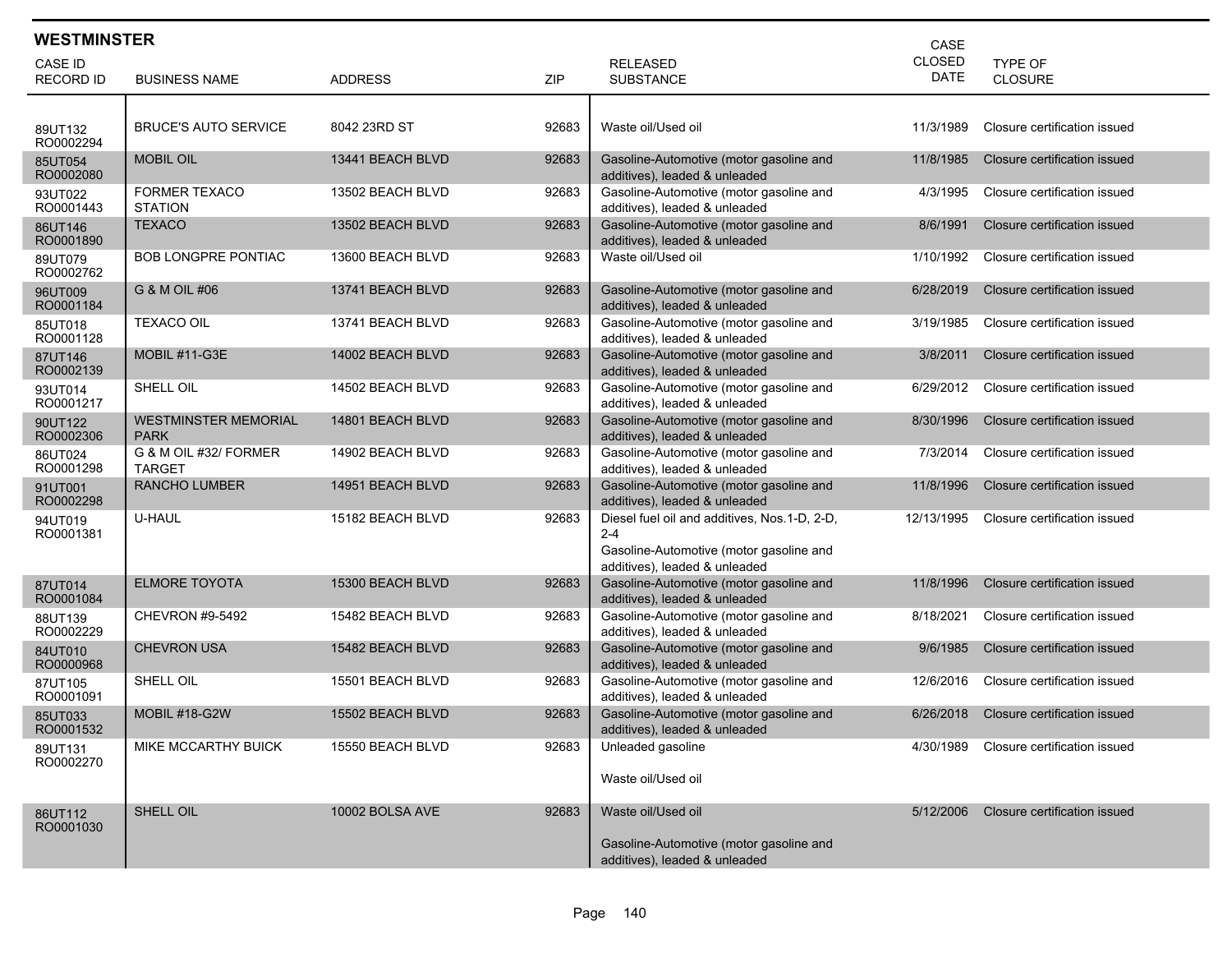| <b>WESTMINSTER</b>   |                                            |                  |       |                                                                                                                                     | CASE                  |                              |
|----------------------|--------------------------------------------|------------------|-------|-------------------------------------------------------------------------------------------------------------------------------------|-----------------------|------------------------------|
| CASE ID              |                                            |                  |       | <b>RELEASED</b>                                                                                                                     | CLOSED<br><b>DATE</b> | <b>TYPE OF</b>               |
| <b>RECORD ID</b>     | <b>BUSINESS NAME</b>                       | <b>ADDRESS</b>   | ZIP   | <b>SUBSTANCE</b>                                                                                                                    |                       | <b>CLOSURE</b>               |
| 89UT132<br>RO0002294 | <b>BRUCE'S AUTO SERVICE</b>                | 8042 23RD ST     | 92683 | Waste oil/Used oil                                                                                                                  | 11/3/1989             | Closure certification issued |
| 85UT054<br>RO0002080 | <b>MOBIL OIL</b>                           | 13441 BEACH BLVD | 92683 | Gasoline-Automotive (motor gasoline and<br>additives), leaded & unleaded                                                            | 11/8/1985             | Closure certification issued |
| 93UT022<br>RO0001443 | <b>FORMER TEXACO</b><br><b>STATION</b>     | 13502 BEACH BLVD | 92683 | Gasoline-Automotive (motor gasoline and<br>additives), leaded & unleaded                                                            | 4/3/1995              | Closure certification issued |
| 86UT146<br>RO0001890 | <b>TEXACO</b>                              | 13502 BEACH BLVD | 92683 | Gasoline-Automotive (motor gasoline and<br>additives), leaded & unleaded                                                            | 8/6/1991              | Closure certification issued |
| 89UT079<br>RO0002762 | BOB LONGPRE PONTIAC                        | 13600 BEACH BLVD | 92683 | Waste oil/Used oil                                                                                                                  | 1/10/1992             | Closure certification issued |
| 96UT009<br>RO0001184 | G & M OIL #06                              | 13741 BEACH BLVD | 92683 | Gasoline-Automotive (motor gasoline and<br>additives), leaded & unleaded                                                            | 6/28/2019             | Closure certification issued |
| 85UT018<br>RO0001128 | <b>TEXACO OIL</b>                          | 13741 BEACH BLVD | 92683 | Gasoline-Automotive (motor gasoline and<br>additives), leaded & unleaded                                                            | 3/19/1985             | Closure certification issued |
| 87UT146<br>RO0002139 | MOBIL #11-G3E                              | 14002 BEACH BLVD | 92683 | Gasoline-Automotive (motor gasoline and<br>additives), leaded & unleaded                                                            | 3/8/2011              | Closure certification issued |
| 93UT014<br>RO0001217 | SHELL OIL                                  | 14502 BEACH BLVD | 92683 | Gasoline-Automotive (motor gasoline and<br>additives), leaded & unleaded                                                            | 6/29/2012             | Closure certification issued |
| 90UT122<br>RO0002306 | <b>WESTMINSTER MEMORIAL</b><br><b>PARK</b> | 14801 BEACH BLVD | 92683 | Gasoline-Automotive (motor gasoline and<br>additives), leaded & unleaded                                                            | 8/30/1996             | Closure certification issued |
| 86UT024<br>RO0001298 | G & M OIL #32/ FORMER<br><b>TARGET</b>     | 14902 BEACH BLVD | 92683 | Gasoline-Automotive (motor gasoline and<br>additives), leaded & unleaded                                                            | 7/3/2014              | Closure certification issued |
| 91UT001<br>RO0002298 | <b>RANCHO LUMBER</b>                       | 14951 BEACH BLVD | 92683 | Gasoline-Automotive (motor gasoline and<br>additives), leaded & unleaded                                                            | 11/8/1996             | Closure certification issued |
| 94UT019<br>RO0001381 | U-HAUL                                     | 15182 BEACH BLVD | 92683 | Diesel fuel oil and additives, Nos.1-D, 2-D,<br>$2 - 4$<br>Gasoline-Automotive (motor gasoline and<br>additives), leaded & unleaded | 12/13/1995            | Closure certification issued |
| 87UT014<br>RO0001084 | <b>ELMORE TOYOTA</b>                       | 15300 BEACH BLVD | 92683 | Gasoline-Automotive (motor gasoline and<br>additives), leaded & unleaded                                                            | 11/8/1996             | Closure certification issued |
| 88UT139<br>RO0002229 | CHEVRON #9-5492                            | 15482 BEACH BLVD | 92683 | Gasoline-Automotive (motor gasoline and<br>additives), leaded & unleaded                                                            | 8/18/2021             | Closure certification issued |
| 84UT010<br>RO0000968 | <b>CHEVRON USA</b>                         | 15482 BEACH BLVD | 92683 | Gasoline-Automotive (motor gasoline and<br>additives), leaded & unleaded                                                            | 9/6/1985              | Closure certification issued |
| 87UT105<br>RO0001091 | SHELL OIL                                  | 15501 BEACH BLVD | 92683 | Gasoline-Automotive (motor gasoline and<br>additives), leaded & unleaded                                                            | 12/6/2016             | Closure certification issued |
| 85UT033<br>RO0001532 | MOBIL #18-G2W                              | 15502 BEACH BLVD | 92683 | Gasoline-Automotive (motor gasoline and<br>additives), leaded & unleaded                                                            | 6/26/2018             | Closure certification issued |
| 89UT131<br>RO0002270 | MIKE MCCARTHY BUICK                        | 15550 BEACH BLVD | 92683 | Unleaded gasoline<br>Waste oil/Used oil                                                                                             | 4/30/1989             | Closure certification issued |
| 86UT112<br>RO0001030 | SHELL OIL                                  | 10002 BOLSA AVE  | 92683 | Waste oil/Used oil<br>Gasoline-Automotive (motor gasoline and<br>additives), leaded & unleaded                                      | 5/12/2006             | Closure certification issued |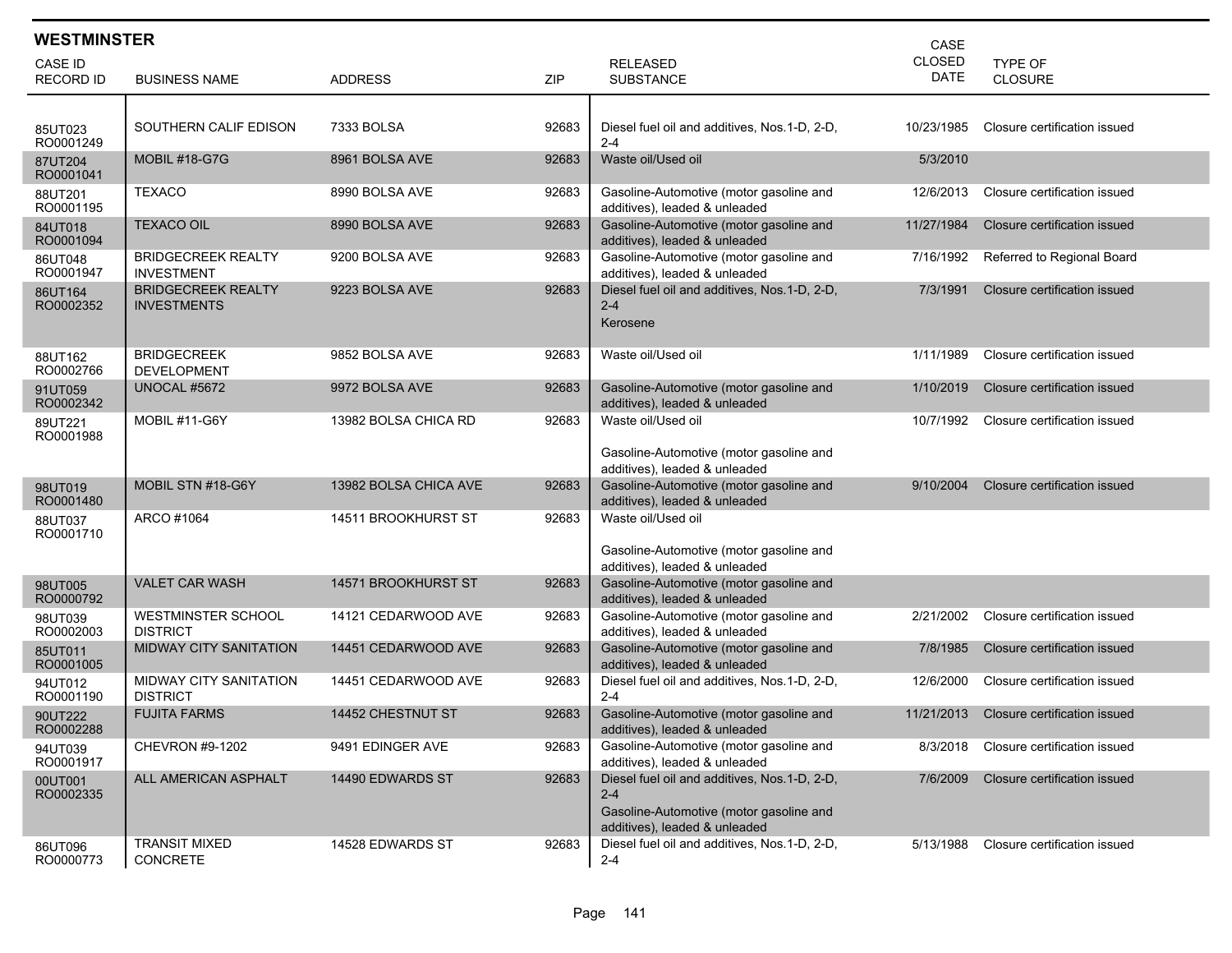| <b>WESTMINSTER</b><br>CASE  |                                                  |                       |            |                                                                                                                                     |                              |                              |  |
|-----------------------------|--------------------------------------------------|-----------------------|------------|-------------------------------------------------------------------------------------------------------------------------------------|------------------------------|------------------------------|--|
| CASE ID<br><b>RECORD ID</b> | <b>BUSINESS NAME</b>                             | <b>ADDRESS</b>        | <b>ZIP</b> | <b>RELEASED</b><br><b>SUBSTANCE</b>                                                                                                 | <b>CLOSED</b><br><b>DATE</b> | TYPE OF<br><b>CLOSURE</b>    |  |
|                             |                                                  |                       |            |                                                                                                                                     |                              |                              |  |
| 85UT023<br>RO0001249        | SOUTHERN CALIF EDISON                            | 7333 BOLSA            | 92683      | Diesel fuel oil and additives, Nos.1-D, 2-D,<br>$2 - 4$                                                                             | 10/23/1985                   | Closure certification issued |  |
| 87UT204<br>RO0001041        | <b>MOBIL #18-G7G</b>                             | 8961 BOLSA AVE        | 92683      | Waste oil/Used oil                                                                                                                  | 5/3/2010                     |                              |  |
| 88UT201<br>RO0001195        | <b>TEXACO</b>                                    | 8990 BOLSA AVE        | 92683      | Gasoline-Automotive (motor gasoline and<br>additives), leaded & unleaded                                                            | 12/6/2013                    | Closure certification issued |  |
| 84UT018<br>RO0001094        | <b>TEXACO OIL</b>                                | 8990 BOLSA AVE        | 92683      | Gasoline-Automotive (motor gasoline and<br>additives), leaded & unleaded                                                            | 11/27/1984                   | Closure certification issued |  |
| 86UT048<br>RO0001947        | <b>BRIDGECREEK REALTY</b><br><b>INVESTMENT</b>   | 9200 BOLSA AVE        | 92683      | Gasoline-Automotive (motor gasoline and<br>additives), leaded & unleaded                                                            | 7/16/1992                    | Referred to Regional Board   |  |
| 86UT164<br>RO0002352        | <b>BRIDGECREEK REALTY</b><br><b>INVESTMENTS</b>  | 9223 BOLSA AVE        | 92683      | Diesel fuel oil and additives, Nos.1-D, 2-D,<br>$2 - 4$<br>Kerosene                                                                 | 7/3/1991                     | Closure certification issued |  |
| 88UT162<br>RO0002766        | <b>BRIDGECREEK</b><br><b>DEVELOPMENT</b>         | 9852 BOLSA AVE        | 92683      | Waste oil/Used oil                                                                                                                  | 1/11/1989                    | Closure certification issued |  |
| 91UT059<br>RO0002342        | <b>UNOCAL #5672</b>                              | 9972 BOLSA AVE        | 92683      | Gasoline-Automotive (motor gasoline and<br>additives), leaded & unleaded                                                            | 1/10/2019                    | Closure certification issued |  |
| 89UT221<br>RO0001988        | MOBIL #11-G6Y                                    | 13982 BOLSA CHICA RD  | 92683      | Waste oil/Used oil<br>Gasoline-Automotive (motor gasoline and<br>additives), leaded & unleaded                                      | 10/7/1992                    | Closure certification issued |  |
| 98UT019<br>RO0001480        | MOBIL STN #18-G6Y                                | 13982 BOLSA CHICA AVE | 92683      | Gasoline-Automotive (motor gasoline and<br>additives), leaded & unleaded                                                            | 9/10/2004                    | Closure certification issued |  |
| 88UT037<br>RO0001710        | ARCO #1064                                       | 14511 BROOKHURST ST   | 92683      | Waste oil/Used oil<br>Gasoline-Automotive (motor gasoline and<br>additives), leaded & unleaded                                      |                              |                              |  |
| 98UT005<br>RO0000792        | <b>VALET CAR WASH</b>                            | 14571 BROOKHURST ST   | 92683      | Gasoline-Automotive (motor gasoline and<br>additives), leaded & unleaded                                                            |                              |                              |  |
| 98UT039<br>RO0002003        | <b>WESTMINSTER SCHOOL</b><br><b>DISTRICT</b>     | 14121 CEDARWOOD AVE   | 92683      | Gasoline-Automotive (motor gasoline and<br>additives), leaded & unleaded                                                            | 2/21/2002                    | Closure certification issued |  |
| 85UT011<br>RO0001005        | <b>MIDWAY CITY SANITATION</b>                    | 14451 CEDARWOOD AVE   | 92683      | Gasoline-Automotive (motor gasoline and<br>additives), leaded & unleaded                                                            | 7/8/1985                     | Closure certification issued |  |
| 94UT012<br>RO0001190        | <b>MIDWAY CITY SANITATION</b><br><b>DISTRICT</b> | 14451 CEDARWOOD AVE   | 92683      | Diesel fuel oil and additives, Nos.1-D, 2-D,<br>$2 - 4$                                                                             | 12/6/2000                    | Closure certification issued |  |
| 90UT222<br>RO0002288        | <b>FUJITA FARMS</b>                              | 14452 CHESTNUT ST     | 92683      | Gasoline-Automotive (motor gasoline and<br>additives), leaded & unleaded                                                            | 11/21/2013                   | Closure certification issued |  |
| 94UT039<br>RO0001917        | CHEVRON #9-1202                                  | 9491 EDINGER AVE      | 92683      | Gasoline-Automotive (motor gasoline and<br>additives), leaded & unleaded                                                            | 8/3/2018                     | Closure certification issued |  |
| 00UT001<br>RO0002335        | ALL AMERICAN ASPHALT                             | 14490 EDWARDS ST      | 92683      | Diesel fuel oil and additives, Nos.1-D, 2-D,<br>$2 - 4$<br>Gasoline-Automotive (motor gasoline and<br>additives), leaded & unleaded | 7/6/2009                     | Closure certification issued |  |
| 86UT096<br>RO0000773        | <b>TRANSIT MIXED</b><br>CONCRETE                 | 14528 EDWARDS ST      | 92683      | Diesel fuel oil and additives, Nos.1-D, 2-D,<br>$2 - 4$                                                                             | 5/13/1988                    | Closure certification issued |  |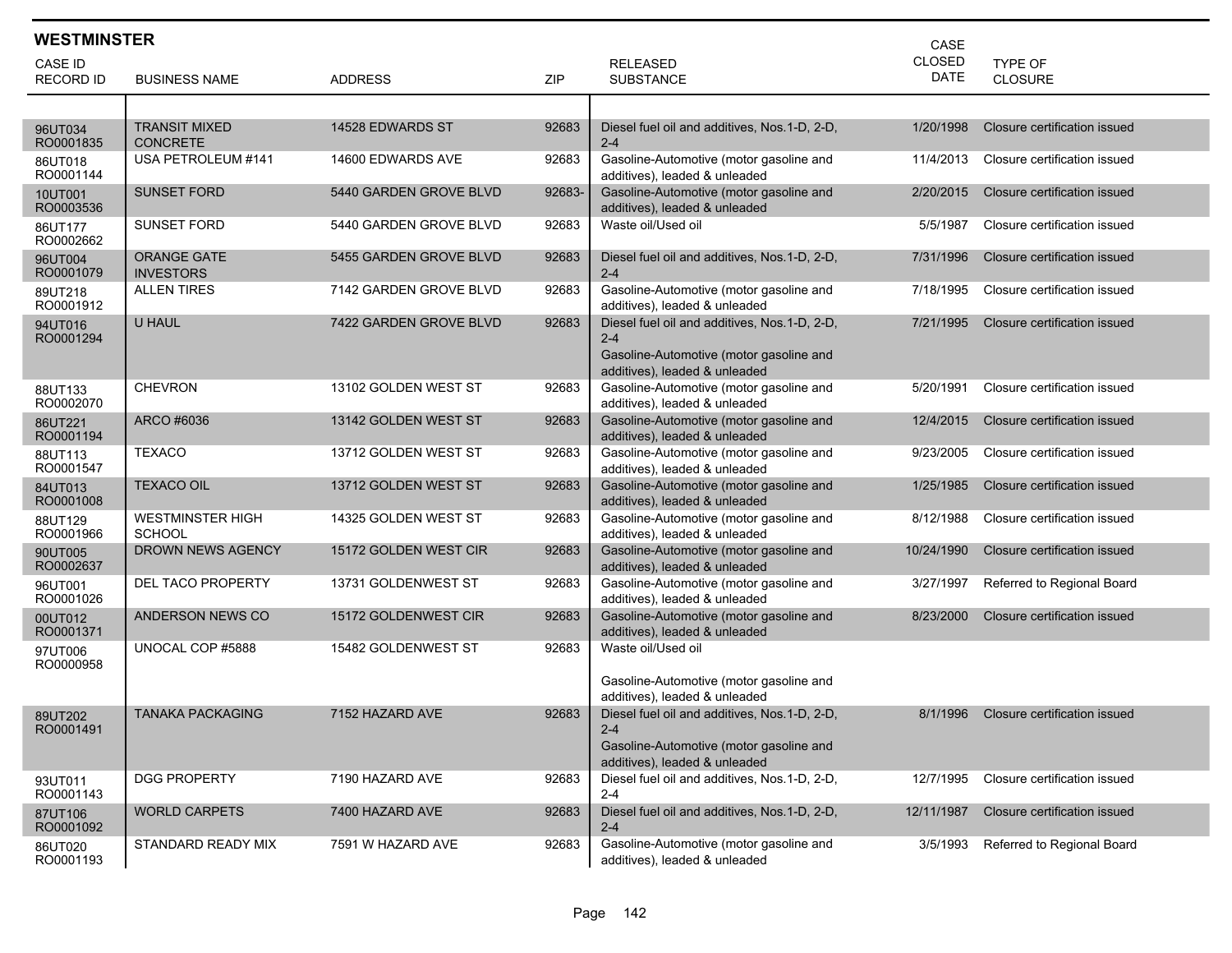| <b>WESTMINSTER</b>   |                                          |                        |        |                                                                                                                                     | CASE          |                              |
|----------------------|------------------------------------------|------------------------|--------|-------------------------------------------------------------------------------------------------------------------------------------|---------------|------------------------------|
| <b>CASE ID</b>       |                                          |                        |        | <b>RELEASED</b>                                                                                                                     | <b>CLOSED</b> | <b>TYPE OF</b>               |
| <b>RECORD ID</b>     | <b>BUSINESS NAME</b>                     | <b>ADDRESS</b>         | ZIP    | <b>SUBSTANCE</b>                                                                                                                    | DATE          | <b>CLOSURE</b>               |
|                      |                                          |                        |        |                                                                                                                                     |               |                              |
| 96UT034<br>RO0001835 | TRANSIT MIXED<br><b>CONCRETE</b>         | 14528 EDWARDS ST       | 92683  | Diesel fuel oil and additives, Nos.1-D, 2-D,<br>$2 - 4$                                                                             | 1/20/1998     | Closure certification issued |
| 86UT018<br>RO0001144 | USA PETROLEUM #141                       | 14600 EDWARDS AVE      | 92683  | Gasoline-Automotive (motor gasoline and<br>additives), leaded & unleaded                                                            | 11/4/2013     | Closure certification issued |
| 10UT001<br>RO0003536 | <b>SUNSET FORD</b>                       | 5440 GARDEN GROVE BLVD | 92683- | Gasoline-Automotive (motor gasoline and<br>additives), leaded & unleaded                                                            | 2/20/2015     | Closure certification issued |
| 86UT177<br>RO0002662 | SUNSET FORD                              | 5440 GARDEN GROVE BLVD | 92683  | Waste oil/Used oil                                                                                                                  | 5/5/1987      | Closure certification issued |
| 96UT004<br>RO0001079 | <b>ORANGE GATE</b><br><b>INVESTORS</b>   | 5455 GARDEN GROVE BLVD | 92683  | Diesel fuel oil and additives, Nos. 1-D, 2-D,<br>$2 - 4$                                                                            | 7/31/1996     | Closure certification issued |
| 89UT218<br>RO0001912 | <b>ALLEN TIRES</b>                       | 7142 GARDEN GROVE BLVD | 92683  | Gasoline-Automotive (motor gasoline and<br>additives), leaded & unleaded                                                            | 7/18/1995     | Closure certification issued |
| 94UT016<br>RO0001294 | U HAUL                                   | 7422 GARDEN GROVE BLVD | 92683  | Diesel fuel oil and additives, Nos.1-D, 2-D,<br>$2 - 4$<br>Gasoline-Automotive (motor gasoline and<br>additives), leaded & unleaded | 7/21/1995     | Closure certification issued |
| 88UT133<br>RO0002070 | <b>CHEVRON</b>                           | 13102 GOLDEN WEST ST   | 92683  | Gasoline-Automotive (motor gasoline and<br>additives), leaded & unleaded                                                            | 5/20/1991     | Closure certification issued |
| 86UT221<br>RO0001194 | ARCO #6036                               | 13142 GOLDEN WEST ST   | 92683  | Gasoline-Automotive (motor gasoline and<br>additives), leaded & unleaded                                                            | 12/4/2015     | Closure certification issued |
| 88UT113<br>RO0001547 | <b>TEXACO</b>                            | 13712 GOLDEN WEST ST   | 92683  | Gasoline-Automotive (motor gasoline and<br>additives), leaded & unleaded                                                            | 9/23/2005     | Closure certification issued |
| 84UT013<br>RO0001008 | <b>TEXACO OIL</b>                        | 13712 GOLDEN WEST ST   | 92683  | Gasoline-Automotive (motor gasoline and<br>additives), leaded & unleaded                                                            | 1/25/1985     | Closure certification issued |
| 88UT129<br>RO0001966 | <b>WESTMINSTER HIGH</b><br><b>SCHOOL</b> | 14325 GOLDEN WEST ST   | 92683  | Gasoline-Automotive (motor gasoline and<br>additives), leaded & unleaded                                                            | 8/12/1988     | Closure certification issued |
| 90UT005<br>RO0002637 | <b>DROWN NEWS AGENCY</b>                 | 15172 GOLDEN WEST CIR  | 92683  | Gasoline-Automotive (motor gasoline and<br>additives), leaded & unleaded                                                            | 10/24/1990    | Closure certification issued |
| 96UT001<br>RO0001026 | DEL TACO PROPERTY                        | 13731 GOLDENWEST ST    | 92683  | Gasoline-Automotive (motor gasoline and<br>additives), leaded & unleaded                                                            | 3/27/1997     | Referred to Regional Board   |
| 00UT012<br>RO0001371 | ANDERSON NEWS CO                         | 15172 GOLDENWEST CIR   | 92683  | Gasoline-Automotive (motor gasoline and<br>additives), leaded & unleaded                                                            | 8/23/2000     | Closure certification issued |
| 97UT006<br>RO0000958 | UNOCAL COP #5888                         | 15482 GOLDENWEST ST    | 92683  | Waste oil/Used oil<br>Gasoline-Automotive (motor gasoline and                                                                       |               |                              |
|                      |                                          |                        |        | additives), leaded & unleaded                                                                                                       |               |                              |
| 89UT202<br>RO0001491 | TANAKA PACKAGING                         | 7152 HAZARD AVE        | 92683  | Diesel fuel oil and additives, Nos.1-D, 2-D,<br>$2 - 4$<br>Gasoline-Automotive (motor gasoline and<br>additives), leaded & unleaded | 8/1/1996      | Closure certification issued |
| 93UT011<br>RO0001143 | <b>DGG PROPERTY</b>                      | 7190 HAZARD AVE        | 92683  | Diesel fuel oil and additives, Nos.1-D, 2-D,<br>$2 - 4$                                                                             | 12/7/1995     | Closure certification issued |
| 87UT106<br>RO0001092 | <b>WORLD CARPETS</b>                     | 7400 HAZARD AVE        | 92683  | Diesel fuel oil and additives, Nos.1-D, 2-D,<br>$2 - 4$                                                                             | 12/11/1987    | Closure certification issued |
| 86UT020<br>RO0001193 | STANDARD READY MIX                       | 7591 W HAZARD AVE      | 92683  | Gasoline-Automotive (motor gasoline and<br>additives), leaded & unleaded                                                            | 3/5/1993      | Referred to Regional Board   |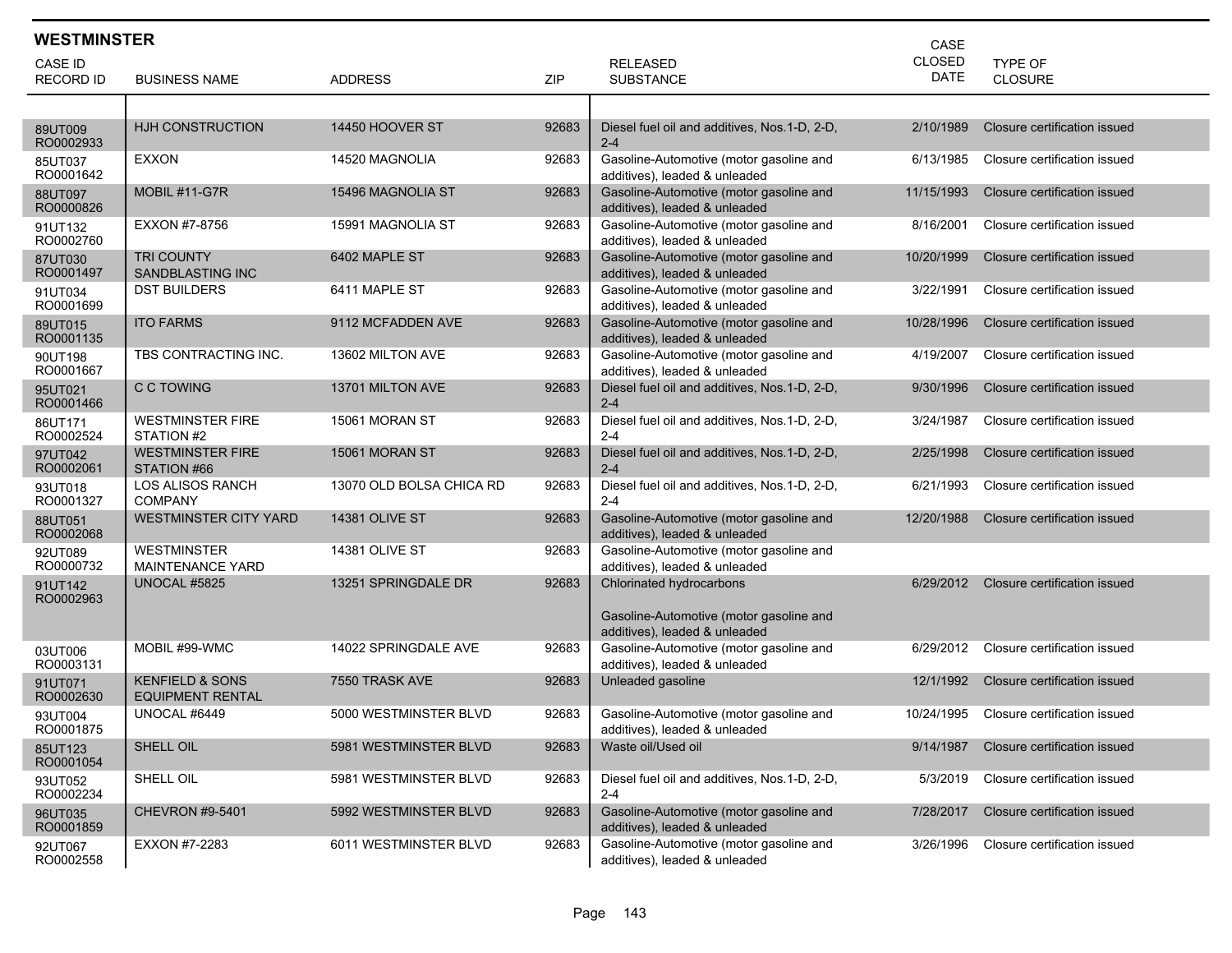| <b>WESTMINSTER</b><br>CASE |                                                       |                          |            |                                                                          |               |                              |  |  |
|----------------------------|-------------------------------------------------------|--------------------------|------------|--------------------------------------------------------------------------|---------------|------------------------------|--|--|
| <b>CASE ID</b>             |                                                       |                          |            | <b>RELEASED</b>                                                          | <b>CLOSED</b> | <b>TYPE OF</b>               |  |  |
| <b>RECORD ID</b>           | <b>BUSINESS NAME</b>                                  | <b>ADDRESS</b>           | <b>ZIP</b> | <b>SUBSTANCE</b>                                                         | <b>DATE</b>   | <b>CLOSURE</b>               |  |  |
|                            |                                                       |                          |            |                                                                          |               |                              |  |  |
| 89UT009<br>RO0002933       | HJH CONSTRUCTION                                      | 14450 HOOVER ST          | 92683      | Diesel fuel oil and additives, Nos. 1-D, 2-D,<br>$2 - 4$                 | 2/10/1989     | Closure certification issued |  |  |
| 85UT037<br>RO0001642       | EXXON                                                 | 14520 MAGNOLIA           | 92683      | Gasoline-Automotive (motor gasoline and<br>additives), leaded & unleaded | 6/13/1985     | Closure certification issued |  |  |
| 88UT097<br>RO0000826       | MOBIL #11-G7R                                         | 15496 MAGNOLIA ST        | 92683      | Gasoline-Automotive (motor gasoline and<br>additives), leaded & unleaded | 11/15/1993    | Closure certification issued |  |  |
| 91UT132<br>RO0002760       | EXXON #7-8756                                         | 15991 MAGNOLIA ST        | 92683      | Gasoline-Automotive (motor gasoline and<br>additives), leaded & unleaded | 8/16/2001     | Closure certification issued |  |  |
| 87UT030<br>RO0001497       | <b>TRI COUNTY</b><br>SANDBLASTING INC                 | 6402 MAPLE ST            | 92683      | Gasoline-Automotive (motor gasoline and<br>additives), leaded & unleaded | 10/20/1999    | Closure certification issued |  |  |
| 91UT034<br>RO0001699       | <b>DST BUILDERS</b>                                   | 6411 MAPLE ST            | 92683      | Gasoline-Automotive (motor gasoline and<br>additives), leaded & unleaded | 3/22/1991     | Closure certification issued |  |  |
| 89UT015<br>RO0001135       | <b>ITO FARMS</b>                                      | 9112 MCFADDEN AVE        | 92683      | Gasoline-Automotive (motor gasoline and<br>additives), leaded & unleaded | 10/28/1996    | Closure certification issued |  |  |
| 90UT198<br>RO0001667       | TBS CONTRACTING INC.                                  | 13602 MILTON AVE         | 92683      | Gasoline-Automotive (motor gasoline and<br>additives), leaded & unleaded | 4/19/2007     | Closure certification issued |  |  |
| 95UT021<br>RO0001466       | C C TOWING                                            | 13701 MILTON AVE         | 92683      | Diesel fuel oil and additives, Nos.1-D, 2-D,<br>$2 - 4$                  | 9/30/1996     | Closure certification issued |  |  |
| 86UT171<br>RO0002524       | <b>WESTMINSTER FIRE</b><br>STATION #2                 | 15061 MORAN ST           | 92683      | Diesel fuel oil and additives, Nos.1-D, 2-D,<br>$2 - 4$                  | 3/24/1987     | Closure certification issued |  |  |
| 97UT042<br>RO0002061       | <b>WESTMINSTER FIRE</b><br>STATION #66                | 15061 MORAN ST           | 92683      | Diesel fuel oil and additives, Nos.1-D, 2-D,<br>$2 - 4$                  | 2/25/1998     | Closure certification issued |  |  |
| 93UT018<br>RO0001327       | <b>LOS ALISOS RANCH</b><br><b>COMPANY</b>             | 13070 OLD BOLSA CHICA RD | 92683      | Diesel fuel oil and additives, Nos.1-D, 2-D,<br>$2 - 4$                  | 6/21/1993     | Closure certification issued |  |  |
| 88UT051<br>RO0002068       | <b>WESTMINSTER CITY YARD</b>                          | <b>14381 OLIVE ST</b>    | 92683      | Gasoline-Automotive (motor gasoline and<br>additives), leaded & unleaded | 12/20/1988    | Closure certification issued |  |  |
| 92UT089<br>RO0000732       | <b>WESTMINSTER</b><br><b>MAINTENANCE YARD</b>         | 14381 OLIVE ST           | 92683      | Gasoline-Automotive (motor gasoline and<br>additives), leaded & unleaded |               |                              |  |  |
| 91UT142<br>RO0002963       | <b>UNOCAL #5825</b>                                   | 13251 SPRINGDALE DR      | 92683      | Chlorinated hydrocarbons                                                 | 6/29/2012     | Closure certification issued |  |  |
|                            |                                                       |                          |            | Gasoline-Automotive (motor gasoline and<br>additives), leaded & unleaded |               |                              |  |  |
| 03UT006<br>RO0003131       | MOBIL #99-WMC                                         | 14022 SPRINGDALE AVE     | 92683      | Gasoline-Automotive (motor gasoline and<br>additives), leaded & unleaded | 6/29/2012     | Closure certification issued |  |  |
| 91UT071<br>RO0002630       | <b>KENFIELD &amp; SONS</b><br><b>EQUIPMENT RENTAL</b> | 7550 TRASK AVE           | 92683      | Unleaded gasoline                                                        | 12/1/1992     | Closure certification issued |  |  |
| 93UT004<br>RO0001875       | UNOCAL #6449                                          | 5000 WESTMINSTER BLVD    | 92683      | Gasoline-Automotive (motor gasoline and<br>additives), leaded & unleaded | 10/24/1995    | Closure certification issued |  |  |
| 85UT123<br>RO0001054       | SHELL OIL                                             | 5981 WESTMINSTER BLVD    | 92683      | Waste oil/Used oil                                                       | 9/14/1987     | Closure certification issued |  |  |
| 93UT052<br>RO0002234       | SHELL OIL                                             | 5981 WESTMINSTER BLVD    | 92683      | Diesel fuel oil and additives, Nos.1-D, 2-D,<br>$2 - 4$                  | 5/3/2019      | Closure certification issued |  |  |
| 96UT035<br>RO0001859       | <b>CHEVRON #9-5401</b>                                | 5992 WESTMINSTER BLVD    | 92683      | Gasoline-Automotive (motor gasoline and<br>additives), leaded & unleaded | 7/28/2017     | Closure certification issued |  |  |
| 92UT067<br>RO0002558       | EXXON #7-2283                                         | 6011 WESTMINSTER BLVD    | 92683      | Gasoline-Automotive (motor gasoline and<br>additives), leaded & unleaded | 3/26/1996     | Closure certification issued |  |  |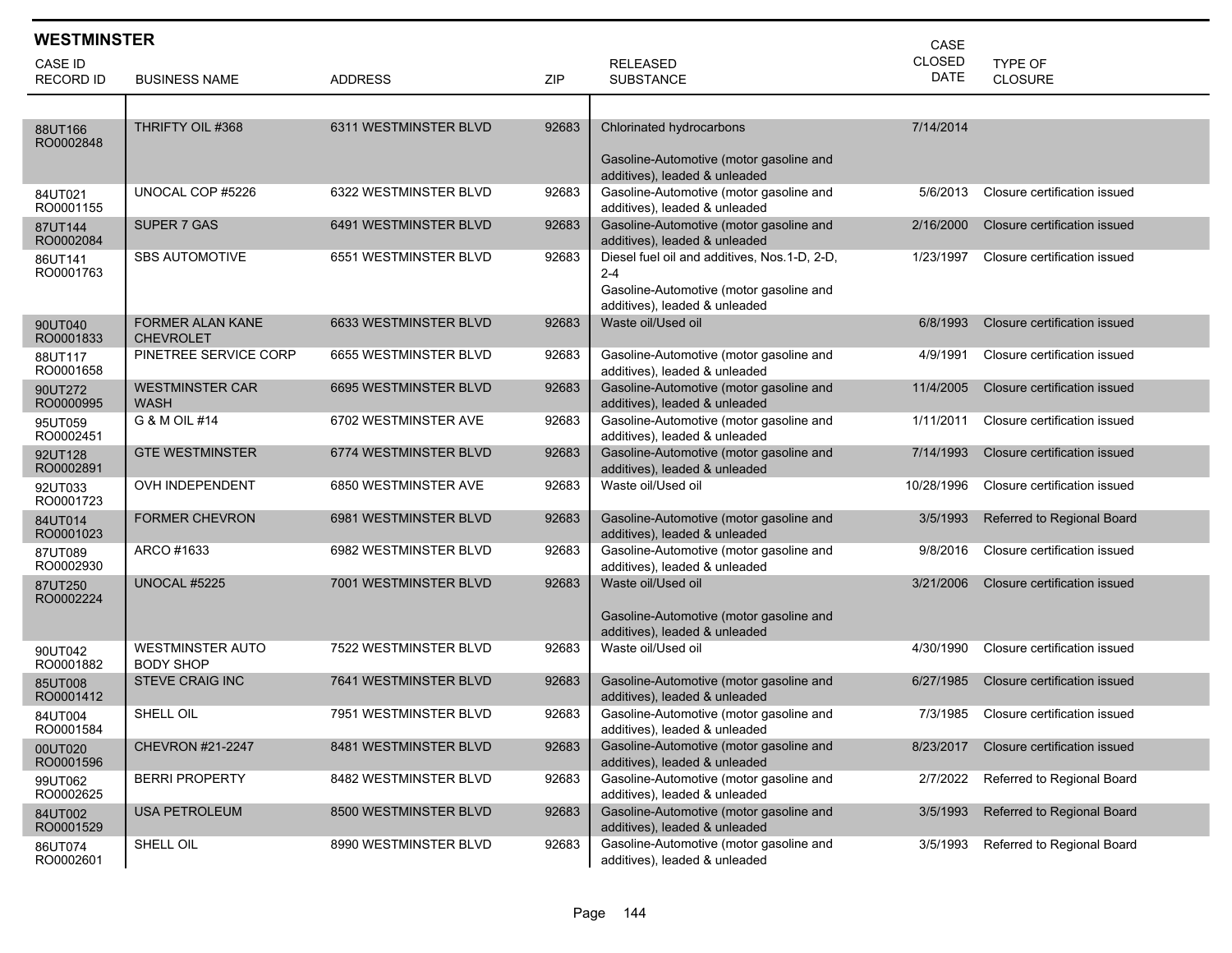| <b>WESTMINSTER</b>          |                                             |                       |            |                                                                                                                                     | CASE                  |                                  |
|-----------------------------|---------------------------------------------|-----------------------|------------|-------------------------------------------------------------------------------------------------------------------------------------|-----------------------|----------------------------------|
| CASE ID<br><b>RECORD ID</b> | <b>BUSINESS NAME</b>                        | <b>ADDRESS</b>        | <b>ZIP</b> | <b>RELEASED</b><br><b>SUBSTANCE</b>                                                                                                 | <b>CLOSED</b><br>DATE | <b>TYPE OF</b><br><b>CLOSURE</b> |
|                             |                                             |                       |            |                                                                                                                                     |                       |                                  |
| 88UT166<br>RO0002848        | THRIFTY OIL #368                            | 6311 WESTMINSTER BLVD | 92683      | Chlorinated hydrocarbons<br>Gasoline-Automotive (motor gasoline and                                                                 | 7/14/2014             |                                  |
| 84UT021<br>RO0001155        | UNOCAL COP #5226                            | 6322 WESTMINSTER BLVD | 92683      | additives), leaded & unleaded<br>Gasoline-Automotive (motor gasoline and<br>additives), leaded & unleaded                           | 5/6/2013              | Closure certification issued     |
| 87UT144<br>RO0002084        | SUPER 7 GAS                                 | 6491 WESTMINSTER BLVD | 92683      | Gasoline-Automotive (motor gasoline and<br>additives), leaded & unleaded                                                            | 2/16/2000             | Closure certification issued     |
| 86UT141<br>RO0001763        | <b>SBS AUTOMOTIVE</b>                       | 6551 WESTMINSTER BLVD | 92683      | Diesel fuel oil and additives, Nos.1-D, 2-D,<br>$2 - 4$<br>Gasoline-Automotive (motor gasoline and<br>additives), leaded & unleaded | 1/23/1997             | Closure certification issued     |
| 90UT040<br>RO0001833        | <b>FORMER ALAN KANE</b><br><b>CHEVROLET</b> | 6633 WESTMINSTER BLVD | 92683      | Waste oil/Used oil                                                                                                                  | 6/8/1993              | Closure certification issued     |
| 88UT117<br>RO0001658        | PINETREE SERVICE CORP                       | 6655 WESTMINSTER BLVD | 92683      | Gasoline-Automotive (motor gasoline and<br>additives), leaded & unleaded                                                            | 4/9/1991              | Closure certification issued     |
| 90UT272<br>RO0000995        | <b>WESTMINSTER CAR</b><br><b>WASH</b>       | 6695 WESTMINSTER BLVD | 92683      | Gasoline-Automotive (motor gasoline and<br>additives), leaded & unleaded                                                            | 11/4/2005             | Closure certification issued     |
| 95UT059<br>RO0002451        | G & M OIL #14                               | 6702 WESTMINSTER AVE  | 92683      | Gasoline-Automotive (motor gasoline and<br>additives), leaded & unleaded                                                            | 1/11/2011             | Closure certification issued     |
| 92UT128<br>RO0002891        | <b>GTE WESTMINSTER</b>                      | 6774 WESTMINSTER BLVD | 92683      | Gasoline-Automotive (motor gasoline and<br>additives), leaded & unleaded                                                            | 7/14/1993             | Closure certification issued     |
| 92UT033<br>RO0001723        | OVH INDEPENDENT                             | 6850 WESTMINSTER AVE  | 92683      | Waste oil/Used oil                                                                                                                  | 10/28/1996            | Closure certification issued     |
| 84UT014<br>RO0001023        | <b>FORMER CHEVRON</b>                       | 6981 WESTMINSTER BLVD | 92683      | Gasoline-Automotive (motor gasoline and<br>additives), leaded & unleaded                                                            | 3/5/1993              | Referred to Regional Board       |
| 87UT089<br>RO0002930        | ARCO #1633                                  | 6982 WESTMINSTER BLVD | 92683      | Gasoline-Automotive (motor gasoline and<br>additives), leaded & unleaded                                                            | 9/8/2016              | Closure certification issued     |
| 87UT250<br>RO0002224        | <b>UNOCAL #5225</b>                         | 7001 WESTMINSTER BLVD | 92683      | Waste oil/Used oil<br>Gasoline-Automotive (motor gasoline and<br>additives), leaded & unleaded                                      | 3/21/2006             | Closure certification issued     |
| 90UT042<br>RO0001882        | <b>WESTMINSTER AUTO</b><br><b>BODY SHOP</b> | 7522 WESTMINSTER BLVD | 92683      | Waste oil/Used oil                                                                                                                  | 4/30/1990             | Closure certification issued     |
| 85UT008<br>RO0001412        | <b>STEVE CRAIG INC</b>                      | 7641 WESTMINSTER BLVD | 92683      | Gasoline-Automotive (motor gasoline and<br>additives), leaded & unleaded                                                            | 6/27/1985             | Closure certification issued     |
| 84UT004<br>RO0001584        | SHELL OIL                                   | 7951 WESTMINSTER BLVD | 92683      | Gasoline-Automotive (motor gasoline and<br>additives), leaded & unleaded                                                            | 7/3/1985              | Closure certification issued     |
| 00UT020<br>RO0001596        | CHEVRON #21-2247                            | 8481 WESTMINSTER BLVD | 92683      | Gasoline-Automotive (motor gasoline and<br>additives), leaded & unleaded                                                            | 8/23/2017             | Closure certification issued     |
| 99UT062<br>RO0002625        | <b>BERRI PROPERTY</b>                       | 8482 WESTMINSTER BLVD | 92683      | Gasoline-Automotive (motor gasoline and<br>additives), leaded & unleaded                                                            | 2/7/2022              | Referred to Regional Board       |
| 84UT002<br>RO0001529        | <b>USA PETROLEUM</b>                        | 8500 WESTMINSTER BLVD | 92683      | Gasoline-Automotive (motor gasoline and<br>additives), leaded & unleaded                                                            | 3/5/1993              | Referred to Regional Board       |
| 86UT074<br>RO0002601        | SHELL OIL                                   | 8990 WESTMINSTER BLVD | 92683      | Gasoline-Automotive (motor gasoline and<br>additives), leaded & unleaded                                                            | 3/5/1993              | Referred to Regional Board       |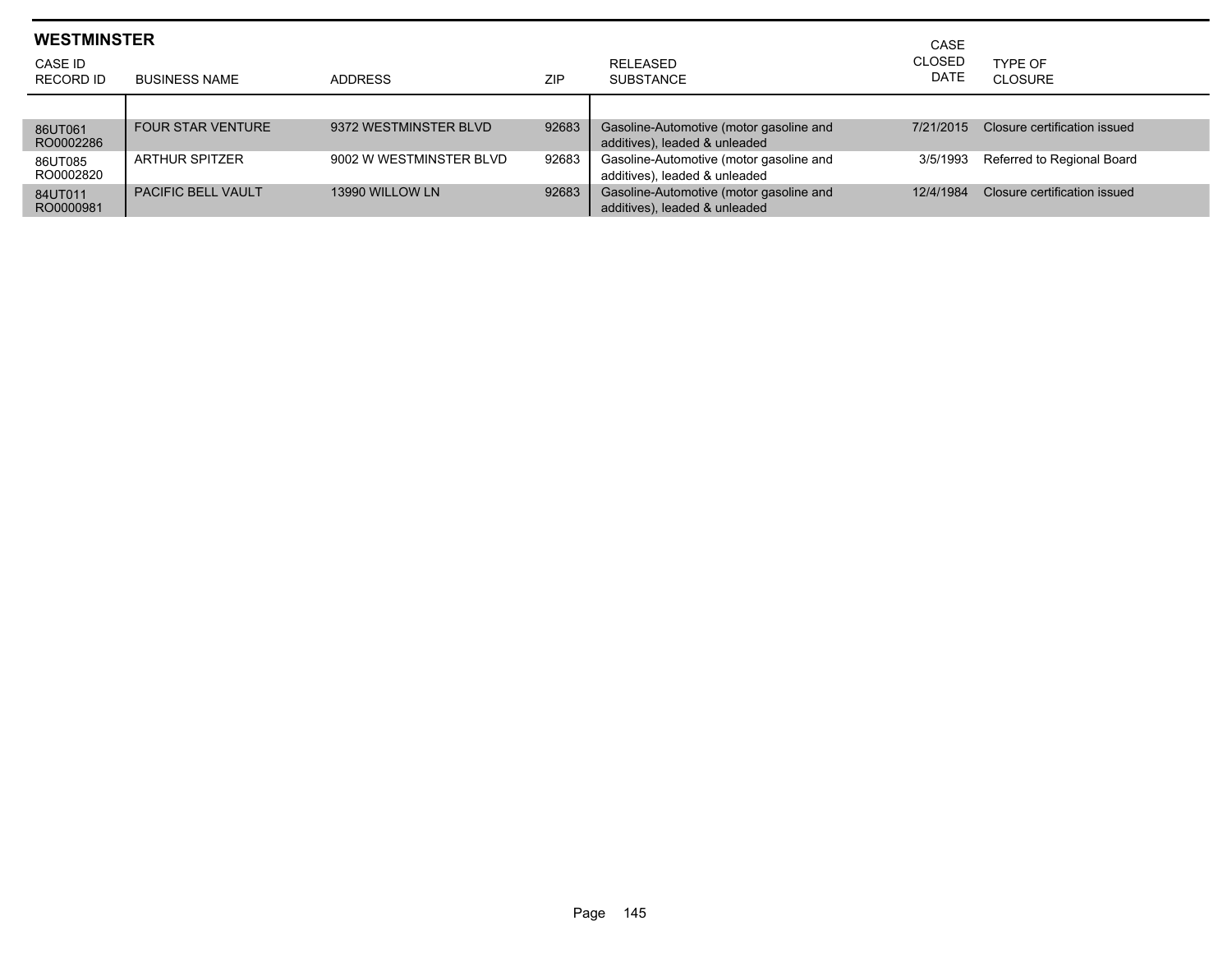| <b>WESTMINSTER</b><br>CASE ID<br>RECORD ID | <b>BUSINESS NAME</b>      | <b>ADDRESS</b>          | ZIP   | RELEASED<br><b>SUBSTANCE</b>                                             | CASE<br><b>CLOSED</b><br><b>DATE</b> | TYPF OF<br>CLOSURE           |
|--------------------------------------------|---------------------------|-------------------------|-------|--------------------------------------------------------------------------|--------------------------------------|------------------------------|
| 86UT061<br>RO0002286                       | <b>FOUR STAR VENTURE</b>  | 9372 WESTMINSTER BLVD   | 92683 | Gasoline-Automotive (motor gasoline and<br>additives), leaded & unleaded | 7/21/2015                            | Closure certification issued |
| 86UT085<br>RO0002820                       | <b>ARTHUR SPITZER</b>     | 9002 W WESTMINSTER BLVD | 92683 | Gasoline-Automotive (motor gasoline and<br>additives), leaded & unleaded | 3/5/1993                             | Referred to Regional Board   |
| 84UT011<br>RO0000981                       | <b>PACIFIC BELL VAULT</b> | 13990 WILLOW LN         | 92683 | Gasoline-Automotive (motor gasoline and<br>additives), leaded & unleaded | 12/4/1984                            | Closure certification issued |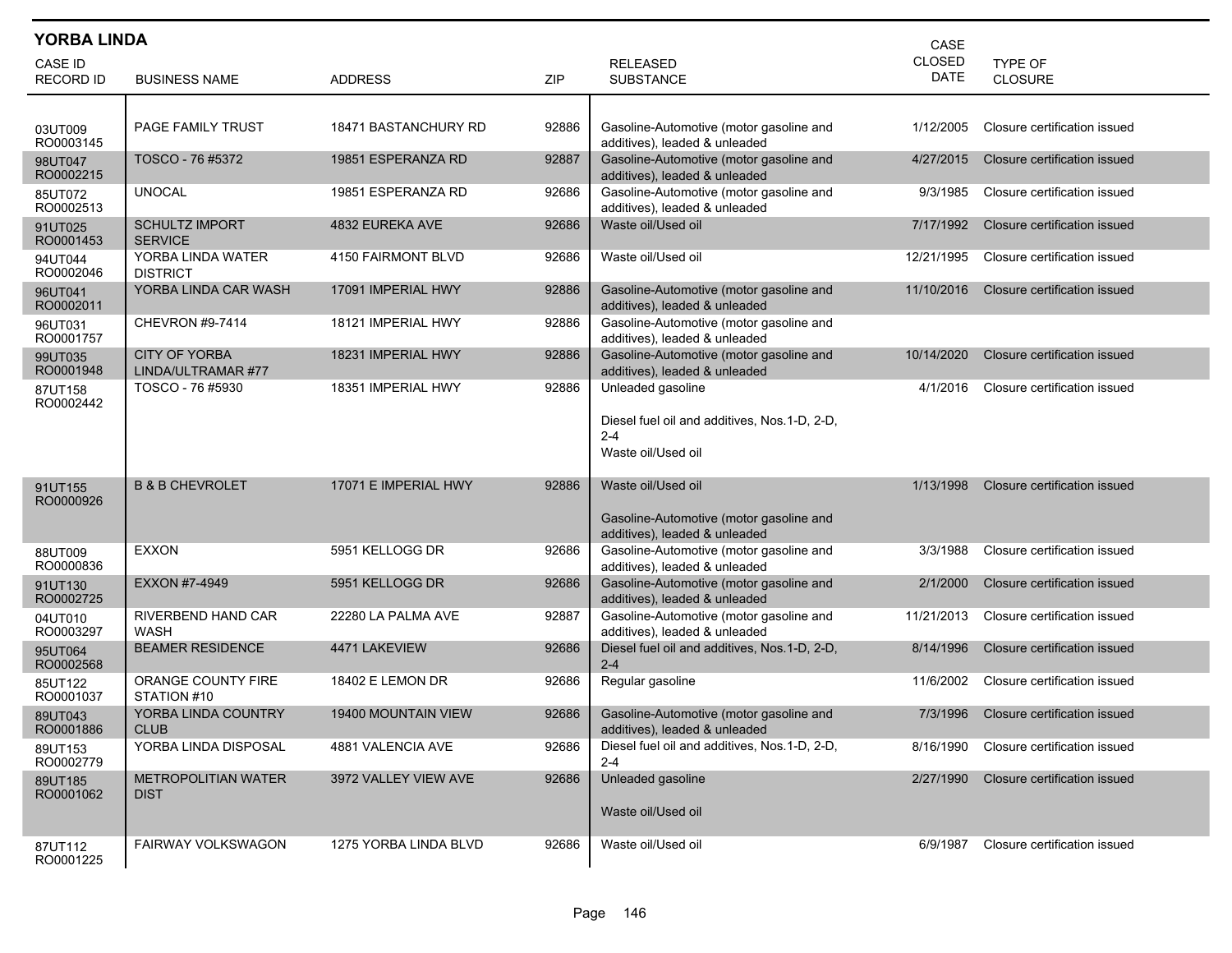| <b>YORBA LINDA</b><br>CASE  |                                            |                            |       |                                                                               |                              |                              |  |
|-----------------------------|--------------------------------------------|----------------------------|-------|-------------------------------------------------------------------------------|------------------------------|------------------------------|--|
| CASE ID<br><b>RECORD ID</b> | <b>BUSINESS NAME</b>                       | <b>ADDRESS</b>             | ZIP   | <b>RELEASED</b><br><b>SUBSTANCE</b>                                           | <b>CLOSED</b><br><b>DATE</b> | TYPE OF<br><b>CLOSURE</b>    |  |
|                             |                                            |                            |       |                                                                               |                              |                              |  |
| 03UT009<br>RO0003145        | PAGE FAMILY TRUST                          | 18471 BASTANCHURY RD       | 92886 | Gasoline-Automotive (motor gasoline and<br>additives), leaded & unleaded      | 1/12/2005                    | Closure certification issued |  |
| 98UT047<br>RO0002215        | TOSCO - 76 #5372                           | 19851 ESPERANZA RD         | 92887 | Gasoline-Automotive (motor gasoline and<br>additives), leaded & unleaded      | 4/27/2015                    | Closure certification issued |  |
| 85UT072<br>RO0002513        | <b>UNOCAL</b>                              | 19851 ESPERANZA RD         | 92686 | Gasoline-Automotive (motor gasoline and<br>additives), leaded & unleaded      | 9/3/1985                     | Closure certification issued |  |
| 91UT025<br>RO0001453        | <b>SCHULTZ IMPORT</b><br><b>SERVICE</b>    | 4832 EUREKA AVE            | 92686 | Waste oil/Used oil                                                            | 7/17/1992                    | Closure certification issued |  |
| 94UT044<br>RO0002046        | YORBA LINDA WATER<br><b>DISTRICT</b>       | 4150 FAIRMONT BLVD         | 92686 | Waste oil/Used oil                                                            | 12/21/1995                   | Closure certification issued |  |
| 96UT041<br>RO0002011        | YORBA LINDA CAR WASH                       | 17091 IMPERIAL HWY         | 92886 | Gasoline-Automotive (motor gasoline and<br>additives), leaded & unleaded      | 11/10/2016                   | Closure certification issued |  |
| 96UT031<br>RO0001757        | <b>CHEVRON #9-7414</b>                     | 18121 IMPERIAL HWY         | 92886 | Gasoline-Automotive (motor gasoline and<br>additives), leaded & unleaded      |                              |                              |  |
| 99UT035<br>RO0001948        | <b>CITY OF YORBA</b><br>LINDA/ULTRAMAR #77 | 18231 IMPERIAL HWY         | 92886 | Gasoline-Automotive (motor gasoline and<br>additives), leaded & unleaded      | 10/14/2020                   | Closure certification issued |  |
| 87UT158<br>RO0002442        | TOSCO - 76 #5930                           | 18351 IMPERIAL HWY         | 92886 | Unleaded gasoline                                                             | 4/1/2016                     | Closure certification issued |  |
|                             |                                            |                            |       | Diesel fuel oil and additives, Nos.1-D, 2-D,<br>$2 - 4$<br>Waste oil/Used oil |                              |                              |  |
| 91UT155                     | <b>B &amp; B CHEVROLET</b>                 | 17071 E IMPERIAL HWY       | 92886 | Waste oil/Used oil                                                            | 1/13/1998                    | Closure certification issued |  |
| RO0000926                   |                                            |                            |       | Gasoline-Automotive (motor gasoline and<br>additives), leaded & unleaded      |                              |                              |  |
| 88UT009<br>RO0000836        | <b>EXXON</b>                               | 5951 KELLOGG DR            | 92686 | Gasoline-Automotive (motor gasoline and<br>additives), leaded & unleaded      | 3/3/1988                     | Closure certification issued |  |
| 91UT130<br>RO0002725        | EXXON #7-4949                              | 5951 KELLOGG DR            | 92686 | Gasoline-Automotive (motor gasoline and<br>additives), leaded & unleaded      | 2/1/2000                     | Closure certification issued |  |
| 04UT010<br>RO0003297        | RIVERBEND HAND CAR<br>WASH                 | 22280 LA PALMA AVE         | 92887 | Gasoline-Automotive (motor gasoline and<br>additives), leaded & unleaded      | 11/21/2013                   | Closure certification issued |  |
| 95UT064<br>RO0002568        | <b>BEAMER RESIDENCE</b>                    | 4471 LAKEVIEW              | 92686 | Diesel fuel oil and additives, Nos.1-D, 2-D,<br>$2 - 4$                       | 8/14/1996                    | Closure certification issued |  |
| 85UT122<br>RO0001037        | ORANGE COUNTY FIRE<br>STATION #10          | 18402 E LEMON DR           | 92686 | Regular gasoline                                                              | 11/6/2002                    | Closure certification issued |  |
| 89UT043<br>RO0001886        | YORBA LINDA COUNTRY<br><b>CLUB</b>         | <b>19400 MOUNTAIN VIEW</b> | 92686 | Gasoline-Automotive (motor gasoline and<br>additives), leaded & unleaded      | 7/3/1996                     | Closure certification issued |  |
| 89UT153<br>RO0002779        | YORBA LINDA DISPOSAL                       | 4881 VALENCIA AVE          | 92686 | Diesel fuel oil and additives, Nos. 1-D, 2-D,<br>$2 - 4$                      | 8/16/1990                    | Closure certification issued |  |
| 89UT185<br>RO0001062        | <b>METROPOLITIAN WATER</b><br><b>DIST</b>  | 3972 VALLEY VIEW AVE       | 92686 | Unleaded gasoline<br>Waste oil/Used oil                                       | 2/27/1990                    | Closure certification issued |  |
| 87UT112<br>RO0001225        | FAIRWAY VOLKSWAGON                         | 1275 YORBA LINDA BLVD      | 92686 | Waste oil/Used oil                                                            | 6/9/1987                     | Closure certification issued |  |